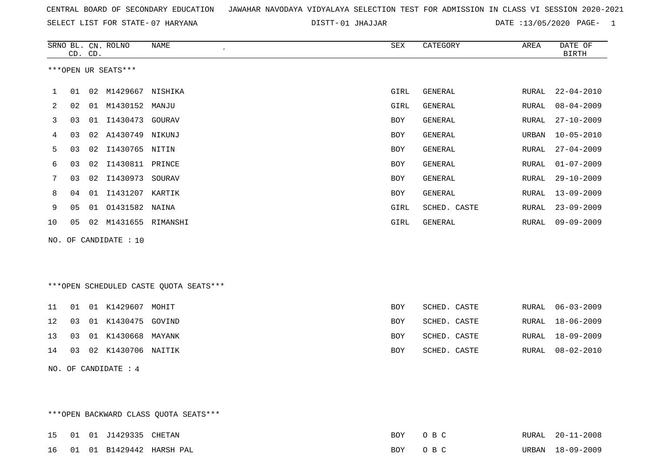|  |  |  |  | CENTRAL BOARD OF SECONDARY EDUCATION – JAWAHAR NAVODAYA VIDYALAYA SELECTION TEST FOR ADMISSION IN CLASS VI SESSION 2020-2021 |  |  |  |  |  |  |  |  |  |  |  |  |  |  |
|--|--|--|--|------------------------------------------------------------------------------------------------------------------------------|--|--|--|--|--|--|--|--|--|--|--|--|--|--|
|--|--|--|--|------------------------------------------------------------------------------------------------------------------------------|--|--|--|--|--|--|--|--|--|--|--|--|--|--|

01 JHAJJAR DATE :13/05/2020 PAGE- 1

|    |    | CD. CD. | SRNO BL. CN. ROLNO    | NAME     | SEX  | CATEGORY     | AREA  | DATE OF<br><b>BIRTH</b> |
|----|----|---------|-----------------------|----------|------|--------------|-------|-------------------------|
|    |    |         | ***OPEN UR SEATS***   |          |      |              |       |                         |
|    | 01 | 02      | M1429667              | NISHIKA  | GIRL | GENERAL      | RURAL | $22 - 04 - 2010$        |
| 2  | 02 | 01      | M1430152 MANJU        |          | GIRL | GENERAL      | RURAL | 08-04-2009              |
| 3  | 03 | 01      | I1430473 GOURAV       |          | BOY  | GENERAL      | RURAL | $27 - 10 - 2009$        |
| 4  | 03 | 02      | A1430749              | NIKUNJ   | BOY  | GENERAL      | URBAN | $10 - 05 - 2010$        |
| 5  | 03 | 02      | I1430765 NITIN        |          | BOY  | GENERAL      | RURAL | $27 - 04 - 2009$        |
| 6  | 03 | 02      | I1430811              | PRINCE   | BOY  | GENERAL      | RURAL | 01-07-2009              |
|    | 03 | 02      | I1430973              | SOURAV   | BOY  | GENERAL      | RURAL | $29 - 10 - 2009$        |
| 8  | 04 | 01      | I1431207              | KARTIK   | BOY  | GENERAL      | RURAL | $13 - 09 - 2009$        |
| 9  | 05 | 01      | 01431582 NAINA        |          | GIRL | SCHED. CASTE | RURAL | $23 - 09 - 2009$        |
| 10 | 05 | 02      | M1431655              | RIMANSHI | GIRL | GENERAL      | RURAL | $09 - 09 - 2009$        |
|    |    |         | NO. OF CANDIDATE : 10 |          |      |              |       |                         |

\*\*\*OPEN SCHEDULED CASTE QUOTA SEATS\*\*\*

|  | 11  01  01  K1429607  MOHIT  | BOY.       | SCHED. CASTE |  | RURAL 06-03-2009 |
|--|------------------------------|------------|--------------|--|------------------|
|  | 12  03  01  K1430475  GOVIND | <b>BOY</b> | SCHED. CASTE |  | RURAL 18-06-2009 |
|  | 13 03 01 K1430668 MAYANK     | <b>BOY</b> | SCHED. CASTE |  | RURAL 18-09-2009 |
|  | 14 03 02 K1430706 NAITIK     | <b>BOY</b> | SCHED. CASTE |  | RURAL 08-02-2010 |

NO. OF CANDIDATE : 4

\*\*\*OPEN BACKWARD CLASS QUOTA SEATS\*\*\*

|  | 15 01 01 J1429335 CHETAN |                             | BOY OBC | RURAL 20-11-2008 |
|--|--------------------------|-----------------------------|---------|------------------|
|  |                          | 16 01 01 B1429442 HARSH PAL | BOY OBC | URBAN 18-09-2009 |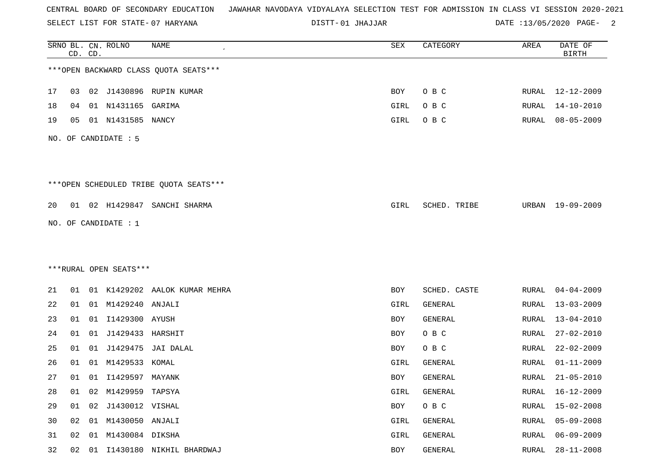SELECT LIST FOR STATE- DISTT- 07 HARYANA

01 JHAJJAR DATE :13/05/2020 PAGE- 2

|    |    | CD. CD. | SRNO BL. CN. ROLNO     | <b>NAME</b>                            | SEX         | CATEGORY     | AREA         | DATE OF<br><b>BIRTH</b> |
|----|----|---------|------------------------|----------------------------------------|-------------|--------------|--------------|-------------------------|
|    |    |         |                        | *** OPEN BACKWARD CLASS QUOTA SEATS*** |             |              |              |                         |
| 17 | 03 |         |                        | 02 J1430896 RUPIN KUMAR                | BOY         | O B C        | RURAL        | 12-12-2009              |
| 18 | 04 |         | 01 N1431165            | GARIMA                                 | <b>GIRL</b> | O B C        | RURAL        | $14 - 10 - 2010$        |
| 19 | 05 |         | 01 N1431585 NANCY      |                                        | GIRL        | O B C        | RURAL        | $08 - 05 - 2009$        |
|    |    |         | NO. OF CANDIDATE : 5   |                                        |             |              |              |                         |
|    |    |         |                        | ***OPEN SCHEDULED TRIBE QUOTA SEATS*** |             |              |              |                         |
| 20 | 01 |         | 02 H1429847            | SANCHI SHARMA                          | GIRL        | SCHED. TRIBE | URBAN        | 19-09-2009              |
|    |    |         | NO. OF CANDIDATE : 1   |                                        |             |              |              |                         |
|    |    |         |                        |                                        |             |              |              |                         |
|    |    |         | ***RURAL OPEN SEATS*** |                                        |             |              |              |                         |
|    |    |         |                        |                                        |             |              |              |                         |
| 21 | 01 |         |                        | 01 K1429202 AALOK KUMAR MEHRA          | BOY         | SCHED. CASTE | RURAL        | $04 - 04 - 2009$        |
| 22 | 01 |         | 01 M1429240 ANJALI     |                                        | GIRL        | GENERAL      | RURAL        | $13 - 03 - 2009$        |
| 23 | 01 | 01      | I1429300 AYUSH         |                                        | BOY         | GENERAL      | <b>RURAL</b> | $13 - 04 - 2010$        |
| 24 | 01 | 01      | J1429433               | HARSHIT                                | <b>BOY</b>  | O B C        | RURAL        | $27 - 02 - 2010$        |
| 25 | 01 | 01      | J1429475               | JAI DALAL                              | BOY         | O B C        | RURAL        | $22 - 02 - 2009$        |
| 26 | 01 | 01      | M1429533               | KOMAL                                  | GIRL        | GENERAL      | RURAL        | $01 - 11 - 2009$        |
| 27 | 01 |         | 01 I1429597 MAYANK     |                                        | <b>BOY</b>  | GENERAL      | RURAL        | $21 - 05 - 2010$        |
| 28 | 01 | 02      | M1429959 TAPSYA        |                                        | GIRL        | GENERAL      | RURAL        | $16 - 12 - 2009$        |
| 29 | 01 | 02      | J1430012 VISHAL        |                                        | BOY         | O B C        | <b>RURAL</b> | $15 - 02 - 2008$        |
| 30 | 02 |         | 01 M1430050 ANJALI     |                                        | GIRL        | GENERAL      | RURAL        | $05 - 09 - 2008$        |
| 31 | 02 | 01      | M1430084 DIKSHA        |                                        | GIRL        | GENERAL      | <b>RURAL</b> | $06 - 09 - 2009$        |
| 32 | 02 | 01      |                        | I1430180 NIKHIL BHARDWAJ               | BOY         | GENERAL      | RURAL        | $28 - 11 - 2008$        |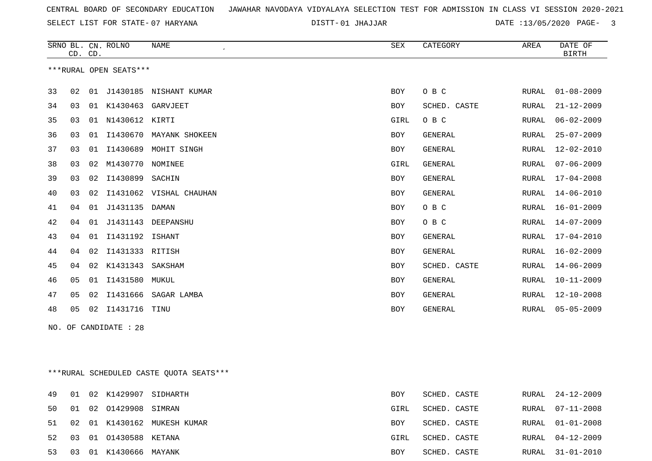SELECT LIST FOR STATE- DISTT- 07 HARYANA

01 JHAJJAR DATE :13/05/2020 PAGE- 3

|    |    | CD. CD. | SRNO BL. CN. ROLNO     | <b>NAME</b><br>$\epsilon$ | <b>SEX</b> | CATEGORY       | AREA         | DATE OF<br><b>BIRTH</b> |
|----|----|---------|------------------------|---------------------------|------------|----------------|--------------|-------------------------|
|    |    |         | ***RURAL OPEN SEATS*** |                           |            |                |              |                         |
| 33 | 02 | 01      |                        | J1430185 NISHANT KUMAR    | <b>BOY</b> | O B C          | RURAL        | $01 - 08 - 2009$        |
| 34 | 03 | 01      | K1430463               | GARVJEET                  | <b>BOY</b> | SCHED. CASTE   | RURAL        | $21 - 12 - 2009$        |
| 35 | 03 | 01      | N1430612               | KIRTI                     | GIRL       | O B C          | RURAL        | $06 - 02 - 2009$        |
| 36 | 03 | 01      |                        | I1430670 MAYANK SHOKEEN   | <b>BOY</b> | GENERAL        | RURAL        | $25 - 07 - 2009$        |
| 37 | 03 | 01      | I1430689               | MOHIT SINGH               | <b>BOY</b> | <b>GENERAL</b> | RURAL        | $12 - 02 - 2010$        |
| 38 | 03 | 02      | M1430770               | NOMINEE                   | GIRL       | <b>GENERAL</b> | <b>RURAL</b> | $07 - 06 - 2009$        |
| 39 | 03 | 02      | I1430899               | SACHIN                    | <b>BOY</b> | <b>GENERAL</b> | RURAL        | $17 - 04 - 2008$        |
| 40 | 03 | 02      | I1431062               | VISHAL CHAUHAN            | <b>BOY</b> | GENERAL        | RURAL        | $14 - 06 - 2010$        |
| 41 | 04 | 01      | J1431135               | <b>DAMAN</b>              | <b>BOY</b> | O B C          | RURAL        | $16 - 01 - 2009$        |
| 42 | 04 | 01      | J1431143               | DEEPANSHU                 | <b>BOY</b> | O B C          | RURAL        | $14 - 07 - 2009$        |
| 43 | 04 | 01      | I1431192               | <b>ISHANT</b>             | <b>BOY</b> | <b>GENERAL</b> | RURAL        | $17 - 04 - 2010$        |
| 44 | 04 | 02      | I1431333               | RITISH                    | <b>BOY</b> | <b>GENERAL</b> | RURAL        | $16 - 02 - 2009$        |
| 45 | 04 | 02      | K1431343               | SAKSHAM                   | <b>BOY</b> | SCHED. CASTE   | RURAL        | $14 - 06 - 2009$        |
| 46 | 05 | 01      | I1431580               | MUKUL                     | <b>BOY</b> | <b>GENERAL</b> | RURAL        | $10 - 11 - 2009$        |
| 47 | 05 | 02      | I1431666               | SAGAR LAMBA               | <b>BOY</b> | GENERAL        | RURAL        | $12 - 10 - 2008$        |
| 48 | 05 | 02      | I1431716               | TINU                      | <b>BOY</b> | <b>GENERAL</b> | RURAL        | $05 - 05 - 2009$        |
|    |    |         |                        |                           |            |                |              |                         |

NO. OF CANDIDATE : 28

\*\*\*RURAL SCHEDULED CASTE QUOTA SEATS\*\*\*

|    |  | 49 01 02 K1429907 SIDHARTH |                                | BOY  | SCHED. CASTE |  | RURAL 24-12-2009 |
|----|--|----------------------------|--------------------------------|------|--------------|--|------------------|
|    |  | 50 01 02 01429908 SIMRAN   |                                | GIRL | SCHED. CASTE |  | RURAL 07-11-2008 |
|    |  |                            | 51 02 01 K1430162 MUKESH KUMAR | BOY  | SCHED. CASTE |  | RURAL 01-01-2008 |
|    |  | 52 03 01 01430588 KETANA   |                                | GIRL | SCHED. CASTE |  | RURAL 04-12-2009 |
| 53 |  | 03 01 K1430666 MAYANK      |                                | BOY  | SCHED. CASTE |  | RURAL 31-01-2010 |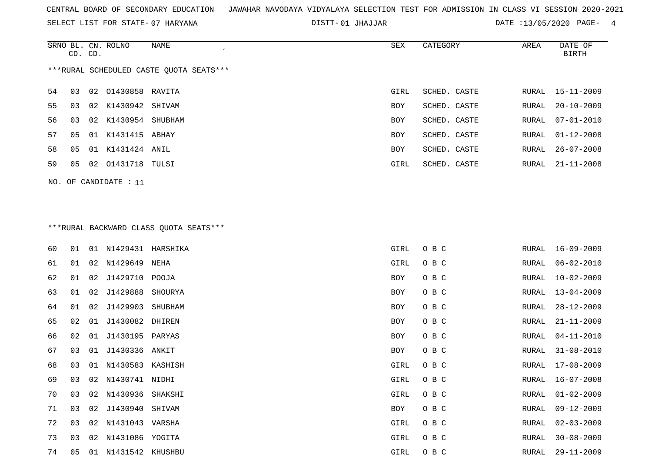SELECT LIST FOR STATE- DISTT- 07 HARYANA

01 JHAJJAR DATE :13/05/2020 PAGE- 4

|    |         |    | SRNO BL. CN. ROLNO    | NAME                                    | SEX        | CATEGORY     | AREA  | DATE OF          |
|----|---------|----|-----------------------|-----------------------------------------|------------|--------------|-------|------------------|
|    | CD. CD. |    |                       |                                         |            |              |       | BIRTH            |
|    |         |    |                       | ***RURAL SCHEDULED CASTE OUOTA SEATS*** |            |              |       |                  |
| 54 | 03      |    | 02 01430858 RAVITA    |                                         | GIRL       | SCHED. CASTE |       | RURAL 15-11-2009 |
| 55 | 03      |    | 02 K1430942 SHIVAM    |                                         | <b>BOY</b> | SCHED. CASTE | RURAL | 20-10-2009       |
| 56 | 03      |    | 02 K1430954 SHUBHAM   |                                         | <b>BOY</b> | SCHED. CASTE | RURAL | 07-01-2010       |
| 57 | 05      | 01 | K1431415 ABHAY        |                                         | <b>BOY</b> | SCHED. CASTE | RURAL | $01 - 12 - 2008$ |
| 58 | 05      |    | 01 K1431424 ANIL      |                                         | <b>BOY</b> | SCHED. CASTE | RURAL | $26 - 07 - 2008$ |
| 59 | 05      |    | 02 01431718 TULSI     |                                         | GIRL       | SCHED. CASTE | RURAL | 21-11-2008       |
|    |         |    | NO. OF CANDIDATE : 11 |                                         |            |              |       |                  |

# \*\*\*RURAL BACKWARD CLASS QUOTA SEATS\*\*\*

| 60 | 01 | 01 | N1429431            | HARSHIKA | GIRL | O B C | RURAL | $16 - 09 - 2009$ |
|----|----|----|---------------------|----------|------|-------|-------|------------------|
| 61 | 01 | 02 | N1429649            | NEHA     | GIRL | O B C | RURAL | $06 - 02 - 2010$ |
| 62 | 01 | 02 | J1429710            | POOJA    | BOY  | O B C | RURAL | $10 - 02 - 2009$ |
| 63 | 01 | 02 | J1429888            | SHOURYA  | BOY  | O B C | RURAL | $13 - 04 - 2009$ |
| 64 | 01 | 02 | J1429903            | SHUBHAM  | BOY  | O B C | RURAL | $28 - 12 - 2009$ |
| 65 | 02 | 01 | J1430082 DHIREN     |          | BOY  | O B C | RURAL | $21 - 11 - 2009$ |
| 66 | 02 | 01 | J1430195            | PARYAS   | BOY  | O B C | RURAL | $04 - 11 - 2010$ |
| 67 | 03 | 01 | J1430336 ANKIT      |          | BOY  | O B C | RURAL | $31 - 08 - 2010$ |
| 68 | 03 | 01 | N1430583            | KASHISH  | GIRL | O B C | RURAL | $17 - 08 - 2009$ |
| 69 | 03 |    | 02 N1430741 NIDHI   |          | GIRL | O B C | RURAL | $16 - 07 - 2008$ |
| 70 | 03 | 02 | N1430936            | SHAKSHI  | GIRL | O B C | RURAL | $01 - 02 - 2009$ |
| 71 | 03 | 02 | J1430940            | SHIVAM   | BOY  | O B C | RURAL | $09 - 12 - 2009$ |
| 72 | 03 |    | 02 N1431043         | VARSHA   | GIRL | O B C | RURAL | $02 - 03 - 2009$ |
| 73 | 03 |    | 02 N1431086 YOGITA  |          | GIRL | O B C | RURAL | $30 - 08 - 2009$ |
| 74 | 05 |    | 01 N1431542 KHUSHBU |          | GIRL | O B C | RURAL | $29 - 11 - 2009$ |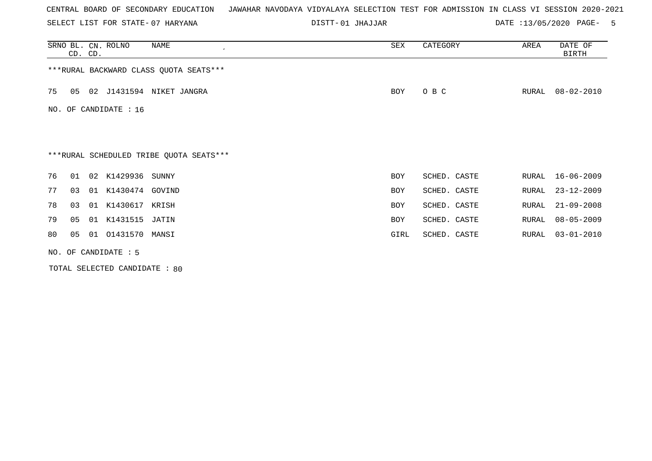SELECT LIST FOR STATE- DISTT- 07 HARYANA

01 JHAJJAR DATE :13/05/2020 PAGE- 5

| SRNO BL. CN. ROLNO | CD. CD. |                      | NAME<br>$\cdot$                         | SEX        | CATEGORY     | AREA  | DATE OF<br><b>BIRTH</b> |
|--------------------|---------|----------------------|-----------------------------------------|------------|--------------|-------|-------------------------|
|                    |         |                      | *** RURAL BACKWARD CLASS QUOTA SEATS*** |            |              |       |                         |
| 75<br>05           |         |                      | 02 J1431594 NIKET JANGRA                | BOY        | O B C        | RURAL | 08-02-2010              |
| NO.                |         | OF CANDIDATE : 16    |                                         |            |              |       |                         |
|                    |         |                      |                                         |            |              |       |                         |
|                    |         |                      | ***RURAL SCHEDULED TRIBE QUOTA SEATS*** |            |              |       |                         |
| 76<br>01           |         | 02 K1429936 SUNNY    |                                         | <b>BOY</b> | SCHED. CASTE | RURAL | $16 - 06 - 2009$        |
| 77<br>03           |         | 01 K1430474 GOVIND   |                                         | <b>BOY</b> | SCHED. CASTE | RURAL | $23 - 12 - 2009$        |
| 78<br>03           |         | 01 K1430617 KRISH    |                                         | <b>BOY</b> | SCHED. CASTE | RURAL | $21 - 09 - 2008$        |
| 79<br>05           |         | 01 K1431515          | JATIN                                   | <b>BOY</b> | SCHED. CASTE | RURAL | $08 - 05 - 2009$        |
| 80<br>05           |         | 01  01431570  MANSI  |                                         | GIRL       | SCHED. CASTE | RURAL | $03 - 01 - 2010$        |
|                    |         | NO. OF CANDIDATE : 5 |                                         |            |              |       |                         |

TOTAL SELECTED CANDIDATE : 80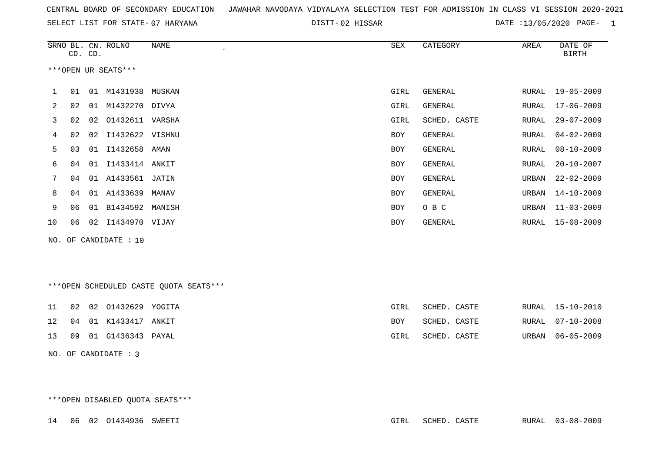|  |  |  | CENTRAL BOARD OF SECONDARY EDUCATION – JAWAHAR NAVODAYA VIDYALAYA SELECTION TEST FOR ADMISSION IN CLASS VI SESSION 2020-2021 |  |  |  |  |  |  |  |  |  |
|--|--|--|------------------------------------------------------------------------------------------------------------------------------|--|--|--|--|--|--|--|--|--|
|--|--|--|------------------------------------------------------------------------------------------------------------------------------|--|--|--|--|--|--|--|--|--|

02 HISSAR DATE :13/05/2020 PAGE- 1

|    |    | CD. CD. | SRNO BL. CN. ROLNO    | NAME<br>$\epsilon$ | SEX        | CATEGORY     | AREA  | DATE OF<br>BIRTH |
|----|----|---------|-----------------------|--------------------|------------|--------------|-------|------------------|
|    |    |         | ***OPEN UR SEATS***   |                    |            |              |       |                  |
|    | 01 | 01      | M1431938 MUSKAN       |                    | GIRL       | GENERAL      | RURAL | $19 - 05 - 2009$ |
| 2  | 02 | 01      | M1432270 DIVYA        |                    | GIRL       | GENERAL      | RURAL | $17 - 06 - 2009$ |
| 3  | 02 |         | 02 01432611 VARSHA    |                    | GIRL       | SCHED. CASTE | RURAL | $29 - 07 - 2009$ |
| 4  | 02 | 02      | I1432622 VISHNU       |                    | <b>BOY</b> | GENERAL      | RURAL | $04 - 02 - 2009$ |
| 5  | 03 | 01      | I1432658 AMAN         |                    | BOY        | GENERAL      | RURAL | $08 - 10 - 2009$ |
| 6  | 04 | 01      | I1433414              | ANKIT              | <b>BOY</b> | GENERAL      | RURAL | $20 - 10 - 2007$ |
| 7  | 04 | 01      | A1433561 JATIN        |                    | BOY        | GENERAL      | URBAN | $22 - 02 - 2009$ |
| 8  | 04 | 01      | A1433639              | MANAV              | <b>BOY</b> | GENERAL      | URBAN | $14 - 10 - 2009$ |
| 9  | 06 | 01      | B1434592 MANISH       |                    | <b>BOY</b> | O B C        | URBAN | $11 - 03 - 2009$ |
| 10 | 06 | 02      | I1434970 VIJAY        |                    | <b>BOY</b> | GENERAL      | RURAL | $15 - 08 - 2009$ |
|    |    |         | NO. OF CANDIDATE : 10 |                    |            |              |       |                  |

\*\*\*OPEN SCHEDULED CASTE QUOTA SEATS\*\*\*

|  | 11 02 02 01432629 YOGITA                            | GIRL | SCHED. CASTE |  | RURAL 15-10-2010 |
|--|-----------------------------------------------------|------|--------------|--|------------------|
|  | 12        04        01        K1433417        ANKIT | BOY  | SCHED. CASTE |  | RURAL 07-10-2008 |
|  | 13 09 01 G1436343 PAYAL                             | GIRL | SCHED. CASTE |  | URBAN 06-05-2009 |

NO. OF CANDIDATE : 3

\*\*\*OPEN DISABLED QUOTA SEATS\*\*\*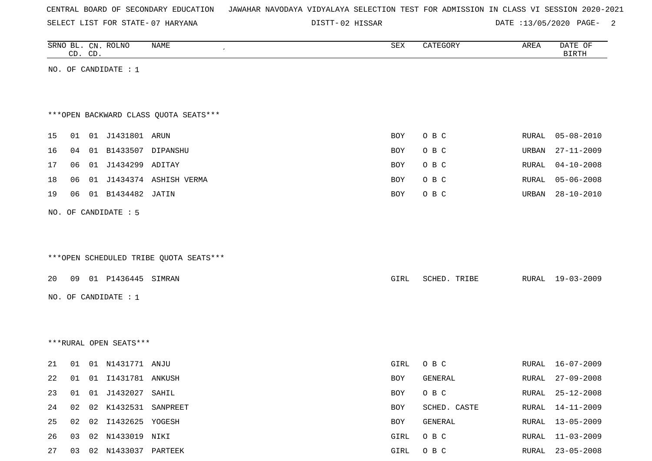SELECT LIST FOR STATE- DISTT- 07 HARYANA

02 HISSAR DATE :13/05/2020 PAGE- 2

| SRNO BL. CN. ROLNO<br>CD. CD.          | <b>NAME</b><br>$\epsilon$ | <b>SEX</b>  | CATEGORY     | AREA  | DATE OF<br>BIRTH |
|----------------------------------------|---------------------------|-------------|--------------|-------|------------------|
| NO. OF CANDIDATE : $1$                 |                           |             |              |       |                  |
|                                        |                           |             |              |       |                  |
| *** OPEN BACKWARD CLASS QUOTA SEATS*** |                           |             |              |       |                  |
| 15<br>01 J1431801 ARUN<br>01           |                           | <b>BOY</b>  | O B C        | RURAL | $05 - 08 - 2010$ |
| 16<br>01 B1433507 DIPANSHU<br>04       |                           | BOY         | O B C        | URBAN | $27 - 11 - 2009$ |
| 17<br>06<br>01 J1434299 ADITAY         |                           | BOY         | O B C        | RURAL | $04 - 10 - 2008$ |
| 18<br>06                               | 01 J1434374 ASHISH VERMA  | BOY         | O B C        | RURAL | $05 - 06 - 2008$ |
| 19<br>06<br>01 B1434482 JATIN          |                           | BOY         | O B C        | URBAN | $28 - 10 - 2010$ |
| NO. OF CANDIDATE : 5                   |                           |             |              |       |                  |
|                                        |                           |             |              |       |                  |
|                                        |                           |             |              |       |                  |
| ***OPEN SCHEDULED TRIBE QUOTA SEATS*** |                           |             |              |       |                  |
| 01 P1436445 SIMRAN<br>20<br>09         |                           | GIRL        | SCHED. TRIBE |       | RURAL 19-03-2009 |
| NO. OF CANDIDATE : $1$                 |                           |             |              |       |                  |
|                                        |                           |             |              |       |                  |
|                                        |                           |             |              |       |                  |
| ***RURAL OPEN SEATS***                 |                           |             |              |       |                  |
| 01 N1431771 ANJU<br>21<br>01           |                           | <b>GIRL</b> | O B C        | RURAL | 16-07-2009       |
| 22<br>01<br>01 I1431781 ANKUSH         |                           | BOY         | GENERAL      | RURAL | $27 - 09 - 2008$ |
| 23<br>01<br>01 J1432027 SAHIL          |                           | BOY         | $O$ B $C$    | RURAL | $25 - 12 - 2008$ |
| 02 K1432531 SANPREET<br>24<br>02       |                           | BOY         | SCHED. CASTE | RURAL | $14 - 11 - 2009$ |
| 02 02 I1432625 YOGESH<br>25            |                           | BOY         | GENERAL      |       | RURAL 13-05-2009 |
|                                        |                           |             |              |       |                  |

26 03 02 N1433019 NIKI GIRL O B C RURAL 11-03-2009 27 03 02 N1433037 PARTEEK GIRL O B C RURAL 23-05-2008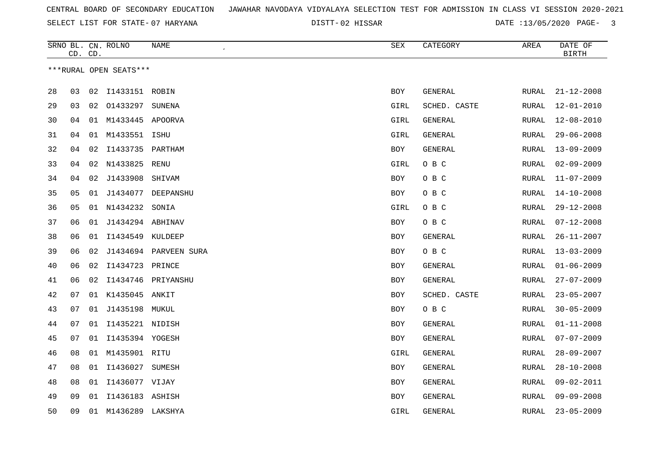02 HISSAR DATE :13/05/2020 PAGE- 3

|    | CD. CD. |    | SRNO BL. CN. ROLNO     | NAME<br>$\epsilon$    | SEX        | CATEGORY     | AREA         | DATE OF<br><b>BIRTH</b> |
|----|---------|----|------------------------|-----------------------|------------|--------------|--------------|-------------------------|
|    |         |    | ***RURAL OPEN SEATS*** |                       |            |              |              |                         |
|    |         |    |                        |                       |            |              |              |                         |
| 28 | 03      |    | 02 I1433151 ROBIN      |                       | BOY        | GENERAL      | RURAL        | $21 - 12 - 2008$        |
| 29 | 03      |    | 02 01433297            | SUNENA                | GIRL       | SCHED. CASTE | <b>RURAL</b> | $12 - 01 - 2010$        |
| 30 | 04      | 01 | M1433445 APOORVA       |                       | GIRL       | GENERAL      | RURAL        | 12-08-2010              |
| 31 | 04      |    | 01 M1433551            | ISHU                  | GIRL       | GENERAL      | RURAL        | $29 - 06 - 2008$        |
| 32 | 04      | 02 | I1433735 PARTHAM       |                       | BOY        | GENERAL      | RURAL        | $13 - 09 - 2009$        |
| 33 | 04      | 02 | N1433825               | RENU                  | GIRL       | O B C        | RURAL        | $02 - 09 - 2009$        |
| 34 | 04      | 02 | J1433908               | SHIVAM                | <b>BOY</b> | O B C        | RURAL        | $11 - 07 - 2009$        |
| 35 | 05      |    | 01 J1434077            | DEEPANSHU             | BOY        | O B C        | RURAL        | $14 - 10 - 2008$        |
| 36 | 05      |    | 01 N1434232 SONIA      |                       | GIRL       | O B C        | <b>RURAL</b> | $29 - 12 - 2008$        |
| 37 | 06      |    | 01 J1434294 ABHINAV    |                       | <b>BOY</b> | O B C        | <b>RURAL</b> | $07 - 12 - 2008$        |
| 38 | 06      | 01 | I1434549 KULDEEP       |                       | <b>BOY</b> | GENERAL      | RURAL        | $26 - 11 - 2007$        |
| 39 | 06      | 02 |                        | J1434694 PARVEEN SURA | <b>BOY</b> | O B C        | <b>RURAL</b> | $13 - 03 - 2009$        |
| 40 | 06      | 02 | I1434723 PRINCE        |                       | BOY        | GENERAL      | RURAL        | $01 - 06 - 2009$        |
| 41 | 06      | 02 |                        | I1434746 PRIYANSHU    | BOY        | GENERAL      | RURAL        | $27 - 07 - 2009$        |
| 42 | 07      |    | 01 K1435045 ANKIT      |                       | <b>BOY</b> | SCHED. CASTE | RURAL        | $23 - 05 - 2007$        |
| 43 | 07      |    | 01 J1435198 MUKUL      |                       | BOY        | O B C        | <b>RURAL</b> | $30 - 05 - 2009$        |
| 44 | 07      |    | 01 I1435221 NIDISH     |                       | BOY        | GENERAL      | RURAL        | $01 - 11 - 2008$        |
| 45 | 07      |    | 01 I1435394 YOGESH     |                       | <b>BOY</b> | GENERAL      | RURAL        | $07 - 07 - 2009$        |
| 46 | 08      |    | 01 M1435901 RITU       |                       | GIRL       | GENERAL      | <b>RURAL</b> | $28 - 09 - 2007$        |
| 47 | 08      | 01 | I1436027               | SUMESH                | <b>BOY</b> | GENERAL      | RURAL        | $28 - 10 - 2008$        |
| 48 | 08      | 01 | I1436077 VIJAY         |                       | <b>BOY</b> | GENERAL      | <b>RURAL</b> | $09 - 02 - 2011$        |
| 49 | 09      | 01 | I1436183 ASHISH        |                       | BOY        | GENERAL      | RURAL        | $09 - 09 - 2008$        |
| 50 | 09      |    | 01 M1436289 LAKSHYA    |                       | GIRL       | GENERAL      | RURAL        | $23 - 05 - 2009$        |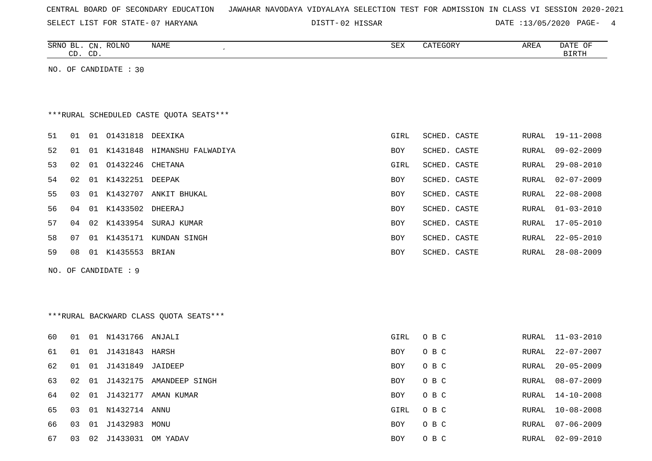| CENTRAL BOARD OF SECONDARY EDUCATION – JAWAHAR NAVODAYA VIDYALAYA SELECTION TEST FOR ADMISSION IN CLASS VI SESSION 2020-2021 |  |
|------------------------------------------------------------------------------------------------------------------------------|--|
|------------------------------------------------------------------------------------------------------------------------------|--|

SELECT LIST FOR STATE-07 HARYANA  $\overline{D}$  DISTT-02 HISSAR

DATE :13/05/2020 PAGE- 4

|    |    | CD. CD. | SRNO BL. CN. ROLNO      | NAME<br>$\cdot$                         | SEX        | CATEGORY     | AREA  | DATE OF<br><b>BIRTH</b> |
|----|----|---------|-------------------------|-----------------------------------------|------------|--------------|-------|-------------------------|
|    |    |         | NO. OF CANDIDATE : $30$ |                                         |            |              |       |                         |
|    |    |         |                         |                                         |            |              |       |                         |
|    |    |         |                         | ***RURAL SCHEDULED CASTE OUOTA SEATS*** |            |              |       |                         |
| 51 | 01 |         | 01 01431818 DEEXIKA     |                                         | GIRL       | SCHED. CASTE | RURAL | $19 - 11 - 2008$        |
| 52 | 01 |         | 01 K1431848             | HIMANSHU FALWADIYA                      | <b>BOY</b> | SCHED. CASTE | RURAL | $09 - 02 - 2009$        |
| 53 | 02 | 01      | 01432246                | CHETANA                                 | GIRL       | SCHED. CASTE | RURAL | $29 - 08 - 2010$        |
| 54 | 02 | 01      | K1432251                | DEEPAK                                  | <b>BOY</b> | SCHED. CASTE | RURAL | $02 - 07 - 2009$        |
| 55 | 03 | 01      | K1432707                | ANKIT BHUKAL                            | <b>BOY</b> | SCHED. CASTE | RURAL | $22 - 08 - 2008$        |
| 56 | 04 |         | 01 K1433502             | DHEERAJ                                 | <b>BOY</b> | SCHED. CASTE | RURAL | $01 - 03 - 2010$        |
| 57 | 04 |         |                         | 02 K1433954 SURAJ KUMAR                 | <b>BOY</b> | SCHED. CASTE | RURAL | 17-05-2010              |
| 58 | 07 | 01      | K1435171                | KUNDAN SINGH                            | <b>BOY</b> | SCHED. CASTE | RURAL | $22 - 05 - 2010$        |
| 59 | 08 |         | 01 K1435553             | BRIAN                                   | <b>BOY</b> | SCHED. CASTE | RURAL | $28 - 08 - 2009$        |
|    |    |         | NO. OF CANDIDATE: 9     |                                         |            |              |       |                         |

\*\*\*RURAL BACKWARD CLASS QUOTA SEATS\*\*\*

| 60 | 01   | 01 | N1431766 ANJALI     |                            | GIRL       | O B C | RURAL | 11-03-2010       |
|----|------|----|---------------------|----------------------------|------------|-------|-------|------------------|
| 61 | 01   |    | 01 J1431843 HARSH   |                            | <b>BOY</b> | O B C | RURAL | $22 - 07 - 2007$ |
| 62 | 01   |    | 01 J1431849 JAIDEEP |                            | <b>BOY</b> | O B C | RURAL | $20 - 05 - 2009$ |
| 63 | O 2. |    |                     | 01 J1432175 AMANDEEP SINGH | <b>BOY</b> | O B C | RURAL | 08-07-2009       |
| 64 | 02   |    |                     | 01 J1432177 AMAN KUMAR     | BOY        | O B C | RURAL | 14-10-2008       |
| 65 | 03   |    | 01 N1432714         | ANNU                       | GIRL       | O B C | RURAL | 10-08-2008       |
| 66 | 03   |    | 01 J1432983         | MONU                       | BOY        | O B C | RURAL | $07 - 06 - 2009$ |
| 67 | 03   | 02 | J1433031            | OM YADAV                   | <b>BOY</b> | O B C | RURAL | $02 - 09 - 2010$ |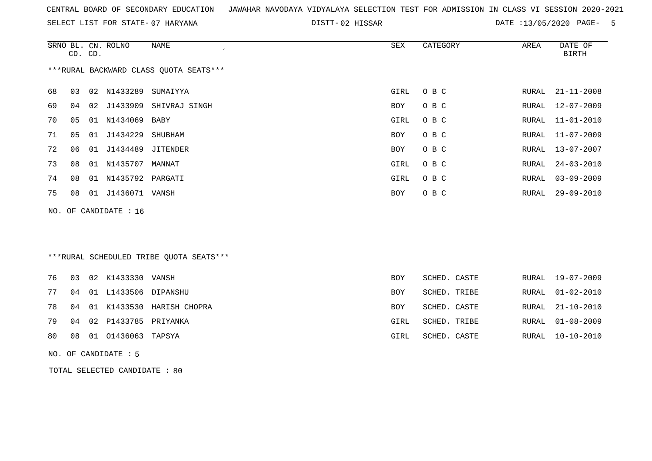SELECT LIST FOR STATE- DISTT- 07 HARYANA

02 HISSAR DATE :13/05/2020 PAGE- 5

|     |    | CD. CD. | SRNO BL. CN. ROLNO | <b>NAME</b>                             | <b>SEX</b> | CATEGORY     | AREA         | DATE OF<br><b>BIRTH</b> |
|-----|----|---------|--------------------|-----------------------------------------|------------|--------------|--------------|-------------------------|
|     |    |         |                    | *** RURAL BACKWARD CLASS QUOTA SEATS*** |            |              |              |                         |
| 68  | 03 |         | 02 N1433289        | SUMAIYYA                                | GIRL       | O B C        | RURAL        | $21 - 11 - 2008$        |
| 69  | 04 | 02      | J1433909           | SHIVRAJ SINGH                           | BOY        | O B C        | RURAL        | $12 - 07 - 2009$        |
| 70  | 05 | 01      | N1434069           | <b>BABY</b>                             | GIRL       | O B C        | RURAL        | $11 - 01 - 2010$        |
| 71  | 05 | 01      | J1434229           | SHUBHAM                                 | <b>BOY</b> | O B C        | <b>RURAL</b> | $11 - 07 - 2009$        |
| 72  | 06 |         | 01 J1434489        | <b>JITENDER</b>                         | BOY        | O B C        | RURAL        | $13 - 07 - 2007$        |
| 73  | 08 | 01      | N1435707           | MANNAT                                  | GIRL       | O B C        | RURAL        | $24 - 03 - 2010$        |
| 74  | 08 | 01      | N1435792           | PARGATI                                 | GIRL       | O B C        | RURAL        | $03 - 09 - 2009$        |
| 75  | 08 |         | 01 J1436071 VANSH  |                                         | <b>BOY</b> | O B C        | RURAL        | $29 - 09 - 2010$        |
| NO. |    |         | OF CANDIDATE : 16  |                                         |            |              |              |                         |
|     |    |         |                    |                                         |            |              |              |                         |
|     |    |         |                    |                                         |            |              |              |                         |
|     |    |         |                    | ***RURAL SCHEDULED TRIBE QUOTA SEATS*** |            |              |              |                         |
| 76  | 03 |         | 02 K1433330        | VANSH                                   | <b>BOY</b> | SCHED. CASTE | RURAL        | $19 - 07 - 2009$        |
| 77  | 04 | 01      | L1433506           | DIPANSHU                                | <b>BOY</b> | SCHED. TRIBE | RURAL        | $01 - 02 - 2010$        |
| 78  | 04 | 01      | K1433530           | HARISH CHOPRA                           | <b>BOY</b> | SCHED. CASTE | RURAL        | $21 - 10 - 2010$        |
| 79  | 04 | 02      | P1433785           | PRIYANKA                                | GIRL       | SCHED. TRIBE | RURAL        | $01 - 08 - 2009$        |

80 08 01 O1436063 TAPSYA GIRL SCHED. CASTE RURAL 10-10-2010

NO. OF CANDIDATE : 5

TOTAL SELECTED CANDIDATE : 80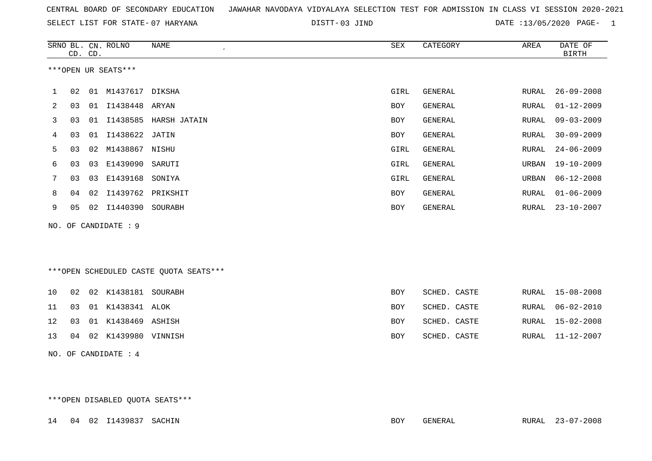|  |  |  |  | CENTRAL BOARD OF SECONDARY EDUCATION – JAWAHAR NAVODAYA VIDYALAYA SELECTION TEST FOR ADMISSION IN CLASS VI SESSION 2020-2021 |  |  |  |  |  |  |  |  |  |  |  |  |  |
|--|--|--|--|------------------------------------------------------------------------------------------------------------------------------|--|--|--|--|--|--|--|--|--|--|--|--|--|
|--|--|--|--|------------------------------------------------------------------------------------------------------------------------------|--|--|--|--|--|--|--|--|--|--|--|--|--|

03 JIND DATE :13/05/2020 PAGE- 1

|    |    | CD. CD. | SRNO BL. CN. ROLNO   | <b>NAME</b>                            | ${\tt SEX}$ | CATEGORY       | AREA  | DATE OF<br><b>BIRTH</b> |
|----|----|---------|----------------------|----------------------------------------|-------------|----------------|-------|-------------------------|
|    |    |         | ***OPEN UR SEATS***  |                                        |             |                |       |                         |
| 1  | 02 |         | 01 M1437617 DIKSHA   |                                        | GIRL        | <b>GENERAL</b> | RURAL | $26 - 09 - 2008$        |
| 2  | 03 |         | 01 I1438448 ARYAN    |                                        | <b>BOY</b>  | GENERAL        | RURAL | $01 - 12 - 2009$        |
| 3  | 03 |         | 01 I1438585          | HARSH JATAIN                           | <b>BOY</b>  | GENERAL        | RURAL | $09 - 03 - 2009$        |
| 4  | 03 |         | 01 I1438622          | JATIN                                  | <b>BOY</b>  | <b>GENERAL</b> | RURAL | $30 - 09 - 2009$        |
| 5  | 03 | 02      | M1438867             | NISHU                                  | GIRL        | <b>GENERAL</b> | RURAL | $24 - 06 - 2009$        |
| 6  | 03 | 03      | E1439090             | SARUTI                                 | GIRL        | <b>GENERAL</b> | URBAN | $19 - 10 - 2009$        |
| 7  | 03 | 03      | E1439168 SONIYA      |                                        | GIRL        | <b>GENERAL</b> | URBAN | $06 - 12 - 2008$        |
| 8  | 04 | 02      | I1439762             | PRIKSHIT                               | BOY         | <b>GENERAL</b> | RURAL | $01 - 06 - 2009$        |
| 9  | 05 | 02      | I1440390             | SOURABH                                | <b>BOY</b>  | GENERAL        | RURAL | $23 - 10 - 2007$        |
|    |    |         | NO. OF CANDIDATE : 9 |                                        |             |                |       |                         |
|    |    |         |                      | ***OPEN SCHEDULED CASTE QUOTA SEATS*** |             |                |       |                         |
| 10 | 02 |         | 02 K1438181 SOURABH  |                                        | <b>BOY</b>  | SCHED. CASTE   | RURAL | 15-08-2008              |
| 11 | 03 |         | 01 K1438341 ALOK     |                                        | BOY         | SCHED. CASTE   | RURAL | $06 - 02 - 2010$        |
| 12 | 03 |         | 01 K1438469 ASHISH   |                                        | <b>BOY</b>  | SCHED. CASTE   | RURAL | $15 - 02 - 2008$        |
| 13 | 04 | 02      | K1439980 VINNISH     |                                        | <b>BOY</b>  | SCHED. CASTE   | RURAL | $11 - 12 - 2007$        |
|    |    |         | NO. OF CANDIDATE : 4 |                                        |             |                |       |                         |

\*\*\*OPEN DISABLED QUOTA SEATS\*\*\*

14 04 02 I1439837 SACHIN BOY GENERAL RURAL 23-07-2008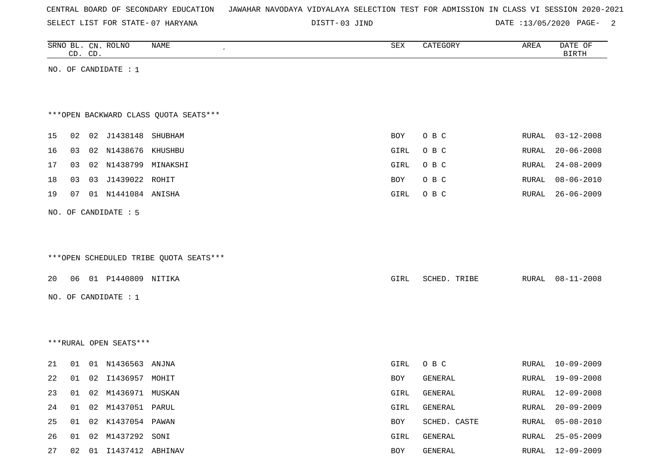|  |  |  | CENTRAL BOARD OF SECONDARY EDUCATION – JAWAHAR NAVODAYA VIDYALAYA SELECTION TEST FOR ADMISSION IN CLASS VI SESSION 2020-2021 |  |  |  |  |  |  |  |  |  |  |  |  |
|--|--|--|------------------------------------------------------------------------------------------------------------------------------|--|--|--|--|--|--|--|--|--|--|--|--|
|--|--|--|------------------------------------------------------------------------------------------------------------------------------|--|--|--|--|--|--|--|--|--|--|--|--|

DISTT-03 JIND 2000 DATE :13/05/2020 PAGE- 2

|    |    | CD. CD. | SRNO BL. CN. ROLNO     | NAME                                   | SEX        | CATEGORY     | AREA  | DATE OF<br><b>BIRTH</b> |
|----|----|---------|------------------------|----------------------------------------|------------|--------------|-------|-------------------------|
|    |    |         | NO. OF CANDIDATE : 1   |                                        |            |              |       |                         |
|    |    |         |                        |                                        |            |              |       |                         |
|    |    |         |                        |                                        |            |              |       |                         |
|    |    |         |                        | *** OPEN BACKWARD CLASS QUOTA SEATS*** |            |              |       |                         |
| 15 | 02 |         | 02 J1438148 SHUBHAM    |                                        | BOY        | O B C        | RURAL | $03 - 12 - 2008$        |
| 16 | 03 |         | 02 N1438676 KHUSHBU    |                                        | GIRL       | O B C        | RURAL | $20 - 06 - 2008$        |
| 17 | 03 |         | 02 N1438799 MINAKSHI   |                                        | GIRL       | O B C        | RURAL | $24 - 08 - 2009$        |
| 18 | 03 |         | 03 J1439022 ROHIT      |                                        | <b>BOY</b> | O B C        | RURAL | $08 - 06 - 2010$        |
| 19 | 07 |         | 01 N1441084 ANISHA     |                                        | GIRL       | O B C        | RURAL | $26 - 06 - 2009$        |
|    |    |         | NO. OF CANDIDATE : 5   |                                        |            |              |       |                         |
|    |    |         |                        |                                        |            |              |       |                         |
|    |    |         |                        |                                        |            |              |       |                         |
|    |    |         |                        | ***OPEN SCHEDULED TRIBE QUOTA SEATS*** |            |              |       |                         |
|    |    |         |                        |                                        |            |              |       |                         |
| 20 | 06 |         | 01 P1440809 NITIKA     |                                        | GIRL       | SCHED. TRIBE | RURAL | $08 - 11 - 2008$        |
|    |    |         | NO. OF CANDIDATE : $1$ |                                        |            |              |       |                         |
|    |    |         |                        |                                        |            |              |       |                         |
|    |    |         |                        |                                        |            |              |       |                         |
|    |    |         | ***RURAL OPEN SEATS*** |                                        |            |              |       |                         |
|    |    |         |                        |                                        |            |              |       |                         |
| 21 | 01 |         | 01 N1436563 ANJNA      |                                        | GIRL       | O B C        | RURAL | $10 - 09 - 2009$        |
| 22 | 01 |         | 02 I1436957 MOHIT      |                                        | BOY        | GENERAL      | RURAL | $19 - 09 - 2008$        |
| 23 | 01 |         | 02 M1436971 MUSKAN     |                                        | GIRL       | GENERAL      | RURAL | $12 - 09 - 2008$        |
| 24 | 01 |         | 02 M1437051 PARUL      |                                        | GIRL       | GENERAL      | RURAL | $20 - 09 - 2009$        |
| 25 | 01 |         | 02 K1437054 PAWAN      |                                        | BOY        | SCHED. CASTE | RURAL | $05 - 08 - 2010$        |
| 26 | 01 |         | 02 M1437292 SONI       |                                        | GIRL       | GENERAL      | RURAL | $25 - 05 - 2009$        |
| 27 | 02 |         | 01 I1437412 ABHINAV    |                                        | BOY        | GENERAL      | RURAL | $12 - 09 - 2009$        |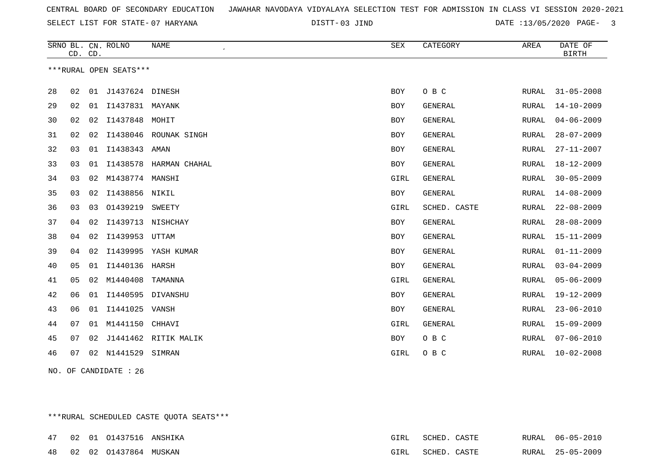03 JIND DATE :13/05/2020 PAGE- 3

|    |    | CD. CD. | SRNO BL. CN. ROLNO     | <b>NAME</b>            | SEX        | CATEGORY       | AREA         | DATE OF<br><b>BIRTH</b> |
|----|----|---------|------------------------|------------------------|------------|----------------|--------------|-------------------------|
|    |    |         | ***RURAL OPEN SEATS*** |                        |            |                |              |                         |
| 28 | 02 |         | 01 J1437624 DINESH     |                        | <b>BOY</b> | O B C          | RURAL        | $31 - 05 - 2008$        |
| 29 | 02 |         | 01 I1437831 MAYANK     |                        | <b>BOY</b> | GENERAL        | RURAL        | $14 - 10 - 2009$        |
| 30 | 02 | 02      | I1437848               | MOHIT                  | <b>BOY</b> | <b>GENERAL</b> | <b>RURAL</b> | $04 - 06 - 2009$        |
| 31 | 02 | 02      | I1438046               | ROUNAK SINGH           | <b>BOY</b> | <b>GENERAL</b> | RURAL        | $28 - 07 - 2009$        |
| 32 | 03 | 01      | I1438343 AMAN          |                        | <b>BOY</b> | <b>GENERAL</b> | RURAL        | $27 - 11 - 2007$        |
| 33 | 03 | 01      |                        | I1438578 HARMAN CHAHAL | <b>BOY</b> | <b>GENERAL</b> | RURAL        | $18 - 12 - 2009$        |
| 34 | 03 | 02      | M1438774 MANSHI        |                        | GIRL       | <b>GENERAL</b> | RURAL        | $30 - 05 - 2009$        |
| 35 | 03 | 02      | I1438856 NIKIL         |                        | <b>BOY</b> | GENERAL        | RURAL        | $14 - 08 - 2009$        |
| 36 | 03 | 03      | 01439219               | SWEETY                 | GIRL       | SCHED. CASTE   | RURAL        | $22 - 08 - 2009$        |
| 37 | 04 | 02      | I1439713               | NISHCHAY               | <b>BOY</b> | <b>GENERAL</b> | RURAL        | $28 - 08 - 2009$        |
| 38 | 04 | 02      | I1439953               | UTTAM                  | <b>BOY</b> | GENERAL        | RURAL        | $15 - 11 - 2009$        |
| 39 | 04 | 02      |                        | I1439995 YASH KUMAR    | <b>BOY</b> | GENERAL        | RURAL        | $01 - 11 - 2009$        |
| 40 | 05 | 01      | I1440136               | HARSH                  | <b>BOY</b> | <b>GENERAL</b> | RURAL        | $03 - 04 - 2009$        |
| 41 | 05 | 02      | M1440408               | TAMANNA                | GIRL       | GENERAL        | RURAL        | $05 - 06 - 2009$        |
| 42 | 06 | 01      |                        | I1440595 DIVANSHU      | <b>BOY</b> | <b>GENERAL</b> | RURAL        | $19 - 12 - 2009$        |
| 43 | 06 | 01      | I1441025               | VANSH                  | <b>BOY</b> | <b>GENERAL</b> | RURAL        | $23 - 06 - 2010$        |
| 44 | 07 | 01      | M1441150               | CHHAVI                 | GIRL       | <b>GENERAL</b> | RURAL        | $15 - 09 - 2009$        |
| 45 | 07 | 02      |                        | J1441462 RITIK MALIK   | BOY        | O B C          | RURAL        | $07 - 06 - 2010$        |
| 46 | 07 |         | 02 N1441529            | SIMRAN                 | GIRL       | O B C          | RURAL        | $10 - 02 - 2008$        |

NO. OF CANDIDATE : 26

\*\*\*RURAL SCHEDULED CASTE QUOTA SEATS\*\*\*

|  | 47 02 01 01437516 ANSHIKA | GIRL | SCHED. CASTE |  | RURAL 06-05-2010 |
|--|---------------------------|------|--------------|--|------------------|
|  | 48 02 02 01437864 MUSKAN  | GIRL | SCHED. CASTE |  | RURAL 25-05-2009 |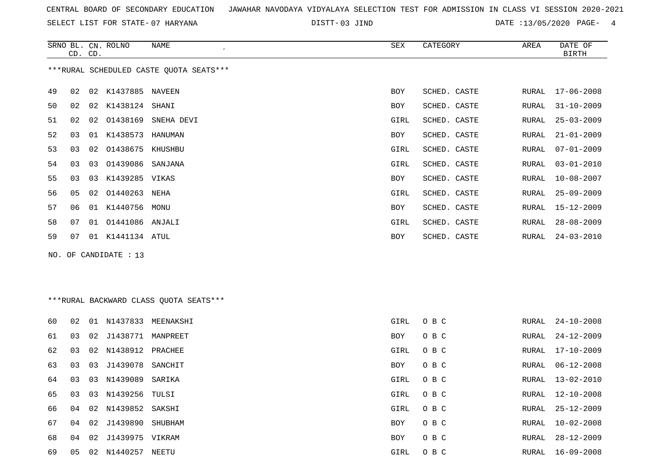SELECT LIST FOR STATE- DISTT- 07 HARYANA

03 JIND DATE :13/05/2020 PAGE- 4

|    | CD. CD.                                 |    | SRNO BL. CN. ROLNO | NAME       | <b>SEX</b> | CATEGORY     | AREA  | DATE OF<br>BIRTH |  |  |
|----|-----------------------------------------|----|--------------------|------------|------------|--------------|-------|------------------|--|--|
|    | ***RURAL SCHEDULED CASTE QUOTA SEATS*** |    |                    |            |            |              |       |                  |  |  |
| 49 | 02                                      | 02 | K1437885           | NAVEEN     | <b>BOY</b> | SCHED. CASTE | RURAL | $17 - 06 - 2008$ |  |  |
| 50 | 02                                      | 02 | K1438124           | SHANI      | <b>BOY</b> | SCHED. CASTE | RURAL | $31 - 10 - 2009$ |  |  |
| 51 | 02                                      | 02 | 01438169           | SNEHA DEVI | GIRL       | SCHED. CASTE | RURAL | $25 - 03 - 2009$ |  |  |
| 52 | 03                                      | 01 | K1438573           | HANUMAN    | <b>BOY</b> | SCHED. CASTE | RURAL | $21 - 01 - 2009$ |  |  |
| 53 | 03                                      | 02 | 01438675           | KHUSHBU    | GIRL       | SCHED. CASTE | RURAL | $07 - 01 - 2009$ |  |  |
| 54 | 03                                      | 03 | 01439086           | SANJANA    | GIRL       | SCHED. CASTE | RURAL | $03 - 01 - 2010$ |  |  |
| 55 | 03                                      | 03 | K1439285 VIKAS     |            | <b>BOY</b> | SCHED. CASTE | RURAL | $10 - 08 - 2007$ |  |  |
| 56 | 05                                      | 02 | 01440263           | NEHA       | GIRL       | SCHED. CASTE | RURAL | $25 - 09 - 2009$ |  |  |
| 57 | 06                                      | 01 | K1440756           | MONU       | BOY        | SCHED. CASTE | RURAL | $15 - 12 - 2009$ |  |  |
| 58 | 07                                      | 01 | 01441086           | ANJALI     | GIRL       | SCHED. CASTE | RURAL | $28 - 08 - 2009$ |  |  |
| 59 | 07                                      | 01 | K1441134           | ATUL       | BOY        | SCHED. CASTE | RURAL | $24 - 03 - 2010$ |  |  |

NO. OF CANDIDATE : 13

\*\*\*RURAL BACKWARD CLASS QUOTA SEATS\*\*\*

| 60 | 02 | 01 | N1437833            | MEENAKSHI | GIRL | O B C | RURAL | $24 - 10 - 2008$ |
|----|----|----|---------------------|-----------|------|-------|-------|------------------|
| 61 | 03 |    | 02 J1438771         | MANPREET  | BOY  | O B C | RURAL | 24-12-2009       |
| 62 | 03 |    | 02 N1438912 PRACHEE |           | GIRL | O B C | RURAL | $17 - 10 - 2009$ |
| 63 | 03 | 03 | J1439078 SANCHIT    |           | BOY  | O B C | RURAL | $06 - 12 - 2008$ |
| 64 | 03 | 03 | N1439089            | SARIKA    | GIRL | O B C | RURAL | $13 - 02 - 2010$ |
| 65 | 03 | 03 | N1439256 TULSI      |           | GIRL | O B C | RURAL | 12-10-2008       |
| 66 | 04 |    | 02 N1439852 SAKSHI  |           | GIRL | O B C | RURAL | $25 - 12 - 2009$ |
| 67 | 04 | 02 | J1439890            | SHUBHAM   | BOY  | O B C | RURAL | $10 - 02 - 2008$ |
| 68 | 04 |    | 02 J1439975 VIKRAM  |           | BOY  | O B C | RURAL | $28 - 12 - 2009$ |
| 69 | 05 |    | 02 N1440257         | NEETU     | GIRL | O B C | RURAL | 16-09-2008       |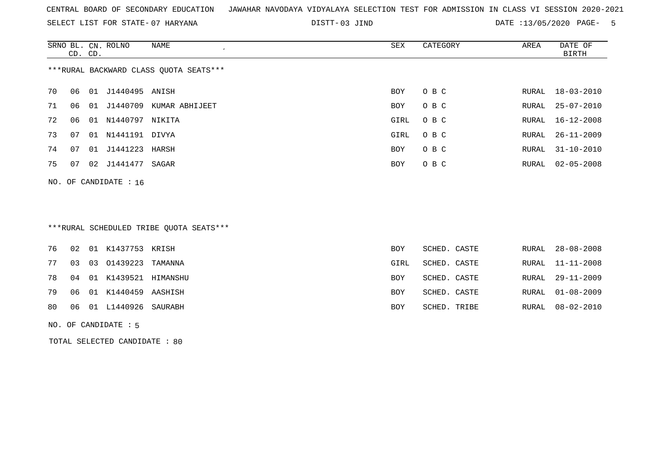SELECT LIST FOR STATE- DISTT- 07 HARYANA

03 JIND DATE :13/05/2020 PAGE- 5

|                                        | CD. CD. |       | SRNO BL. CN. ROLNO | NAME<br>$\cdot$ | SEX  | CATEGORY | AREA  | DATE OF<br>BIRTH |  |
|----------------------------------------|---------|-------|--------------------|-----------------|------|----------|-------|------------------|--|
| ***RURAL BACKWARD CLASS QUOTA SEATS*** |         |       |                    |                 |      |          |       |                  |  |
| 70                                     | 06      | 01    | J1440495 ANISH     |                 | BOY  | O B C    |       | RURAL 18-03-2010 |  |
| 71                                     | 06      | . N 1 | J1440709           | KUMAR ABHIJEET  | BOY  | O B C    | RURAL | $25 - 07 - 2010$ |  |
| 72                                     | 06      | 01    | N1440797 NIKITA    |                 | GIRL | O B C    |       | RURAL 16-12-2008 |  |
| 73                                     | 07      | 01    | N1441191 DIVYA     |                 | GIRL | O B C    |       | RURAL 26-11-2009 |  |
| 74                                     | 07      |       | 01 J1441223        | HARSH           | BOY  | O B C    | RURAL | 31-10-2010       |  |
| 75                                     | 07      | 02    | J1441477 SAGAR     |                 | BOY  | O B C    |       | RURAL 02-05-2008 |  |
|                                        |         |       |                    |                 |      |          |       |                  |  |

# \*\*\*RURAL SCHEDULED TRIBE QUOTA SEATS\*\*\*

|  | 76 02 01 K1437753 KRISH    | <b>BOY</b> | SCHED. CASTE | RURAL 28-08-2008 |
|--|----------------------------|------------|--------------|------------------|
|  | 77 03 03 01439223 TAMANNA  | GIRL       | SCHED. CASTE | RURAL 11-11-2008 |
|  | 78 04 01 K1439521 HIMANSHU | BOY        | SCHED. CASTE | RURAL 29-11-2009 |
|  | 79 06 01 K1440459 AASHISH  | <b>BOY</b> | SCHED. CASTE | RURAL 01-08-2009 |
|  | 80 06 01 L1440926 SAURABH  | <b>BOY</b> | SCHED. TRIBE | RURAL 08-02-2010 |
|  |                            |            |              |                  |

#### NO. OF CANDIDATE : 5

NO. OF CANDIDATE : 16

TOTAL SELECTED CANDIDATE : 80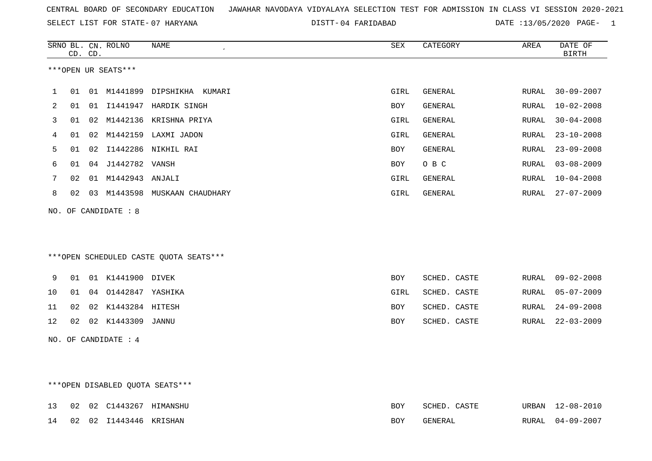SELECT LIST FOR STATE- DISTT- 07 HARYANA

04 FARIDABAD DATE :13/05/2020 PAGE- 1

|    | CD. CD. |    | SRNO BL. CN. ROLNO              | NAME<br>$\epsilon$                     | SEX        | CATEGORY       | AREA         | DATE OF<br><b>BIRTH</b> |
|----|---------|----|---------------------------------|----------------------------------------|------------|----------------|--------------|-------------------------|
|    |         |    | ***OPEN UR SEATS***             |                                        |            |                |              |                         |
| 1  | 01      |    |                                 | 01 M1441899 DIPSHIKHA KUMARI           | GIRL       | GENERAL        | RURAL        | $30 - 09 - 2007$        |
| 2  | 01      |    |                                 | 01 I1441947 HARDIK SINGH               | BOY        | GENERAL        | RURAL        | $10 - 02 - 2008$        |
| 3  | 01      | 02 |                                 | M1442136 KRISHNA PRIYA                 | GIRL       | <b>GENERAL</b> | <b>RURAL</b> | $30 - 04 - 2008$        |
| 4  | 01      |    |                                 | 02 M1442159 LAXMI JADON                | GIRL       | <b>GENERAL</b> | RURAL        | $23 - 10 - 2008$        |
| 5  | 01      | 02 |                                 | I1442286 NIKHIL RAI                    | BOY        | <b>GENERAL</b> | RURAL        | $23 - 09 - 2008$        |
| 6  | 01      |    | 04 J1442782 VANSH               |                                        | BOY        | O B C          | RURAL        | $03 - 08 - 2009$        |
| 7  | 02      |    | 01 M1442943 ANJALI              |                                        | GIRL       | <b>GENERAL</b> | <b>RURAL</b> | $10 - 04 - 2008$        |
| 8  | 02      |    |                                 | 03 M1443598 MUSKAAN CHAUDHARY          | GIRL       | GENERAL        | RURAL        | $27 - 07 - 2009$        |
|    |         |    | NO. OF CANDIDATE : 8            |                                        |            |                |              |                         |
|    |         |    |                                 |                                        |            |                |              |                         |
|    |         |    |                                 |                                        |            |                |              |                         |
|    |         |    |                                 | ***OPEN SCHEDULED CASTE QUOTA SEATS*** |            |                |              |                         |
|    |         |    |                                 |                                        |            |                |              |                         |
| 9  | 01      |    | 01 K1441900 DIVEK               |                                        | BOY        | SCHED. CASTE   | RURAL        | $09 - 02 - 2008$        |
| 10 | 01      |    | 04 01442847 YASHIKA             |                                        | GIRL       | SCHED. CASTE   | RURAL        | $05 - 07 - 2009$        |
| 11 | 02      |    | 02 K1443284 HITESH              |                                        | <b>BOY</b> | SCHED. CASTE   | RURAL        | $24 - 09 - 2008$        |
| 12 | 02      |    | 02 K1443309 JANNU               |                                        | <b>BOY</b> | SCHED. CASTE   | RURAL        | $22 - 03 - 2009$        |
|    |         |    | NO. OF CANDIDATE : 4            |                                        |            |                |              |                         |
|    |         |    |                                 |                                        |            |                |              |                         |
|    |         |    |                                 |                                        |            |                |              |                         |
|    |         |    | ***OPEN DISABLED OUOTA SEATS*** |                                        |            |                |              |                         |

|  | 13 02 02 C1443267 HIMANSHU | <b>BOY</b> | SCHED. CASTE | URBAN 12-08-2010 |
|--|----------------------------|------------|--------------|------------------|
|  | 14 02 02 I1443446 KRISHAN  | <b>BOY</b> | GENERAL      | RURAL 04-09-2007 |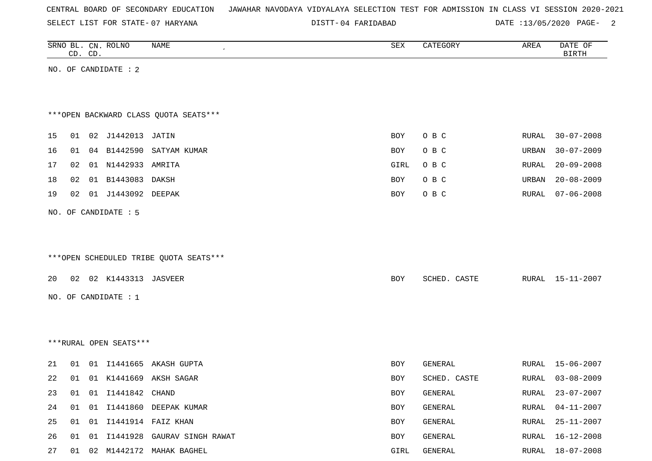SELECT LIST FOR STATE- DISTT- 07 HARYANA

04 FARIDABAD DATE :13/05/2020 PAGE- 2

|    | CD. CD. | SRNO BL. CN. ROLNO     | <b>NAME</b>                            | ${\tt SEX}$ | CATEGORY     | AREA         | DATE OF<br><b>BIRTH</b> |
|----|---------|------------------------|----------------------------------------|-------------|--------------|--------------|-------------------------|
|    |         | NO. OF CANDIDATE : 2   |                                        |             |              |              |                         |
|    |         |                        |                                        |             |              |              |                         |
|    |         |                        |                                        |             |              |              |                         |
|    |         |                        | *** OPEN BACKWARD CLASS QUOTA SEATS*** |             |              |              |                         |
| 15 |         | 01 02 J1442013 JATIN   |                                        | BOY         | O B C        | <b>RURAL</b> | $30 - 07 - 2008$        |
| 16 | 01      |                        | 04 B1442590 SATYAM KUMAR               | BOY         | O B C        | URBAN        | $30 - 07 - 2009$        |
| 17 | 02      | 01 N1442933 AMRITA     |                                        | GIRL        | O B C        | RURAL        | $20 - 09 - 2008$        |
| 18 | 02      | 01 B1443083            | DAKSH                                  | BOY         | O B C        | URBAN        | $20 - 08 - 2009$        |
| 19 | 02      | 01 J1443092 DEEPAK     |                                        | BOY         | O B C        | RURAL        | $07 - 06 - 2008$        |
|    |         | NO. OF CANDIDATE : 5   |                                        |             |              |              |                         |
|    |         |                        |                                        |             |              |              |                         |
|    |         |                        |                                        |             |              |              |                         |
|    |         |                        | ***OPEN SCHEDULED TRIBE QUOTA SEATS*** |             |              |              |                         |
|    |         |                        |                                        |             |              |              |                         |
| 20 |         | 02 02 K1443313 JASVEER |                                        | <b>BOY</b>  | SCHED. CASTE | RURAL        | 15-11-2007              |
|    |         | NO. OF CANDIDATE : 1   |                                        |             |              |              |                         |
|    |         |                        |                                        |             |              |              |                         |
|    |         |                        |                                        |             |              |              |                         |
|    |         | ***RURAL OPEN SEATS*** |                                        |             |              |              |                         |
| 21 | 01      |                        | 01 I1441665 AKASH GUPTA                | <b>BOY</b>  | GENERAL      | RURAL        | 15-06-2007              |
| 22 | 01      |                        | 01 K1441669 AKSH SAGAR                 | BOY         | SCHED. CASTE | RURAL        | $03 - 08 - 2009$        |
| 23 |         | 01 01 I1441842 CHAND   |                                        | BOY         | GENERAL      |              | RURAL 23-07-2007        |
| 24 | 01      |                        | 01 I1441860 DEEPAK KUMAR               | BOY         | GENERAL      | RURAL        | $04 - 11 - 2007$        |
| 25 |         |                        | 01 01 I1441914 FAIZ KHAN               | BOY         | GENERAL      | RURAL        | 25-11-2007              |
| 26 |         |                        | 01 01 I1441928 GAURAV SINGH RAWAT      | BOY         | GENERAL      | RURAL        | $16 - 12 - 2008$        |
| 27 |         |                        | 01 02 M1442172 MAHAK BAGHEL            | GIRL        | GENERAL      |              | RURAL 18-07-2008        |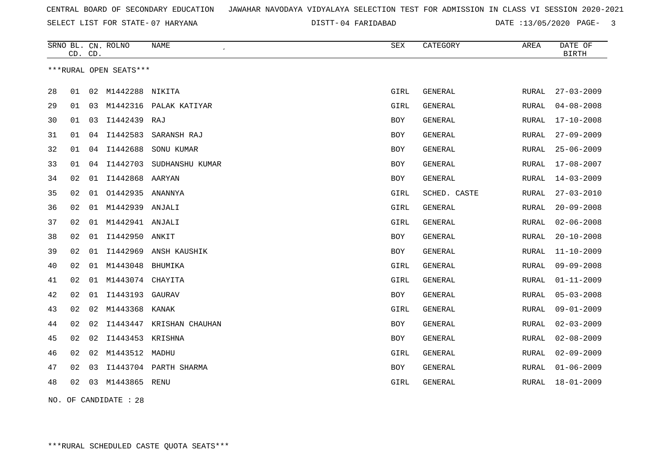SELECT LIST FOR STATE- DISTT- 07 HARYANA

04 FARIDABAD DATE :13/05/2020 PAGE- 3

|    | CD. CD. |    | SRNO BL. CN. ROLNO     | <b>NAME</b>           | <b>SEX</b> | CATEGORY       | AREA         | DATE OF<br><b>BIRTH</b> |
|----|---------|----|------------------------|-----------------------|------------|----------------|--------------|-------------------------|
|    |         |    | ***RURAL OPEN SEATS*** |                       |            |                |              |                         |
| 28 | 01      | 02 | M1442288               | NIKITA                | GIRL       | <b>GENERAL</b> | <b>RURAL</b> | $27 - 03 - 2009$        |
| 29 | 01      | 03 | M1442316               | PALAK KATIYAR         | GIRL       | GENERAL        | RURAL        | $04 - 08 - 2008$        |
| 30 | 01      | 03 | I1442439 RAJ           |                       | <b>BOY</b> | GENERAL        | <b>RURAL</b> | $17 - 10 - 2008$        |
| 31 | 01      | 04 | I1442583               | SARANSH RAJ           | <b>BOY</b> | GENERAL        | <b>RURAL</b> | $27 - 09 - 2009$        |
| 32 | 01      | 04 | I1442688               | SONU KUMAR            | <b>BOY</b> | GENERAL        | <b>RURAL</b> | $25 - 06 - 2009$        |
| 33 | 01      | 04 | I1442703               | SUDHANSHU KUMAR       | <b>BOY</b> | <b>GENERAL</b> | RURAL        | $17 - 08 - 2007$        |
| 34 | 02      | 01 | 11442868 AARYAN        |                       | <b>BOY</b> | <b>GENERAL</b> | RURAL        | $14 - 03 - 2009$        |
| 35 | 02      | 01 | 01442935               | ANANNYA               | GIRL       | SCHED. CASTE   | <b>RURAL</b> | $27 - 03 - 2010$        |
| 36 | 02      | 01 | M1442939               | ANJALI                | GIRL       | <b>GENERAL</b> | RURAL        | $20 - 09 - 2008$        |
| 37 | 02      | 01 | M1442941               | ANJALI                | GIRL       | GENERAL        | RURAL        | $02 - 06 - 2008$        |
| 38 | 02      | 01 | I1442950               | ANKIT                 | <b>BOY</b> | <b>GENERAL</b> | <b>RURAL</b> | $20 - 10 - 2008$        |
| 39 | 02      | 01 | I1442969               | ANSH KAUSHIK          | <b>BOY</b> | <b>GENERAL</b> | RURAL        | $11 - 10 - 2009$        |
| 40 | 02      | 01 | M1443048               | <b>BHUMIKA</b>        | GIRL       | GENERAL        | <b>RURAL</b> | $09 - 09 - 2008$        |
| 41 | 02      | 01 | M1443074               | CHAYITA               | GIRL       | GENERAL        | <b>RURAL</b> | $01 - 11 - 2009$        |
| 42 | 02      | 01 | I1443193               | GAURAV                | BOY        | GENERAL        | <b>RURAL</b> | $05 - 03 - 2008$        |
| 43 | 02      | 02 | M1443368               | KANAK                 | GIRL       | <b>GENERAL</b> | <b>RURAL</b> | $09 - 01 - 2009$        |
| 44 | 02      | 02 | I1443447               | KRISHAN CHAUHAN       | <b>BOY</b> | <b>GENERAL</b> | <b>RURAL</b> | $02 - 03 - 2009$        |
| 45 | 02      | 02 | I1443453 KRISHNA       |                       | <b>BOY</b> | <b>GENERAL</b> | RURAL        | $02 - 08 - 2009$        |
| 46 | 02      | 02 | M1443512 MADHU         |                       | GIRL       | <b>GENERAL</b> | RURAL        | $02 - 09 - 2009$        |
| 47 | 02      | 03 |                        | I1443704 PARTH SHARMA | BOY        | <b>GENERAL</b> | RURAL        | $01 - 06 - 2009$        |
| 48 | 02      | 03 | M1443865 RENU          |                       | GIRL       | <b>GENERAL</b> | RURAL        | $18 - 01 - 2009$        |
|    |         |    |                        |                       |            |                |              |                         |

NO. OF CANDIDATE : 28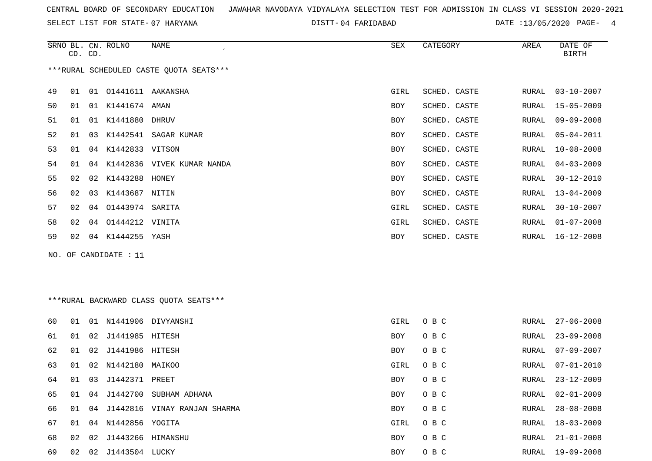SELECT LIST FOR STATE- DISTT- 07 HARYANA

04 FARIDABAD DATE :13/05/2020 PAGE- 4

|                                         | CD. CD. |    | SRNO BL. CN. ROLNO | NAME<br>$\epsilon$            | SEX        | CATEGORY     | AREA  | DATE OF<br><b>BIRTH</b> |  |
|-----------------------------------------|---------|----|--------------------|-------------------------------|------------|--------------|-------|-------------------------|--|
| ***RURAL SCHEDULED CASTE QUOTA SEATS*** |         |    |                    |                               |            |              |       |                         |  |
| 49                                      | 01      | 01 | 01441611           | AAKANSHA                      | GIRL       | SCHED. CASTE | RURAL | $03 - 10 - 2007$        |  |
| 50                                      | 01      | 01 | K1441674 AMAN      |                               | <b>BOY</b> | SCHED. CASTE | RURAL | $15 - 05 - 2009$        |  |
| 51                                      | 01      | 01 | K1441880           | <b>DHRUV</b>                  | BOY        | SCHED. CASTE | RURAL | $09 - 09 - 2008$        |  |
| 52                                      | 01      | 03 | K1442541           | SAGAR KUMAR                   | BOY        | SCHED. CASTE | RURAL | $05 - 04 - 2011$        |  |
| 53                                      | 01      | 04 | K1442833 VITSON    |                               | BOY        | SCHED. CASTE | RURAL | $10 - 08 - 2008$        |  |
| 54                                      | 01      |    |                    | 04 K1442836 VIVEK KUMAR NANDA | BOY        | SCHED. CASTE | RURAL | $04 - 03 - 2009$        |  |
| 55                                      | 02      |    | 02 K1443288 HONEY  |                               | BOY        | SCHED. CASTE | RURAL | $30 - 12 - 2010$        |  |
| 56                                      | 02      | 03 | K1443687 NITIN     |                               | <b>BOY</b> | SCHED. CASTE | RURAL | $13 - 04 - 2009$        |  |
| 57                                      | 02      |    | 04 01443974        | SARITA                        | GIRL       | SCHED. CASTE | RURAL | $30 - 10 - 2007$        |  |
| 58                                      | 02      | 04 | 01444212 VINITA    |                               | GIRL       | SCHED. CASTE | RURAL | $01 - 07 - 2008$        |  |
| 59                                      | 02      | 04 | K1444255 YASH      |                               | <b>BOY</b> | SCHED. CASTE | RURAL | $16 - 12 - 2008$        |  |

NO. OF CANDIDATE : 11

\*\*\*RURAL BACKWARD CLASS QUOTA SEATS\*\*\*

| 60  | 01 | 01 | N1441906           | DIVYANSHI           | GIRL | O B C | RURAL | $27 - 06 - 2008$ |
|-----|----|----|--------------------|---------------------|------|-------|-------|------------------|
| 61  | 01 | 02 | J1441985           | HITESH              | BOY  | O B C | RURAL | $23 - 09 - 2008$ |
| 62  | 01 |    | 02 J1441986 HITESH |                     | BOY  | O B C | RURAL | 07-09-2007       |
| 63  | 01 |    | 02 N1442180 MAIKOO |                     | GIRL | O B C | RURAL | 07-01-2010       |
| 64  | 01 | 03 | J1442371 PREET     |                     | BOY  | O B C | RURAL | $23 - 12 - 2009$ |
| 65  | 01 | 04 | J1442700           | SUBHAM ADHANA       | BOY  | O B C | RURAL | $02 - 01 - 2009$ |
| 66. | 01 | 04 | J1442816           | VINAY RANJAN SHARMA | BOY  | O B C | RURAL | $28 - 08 - 2008$ |
| 67  | 01 | 04 | N1442856 YOGITA    |                     | GIRL | O B C | RURAL | 18-03-2009       |
| 68  | 02 |    | 02 J1443266        | HIMANSHU            | BOY  | O B C | RURAL | $21 - 01 - 2008$ |
| 69  | 02 | 02 | J1443504           | LUCKY               | BOY  | O B C | RURAL | $19 - 09 - 2008$ |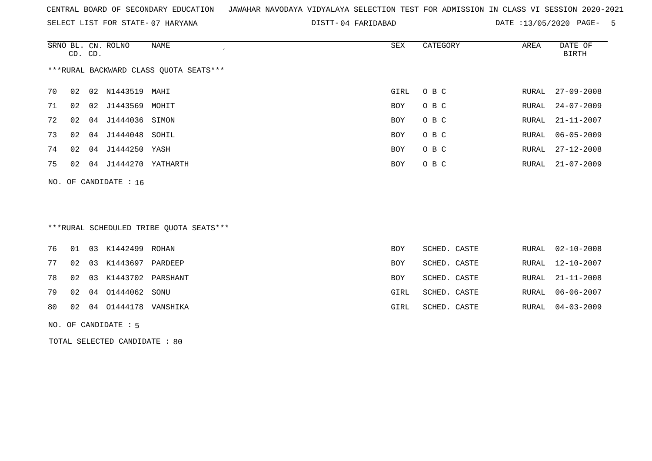SELECT LIST FOR STATE- DISTT- 07 HARYANA

04 FARIDABAD DATE :13/05/2020 PAGE- 5

|                                        | CD. CD. |    | SRNO BL. CN. ROLNO | NAME<br>$\cdot$ | SEX  | CATEGORY | AREA  | DATE OF<br>BIRTH |  |
|----------------------------------------|---------|----|--------------------|-----------------|------|----------|-------|------------------|--|
| ***RURAL BACKWARD CLASS OUOTA SEATS*** |         |    |                    |                 |      |          |       |                  |  |
| 70                                     | 02      | 02 | N1443519           | MAHI            | GIRL | O B C    | RURAL | $27 - 09 - 2008$ |  |
| 71                                     | 02      | 02 | J1443569           | MOHIT           | BOY  | O B C    | RURAL | $24 - 07 - 2009$ |  |
| 72                                     | 02      |    | 04 J1444036 SIMON  |                 | BOY  | O B C    |       | RURAL 21-11-2007 |  |
| 73                                     | 02      |    | 04 J1444048 SOHIL  |                 | BOY  | O B C    | RURAL | $06 - 05 - 2009$ |  |
| 74                                     | 02      | 04 | J1444250           | YASH            | BOY  | O B C    |       | RURAL 27-12-2008 |  |
| 75                                     | 02      | 04 | J1444270           | YATHARTH        | BOY  | O B C    |       | RURAL 21-07-2009 |  |
|                                        |         |    |                    |                 |      |          |       |                  |  |

NO. OF CANDIDATE : 16

# \*\*\*RURAL SCHEDULED TRIBE QUOTA SEATS\*\*\*

|  | 76 01 03 K1442499 ROHAN    | <b>BOY</b> | SCHED. CASTE |  | RURAL 02-10-2008 |
|--|----------------------------|------------|--------------|--|------------------|
|  | 77 02 03 K1443697 PARDEEP  | <b>BOY</b> | SCHED. CASTE |  | RURAL 12-10-2007 |
|  | 78 02 03 K1443702 PARSHANT | BOY        | SCHED. CASTE |  | RURAL 21-11-2008 |
|  | 79 02 04 01444062 SONU     | GIRL       | SCHED. CASTE |  | RURAL 06-06-2007 |
|  | 80 02 04 01444178 VANSHIKA | GIRL       | SCHED. CASTE |  | RURAL 04-03-2009 |
|  |                            |            |              |  |                  |

NO. OF CANDIDATE : 5

TOTAL SELECTED CANDIDATE : 80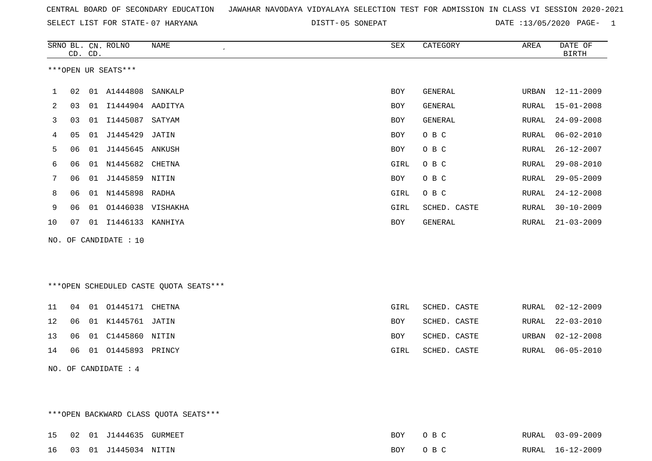|  |  |  |  | CENTRAL BOARD OF SECONDARY EDUCATION – JAWAHAR NAVODAYA VIDYALAYA SELECTION TEST FOR ADMISSION IN CLASS VI SESSION 2020-2021 |  |  |  |  |  |  |  |  |  |  |  |  |  |  |
|--|--|--|--|------------------------------------------------------------------------------------------------------------------------------|--|--|--|--|--|--|--|--|--|--|--|--|--|--|
|--|--|--|--|------------------------------------------------------------------------------------------------------------------------------|--|--|--|--|--|--|--|--|--|--|--|--|--|--|

05 SONEPAT DATE :13/05/2020 PAGE- 1

|    |    | CD. CD. | SRNO BL. CN. ROLNO    | NAME<br>$\epsilon$ | SEX        | CATEGORY     | AREA  | DATE OF<br><b>BIRTH</b> |
|----|----|---------|-----------------------|--------------------|------------|--------------|-------|-------------------------|
|    |    |         | ***OPEN UR SEATS***   |                    |            |              |       |                         |
| 1  | 02 |         | 01 A1444808           | SANKALP            | BOY        | GENERAL      | URBAN | $12 - 11 - 2009$        |
| 2  | 03 | 01      | I1444904 AADITYA      |                    | <b>BOY</b> | GENERAL      | RURAL | $15 - 01 - 2008$        |
| 3  | 03 | 01      | I1445087              | SATYAM             | <b>BOY</b> | GENERAL      | RURAL | $24 - 09 - 2008$        |
| 4  | 05 | 01      | J1445429              | JATIN              | <b>BOY</b> | O B C        | RURAL | $06 - 02 - 2010$        |
| 5  | 06 | 01      | J1445645              | ANKUSH             | BOY        | O B C        | RURAL | $26 - 12 - 2007$        |
| 6  | 06 | 01      | N1445682 CHETNA       |                    | GIRL       | O B C        | RURAL | $29 - 08 - 2010$        |
| 7  | 06 | 01      | J1445859 NITIN        |                    | BOY        | O B C        | RURAL | $29 - 05 - 2009$        |
| 8  | 06 | 01      | N1445898              | RADHA              | GIRL       | O B C        | RURAL | $24 - 12 - 2008$        |
| 9  | 06 | 01      | 01446038 VISHAKHA     |                    | GIRL       | SCHED. CASTE | RURAL | $30 - 10 - 2009$        |
| 10 | 07 |         | 01 I1446133 KANHIYA   |                    | BOY        | GENERAL      | RURAL | $21 - 03 - 2009$        |
|    |    |         | NO. OF CANDIDATE : 10 |                    |            |              |       |                         |
|    |    |         |                       |                    |            |              |       |                         |

\*\*\*OPEN SCHEDULED CASTE QUOTA SEATS\*\*\*

|  | 11 04 01 01445171 CHETNA                            | GIRL       | SCHED. CASTE |  | RURAL 02-12-2009 |
|--|-----------------------------------------------------|------------|--------------|--|------------------|
|  | 12 06 01 K1445761 JATIN                             | <b>BOY</b> | SCHED. CASTE |  | RURAL 22-03-2010 |
|  | 13        06        01        C1445860        NITIN | <b>BOY</b> | SCHED. CASTE |  | URBAN 02-12-2008 |
|  | 14 06 01 01445893 PRINCY                            | GIRL       | SCHED. CASTE |  | RURAL 06-05-2010 |
|  |                                                     |            |              |  |                  |

NO. OF CANDIDATE : 4

\*\*\*OPEN BACKWARD CLASS QUOTA SEATS\*\*\*

|  | 15 02 01 J1444635 GURMEET   | BOY OBC |  | RURAL 03-09-2009 |
|--|-----------------------------|---------|--|------------------|
|  | 16  03  01  J1445034  NITIN | BOY OBC |  | RURAL 16-12-2009 |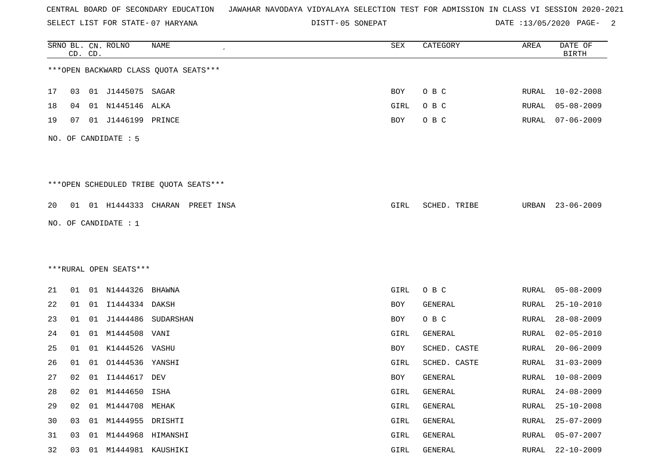SELECT LIST FOR STATE- DISTT- 07 HARYANA

05 SONEPAT DATE :13/05/2020 PAGE- 2

|    |    | CD. CD. | SRNO BL. CN. ROLNO     | NAME                                   | SEX        | CATEGORY     | AREA         | DATE OF<br><b>BIRTH</b> |
|----|----|---------|------------------------|----------------------------------------|------------|--------------|--------------|-------------------------|
|    |    |         |                        | *** OPEN BACKWARD CLASS QUOTA SEATS*** |            |              |              |                         |
| 17 | 03 |         | 01 J1445075 SAGAR      |                                        | BOY        | O B C        | RURAL        | $10 - 02 - 2008$        |
| 18 | 04 |         | 01 N1445146            | ALKA                                   | GIRL       | O B C        | RURAL        | $05 - 08 - 2009$        |
| 19 | 07 |         | 01 J1446199 PRINCE     |                                        | BOY        | O B C        | RURAL        | $07 - 06 - 2009$        |
|    |    |         | NO. OF CANDIDATE : 5   |                                        |            |              |              |                         |
|    |    |         |                        | ***OPEN SCHEDULED TRIBE QUOTA SEATS*** |            |              |              |                         |
| 20 |    |         |                        | 01 01 H1444333 CHARAN PREET INSA       | GIRL       | SCHED. TRIBE | URBAN        | $23 - 06 - 2009$        |
|    |    |         | NO. OF CANDIDATE $: 1$ |                                        |            |              |              |                         |
|    |    |         |                        |                                        |            |              |              |                         |
|    |    |         |                        |                                        |            |              |              |                         |
|    |    |         | ***RURAL OPEN SEATS*** |                                        |            |              |              |                         |
| 21 | 01 |         | 01 N1444326            | BHAWNA                                 | GIRL       | O B C        | RURAL        | $05 - 08 - 2009$        |
| 22 | 01 |         | 01 I1444334 DAKSH      |                                        | BOY        | GENERAL      | RURAL        | $25 - 10 - 2010$        |
| 23 | 01 | 01      | J1444486               | SUDARSHAN                              | <b>BOY</b> | O B C        | <b>RURAL</b> | $28 - 08 - 2009$        |
| 24 | 01 | 01      | M1444508               | VANI                                   | GIRL       | GENERAL      | RURAL        | $02 - 05 - 2010$        |
| 25 | 01 | 01      | K1444526               | VASHU                                  | BOY        | SCHED. CASTE | RURAL        | $20 - 06 - 2009$        |
| 26 | 01 | 01      | 01444536               | YANSHI                                 | GIRL       | SCHED. CASTE | RURAL        | $31 - 03 - 2009$        |
| 27 | 02 |         | 01 I1444617 DEV        |                                        | BOY        | GENERAL      | RURAL        | $10 - 08 - 2009$        |
| 28 | 02 | 01      | M1444650               | ISHA                                   | GIRL       | GENERAL      | <b>RURAL</b> | $24 - 08 - 2009$        |
| 29 | 02 |         | 01 M1444708            | MEHAK                                  | GIRL       | GENERAL      | <b>RURAL</b> | $25 - 10 - 2008$        |
| 30 | 03 |         | 01 M1444955 DRISHTI    |                                        | GIRL       | GENERAL      | RURAL        | $25 - 07 - 2009$        |
| 31 | 03 | 01      | M1444968               | HIMANSHI                               | GIRL       | GENERAL      | <b>RURAL</b> | $05 - 07 - 2007$        |
| 32 | 03 |         | 01 M1444981 KAUSHIKI   |                                        | GIRL       | GENERAL      | <b>RURAL</b> | $22 - 10 - 2009$        |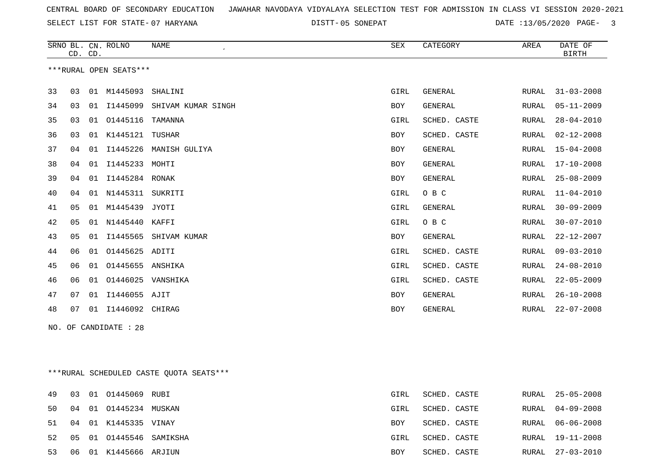SELECT LIST FOR STATE- DISTT- 07 HARYANA

05 SONEPAT DATE :13/05/2020 PAGE- 3

|    | CD. CD. |    | SRNO BL. CN. ROLNO     | <b>NAME</b>        | <b>SEX</b> | CATEGORY       | AREA  | DATE OF<br><b>BIRTH</b> |
|----|---------|----|------------------------|--------------------|------------|----------------|-------|-------------------------|
|    |         |    | ***RURAL OPEN SEATS*** |                    |            |                |       |                         |
| 33 | 03      |    | 01 M1445093            | SHALINI            | GIRL       | <b>GENERAL</b> | RURAL | $31 - 03 - 2008$        |
| 34 | 03      |    | 01 I1445099            | SHIVAM KUMAR SINGH | BOY        | GENERAL        | RURAL | $05 - 11 - 2009$        |
| 35 | 03      | 01 | 01445116               | TAMANNA            | GIRL       | SCHED. CASTE   | RURAL | $28 - 04 - 2010$        |
| 36 | 03      | 01 | K1445121               | TUSHAR             | <b>BOY</b> | SCHED. CASTE   | RURAL | $02 - 12 - 2008$        |
| 37 | 04      | 01 | I1445226               | MANISH GULIYA      | <b>BOY</b> | GENERAL        | RURAL | $15 - 04 - 2008$        |
| 38 | 04      | 01 | I1445233               | MOHTI              | <b>BOY</b> | <b>GENERAL</b> | RURAL | $17 - 10 - 2008$        |
| 39 | 04      | 01 | I1445284               | RONAK              | <b>BOY</b> | <b>GENERAL</b> | RURAL | $25 - 08 - 2009$        |
| 40 | 04      | 01 | N1445311               | SUKRITI            | GIRL       | O B C          | RURAL | $11 - 04 - 2010$        |
| 41 | 05      | 01 | M1445439               | JYOTI              | GIRL       | <b>GENERAL</b> | RURAL | $30 - 09 - 2009$        |
| 42 | 05      | 01 | N1445440               | KAFFI              | GIRL       | O B C          | RURAL | $30 - 07 - 2010$        |
| 43 | 05      | 01 | I1445565               | SHIVAM KUMAR       | BOY        | <b>GENERAL</b> | RURAL | $22 - 12 - 2007$        |
| 44 | 06      | 01 | 01445625               | ADITI              | GIRL       | SCHED. CASTE   | RURAL | $09 - 03 - 2010$        |
| 45 | 06      | 01 | 01445655               | ANSHIKA            | GIRL       | SCHED. CASTE   | RURAL | $24 - 08 - 2010$        |
| 46 | 06      | 01 | 01446025               | VANSHIKA           | GIRL       | SCHED. CASTE   | RURAL | $22 - 05 - 2009$        |
| 47 | 07      | 01 | I1446055 AJIT          |                    | <b>BOY</b> | <b>GENERAL</b> | RURAL | $26 - 10 - 2008$        |
| 48 | 07      | 01 | I1446092               | CHIRAG             | <b>BOY</b> | GENERAL        | RURAL | $22 - 07 - 2008$        |
|    |         |    |                        |                    |            |                |       |                         |

NO. OF CANDIDATE : 28

\*\*\*RURAL SCHEDULED CASTE QUOTA SEATS\*\*\*

|    |  | 49 03 01 01445069 RUBI     | GIRL       | SCHED. CASTE |       | RURAL 25-05-2008 |
|----|--|----------------------------|------------|--------------|-------|------------------|
|    |  | 50 04 01 01445234 MUSKAN   | GIRL       | SCHED. CASTE |       | RURAL 04-09-2008 |
|    |  | 51 04 01 K1445335 VINAY    | BOY        | SCHED. CASTE | RURAL | 06-06-2008       |
|    |  | 52 05 01 01445546 SAMIKSHA | GIRL       | SCHED. CASTE |       | RURAL 19-11-2008 |
| 53 |  | 06 01 K1445666 ARJIUN      | <b>BOY</b> | SCHED. CASTE |       | RURAL 27-03-2010 |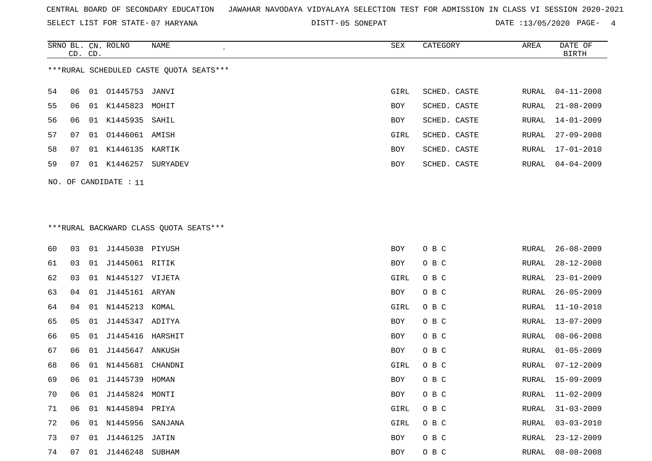SELECT LIST FOR STATE- DISTT- 07 HARYANA

05 SONEPAT DATE :13/05/2020 PAGE- 4

|    | CD. CD. |    | SRNO BL. CN. ROLNO   | NAME                                    | SEX        | CATEGORY     | AREA  | DATE OF<br>BIRTH |
|----|---------|----|----------------------|-----------------------------------------|------------|--------------|-------|------------------|
|    |         |    |                      | ***RURAL SCHEDULED CASTE OUOTA SEATS*** |            |              |       |                  |
| 54 | 06      |    | 01 01445753          | JANVI                                   | GIRL       | SCHED. CASTE | RURAL | $04 - 11 - 2008$ |
| 55 | 06      | 01 | K1445823             | MOHIT                                   | <b>BOY</b> | SCHED. CASTE | RURAL | $21 - 08 - 2009$ |
| 56 | 06      | 01 | K1445935 SAHIL       |                                         | <b>BOY</b> | SCHED. CASTE | RURAL | 14-01-2009       |
| 57 | 07      |    | 01 01446061 AMISH    |                                         | GIRL       | SCHED. CASTE | RURAL | $27 - 09 - 2008$ |
| 58 | 07      | 01 | K1446135             | KARTIK                                  | <b>BOY</b> | SCHED. CASTE | RURAL | 17-01-2010       |
| 59 | 07      | 01 | K1446257             | SURYADEV                                | BOY        | SCHED. CASTE | RURAL | $04 - 04 - 2009$ |
|    |         |    | NO. OF CANDIDATE: 11 |                                         |            |              |       |                  |

# \*\*\*RURAL BACKWARD CLASS QUOTA SEATS\*\*\*

| 60 | 03 | 01 | J1445038 PIYUSH    |         | <b>BOY</b> | O B C | RURAL | $26 - 08 - 2009$ |
|----|----|----|--------------------|---------|------------|-------|-------|------------------|
| 61 | 03 | 01 | J1445061 RITIK     |         | BOY        | O B C | RURAL | $28 - 12 - 2008$ |
| 62 | 03 |    | 01 N1445127 VIJETA |         | GIRL       | O B C | RURAL | $23 - 01 - 2009$ |
| 63 | 04 | 01 | J1445161 ARYAN     |         | BOY        | O B C | RURAL | $26 - 05 - 2009$ |
| 64 | 04 |    | 01 N1445213 KOMAL  |         | GIRL       | O B C | RURAL | $11 - 10 - 2010$ |
| 65 | 05 | 01 | J1445347 ADITYA    |         | BOY        | O B C | RURAL | $13 - 07 - 2009$ |
| 66 | 05 | 01 | J1445416 HARSHIT   |         | BOY        | O B C | RURAL | $08 - 06 - 2008$ |
| 67 | 06 | 01 | J1445647 ANKUSH    |         | BOY        | O B C | RURAL | $01 - 05 - 2009$ |
| 68 | 06 | 01 | N1445681           | CHANDNI | GIRL       | O B C | RURAL | $07 - 12 - 2009$ |
| 69 | 06 | 01 | J1445739 HOMAN     |         | BOY        | O B C | RURAL | $15 - 09 - 2009$ |
| 70 | 06 | 01 | J1445824           | MONTI   | BOY        | O B C | RURAL | $11 - 02 - 2009$ |
| 71 | 06 |    | 01 N1445894 PRIYA  |         | GIRL       | O B C | RURAL | $31 - 03 - 2009$ |
| 72 | 06 | 01 | N1445956           | SANJANA | GIRL       | O B C | RURAL | $03 - 03 - 2010$ |
| 73 | 07 | 01 | J1446125 JATIN     |         | BOY        | O B C | RURAL | $23 - 12 - 2009$ |
| 74 | 07 | 01 | J1446248           | SUBHAM  | BOY        | O B C | RURAL | $08 - 08 - 2008$ |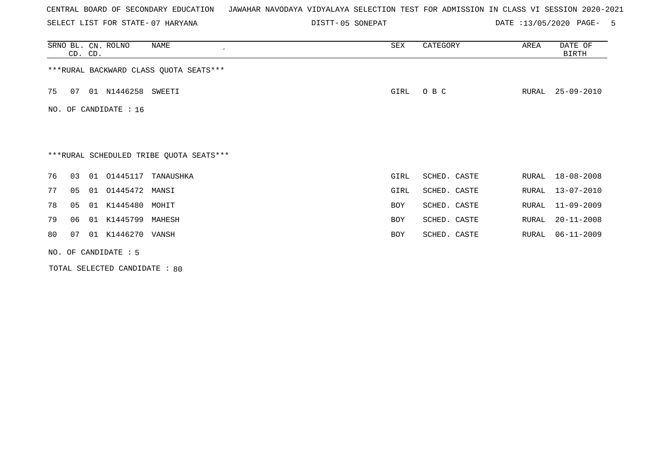SELECT LIST FOR STATE- DISTT- 07 HARYANA

05 SONEPAT DATE :13/05/2020 PAGE- 5

| SRNO BL. CN. ROLNO   | CD. CD. |                       | NAME<br>$\epsilon$                      | SEX  | CATEGORY     | AREA  | DATE OF<br><b>BIRTH</b> |
|----------------------|---------|-----------------------|-----------------------------------------|------|--------------|-------|-------------------------|
|                      |         |                       | ***RURAL BACKWARD CLASS QUOTA SEATS***  |      |              |       |                         |
| 75<br>07             |         | 01 N1446258 SWEETI    |                                         | GIRL | O B C        | RURAL | $25 - 09 - 2010$        |
|                      |         | NO. OF CANDIDATE : 16 |                                         |      |              |       |                         |
|                      |         |                       |                                         |      |              |       |                         |
|                      |         |                       | ***RURAL SCHEDULED TRIBE QUOTA SEATS*** |      |              |       |                         |
| 76<br>03             |         | 01 01445117           | TANAUSHKA                               | GIRL | SCHED. CASTE | RURAL | $18 - 08 - 2008$        |
| 77<br>05             |         | 01  01445472  MANSI   |                                         | GIRL | SCHED. CASTE | RURAL | $13 - 07 - 2010$        |
| 78<br>05             |         | 01 K1445480 MOHIT     |                                         | BOY  | SCHED. CASTE | RURAL | 11-09-2009              |
| 79<br>06             |         | 01 K1445799 MAHESH    |                                         | BOY  | SCHED. CASTE | RURAL | $20 - 11 - 2008$        |
| 80<br>07             |         | 01 K1446270 VANSH     |                                         | BOY  | SCHED. CASTE | RURAL | $06 - 11 - 2009$        |
| NO. OF CANDIDATE : 5 |         |                       |                                         |      |              |       |                         |

TOTAL SELECTED CANDIDATE : 80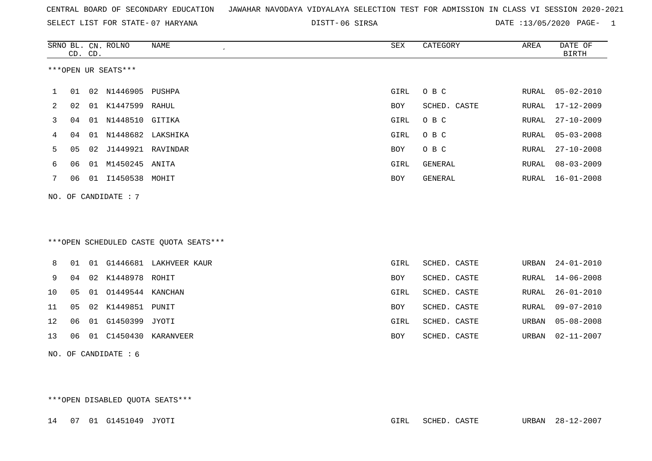SELECT LIST FOR STATE- DISTT- 07 HARYANA

06 SIRSA DATE :13/05/2020 PAGE- 1

|    |    | CD. CD. | SRNO BL. CN. ROLNO     | <b>NAME</b>                            | SEX         | CATEGORY       | AREA  | DATE OF<br><b>BIRTH</b> |
|----|----|---------|------------------------|----------------------------------------|-------------|----------------|-------|-------------------------|
|    |    |         | ***OPEN UR SEATS***    |                                        |             |                |       |                         |
| 1  | 01 |         | 02 N1446905            | PUSHPA                                 | GIRL        | O B C          | RURAL | $05 - 02 - 2010$        |
| 2  | 02 |         | 01 K1447599 RAHUL      |                                        | <b>BOY</b>  | SCHED. CASTE   | RURAL | $17 - 12 - 2009$        |
| 3  | 04 |         | 01 N1448510 GITIKA     |                                        | <b>GIRL</b> | O B C          | RURAL | $27 - 10 - 2009$        |
| 4  | 04 | 01      | N1448682 LAKSHIKA      |                                        | GIRL        | O B C          | RURAL | $05 - 03 - 2008$        |
| 5  | 05 | 02      | J1449921 RAVINDAR      |                                        | <b>BOY</b>  | O B C          | RURAL | $27 - 10 - 2008$        |
| 6  | 06 |         | 01 M1450245 ANITA      |                                        | <b>GIRL</b> | <b>GENERAL</b> | RURAL | $08 - 03 - 2009$        |
| 7  | 06 |         | 01 I1450538 MOHIT      |                                        | BOY         | GENERAL        | RURAL | $16 - 01 - 2008$        |
|    |    |         | NO. OF CANDIDATE : 7   |                                        |             |                |       |                         |
|    |    |         |                        | ***OPEN SCHEDULED CASTE QUOTA SEATS*** |             |                |       |                         |
| 8  | 01 |         |                        | 01 G1446681 LAKHVEER KAUR              | <b>GIRL</b> | SCHED. CASTE   | URBAN | $24 - 01 - 2010$        |
| 9  | 04 |         | 02 K1448978 ROHIT      |                                        | <b>BOY</b>  | SCHED. CASTE   | RURAL | $14 - 06 - 2008$        |
| 10 | 05 | 01      | 01449544 KANCHAN       |                                        | GIRL        | SCHED. CASTE   | RURAL | $26 - 01 - 2010$        |
| 11 | 05 |         | 02 K1449851 PUNIT      |                                        | <b>BOY</b>  | SCHED. CASTE   | RURAL | $09 - 07 - 2010$        |
| 12 | 06 |         | 01 G1450399 JYOTI      |                                        | GIRL        | SCHED. CASTE   | URBAN | $05 - 08 - 2008$        |
| 13 | 06 | 01      |                        | C1450430 KARANVEER                     | BOY         | SCHED. CASTE   | URBAN | $02 - 11 - 2007$        |
|    |    |         | NO. OF CANDIDATE $: 6$ |                                        |             |                |       |                         |

\*\*\*OPEN DISABLED QUOTA SEATS\*\*\*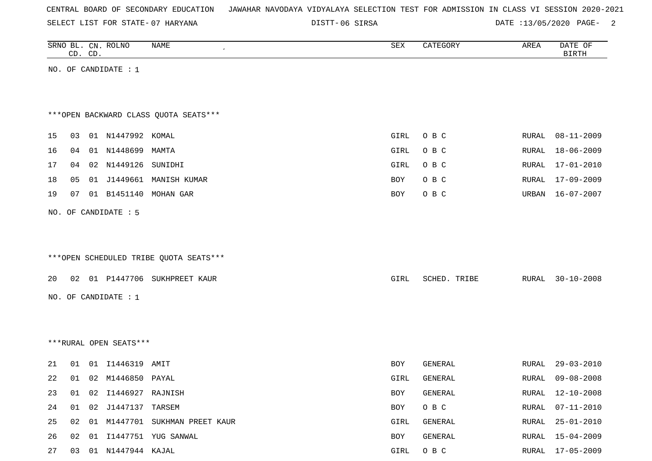| CENTRAL BOARD OF SECONDARY EDUCATION – JAWAHAR NAVODAYA VIDYALAYA SELECTION TEST FOR ADMISSION IN CLASS VI SESSION 2020-2021 |  |
|------------------------------------------------------------------------------------------------------------------------------|--|
|------------------------------------------------------------------------------------------------------------------------------|--|

DISTT-06 SIRSA 2008 2010 DATE :13/05/2020 PAGE-

|    |                | CD. CD. | SRNO BL. CN. ROLNO     | NAME                                   | SEX        | CATEGORY     | AREA         | DATE OF<br><b>BIRTH</b> |
|----|----------------|---------|------------------------|----------------------------------------|------------|--------------|--------------|-------------------------|
|    |                |         | NO. OF CANDIDATE : $1$ |                                        |            |              |              |                         |
|    |                |         |                        |                                        |            |              |              |                         |
|    |                |         |                        |                                        |            |              |              |                         |
|    |                |         |                        | *** OPEN BACKWARD CLASS OUOTA SEATS*** |            |              |              |                         |
| 15 | 03             |         | 01 N1447992 KOMAL      |                                        | GIRL       | O B C        | RURAL        | $08 - 11 - 2009$        |
| 16 | 04             |         | 01 N1448699 MAMTA      |                                        | GIRL       | O B C        | RURAL        | $18 - 06 - 2009$        |
| 17 | 04             |         | 02 N1449126 SUNIDHI    |                                        | GIRL       | O B C        | RURAL        | $17 - 01 - 2010$        |
| 18 | 0 <sub>5</sub> |         |                        | 01 J1449661 MANISH KUMAR               | BOY        | O B C        | RURAL        | $17 - 09 - 2009$        |
| 19 | 07             |         |                        | 01 B1451140 MOHAN GAR                  | BOY        | O B C        | URBAN        | $16 - 07 - 2007$        |
|    |                |         | NO. OF CANDIDATE : 5   |                                        |            |              |              |                         |
|    |                |         |                        |                                        |            |              |              |                         |
|    |                |         |                        |                                        |            |              |              |                         |
|    |                |         |                        | ***OPEN SCHEDULED TRIBE QUOTA SEATS*** |            |              |              |                         |
| 20 | 02             |         |                        | 01 P1447706 SUKHPREET KAUR             | GIRL       | SCHED. TRIBE | RURAL        | $30 - 10 - 2008$        |
|    |                |         |                        |                                        |            |              |              |                         |
|    |                |         | NO. OF CANDIDATE : 1   |                                        |            |              |              |                         |
|    |                |         |                        |                                        |            |              |              |                         |
|    |                |         | ***RURAL OPEN SEATS*** |                                        |            |              |              |                         |
|    |                |         |                        |                                        |            |              |              |                         |
| 21 | 01             |         | 01 I1446319 AMIT       |                                        | <b>BOY</b> | GENERAL      | RURAL        | $29 - 03 - 2010$        |
| 22 | 01             |         | 02 M1446850 PAYAL      |                                        | GIRL       | GENERAL      | <b>RURAL</b> | $09 - 08 - 2008$        |
| 23 | 01             | 02      | I1446927 RAJNISH       |                                        | BOY        | GENERAL      | RURAL        | $12 - 10 - 2008$        |
| 24 | 01             |         | 02 J1447137 TARSEM     |                                        | BOY        | O B C        | RURAL        | $07 - 11 - 2010$        |
| 25 | 02             |         |                        | 01 M1447701 SUKHMAN PREET KAUR         | GIRL       | GENERAL      | RURAL        | $25 - 01 - 2010$        |
| 26 | 02             |         |                        | 01 I1447751 YUG SANWAL                 | <b>BOY</b> | GENERAL      | RURAL        | $15 - 04 - 2009$        |

27 03 01 N1447944 KAJAL GIRL O B C RURAL 17-05-2009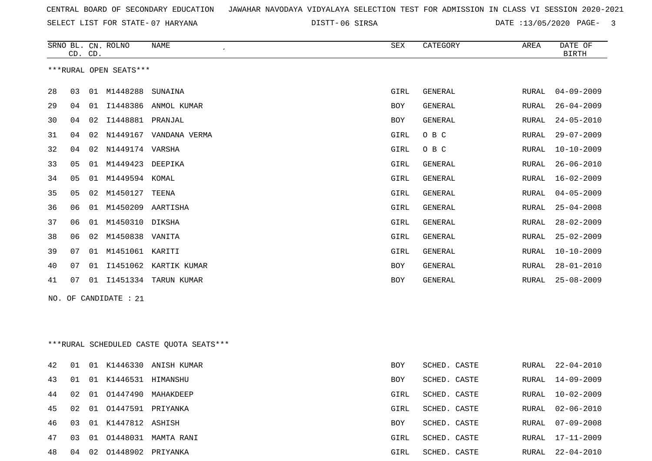SELECT LIST FOR STATE- DISTT- 07 HARYANA

06 SIRSA DATE :13/05/2020 PAGE- 3

|    | CD. CD.                |    | SRNO BL. CN. ROLNO | <b>NAME</b><br>$\pmb{\cdot}$ | SEX        | CATEGORY       | AREA         | DATE OF<br><b>BIRTH</b> |  |  |
|----|------------------------|----|--------------------|------------------------------|------------|----------------|--------------|-------------------------|--|--|
|    | ***RURAL OPEN SEATS*** |    |                    |                              |            |                |              |                         |  |  |
| 28 | 03                     | 01 | M1448288           | SUNAINA                      | GIRL       | GENERAL        | RURAL        | $04 - 09 - 2009$        |  |  |
| 29 | 04                     | 01 | I1448386           | ANMOL KUMAR                  | <b>BOY</b> | <b>GENERAL</b> | RURAL        | $26 - 04 - 2009$        |  |  |
| 30 | 04                     | 02 | I1448881           | PRANJAL                      | <b>BOY</b> | GENERAL        | <b>RURAL</b> | $24 - 05 - 2010$        |  |  |
| 31 | 04                     | 02 | N1449167           | VANDANA VERMA                | GIRL       | O B C          | RURAL        | $29 - 07 - 2009$        |  |  |
| 32 | 04                     | 02 | N1449174           | VARSHA                       | GIRL       | O B C          | RURAL        | $10 - 10 - 2009$        |  |  |
| 33 | 05                     | 01 | M1449423           | DEEPIKA                      | GIRL       | <b>GENERAL</b> | RURAL        | $26 - 06 - 2010$        |  |  |
| 34 | 05                     | 01 | M1449594           | KOMAL                        | GIRL       | GENERAL        | RURAL        | $16 - 02 - 2009$        |  |  |
| 35 | 05                     | 02 | M1450127           | TEENA                        | GIRL       | GENERAL        | RURAL        | $04 - 05 - 2009$        |  |  |
| 36 | 06                     | 01 | M1450209           | AARTISHA                     | GIRL       | <b>GENERAL</b> | RURAL        | $25 - 04 - 2008$        |  |  |
| 37 | 06                     | 01 | M1450310           | DIKSHA                       | GIRL       | <b>GENERAL</b> | <b>RURAL</b> | $28 - 02 - 2009$        |  |  |
| 38 | 06                     | 02 | M1450838           | VANITA                       | GIRL       | <b>GENERAL</b> | <b>RURAL</b> | $25 - 02 - 2009$        |  |  |
| 39 | 07                     | 01 | M1451061           | KARITI                       | GIRL       | <b>GENERAL</b> | RURAL        | $10 - 10 - 2009$        |  |  |
| 40 | 07                     | 01 | I1451062           | KARTIK KUMAR                 | BOY        | GENERAL        | RURAL        | $28 - 01 - 2010$        |  |  |
| 41 | 07                     | 01 | I1451334           | TARUN KUMAR                  | <b>BOY</b> | GENERAL        | RURAL        | $25 - 08 - 2009$        |  |  |
|    |                        |    |                    |                              |            |                |              |                         |  |  |

NO. OF CANDIDATE : 21

\*\*\*RURAL SCHEDULED CASTE QUOTA SEATS\*\*\*

| 42 | 01 |                          | 01 K1446330 ANISH KUMAR   | <b>BOY</b> | SCHED. CASTE |  | RURAL 22-04-2010 |
|----|----|--------------------------|---------------------------|------------|--------------|--|------------------|
| 43 | 01 | 01 K1446531 HIMANSHU     |                           | <b>BOY</b> | SCHED. CASTE |  | RURAL 14-09-2009 |
| 44 | 02 |                          | 01 01447490 MAHAKDEEP     | GIRL       | SCHED. CASTE |  | RURAL 10-02-2009 |
| 45 | 02 | 01 01447591 PRIYANKA     |                           | GIRL       | SCHED. CASTE |  | RURAL 02-06-2010 |
|    |    | 46 03 01 K1447812 ASHISH |                           | <b>BOY</b> | SCHED. CASTE |  | RURAL 07-09-2008 |
| 47 |    |                          | 03 01 01448031 MAMTA RANI | GIRL       | SCHED. CASTE |  | RURAL 17-11-2009 |
| 48 | 04 | 02 01448902 PRIYANKA     |                           | GIRL       | SCHED. CASTE |  | RURAL 22-04-2010 |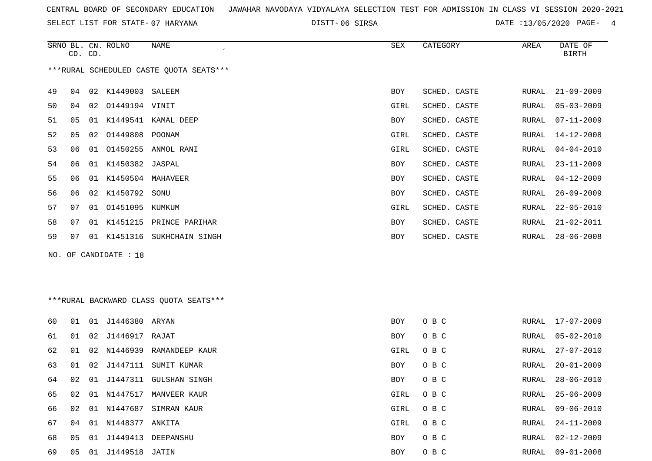SELECT LIST FOR STATE- DISTT- 07 HARYANA

06 SIRSA DATE :13/05/2020 PAGE- 4

|    |    | CD. CD. | SRNO BL. CN. ROLNO    | NAME                                    | SEX        | CATEGORY     | AREA  | DATE OF<br><b>BIRTH</b> |
|----|----|---------|-----------------------|-----------------------------------------|------------|--------------|-------|-------------------------|
|    |    |         |                       | ***RURAL SCHEDULED CASTE QUOTA SEATS*** |            |              |       |                         |
| 49 | 04 |         | 02 K1449003 SALEEM    |                                         | <b>BOY</b> | SCHED. CASTE | RURAL | $21 - 09 - 2009$        |
| 50 | 04 |         | 02 01449194 VINIT     |                                         | GIRL       | SCHED. CASTE | RURAL | $05 - 03 - 2009$        |
| 51 | 05 |         |                       | 01 K1449541 KAMAL DEEP                  | BOY        | SCHED. CASTE | RURAL | $07 - 11 - 2009$        |
| 52 | 05 |         | 02 01449808 POONAM    |                                         | GIRL       | SCHED. CASTE | RURAL | 14-12-2008              |
| 53 | 06 |         |                       | 01 01450255 ANMOL RANI                  | GIRL       | SCHED. CASTE | RURAL | $04 - 04 - 2010$        |
| 54 | 06 |         | 01 K1450382 JASPAL    |                                         | BOY        | SCHED. CASTE | RURAL | $23 - 11 - 2009$        |
| 55 | 06 |         | 01 K1450504 MAHAVEER  |                                         | BOY        | SCHED. CASTE | RURAL | $04 - 12 - 2009$        |
| 56 | 06 |         | 02 K1450792 SONU      |                                         | <b>BOY</b> | SCHED. CASTE | RURAL | $26 - 09 - 2009$        |
| 57 | 07 |         | 01 01451095 KUMKUM    |                                         | GIRL       | SCHED. CASTE | RURAL | $22 - 05 - 2010$        |
| 58 | 07 |         |                       | 01 K1451215 PRINCE PARIHAR              | BOY        | SCHED. CASTE | RURAL | $21 - 02 - 2011$        |
| 59 | 07 |         |                       | 01 K1451316 SUKHCHAIN SINGH             | BOY        | SCHED. CASTE | RURAL | $28 - 06 - 2008$        |
|    |    |         | NO. OF CANDIDATE : 18 |                                         |            |              |       |                         |
|    |    |         |                       |                                         |            |              |       |                         |
|    |    |         |                       |                                         |            |              |       |                         |
|    |    |         |                       | *** RURAL BACKWARD CLASS QUOTA SEATS*** |            |              |       |                         |
| 60 | 01 |         | 01 J1446380 ARYAN     |                                         | <b>BOY</b> | O B C        | RURAL | $17 - 07 - 2009$        |
| 61 | 01 |         | 02 J1446917 RAJAT     |                                         | BOY        | O B C        | RURAL | $05 - 02 - 2010$        |
| 62 | 01 |         |                       | 02 N1446939 RAMANDEEP KAUR              | GIRL       | O B C        | RURAL | $27 - 07 - 2010$        |
| 63 | 01 |         |                       | 02 J1447111 SUMIT KUMAR                 | <b>BOY</b> | O B C        | RURAL | $20 - 01 - 2009$        |
| 64 | 02 |         |                       | 01 J1447311 GULSHAN SINGH               | <b>BOY</b> | O B C        | RURAL | $28 - 06 - 2010$        |
| 65 | 02 |         |                       | 01 N1447517 MANVEER KAUR                | GIRL       | O B C        | RURAL | $25 - 06 - 2009$        |
| 66 | 02 |         |                       | 01 N1447687 SIMRAN KAUR                 | GIRL       | O B C        | RURAL | $09 - 06 - 2010$        |

 04 01 N1448377 ANKITA GIRL O B C RURAL 24-11-2009 05 01 J1449413 DEEPANSHU BOY O B C RURAL 02-12-2009 05 01 J1449518 JATIN BOY O B C RURAL 09-01-2008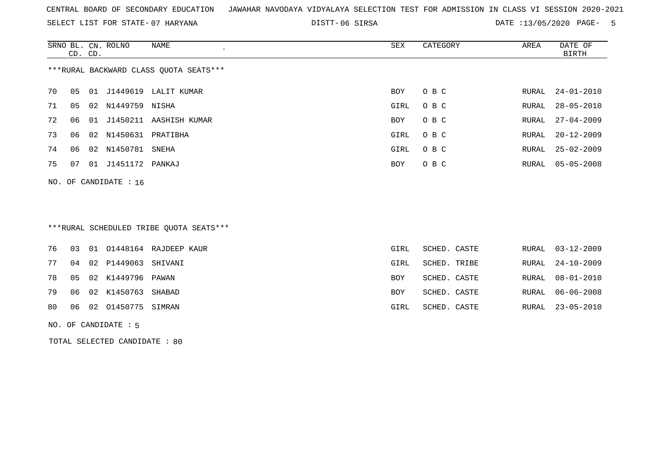SELECT LIST FOR STATE- DISTT- 07 HARYANA

06 SIRSA DATE :13/05/2020 PAGE- 5

|                                        | CD. CD. |    | SRNO BL. CN. ROLNO | NAME          | SEX  | CATEGORY | AREA  | DATE OF<br>BIRTH |  |
|----------------------------------------|---------|----|--------------------|---------------|------|----------|-------|------------------|--|
| ***RURAL BACKWARD CLASS QUOTA SEATS*** |         |    |                    |               |      |          |       |                  |  |
| 70                                     | 05      |    | 01 J1449619        | LALIT KUMAR   | BOY  | O B C    |       | RURAL 24-01-2010 |  |
| 71                                     | 05      |    | 02 N1449759        | NISHA         | GIRL | O B C    | RURAL | $28 - 05 - 2010$ |  |
| 72                                     | 06.     | 01 | J1450211           | AASHISH KUMAR | BOY  | O B C    | RURAL | $27 - 04 - 2009$ |  |
| 73                                     | 06      | 02 | N1450631           | PRATIBHA      | GIRL | O B C    | RURAL | $20 - 12 - 2009$ |  |
| 74                                     | 06      | 02 | N1450781           | SNEHA         | GIRL | O B C    | RURAL | $25 - 02 - 2009$ |  |
| 75                                     | 07      | 01 | J1451172 PANKAJ    |               | BOY  | O B C    |       | RURAL 05-05-2008 |  |
|                                        |         |    |                    |               |      |          |       |                  |  |

NO. OF CANDIDATE : 16

# \*\*\*RURAL SCHEDULED TRIBE QUOTA SEATS\*\*\*

|  |                           | 76 03 01 01448164 RAJDEEP KAUR | GIRL       | SCHED. CASTE |  | RURAL 03-12-2009 |
|--|---------------------------|--------------------------------|------------|--------------|--|------------------|
|  | 77 04 02 P1449063 SHIVANI |                                | GIRL       | SCHED. TRIBE |  | RURAL 24-10-2009 |
|  | 78 05 02 K1449796 PAWAN   |                                | BOY        | SCHED. CASTE |  | RURAL 08-01-2010 |
|  | 79 06 02 K1450763 SHABAD  |                                | <b>BOY</b> | SCHED. CASTE |  | RURAL 06-06-2008 |
|  | 80 06 02 01450775 SIMRAN  |                                | GIRL       | SCHED. CASTE |  | RURAL 23-05-2010 |
|  |                           |                                |            |              |  |                  |

### NO. OF CANDIDATE : 5

TOTAL SELECTED CANDIDATE : 80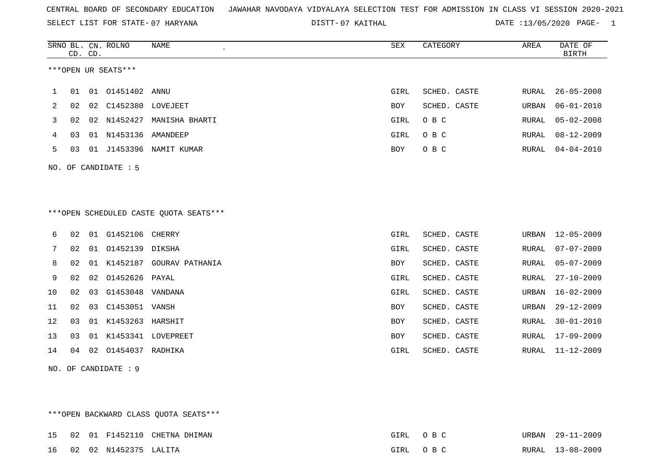SELECT LIST FOR STATE- DISTT- 07 HARYANA

07 KAITHAL DATE :13/05/2020 PAGE- 1

|    |    | CD. CD. | SRNO BL. CN. ROLNO   | <b>NAME</b>                            | <b>SEX</b> | CATEGORY     | AREA  | DATE OF<br>BIRTH |
|----|----|---------|----------------------|----------------------------------------|------------|--------------|-------|------------------|
|    |    |         | ***OPEN UR SEATS***  |                                        |            |              |       |                  |
| 1  | 01 |         | 01  01451402  ANNU   |                                        | GIRL       | SCHED. CASTE | RURAL | $26 - 05 - 2008$ |
| 2  | 02 |         | 02 C1452380 LOVEJEET |                                        | BOY        | SCHED. CASTE | URBAN | $06 - 01 - 2010$ |
| 3  | 02 |         | 02 N1452427          | MANISHA BHARTI                         | GIRL       | O B C        | RURAL | $05 - 02 - 2008$ |
| 4  | 03 |         | 01 N1453136 AMANDEEP |                                        | GIRL       | O B C        | RURAL | $08 - 12 - 2009$ |
| 5  | 03 |         |                      | 01 J1453396 NAMIT KUMAR                | BOY        | O B C        | RURAL | $04 - 04 - 2010$ |
|    |    |         | NO. OF CANDIDATE : 5 |                                        |            |              |       |                  |
|    |    |         |                      |                                        |            |              |       |                  |
|    |    |         |                      |                                        |            |              |       |                  |
|    |    |         |                      | ***OPEN SCHEDULED CASTE QUOTA SEATS*** |            |              |       |                  |
| 6  | 02 |         | 01 G1452106 CHERRY   |                                        | GIRL       | SCHED. CASTE | URBAN | $12 - 05 - 2009$ |
| 7  | 02 |         | 01 01452139 DIKSHA   |                                        | GIRL       | SCHED. CASTE | RURAL | $07 - 07 - 2009$ |
| 8  | 02 |         |                      | 01 K1452187 GOURAV PATHANIA            | BOY        | SCHED. CASTE | RURAL | $05 - 07 - 2009$ |
| 9  | 02 |         | 02 01452626 PAYAL    |                                        | GIRL       | SCHED. CASTE | RURAL | $27 - 10 - 2009$ |
| 10 | 02 | 03      | G1453048 VANDANA     |                                        | GIRL       | SCHED. CASTE | URBAN | $16 - 02 - 2009$ |
| 11 | 02 | 03      | C1453051 VANSH       |                                        | BOY        | SCHED. CASTE | URBAN | $29 - 12 - 2009$ |
| 12 | 03 |         | 01 K1453263 HARSHIT  |                                        | BOY        | SCHED. CASTE | RURAL | $30 - 01 - 2010$ |
| 13 | 03 |         |                      | 01 K1453341 LOVEPREET                  | <b>BOY</b> | SCHED. CASTE | RURAL | $17 - 09 - 2009$ |
| 14 | 04 |         | 02 01454037 RADHIKA  |                                        | GIRL       | SCHED. CASTE | RURAL | $11 - 12 - 2009$ |
|    |    |         | NO. OF CANDIDATE : 9 |                                        |            |              |       |                  |

\*\*\*OPEN BACKWARD CLASS QUOTA SEATS\*\*\* 15 02 01 F1452110 CHETNA DHIMAN 6 6 1 200 1 200 200 201 202 203 204 205 206 207 208 2012 URBAN 29-11-2009 16 02 02 N1452375 LALITA GIRL O B C RURAL 13-08-2009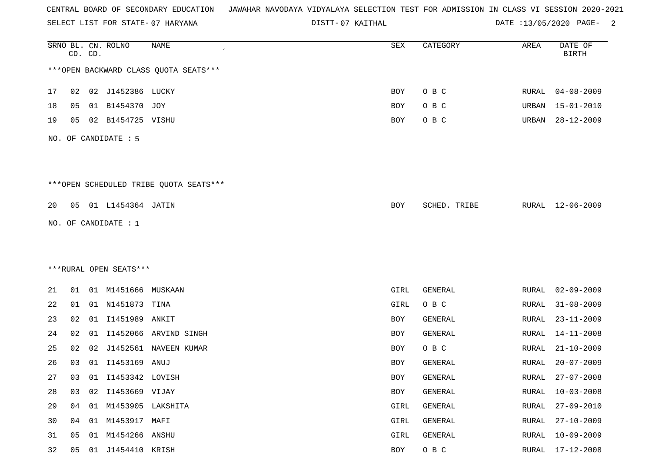SELECT LIST FOR STATE- DISTT- 07 HARYANA

07 KAITHAL DATE :13/05/2020 PAGE- 2

|    |    | CD. CD. | SRNO BL. CN. ROLNO     | NAME                                   | ${\tt SEX}$ | CATEGORY     | AREA         | DATE OF<br><b>BIRTH</b> |
|----|----|---------|------------------------|----------------------------------------|-------------|--------------|--------------|-------------------------|
|    |    |         |                        | *** OPEN BACKWARD CLASS QUOTA SEATS*** |             |              |              |                         |
| 17 | 02 |         | 02 J1452386 LUCKY      |                                        | BOY         | O B C        | RURAL        | $04 - 08 - 2009$        |
| 18 | 05 | 01      | B1454370               | JOY                                    | BOY         | O B C        | URBAN        | $15 - 01 - 2010$        |
| 19 | 05 |         | 02 B1454725 VISHU      |                                        | BOY         | O B C        | URBAN        | $28 - 12 - 2009$        |
|    |    |         | NO. OF CANDIDATE : 5   |                                        |             |              |              |                         |
|    |    |         |                        | ***OPEN SCHEDULED TRIBE QUOTA SEATS*** |             |              |              |                         |
| 20 |    |         | 05 01 L1454364 JATIN   |                                        | BOY         | SCHED. TRIBE | RURAL        | $12 - 06 - 2009$        |
|    |    |         | NO. OF CANDIDATE : 1   |                                        |             |              |              |                         |
|    |    |         |                        |                                        |             |              |              |                         |
|    |    |         |                        |                                        |             |              |              |                         |
|    |    |         | ***RURAL OPEN SEATS*** |                                        |             |              |              |                         |
| 21 | 01 |         | 01 M1451666 MUSKAAN    |                                        | GIRL        | GENERAL      | <b>RURAL</b> | $02 - 09 - 2009$        |
| 22 | 01 |         | 01 N1451873 TINA       |                                        | GIRL        | O B C        | RURAL        | $31 - 08 - 2009$        |
| 23 | 02 |         | 01 I1451989            | ANKIT                                  | BOY         | GENERAL      | <b>RURAL</b> | $23 - 11 - 2009$        |
| 24 | 02 | 01      | I1452066               | ARVIND SINGH                           | BOY         | GENERAL      | <b>RURAL</b> | $14 - 11 - 2008$        |
| 25 | 02 | 02      |                        | J1452561 NAVEEN KUMAR                  | BOY         | O B C        | <b>RURAL</b> | $21 - 10 - 2009$        |
| 26 | 03 | 01      | I1453169               | ANUJ                                   | BOY         | GENERAL      | <b>RURAL</b> | $20 - 07 - 2009$        |
| 27 | 03 |         | 01 I1453342 LOVISH     |                                        | BOY         | GENERAL      | RURAL        | $27 - 07 - 2008$        |
| 28 | 03 | 02      | I1453669 VIJAY         |                                        | BOY         | GENERAL      | <b>RURAL</b> | $10 - 03 - 2008$        |
| 29 | 04 |         | 01 M1453905 LAKSHITA   |                                        | GIRL        | GENERAL      | <b>RURAL</b> | $27 - 09 - 2010$        |
| 30 | 04 |         | 01 M1453917 MAFI       |                                        | GIRL        | GENERAL      | RURAL        | $27 - 10 - 2009$        |
| 31 | 05 | 01      | M1454266 ANSHU         |                                        | GIRL        | GENERAL      | <b>RURAL</b> | $10 - 09 - 2009$        |
| 32 | 05 |         | 01 J1454410 KRISH      |                                        | BOY         | $O$ B $C$    | RURAL        | $17 - 12 - 2008$        |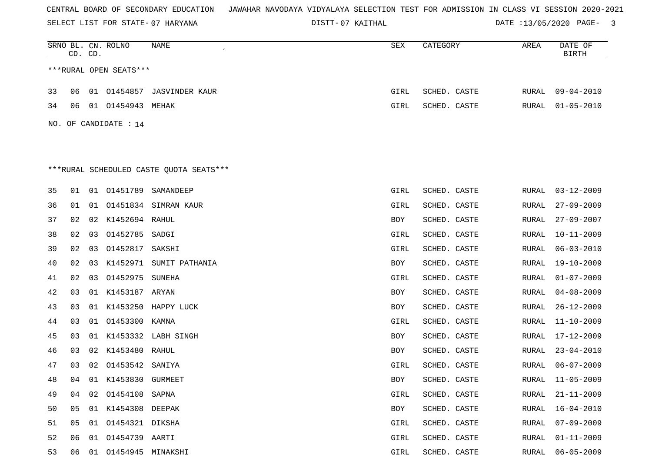SELECT LIST FOR STATE- DISTT- 07 HARYANA

07 KAITHAL DATE :13/05/2020 PAGE- 3

|    | CD. CD. |    | SRNO BL. CN. ROLNO      | NAME                                    | SEX  | CATEGORY     | AREA  | DATE OF<br><b>BIRTH</b> |
|----|---------|----|-------------------------|-----------------------------------------|------|--------------|-------|-------------------------|
|    |         |    | ***RURAL OPEN SEATS***  |                                         |      |              |       |                         |
| 33 | 06      |    |                         | 01 01454857 JASVINDER KAUR              | GIRL | SCHED. CASTE | RURAL | 09-04-2010              |
| 34 | 06      |    | 01 01454943 MEHAK       |                                         | GIRL | SCHED. CASTE | RURAL | $01 - 05 - 2010$        |
|    |         |    | NO. OF CANDIDATE : 14   |                                         |      |              |       |                         |
|    |         |    |                         |                                         |      |              |       |                         |
|    |         |    |                         |                                         |      |              |       |                         |
|    |         |    |                         | ***RURAL SCHEDULED CASTE QUOTA SEATS*** |      |              |       |                         |
|    |         |    |                         |                                         |      |              |       |                         |
| 35 | 01      |    | 01 01451789             | SAMANDEEP                               | GIRL | SCHED. CASTE | RURAL | $03 - 12 - 2009$        |
| 36 | 01      | 01 |                         | 01451834 SIMRAN KAUR                    | GIRL | SCHED. CASTE | RURAL | $27 - 09 - 2009$        |
| 37 | 02      |    | 02 K1452694 RAHUL       |                                         | BOY  | SCHED. CASTE | RURAL | $27 - 09 - 2007$        |
| 38 | 02      | 03 | 01452785                | SADGI                                   | GIRL | SCHED. CASTE | RURAL | $10 - 11 - 2009$        |
| 39 | 02      | 03 | 01452817 SAKSHI         |                                         | GIRL | SCHED. CASTE | RURAL | $06 - 03 - 2010$        |
| 40 | 02      | 03 |                         | K1452971 SUMIT PATHANIA                 | BOY  | SCHED. CASTE | RURAL | $19 - 10 - 2009$        |
| 41 | 02      | 03 | 01452975 SUNEHA         |                                         | GIRL | SCHED. CASTE | RURAL | $01 - 07 - 2009$        |
| 42 | 03      |    | 01 K1453187 ARYAN       |                                         | BOY  | SCHED. CASTE | RURAL | $04 - 08 - 2009$        |
| 43 | 03      |    |                         | 01 K1453250 HAPPY LUCK                  | BOY  | SCHED. CASTE | RURAL | $26 - 12 - 2009$        |
| 44 | 03      |    | 01 01453300 KAMNA       |                                         | GIRL | SCHED. CASTE | RURAL | $11 - 10 - 2009$        |
| 45 | 03      |    |                         | 01 K1453332 LABH SINGH                  | BOY  | SCHED. CASTE | RURAL | $17 - 12 - 2009$        |
| 46 | 03      |    | 02 K1453480 RAHUL       |                                         | BOY  | SCHED. CASTE | RURAL | $23 - 04 - 2010$        |
| 47 | 03      | 02 | 01453542 SANIYA         |                                         | GIRL | SCHED. CASTE | RURAL | $06 - 07 - 2009$        |
| 48 | 04      |    | 01 K1453830 GURMEET     |                                         | BOY  | SCHED. CASTE | RURAL | $11 - 05 - 2009$        |
| 49 | 04      |    | 02 01454108 SAPNA       |                                         | GIRL | SCHED. CASTE | RURAL | $21 - 11 - 2009$        |
| 50 | 05      |    | 01 K1454308 DEEPAK      |                                         | BOY  | SCHED. CASTE | RURAL | $16 - 04 - 2010$        |
| 51 | 05      |    | 01 01454321 DIKSHA      |                                         | GIRL | SCHED. CASTE | RURAL | $07 - 09 - 2009$        |
| 52 | 06      |    | 01 01454739 AARTI       |                                         | GIRL | SCHED. CASTE | RURAL | $01 - 11 - 2009$        |
| 53 |         |    | 06 01 01454945 MINAKSHI |                                         | GIRL | SCHED. CASTE |       | RURAL 06-05-2009        |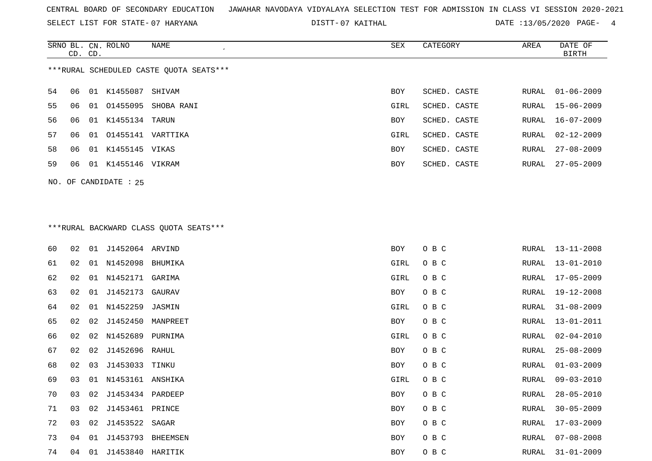SELECT LIST FOR STATE- DISTT- 07 HARYANA

07 KAITHAL DATE :13/05/2020 PAGE- 4

|                                          |         |    | SRNO BL. CN. ROLNO    | NAME       | SEX        | CATEGORY     | AREA  | DATE OF          |
|------------------------------------------|---------|----|-----------------------|------------|------------|--------------|-------|------------------|
|                                          | CD. CD. |    |                       |            |            |              |       | BIRTH            |
| *** RURAL SCHEDULED CASTE QUOTA SEATS*** |         |    |                       |            |            |              |       |                  |
| 54                                       | 06      | 01 | K1455087              | SHIVAM     | <b>BOY</b> | SCHED. CASTE | RURAL | $01 - 06 - 2009$ |
| 55                                       | 06      | 01 | 01455095              | SHOBA RANI | GIRL       | SCHED. CASTE | RURAL | 15-06-2009       |
| 56.                                      | 06      | 01 | K1455134 TARUN        |            | <b>BOY</b> | SCHED. CASTE |       | RURAL 16-07-2009 |
| 57                                       | 06      |    | 01 01455141 VARTTIKA  |            | GIRL       | SCHED. CASTE | RURAL | $02 - 12 - 2009$ |
| 58                                       | 06      | 01 | K1455145 VIKAS        |            | <b>BOY</b> | SCHED. CASTE | RURAL | $27 - 08 - 2009$ |
| 59                                       | 06      | 01 | K1455146 VIKRAM       |            | <b>BOY</b> | SCHED. CASTE | RURAL | $27 - 05 - 2009$ |
|                                          |         |    | NO. OF CANDIDATE : 25 |            |            |              |       |                  |

# \*\*\*RURAL BACKWARD CLASS QUOTA SEATS\*\*\*

| 60 | 02 | 01 | J1452064 ARVIND     |          | BOY  | O B C | RURAL | $13 - 11 - 2008$ |
|----|----|----|---------------------|----------|------|-------|-------|------------------|
| 61 | 02 | 01 | N1452098 BHUMIKA    |          | GIRL | O B C | RURAL | $13 - 01 - 2010$ |
| 62 | 02 | 01 | N1452171            | GARIMA   | GIRL | O B C | RURAL | $17 - 05 - 2009$ |
| 63 | 02 | 01 | J1452173            | GAURAV   | BOY  | O B C | RURAL | $19 - 12 - 2008$ |
| 64 | 02 |    | 01 N1452259         | JASMIN   | GIRL | O B C | RURAL | $31 - 08 - 2009$ |
| 65 | 02 | 02 | J1452450            | MANPREET | BOY  | O B C | RURAL | $13 - 01 - 2011$ |
| 66 | 02 |    | 02 N1452689         | PURNIMA  | GIRL | O B C | RURAL | $02 - 04 - 2010$ |
| 67 | 02 |    | 02 J1452696 RAHUL   |          | BOY  | O B C | RURAL | $25 - 08 - 2009$ |
| 68 | 02 | 03 | J1453033            | TINKU    | BOY  | O B C | RURAL | $01 - 03 - 2009$ |
| 69 | 03 |    | 01 N1453161 ANSHIKA |          | GIRL | O B C | RURAL | $09 - 03 - 2010$ |
| 70 | 03 | 02 | J1453434 PARDEEP    |          | BOY  | O B C | RURAL | $28 - 05 - 2010$ |
| 71 | 03 |    | 02 J1453461 PRINCE  |          | BOY  | O B C | RURAL | $30 - 05 - 2009$ |
| 72 | 03 | 02 | J1453522            | SAGAR    | BOY  | O B C | RURAL | $17 - 03 - 2009$ |
| 73 | 04 | 01 | J1453793            | BHEEMSEN | BOY  | O B C | RURAL | $07 - 08 - 2008$ |
| 74 | 04 | 01 | J1453840 HARITIK    |          | BOY  | O B C | RURAL | $31 - 01 - 2009$ |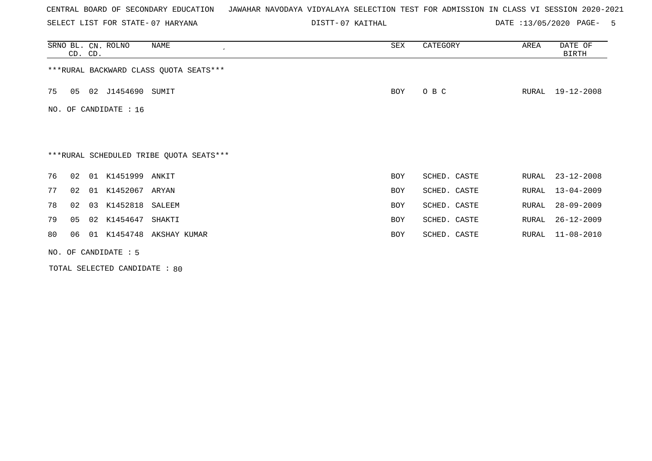SELECT LIST FOR STATE- DISTT- 07 HARYANA

07 KAITHAL DATE :13/05/2020 PAGE- 5

|                                         |                   | CD. CD. | SRNO BL. CN. ROLNO | NAME                                    | SEX        | CATEGORY     | AREA  | DATE OF<br><b>BIRTH</b> |  |
|-----------------------------------------|-------------------|---------|--------------------|-----------------------------------------|------------|--------------|-------|-------------------------|--|
|                                         |                   |         |                    | *** RURAL BACKWARD CLASS QUOTA SEATS*** |            |              |       |                         |  |
| 75                                      | 05                |         | 02 J1454690 SUMIT  |                                         | <b>BOY</b> | O B C        | RURAL | 19-12-2008              |  |
| NO.                                     | OF CANDIDATE : 16 |         |                    |                                         |            |              |       |                         |  |
|                                         |                   |         |                    |                                         |            |              |       |                         |  |
| ***RURAL SCHEDULED TRIBE QUOTA SEATS*** |                   |         |                    |                                         |            |              |       |                         |  |
| 76                                      | 02                |         | 01 K1451999 ANKIT  |                                         | <b>BOY</b> | SCHED. CASTE | RURAL | $23 - 12 - 2008$        |  |
| 77                                      | 02                | 01      | K1452067           | ARYAN                                   | <b>BOY</b> | SCHED. CASTE | RURAL | $13 - 04 - 2009$        |  |
| 78                                      | 02                |         | 03 K1452818 SALEEM |                                         | <b>BOY</b> | SCHED. CASTE | RURAL | $28 - 09 - 2009$        |  |
| 79                                      | 05                |         | 02 K1454647        | SHAKTI                                  | <b>BOY</b> | SCHED. CASTE | RURAL | $26 - 12 - 2009$        |  |
| 80                                      | 06                |         |                    | 01 K1454748 AKSHAY KUMAR                | <b>BOY</b> | SCHED. CASTE | RURAL | $11 - 08 - 2010$        |  |
| NO. OF CANDIDATE $: 5$                  |                   |         |                    |                                         |            |              |       |                         |  |

TOTAL SELECTED CANDIDATE : 80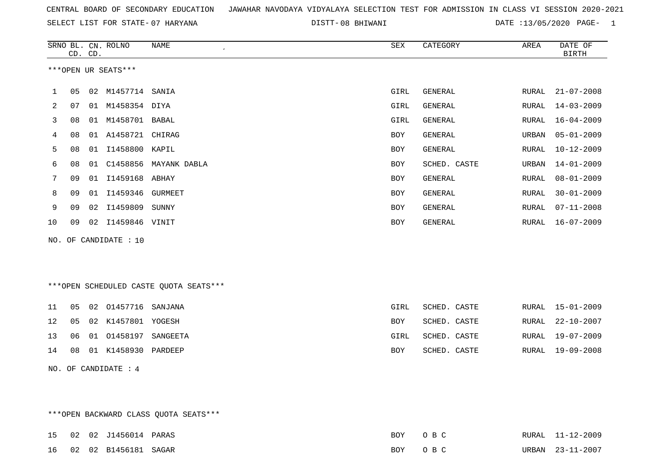SELECT LIST FOR STATE- DISTT- 07 HARYANA

08 BHIWANI DATE :13/05/2020 PAGE- 1

|              |                     | CD. CD. | SRNO BL. CN. ROLNO    | NAME<br>$\epsilon$ | SEX        | CATEGORY     | AREA  | DATE OF<br><b>BIRTH</b> |
|--------------|---------------------|---------|-----------------------|--------------------|------------|--------------|-------|-------------------------|
|              | ***OPEN UR SEATS*** |         |                       |                    |            |              |       |                         |
| $\mathbf{1}$ | 05                  |         | 02 M1457714 SANIA     |                    | GIRL       | GENERAL      | RURAL | $21 - 07 - 2008$        |
| 2            | 07                  | 01      | M1458354 DIYA         |                    | GIRL       | GENERAL      | RURAL | $14 - 03 - 2009$        |
| 3            | 08                  | 01      | M1458701 BABAL        |                    | GIRL       | GENERAL      | RURAL | $16 - 04 - 2009$        |
| 4            | 08                  | 01      | A1458721 CHIRAG       |                    | BOY        | GENERAL      | URBAN | $05 - 01 - 2009$        |
| 5            | 08                  | 01      | I1458800 KAPIL        |                    | BOY        | GENERAL      | RURAL | $10 - 12 - 2009$        |
| 6            | 08                  | 01      | C1458856              | MAYANK DABLA       | <b>BOY</b> | SCHED. CASTE | URBAN | $14 - 01 - 2009$        |
| 7            | 09                  | 01      | I1459168 ABHAY        |                    | <b>BOY</b> | GENERAL      | RURAL | $08 - 01 - 2009$        |
| 8            | 09                  | 01      | I1459346              | GURMEET            | <b>BOY</b> | GENERAL      | RURAL | $30 - 01 - 2009$        |
| 9            | 09                  |         | 02 I1459809           | SUNNY              | <b>BOY</b> | GENERAL      | RURAL | $07 - 11 - 2008$        |
| 10           | 09                  | 02      | I1459846              | VINIT              | <b>BOY</b> | GENERAL      | RURAL | $16 - 07 - 2009$        |
|              |                     |         | NO. OF CANDIDATE : 10 |                    |            |              |       |                         |

\*\*\*OPEN SCHEDULED CASTE QUOTA SEATS\*\*\*

|  | 11 05 02 01457716 SANJANA          | GIRL       | SCHED. CASTE |  | RURAL 15-01-2009 |
|--|------------------------------------|------------|--------------|--|------------------|
|  | 12  05  02  K1457801  YOGESH       | BOY        | SCHED. CASTE |  | RURAL 22-10-2007 |
|  | 13   06   01   01458197   SANGEETA | GIRL       | SCHED. CASTE |  | RURAL 19-07-2009 |
|  | 14 08 01 K1458930 PARDEEP          | <b>BOY</b> | SCHED. CASTE |  | RURAL 19-09-2008 |
|  |                                    |            |              |  |                  |

NO. OF CANDIDATE : 4

\*\*\*OPEN BACKWARD CLASS QUOTA SEATS\*\*\*

|  | 15 02 02 J1456014 PARAS |  | BOY OBC | RURAL 11-12-2009 |
|--|-------------------------|--|---------|------------------|
|  | 16 02 02 B1456181 SAGAR |  | BOY OBC | URBAN 23-11-2007 |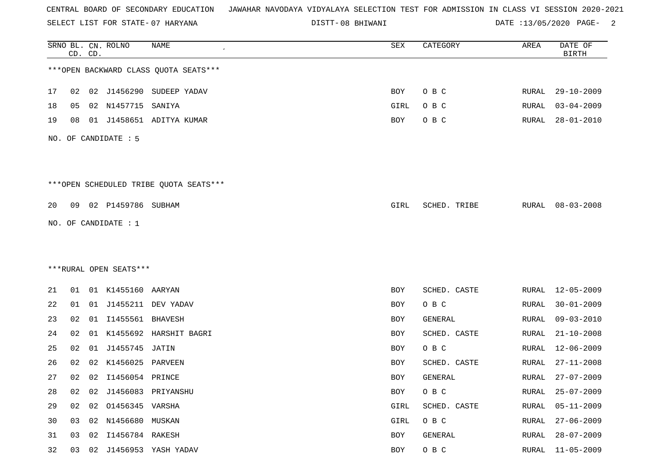SELECT LIST FOR STATE- DISTT- 07 HARYANA

08 BHIWANI DATE :13/05/2020 PAGE- 2

|    |    | CD. CD. | SRNO BL. CN. ROLNO     | <b>NAME</b>                            | ${\tt SEX}$ | CATEGORY     | AREA         | DATE OF<br><b>BIRTH</b> |
|----|----|---------|------------------------|----------------------------------------|-------------|--------------|--------------|-------------------------|
|    |    |         |                        | *** OPEN BACKWARD CLASS QUOTA SEATS*** |             |              |              |                         |
| 17 | 02 |         |                        | 02 J1456290 SUDEEP YADAV               | BOY         | O B C        | RURAL        | $29 - 10 - 2009$        |
| 18 | 05 |         | 02 N1457715            | SANIYA                                 | GIRL        | O B C        | RURAL        | $03 - 04 - 2009$        |
| 19 | 08 |         |                        | 01 J1458651 ADITYA KUMAR               | BOY         | O B C        | RURAL        | $28 - 01 - 2010$        |
|    |    |         | NO. OF CANDIDATE: 5    |                                        |             |              |              |                         |
|    |    |         |                        | ***OPEN SCHEDULED TRIBE QUOTA SEATS*** |             |              |              |                         |
| 20 |    |         | 09 02 P1459786 SUBHAM  |                                        | GIRL        | SCHED. TRIBE | RURAL        | $08 - 03 - 2008$        |
|    |    |         | NO. OF CANDIDATE : $1$ |                                        |             |              |              |                         |
|    |    |         |                        |                                        |             |              |              |                         |
|    |    |         |                        |                                        |             |              |              |                         |
|    |    |         | ***RURAL OPEN SEATS*** |                                        |             |              |              |                         |
| 21 | 01 |         | 01 K1455160 AARYAN     |                                        | BOY         | SCHED. CASTE | RURAL        | 12-05-2009              |
| 22 | 01 |         |                        | 01 J1455211 DEV YADAV                  | BOY         | O B C        | RURAL        | $30 - 01 - 2009$        |
| 23 | 02 |         | 01 I1455561 BHAVESH    |                                        | BOY         | GENERAL      | RURAL        | $09 - 03 - 2010$        |
| 24 | 02 |         | 01 K1455692            | HARSHIT BAGRI                          | BOY         | SCHED. CASTE | <b>RURAL</b> | $21 - 10 - 2008$        |
| 25 | 02 |         | 01 J1455745 JATIN      |                                        | BOY         | O B C        | RURAL        | $12 - 06 - 2009$        |
| 26 | 02 |         | 02 K1456025 PARVEEN    |                                        | BOY         | SCHED. CASTE | RURAL        | $27 - 11 - 2008$        |
| 27 |    |         | 02 02 I1456054 PRINCE  |                                        | BOY         | GENERAL      | RURAL        | $27 - 07 - 2009$        |
| 28 | 02 |         |                        | 02 J1456083 PRIYANSHU                  | BOY         | O B C        | <b>RURAL</b> | $25 - 07 - 2009$        |
| 29 | 02 |         | 02 01456345 VARSHA     |                                        | GIRL        | SCHED. CASTE | RURAL        | $05 - 11 - 2009$        |
| 30 | 03 |         | 02 N1456680 MUSKAN     |                                        | GIRL        | O B C        | <b>RURAL</b> | $27 - 06 - 2009$        |
| 31 | 03 | 02      | I1456784 RAKESH        |                                        | BOY         | GENERAL      | RURAL        | $28 - 07 - 2009$        |
| 32 | 03 |         |                        | 02 J1456953 YASH YADAV                 | BOY         | O B C        | RURAL        | $11 - 05 - 2009$        |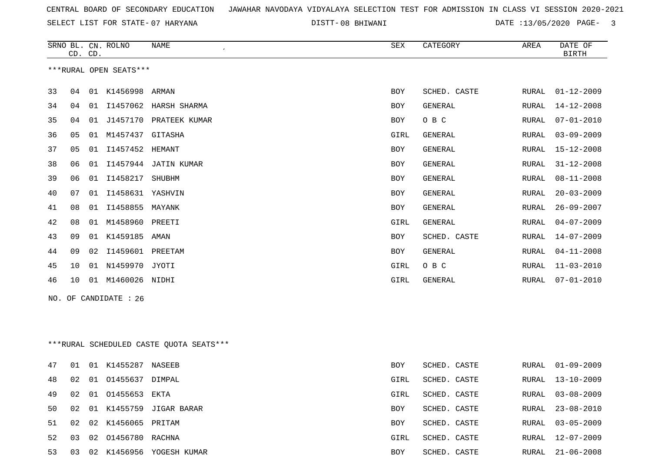SELECT LIST FOR STATE- DISTT- 07 HARYANA

08 BHIWANI DATE :13/05/2020 PAGE- 3

RURAL 03-05-2009

RURAL 12-07-2009

|     | CD. CD.                                 |  | SRNO BL. CN. ROLNO     | <b>NAME</b>               | <b>SEX</b> | CATEGORY       | AREA  | DATE OF<br><b>BIRTH</b> |  |
|-----|-----------------------------------------|--|------------------------|---------------------------|------------|----------------|-------|-------------------------|--|
|     |                                         |  | ***RURAL OPEN SEATS*** |                           |            |                |       |                         |  |
| 33  | 04                                      |  | 01 K1456998 ARMAN      |                           | <b>BOY</b> | SCHED. CASTE   | RURAL | $01 - 12 - 2009$        |  |
| 34  | 04                                      |  |                        | 01 I1457062 HARSH SHARMA  | BOY        | <b>GENERAL</b> | RURAL | $14 - 12 - 2008$        |  |
| 35  | 04                                      |  |                        | 01 J1457170 PRATEEK KUMAR | <b>BOY</b> | O B C          | RURAL | $07 - 01 - 2010$        |  |
| 36  | 05                                      |  | 01 M1457437 GITASHA    |                           | GIRL       | <b>GENERAL</b> | RURAL | $03 - 09 - 2009$        |  |
| 37  | 05                                      |  | 01 I1457452 HEMANT     |                           | BOY        | <b>GENERAL</b> | RURAL | $15 - 12 - 2008$        |  |
| 38  | 06                                      |  |                        | 01 I1457944 JATIN KUMAR   | <b>BOY</b> | GENERAL        | RURAL | $31 - 12 - 2008$        |  |
| 39  | 06                                      |  | 01 11458217            | SHUBHM                    | <b>BOY</b> | <b>GENERAL</b> | RURAL | $08 - 11 - 2008$        |  |
| 40  | 07                                      |  | 01 I1458631 YASHVIN    |                           | <b>BOY</b> | <b>GENERAL</b> | RURAL | $20 - 03 - 2009$        |  |
| 41  | 08                                      |  | 01 I1458855            | MAYANK                    | BOY        | GENERAL        | RURAL | $26 - 09 - 2007$        |  |
| 42  | 08                                      |  | 01 M1458960 PREETI     |                           | GIRL       | GENERAL        | RURAL | $04 - 07 - 2009$        |  |
| 43  | 09                                      |  | 01 K1459185            | AMAN                      | <b>BOY</b> | SCHED. CASTE   | RURAL | $14 - 07 - 2009$        |  |
| 44  | 09                                      |  | 02 I1459601 PREETAM    |                           | <b>BOY</b> | GENERAL        | RURAL | $04 - 11 - 2008$        |  |
| 45  | 10                                      |  | 01 N1459970 JYOTI      |                           | GIRL       | O B C          | RURAL | $11 - 03 - 2010$        |  |
| 46  | 10                                      |  | 01 M1460026 NIDHI      |                           | GIRL       | GENERAL        | RURAL | $07 - 01 - 2010$        |  |
| NO. |                                         |  | OF CANDIDATE : 26      |                           |            |                |       |                         |  |
|     |                                         |  |                        |                           |            |                |       |                         |  |
|     |                                         |  |                        |                           |            |                |       |                         |  |
|     | ***RURAL SCHEDULED CASTE QUOTA SEATS*** |  |                        |                           |            |                |       |                         |  |
| 47  | 01                                      |  | 01 K1455287 NASEEB     |                           | <b>BOY</b> | SCHED. CASTE   | RURAL | $01 - 09 - 2009$        |  |
| 48  | 02                                      |  | 01 01455637 DIMPAL     |                           | GIRL       | SCHED. CASTE   | RURAL | $13 - 10 - 2009$        |  |

49 02 01 O1455653 EKTA GIRL SCHED. CASTE RURAL 03-08-2009 50 02 01 K1455759 JIGAR BARAR BOY SCHED. CASTE RURAL 23-08-2010

53 03 02 K1456956 YOGESH KUMAR BOY SCHED. CASTE RURAL 21-06-2008

51 02 02 K1456065 PRITAM BOY SCHED. CASTE

52 03 02 O1456780 RACHNA GIRL SCHED. CASTE RURAL 12-07-2009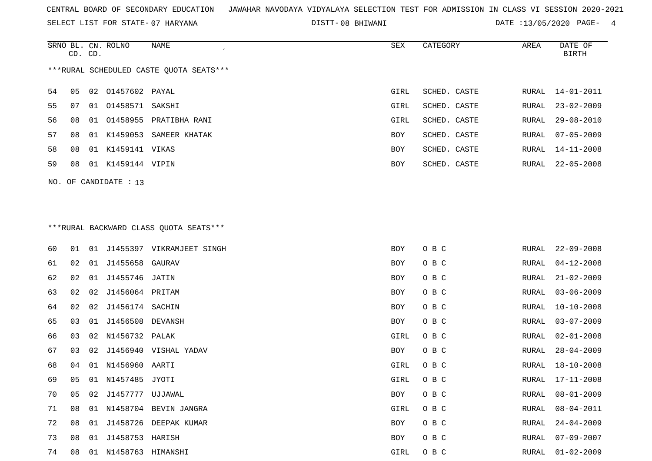SELECT LIST FOR STATE- DISTT- 07 HARYANA

08 BHIWANI DATE :13/05/2020 PAGE- 4

|                                         | CD. CD. |    | SRNO BL. CN. ROLNO      | NAME                      | SEX        | CATEGORY     | AREA  | DATE OF<br><b>BIRTH</b> |
|-----------------------------------------|---------|----|-------------------------|---------------------------|------------|--------------|-------|-------------------------|
| ***RURAL SCHEDULED CASTE OUOTA SEATS*** |         |    |                         |                           |            |              |       |                         |
| 54                                      | 05      |    | 02 01457602 PAYAL       |                           | GIRL       | SCHED. CASTE | RURAL | 14-01-2011              |
| 55                                      | 07      | 01 | 01458571 SAKSHI         |                           | GIRL       | SCHED. CASTE | RURAL | $23 - 02 - 2009$        |
| 56.                                     | 08      |    |                         | 01 01458955 PRATIBHA RANI | GIRL       | SCHED. CASTE | RURAL | 29-08-2010              |
| 57                                      | 08      | 01 | K1459053                | SAMEER KHATAK             | <b>BOY</b> | SCHED. CASTE | RURAL | $07 - 05 - 2009$        |
| 58                                      | 08      | 01 | K1459141 VIKAS          |                           | <b>BOY</b> | SCHED. CASTE | RURAL | 14-11-2008              |
| 59                                      | 08      | 01 | K1459144 VIPIN          |                           | <b>BOY</b> | SCHED. CASTE | RURAL | 22-05-2008              |
|                                         |         |    | NO. OF CANDIDATE : $13$ |                           |            |              |       |                         |

# \*\*\*RURAL BACKWARD CLASS QUOTA SEATS\*\*\*

| 60 | 01 | 01 |                   | J1455397 VIKRAMJEET SINGH | BOY  | O B C | RURAL | $22 - 09 - 2008$ |
|----|----|----|-------------------|---------------------------|------|-------|-------|------------------|
| 61 | 02 | 01 | J1455658 GAURAV   |                           | BOY  | O B C | RURAL | $04 - 12 - 2008$ |
| 62 | 02 | 01 | J1455746 JATIN    |                           | BOY  | O B C | RURAL | $21 - 02 - 2009$ |
| 63 | 02 | 02 | J1456064 PRITAM   |                           | BOY  | O B C | RURAL | $03 - 06 - 2009$ |
| 64 | 02 | 02 | J1456174 SACHIN   |                           | BOY  | O B C | RURAL | $10 - 10 - 2008$ |
| 65 | 03 | 01 | J1456508 DEVANSH  |                           | BOY  | O B C | RURAL | $03 - 07 - 2009$ |
| 66 | 03 |    | 02 N1456732 PALAK |                           | GIRL | O B C | RURAL | $02 - 01 - 2008$ |
| 67 | 03 | 02 |                   | J1456940 VISHAL YADAV     | BOY  | O B C | RURAL | $28 - 04 - 2009$ |
| 68 | 04 | 01 | N1456960          | AARTI                     | GIRL | O B C | RURAL | $18 - 10 - 2008$ |
| 69 | 05 |    | 01 N1457485 JYOTI |                           | GIRL | O B C | RURAL | $17 - 11 - 2008$ |
| 70 | 05 | 02 | J1457777          | UJJAWAL                   | BOY  | O B C | RURAL | $08 - 01 - 2009$ |
| 71 | 08 |    |                   | 01 N1458704 BEVIN JANGRA  | GIRL | O B C | RURAL | $08 - 04 - 2011$ |
| 72 | 08 | 01 | J1458726          | DEEPAK KUMAR              | BOY  | O B C | RURAL | $24 - 04 - 2009$ |
| 73 | 08 | 01 | J1458753 HARISH   |                           | BOY  | O B C | RURAL | $07 - 09 - 2007$ |
| 74 | 08 | 01 | N1458763 HIMANSHI |                           | GIRL | O B C | RURAL | $01 - 02 - 2009$ |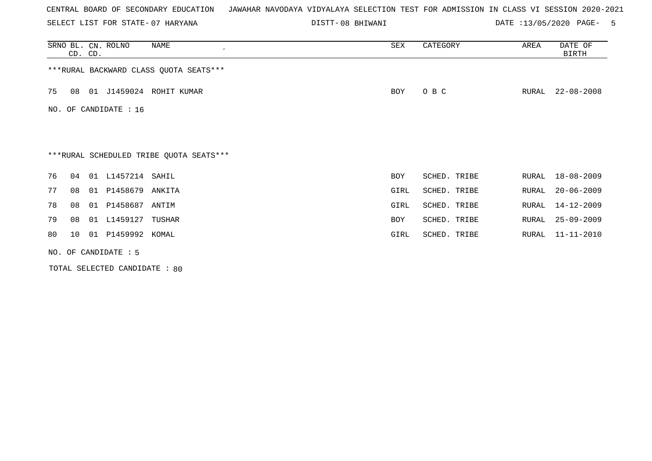SELECT LIST FOR STATE- DISTT- 07 HARYANA

08 BHIWANI DATE :13/05/2020 PAGE- 5

|    | CD. CD. | SRNO BL. CN. ROLNO      | NAME<br>$\cdot$                         | SEX  | CATEGORY     | AREA  | DATE OF<br><b>BIRTH</b> |
|----|---------|-------------------------|-----------------------------------------|------|--------------|-------|-------------------------|
|    |         |                         | *** RURAL BACKWARD CLASS QUOTA SEATS*** |      |              |       |                         |
| 75 | 08      |                         | 01 J1459024 ROHIT KUMAR                 | BOY  | O B C        | RURAL | $22 - 08 - 2008$        |
|    |         | NO. OF CANDIDATE : $16$ |                                         |      |              |       |                         |
|    |         |                         |                                         |      |              |       |                         |
|    |         |                         | ***RURAL SCHEDULED TRIBE QUOTA SEATS*** |      |              |       |                         |
| 76 | 04      | 01 L1457214 SAHIL       |                                         | BOY  | SCHED. TRIBE | RURAL | $18 - 08 - 2009$        |
| 77 | 08      | 01 P1458679 ANKITA      |                                         | GIRL | SCHED. TRIBE | RURAL | $20 - 06 - 2009$        |
| 78 | 08      | 01 P1458687 ANTIM       |                                         | GIRL | SCHED. TRIBE | RURAL | 14-12-2009              |
| 79 | 08      | 01 L1459127             | TUSHAR                                  | BOY  | SCHED. TRIBE | RURAL | $25 - 09 - 2009$        |
| 80 | 10      | 01 P1459992 KOMAL       |                                         | GIRL | SCHED. TRIBE | RURAL | $11 - 11 - 2010$        |
|    |         | NO. OF CANDIDATE : 5    |                                         |      |              |       |                         |

TOTAL SELECTED CANDIDATE : 80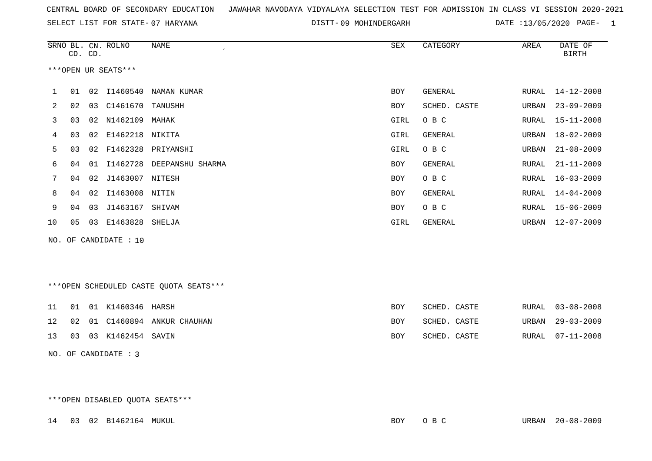SELECT LIST FOR STATE- DISTT- 07 HARYANA

DISTT-09 MOHINDERGARH DATE :13/05/2020 PAGE- 1

|    |    |         | SRNO BL. CN. ROLNO    | NAME<br>$\mathcal{L}_{\mathcal{A}}$ | SEX        | CATEGORY     | AREA  | DATE OF          |
|----|----|---------|-----------------------|-------------------------------------|------------|--------------|-------|------------------|
|    |    | CD. CD. |                       |                                     |            |              |       | <b>BIRTH</b>     |
|    |    |         | ***OPEN UR SEATS***   |                                     |            |              |       |                  |
|    |    |         |                       |                                     |            |              |       |                  |
|    | 01 | 02      | I1460540              | NAMAN KUMAR                         | <b>BOY</b> | GENERAL      | RURAL | 14-12-2008       |
| 2  | 02 | 03      | C1461670              | TANUSHH                             | BOY        | SCHED. CASTE | URBAN | $23 - 09 - 2009$ |
| 3  | 03 | 02      | N1462109              | MAHAK                               | GIRL       | O B C        | RURAL | $15 - 11 - 2008$ |
| 4  | 03 | 02      | E1462218              | NIKITA                              | GIRL       | GENERAL      | URBAN | $18 - 02 - 2009$ |
| 5. | 03 | 02      | F1462328              | PRIYANSHI                           | GIRL       | O B C        | URBAN | $21 - 08 - 2009$ |
| 6  | 04 | 01      | I1462728              | DEEPANSHU SHARMA                    | BOY        | GENERAL      | RURAL | $21 - 11 - 2009$ |
|    | 04 | 02      | J1463007              | NITESH                              | BOY        | O B C        | RURAL | $16 - 03 - 2009$ |
| 8  | 04 | 02      | I1463008              | NITIN                               | BOY        | GENERAL      | RURAL | $14 - 04 - 2009$ |
| 9  | 04 | 03      | J1463167              | SHIVAM                              | BOY        | O B C        | RURAL | 15-06-2009       |
| 10 | 05 | 03      | E1463828              | SHELJA                              | GIRL       | GENERAL      | URBAN | $12 - 07 - 2009$ |
|    |    |         | NO. OF CANDIDATE : 10 |                                     |            |              |       |                  |

\*\*\*OPEN SCHEDULED CASTE QUOTA SEATS\*\*\*

|  | 11   01   01   K1460346   HARSH |                                 | BOY | SCHED. CASTE | RURAL 03-08-2008 |
|--|---------------------------------|---------------------------------|-----|--------------|------------------|
|  |                                 | 12 02 01 C1460894 ANKUR CHAUHAN | BOY | SCHED. CASTE | URBAN 29-03-2009 |
|  | 13 03 03 K1462454 SAVIN         |                                 | BOY | SCHED. CASTE | RURAL 07-11-2008 |

NO. OF CANDIDATE : 3

\*\*\*OPEN DISABLED QUOTA SEATS\*\*\*

14 03 02 B1462164 MUKUL BOY O B C URBAN 20-08-2009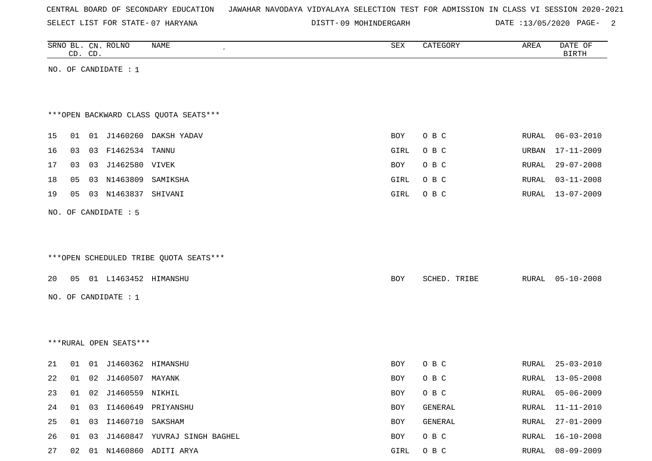SELECT LIST FOR STATE- DISTT- 07 HARYANA

DISTT-09 MOHINDERGARH DATE :13/05/2020 PAGE- 2

|    |                      | CD. CD. | SRNO BL. CN. ROLNO     | NAME<br>$\cdot$                        | ${\tt SEX}$ | CATEGORY     | AREA  | DATE OF<br><b>BIRTH</b> |  |  |  |
|----|----------------------|---------|------------------------|----------------------------------------|-------------|--------------|-------|-------------------------|--|--|--|
|    |                      |         | NO. OF CANDIDATE : $1$ |                                        |             |              |       |                         |  |  |  |
|    |                      |         |                        |                                        |             |              |       |                         |  |  |  |
|    |                      |         |                        |                                        |             |              |       |                         |  |  |  |
|    |                      |         |                        | *** OPEN BACKWARD CLASS QUOTA SEATS*** |             |              |       |                         |  |  |  |
| 15 | 01                   |         |                        | 01 J1460260 DAKSH YADAV                | BOY         | O B C        | RURAL | $06 - 03 - 2010$        |  |  |  |
| 16 | 03                   |         | 03 F1462534 TANNU      |                                        | GIRL        | O B C        | URBAN | 17-11-2009              |  |  |  |
| 17 | 03                   |         | 03 J1462580 VIVEK      |                                        | BOY         | O B C        | RURAL | $29 - 07 - 2008$        |  |  |  |
| 18 | 05                   |         | 03 N1463809 SAMIKSHA   |                                        | GIRL        | O B C        | RURAL | $03 - 11 - 2008$        |  |  |  |
| 19 | 05                   |         | 03 N1463837 SHIVANI    |                                        | GIRL        | O B C        | RURAL | $13 - 07 - 2009$        |  |  |  |
|    | NO. OF CANDIDATE : 5 |         |                        |                                        |             |              |       |                         |  |  |  |
|    |                      |         |                        |                                        |             |              |       |                         |  |  |  |
|    |                      |         |                        |                                        |             |              |       |                         |  |  |  |
|    |                      |         |                        | ***OPEN SCHEDULED TRIBE QUOTA SEATS*** |             |              |       |                         |  |  |  |
| 20 | 05                   |         | 01 L1463452 HIMANSHU   |                                        | <b>BOY</b>  | SCHED. TRIBE |       | RURAL 05-10-2008        |  |  |  |
|    |                      |         |                        |                                        |             |              |       |                         |  |  |  |
|    |                      |         | NO. OF CANDIDATE : 1   |                                        |             |              |       |                         |  |  |  |
|    |                      |         |                        |                                        |             |              |       |                         |  |  |  |
|    |                      |         |                        |                                        |             |              |       |                         |  |  |  |
|    |                      |         | ***RURAL OPEN SEATS*** |                                        |             |              |       |                         |  |  |  |
| 21 | 01                   |         | 01 J1460362 HIMANSHU   |                                        | <b>BOY</b>  | O B C        | RURAL | $25 - 03 - 2010$        |  |  |  |
| 22 | 01                   |         | 02 J1460507 MAYANK     |                                        | BOY         | O B C        | RURAL | $13 - 05 - 2008$        |  |  |  |
| 23 |                      |         | 01 02 J1460559 NIKHIL  |                                        | BOY         | O B C        |       | RURAL 05-06-2009        |  |  |  |
| 24 |                      |         |                        | 01  03  11460649  PRIYANSHU            | BOY         | GENERAL      | RURAL | 11-11-2010              |  |  |  |
| 25 |                      |         | 01 03 I1460710 SAKSHAM |                                        | BOY         | GENERAL      | RURAL | $27 - 01 - 2009$        |  |  |  |
| 26 |                      |         |                        | 01 03 J1460847 YUVRAJ SINGH BAGHEL     | BOY         | O B C        | RURAL | $16 - 10 - 2008$        |  |  |  |
| 27 |                      |         |                        | 02 01 N1460860 ADITI ARYA              | GIRL        | O B C        | RURAL | $08 - 09 - 2009$        |  |  |  |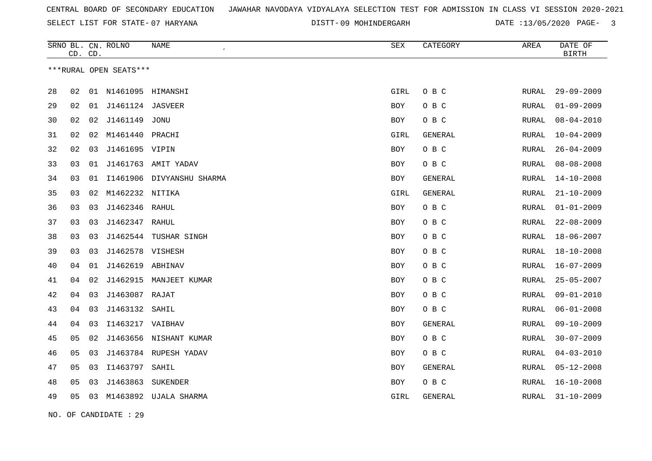SELECT LIST FOR STATE- DISTT- 07 HARYANA

09 MOHINDERGARH DATE :13/05/2020 PAGE- 3

|    | CD. CD. |    | SRNO BL. CN. ROLNO     | <b>NAME</b>               | <b>SEX</b> | CATEGORY       | AREA         | DATE OF<br><b>BIRTH</b> |
|----|---------|----|------------------------|---------------------------|------------|----------------|--------------|-------------------------|
|    |         |    | ***RURAL OPEN SEATS*** |                           |            |                |              |                         |
| 28 | 02      |    | 01 N1461095            | HIMANSHI                  | GIRL       | O B C          | RURAL        | $29 - 09 - 2009$        |
| 29 | 02      | 01 | J1461124 JASVEER       |                           | BOY        | O B C          | RURAL        | $01 - 09 - 2009$        |
| 30 | 02      | 02 | J1461149               | <b>JONU</b>               | <b>BOY</b> | O B C          | <b>RURAL</b> | $08 - 04 - 2010$        |
| 31 | 02      | 02 | M1461440 PRACHI        |                           | GIRL       | GENERAL        | RURAL        | $10 - 04 - 2009$        |
| 32 | 02      | 03 | J1461695 VIPIN         |                           | <b>BOY</b> | $O$ B $C$      | RURAL        | $26 - 04 - 2009$        |
| 33 | 03      | 01 |                        | J1461763 AMIT YADAV       | BOY        | O B C          | RURAL        | $08 - 08 - 2008$        |
| 34 | 03      | 01 |                        | I1461906 DIVYANSHU SHARMA | <b>BOY</b> | <b>GENERAL</b> | RURAL        | $14 - 10 - 2008$        |
| 35 | 03      | 02 | M1462232 NITIKA        |                           | GIRL       | GENERAL        | RURAL        | $21 - 10 - 2009$        |
| 36 | 03      | 03 | J1462346 RAHUL         |                           | <b>BOY</b> | O B C          | RURAL        | $01 - 01 - 2009$        |
| 37 | 03      | 03 | J1462347 RAHUL         |                           | BOY        | O B C          | RURAL        | $22 - 08 - 2009$        |
| 38 | 03      | 03 | J1462544               | TUSHAR SINGH              | <b>BOY</b> | O B C          | <b>RURAL</b> | $18 - 06 - 2007$        |
| 39 | 03      | 03 | J1462578 VISHESH       |                           | BOY        | O B C          | RURAL        | $18 - 10 - 2008$        |
| 40 | 04      | 01 | J1462619 ABHINAV       |                           | BOY        | O B C          | RURAL        | $16 - 07 - 2009$        |
| 41 | 04      | 02 |                        | J1462915 MANJEET KUMAR    | BOY        | O B C          | RURAL        | $25 - 05 - 2007$        |
| 42 | 04      | 03 | J1463087 RAJAT         |                           | <b>BOY</b> | O B C          | <b>RURAL</b> | $09 - 01 - 2010$        |
| 43 | 04      | 03 | J1463132 SAHIL         |                           | BOY        | O B C          | RURAL        | $06 - 01 - 2008$        |
| 44 | 04      | 03 | I1463217 VAIBHAV       |                           | <b>BOY</b> | GENERAL        | RURAL        | $09 - 10 - 2009$        |
| 45 | 05      | 02 |                        | J1463656 NISHANT KUMAR    | BOY        | O B C          | RURAL        | $30 - 07 - 2009$        |
| 46 | 05      | 03 |                        | J1463784 RUPESH YADAV     | <b>BOY</b> | O B C          | RURAL        | $04 - 03 - 2010$        |
| 47 | 05      | 03 | I1463797               | SAHIL                     | BOY        | GENERAL        | RURAL        | $05 - 12 - 2008$        |
| 48 | 05      | 03 | J1463863               | SUKENDER                  | <b>BOY</b> | O B C          | <b>RURAL</b> | $16 - 10 - 2008$        |
| 49 | 05      | 03 |                        | M1463892 UJALA SHARMA     | GIRL       | GENERAL        | RURAL        | $31 - 10 - 2009$        |

NO. OF CANDIDATE : 29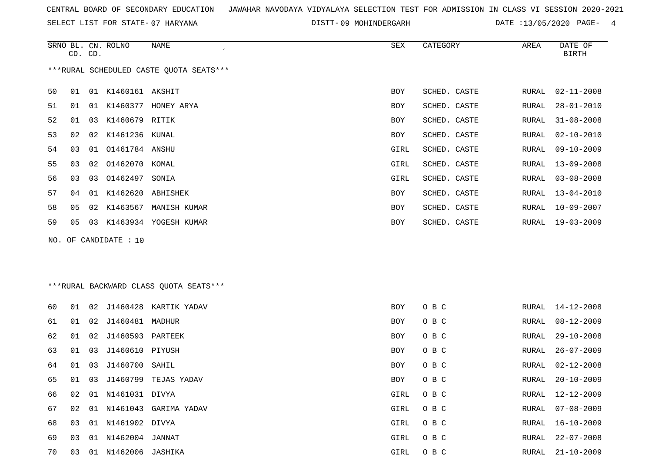SELECT LIST FOR STATE- DISTT- 07 HARYANA

DISTT-09 MOHINDERGARH DATE :13/05/2020 PAGE- 4

|    |    | CD. CD. | SRNO BL. CN. ROLNO    | NAME<br>$\epsilon$                      | <b>SEX</b> | CATEGORY     | AREA  | DATE OF<br><b>BIRTH</b> |
|----|----|---------|-----------------------|-----------------------------------------|------------|--------------|-------|-------------------------|
|    |    |         |                       | ***RURAL SCHEDULED CASTE QUOTA SEATS*** |            |              |       |                         |
| 50 |    |         | 01 01 K1460161 AKSHIT |                                         | <b>BOY</b> | SCHED. CASTE | RURAL | $02 - 11 - 2008$        |
| 51 | 01 |         |                       | 01 K1460377 HONEY ARYA                  | <b>BOY</b> | SCHED. CASTE | RURAL | $28 - 01 - 2010$        |
| 52 | 01 |         | 03 K1460679 RITIK     |                                         | <b>BOY</b> | SCHED. CASTE | RURAL | $31 - 08 - 2008$        |
| 53 | 02 | 02      | K1461236 KUNAL        |                                         | BOY        | SCHED. CASTE | RURAL | $02 - 10 - 2010$        |
| 54 | 03 |         | 01  01461784  ANSHU   |                                         | GIRL       | SCHED. CASTE | RURAL | $09 - 10 - 2009$        |
| 55 | 03 |         | 02 01462070 KOMAL     |                                         | GIRL       | SCHED. CASTE | RURAL | $13 - 09 - 2008$        |
| 56 | 03 |         | 03 01462497           | SONIA                                   | GIRL       | SCHED. CASTE | RURAL | $03 - 08 - 2008$        |
| 57 | 04 |         | 01 K1462620 ABHISHEK  |                                         | <b>BOY</b> | SCHED. CASTE | RURAL | $13 - 04 - 2010$        |
| 58 | 05 | 02      | K1463567              | MANISH KUMAR                            | BOY        | SCHED. CASTE | RURAL | $10 - 09 - 2007$        |
| 59 | 05 |         |                       | 03 K1463934 YOGESH KUMAR                | BOY        | SCHED. CASTE | RURAL | $19 - 03 - 2009$        |
|    |    |         | NO. OF CANDIDATE : 10 |                                         |            |              |       |                         |
|    |    |         |                       |                                         |            |              |       |                         |
|    |    |         |                       |                                         |            |              |       |                         |
|    |    |         |                       | *** RURAL BACKWARD CLASS QUOTA SEATS*** |            |              |       |                         |
| 60 | 01 |         |                       | 02 J1460428 KARTIK YADAV                | <b>BOY</b> | O B C        | RURAL | $14 - 12 - 2008$        |
| 61 | 01 |         | 02 J1460481 MADHUR    |                                         | <b>BOY</b> | O B C        | RURAL | $08 - 12 - 2009$        |
| 62 | 01 |         | 02 J1460593 PARTEEK   |                                         | <b>BOY</b> | O B C        | RURAL | $29 - 10 - 2008$        |
| 63 | 01 | 03      | J1460610 PIYUSH       |                                         | <b>BOY</b> | O B C        | RURAL | $26 - 07 - 2009$        |
| 64 | 01 |         | 03 J1460700 SAHIL     |                                         | <b>BOY</b> | O B C        | RURAL | $02 - 12 - 2008$        |

|  |  | 65 01 03 J1460799 TEJAS YADAV | BOY |  | RURAL 20-10-2009 |
|--|--|-------------------------------|-----|--|------------------|
|  |  |                               |     |  |                  |

66 02 01 N1461031 DIVYA GIRL O B C RURAL 12-12-2009

67 02 01 N1461043 GARIMA YADAV **GIRL O B C** 

68 03 01 N1461902 DIVYA GIRL O B C

69 03 01 N1462004 JANNAT GIRL O B C RURAL 22-07-2008

70 03 01 N1462006 JASHIKA GIRL O B C RURAL 21-10-2009

RURAL 07-08-2009 RURAL 16-10-2009 RURAL 22-07-2008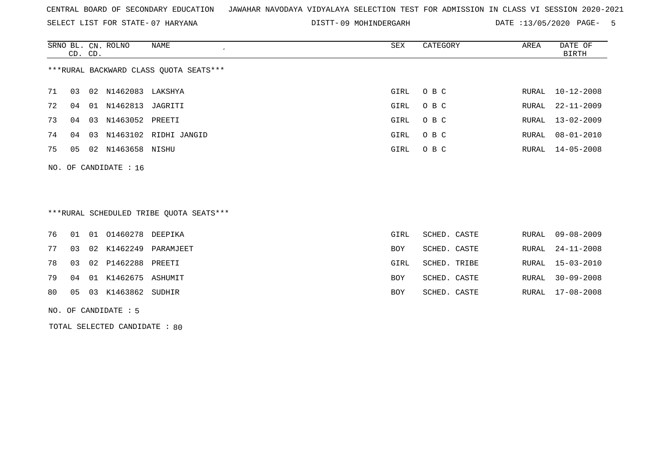SELECT LIST FOR STATE- DISTT- 07 HARYANA

DISTT-09 MOHINDERGARH DATE :13/05/2020 PAGE- 5

|                                        | CD. CD. |    | SRNO BL. CN. ROLNO  | NAME<br>$\overline{ }$ | SEX  | CATEGORY | AREA  | DATE OF<br>BIRTH |  |  |
|----------------------------------------|---------|----|---------------------|------------------------|------|----------|-------|------------------|--|--|
| ***RURAL BACKWARD CLASS OUOTA SEATS*** |         |    |                     |                        |      |          |       |                  |  |  |
| 71                                     | 03      |    | 02 N1462083 LAKSHYA |                        | GIRL | O B C    |       | RURAL 10-12-2008 |  |  |
| 72                                     | 04      | 01 | N1462813 JAGRITI    |                        | GIRL | O B C    |       | RURAL 22-11-2009 |  |  |
| 73                                     | 04      | 03 | N1463052 PREETI     |                        | GIRL | O B C    |       | RURAL 13-02-2009 |  |  |
| 74                                     | 04      | 03 |                     | N1463102 RIDHI JANGID  | GIRL | O B C    | RURAL | 08-01-2010       |  |  |
| 75                                     | 05      |    | 02 N1463658 NISHU   |                        | GIRL | O B C    |       | RURAL 14-05-2008 |  |  |
|                                        |         |    |                     |                        |      |          |       |                  |  |  |

NO. OF CANDIDATE : 16

# \*\*\*RURAL SCHEDULED TRIBE QUOTA SEATS\*\*\*

|    |  | 76 01 01 01460278 DEEPIKA    |                          | GIRL       | SCHED. CASTE | RURAL 09-08-2009 |
|----|--|------------------------------|--------------------------|------------|--------------|------------------|
| 77 |  |                              | 03 02 K1462249 PARAMJEET | BOY        | SCHED. CASTE | RURAL 24-11-2008 |
|    |  | 78 03 02 P1462288 PREETI     |                          | GIRL       | SCHED. TRIBE | RURAL 15-03-2010 |
|    |  | 79 04 01 K1462675 ASHUMIT    |                          | <b>BOY</b> | SCHED. CASTE | RURAL 30-09-2008 |
|    |  | 80  05  03  K1463862  SUDHIR |                          | BOY        | SCHED. CASTE | RURAL 17-08-2008 |
|    |  |                              |                          |            |              |                  |

NO. OF CANDIDATE : 5

TOTAL SELECTED CANDIDATE : 80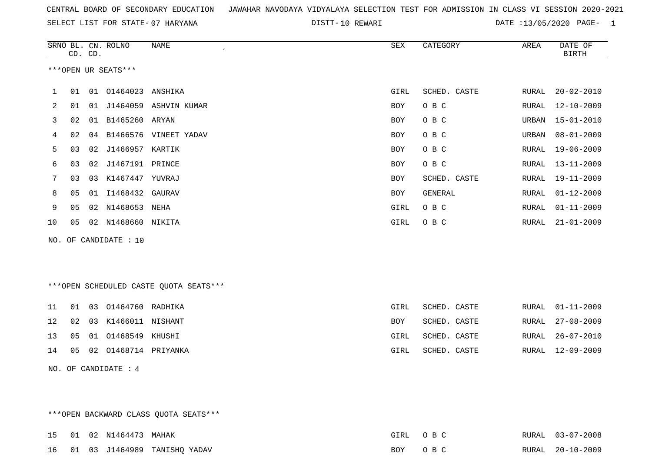SELECT LIST FOR STATE- DISTT- 07 HARYANA

DISTT-10 REWARI 2008 DATE :13/05/2020 PAGE- 1

|                     |                       | CD. CD. | SRNO BL. CN. ROLNO | NAME<br>$\epsilon$ | SEX  | CATEGORY       | AREA  | DATE OF<br>BIRTH |  |  |
|---------------------|-----------------------|---------|--------------------|--------------------|------|----------------|-------|------------------|--|--|
| ***OPEN UR SEATS*** |                       |         |                    |                    |      |                |       |                  |  |  |
|                     | 01                    | 01      | 01464023           | ANSHIKA            | GIRL | SCHED. CASTE   | RURAL | $20 - 02 - 2010$ |  |  |
| 2                   | 01                    | 01      | J1464059           | ASHVIN KUMAR       | BOY  | O B C          | RURAL | $12 - 10 - 2009$ |  |  |
| 3                   | 02                    | 01      | B1465260           | ARYAN              | BOY  | O B C          | URBAN | 15-01-2010       |  |  |
| 4                   | 02                    | 04      | B1466576           | VINEET YADAV       | BOY  | O B C          | URBAN | $08 - 01 - 2009$ |  |  |
| 5                   | 03                    | 02      | J1466957 KARTIK    |                    | BOY  | O B C          | RURAL | 19-06-2009       |  |  |
| 6                   | 03                    | 02      | J1467191           | PRINCE             | BOY  | O B C          | RURAL | $13 - 11 - 2009$ |  |  |
|                     | 03                    | 03      | K1467447           | YUVRAJ             | BOY  | SCHED. CASTE   | RURAL | 19-11-2009       |  |  |
| 8                   | 05                    | 01      | I1468432 GAURAV    |                    | BOY  | <b>GENERAL</b> | RURAL | $01 - 12 - 2009$ |  |  |
| 9                   | 05                    | 02      | N1468653           | NEHA               | GIRL | O B C          | RURAL | $01 - 11 - 2009$ |  |  |
| 10                  | 05                    | 02      | N1468660 NIKITA    |                    | GIRL | O B C          | RURAL | $21 - 01 - 2009$ |  |  |
|                     | NO. OF CANDIDATE : 10 |         |                    |                    |      |                |       |                  |  |  |

\*\*\*OPEN SCHEDULED CASTE QUOTA SEATS\*\*\*

|  | 11 01 03 01464760 RADHIKA    | GIRL | SCHED. CASTE |  | RURAL 01-11-2009 |
|--|------------------------------|------|--------------|--|------------------|
|  | 12 02 03 K1466011 NISHANT    | BOY  | SCHED. CASTE |  | RURAL 27-08-2009 |
|  | 13  05  01  01468549  KHUSHI | GIRL | SCHED. CASTE |  | RURAL 26-07-2010 |
|  | 14 05 02 01468714 PRIYANKA   | GIRL | SCHED. CASTE |  | RURAL 12-09-2009 |
|  |                              |      |              |  |                  |

NO. OF CANDIDATE : 4

\*\*\*OPEN BACKWARD CLASS QUOTA SEATS\*\*\*

|  | 15 01 02 N1464473 MAHAK |                                 | GIRL OBC | RURAL 03-07-2008 |
|--|-------------------------|---------------------------------|----------|------------------|
|  |                         | 16 01 03 J1464989 TANISHO YADAV | BOY OBC  | RURAL 20-10-2009 |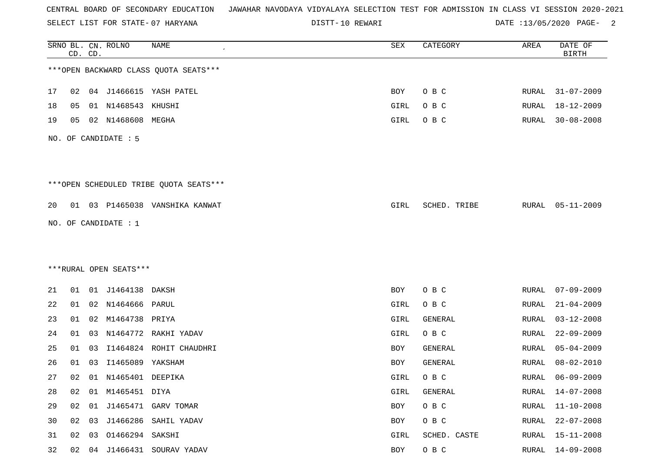SELECT LIST FOR STATE- DISTT- 07 HARYANA

DISTT-10 REWARI 2001 2002 DATE :13/05/2020 PAGE-

|    |    | CD. CD. | SRNO BL. CN. ROLNO     | <b>NAME</b>                            | SEX  | CATEGORY       | AREA         | DATE OF<br><b>BIRTH</b> |
|----|----|---------|------------------------|----------------------------------------|------|----------------|--------------|-------------------------|
|    |    |         |                        | *** OPEN BACKWARD CLASS QUOTA SEATS*** |      |                |              |                         |
| 17 | 02 |         |                        | 04 J1466615 YASH PATEL                 | BOY  | O B C          | RURAL        | $31 - 07 - 2009$        |
| 18 | 05 |         | 01 N1468543 KHUSHI     |                                        | GIRL | O B C          | RURAL        | $18 - 12 - 2009$        |
| 19 | 05 |         | 02 N1468608 MEGHA      |                                        | GIRL | O B C          | RURAL        | $30 - 08 - 2008$        |
|    |    |         | NO. OF CANDIDATE : 5   |                                        |      |                |              |                         |
|    |    |         |                        | ***OPEN SCHEDULED TRIBE QUOTA SEATS*** |      |                |              |                         |
| 20 |    |         |                        | 01 03 P1465038 VANSHIKA KANWAT         | GIRL | SCHED. TRIBE   | RURAL        | $05 - 11 - 2009$        |
|    |    |         | NO. OF CANDIDATE : 1   |                                        |      |                |              |                         |
|    |    |         |                        |                                        |      |                |              |                         |
|    |    |         |                        |                                        |      |                |              |                         |
|    |    |         | ***RURAL OPEN SEATS*** |                                        |      |                |              |                         |
| 21 |    |         | 01 01 J1464138 DAKSH   |                                        | BOY  | O B C          | RURAL        | $07 - 09 - 2009$        |
| 22 | 01 |         | 02 N1464666 PARUL      |                                        | GIRL | O B C          | RURAL        | $21 - 04 - 2009$        |
| 23 | 01 |         | 02 M1464738 PRIYA      |                                        | GIRL | GENERAL        | RURAL        | $03 - 12 - 2008$        |
| 24 | 01 | 03      | N1464772               | RAKHI YADAV                            | GIRL | O B C          | RURAL        | $22 - 09 - 2009$        |
| 25 | 01 | 03      |                        | I1464824 ROHIT CHAUDHRI                | BOY  | <b>GENERAL</b> | RURAL        | 05-04-2009              |
| 26 | 01 | 03      | I1465089 YAKSHAM       |                                        | BOY  | GENERAL        | RURAL        | $08 - 02 - 2010$        |
| 27 | 02 |         | 01 N1465401 DEEPIKA    |                                        | GIRL | O B C          | RURAL        | $06 - 09 - 2009$        |
| 28 | 02 |         | 01 M1465451 DIYA       |                                        | GIRL | GENERAL        | RURAL        | $14 - 07 - 2008$        |
| 29 | 02 |         |                        | 01 J1465471 GARV TOMAR                 | BOY  | O B C          | <b>RURAL</b> | $11 - 10 - 2008$        |
| 30 | 02 |         |                        | 03 J1466286 SAHIL YADAV                | BOY  | O B C          | <b>RURAL</b> | $22 - 07 - 2008$        |
| 31 | 02 |         | 03 01466294 SAKSHI     |                                        | GIRL | SCHED. CASTE   | RURAL        | $15 - 11 - 2008$        |
| 32 | 02 |         |                        | 04 J1466431 SOURAV YADAV               | BOY  | $O$ B $C$      | <b>RURAL</b> | $14 - 09 - 2008$        |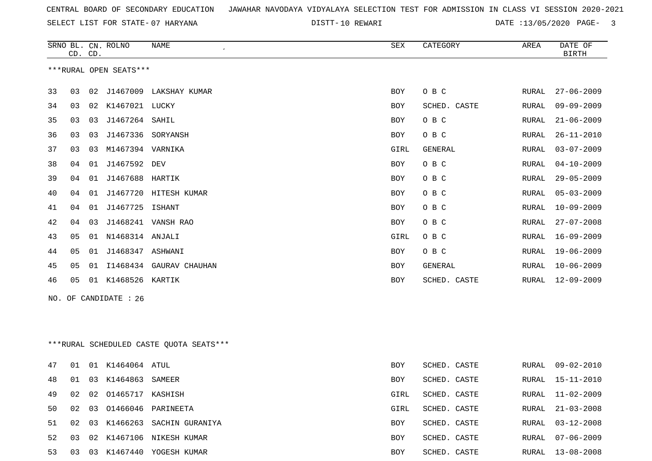SELECT LIST FOR STATE- DISTT- 07 HARYANA

10 REWARI DATE :13/05/2020 PAGE- 3

|    | CD. CD.                                 |    | SRNO BL. CN. ROLNO     | <b>NAME</b>                | SEX        | CATEGORY     | AREA         | DATE OF<br><b>BIRTH</b> |  |  |
|----|-----------------------------------------|----|------------------------|----------------------------|------------|--------------|--------------|-------------------------|--|--|
|    |                                         |    | ***RURAL OPEN SEATS*** |                            |            |              |              |                         |  |  |
| 33 | 03                                      |    |                        | 02 J1467009 LAKSHAY KUMAR  | <b>BOY</b> | O B C        | RURAL        | $27 - 06 - 2009$        |  |  |
| 34 | 03                                      |    | 02 K1467021 LUCKY      |                            | <b>BOY</b> | SCHED. CASTE | RURAL        | $09 - 09 - 2009$        |  |  |
| 35 | 03                                      | 03 | J1467264 SAHIL         |                            | BOY        | O B C        | RURAL        | $21 - 06 - 2009$        |  |  |
| 36 | 03                                      | 03 | J1467336 SORYANSH      |                            | BOY        | O B C        | RURAL        | $26 - 11 - 2010$        |  |  |
| 37 | 03                                      | 03 | M1467394 VARNIKA       |                            | GIRL       | GENERAL      | RURAL        | $03 - 07 - 2009$        |  |  |
| 38 | 04                                      |    | 01 J1467592 DEV        |                            | <b>BOY</b> | O B C        | RURAL        | $04 - 10 - 2009$        |  |  |
| 39 | 04                                      |    | 01 J1467688 HARTIK     |                            | BOY        | O B C        | RURAL        | $29 - 05 - 2009$        |  |  |
| 40 | 04                                      |    |                        | 01 J1467720 HITESH KUMAR   | BOY        | O B C        | RURAL        | $05 - 03 - 2009$        |  |  |
| 41 | 04                                      |    | 01 J1467725 ISHANT     |                            | BOY        | O B C        | <b>RURAL</b> | $10 - 09 - 2009$        |  |  |
| 42 | 04                                      |    |                        | 03 J1468241 VANSH RAO      | BOY        | O B C        | RURAL        | $27 - 07 - 2008$        |  |  |
| 43 | 05                                      |    | 01 N1468314 ANJALI     |                            | GIRL       | O B C        | RURAL        | $16 - 09 - 2009$        |  |  |
| 44 | 05                                      |    | 01 J1468347 ASHWANI    |                            | <b>BOY</b> | O B C        | RURAL        | $19 - 06 - 2009$        |  |  |
| 45 | 05                                      |    |                        | 01 I1468434 GAURAV CHAUHAN | BOY        | GENERAL      | RURAL        | $10 - 06 - 2009$        |  |  |
| 46 | 05                                      |    | 01 K1468526 KARTIK     |                            | BOY        | SCHED. CASTE | RURAL        | $12 - 09 - 2009$        |  |  |
|    |                                         |    | NO. OF CANDIDATE : 26  |                            |            |              |              |                         |  |  |
|    |                                         |    |                        |                            |            |              |              |                         |  |  |
|    |                                         |    |                        |                            |            |              |              |                         |  |  |
|    | ***RURAL SCHEDULED CASTE QUOTA SEATS*** |    |                        |                            |            |              |              |                         |  |  |
| 47 | 01                                      |    | 01 K1464064 ATUL       |                            | BOY        | SCHED. CASTE |              | RURAL 09-02-2010        |  |  |
| 48 | 01                                      |    | 03 K1464863 SAMEER     |                            | <b>BOY</b> | SCHED. CASTE | RURAL        | 15-11-2010              |  |  |

49 02 02 01465717 KASHISH

50 02 03 01466046 PARINEETA

51 02 03 K1466263 SACHIN GURANIYA

52 03 02 K1467106 NIKESH KUMAR 53 03 03 K1467440 YOGESH KUMAR

| BOY  | SCHED. CASTE |       |         | RURAL 15-11-2010 |
|------|--------------|-------|---------|------------------|
| GTRL | SCHED. CASTE |       |         | RURAL 11-02-2009 |
| GTRL | SCHED. CASTE |       |         | RURAL 21-03-2008 |
| BOY  | SCHED, CASTE |       |         | RURAL 03-12-2008 |
| BOY  | SCHED. CASTE |       | RURAL,  | $07 - 06 - 2009$ |
| BOY  | SCHED.       | CASTE | RIJRAJ, | 13-08-2008       |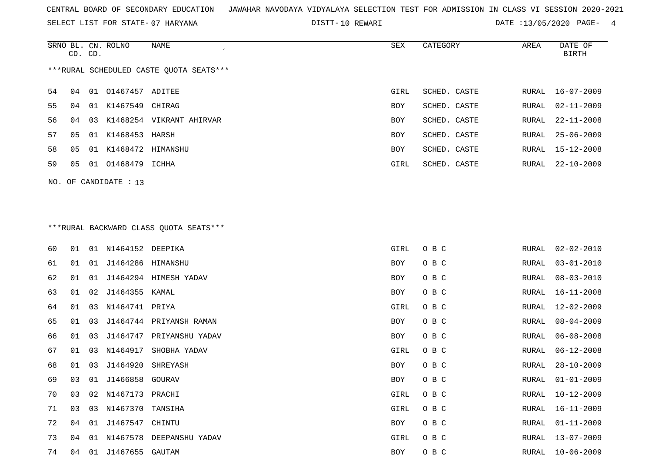SELECT LIST FOR STATE- DISTT- 07 HARYANA

DISTT-10 REWARI **DATE** :13/05/2020 PAGE- 4

|                                         |         |    | SRNO BL. CN. ROLNO | NAME<br>$\epsilon$          | SEX        | CATEGORY     | AREA  | DATE OF          |
|-----------------------------------------|---------|----|--------------------|-----------------------------|------------|--------------|-------|------------------|
|                                         | CD. CD. |    |                    |                             |            |              |       | BIRTH            |
| ***RURAL SCHEDULED CASTE OUOTA SEATS*** |         |    |                    |                             |            |              |       |                  |
| 54                                      | 04      |    | 01 01467457 ADITEE |                             | GIRL       | SCHED. CASTE | RURAL | $16 - 07 - 2009$ |
| 55                                      | 04      |    | 01 K1467549 CHIRAG |                             | <b>BOY</b> | SCHED. CASTE | RURAL | $02 - 11 - 2009$ |
| 56.                                     | በ 4     |    |                    | 03 K1468254 VIKRANT AHIRVAR | <b>BOY</b> | SCHED. CASTE | RURAL | $22 - 11 - 2008$ |
| 57                                      | 05      |    | 01 K1468453 HARSH  |                             | <b>BOY</b> | SCHED. CASTE | RURAL | $25 - 06 - 2009$ |
| 58                                      | 05      | 01 | K1468472           | HIMANSHU                    | <b>BOY</b> | SCHED. CASTE | RURAL | 15-12-2008       |
| 59                                      | 05      | 01 | 01468479           | ICHHA                       | GIRL       | SCHED. CASTE | RURAL | 22-10-2009       |
|                                         |         |    |                    |                             |            |              |       |                  |

# \*\*\*RURAL BACKWARD CLASS QUOTA SEATS\*\*\*

NO. OF CANDIDATE : 13

| 60 | 01 | 01 | N1464152 DEEPIKA  |                         | GIRL | O B C | RURAL | $02 - 02 - 2010$ |
|----|----|----|-------------------|-------------------------|------|-------|-------|------------------|
| 61 | 01 | 01 | J1464286 HIMANSHU |                         | BOY  | O B C | RURAL | $03 - 01 - 2010$ |
| 62 | 01 | 01 |                   | J1464294 HIMESH YADAV   | BOY  | O B C | RURAL | $08 - 03 - 2010$ |
| 63 | 01 | 02 | J1464355          | KAMAL                   | BOY  | O B C | RURAL | $16 - 11 - 2008$ |
| 64 | 01 | 03 | N1464741 PRIYA    |                         | GIRL | O B C | RURAL | $12 - 02 - 2009$ |
| 65 | 01 | 03 |                   | J1464744 PRIYANSH RAMAN | BOY  | O B C | RURAL | $08 - 04 - 2009$ |
| 66 | 01 | 03 | J1464747          | PRIYANSHU YADAV         | BOY  | O B C | RURAL | $06 - 08 - 2008$ |
| 67 | 01 | 03 | N1464917          | SHOBHA YADAV            | GIRL | O B C | RURAL | $06 - 12 - 2008$ |
| 68 | 01 | 03 | J1464920          | SHREYASH                | BOY  | O B C | RURAL | $28 - 10 - 2009$ |
| 69 | 03 | 01 | J1466858 GOURAV   |                         | BOY  | O B C | RURAL | $01 - 01 - 2009$ |
| 70 | 03 | 02 | N1467173 PRACHI   |                         | GIRL | O B C | RURAL | $10 - 12 - 2009$ |
| 71 | 03 | 03 | N1467370          | TANSIHA                 | GIRL | O B C | RURAL | 16-11-2009       |
| 72 | 04 | 01 | J1467547          | CHINTU                  | BOY  | O B C | RURAL | $01 - 11 - 2009$ |
| 73 | 04 | 01 | N1467578          | DEEPANSHU YADAV         | GIRL | O B C | RURAL | $13 - 07 - 2009$ |
| 74 | 04 | 01 | J1467655 GAUTAM   |                         | BOY  | O B C | RURAL | $10 - 06 - 2009$ |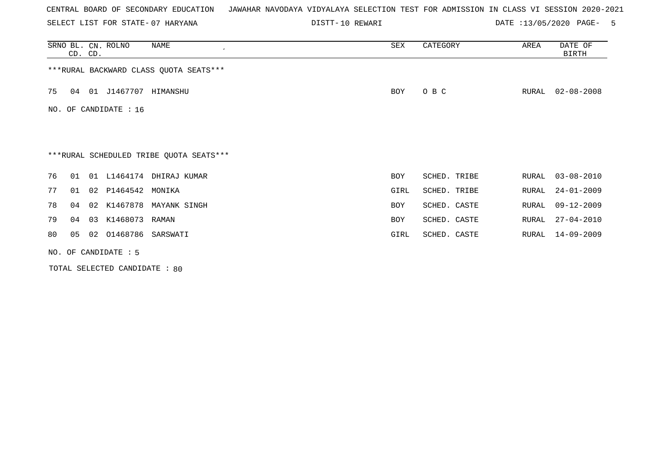SELECT LIST FOR STATE- DISTT- 07 HARYANA

DISTT-10 REWARI **DATE** :13/05/2020 PAGE- 5

|    | CD. CD.              | SRNO BL. CN. ROLNO    | NAME                                    | SEX        | CATEGORY     | AREA  | DATE OF<br><b>BIRTH</b> |  |  |  |
|----|----------------------|-----------------------|-----------------------------------------|------------|--------------|-------|-------------------------|--|--|--|
|    |                      |                       | *** RURAL BACKWARD CLASS QUOTA SEATS*** |            |              |       |                         |  |  |  |
| 75 | 04                   | 01 J1467707 HIMANSHU  |                                         | BOY        | O B C        | RURAL | $02 - 08 - 2008$        |  |  |  |
|    |                      | NO. OF CANDIDATE : 16 |                                         |            |              |       |                         |  |  |  |
|    |                      |                       |                                         |            |              |       |                         |  |  |  |
|    |                      |                       | ***RURAL SCHEDULED TRIBE QUOTA SEATS*** |            |              |       |                         |  |  |  |
| 76 | 01                   |                       | 01 L1464174 DHIRAJ KUMAR                | <b>BOY</b> | SCHED. TRIBE | RURAL | $03 - 08 - 2010$        |  |  |  |
| 77 | 01                   | 02 P1464542           | MONIKA                                  | GIRL       | SCHED. TRIBE | RURAL | $24 - 01 - 2009$        |  |  |  |
| 78 | 04                   |                       | 02 K1467878 MAYANK SINGH                | <b>BOY</b> | SCHED. CASTE | RURAL | $09 - 12 - 2009$        |  |  |  |
| 79 | 03<br>04             | K1468073 RAMAN        |                                         | <b>BOY</b> | SCHED. CASTE | RURAL | $27 - 04 - 2010$        |  |  |  |
| 80 | 05                   | 02                    | 01468786 SARSWATI                       | GIRL       | SCHED. CASTE | RURAL | $14 - 09 - 2009$        |  |  |  |
|    | NO. OF CANDIDATE : 5 |                       |                                         |            |              |       |                         |  |  |  |

TOTAL SELECTED CANDIDATE : 80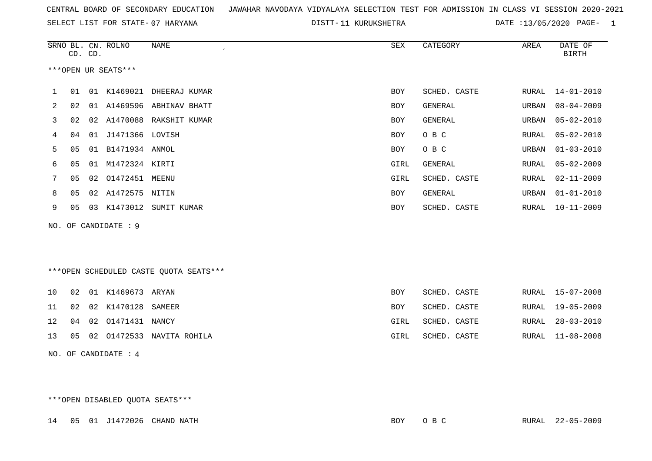SELECT LIST FOR STATE- DISTT- 07 HARYANA

DISTT-11 KURUKSHETRA DATE :13/05/2020 PAGE- 1

|    | CD. CD. |    | SRNO BL. CN. ROLNO   | <b>NAME</b>                            | ${\tt SEX}$ | CATEGORY     | AREA         | DATE OF<br><b>BIRTH</b> |
|----|---------|----|----------------------|----------------------------------------|-------------|--------------|--------------|-------------------------|
|    |         |    | ***OPEN UR SEATS***  |                                        |             |              |              |                         |
| 1  | 01      |    |                      | 01 K1469021 DHEERAJ KUMAR              | <b>BOY</b>  | SCHED. CASTE | RURAL        | $14 - 01 - 2010$        |
| 2  | 02      |    |                      | 01 A1469596 ABHINAV BHATT              | <b>BOY</b>  | GENERAL      | URBAN        | $08 - 04 - 2009$        |
| 3  | 02      |    |                      | 02 A1470088 RAKSHIT KUMAR              | <b>BOY</b>  | GENERAL      | URBAN        | $05 - 02 - 2010$        |
| 4  | 04      | 01 | J1471366 LOVISH      |                                        | <b>BOY</b>  | O B C        | <b>RURAL</b> | $05 - 02 - 2010$        |
| 5  | 05      | 01 | B1471934 ANMOL       |                                        | BOY         | O B C        | URBAN        | $01 - 03 - 2010$        |
| 6  | 05      |    | 01 M1472324 KIRTI    |                                        | GIRL        | GENERAL      | <b>RURAL</b> | $05 - 02 - 2009$        |
| 7  | 05      | 02 | 01472451 MEENU       |                                        | GIRL        | SCHED. CASTE | RURAL        | $02 - 11 - 2009$        |
| 8  | 05      |    | 02 A1472575 NITIN    |                                        | BOY         | GENERAL      | URBAN        | $01 - 01 - 2010$        |
| 9  | 05      |    |                      | 03 K1473012 SUMIT KUMAR                | <b>BOY</b>  | SCHED. CASTE | RURAL        | $10 - 11 - 2009$        |
|    |         |    | NO. OF CANDIDATE : 9 |                                        |             |              |              |                         |
|    |         |    |                      |                                        |             |              |              |                         |
|    |         |    |                      |                                        |             |              |              |                         |
|    |         |    |                      | ***OPEN SCHEDULED CASTE QUOTA SEATS*** |             |              |              |                         |
| 10 | 02      |    | 01 K1469673 ARYAN    |                                        | BOY         | SCHED. CASTE | RURAL        | $15 - 07 - 2008$        |
| 11 | 02      | 02 | K1470128             | SAMEER                                 | BOY         | SCHED. CASTE | RURAL        | $19 - 05 - 2009$        |
| 12 | 04      | 02 | 01471431             | NANCY                                  | GIRL        | SCHED. CASTE | RURAL        | $28 - 03 - 2010$        |
| 13 | 05      |    |                      | 02 01472533 NAVITA ROHILA              | GIRL        | SCHED. CASTE | RURAL        | $11 - 08 - 2008$        |
|    |         |    | NO. OF CANDIDATE : 4 |                                        |             |              |              |                         |

\*\*\*OPEN DISABLED QUOTA SEATS\*\*\*

14 05 01 J1472026 CHAND NATH BOY O B C RURAL 22-05-2009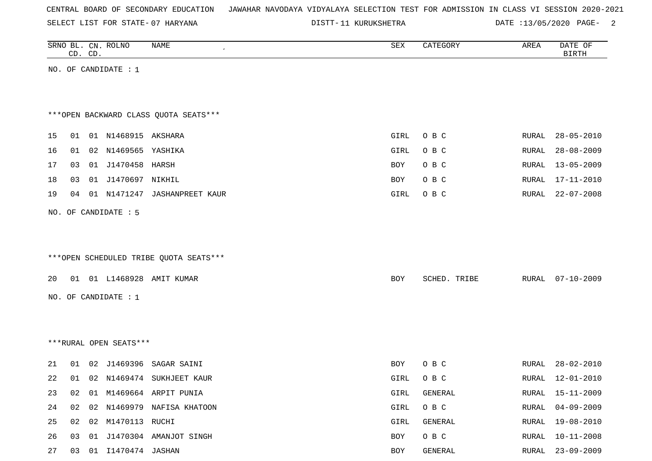SELECT LIST FOR STATE- DISTT- 07 HARYANA

DISTT-11 KURUKSHETRA DATE :13/05/2020 PAGE- 2

|    |    | CD. CD. | SRNO BL. CN. ROLNO     | NAME                                   | SEX  | CATEGORY     | AREA  | DATE OF<br><b>BIRTH</b> |
|----|----|---------|------------------------|----------------------------------------|------|--------------|-------|-------------------------|
|    |    |         | NO. OF CANDIDATE : 1   |                                        |      |              |       |                         |
|    |    |         |                        |                                        |      |              |       |                         |
|    |    |         |                        |                                        |      |              |       |                         |
|    |    |         |                        | *** OPEN BACKWARD CLASS QUOTA SEATS*** |      |              |       |                         |
| 15 | 01 |         | 01 N1468915 AKSHARA    |                                        | GIRL | O B C        | RURAL | $28 - 05 - 2010$        |
| 16 | 01 |         | 02 N1469565 YASHIKA    |                                        | GIRL | O B C        | RURAL | $28 - 08 - 2009$        |
| 17 | 03 |         | 01 J1470458 HARSH      |                                        | BOY  | O B C        | RURAL | $13 - 05 - 2009$        |
| 18 | 03 |         | 01 J1470697 NIKHIL     |                                        | BOY  | O B C        | RURAL | $17 - 11 - 2010$        |
| 19 | 04 |         |                        | 01 N1471247 JASHANPREET KAUR           | GIRL | O B C        | RURAL | $22 - 07 - 2008$        |
|    |    |         | NO. OF CANDIDATE : 5   |                                        |      |              |       |                         |
|    |    |         |                        |                                        |      |              |       |                         |
|    |    |         |                        |                                        |      |              |       |                         |
|    |    |         |                        | ***OPEN SCHEDULED TRIBE QUOTA SEATS*** |      |              |       |                         |
|    |    |         |                        |                                        |      |              |       |                         |
| 20 |    |         |                        | 01 01 L1468928 AMIT KUMAR              | BOY  | SCHED. TRIBE | RURAL | $07 - 10 - 2009$        |
|    |    |         | NO. OF CANDIDATE : $1$ |                                        |      |              |       |                         |
|    |    |         |                        |                                        |      |              |       |                         |
|    |    |         |                        |                                        |      |              |       |                         |
|    |    |         | ***RURAL OPEN SEATS*** |                                        |      |              |       |                         |
| 21 | 01 | 02      |                        | J1469396 SAGAR SAINI                   | BOY  | O B C        | RURAL | $28 - 02 - 2010$        |
| 22 | 01 |         |                        | 02 N1469474 SUKHJEET KAUR              | GIRL | O B C        | RURAL | $12 - 01 - 2010$        |
| 23 |    |         |                        | 02  01  M1469664  ARPIT PUNIA          | GIRL | GENERAL      | RURAL | 15-11-2009              |
| 24 | 02 |         |                        | 02 N1469979 NAFISA KHATOON             | GIRL | O B C        | RURAL | $04 - 09 - 2009$        |
| 25 |    |         | 02 02 M1470113 RUCHI   |                                        | GIRL | GENERAL      | RURAL | $19 - 08 - 2010$        |
| 26 | 03 |         |                        | 01 J1470304 AMANJOT SINGH              | BOY  | O B C        | RURAL | $10 - 11 - 2008$        |
| 27 | 03 |         | 01 I1470474 JASHAN     |                                        | BOY  | GENERAL      | RURAL | $23 - 09 - 2009$        |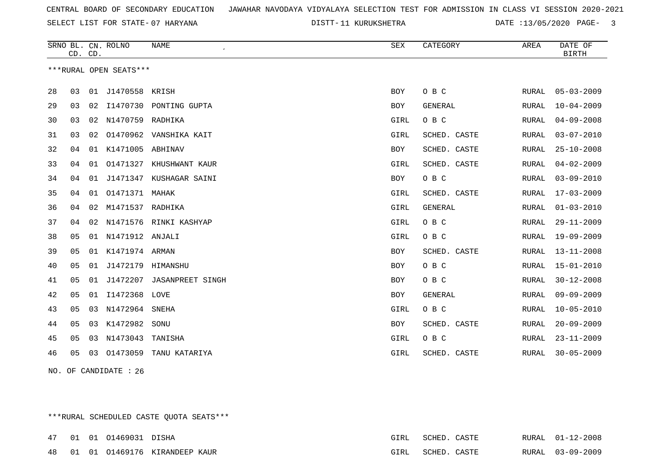SELECT LIST FOR STATE- DISTT- 07 HARYANA

DISTT-11 KURUKSHETRA DATE :13/05/2020 PAGE- 3

|    | CD. CD. |    | SRNO BL. CN. ROLNO     | <b>NAME</b>               | SEX        | CATEGORY     | AREA  | DATE OF<br><b>BIRTH</b> |
|----|---------|----|------------------------|---------------------------|------------|--------------|-------|-------------------------|
|    |         |    | ***RURAL OPEN SEATS*** |                           |            |              |       |                         |
| 28 | 03      | 01 | J1470558 KRISH         |                           | <b>BOY</b> | O B C        | RURAL | $05 - 03 - 2009$        |
| 29 | 03      |    |                        | 02 I1470730 PONTING GUPTA | <b>BOY</b> | GENERAL      | RURAL | $10 - 04 - 2009$        |
| 30 | 03      | 02 | N1470759 RADHIKA       |                           | GIRL       | O B C        | RURAL | $04 - 09 - 2008$        |
| 31 | 03      | 02 |                        | 01470962 VANSHIKA KAIT    | GIRL       | SCHED. CASTE | RURAL | $03 - 07 - 2010$        |
| 32 | 04      |    | 01 K1471005 ABHINAV    |                           | <b>BOY</b> | SCHED. CASTE | RURAL | $25 - 10 - 2008$        |
| 33 | 04      | 01 | 01471327               | KHUSHWANT KAUR            | GIRL       | SCHED. CASTE | RURAL | $04 - 02 - 2009$        |
| 34 | 04      | 01 | J1471347               | KUSHAGAR SAINI            | BOY        | O B C        | RURAL | $03 - 09 - 2010$        |
| 35 | 04      | 01 | 01471371 MAHAK         |                           | GIRL       | SCHED. CASTE | RURAL | $17 - 03 - 2009$        |
| 36 | 04      | 02 | M1471537 RADHIKA       |                           | GIRL       | GENERAL      | RURAL | $01 - 03 - 2010$        |
| 37 | 04      | 02 |                        | N1471576 RINKI KASHYAP    | GIRL       | O B C        | RURAL | $29 - 11 - 2009$        |
| 38 | 05      |    | 01 N1471912 ANJALI     |                           | GIRL       | O B C        | RURAL | $19 - 09 - 2009$        |
| 39 | 05      | 01 | K1471974 ARMAN         |                           | BOY        | SCHED. CASTE | RURAL | $13 - 11 - 2008$        |
| 40 | 05      | 01 | J1472179 HIMANSHU      |                           | <b>BOY</b> | O B C        | RURAL | $15 - 01 - 2010$        |
| 41 | 05      | 01 | J1472207               | <b>JASANPREET SINGH</b>   | <b>BOY</b> | O B C        | RURAL | $30 - 12 - 2008$        |
| 42 | 05      | 01 | I1472368 LOVE          |                           | BOY        | GENERAL      | RURAL | $09 - 09 - 2009$        |
| 43 | 05      | 03 | N1472964               | SNEHA                     | GIRL       | O B C        | RURAL | $10 - 05 - 2010$        |
| 44 | 05      | 03 | K1472982               | SONU                      | <b>BOY</b> | SCHED. CASTE | RURAL | $20 - 09 - 2009$        |
| 45 | 05      |    | 03 N1473043            | TANISHA                   | GIRL       | O B C        | RURAL | $23 - 11 - 2009$        |
| 46 | 05      | 03 | 01473059               | TANU KATARIYA             | GIRL       | SCHED. CASTE | RURAL | $30 - 05 - 2009$        |
|    |         |    |                        |                           |            |              |       |                         |

NO. OF CANDIDATE : 26

\*\*\*RURAL SCHEDULED CASTE QUOTA SEATS\*\*\*

|  | 47 01 01 01469031 DISHA |                                  | GIRL        | SCHED. | CASTE | RURAL 01-12-2008 |
|--|-------------------------|----------------------------------|-------------|--------|-------|------------------|
|  |                         | 48 01 01 01469176 KIRANDEEP KAUR | <b>GTRT</b> | SCHED. | CASTE | RURAL 03-09-2009 |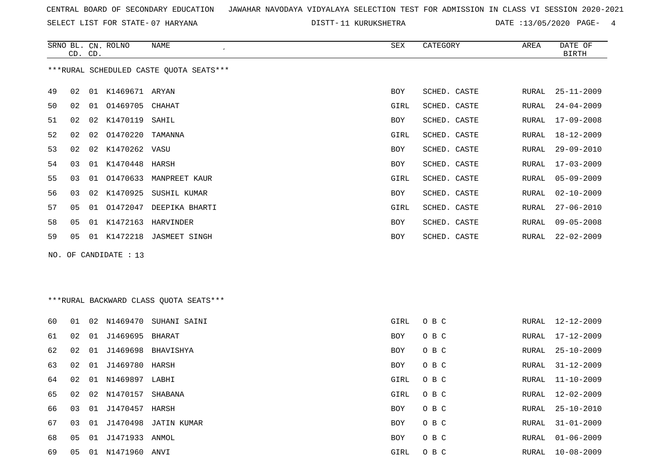SELECT LIST FOR STATE- DISTT- 07 HARYANA

DISTT-11 KURUKSHETRA DATE :13/05/2020 PAGE- 4

RURAL 11-10-2009

RURAL 31-01-2009

RURAL 01-06-2009

RURAL 12-02-2009

|    | CD. CD. |    | SRNO BL. CN. ROLNO    | <b>NAME</b>                             | SEX        | CATEGORY     | AREA  | DATE OF<br><b>BIRTH</b> |
|----|---------|----|-----------------------|-----------------------------------------|------------|--------------|-------|-------------------------|
|    |         |    |                       | ***RURAL SCHEDULED CASTE QUOTA SEATS*** |            |              |       |                         |
| 49 | 02      |    | 01 K1469671 ARYAN     |                                         | <b>BOY</b> | SCHED. CASTE | RURAL | $25 - 11 - 2009$        |
| 50 | 02      |    | 01 01469705 CHAHAT    |                                         | GIRL       | SCHED. CASTE | RURAL | $24 - 04 - 2009$        |
| 51 | 02      |    | 02 K1470119           | SAHIL                                   | <b>BOY</b> | SCHED. CASTE | RURAL | $17 - 09 - 2008$        |
| 52 | 02      |    | 02 01470220           | TAMANNA                                 | GIRL       | SCHED. CASTE | RURAL | $18 - 12 - 2009$        |
| 53 | 02      |    | 02 K1470262 VASU      |                                         | BOY        | SCHED. CASTE | RURAL | 29-09-2010              |
| 54 | 03      |    | 01 K1470448           | HARSH                                   | <b>BOY</b> | SCHED. CASTE | RURAL | $17 - 03 - 2009$        |
| 55 | 03      |    |                       | 01 01470633 MANPREET KAUR               | GIRL       | SCHED. CASTE | RURAL | $05 - 09 - 2009$        |
| 56 | 03      |    |                       | 02 K1470925 SUSHIL KUMAR                | <b>BOY</b> | SCHED. CASTE | RURAL | $02 - 10 - 2009$        |
| 57 | 05      |    | 01 01472047           | DEEPIKA BHARTI                          | GIRL       | SCHED. CASTE | RURAL | $27 - 06 - 2010$        |
| 58 | 05      |    | 01 K1472163           | HARVINDER                               | BOY        | SCHED. CASTE | RURAL | $09 - 05 - 2008$        |
| 59 | 05      |    |                       | 01 K1472218 JASMEET SINGH               | BOY        | SCHED. CASTE | RURAL | $22 - 02 - 2009$        |
|    |         |    | NO. OF CANDIDATE : 13 |                                         |            |              |       |                         |
|    |         |    |                       | ***RURAL BACKWARD CLASS OUOTA SEATS***  |            |              |       |                         |
| 60 | 01      |    | 02 N1469470           | SUHANI SAINI                            | GIRL       | O B C        |       | RURAL 12-12-2009        |
| 61 | 02      |    | 01 J1469695 BHARAT    |                                         | <b>BOY</b> | O B C        | RURAL | $17 - 12 - 2009$        |
| 62 | 02      | 01 | J1469698              | BHAVISHYA                               | <b>BOY</b> | O B C        | RURAL | $25 - 10 - 2009$        |
| 63 | 02      |    | 01 J1469780           | HARSH                                   | BOY        | O B C        | RURAL | $31 - 12 - 2009$        |

66 03 01 J1470457 HARSH BOY O B C RURAL 25-10-2010

69 05 01 N1471960 ANVI GIRL O B C RURAL 10-08-2009

64 02 01 N1469897 LABHI GIRL O B C

65 02 02 N1470157 SHABANA GIRL O B C

67 03 01 J1470498 JATIN KUMAR BOY O B C

68 05 01 J1471933 ANMOL BOY O B C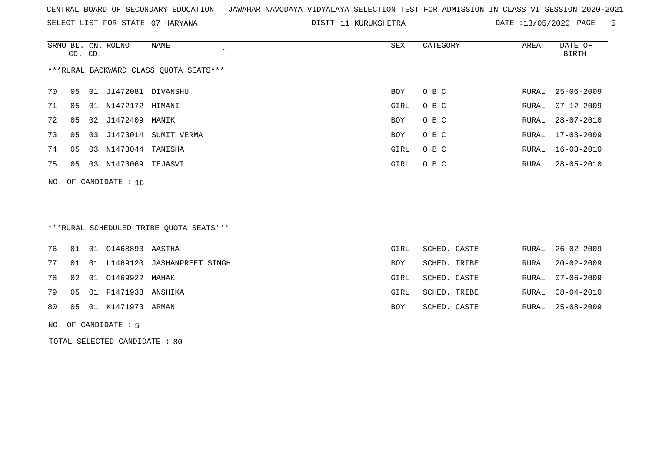SELECT LIST FOR STATE- DISTT- 07 HARYANA

DISTT-11 KURUKSHETRA DATE :13/05/2020 PAGE- 5

|                                        | CD. CD. |    | SRNO BL. CN. ROLNO | NAME        | SEX        | CATEGORY | AREA  | DATE OF<br>BIRTH |  |
|----------------------------------------|---------|----|--------------------|-------------|------------|----------|-------|------------------|--|
| ***RURAL BACKWARD CLASS OUOTA SEATS*** |         |    |                    |             |            |          |       |                  |  |
| 70                                     | 05      | 01 | J1472081           | DIVANSHU    | BOY        | O B C    |       | RURAL 25-06-2009 |  |
| 71                                     | 05      | 01 | N1472172 HIMANI    |             | GIRL       | O B C    | RURAL | $07 - 12 - 2009$ |  |
| 72                                     | 05      |    | 02 J1472409        | MANIK       | <b>BOY</b> | O B C    | RURAL | 28-07-2010       |  |
| 73                                     | 05      |    | 03 J1473014        | SUMIT VERMA | <b>BOY</b> | O B C    | RURAL | 17-03-2009       |  |
| 74                                     | 05      | 03 | N1473044 TANISHA   |             | GIRL       | O B C    | RURAL | 16-08-2010       |  |
| 75                                     | 05      | 03 | N1473069           | TEJASVI     | GIRL       | O B C    | RURAL | 28-05-2010       |  |
|                                        |         |    |                    |             |            |          |       |                  |  |

# \*\*\*RURAL SCHEDULED TRIBE QUOTA SEATS\*\*\*

|  | 76 01 01 01468893 AASTHA    |                                     | GIRL       | SCHED. CASTE |  | RURAL 26-02-2009 |
|--|-----------------------------|-------------------------------------|------------|--------------|--|------------------|
|  |                             | 77 01 01 L1469120 JASHANPREET SINGH | <b>BOY</b> | SCHED. TRIBE |  | RURAL 20-02-2009 |
|  | 78  02  01  01469922  MAHAK |                                     | GIRL       | SCHED. CASTE |  | RURAL 07-06-2009 |
|  | 79 05 01 P1471938 ANSHIKA   |                                     | GIRL       | SCHED. TRIBE |  | RURAL 08-04-2010 |
|  | 80  05  01  K1471973  ARMAN |                                     | BOY        | SCHED. CASTE |  | RURAL 25-08-2009 |
|  |                             |                                     |            |              |  |                  |

#### NO. OF CANDIDATE : 5

NO. OF CANDIDATE : 16

TOTAL SELECTED CANDIDATE : 80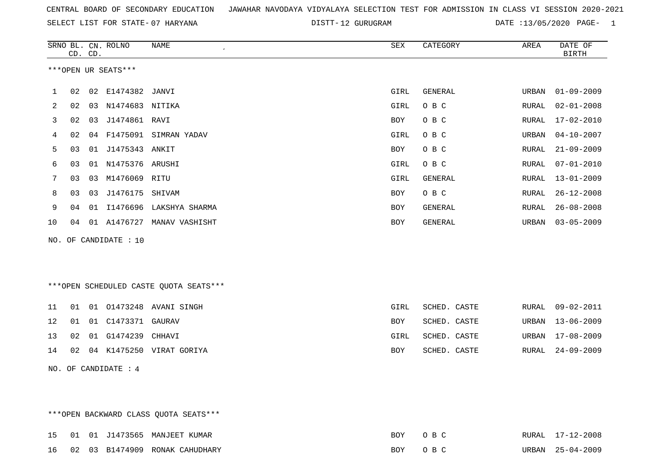SELECT LIST FOR STATE- DISTT- 07 HARYANA

12 GURUGRAM DATE :13/05/2020 PAGE- 1

|    |    | CD. CD. | SRNO BL. CN. ROLNO    | <b>NAME</b>                            | ${\tt SEX}$ | CATEGORY     | AREA  | DATE OF<br><b>BIRTH</b> |
|----|----|---------|-----------------------|----------------------------------------|-------------|--------------|-------|-------------------------|
|    |    |         | ***OPEN UR SEATS***   |                                        |             |              |       |                         |
| 1  | 02 | 02      | E1474382              | JANVI                                  | GIRL        | GENERAL      | URBAN | $01 - 09 - 2009$        |
| 2  | 02 | 03      | N1474683 NITIKA       |                                        | GIRL        | O B C        | RURAL | $02 - 01 - 2008$        |
| 3  | 02 | 03      | J1474861 RAVI         |                                        | <b>BOY</b>  | O B C        | RURAL | $17 - 02 - 2010$        |
| 4  | 02 | 04      |                       | F1475091 SIMRAN YADAV                  | GIRL        | O B C        | URBAN | $04 - 10 - 2007$        |
| 5  | 03 |         | 01 J1475343 ANKIT     |                                        | BOY         | O B C        | RURAL | $21 - 09 - 2009$        |
| 6  | 03 | 01      | N1475376 ARUSHI       |                                        | GIRL        | O B C        | RURAL | $07 - 01 - 2010$        |
| 7  | 03 |         | 03 M1476069 RITU      |                                        | GIRL        | GENERAL      | RURAL | $13 - 01 - 2009$        |
| 8  | 03 | 03      | J1476175              | SHIVAM                                 | <b>BOY</b>  | O B C        | RURAL | $26 - 12 - 2008$        |
| 9  | 04 | 01      | I1476696              | LAKSHYA SHARMA                         | BOY         | GENERAL      | RURAL | $26 - 08 - 2008$        |
| 10 | 04 |         |                       | 01 A1476727 MANAV VASHISHT             | BOY         | GENERAL      | URBAN | $03 - 05 - 2009$        |
|    |    |         | NO. OF CANDIDATE : 10 |                                        |             |              |       |                         |
|    |    |         |                       |                                        |             |              |       |                         |
|    |    |         |                       |                                        |             |              |       |                         |
|    |    |         |                       | ***OPEN SCHEDULED CASTE QUOTA SEATS*** |             |              |       |                         |
| 11 | 01 |         |                       | 01  01473248  AVANI SINGH              | GIRL        | SCHED. CASTE | RURAL | $09 - 02 - 2011$        |
| 12 | 01 |         | 01 C1473371 GAURAV    |                                        | <b>BOY</b>  | SCHED. CASTE | URBAN | $13 - 06 - 2009$        |
| 13 | 02 | 01      | G1474239              | CHHAVI                                 | GIRL        | SCHED. CASTE | URBAN | $17 - 08 - 2009$        |
| 14 | 02 |         |                       | 04 K1475250 VIRAT GORIYA               | BOY         | SCHED. CASTE | RURAL | $24 - 09 - 2009$        |
|    |    |         | NO. OF CANDIDATE : 4  |                                        |             |              |       |                         |

\*\*\*OPEN BACKWARD CLASS QUOTA SEATS\*\*\* 15 01 01 J1473565 MANJEET KUMAR BOY O B C RURAL 17-12-2008 16 02 03 B1474909 RONAK CAHUDHARY BOY O B C URBAN 25-04-2009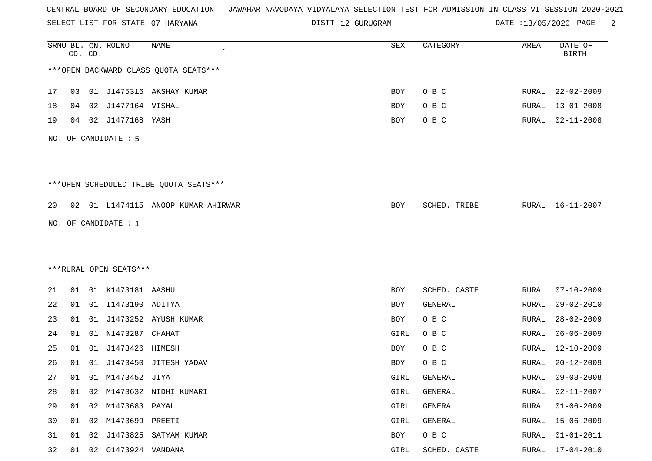SELECT LIST FOR STATE- DISTT- 07 HARYANA

DISTT-12 GURUGRAM DATE :13/05/2020 PAGE- 2

|    |    | CD. CD. | SRNO BL. CN. ROLNO     | NAME                                   | SEX  | CATEGORY     | AREA         | DATE OF<br><b>BIRTH</b> |
|----|----|---------|------------------------|----------------------------------------|------|--------------|--------------|-------------------------|
|    |    |         |                        | *** OPEN BACKWARD CLASS QUOTA SEATS*** |      |              |              |                         |
| 17 | 03 |         |                        | 01 J1475316 AKSHAY KUMAR               | BOY  | O B C        | RURAL        | $22 - 02 - 2009$        |
| 18 | 04 | 02      | J1477164 VISHAL        |                                        | BOY  | O B C        | RURAL        | $13 - 01 - 2008$        |
| 19 | 04 | 02      | J1477168 YASH          |                                        | BOY  | O B C        | RURAL        | $02 - 11 - 2008$        |
|    |    |         | NO. OF CANDIDATE : 5   |                                        |      |              |              |                         |
|    |    |         |                        | ***OPEN SCHEDULED TRIBE QUOTA SEATS*** |      |              |              |                         |
| 20 |    |         |                        | 02 01 L1474115 ANOOP KUMAR AHIRWAR     | BOY  | SCHED. TRIBE | RURAL        | $16 - 11 - 2007$        |
|    |    |         | NO. OF CANDIDATE : 1   |                                        |      |              |              |                         |
|    |    |         |                        |                                        |      |              |              |                         |
|    |    |         |                        |                                        |      |              |              |                         |
|    |    |         | ***RURAL OPEN SEATS*** |                                        |      |              |              |                         |
| 21 | 01 |         | 01 K1473181 AASHU      |                                        | BOY  | SCHED. CASTE | RURAL        | $07 - 10 - 2009$        |
| 22 | 01 |         | 01 I1473190 ADITYA     |                                        | BOY  | GENERAL      | RURAL        | $09 - 02 - 2010$        |
| 23 | 01 | 01      |                        | J1473252 AYUSH KUMAR                   | BOY  | O B C        | RURAL        | $28 - 02 - 2009$        |
| 24 | 01 | 01      | N1473287               | СНАНАТ                                 | GIRL | O B C        | RURAL        | $06 - 06 - 2009$        |
| 25 | 01 | 01      | J1473426 HIMESH        |                                        | BOY  | O B C        | RURAL        | $12 - 10 - 2009$        |
| 26 | 01 | 01      |                        | J1473450 JITESH YADAV                  | BOY  | O B C        | RURAL        | $20 - 12 - 2009$        |
| 27 | 01 |         | 01 M1473452 JIYA       |                                        | GIRL | GENERAL      | RURAL        | $09 - 08 - 2008$        |
| 28 | 01 | 02      |                        | M1473632 NIDHI KUMARI                  | GIRL | GENERAL      | <b>RURAL</b> | $02 - 11 - 2007$        |
| 29 | 01 | 02      | M1473683 PAYAL         |                                        | GIRL | GENERAL      | RURAL        | $01 - 06 - 2009$        |
| 30 | 01 |         | 02 M1473699 PREETI     |                                        | GIRL | GENERAL      | RURAL        | 15-06-2009              |
| 31 | 01 | 02      |                        | J1473825 SATYAM KUMAR                  | BOY  | O B C        | <b>RURAL</b> | $01 - 01 - 2011$        |
| 32 | 01 |         | 02 01473924 VANDANA    |                                        | GIRL | SCHED. CASTE | RURAL        | $17 - 04 - 2010$        |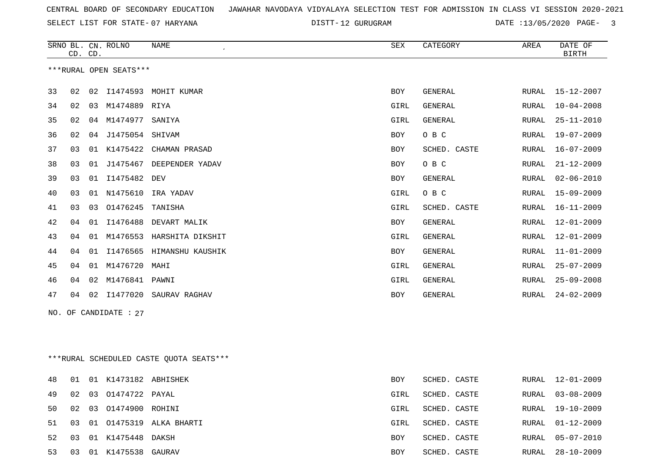SELECT LIST FOR STATE- DISTT- 07 HARYANA

DISTT-12 GURUGRAM DATE :13/05/2020 PAGE- 3

|                        |    | CD. CD. | SRNO BL. CN. ROLNO | NAME             | <b>SEX</b> | CATEGORY       | AREA         | DATE OF<br><b>BIRTH</b> |
|------------------------|----|---------|--------------------|------------------|------------|----------------|--------------|-------------------------|
| ***RURAL OPEN SEATS*** |    |         |                    |                  |            |                |              |                         |
| 33                     | 02 | 02      | I1474593           | MOHIT KUMAR      | <b>BOY</b> | <b>GENERAL</b> | RURAL        | $15 - 12 - 2007$        |
| 34                     | 02 | 03      | M1474889           | RIYA             | GIRL       | <b>GENERAL</b> | RURAL        | $10 - 04 - 2008$        |
| 35                     | 02 | 04      | M1474977           | SANIYA           | GIRL       | <b>GENERAL</b> | RURAL        | $25 - 11 - 2010$        |
| 36                     | 02 | 04      | J1475054           | SHIVAM           | <b>BOY</b> | O B C          | RURAL        | $19 - 07 - 2009$        |
| 37                     | 03 | 01      | K1475422           | CHAMAN PRASAD    | <b>BOY</b> | SCHED. CASTE   | <b>RURAL</b> | $16 - 07 - 2009$        |
| 38                     | 03 | 01      | J1475467           | DEEPENDER YADAV  | <b>BOY</b> | O B C          | RURAL        | $21 - 12 - 2009$        |
| 39                     | 03 | 01      | I1475482           | DEV              | <b>BOY</b> | <b>GENERAL</b> | RURAL        | $02 - 06 - 2010$        |
| 40                     | 03 | 01      | N1475610           | IRA YADAV        | GIRL       | O B C          | RURAL        | $15 - 09 - 2009$        |
| 41                     | 03 | 03      | 01476245           | TANISHA          | GIRL       | SCHED. CASTE   | RURAL        | $16 - 11 - 2009$        |
| 42                     | 04 | 01      | I1476488           | DEVART MALIK     | <b>BOY</b> | <b>GENERAL</b> | <b>RURAL</b> | $12 - 01 - 2009$        |
| 43                     | 04 | 01      | M1476553           | HARSHITA DIKSHIT | GIRL       | <b>GENERAL</b> | <b>RURAL</b> | $12 - 01 - 2009$        |
| 44                     | 04 | 01      | I1476565           | HIMANSHU KAUSHIK | <b>BOY</b> | <b>GENERAL</b> | <b>RURAL</b> | $11 - 01 - 2009$        |
| 45                     | 04 | 01      | M1476720           | MAHI             | GIRL       | <b>GENERAL</b> | RURAL        | $25 - 07 - 2009$        |
| 46                     | 04 | 02      | M1476841           | PAWNI            | GIRL       | <b>GENERAL</b> | RURAL        | $25 - 09 - 2008$        |
| 47                     | 04 | 02      | I1477020           | SAURAV RAGHAV    | <b>BOY</b> | <b>GENERAL</b> | RURAL        | $24 - 02 - 2009$        |
|                        |    |         |                    |                  |            |                |              |                         |

NO. OF CANDIDATE : 27

\*\*\*RURAL SCHEDULED CASTE QUOTA SEATS\*\*\*

| 48. | 01 | 01 K1473182 ABHISHEK |                         | <b>BOY</b> | SCHED. CASTE |       | RURAL 12-01-2009 |
|-----|----|----------------------|-------------------------|------------|--------------|-------|------------------|
| 49  | 02 | 03 01474722 PAYAL    |                         | GIRL       | SCHED. CASTE | RURAL | $03 - 08 - 2009$ |
| 50  | 02 | 03 01474900 ROHINI   |                         | GIRL       | SCHED. CASTE |       | RURAL 19-10-2009 |
| 51  | 03 |                      | 01 01475319 ALKA BHARTI | GIRL       | SCHED. CASTE | RURAL | 01-12-2009       |
| 52  | 03 | 01 K1475448 DAKSH    |                         | <b>BOY</b> | SCHED. CASTE |       | RURAL 05-07-2010 |
| 53  | 03 | 01 K1475538 GAURAV   |                         | BOY        | SCHED. CASTE | RURAL | 28-10-2009       |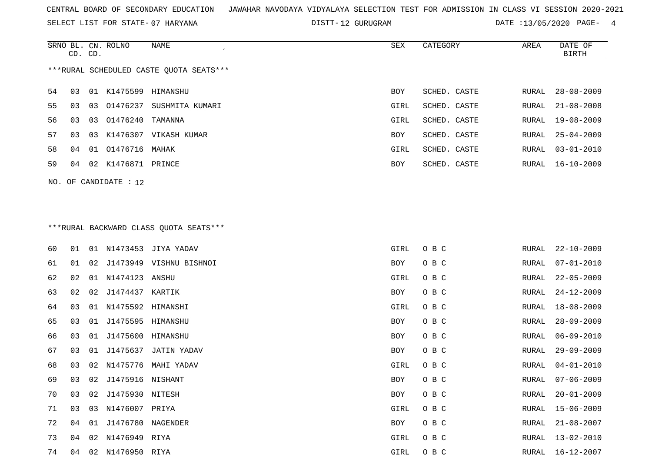SELECT LIST FOR STATE- DISTT- 07 HARYANA

DISTT-12 GURUGRAM DATE :13/05/2020 PAGE- 4

|    |                                         |    | SRNO BL. CN. ROLNO | NAME            | SEX  | CATEGORY     | AREA  | DATE OF          |  |  |  |
|----|-----------------------------------------|----|--------------------|-----------------|------|--------------|-------|------------------|--|--|--|
|    | CD. CD.                                 |    |                    |                 |      |              |       | <b>BIRTH</b>     |  |  |  |
|    | ***RURAL SCHEDULED CASTE OUOTA SEATS*** |    |                    |                 |      |              |       |                  |  |  |  |
| 54 | 03                                      |    | 01 K1475599        | HIMANSHU        | BOY  | SCHED. CASTE | RURAL | $28 - 08 - 2009$ |  |  |  |
| 55 | 03                                      | 03 | 01476237           | SUSHMITA KUMARI | GIRL | SCHED. CASTE | RURAL | $21 - 08 - 2008$ |  |  |  |
| 56 | 03                                      |    | 03 01476240        | TAMANNA         | GIRL | SCHED. CASTE | RURAL | 19-08-2009       |  |  |  |
| 57 | 03                                      |    | 03 K1476307        | VIKASH KUMAR    | BOY  | SCHED. CASTE | RURAL | $25 - 04 - 2009$ |  |  |  |
| 58 | 04                                      |    | 01 01476716 MAHAK  |                 | GIRL | SCHED. CASTE | RURAL | $03 - 01 - 2010$ |  |  |  |
| 59 | 04                                      |    | 02 K1476871 PRINCE |                 | BOY  | SCHED. CASTE | RURAL | 16-10-2009       |  |  |  |
|    | $NO.$ OF CANDIDATE : 12                 |    |                    |                 |      |              |       |                  |  |  |  |

# \*\*\*RURAL BACKWARD CLASS QUOTA SEATS\*\*\*

| 60 | 01 |    |                      | 01 N1473453 JIYA YADAV  | GIRL | O B C | RURAL | $22 - 10 - 2009$ |
|----|----|----|----------------------|-------------------------|------|-------|-------|------------------|
| 61 | 01 | 02 |                      | J1473949 VISHNU BISHNOI | BOY  | O B C | RURAL | $07 - 01 - 2010$ |
| 62 | 02 |    | 01 N1474123 ANSHU    |                         | GIRL | O B C | RURAL | $22 - 05 - 2009$ |
| 63 | 02 | 02 | J1474437 KARTIK      |                         | BOY  | O B C | RURAL | $24 - 12 - 2009$ |
| 64 | 03 |    | 01 N1475592 HIMANSHI |                         | GIRL | O B C | RURAL | $18 - 08 - 2009$ |
| 65 | 03 | 01 | J1475595 HIMANSHU    |                         | BOY  | O B C | RURAL | $28 - 09 - 2009$ |
| 66 | 03 | 01 | J1475600 HIMANSHU    |                         | BOY  | O B C | RURAL | $06 - 09 - 2010$ |
| 67 | 03 | 01 |                      | J1475637 JATIN YADAV    | BOY  | O B C | RURAL | $29 - 09 - 2009$ |
| 68 | 03 |    |                      | 02 N1475776 MAHI YADAV  | GIRL | O B C | RURAL | $04 - 01 - 2010$ |
| 69 | 03 |    | 02 J1475916 NISHANT  |                         | BOY  | O B C | RURAL | 07-06-2009       |
| 70 | 03 |    | 02 J1475930 NITESH   |                         | BOY  | O B C | RURAL | $20 - 01 - 2009$ |
| 71 | 03 |    | 03 N1476007 PRIYA    |                         | GIRL | O B C | RURAL | 15-06-2009       |
| 72 | 04 | 01 | J1476780 NAGENDER    |                         | BOY  | O B C | RURAL | $21 - 08 - 2007$ |
| 73 | 04 |    | 02 N1476949 RIYA     |                         | GIRL | O B C | RURAL | $13 - 02 - 2010$ |
| 74 | 04 |    | 02 N1476950 RIYA     |                         | GIRL | O B C | RURAL | 16-12-2007       |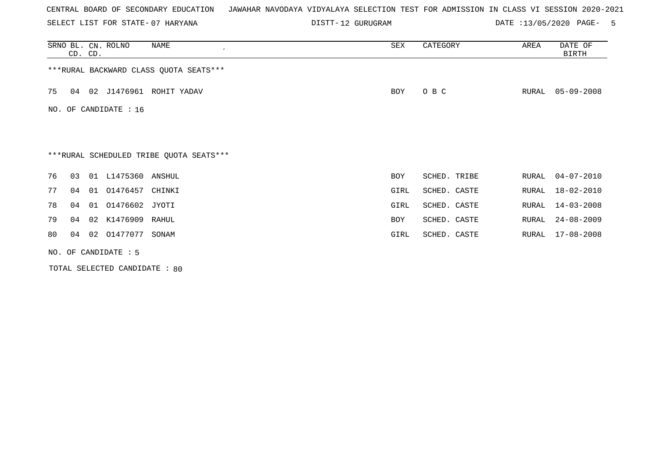SELECT LIST FOR STATE- DISTT- 07 HARYANA

12 GURUGRAM DATE :13/05/2020 PAGE- 5

|    | CD. CD.                                 |  | SRNO BL. CN. ROLNO | NAME<br>$\cdot$                         | SEX        | CATEGORY     | AREA  | DATE OF<br><b>BIRTH</b> |  |  |  |
|----|-----------------------------------------|--|--------------------|-----------------------------------------|------------|--------------|-------|-------------------------|--|--|--|
|    | *** RURAL BACKWARD CLASS QUOTA SEATS*** |  |                    |                                         |            |              |       |                         |  |  |  |
| 75 | 04                                      |  |                    | 02 J1476961 ROHIT YADAV                 | BOY        | O B C        | RURAL | $05 - 09 - 2008$        |  |  |  |
|    | NO. OF CANDIDATE : 16                   |  |                    |                                         |            |              |       |                         |  |  |  |
|    |                                         |  |                    |                                         |            |              |       |                         |  |  |  |
|    |                                         |  |                    | ***RURAL SCHEDULED TRIBE QUOTA SEATS*** |            |              |       |                         |  |  |  |
| 76 | 03                                      |  | 01 L1475360 ANSHUL |                                         | <b>BOY</b> | SCHED. TRIBE | RURAL | $04 - 07 - 2010$        |  |  |  |
| 77 | 04                                      |  | 01 01476457        | CHINKI                                  | GIRL       | SCHED. CASTE | RURAL | 18-02-2010              |  |  |  |
| 78 | 04                                      |  | 01 01476602 JYOTI  |                                         | GIRL       | SCHED. CASTE | RURAL | $14 - 03 - 2008$        |  |  |  |
| 79 | 04                                      |  | 02 K1476909 RAHUL  |                                         | <b>BOY</b> | SCHED. CASTE | RURAL | $24 - 08 - 2009$        |  |  |  |
| 80 | 04                                      |  | 02 01477077        | SONAM                                   | GIRL       | SCHED. CASTE | RURAL | $17 - 08 - 2008$        |  |  |  |
|    | NO. OF CANDIDATE : 5                    |  |                    |                                         |            |              |       |                         |  |  |  |

TOTAL SELECTED CANDIDATE : 80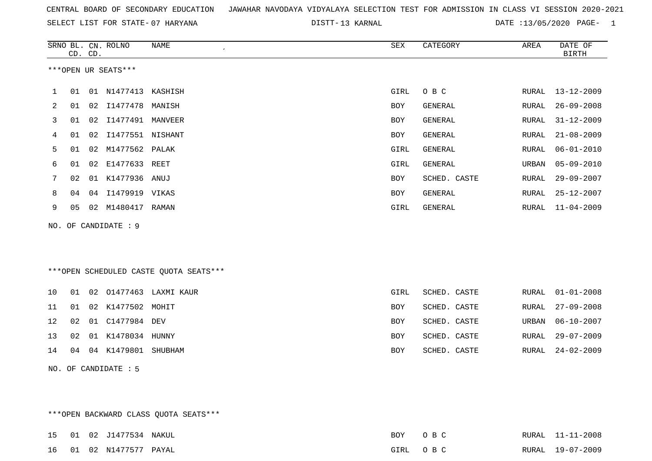| CENTRAL BOARD OF SECONDARY EDUCATION GUNAHAR NAVODAYA VIDYALAYA SELECTION TEST FOR ADMISSION IN CLASS VI SESSION 2020-2021 |  |  |  |  |  |  |  |  |  |  |  |  |  |  |  |  |  |  |
|----------------------------------------------------------------------------------------------------------------------------|--|--|--|--|--|--|--|--|--|--|--|--|--|--|--|--|--|--|
|----------------------------------------------------------------------------------------------------------------------------|--|--|--|--|--|--|--|--|--|--|--|--|--|--|--|--|--|--|

SELECT LIST FOR STATE- DISTT- 07 HARYANA 13 KARNAL DATE :13/05/2020 PAGE- 1

|    | CD. CD. |    | SRNO BL. CN. ROLNO   | NAME                                   | ${\tt SEX}$ | CATEGORY       | AREA  | DATE OF<br><b>BIRTH</b> |
|----|---------|----|----------------------|----------------------------------------|-------------|----------------|-------|-------------------------|
|    |         |    | ***OPEN UR SEATS***  |                                        |             |                |       |                         |
| 1  | 01      | 01 | N1477413             | KASHISH                                | GIRL        | O B C          | RURAL | $13 - 12 - 2009$        |
| 2  | 01      |    | 02 11477478          | MANISH                                 | BOY         | GENERAL        | RURAL | $26 - 09 - 2008$        |
| 3  | 01      |    |                      |                                        | <b>BOY</b>  | <b>GENERAL</b> | RURAL | $31 - 12 - 2009$        |
| 4  | 01      | 02 | I1477551 NISHANT     |                                        | <b>BOY</b>  | <b>GENERAL</b> | RURAL | $21 - 08 - 2009$        |
| 5  | 01      |    | 02 M1477562 PALAK    |                                        | GIRL        | <b>GENERAL</b> | RURAL | $06 - 01 - 2010$        |
| 6  | 01      | 02 | E1477633 REET        |                                        | GIRL        | <b>GENERAL</b> | URBAN | $05 - 09 - 2010$        |
| 7  | 02      |    | 01 K1477936 ANUJ     |                                        | <b>BOY</b>  | SCHED. CASTE   | RURAL | $29 - 09 - 2007$        |
| 8  | 04      | 04 | I1479919 VIKAS       |                                        | BOY         | <b>GENERAL</b> | RURAL | $25 - 12 - 2007$        |
| 9  | 05      |    | 02 M1480417 RAMAN    |                                        | GIRL        | GENERAL        | RURAL | $11 - 04 - 2009$        |
|    |         |    | NO. OF CANDIDATE : 9 |                                        |             |                |       |                         |
|    |         |    |                      |                                        |             |                |       |                         |
|    |         |    |                      |                                        |             |                |       |                         |
|    |         |    |                      | ***OPEN SCHEDULED CASTE QUOTA SEATS*** |             |                |       |                         |
| 10 | 01      |    | 02 01477463          | LAXMI KAUR                             | GIRL        | SCHED. CASTE   | RURAL | $01 - 01 - 2008$        |
| 11 | 01      |    | 02 K1477502 MOHIT    |                                        | BOY         | SCHED. CASTE   | RURAL | $27 - 09 - 2008$        |
| 12 | 02      |    | 01 C1477984 DEV      |                                        | <b>BOY</b>  | SCHED. CASTE   | URBAN | $06 - 10 - 2007$        |
| 13 | 02      |    | 01 K1478034 HUNNY    |                                        | <b>BOY</b>  | SCHED. CASTE   | RURAL | $29 - 07 - 2009$        |
| 14 | 04      |    | 04 K1479801 SHUBHAM  |                                        | BOY         | SCHED. CASTE   | RURAL | $24 - 02 - 2009$        |

NO. OF CANDIDATE : 5

\*\*\*OPEN BACKWARD CLASS QUOTA SEATS\*\*\*

|  | 15 01 02 J1477534 NAKUL | BOY | OR C     | RURAL 11-11-2008 |
|--|-------------------------|-----|----------|------------------|
|  | 16 01 02 N1477577 PAYAL |     | GIRL OBC | RURAL 19-07-2009 |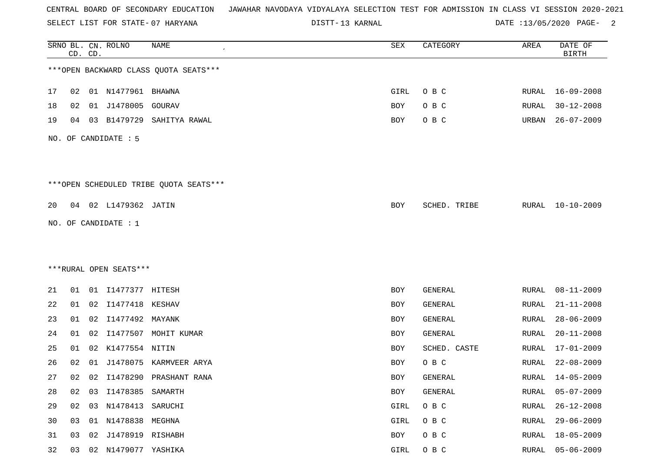SELECT LIST FOR STATE- DISTT- 07 HARYANA

13 KARNAL DATE :13/05/2020 PAGE- 2

|    |    | CD. CD. | SRNO BL. CN. ROLNO     | <b>NAME</b>                            | SEX        | CATEGORY     | AREA         | DATE OF<br><b>BIRTH</b> |
|----|----|---------|------------------------|----------------------------------------|------------|--------------|--------------|-------------------------|
|    |    |         |                        | *** OPEN BACKWARD CLASS QUOTA SEATS*** |            |              |              |                         |
| 17 | 02 |         | 01 N1477961 BHAWNA     |                                        | GIRL       | O B C        |              | RURAL 16-09-2008        |
| 18 | 02 |         | 01 J1478005            | GOURAV                                 | <b>BOY</b> | O B C        | RURAL        | $30 - 12 - 2008$        |
| 19 | 04 | 03      | B1479729               | SAHITYA RAWAL                          | BOY        | O B C        | URBAN        | $26 - 07 - 2009$        |
|    |    |         | NO. OF CANDIDATE : 5   |                                        |            |              |              |                         |
|    |    |         |                        | ***OPEN SCHEDULED TRIBE QUOTA SEATS*** |            |              |              |                         |
| 20 |    |         | 04 02 L1479362 JATIN   |                                        | BOY        | SCHED. TRIBE |              | RURAL 10-10-2009        |
|    |    |         | NO. OF CANDIDATE : 1   |                                        |            |              |              |                         |
|    |    |         |                        |                                        |            |              |              |                         |
|    |    |         |                        |                                        |            |              |              |                         |
|    |    |         | ***RURAL OPEN SEATS*** |                                        |            |              |              |                         |
| 21 | 01 |         | 01 I1477377 HITESH     |                                        | BOY        | GENERAL      | RURAL        | $08 - 11 - 2009$        |
| 22 | 01 |         | 02 I1477418 KESHAV     |                                        | BOY        | GENERAL      | RURAL        | $21 - 11 - 2008$        |
| 23 | 01 | 02      | I1477492 MAYANK        |                                        | BOY        | GENERAL      | RURAL        | $28 - 06 - 2009$        |
| 24 | 01 | 02      |                        | I1477507 MOHIT KUMAR                   | BOY        | GENERAL      | RURAL        | $20 - 11 - 2008$        |
| 25 | 01 | 02      | K1477554 NITIN         |                                        | BOY        | SCHED. CASTE | RURAL        | $17 - 01 - 2009$        |
| 26 | 02 | 01      | J1478075               | KARMVEER ARYA                          | BOY        | O B C        | RURAL        | $22 - 08 - 2009$        |
| 27 | 02 | 02      |                        | I1478290 PRASHANT RANA                 | BOY        | GENERAL      | RURAL        | 14-05-2009              |
| 28 | 02 | 03      | I1478385 SAMARTH       |                                        | BOY        | GENERAL      | <b>RURAL</b> | $05 - 07 - 2009$        |
| 29 | 02 |         | 03 N1478413 SARUCHI    |                                        | GIRL       | O B C        | RURAL        | $26 - 12 - 2008$        |
| 30 | 03 |         | 01 N1478838 MEGHNA     |                                        | GIRL       | O B C        | RURAL        | $29 - 06 - 2009$        |
| 31 | 03 | 02      | J1478919 RISHABH       |                                        | BOY        | O B C        | RURAL        | $18 - 05 - 2009$        |
| 32 | 03 |         | 02 N1479077 YASHIKA    |                                        | GIRL       | O B C        | RURAL        | $05 - 06 - 2009$        |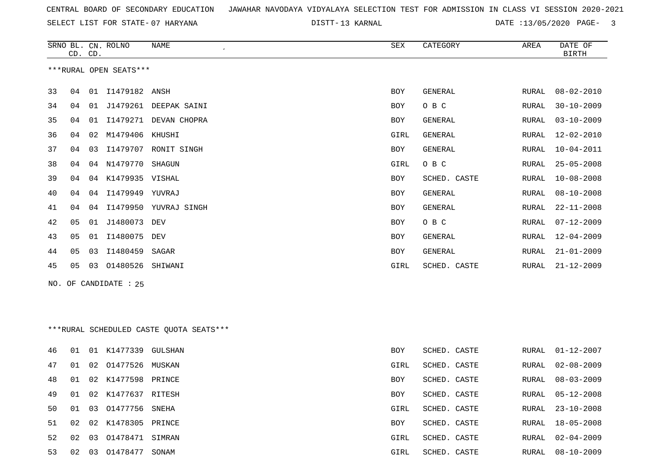SELECT LIST FOR STATE- DISTT- 07 HARYANA

13 KARNAL DATE :13/05/2020 PAGE- 3

|    |    | CD. CD. | SRNO BL. CN. ROLNO     | <b>NAME</b><br>$\pmb{\cdot}$             | ${\tt SEX}$ | CATEGORY       | AREA         | DATE OF<br><b>BIRTH</b> |
|----|----|---------|------------------------|------------------------------------------|-------------|----------------|--------------|-------------------------|
|    |    |         | ***RURAL OPEN SEATS*** |                                          |             |                |              |                         |
| 33 | 04 |         | 01 I1479182 ANSH       |                                          | <b>BOY</b>  | GENERAL        | RURAL        | $08 - 02 - 2010$        |
| 34 | 04 | 01      |                        | J1479261 DEEPAK SAINI                    | <b>BOY</b>  | O B C          | <b>RURAL</b> | $30 - 10 - 2009$        |
| 35 | 04 | 01      |                        | I1479271 DEVAN CHOPRA                    | <b>BOY</b>  | GENERAL        | RURAL        | $03 - 10 - 2009$        |
| 36 | 04 | 02      | M1479406               | KHUSHI                                   | GIRL        | <b>GENERAL</b> | RURAL        | $12 - 02 - 2010$        |
| 37 | 04 | 03      |                        | I1479707 RONIT SINGH                     | <b>BOY</b>  | GENERAL        | RURAL        | $10 - 04 - 2011$        |
| 38 | 04 |         | 04 N1479770            | SHAGUN                                   | GIRL        | O B C          | RURAL        | $25 - 05 - 2008$        |
| 39 | 04 |         | 04 K1479935 VISHAL     |                                          | <b>BOY</b>  | SCHED. CASTE   | RURAL        | $10 - 08 - 2008$        |
| 40 | 04 | 04      | I1479949               | YUVRAJ                                   | <b>BOY</b>  | <b>GENERAL</b> | RURAL        | $08 - 10 - 2008$        |
| 41 | 04 |         |                        | 04 I1479950 YUVRAJ SINGH                 | <b>BOY</b>  | GENERAL        | RURAL        | $22 - 11 - 2008$        |
| 42 | 05 | 01      | J1480073               | DEV                                      | <b>BOY</b>  | O B C          | RURAL        | $07 - 12 - 2009$        |
| 43 | 05 | 01      | I1480075               | DEV                                      | BOY         | <b>GENERAL</b> | RURAL        | $12 - 04 - 2009$        |
| 44 | 05 | 03      | I1480459               | SAGAR                                    | <b>BOY</b>  | <b>GENERAL</b> | <b>RURAL</b> | $21 - 01 - 2009$        |
| 45 | 05 | 03      | 01480526               | SHIWANI                                  | GIRL        | SCHED. CASTE   | RURAL        | $21 - 12 - 2009$        |
|    |    |         | NO. OF CANDIDATE : 25  |                                          |             |                |              |                         |
|    |    |         |                        |                                          |             |                |              |                         |
|    |    |         |                        |                                          |             |                |              |                         |
|    |    |         |                        | *** RURAL SCHEDULED CASTE QUOTA SEATS*** |             |                |              |                         |
| 46 | 01 |         | 01 K1477339 GULSHAN    |                                          | <b>BOY</b>  | SCHED. CASTE   | RURAL        | $01 - 12 - 2007$        |

| 47 - | -01 | $\sim$ 02 $\sim$ | 01477526           | MUSKAN | GIRL       | SCHED. CASTE |       | RURAL 02-08-2009 |
|------|-----|------------------|--------------------|--------|------------|--------------|-------|------------------|
| 48 - | 01  | 02               | K1477598           | PRINCE | BOY        | SCHED. CASTE |       | RURAL 08-03-2009 |
| 49.  | 01  | 02               | K1477637           | RITESH | <b>BOY</b> | SCHED. CASTE |       | RURAL 05-12-2008 |
| 50 - | 01  |                  | 03 01477756        | SNEHA  | GIRL       | SCHED. CASTE |       | RURAL 23-10-2008 |
| 51 - | 02  |                  | 02 K1478305 PRINCE |        | <b>BOY</b> | SCHED. CASTE |       | RURAL 18-05-2008 |
|      |     |                  | 52 02 03 01478471  | SIMRAN | GIRL       | SCHED. CASTE |       | RURAL 02-04-2009 |
| 53.  | 02  | 03               | 01478477           | SONAM  | GIRL       | SCHED. CASTE | RURAL | 08-10-2009       |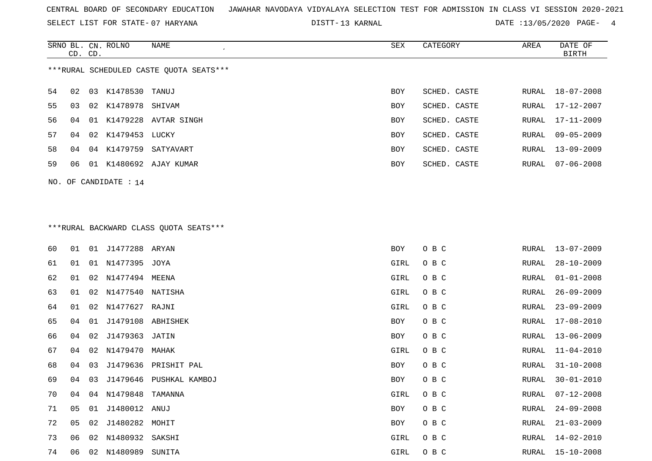SELECT LIST FOR STATE- DISTT- 07 HARYANA

13 KARNAL DATE :13/05/2020 PAGE- 4

|     | CD. CD.                                 |     | SRNO BL. CN. ROLNO | NAME                 | SEX        | CATEGORY     | AREA  | DATE OF<br>BIRTH |  |  |  |  |
|-----|-----------------------------------------|-----|--------------------|----------------------|------------|--------------|-------|------------------|--|--|--|--|
|     | ***RURAL SCHEDULED CASTE OUOTA SEATS*** |     |                    |                      |            |              |       |                  |  |  |  |  |
| 54  | 02                                      | 03  | K1478530           | TANUJ                | <b>BOY</b> | SCHED. CASTE | RURAL | 18-07-2008       |  |  |  |  |
| 55  | 03                                      | 02  | K1478978 SHIVAM    |                      | BOY        | SCHED. CASTE | RURAL | 17-12-2007       |  |  |  |  |
| 56. | 04                                      | 01  |                    | K1479228 AVTAR SINGH | BOY        | SCHED. CASTE | RURAL | 17-11-2009       |  |  |  |  |
| 57  | 04                                      |     | 02 K1479453        | LUCKY                | <b>BOY</b> | SCHED. CASTE | RURAL | $09 - 05 - 2009$ |  |  |  |  |
| 58  | 04                                      | 04  | K1479759           | SATYAVART            | BOY        | SCHED. CASTE | RURAL | $13 - 09 - 2009$ |  |  |  |  |
| 59  | 06                                      | -01 |                    | K1480692 AJAY KUMAR  | <b>BOY</b> | SCHED. CASTE | RURAL | 07-06-2008       |  |  |  |  |
|     |                                         |     |                    |                      |            |              |       |                  |  |  |  |  |

NO. OF CANDIDATE : 14

# \*\*\*RURAL BACKWARD CLASS QUOTA SEATS\*\*\*

| 60 | 01             | 01 | J1477288 ARYAN    |                         | BOY  | O B C | RURAL | $13 - 07 - 2009$ |
|----|----------------|----|-------------------|-------------------------|------|-------|-------|------------------|
| 61 | 01             | 01 | N1477395 JOYA     |                         | GIRL | O B C | RURAL | $28 - 10 - 2009$ |
| 62 | 01             | 02 | N1477494 MEENA    |                         | GIRL | O B C | RURAL | $01 - 01 - 2008$ |
| 63 | 01             | 02 | N1477540          | NATISHA                 | GIRL | O B C | RURAL | $26 - 09 - 2009$ |
| 64 | 01             | 02 | N1477627 RAJNI    |                         | GIRL | O B C | RURAL | $23 - 09 - 2009$ |
| 65 | 04             | 01 | J1479108 ABHISHEK |                         | BOY  | O B C | RURAL | $17 - 08 - 2010$ |
| 66 | 04             | 02 | J1479363 JATIN    |                         | BOY  | O B C | RURAL | $13 - 06 - 2009$ |
| 67 | 04             |    | 02 N1479470 MAHAK |                         | GIRL | O B C | RURAL | $11 - 04 - 2010$ |
| 68 | 04             | 03 | J1479636          | PRISHIT PAL             | BOY  | O B C | RURAL | $31 - 10 - 2008$ |
| 69 | 04             | 03 |                   | J1479646 PUSHKAL KAMBOJ | BOY  | O B C | RURAL | $30 - 01 - 2010$ |
| 70 | 04             | 04 | N1479848          | TAMANNA                 | GIRL | O B C | RURAL | $07 - 12 - 2008$ |
| 71 | 05             | 01 | J1480012 ANUJ     |                         | BOY  | O B C | RURAL | $24 - 09 - 2008$ |
| 72 | 0 <sub>5</sub> | 02 | J1480282          | MOHIT                   | BOY  | O B C | RURAL | $21 - 03 - 2009$ |
| 73 | 06             | 02 | N1480932 SAKSHI   |                         | GIRL | O B C | RURAL | 14-02-2010       |
| 74 | 06             | 02 | N1480989          | SUNITA                  | GIRL | O B C | RURAL | 15-10-2008       |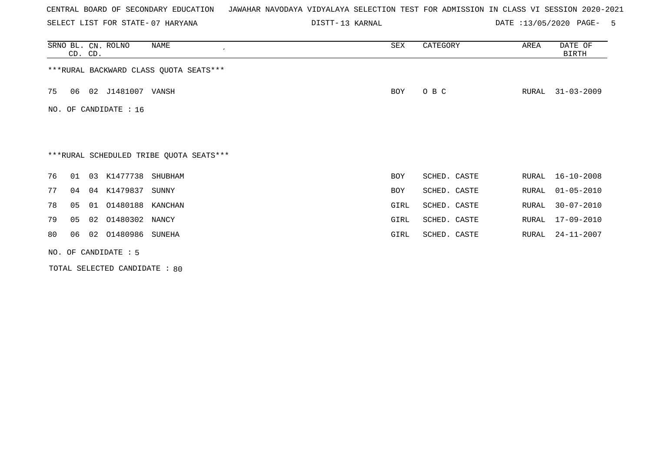SELECT LIST FOR STATE- DISTT- 07 HARYANA

13 KARNAL DATE :13/05/2020 PAGE- 5

| SRNO BL. CN. ROLNO<br>NAME<br>CD. CD.   | SEX        | CATEGORY     | DATE OF<br>AREA<br><b>BIRTH</b> |
|-----------------------------------------|------------|--------------|---------------------------------|
| *** RURAL BACKWARD CLASS QUOTA SEATS*** |            |              |                                 |
| 02 J1481007 VANSH<br>75<br>06           | BOY        | O B C        | $31 - 03 - 2009$<br>RURAL       |
| OF CANDIDATE : 16<br>NO.                |            |              |                                 |
|                                         |            |              |                                 |
| ***RURAL SCHEDULED TRIBE QUOTA SEATS*** |            |              |                                 |
| 76<br>03 K1477738 SHUBHAM<br>01         | BOY        | SCHED. CASTE | RURAL<br>16-10-2008             |
| 77<br>04 K1479837<br>04<br>SUNNY        | <b>BOY</b> | SCHED. CASTE | $01 - 05 - 2010$<br>RURAL       |
| 78<br>01 01480188 KANCHAN<br>05         | GIRL       | SCHED. CASTE | 30-07-2010<br>RURAL             |
| 79<br>01480302 NANCY<br>05<br>02        | GIRL       | SCHED. CASTE | 17-09-2010<br>RURAL             |
| 02 01480986 SUNEHA<br>80<br>06          | GIRL       | SCHED. CASTE | $24 - 11 - 2007$<br>RURAL       |
| NO. OF CANDIDATE $: 5$                  |            |              |                                 |

TOTAL SELECTED CANDIDATE : 80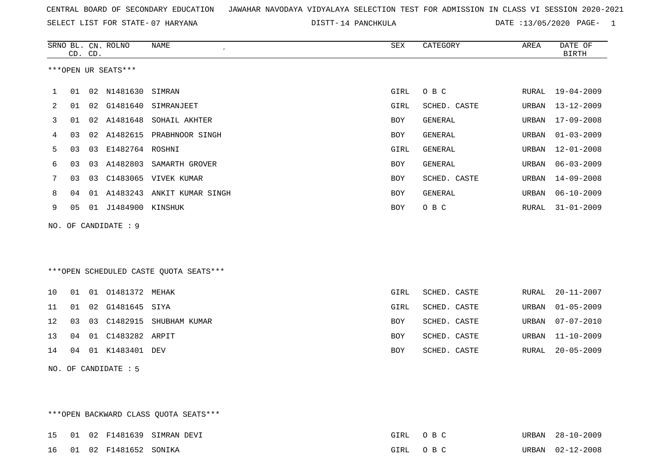SELECT LIST FOR STATE- DISTT- 07 HARYANA

DISTT-14 PANCHKULA DATE :13/05/2020 PAGE- 1

|    |    | CD. CD. | SRNO BL. CN. ROLNO   | <b>NAME</b>                            | SEX         | CATEGORY     | AREA  | DATE OF<br><b>BIRTH</b> |
|----|----|---------|----------------------|----------------------------------------|-------------|--------------|-------|-------------------------|
|    |    |         | ***OPEN UR SEATS***  |                                        |             |              |       |                         |
| 1  | 01 |         | 02 N1481630 SIMRAN   |                                        | GIRL        | O B C        |       | RURAL 19-04-2009        |
| 2  | 01 |         |                      | 02 G1481640 SIMRANJEET                 | GIRL        | SCHED. CASTE | URBAN | $13 - 12 - 2009$        |
| 3  | 01 |         | 02 A1481648          | SOHAIL AKHTER                          | BOY         | GENERAL      | URBAN | $17 - 09 - 2008$        |
| 4  | 03 |         |                      | 02 A1482615 PRABHNOOR SINGH            | <b>BOY</b>  | GENERAL      | URBAN | $01 - 03 - 2009$        |
| 5  | 03 |         | 03 E1482764 ROSHNI   |                                        | <b>GIRL</b> | GENERAL      | URBAN | $12 - 01 - 2008$        |
| 6  | 03 |         |                      | 03 A1482803 SAMARTH GROVER             | <b>BOY</b>  | GENERAL      | URBAN | $06 - 03 - 2009$        |
| 7  | 03 |         |                      | 03 C1483065 VIVEK KUMAR                | <b>BOY</b>  | SCHED. CASTE | URBAN | $14 - 09 - 2008$        |
| 8  | 04 |         |                      | 01 A1483243 ANKIT KUMAR SINGH          | BOY         | GENERAL      | URBAN | $06 - 10 - 2009$        |
| 9  | 05 |         | 01 J1484900 KINSHUK  |                                        | BOY         | O B C        | RURAL | $31 - 01 - 2009$        |
|    |    |         | NO. OF CANDIDATE : 9 |                                        |             |              |       |                         |
|    |    |         |                      |                                        |             |              |       |                         |
|    |    |         |                      | ***OPEN SCHEDULED CASTE QUOTA SEATS*** |             |              |       |                         |
| 10 | 01 |         | 01 01481372 MEHAK    |                                        | GIRL        | SCHED. CASTE | RURAL | $20 - 11 - 2007$        |
| 11 | 01 |         | 02 G1481645 SIYA     |                                        | <b>GIRL</b> | SCHED. CASTE | URBAN | $01 - 05 - 2009$        |
| 12 | 03 | 03      | C1482915             | SHUBHAM KUMAR                          | <b>BOY</b>  | SCHED. CASTE | URBAN | $07 - 07 - 2010$        |
| 13 | 04 |         | 01 C1483282 ARPIT    |                                        | BOY         | SCHED. CASTE | URBAN | $11 - 10 - 2009$        |
| 14 | 04 |         | 01 K1483401 DEV      |                                        | <b>BOY</b>  | SCHED. CASTE | RURAL | $20 - 05 - 2009$        |
|    |    |         | NO. OF CANDIDATE : 5 |                                        |             |              |       |                         |

\*\*\*OPEN BACKWARD CLASS QUOTA SEATS\*\*\* 15 01 02 F1481639 SIMRAN DEVI 6 (GIRL O B C URBAN 28-10-2009 16 01 02 F1481652 SONIKA GIRL O B C URBAN 02-12-2008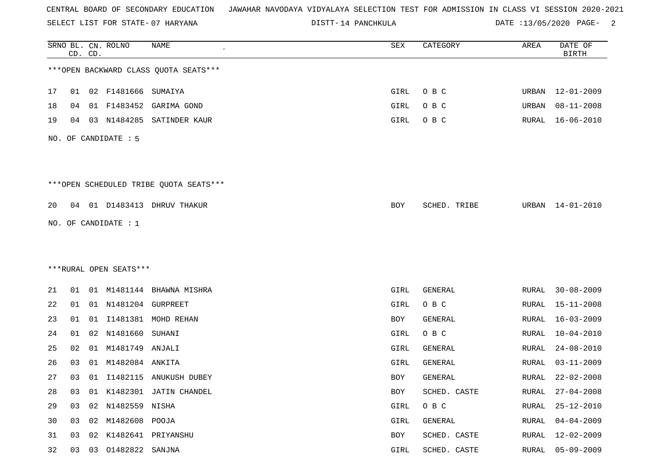SELECT LIST FOR STATE- DISTT- 07 HARYANA

DISTT-14 PANCHKULA DATE :13/05/2020 PAGE- 2

|    |    | CD. CD. | SRNO BL. CN. ROLNO     | NAME                                   | SEX        | CATEGORY     | AREA         | DATE OF<br><b>BIRTH</b> |
|----|----|---------|------------------------|----------------------------------------|------------|--------------|--------------|-------------------------|
|    |    |         |                        | *** OPEN BACKWARD CLASS QUOTA SEATS*** |            |              |              |                         |
| 17 | 01 |         | 02 F1481666 SUMAIYA    |                                        | GIRL       | O B C        | URBAN        | $12 - 01 - 2009$        |
| 18 | 04 | 01      | F1483452               | GARIMA GOND                            | GIRL       | O B C        | URBAN        | $08 - 11 - 2008$        |
| 19 | 04 |         | 03 N1484285            | SATINDER KAUR                          | GIRL       | O B C        | RURAL        | $16 - 06 - 2010$        |
|    |    |         | NO. OF CANDIDATE : 5   |                                        |            |              |              |                         |
|    |    |         |                        | ***OPEN SCHEDULED TRIBE QUOTA SEATS*** |            |              |              |                         |
| 20 |    |         |                        | 04 01 D1483413 DHRUV THAKUR            | BOY        | SCHED. TRIBE | URBAN        | 14-01-2010              |
|    |    |         | NO. OF CANDIDATE : 1   |                                        |            |              |              |                         |
|    |    |         |                        |                                        |            |              |              |                         |
|    |    |         |                        |                                        |            |              |              |                         |
|    |    |         | ***RURAL OPEN SEATS*** |                                        |            |              |              |                         |
| 21 | 01 |         |                        | 01 M1481144 BHAWNA MISHRA              | GIRL       | GENERAL      | RURAL        | $30 - 08 - 2009$        |
| 22 | 01 |         | 01 N1481204 GURPREET   |                                        | GIRL       | O B C        | RURAL        | $15 - 11 - 2008$        |
| 23 | 01 | 01      | I1481381               | MOHD REHAN                             | <b>BOY</b> | GENERAL      | <b>RURAL</b> | $16 - 03 - 2009$        |
| 24 | 01 | 02      | N1481660               | SUHANI                                 | GIRL       | O B C        | RURAL        | $10 - 04 - 2010$        |
| 25 | 02 | 01      | M1481749 ANJALI        |                                        | GIRL       | GENERAL      | RURAL        | $24 - 08 - 2010$        |
| 26 | 03 | 01      | M1482084 ANKITA        |                                        | GIRL       | GENERAL      | RURAL        | $03 - 11 - 2009$        |
| 27 | 03 |         |                        | 01 I1482115 ANUKUSH DUBEY              | BOY        | GENERAL      | RURAL        | $22 - 02 - 2008$        |
| 28 | 03 |         |                        | 01 K1482301 JATIN CHANDEL              | BOY        | SCHED. CASTE | <b>RURAL</b> | $27 - 04 - 2008$        |
| 29 | 03 |         | 02 N1482559 NISHA      |                                        | GIRL       | O B C        | <b>RURAL</b> | $25 - 12 - 2010$        |
| 30 | 03 |         | 02 M1482608 POOJA      |                                        | GIRL       | GENERAL      | RURAL        | $04 - 04 - 2009$        |
| 31 | 03 | 02      |                        | K1482641 PRIYANSHU                     | BOY        | SCHED. CASTE | <b>RURAL</b> | $12 - 02 - 2009$        |
| 32 | 03 | 03      | 01482822               | SANJNA                                 | GIRL       | SCHED. CASTE | <b>RURAL</b> | $05 - 09 - 2009$        |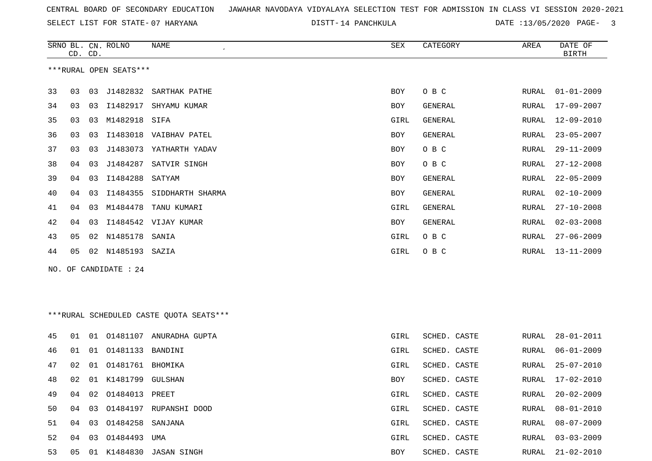SELECT LIST FOR STATE- DISTT- 07 HARYANA

DISTT-14 PANCHKULA DATE :13/05/2020 PAGE- 3

|     | CD. CD. |    | SRNO BL. CN. ROLNO     | NAME<br>$\pmb{\cdot}$                   | SEX        | CATEGORY       | AREA          | DATE OF<br><b>BIRTH</b> |
|-----|---------|----|------------------------|-----------------------------------------|------------|----------------|---------------|-------------------------|
|     |         |    | ***RURAL OPEN SEATS*** |                                         |            |                |               |                         |
| 33  | 03      | 03 | J1482832               | SARTHAK PATHE                           | <b>BOY</b> | O B C          | RURAL         | $01 - 01 - 2009$        |
| 34  | 03      | 03 | I1482917               | SHYAMU KUMAR                            | BOY        | <b>GENERAL</b> | RURAL         | $17 - 09 - 2007$        |
| 35  | 03      | 03 | M1482918 SIFA          |                                         | GIRL       | <b>GENERAL</b> | RURAL         | 12-09-2010              |
| 36  | 03      | 03 |                        | I1483018 VAIBHAV PATEL                  | <b>BOY</b> | <b>GENERAL</b> | RURAL         | $23 - 05 - 2007$        |
| 37  | 03      | 03 |                        | J1483073 YATHARTH YADAV                 | BOY        | O B C          | RURAL         | $29 - 11 - 2009$        |
| 38  | 04      | 03 | J1484287               | SATVIR SINGH                            | <b>BOY</b> | O B C          | RURAL         | $27 - 12 - 2008$        |
| 39  | 04      | 03 | I1484288               | SATYAM                                  | <b>BOY</b> | <b>GENERAL</b> | RURAL         | $22 - 05 - 2009$        |
| 40  | 04      | 03 | I1484355               | SIDDHARTH SHARMA                        | <b>BOY</b> | <b>GENERAL</b> | ${\tt RURAL}$ | $02 - 10 - 2009$        |
| 41  | 04      | 03 | M1484478               | TANU KUMARI                             | GIRL       | GENERAL        | RURAL         | $27 - 10 - 2008$        |
| 42  | 04      | 03 |                        | I1484542 VIJAY KUMAR                    | BOY        | <b>GENERAL</b> | RURAL         | $02 - 03 - 2008$        |
| 43  | 05      |    | 02 N1485178            | SANIA                                   | GIRL       | O B C          | RURAL         | $27 - 06 - 2009$        |
| 44  | 05      |    | 02 N1485193 SAZIA      |                                         | GIRL       | O B C          | RURAL         | $13 - 11 - 2009$        |
| NO. |         |    | OF CANDIDATE : 24      |                                         |            |                |               |                         |
|     |         |    |                        |                                         |            |                |               |                         |
|     |         |    |                        |                                         |            |                |               |                         |
|     |         |    |                        | ***RURAL SCHEDULED CASTE QUOTA SEATS*** |            |                |               |                         |
| 45  | 01      |    |                        | 01 01481107 ANURADHA GUPTA              | GIRL       | SCHED. CASTE   | RURAL         | $28 - 01 - 2011$        |
| 46  | 01      | 01 | 01481133               | BANDINI                                 | GIRL       | SCHED. CASTE   | RURAL         | $06 - 01 - 2009$        |
| 47  | 02      | 01 | 01481761               | BHOMIKA                                 | GIRL       | SCHED. CASTE   | RURAL         | $25 - 07 - 2010$        |
| 48  | 02      |    | 01 K1481799 GULSHAN    |                                         | BOY        | SCHED. CASTE   | RURAL         | $17 - 02 - 2010$        |
| 49  | 04      |    | 02 01484013 PREET      |                                         | GIRL       | SCHED. CASTE   | RURAL         | $20 - 02 - 2009$        |
| 50  | 04      | 03 |                        | 01484197 RUPANSHI DOOD                  | GIRL       | SCHED. CASTE   | RURAL         | $08 - 01 - 2010$        |
| 51  | 04      |    | 03 01484258 SANJANA    |                                         | GIRL       | SCHED. CASTE   | RURAL         | $08 - 07 - 2009$        |
| 52  | 04      | 03 | 01484493 UMA           |                                         | GIRL       | SCHED. CASTE   | RURAL         | $03 - 03 - 2009$        |
| 53  | 05      |    |                        | 01 K1484830 JASAN SINGH                 | BOY        | SCHED. CASTE   | RURAL         | $21 - 02 - 2010$        |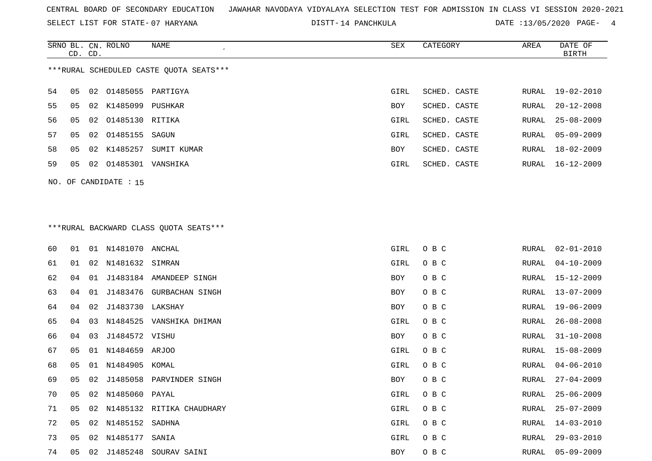SELECT LIST FOR STATE- DISTT- 07 HARYANA

DISTT-14 PANCHKULA DATE :13/05/2020 PAGE- 4

|    | CD. CD. |    | SRNO BL. CN. ROLNO   | NAME                                    | SEX  | CATEGORY     | AREA  | DATE OF<br>BIRTH |
|----|---------|----|----------------------|-----------------------------------------|------|--------------|-------|------------------|
|    |         |    |                      | ***RURAL SCHEDULED CASTE OUOTA SEATS*** |      |              |       |                  |
| 54 | 05      |    | 02 01485055 PARTIGYA |                                         | GIRL | SCHED. CASTE |       | RURAL 19-02-2010 |
| 55 | 05      |    | 02 K1485099          | PUSHKAR                                 | BOY  | SCHED. CASTE | RURAL | $20 - 12 - 2008$ |
| 56 | 05      |    | 02 01485130 RITIKA   |                                         | GIRL | SCHED. CASTE | RURAL | $25 - 08 - 2009$ |
| 57 | 05      |    | 02 01485155          | SAGUN                                   | GIRL | SCHED. CASTE | RURAL | 05-09-2009       |
| 58 | 05      | 02 | K1485257             | SUMIT KUMAR                             | BOY  | SCHED. CASTE | RURAL | $18 - 02 - 2009$ |
| 59 | 05      | 02 | 01485301             | VANSHIKA                                | GIRL | SCHED. CASTE | RURAL | 16-12-2009       |
|    |         |    |                      |                                         |      |              |       |                  |

NO. OF CANDIDATE : 15

# \*\*\*RURAL BACKWARD CLASS QUOTA SEATS\*\*\*

| 60 | 01 | 01 | N1481070 ANCHAL  |                           | GIRL | O B C | RURAL | $02 - 01 - 2010$ |
|----|----|----|------------------|---------------------------|------|-------|-------|------------------|
| 61 | 01 | 02 | N1481632 SIMRAN  |                           | GIRL | O B C | RURAL | $04 - 10 - 2009$ |
| 62 | 04 | 01 |                  | J1483184 AMANDEEP SINGH   | BOY  | O B C | RURAL | 15-12-2009       |
| 63 | 04 | 01 |                  | J1483476 GURBACHAN SINGH  | BOY  | O B C | RURAL | $13 - 07 - 2009$ |
| 64 | 04 | 02 | J1483730 LAKSHAY |                           | BOY  | O B C | RURAL | $19 - 06 - 2009$ |
| 65 | 04 | 03 |                  | N1484525 VANSHIKA DHIMAN  | GIRL | O B C | RURAL | $26 - 08 - 2008$ |
| 66 | 04 | 03 | J1484572 VISHU   |                           | BOY  | O B C | RURAL | $31 - 10 - 2008$ |
| 67 | 05 | 01 | N1484659 ARJOO   |                           | GIRL | O B C | RURAL | 15-08-2009       |
| 68 | 05 | 01 | N1484905         | KOMAL                     | GIRL | O B C | RURAL | $04 - 06 - 2010$ |
| 69 | 05 | 02 |                  | J1485058 PARVINDER SINGH  | BOY  | O B C | RURAL | $27 - 04 - 2009$ |
| 70 | 05 | 02 | N1485060 PAYAL   |                           | GIRL | O B C | RURAL | $25 - 06 - 2009$ |
| 71 | 05 | 02 |                  | N1485132 RITIKA CHAUDHARY | GIRL | O B C | RURAL | $25 - 07 - 2009$ |
| 72 | 05 | 02 | N1485152         | SADHNA                    | GIRL | O B C | RURAL | $14 - 03 - 2010$ |
| 73 | 05 | 02 | N1485177         | SANIA                     | GIRL | O B C | RURAL | $29 - 03 - 2010$ |
| 74 | 05 | 02 | J1485248         | SOURAV SAINI              | BOY  | O B C | RURAL | $05 - 09 - 2009$ |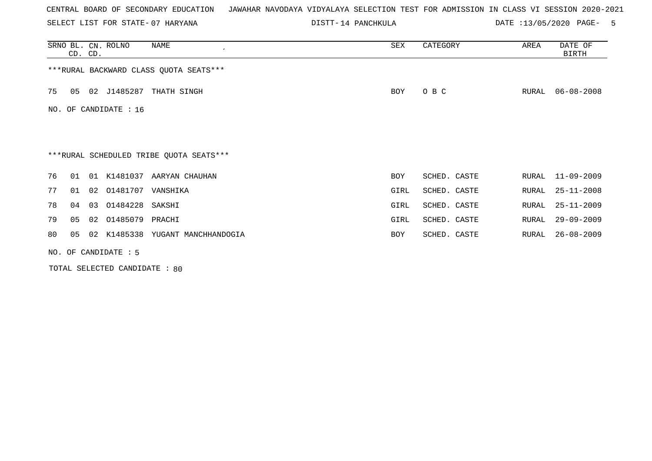SELECT LIST FOR STATE- DISTT- 07 HARYANA

DISTT-14 PANCHKULA DATE :13/05/2020 PAGE- 5

|     | CD. CD. | SRNO BL. CN. ROLNO     | NAME<br>$\cdot$                         | SEX        | CATEGORY     | AREA  | DATE OF<br><b>BIRTH</b> |
|-----|---------|------------------------|-----------------------------------------|------------|--------------|-------|-------------------------|
|     |         |                        | *** RURAL BACKWARD CLASS QUOTA SEATS*** |            |              |       |                         |
| 75  | 05      | 02 J1485287            | THATH SINGH                             | BOY        | O B C        | RURAL | $06 - 08 - 2008$        |
| NO. |         | OF CANDIDATE : 16      |                                         |            |              |       |                         |
|     |         |                        |                                         |            |              |       |                         |
|     |         |                        | ***RURAL SCHEDULED TRIBE QUOTA SEATS*** |            |              |       |                         |
| 76  | 01      |                        | 01 K1481037 AARYAN CHAUHAN              | <b>BOY</b> | SCHED. CASTE | RURAL | 11-09-2009              |
| 77  | 01      | 02 01481707            | VANSHIKA                                | GIRL       | SCHED. CASTE | RURAL | $25 - 11 - 2008$        |
| 78  | 04      | 01484228 SAKSHI<br>03  |                                         | GIRL       | SCHED. CASTE | RURAL | $25 - 11 - 2009$        |
| 79  | 05      | 02 01485079 PRACHI     |                                         | GIRL       | SCHED. CASTE | RURAL | $29 - 09 - 2009$        |
| 80  | 05      |                        | 02 K1485338 YUGANT MANCHHANDOGIA        | <b>BOY</b> | SCHED. CASTE | RURAL | $26 - 08 - 2009$        |
|     |         | NO. OF CANDIDATE $: 5$ |                                         |            |              |       |                         |

TOTAL SELECTED CANDIDATE : 80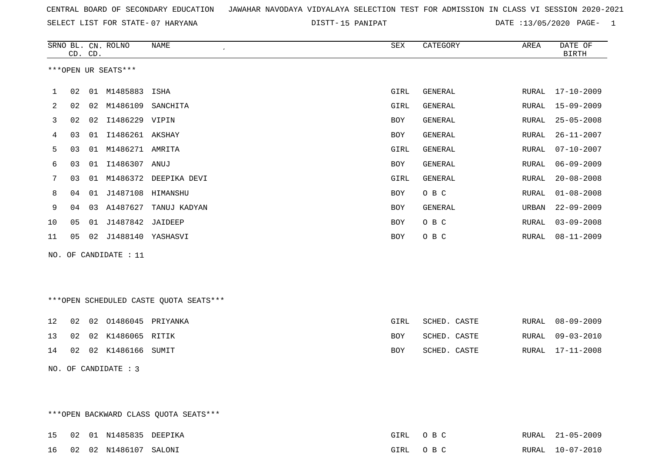SELECT LIST FOR STATE- DISTT- 07 HARYANA

DISTT-15 PANIPAT **DATE** :13/05/2020 PAGE- 1

|              | CD. CD. |    | SRNO BL. CN. ROLNO  | <b>NAME</b>                            | <b>SEX</b> | CATEGORY       | AREA         | DATE OF<br><b>BIRTH</b> |
|--------------|---------|----|---------------------|----------------------------------------|------------|----------------|--------------|-------------------------|
|              |         |    | ***OPEN UR SEATS*** |                                        |            |                |              |                         |
| $\mathbf{1}$ | 02      |    | 01 M1485883         | ISHA                                   | GIRL       | <b>GENERAL</b> | RURAL        | $17 - 10 - 2009$        |
| 2            | 02      |    | 02 M1486109         | SANCHITA                               | GIRL       | GENERAL        | RURAL        | $15 - 09 - 2009$        |
| 3            | 02      | 02 | I1486229 VIPIN      |                                        | BOY        | GENERAL        | RURAL        | $25 - 05 - 2008$        |
| 4            | 03      | 01 | I1486261 AKSHAY     |                                        | <b>BOY</b> | GENERAL        | RURAL        | $26 - 11 - 2007$        |
| 5            | 03      |    | 01 M1486271 AMRITA  |                                        | GIRL       | GENERAL        | RURAL        | $07 - 10 - 2007$        |
| 6            | 03      |    | 01 I1486307         | ANUJ                                   | <b>BOY</b> | GENERAL        | <b>RURAL</b> | $06 - 09 - 2009$        |
| 7            | 03      |    | 01 M1486372         | DEEPIKA DEVI                           | GIRL       | GENERAL        | RURAL        | $20 - 08 - 2008$        |
| 8            | 04      | 01 | J1487108            | HIMANSHU                               | BOY        | O B C          | RURAL        | $01 - 08 - 2008$        |
| 9            | 04      | 03 | A1487627            | TANUJ KADYAN                           | <b>BOY</b> | GENERAL        | URBAN        | $22 - 09 - 2009$        |
| 10           | 05      |    | 01 J1487842         | JAIDEEP                                | <b>BOY</b> | O B C          | RURAL        | $03 - 09 - 2008$        |
| 11           | 05      | 02 | J1488140 YASHASVI   |                                        | <b>BOY</b> | O B C          | RURAL        | $08 - 11 - 2009$        |
| NO.          |         |    | OF CANDIDATE : 11   |                                        |            |                |              |                         |
|              |         |    |                     |                                        |            |                |              |                         |
|              |         |    |                     |                                        |            |                |              |                         |
|              |         |    |                     | ***OPEN SCHEDULED CASTE QUOTA SEATS*** |            |                |              |                         |
| 12           | 02      | 02 | 01486045 PRIYANKA   |                                        | GIRL       | SCHED. CASTE   | RURAL        | $08 - 09 - 2009$        |
| 13           | 02      |    | 02 K1486065         | RITIK                                  | <b>BOY</b> | SCHED. CASTE   | RURAL        | $09 - 03 - 2010$        |

14 02 02 K1486166 SUMIT BOY SCHED. CASTE RURAL 17-11-2008

\*\*\*OPEN BACKWARD CLASS QUOTA SEATS\*\*\*

NO. OF CANDIDATE : 3

15 02 01 N1485835 DEEPIKA GIRL O B C RURAL 21-05-2009 16 02 02 N1486107 SALONI GIRL O B C RURAL 10-07-2010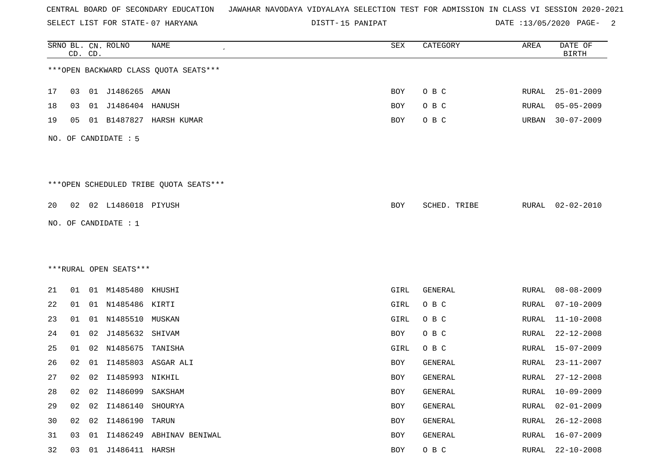SELECT LIST FOR STATE- DISTT- 07 HARYANA

15 PANIPAT DATE :13/05/2020 PAGE- 2

|    |    | CD. CD. | SRNO BL. CN. ROLNO     | NAME                                   | SEX        | CATEGORY     | AREA         | DATE OF<br><b>BIRTH</b> |
|----|----|---------|------------------------|----------------------------------------|------------|--------------|--------------|-------------------------|
|    |    |         |                        | *** OPEN BACKWARD CLASS QUOTA SEATS*** |            |              |              |                         |
| 17 | 03 |         | 01 J1486265 AMAN       |                                        | BOY        | O B C        | RURAL        | $25 - 01 - 2009$        |
| 18 | 03 | 01      | J1486404               | HANUSH                                 | BOY        | O B C        | RURAL        | $05 - 05 - 2009$        |
| 19 | 05 |         |                        | 01 B1487827 HARSH KUMAR                | BOY        | O B C        | URBAN        | $30 - 07 - 2009$        |
|    |    |         | NO. OF CANDIDATE : 5   |                                        |            |              |              |                         |
|    |    |         |                        | ***OPEN SCHEDULED TRIBE QUOTA SEATS*** |            |              |              |                         |
| 20 |    |         | 02 02 L1486018 PIYUSH  |                                        | <b>BOY</b> | SCHED. TRIBE |              | RURAL 02-02-2010        |
|    |    |         | NO. OF CANDIDATE : 1   |                                        |            |              |              |                         |
|    |    |         |                        |                                        |            |              |              |                         |
|    |    |         |                        |                                        |            |              |              |                         |
|    |    |         | ***RURAL OPEN SEATS*** |                                        |            |              |              |                         |
| 21 | 01 |         | 01 M1485480            | KHUSHI                                 | GIRL       | GENERAL      | RURAL        | $08 - 08 - 2009$        |
| 22 | 01 |         | 01 N1485486 KIRTI      |                                        | GIRL       | O B C        | RURAL        | $07 - 10 - 2009$        |
| 23 | 01 | 01      | N1485510               | MUSKAN                                 | GIRL       | O B C        | <b>RURAL</b> | $11 - 10 - 2008$        |
| 24 | 01 | 02      | J1485632               | SHIVAM                                 | BOY        | O B C        | <b>RURAL</b> | $22 - 12 - 2008$        |
| 25 | 01 | 02      | N1485675               | TANISHA                                | GIRL       | O B C        | RURAL        | $15 - 07 - 2009$        |
| 26 | 02 | 01      | I1485803               | ASGAR ALI                              | BOY        | GENERAL      | RURAL        | $23 - 11 - 2007$        |
| 27 | 02 |         | 02 I1485993 NIKHIL     |                                        | BOY        | GENERAL      | RURAL        | $27 - 12 - 2008$        |
| 28 | 02 | 02      | I1486099               | SAKSHAM                                | BOY        | GENERAL      | <b>RURAL</b> | $10 - 09 - 2009$        |
| 29 | 02 | 02      | I1486140               | SHOURYA                                | BOY        | GENERAL      | <b>RURAL</b> | $02 - 01 - 2009$        |
| 30 | 02 |         | 02 I1486190 TARUN      |                                        | BOY        | GENERAL      | RURAL        | $26 - 12 - 2008$        |
| 31 | 03 | 01      |                        | I1486249 ABHINAV BENIWAL               | BOY        | GENERAL      | <b>RURAL</b> | $16 - 07 - 2009$        |
| 32 | 03 |         | 01 J1486411 HARSH      |                                        | BOY        | O B C        | <b>RURAL</b> | $22 - 10 - 2008$        |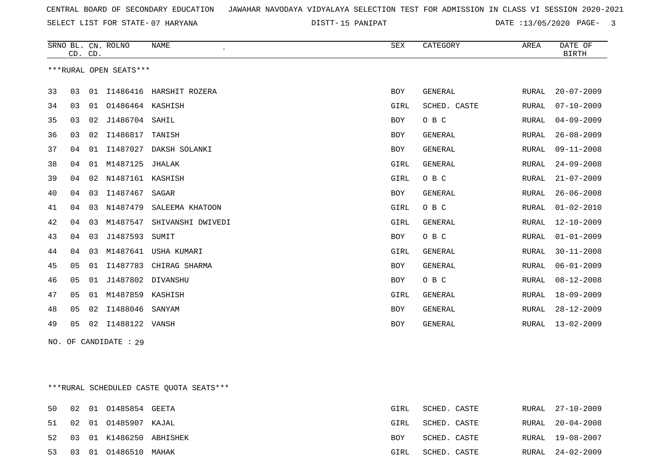SELECT LIST FOR STATE- DISTT- 07 HARYANA

15 PANIPAT DATE :13/05/2020 PAGE- 3

|    | CD. CD.        |    | SRNO BL. CN. ROLNO     | <b>NAME</b><br>$\epsilon$ | <b>SEX</b> | CATEGORY       | AREA         | DATE OF<br><b>BIRTH</b> |
|----|----------------|----|------------------------|---------------------------|------------|----------------|--------------|-------------------------|
|    |                |    | ***RURAL OPEN SEATS*** |                           |            |                |              |                         |
| 33 | 03             | 01 | I1486416               | HARSHIT ROZERA            | <b>BOY</b> | <b>GENERAL</b> | RURAL        | $20 - 07 - 2009$        |
| 34 | 03             | 01 | 01486464               | KASHISH                   | GIRL       | SCHED. CASTE   | RURAL        | $07 - 10 - 2009$        |
| 35 | 03             | 02 | J1486704               | SAHIL                     | BOY        | O B C          | <b>RURAL</b> | $04 - 09 - 2009$        |
| 36 | 03             | 02 | I1486817               | TANISH                    | BOY        | <b>GENERAL</b> | <b>RURAL</b> | $26 - 08 - 2009$        |
| 37 | 04             | 01 | I1487027               | DAKSH SOLANKI             | <b>BOY</b> | GENERAL        | RURAL        | $09 - 11 - 2008$        |
| 38 | 04             | 01 | M1487125               | JHALAK                    | GIRL       | <b>GENERAL</b> | <b>RURAL</b> | $24 - 09 - 2008$        |
| 39 | 04             | 02 | N1487161 KASHISH       |                           | GIRL       | O B C          | <b>RURAL</b> | $21 - 07 - 2009$        |
| 40 | 04             | 03 | I1487467               | SAGAR                     | BOY        | <b>GENERAL</b> | RURAL        | $26 - 06 - 2008$        |
| 41 | 04             | 03 | N1487479               | SALEEMA KHATOON           | GIRL       | O B C          | RURAL        | $01 - 02 - 2010$        |
| 42 | 04             | 03 | M1487547               | SHIVANSHI DWIVEDI         | GIRL       | <b>GENERAL</b> | <b>RURAL</b> | $12 - 10 - 2009$        |
| 43 | 04             | 03 | J1487593               | SUMIT                     | BOY        | O B C          | <b>RURAL</b> | $01 - 01 - 2009$        |
| 44 | 04             | 03 | M1487641               | USHA KUMARI               | GIRL       | <b>GENERAL</b> | RURAL        | $30 - 11 - 2008$        |
| 45 | 05             | 01 | I1487783               | CHIRAG SHARMA             | <b>BOY</b> | <b>GENERAL</b> | RURAL        | $06 - 01 - 2009$        |
| 46 | 05             | 01 | J1487802               | DIVANSHU                  | BOY        | O B C          | RURAL        | $08 - 12 - 2008$        |
| 47 | 0 <sub>5</sub> | 01 | M1487859               | KASHISH                   | GIRL       | <b>GENERAL</b> | RURAL        | $18 - 09 - 2009$        |
| 48 | 05             | 02 | I1488046               | SANYAM                    | <b>BOY</b> | <b>GENERAL</b> | <b>RURAL</b> | $28 - 12 - 2009$        |
| 49 | 05             | 02 | I1488122               | VANSH                     | BOY        | GENERAL        | RURAL        | $13 - 02 - 2009$        |

NO. OF CANDIDATE : 29

\*\*\*RURAL SCHEDULED CASTE QUOTA SEATS\*\*\*

| 50 |  | 02 01 01485854 GEETA       | GIRL | SCHED. CASTE | RURAL 27-10-2009 |
|----|--|----------------------------|------|--------------|------------------|
|    |  | 51 02 01 01485907 KAJAL    | GIRL | SCHED. CASTE | RURAL 20-04-2008 |
|    |  | 52 03 01 K1486250 ABHISHEK | BOY  | SCHED. CASTE | RURAL 19-08-2007 |
|    |  | 53 03 01 01486510 MAHAK    | GIRL | SCHED. CASTE | RURAL 24-02-2009 |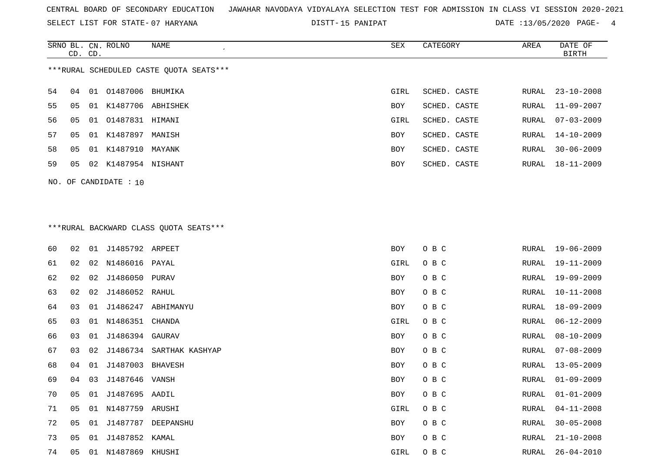SELECT LIST FOR STATE- DISTT- 07 HARYANA

15 PANIPAT DATE :13/05/2020 PAGE- 4

|                                         | CD. CD. |    | SRNO BL. CN. ROLNO | NAME     | SEX        | CATEGORY     | AREA  | DATE OF<br>BIRTH |
|-----------------------------------------|---------|----|--------------------|----------|------------|--------------|-------|------------------|
| ***RURAL SCHEDULED CASTE OUOTA SEATS*** |         |    |                    |          |            |              |       |                  |
| 54                                      | 04      | 01 | 01487006 BHUMIKA   |          | GIRL       | SCHED. CASTE | RURAL | $23 - 10 - 2008$ |
| 55                                      | 05      | 01 | K1487706           | ABHISHEK | BOY        | SCHED. CASTE | RURAL | $11 - 09 - 2007$ |
| 56                                      | 05      |    | 01 01487831 HIMANI |          | GIRL       | SCHED. CASTE | RURAL | 07-03-2009       |
| 57                                      | 05      |    | 01 K1487897        | MANISH   | <b>BOY</b> | SCHED. CASTE | RURAL | 14-10-2009       |
| 58                                      | 05      | 01 | K1487910           | MAYANK   | <b>BOY</b> | SCHED. CASTE | RURAL | $30 - 06 - 2009$ |
| 59                                      | 05      | 02 | K1487954 NISHANT   |          | BOY        | SCHED. CASTE | RURAL | 18-11-2009       |
|                                         |         |    |                    |          |            |              |       |                  |

NO. OF CANDIDATE : 10

# \*\*\*RURAL BACKWARD CLASS QUOTA SEATS\*\*\*

| 60 | 02             | 01 | J1485792 ARPEET    |                          | <b>BOY</b> | O B C | RURAL | 19-06-2009       |
|----|----------------|----|--------------------|--------------------------|------------|-------|-------|------------------|
| 61 | 02             | 02 | N1486016 PAYAL     |                          | GIRL       | O B C | RURAL | 19-11-2009       |
| 62 | 02             | 02 | J1486050 PURAV     |                          | BOY        | O B C | RURAL | 19-09-2009       |
| 63 | 02             | 02 | J1486052 RAHUL     |                          | BOY        | O B C | RURAL | $10 - 11 - 2008$ |
| 64 | 03             | 01 | J1486247           | ABHIMANYU                | BOY        | O B C | RURAL | 18-09-2009       |
| 65 | 03             | 01 | N1486351           | CHANDA                   | GIRL       | O B C | RURAL | $06 - 12 - 2009$ |
| 66 | 03             | 01 | J1486394           | GAURAV                   | BOY        | O B C | RURAL | $08 - 10 - 2009$ |
| 67 | 03             | 02 |                    | J1486734 SARTHAK KASHYAP | BOY        | O B C | RURAL | $07 - 08 - 2009$ |
| 68 | 04             | 01 | J1487003           | BHAVESH                  | BOY        | O B C | RURAL | $13 - 05 - 2009$ |
| 69 | 04             | 03 | J1487646 VANSH     |                          | BOY        | O B C | RURAL | $01 - 09 - 2009$ |
| 70 | 0 <sub>5</sub> | 01 | J1487695 AADIL     |                          | BOY        | O B C | RURAL | $01 - 01 - 2009$ |
| 71 | 0 <sub>5</sub> |    | 01 N1487759 ARUSHI |                          | GIRL       | O B C | RURAL | $04 - 11 - 2008$ |
| 72 | 05             | 01 | J1487787           | DEEPANSHU                | BOY        | O B C | RURAL | $30 - 05 - 2008$ |
| 73 | 05             | 01 | J1487852 KAMAL     |                          | BOY        | O B C | RURAL | $21 - 10 - 2008$ |
| 74 | 05             | 01 | N1487869           | KHUSHI                   | GIRL       | O B C | RURAL | $26 - 04 - 2010$ |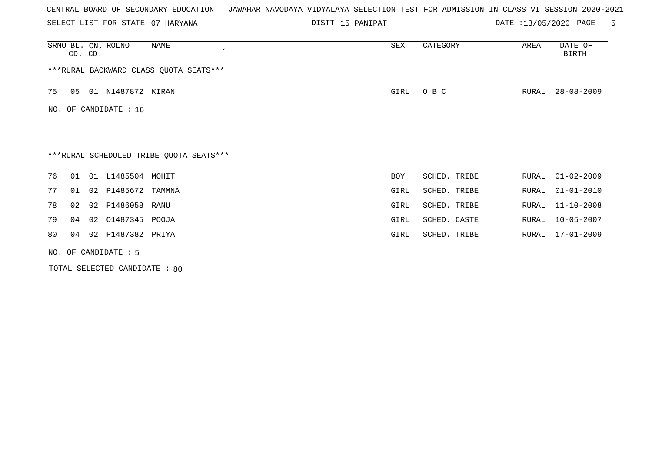SELECT LIST FOR STATE- DISTT- 07 HARYANA

15 PANIPAT DATE :13/05/2020 PAGE- 5

|                       | CD. CD.                | SRNO BL. CN. ROLNO | NAME                                    | SEX        | CATEGORY     | AREA  | DATE OF<br><b>BIRTH</b> |  |  |
|-----------------------|------------------------|--------------------|-----------------------------------------|------------|--------------|-------|-------------------------|--|--|
|                       |                        |                    | *** RURAL BACKWARD CLASS QUOTA SEATS*** |            |              |       |                         |  |  |
| 75                    | 05                     | 01 N1487872 KIRAN  |                                         | GIRL       | O B C        | RURAL | $28 - 08 - 2009$        |  |  |
| NO. OF CANDIDATE : 16 |                        |                    |                                         |            |              |       |                         |  |  |
|                       |                        |                    |                                         |            |              |       |                         |  |  |
|                       |                        |                    |                                         |            |              |       |                         |  |  |
|                       |                        |                    | ***RURAL SCHEDULED TRIBE QUOTA SEATS*** |            |              |       |                         |  |  |
| 76                    | 01                     | 01 L1485504 MOHIT  |                                         | <b>BOY</b> | SCHED. TRIBE | RURAL | $01 - 02 - 2009$        |  |  |
| 77                    | 01                     | 02 P1485672        | TAMMNA                                  | GIRL       | SCHED. TRIBE | RURAL | $01 - 01 - 2010$        |  |  |
| 78                    | 02                     | 02 P1486058 RANU   |                                         | GIRL       | SCHED. TRIBE | RURAL | $11 - 10 - 2008$        |  |  |
| 79                    | 04                     | 02 01487345 POOJA  |                                         | GIRL       | SCHED. CASTE | RURAL | $10 - 05 - 2007$        |  |  |
| 80                    | 04                     | 02 P1487382 PRIYA  |                                         | GIRL       | SCHED. TRIBE | RURAL | 17-01-2009              |  |  |
|                       | NO. OF CANDIDATE $: 5$ |                    |                                         |            |              |       |                         |  |  |

TOTAL SELECTED CANDIDATE : 80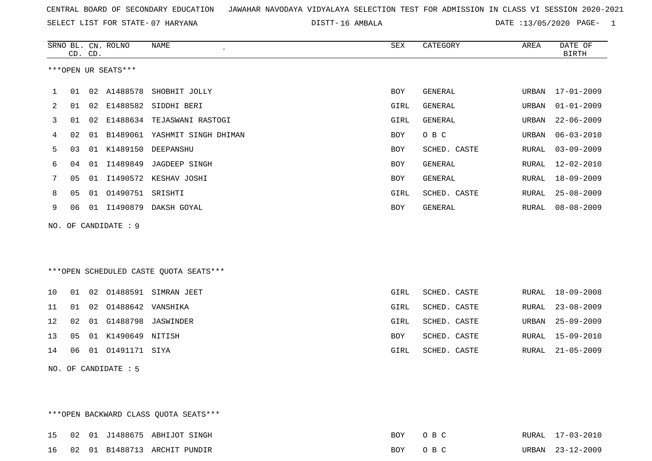SELECT LIST FOR STATE- DISTT- 07 HARYANA

DISTT-16 AMBALA 2020 DATE :13/05/2020 PAGE- 1

|                | CD. CD. |    | SRNO BL. CN. ROLNO   | <b>NAME</b>                            | ${\tt SEX}$ | CATEGORY       | AREA          | DATE OF<br><b>BIRTH</b> |
|----------------|---------|----|----------------------|----------------------------------------|-------------|----------------|---------------|-------------------------|
|                |         |    | ***OPEN UR SEATS***  |                                        |             |                |               |                         |
| 1              | 01      | 02 | A1488578             | SHOBHIT JOLLY                          | <b>BOY</b>  | <b>GENERAL</b> | URBAN         | 17-01-2009              |
| $\overline{2}$ | 01      | 02 | E1488582             | SIDDHI BERI                            | GIRL        | <b>GENERAL</b> | URBAN         | $01 - 01 - 2009$        |
| 3              | 01      | 02 |                      | E1488634 TEJASWANI RASTOGI             | GIRL        | GENERAL        | URBAN         | $22 - 06 - 2009$        |
| 4              | 02      | 01 |                      | B1489061 YASHMIT SINGH DHIMAN          | <b>BOY</b>  | O B C          | URBAN         | $06 - 03 - 2010$        |
| 5              | 03      |    | 01 K1489150          | DEEPANSHU                              | <b>BOY</b>  | SCHED. CASTE   | ${\tt RURAL}$ | $03 - 09 - 2009$        |
| 6              | 04      | 01 | I1489849             | <b>JAGDEEP SINGH</b>                   | <b>BOY</b>  | GENERAL        | RURAL         | $12 - 02 - 2010$        |
| 7              | 05      | 01 | I1490572             | KESHAV JOSHI                           | BOY         | GENERAL        | RURAL         | $18 - 09 - 2009$        |
| 8              | 05      |    | 01 01490751 SRISHTI  |                                        | GIRL        | SCHED. CASTE   | RURAL         | $25 - 08 - 2009$        |
| 9              | 06      |    | 01 I1490879          | DAKSH GOYAL                            | <b>BOY</b>  | GENERAL        | RURAL         | $08 - 08 - 2009$        |
|                |         |    | NO. OF CANDIDATE : 9 |                                        |             |                |               |                         |
|                |         |    |                      | ***OPEN SCHEDULED CASTE QUOTA SEATS*** |             |                |               |                         |
| 10             | 01      | 02 |                      | 01488591 SIMRAN JEET                   | GIRL        | SCHED. CASTE   | RURAL         | $18 - 09 - 2008$        |
| 11             | 01      |    | 02 01488642 VANSHIKA |                                        | GIRL        | SCHED. CASTE   | RURAL         | $23 - 08 - 2009$        |
| 12             | 02      | 01 | G1488798             | JASWINDER                              | GIRL        | SCHED. CASTE   | URBAN         | $25 - 09 - 2009$        |
| 13             | 05      |    | 01 K1490649 NITISH   |                                        | <b>BOY</b>  | SCHED. CASTE   | RURAL         | 15-09-2010              |

NO. OF CANDIDATE : 5

\*\*\*OPEN BACKWARD CLASS QUOTA SEATS\*\*\*

15 02 01 J1488675 ABHIJOT SINGH BOY O B C RURAL 17-03-2010 16 02 01 B1488713 ARCHIT PUNDIR BOY O B C URBAN 23-12-2009

14 06 01 O1491171 SIYA GIRL SCHED. CASTE RURAL 21-05-2009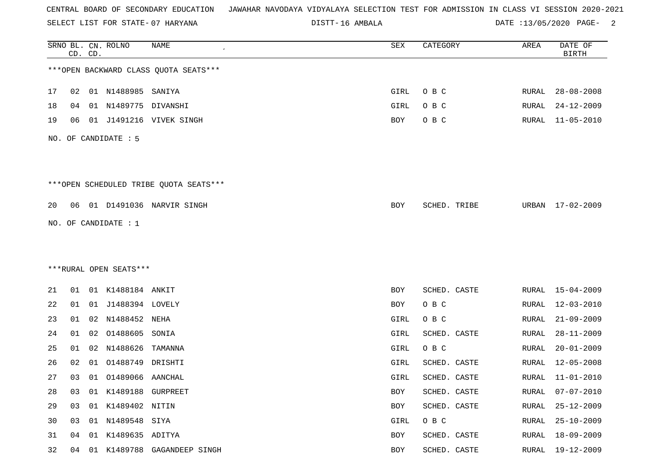SELECT LIST FOR STATE- DISTT- 07 HARYANA

16 AMBALA DATE :13/05/2020 PAGE- 2

|    |    | CD. CD. | SRNO BL. CN. ROLNO     | <b>NAME</b>                            | SEX        | CATEGORY     | AREA         | DATE OF<br><b>BIRTH</b> |
|----|----|---------|------------------------|----------------------------------------|------------|--------------|--------------|-------------------------|
|    |    |         |                        | *** OPEN BACKWARD CLASS QUOTA SEATS*** |            |              |              |                         |
| 17 | 02 |         | 01 N1488985 SANIYA     |                                        | GIRL       | O B C        | RURAL        | $28 - 08 - 2008$        |
| 18 | 04 | 01      | N1489775               | DIVANSHI                               | GIRL       | O B C        | RURAL        | $24 - 12 - 2009$        |
| 19 | 06 |         |                        | 01 J1491216 VIVEK SINGH                | BOY        | O B C        | RURAL        | $11 - 05 - 2010$        |
|    |    |         | NO. OF CANDIDATE : 5   |                                        |            |              |              |                         |
|    |    |         |                        |                                        |            |              |              |                         |
|    |    |         |                        | ***OPEN SCHEDULED TRIBE QUOTA SEATS*** |            |              |              |                         |
| 20 | 06 |         |                        | 01 D1491036 NARVIR SINGH               | BOY        | SCHED. TRIBE | URBAN        | 17-02-2009              |
|    |    |         | NO. OF CANDIDATE : 1   |                                        |            |              |              |                         |
|    |    |         |                        |                                        |            |              |              |                         |
|    |    |         |                        |                                        |            |              |              |                         |
|    |    |         | ***RURAL OPEN SEATS*** |                                        |            |              |              |                         |
| 21 | 01 |         | 01 K1488184 ANKIT      |                                        | BOY        | SCHED. CASTE | RURAL        | $15 - 04 - 2009$        |
| 22 | 01 |         | 01 J1488394 LOVELY     |                                        | BOY        | O B C        | RURAL        | 12-03-2010              |
| 23 | 01 | 02      | N1488452 NEHA          |                                        | GIRL       | O B C        | <b>RURAL</b> | $21 - 09 - 2009$        |
| 24 | 01 | 02      | 01488605               | SONIA                                  | GIRL       | SCHED. CASTE | <b>RURAL</b> | $28 - 11 - 2009$        |
| 25 | 01 | 02      | N1488626               | TAMANNA                                | GIRL       | O B C        | RURAL        | $20 - 01 - 2009$        |
| 26 | 02 | 01      | 01488749               | DRISHTI                                | GIRL       | SCHED. CASTE | RURAL        | $12 - 05 - 2008$        |
| 27 | 03 |         | 01 01489066 AANCHAL    |                                        | GIRL       | SCHED. CASTE | RURAL        | $11 - 01 - 2010$        |
| 28 | 03 |         | 01 K1489188 GURPREET   |                                        | <b>BOY</b> | SCHED. CASTE | RURAL        | $07 - 07 - 2010$        |
| 29 | 03 |         | 01 K1489402 NITIN      |                                        | BOY        | SCHED. CASTE | RURAL        | $25 - 12 - 2009$        |
| 30 | 03 |         | 01 N1489548 SIYA       |                                        | GIRL       | O B C        | RURAL        | $25 - 10 - 2009$        |
| 31 | 04 | 01      | K1489635 ADITYA        |                                        | BOY        | SCHED. CASTE | <b>RURAL</b> | $18 - 09 - 2009$        |
| 32 |    |         |                        | 04 01 K1489788 GAGANDEEP SINGH         | BOY        | SCHED. CASTE | RURAL        | 19-12-2009              |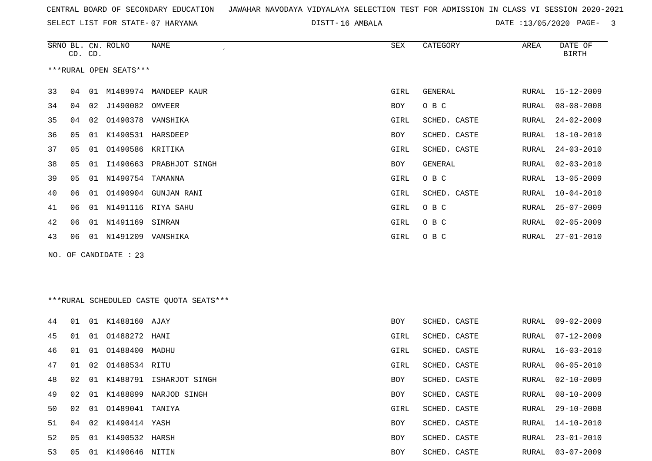SELECT LIST FOR STATE- DISTT- 07 HARYANA

16 AMBALA DATE :13/05/2020 PAGE- 3

|    | CD. CD. |    | SRNO BL. CN. ROLNO     | NAME<br>$\epsilon$      | SEX        | CATEGORY     | AREA  | DATE OF<br>BIRTH |
|----|---------|----|------------------------|-------------------------|------------|--------------|-------|------------------|
|    |         |    | ***RURAL OPEN SEATS*** |                         |            |              |       |                  |
| 33 | 04      | 01 |                        | M1489974 MANDEEP KAUR   | GIRL       | GENERAL      | RURAL | $15 - 12 - 2009$ |
| 34 | 04      | 02 | J1490082               | OMVEER                  | BOY        | O B C        | RURAL | $08 - 08 - 2008$ |
| 35 | 04      | 02 | 01490378 VANSHIKA      |                         | GIRL       | SCHED. CASTE | RURAL | $24 - 02 - 2009$ |
| 36 | 05      | 01 | K1490531 HARSDEEP      |                         | <b>BOY</b> | SCHED. CASTE | RURAL | $18 - 10 - 2010$ |
| 37 | 05      | 01 | 01490586 KRITIKA       |                         | GIRL       | SCHED. CASTE | RURAL | $24 - 03 - 2010$ |
| 38 | 05      | 01 |                        | I1490663 PRABHJOT SINGH | <b>BOY</b> | GENERAL      | RURAL | $02 - 03 - 2010$ |
| 39 | 05      | 01 | N1490754               | TAMANNA                 | GIRL       | O B C        | RURAL | $13 - 05 - 2009$ |
| 40 | 06      | 01 | 01490904               | <b>GUNJAN RANI</b>      | GIRL       | SCHED. CASTE | RURAL | $10 - 04 - 2010$ |
| 41 | 06      | 01 |                        | N1491116 RIYA SAHU      | GIRL       | O B C        | RURAL | $25 - 07 - 2009$ |
| 42 | 06      | 01 | N1491169               | SIMRAN                  | GIRL       | O B C        | RURAL | $02 - 05 - 2009$ |
| 43 | 06      |    | 01 N1491209 VANSHIKA   |                         | GIRL       | O B C        | RURAL | $27 - 01 - 2010$ |
|    |         |    | NO. OF CANDIDATE : 23  |                         |            |              |       |                  |
|    |         |    |                        |                         |            |              |       |                  |
|    |         |    |                        |                         |            |              |       |                  |
|    |         |    |                        |                         |            |              |       |                  |

\*\*\*RURAL SCHEDULED CASTE QUOTA SEATS\*\*\*

| 44 | 01 |    | 01 K1488160 AJAY   |                            | <b>BOY</b> | SCHED. CASTE | RURAL | 09-02-2009       |
|----|----|----|--------------------|----------------------------|------------|--------------|-------|------------------|
| 45 | 01 |    | 01 01488272        | HANI                       | GIRL       | SCHED. CASTE | RURAL | 07-12-2009       |
| 46 | 01 |    | 01 01488400        | MADHU                      | GIRL       | SCHED. CASTE | RURAL | 16-03-2010       |
| 47 | 01 |    | 02 01488534 RITU   |                            | GIRL       | SCHED. CASTE | RURAL | 06-05-2010       |
| 48 | 02 |    |                    | 01 K1488791 ISHARJOT SINGH | BOY        | SCHED. CASTE | RURAL | 02-10-2009       |
| 49 | 02 | 01 | K1488899           | NARJOD SINGH               | BOY        | SCHED. CASTE | RURAL | $08 - 10 - 2009$ |
| 50 | 02 |    | 01 01489041 TANIYA |                            | GIRL       | SCHED. CASTE | RURAL | $29 - 10 - 2008$ |
| 51 | 04 |    | 02 K1490414 YASH   |                            | BOY        | SCHED. CASTE | RURAL | $14 - 10 - 2010$ |
| 52 | 05 |    | 01 K1490532 HARSH  |                            | BOY        | SCHED. CASTE | RURAL | $23 - 01 - 2010$ |
| 53 | 05 |    | 01 K1490646 NITIN  |                            | BOY        | SCHED. CASTE | RURAL | $03 - 07 - 2009$ |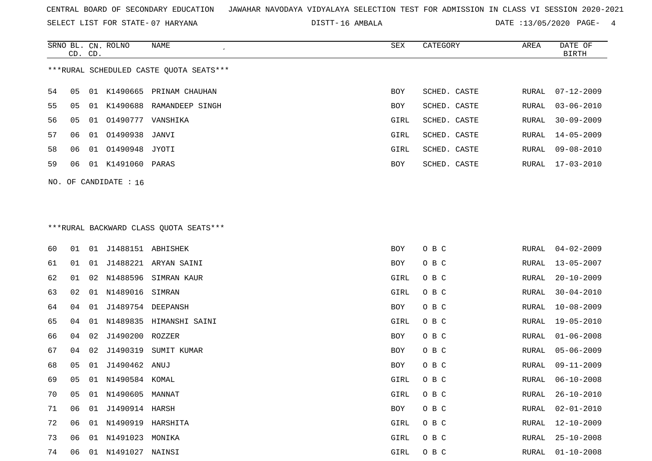SELECT LIST FOR STATE- DISTT- 07 HARYANA

DISTT-16 AMBALA 2001 2012 13/05/2020 PAGE- 4

|    |                                         |    | SRNO BL. CN. ROLNO | NAME                       | SEX        | CATEGORY     | AREA  | DATE OF          |  |  |
|----|-----------------------------------------|----|--------------------|----------------------------|------------|--------------|-------|------------------|--|--|
|    | CD. CD.                                 |    |                    |                            |            |              |       | BIRTH            |  |  |
|    | ***RURAL SCHEDULED CASTE OUOTA SEATS*** |    |                    |                            |            |              |       |                  |  |  |
| 54 | 05                                      |    |                    | 01 K1490665 PRINAM CHAUHAN | BOY        | SCHED. CASTE | RURAL | $07 - 12 - 2009$ |  |  |
| 55 | 05                                      | 01 |                    | K1490688 RAMANDEEP SINGH   | BOY        | SCHED. CASTE | RURAL | $03 - 06 - 2010$ |  |  |
| 56 | 05                                      |    | 01 01490777        | VANSHIKA                   | GIRL       | SCHED. CASTE | RURAL | $30 - 09 - 2009$ |  |  |
| 57 | 06                                      |    | 01 01490938 JANVI  |                            | GIRL       | SCHED. CASTE | RURAL | 14-05-2009       |  |  |
| 58 | 06                                      |    | 01 01490948 JYOTI  |                            | GIRL       | SCHED. CASTE | RURAL | $09 - 08 - 2010$ |  |  |
| 59 | 06                                      | 01 | K1491060 PARAS     |                            | <b>BOY</b> | SCHED. CASTE | RURAL | $17 - 03 - 2010$ |  |  |
|    | NO. OF CANDIDATE : $16$                 |    |                    |                            |            |              |       |                  |  |  |

## \*\*\*RURAL BACKWARD CLASS QUOTA SEATS\*\*\*

| 60 | 01             | 01 | J1488151 ABHISHEK |                         | BOY        | O B C | RURAL | $04 - 02 - 2009$ |
|----|----------------|----|-------------------|-------------------------|------------|-------|-------|------------------|
| 61 | 01             | 01 |                   | J1488221 ARYAN SAINI    | BOY        | O B C | RURAL | $13 - 05 - 2007$ |
| 62 | 01             | 02 | N1488596          | SIMRAN KAUR             | GIRL       | O B C | RURAL | $20 - 10 - 2009$ |
| 63 | 02             |    | 01 N1489016       | SIMRAN                  | GIRL       | O B C | RURAL | $30 - 04 - 2010$ |
| 64 | 04             | 01 | J1489754          | DEEPANSH                | BOY        | O B C | RURAL | $10 - 08 - 2009$ |
| 65 | 04             | 01 |                   | N1489835 HIMANSHI SAINI | GIRL       | O B C | RURAL | $19 - 05 - 2010$ |
| 66 | 04             | 02 | J1490200 ROZZER   |                         | BOY        | O B C | RURAL | $01 - 06 - 2008$ |
| 67 | 04             | 02 | J1490319          | SUMIT KUMAR             | BOY        | O B C | RURAL | $05 - 06 - 2009$ |
| 68 | 05             | 01 | J1490462          | ANUJ                    | <b>BOY</b> | O B C | RURAL | $09 - 11 - 2009$ |
| 69 | 05             |    | 01 N1490584 KOMAL |                         | GIRL       | O B C | RURAL | $06 - 10 - 2008$ |
| 70 | 0 <sub>5</sub> | 01 | N1490605          | MANNAT                  | GIRL       | O B C | RURAL | $26 - 10 - 2010$ |
| 71 | 06             | 01 | J1490914 HARSH    |                         | BOY        | O B C | RURAL | $02 - 01 - 2010$ |
| 72 | 06             | 01 | N1490919          | HARSHITA                | GIRL       | O B C | RURAL | $12 - 10 - 2009$ |
| 73 | 06             | 01 | N1491023          | MONIKA                  | GIRL       | O B C | RURAL | $25 - 10 - 2008$ |
| 74 | 06             | 01 | N1491027          | NAINSI                  | GIRL       | O B C | RURAL | $01 - 10 - 2008$ |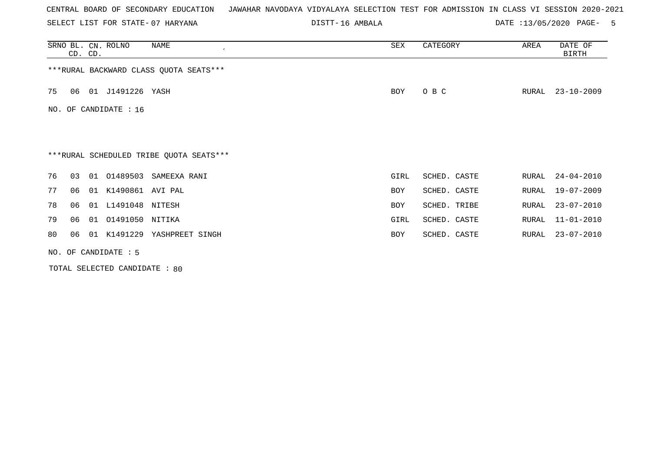SELECT LIST FOR STATE- DISTT- 07 HARYANA

16 AMBALA DATE :13/05/2020 PAGE- 5

|    | CD. CD.                | SRNO BL. CN. ROLNO |                    | NAME                                    | SEX        | CATEGORY     | AREA  | DATE OF<br><b>BIRTH</b> |  |  |
|----|------------------------|--------------------|--------------------|-----------------------------------------|------------|--------------|-------|-------------------------|--|--|
|    |                        |                    |                    | *** RURAL BACKWARD CLASS QUOTA SEATS*** |            |              |       |                         |  |  |
| 75 | 06                     |                    | 01 J1491226 YASH   |                                         | BOY        | O B C        | RURAL | $23 - 10 - 2009$        |  |  |
|    | NO. OF CANDIDATE : 16  |                    |                    |                                         |            |              |       |                         |  |  |
|    |                        |                    |                    |                                         |            |              |       |                         |  |  |
|    |                        |                    |                    | ***RURAL SCHEDULED TRIBE QUOTA SEATS*** |            |              |       |                         |  |  |
| 76 | 03                     |                    |                    | 01 01489503 SAMEEXA RANI                | GIRL       | SCHED. CASTE | RURAL | $24 - 04 - 2010$        |  |  |
| 77 | 06                     | 01                 | K1490861 AVI PAL   |                                         | <b>BOY</b> | SCHED. CASTE | RURAL | 19-07-2009              |  |  |
| 78 | 06                     |                    | 01 L1491048 NITESH |                                         | <b>BOY</b> | SCHED. TRIBE | RURAL | $23 - 07 - 2010$        |  |  |
| 79 | 06                     | 01                 | 01491050 NITIKA    |                                         | GIRL       | SCHED. CASTE | RURAL | $11 - 01 - 2010$        |  |  |
| 80 | 06                     |                    |                    | 01 K1491229 YASHPREET SINGH             | BOY        | SCHED. CASTE | RURAL | $23 - 07 - 2010$        |  |  |
|    | NO. OF CANDIDATE $: 5$ |                    |                    |                                         |            |              |       |                         |  |  |

TOTAL SELECTED CANDIDATE : 80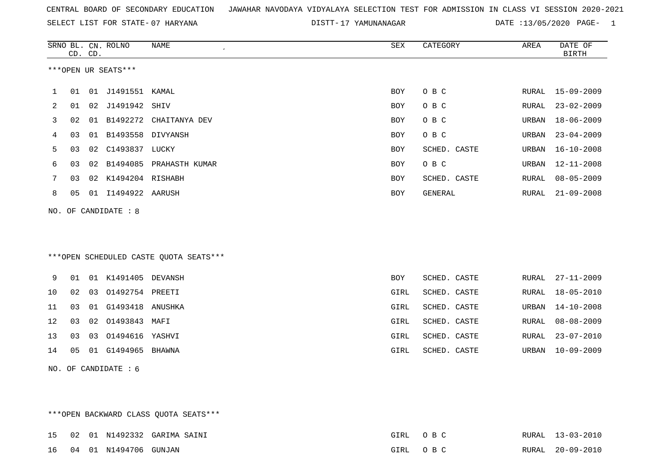SELECT LIST FOR STATE- DISTT- 07 HARYANA

DISTT-17 YAMUNANAGAR DATE :13/05/2020 PAGE- 1

|    |    | CD. CD. | SRNO BL. CN. ROLNO   | <b>NAME</b>                             | <b>SEX</b> | CATEGORY     | AREA  | DATE OF<br><b>BIRTH</b> |
|----|----|---------|----------------------|-----------------------------------------|------------|--------------|-------|-------------------------|
|    |    |         | ***OPEN UR SEATS***  |                                         |            |              |       |                         |
| 1  | 01 |         | 01 J1491551 KAMAL    |                                         | BOY        | O B C        |       | RURAL 15-09-2009        |
| 2  | 01 |         | 02 J1491942 SHIV     |                                         | BOY        | O B C        | RURAL | $23 - 02 - 2009$        |
| 3  | 02 |         |                      | 01 B1492272 CHAITANYA DEV               | <b>BOY</b> | O B C        | URBAN | $18 - 06 - 2009$        |
| 4  | 03 |         | 01 B1493558 DIVYANSH |                                         | <b>BOY</b> | O B C        | URBAN | $23 - 04 - 2009$        |
| 5  | 03 |         | 02 C1493837 LUCKY    |                                         | <b>BOY</b> | SCHED. CASTE | URBAN | $16 - 10 - 2008$        |
| 6  | 03 | 02      |                      | B1494085 PRAHASTH KUMAR                 | BOY        | $O$ B $C$    | URBAN | $12 - 11 - 2008$        |
| 7  | 03 |         | 02 K1494204 RISHABH  |                                         | <b>BOY</b> | SCHED. CASTE | RURAL | $08 - 05 - 2009$        |
| 8  | 05 |         | 01 I1494922 AARUSH   |                                         | BOY        | GENERAL      | RURAL | $21 - 09 - 2008$        |
|    |    |         | NO. OF CANDIDATE : 8 |                                         |            |              |       |                         |
|    |    |         |                      |                                         |            |              |       |                         |
|    |    |         |                      |                                         |            |              |       |                         |
|    |    |         |                      | *** OPEN SCHEDULED CASTE QUOTA SEATS*** |            |              |       |                         |
| 9  | 01 |         | 01 K1491405 DEVANSH  |                                         | <b>BOY</b> | SCHED. CASTE | RURAL | $27 - 11 - 2009$        |
| 10 | 02 |         | 03 01492754 PREETI   |                                         | GIRL       | SCHED. CASTE | RURAL | $18 - 05 - 2010$        |
| 11 | 03 | 01      | G1493418             | ANUSHKA                                 | GIRL       | SCHED. CASTE | URBAN | $14 - 10 - 2008$        |
| 12 | 03 | 02      | 01493843 MAFI        |                                         | GIRL       | SCHED. CASTE | RURAL | $08 - 08 - 2009$        |
| 13 | 03 | 03      | 01494616             | YASHVI                                  | GIRL       | SCHED. CASTE | RURAL | $23 - 07 - 2010$        |
| 14 | 05 |         | 01 G1494965 BHAWNA   |                                         | GIRL       | SCHED. CASTE | URBAN | $10 - 09 - 2009$        |
|    |    |         | NO. OF CANDIDATE : 6 |                                         |            |              |       |                         |

\*\*\*OPEN BACKWARD CLASS QUOTA SEATS\*\*\* 15 02 01 N1492332 GARIMA SAINI GIRL O B C RURAL 13-03-2010RURAL 13-03-2010 16 04 01 N1494706 GUNJAN GIRL O B C RURAL 20-09-2010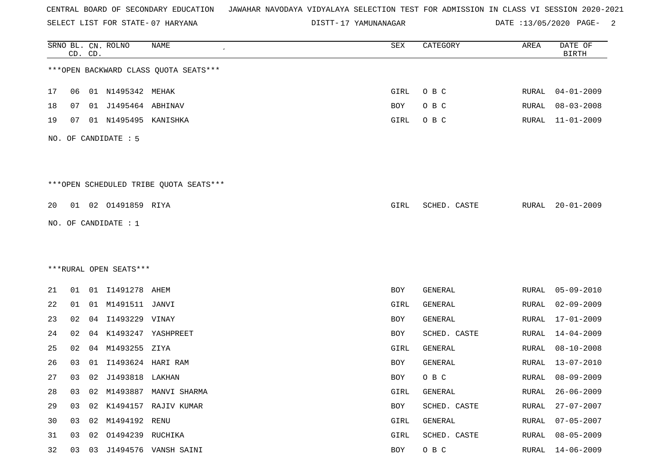SELECT LIST FOR STATE- DISTT- 07 HARYANA

17 YAMUNANAGAR DATE :13/05/2020 PAGE- 2

|    |    | CD. CD. | SRNO BL. CN. ROLNO     | NAME                                   | ${\tt SEX}$ | CATEGORY     | AREA         | DATE OF<br><b>BIRTH</b> |
|----|----|---------|------------------------|----------------------------------------|-------------|--------------|--------------|-------------------------|
|    |    |         |                        | *** OPEN BACKWARD CLASS QUOTA SEATS*** |             |              |              |                         |
| 17 | 06 |         | 01 N1495342 MEHAK      |                                        | GIRL        | O B C        | RURAL        | $04 - 01 - 2009$        |
| 18 | 07 |         | 01 J1495464 ABHINAV    |                                        | BOY         | O B C        | RURAL        | $08 - 03 - 2008$        |
| 19 | 07 |         | 01 N1495495 KANISHKA   |                                        | GIRL        | O B C        | RURAL        | $11 - 01 - 2009$        |
|    |    |         | NO. OF CANDIDATE : 5   |                                        |             |              |              |                         |
|    |    |         |                        | ***OPEN SCHEDULED TRIBE QUOTA SEATS*** |             |              |              |                         |
| 20 |    |         | 01  02  01491859  RIYA |                                        | GIRL        | SCHED. CASTE | RURAL        | $20 - 01 - 2009$        |
|    |    |         | NO. OF CANDIDATE : $1$ |                                        |             |              |              |                         |
|    |    |         |                        |                                        |             |              |              |                         |
|    |    |         |                        |                                        |             |              |              |                         |
|    |    |         | ***RURAL OPEN SEATS*** |                                        |             |              |              |                         |
| 21 | 01 |         | 01 I1491278 AHEM       |                                        | BOY         | GENERAL      | RURAL        | $05 - 09 - 2010$        |
| 22 | 01 |         | 01 M1491511 JANVI      |                                        | GIRL        | GENERAL      | RURAL        | $02 - 09 - 2009$        |
| 23 | 02 |         | 04 I1493229 VINAY      |                                        | BOY         | GENERAL      | RURAL        | $17 - 01 - 2009$        |
| 24 | 02 | 04      |                        | K1493247 YASHPREET                     | BOY         | SCHED. CASTE | <b>RURAL</b> | $14 - 04 - 2009$        |
| 25 | 02 |         | 04 M1493255            | ZIYA                                   | GIRL        | GENERAL      | RURAL        | $08 - 10 - 2008$        |
| 26 | 03 | 01      | I1493624 HARI RAM      |                                        | BOY         | GENERAL      | RURAL        | $13 - 07 - 2010$        |
| 27 | 03 |         | 02 J1493818 LAKHAN     |                                        | BOY         | O B C        | RURAL        | $08 - 09 - 2009$        |
| 28 | 03 | 02      |                        | M1493887 MANVI SHARMA                  | GIRL        | GENERAL      | RURAL        | $26 - 06 - 2009$        |
| 29 | 03 |         |                        | 02 K1494157 RAJIV KUMAR                | BOY         | SCHED. CASTE | <b>RURAL</b> | $27 - 07 - 2007$        |
| 30 | 03 |         | 02 M1494192 RENU       |                                        | GIRL        | GENERAL      | <b>RURAL</b> | $07 - 05 - 2007$        |
| 31 | 03 | 02      | 01494239 RUCHIKA       |                                        | GIRL        | SCHED. CASTE | <b>RURAL</b> | $08 - 05 - 2009$        |
| 32 | 03 |         |                        | 03 J1494576 VANSH SAINI                | BOY         | O B C        | RURAL        | $14 - 06 - 2009$        |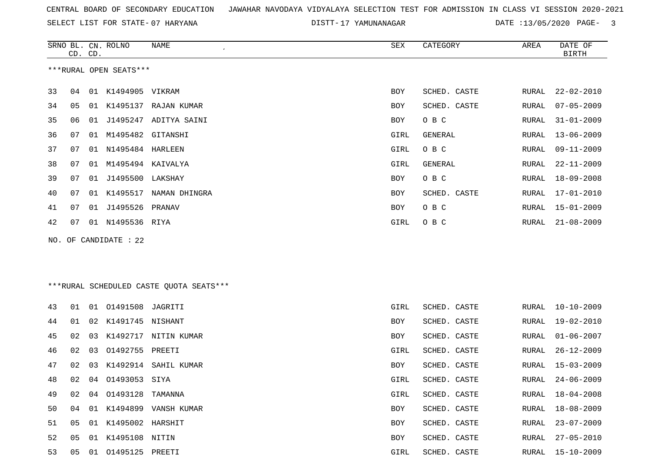SELECT LIST FOR STATE- DISTT- 07 HARYANA

DISTT-17 YAMUNANAGAR DATE :13/05/2020 PAGE- 3

|    | CD. CD. |    | SRNO BL. CN. ROLNO      | NAME<br>$\cdot$      | SEX  | CATEGORY       | AREA  | DATE OF<br>BIRTH |
|----|---------|----|-------------------------|----------------------|------|----------------|-------|------------------|
|    |         |    | ***RURAL OPEN SEATS***  |                      |      |                |       |                  |
| 33 | 04      | 01 | K1494905 VIKRAM         |                      | BOY  | SCHED. CASTE   | RURAL | $22 - 02 - 2010$ |
| 34 | 05      | 01 |                         | K1495137 RAJAN KUMAR | BOY  | SCHED. CASTE   | RURAL | $07 - 05 - 2009$ |
| 35 | 06      | 01 | J1495247                | ADITYA SAINI         | BOY  | O B C          | RURAL | $31 - 01 - 2009$ |
| 36 | 07      | 01 | M1495482 GITANSHI       |                      | GIRL | GENERAL        | RURAL | $13 - 06 - 2009$ |
| 37 | 07      | 01 | N1495484 HARLEEN        |                      | GIRL | O B C          | RURAL | 09-11-2009       |
| 38 | 07      | 01 | M1495494                | KAIVALYA             | GIRL | <b>GENERAL</b> | RURAL | $22 - 11 - 2009$ |
| 39 | 07      | 01 | J1495500 LAKSHAY        |                      | BOY  | O B C          | RURAL | $18 - 09 - 2008$ |
| 40 | 07      | 01 | K1495517                | NAMAN DHINGRA        | BOY  | SCHED. CASTE   | RURAL | $17 - 01 - 2010$ |
| 41 | 07      | 01 | J1495526                | PRANAV               | BOY  | O B C          | RURAL | $15 - 01 - 2009$ |
| 42 | 07      |    | 01 N1495536 RIYA        |                      | GIRL | O B C          | RURAL | $21 - 08 - 2009$ |
|    |         |    | NO. OF CANDIDATE : $22$ |                      |      |                |       |                  |

\*\*\*RURAL SCHEDULED CASTE QUOTA SEATS\*\*\*

| 43 | 01 |    | 01  01491508  JAGRITI |                         | GIRL       | SCHED. CASTE | RURAL | 10-10-2009       |
|----|----|----|-----------------------|-------------------------|------------|--------------|-------|------------------|
| 44 | 01 |    | 02 K1491745 NISHANT   |                         | <b>BOY</b> | SCHED. CASTE | RURAL | 19-02-2010       |
| 45 | 02 | 03 |                       | K1492717 NITIN KUMAR    | BOY        | SCHED. CASTE | RURAL | $01 - 06 - 2007$ |
| 46 | 02 | 03 | 01492755 PREETI       |                         | GIRL       | SCHED. CASTE | RURAL | $26 - 12 - 2009$ |
| 47 | 02 |    |                       | 03 K1492914 SAHIL KUMAR | BOY        | SCHED. CASTE | RURAL | 15-03-2009       |
| 48 | 02 | 04 | 01493053 SIYA         |                         | GIRL       | SCHED. CASTE | RURAL | $24 - 06 - 2009$ |
| 49 | 02 | 04 | 01493128 TAMANNA      |                         | GIRL       | SCHED. CASTE | RURAL | 18-04-2008       |
| 50 | 04 |    | 01 K1494899           | VANSH KUMAR             | BOY        | SCHED. CASTE | RURAL | 18-08-2009       |
| 51 | 05 |    | 01 K1495002 HARSHIT   |                         | <b>BOY</b> | SCHED. CASTE | RURAL | 23-07-2009       |
| 52 | 05 | 01 | K1495108 NITIN        |                         | BOY        | SCHED. CASTE | RURAL | $27 - 05 - 2010$ |
| 53 | 05 | 01 | 01495125 PREETI       |                         | GIRL       | SCHED. CASTE | RURAL | 15-10-2009       |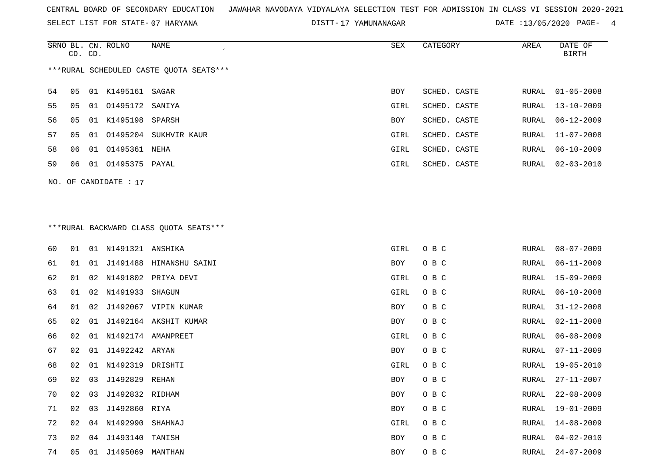SELECT LIST FOR STATE- DISTT- 07 HARYANA

DISTT-17 YAMUNANAGAR DATE :13/05/2020 PAGE- 4

|    | CD. CD. |    | SRNO BL. CN. ROLNO | NAME                                    | SEX        | CATEGORY     | AREA  | DATE OF<br>BIRTH |
|----|---------|----|--------------------|-----------------------------------------|------------|--------------|-------|------------------|
|    |         |    |                    | ***RURAL SCHEDULED CASTE OUOTA SEATS*** |            |              |       |                  |
| 54 | 05      |    | 01 K1495161 SAGAR  |                                         | <b>BOY</b> | SCHED. CASTE | RURAL | $01 - 05 - 2008$ |
| 55 | 05      |    | 01 01495172 SANIYA |                                         | GIRL       | SCHED. CASTE | RURAL | $13 - 10 - 2009$ |
| 56 | 05      |    | 01 K1495198 SPARSH |                                         | <b>BOY</b> | SCHED. CASTE | RURAL | 06-12-2009       |
| 57 | 05      | 01 | 01495204           | SUKHVIR KAUR                            | GIRL       | SCHED. CASTE | RURAL | 11-07-2008       |
| 58 | 06      | 01 | 01495361           | NEHA                                    | GIRL       | SCHED. CASTE | RURAL | 06-10-2009       |
| 59 | 06      | 01 | 01495375           | PAYAL                                   | GIRL       | SCHED. CASTE | RURAL | $02 - 03 - 2010$ |

## \*\*\*RURAL BACKWARD CLASS QUOTA SEATS\*\*\*

NO. OF CANDIDATE : 17

| 60 | 01 |    | 01 N1491321 ANSHIKA |                         | GIRL | O B C | RURAL | $08 - 07 - 2009$ |
|----|----|----|---------------------|-------------------------|------|-------|-------|------------------|
| 61 | 01 | 01 |                     | J1491488 HIMANSHU SAINI | BOY  | O B C | RURAL | $06 - 11 - 2009$ |
| 62 | 01 |    |                     | 02 N1491802 PRIYA DEVI  | GIRL | O B C | RURAL | 15-09-2009       |
| 63 | 01 |    | 02 N1491933         | SHAGUN                  | GIRL | O B C | RURAL | $06 - 10 - 2008$ |
| 64 | 01 | 02 |                     | J1492067 VIPIN KUMAR    | BOY  | O B C | RURAL | 31-12-2008       |
| 65 | 02 | 01 |                     | J1492164 AKSHIT KUMAR   | BOY  | O B C | RURAL | $02 - 11 - 2008$ |
| 66 | 02 |    |                     | 01 N1492174 AMANPREET   | GIRL | O B C | RURAL | $06 - 08 - 2009$ |
| 67 | 02 | 01 | J1492242 ARYAN      |                         | BOY  | O B C | RURAL | $07 - 11 - 2009$ |
| 68 | 02 | 01 | N1492319 DRISHTI    |                         | GIRL | O B C | RURAL | 19-05-2010       |
| 69 | 02 | 03 | J1492829 REHAN      |                         | BOY  | O B C | RURAL | $27 - 11 - 2007$ |
| 70 | 02 | 03 | J1492832 RIDHAM     |                         | BOY  | O B C | RURAL | $22 - 08 - 2009$ |
| 71 | 02 | 03 | J1492860 RIYA       |                         | BOY  | O B C | RURAL | 19-01-2009       |
| 72 | 02 |    | 04 N1492990         | SHAHNAJ                 | GIRL | O B C | RURAL | $14 - 08 - 2009$ |
| 73 | 02 | 04 | J1493140            | TANISH                  | BOY  | O B C | RURAL | $04 - 02 - 2010$ |
| 74 | 05 | 01 | J1495069 MANTHAN    |                         | BOY  | O B C | RURAL | $24 - 07 - 2009$ |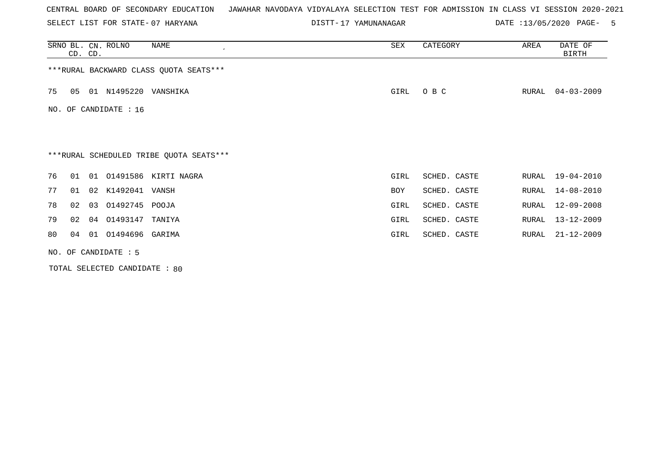SELECT LIST FOR STATE- DISTT- 07 HARYANA

17 YAMUNANAGAR DATE :13/05/2020 PAGE- 5

|    | CD. CD. |    | SRNO BL. CN. ROLNO    | NAME<br>$\cdot$                         | SEX  | CATEGORY     | AREA  | DATE OF<br>BIRTH |
|----|---------|----|-----------------------|-----------------------------------------|------|--------------|-------|------------------|
|    |         |    |                       | *** RURAL BACKWARD CLASS QUOTA SEATS*** |      |              |       |                  |
| 75 | 05      |    | 01 N1495220 VANSHIKA  |                                         | GIRL | O B C        | RURAL | $04 - 03 - 2009$ |
|    |         |    | NO. OF CANDIDATE : 16 |                                         |      |              |       |                  |
|    |         |    |                       |                                         |      |              |       |                  |
|    |         |    |                       | ***RURAL SCHEDULED TRIBE QUOTA SEATS*** |      |              |       |                  |
| 76 | 01      |    |                       | 01 01491586 KIRTI NAGRA                 | GIRL | SCHED. CASTE | RURAL | 19-04-2010       |
| 77 | 01      |    | 02 K1492041 VANSH     |                                         | BOY  | SCHED. CASTE | RURAL | $14 - 08 - 2010$ |
| 78 | 02      | 03 | 01492745 POOJA        |                                         | GIRL | SCHED. CASTE | RURAL | $12 - 09 - 2008$ |
| 79 | 02      | 04 | 01493147              | TANIYA                                  | GIRL | SCHED. CASTE | RURAL | $13 - 12 - 2009$ |
| 80 | 04      |    | 01 01494696 GARIMA    |                                         | GIRL | SCHED. CASTE | RURAL | $21 - 12 - 2009$ |
|    |         |    | NO. OF CANDIDATE : 5  |                                         |      |              |       |                  |

TOTAL SELECTED CANDIDATE : 80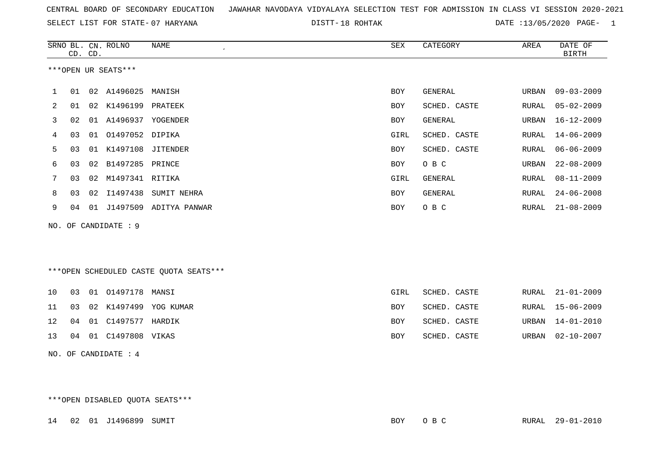|  |  |  |  | CENTRAL BOARD OF SECONDARY EDUCATION – JAWAHAR NAVODAYA VIDYALAYA SELECTION TEST FOR ADMISSION IN CLASS VI SESSION 2020-2021 |  |  |  |  |  |  |  |  |  |  |  |  |  |  |
|--|--|--|--|------------------------------------------------------------------------------------------------------------------------------|--|--|--|--|--|--|--|--|--|--|--|--|--|--|
|--|--|--|--|------------------------------------------------------------------------------------------------------------------------------|--|--|--|--|--|--|--|--|--|--|--|--|--|--|

DISTT-18 ROHTAK **DATE** :13/05/2020 PAGE- 1

|    | CD. CD. |    | SRNO BL. CN. ROLNO   | <b>NAME</b><br>$\bullet$               | SEX        | CATEGORY       | AREA         | DATE OF<br><b>BIRTH</b> |
|----|---------|----|----------------------|----------------------------------------|------------|----------------|--------------|-------------------------|
|    |         |    | ***OPEN UR SEATS***  |                                        |            |                |              |                         |
| 1  | 01      |    | 02 A1496025          | MANISH                                 | <b>BOY</b> | <b>GENERAL</b> | URBAN        | $09 - 03 - 2009$        |
| 2  | 01      | 02 | K1496199             | PRATEEK                                | <b>BOY</b> | SCHED. CASTE   | RURAL        | $05 - 02 - 2009$        |
| 3  | 02      | 01 | A1496937             | YOGENDER                               | <b>BOY</b> | <b>GENERAL</b> | URBAN        | $16 - 12 - 2009$        |
| 4  | 03      | 01 | 01497052             | DIPIKA                                 | GIRL       | SCHED. CASTE   | <b>RURAL</b> | $14 - 06 - 2009$        |
| 5  | 03      | 01 | K1497108             | JITENDER                               | <b>BOY</b> | SCHED. CASTE   | RURAL        | $06 - 06 - 2009$        |
| 6  | 03      | 02 | B1497285 PRINCE      |                                        | BOY        | O B C          | URBAN        | $22 - 08 - 2009$        |
| 7  | 03      | 02 | M1497341 RITIKA      |                                        | GIRL       | GENERAL        | <b>RURAL</b> | $08 - 11 - 2009$        |
| 8  | 03      | 02 | I1497438             | SUMIT NEHRA                            | <b>BOY</b> | <b>GENERAL</b> | RURAL        | $24 - 06 - 2008$        |
| 9  | 04      |    | 01 J1497509          | ADITYA PANWAR                          | BOY        | O B C          | RURAL        | $21 - 08 - 2009$        |
|    |         |    | NO. OF CANDIDATE : 9 |                                        |            |                |              |                         |
|    |         |    |                      |                                        |            |                |              |                         |
|    |         |    |                      | ***OPEN SCHEDULED CASTE QUOTA SEATS*** |            |                |              |                         |
| 10 | 03      |    | 01 01497178 MANSI    |                                        | GIRL       | SCHED. CASTE   | RURAL        | $21 - 01 - 2009$        |
| 11 | 03      | 02 | K1497499             | YOG KUMAR                              | <b>BOY</b> | SCHED. CASTE   | RURAL        | $15 - 06 - 2009$        |
| 12 | 04      | 01 | C1497577 HARDIK      |                                        | <b>BOY</b> | SCHED. CASTE   | URBAN        | $14 - 01 - 2010$        |
| 13 | 04      |    | 01 C1497808 VIKAS    |                                        | <b>BOY</b> | SCHED. CASTE   | URBAN        | $02 - 10 - 2007$        |

NO. OF CANDIDATE : 4

\*\*\*OPEN DISABLED QUOTA SEATS\*\*\*

14 02 01 J1496899 SUMIT BOY O B C RURAL 29-01-2010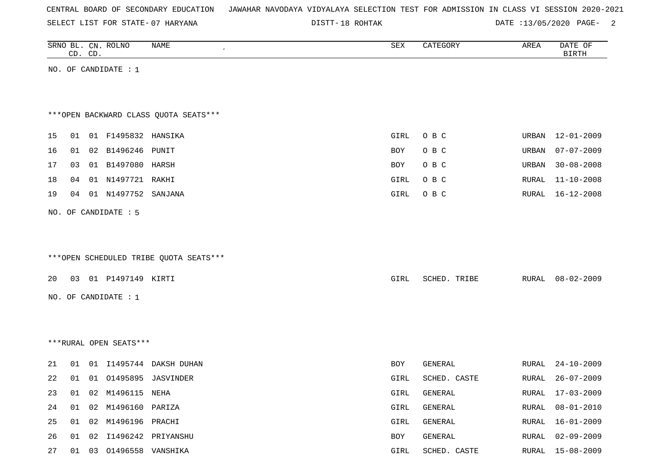|  |  |  | CENTRAL BOARD OF SECONDARY EDUCATION – JAWAHAR NAVODAYA VIDYALAYA SELECTION TEST FOR ADMISSION IN CLASS VI SESSION 2020-2021 |  |  |  |  |  |  |  |  |  |  |  |  |
|--|--|--|------------------------------------------------------------------------------------------------------------------------------|--|--|--|--|--|--|--|--|--|--|--|--|
|--|--|--|------------------------------------------------------------------------------------------------------------------------------|--|--|--|--|--|--|--|--|--|--|--|--|

DISTT-18 ROHTAK DATE :13/05/2020 PAGE- 2

|    |    | CD. CD. | SRNO BL. CN. ROLNO       | NAME                                   | SEX        | CATEGORY     | AREA  | DATE OF<br><b>BIRTH</b> |
|----|----|---------|--------------------------|----------------------------------------|------------|--------------|-------|-------------------------|
|    |    |         | NO. OF CANDIDATE : $1$   |                                        |            |              |       |                         |
|    |    |         |                          |                                        |            |              |       |                         |
|    |    |         |                          |                                        |            |              |       |                         |
|    |    |         |                          | *** OPEN BACKWARD CLASS QUOTA SEATS*** |            |              |       |                         |
| 15 |    |         | 01 01 F1495832 HANSIKA   |                                        | GIRL       | O B C        | URBAN | 12-01-2009              |
| 16 | 01 |         | 02 B1496246 PUNIT        |                                        | <b>BOY</b> | O B C        | URBAN | $07 - 07 - 2009$        |
| 17 | 03 |         | 01 B1497080 HARSH        |                                        | <b>BOY</b> | O B C        | URBAN | $30 - 08 - 2008$        |
| 18 | 04 |         | 01 N1497721 RAKHI        |                                        | GIRL       | O B C        | RURAL | $11 - 10 - 2008$        |
| 19 | 04 |         | 01 N1497752 SANJANA      |                                        | GIRL       | O B C        | RURAL | $16 - 12 - 2008$        |
|    |    |         |                          |                                        |            |              |       |                         |
|    |    |         | NO. OF CANDIDATE : 5     |                                        |            |              |       |                         |
|    |    |         |                          |                                        |            |              |       |                         |
|    |    |         |                          |                                        |            |              |       |                         |
|    |    |         |                          | ***OPEN SCHEDULED TRIBE QUOTA SEATS*** |            |              |       |                         |
| 20 |    |         | 03 01 P1497149 KIRTI     |                                        | GIRL       | SCHED. TRIBE | RURAL | $08 - 02 - 2009$        |
|    |    |         | NO. OF CANDIDATE : 1     |                                        |            |              |       |                         |
|    |    |         |                          |                                        |            |              |       |                         |
|    |    |         |                          |                                        |            |              |       |                         |
|    |    |         |                          |                                        |            |              |       |                         |
|    |    |         | ***RURAL OPEN SEATS***   |                                        |            |              |       |                         |
| 21 | 01 |         |                          | 01 I1495744 DAKSH DUHAN                | BOY        | GENERAL      | RURAL | $24 - 10 - 2009$        |
| 22 | 01 |         |                          | 01 01495895 JASVINDER                  | GIRL       | SCHED. CASTE | RURAL | $26 - 07 - 2009$        |
| 23 |    |         | 01 02 M1496115 NEHA      |                                        | GIRL       | GENERAL      |       | RURAL 17-03-2009        |
| 24 |    |         | 01  02  M1496160  PARIZA |                                        | GIRL       | GENERAL      | RURAL | $08 - 01 - 2010$        |
| 25 |    |         | 01 02 M1496196 PRACHI    |                                        | GIRL       | GENERAL      | RURAL | $16 - 01 - 2009$        |
| 26 |    |         |                          | 01 02 I1496242 PRIYANSHU               | BOY        | GENERAL      | RURAL | $02 - 09 - 2009$        |
| 27 |    |         | 01 03 01496558 VANSHIKA  |                                        | GIRL       | SCHED. CASTE |       | RURAL 15-08-2009        |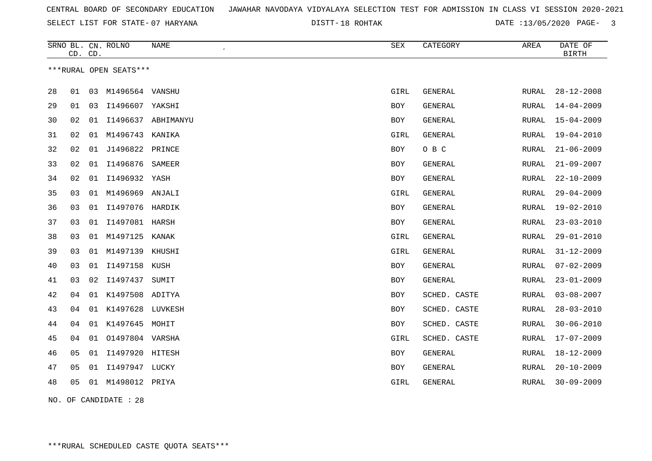DISTT-18 ROHTAK **DATE** :13/05/2020 PAGE- 3

|    | CD. CD. |    | SRNO BL. CN. ROLNO     | NAME<br>$\epsilon$ | <b>SEX</b>  | CATEGORY       | AREA         | DATE OF<br><b>BIRTH</b> |
|----|---------|----|------------------------|--------------------|-------------|----------------|--------------|-------------------------|
|    |         |    | ***RURAL OPEN SEATS*** |                    |             |                |              |                         |
| 28 | 01      | 03 | M1496564 VANSHU        |                    | GIRL        | <b>GENERAL</b> | RURAL        | $28 - 12 - 2008$        |
| 29 | 01      | 03 | I1496607 YAKSHI        |                    | <b>BOY</b>  | <b>GENERAL</b> | RURAL        | $14 - 04 - 2009$        |
| 30 | 02      | 01 |                        | I1496637 ABHIMANYU | BOY         | GENERAL        | RURAL        | $15 - 04 - 2009$        |
| 31 | 02      | 01 | M1496743               | KANIKA             | GIRL        | GENERAL        | RURAL        | $19 - 04 - 2010$        |
| 32 | 02      | 01 | J1496822 PRINCE        |                    | BOY         | O B C          | RURAL        | $21 - 06 - 2009$        |
| 33 | 02      | 01 | I1496876               | SAMEER             | BOY         | <b>GENERAL</b> | <b>RURAL</b> | $21 - 09 - 2007$        |
| 34 | 02      | 01 | I1496932 YASH          |                    | BOY         | <b>GENERAL</b> | RURAL        | $22 - 10 - 2009$        |
| 35 | 03      | 01 | M1496969               | ANJALI             | GIRL        | GENERAL        | RURAL        | $29 - 04 - 2009$        |
| 36 | 03      | 01 | 11497076 HARDIK        |                    | BOY         | GENERAL        | RURAL        | $19 - 02 - 2010$        |
| 37 | 03      | 01 | I1497081 HARSH         |                    | BOY         | GENERAL        | RURAL        | $23 - 03 - 2010$        |
| 38 | 03      |    | 01 M1497125 KANAK      |                    | GIRL        | <b>GENERAL</b> | RURAL        | $29 - 01 - 2010$        |
| 39 | 03      |    | 01 M1497139 KHUSHI     |                    | GIRL        | GENERAL        | RURAL        | $31 - 12 - 2009$        |
| 40 | 03      |    | 01 I1497158 KUSH       |                    | BOY         | GENERAL        | RURAL        | $07 - 02 - 2009$        |
| 41 | 03      | 02 | I1497437               | SUMIT              | BOY         | <b>GENERAL</b> | RURAL        | $23 - 01 - 2009$        |
| 42 | 04      |    | 01 K1497508 ADITYA     |                    | <b>BOY</b>  | SCHED. CASTE   | RURAL        | $03 - 08 - 2007$        |
| 43 | 04      |    | 01 K1497628 LUVKESH    |                    | BOY         | SCHED. CASTE   | RURAL        | $28 - 03 - 2010$        |
| 44 | 04      | 01 | K1497645 MOHIT         |                    | BOY         | SCHED. CASTE   | <b>RURAL</b> | $30 - 06 - 2010$        |
| 45 | 04      | 01 | 01497804 VARSHA        |                    | GIRL        | SCHED. CASTE   | RURAL        | $17 - 07 - 2009$        |
| 46 | 05      | 01 | I1497920 HITESH        |                    | BOY         | GENERAL        | RURAL        | $18 - 12 - 2009$        |
| 47 | 05      | 01 | I1497947 LUCKY         |                    | BOY         | GENERAL        | RURAL        | $20 - 10 - 2009$        |
| 48 | 05      | 01 | M1498012 PRIYA         |                    | <b>GIRL</b> | GENERAL        | RURAL        | $30 - 09 - 2009$        |
|    |         |    |                        |                    |             |                |              |                         |

NO. OF CANDIDATE : 28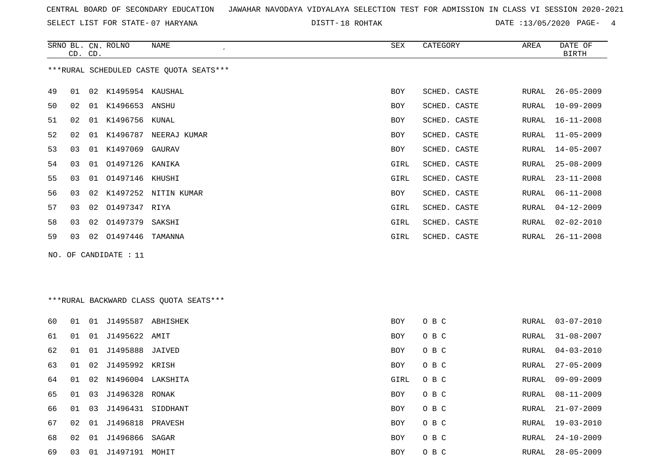SELECT LIST FOR STATE- DISTT- 07 HARYANA

DISTT-18 ROHTAK 13/05/2020 PAGE- 4

|    | CD. CD.        |    | SRNO BL. CN. ROLNO  | NAME<br>$\cdot$                         | SEX        | CATEGORY     | AREA  | DATE OF<br><b>BIRTH</b> |
|----|----------------|----|---------------------|-----------------------------------------|------------|--------------|-------|-------------------------|
|    |                |    |                     | ***RURAL SCHEDULED CASTE QUOTA SEATS*** |            |              |       |                         |
| 49 | 01             |    | 02 K1495954 KAUSHAL |                                         | <b>BOY</b> | SCHED. CASTE | RURAL | $26 - 05 - 2009$        |
| 50 | 02             |    | 01 K1496653 ANSHU   |                                         | <b>BOY</b> | SCHED. CASTE | RURAL | $10 - 09 - 2009$        |
| 51 | 02             | 01 | K1496756            | KUNAL                                   | <b>BOY</b> | SCHED. CASTE | RURAL | $16 - 11 - 2008$        |
| 52 | 02             | 01 | K1496787            | NEERAJ KUMAR                            | BOY        | SCHED. CASTE | RURAL | $11 - 05 - 2009$        |
| 53 | 03             |    | 01 K1497069         | GAURAV                                  | BOY        | SCHED. CASTE | RURAL | $14 - 05 - 2007$        |
| 54 | 03             | 01 | 01497126            | KANIKA                                  | GIRL       | SCHED. CASTE | RURAL | $25 - 08 - 2009$        |
| 55 | 03             |    | 01 01497146 KHUSHI  |                                         | GIRL       | SCHED. CASTE | RURAL | $23 - 11 - 2008$        |
| 56 | 0 <sub>3</sub> | 02 |                     | K1497252 NITIN KUMAR                    | <b>BOY</b> | SCHED. CASTE | RURAL | $06 - 11 - 2008$        |
| 57 | 03             | 02 | 01497347            | RIYA                                    | GIRL       | SCHED. CASTE | RURAL | $04 - 12 - 2009$        |
| 58 | 03             |    | 02 01497379         | SAKSHI                                  | GIRL       | SCHED. CASTE | RURAL | $02 - 02 - 2010$        |
| 59 | 03             | 02 | 01497446            | TAMANNA                                 | GIRL       | SCHED. CASTE | RURAL | $26 - 11 - 2008$        |

NO. OF CANDIDATE : 11

## \*\*\*RURAL BACKWARD CLASS QUOTA SEATS\*\*\*

| 60 | 01 | 01 | J1495587          | ABHISHEK | <b>BOY</b> | O B C | RURAL | 03-07-2010       |
|----|----|----|-------------------|----------|------------|-------|-------|------------------|
| 61 | 01 | 01 | J1495622 AMIT     |          | <b>BOY</b> | O B C | RURAL | $31 - 08 - 2007$ |
| 62 | 01 | 01 | J1495888          | JAIVED   | BOY        | O B C | RURAL | $04 - 03 - 2010$ |
| 63 | 01 | 02 | J1495992 KRISH    |          | <b>BOY</b> | O B C | RURAL | $27 - 05 - 2009$ |
| 64 | 01 | 02 | N1496004 LAKSHITA |          | GIRL       | O B C | RURAL | $09 - 09 - 2009$ |
| 65 | 01 | 03 | J1496328 RONAK    |          | <b>BOY</b> | O B C | RURAL | $08 - 11 - 2009$ |
| 66 | 01 | 03 | J1496431          | SIDDHANT | <b>BOY</b> | O B C | RURAL | $21 - 07 - 2009$ |
| 67 | 02 | 01 | J1496818          | PRAVESH  | <b>BOY</b> | O B C | RURAL | 19-03-2010       |
| 68 | 02 | 01 | J1496866          | SAGAR    | <b>BOY</b> | O B C | RURAL | $24 - 10 - 2009$ |
| 69 | 03 | 01 | J1497191          | MOHIT    | BOY        | O B C | RURAL | $28 - 05 - 2009$ |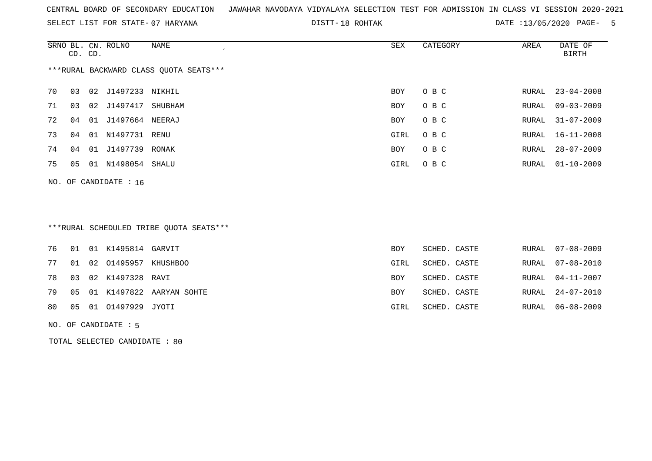SELECT LIST FOR STATE- DISTT- 07 HARYANA

DISTT-18 ROHTAK 13/05/2020 PAGE- 5

|    | CD. CD. |    | SRNO BL. CN. ROLNO | NAME<br>$\cdot$                        | SEX        | CATEGORY | AREA  | DATE OF<br>BIRTH |
|----|---------|----|--------------------|----------------------------------------|------------|----------|-------|------------------|
|    |         |    |                    | ***RURAL BACKWARD CLASS QUOTA SEATS*** |            |          |       |                  |
| 70 | 03      | 02 | J1497233 NIKHIL    |                                        | BOY        | O B C    | RURAL | $23 - 04 - 2008$ |
| 71 | 03      | 02 | J1497417           | SHUBHAM                                | <b>BOY</b> | O B C    | RURAL | $09 - 03 - 2009$ |
| 72 | 04      | 01 | J1497664           | NEERAJ                                 | BOY        | O B C    | RURAL | $31 - 07 - 2009$ |
| 73 | 04      | 01 | N1497731           | RENU                                   | GIRL       | O B C    | RURAL | $16 - 11 - 2008$ |
| 74 | 04      | 01 | J1497739           | RONAK                                  | <b>BOY</b> | O B C    | RURAL | $28 - 07 - 2009$ |
| 75 | 05      | 01 | N1498054           | SHALU                                  | GIRL       | O B C    |       | RURAL 01-10-2009 |
|    |         |    |                    |                                        |            |          |       |                  |

NO. OF CANDIDATE : 16

## \*\*\*RURAL SCHEDULED TRIBE QUOTA SEATS\*\*\*

|  | 76  01  01  K1495814  GARVIT |                                | BOY        | SCHED. CASTE | RURAL 07-08-2009 |
|--|------------------------------|--------------------------------|------------|--------------|------------------|
|  | 77 01 02 01495957 KHUSHBOO   |                                | GIRL       | SCHED. CASTE | RURAL 07-08-2010 |
|  | 78 03 02 K1497328 RAVI       |                                | <b>BOY</b> | SCHED. CASTE | RURAL 04-11-2007 |
|  |                              | 79 05 01 K1497822 AARYAN SOHTE | BOY        | SCHED. CASTE | RURAL 24-07-2010 |
|  | 80  05  01  01497929  JYOTI  |                                | GIRL       | SCHED. CASTE | RURAL 06-08-2009 |
|  |                              |                                |            |              |                  |

#### NO. OF CANDIDATE : 5

TOTAL SELECTED CANDIDATE : 80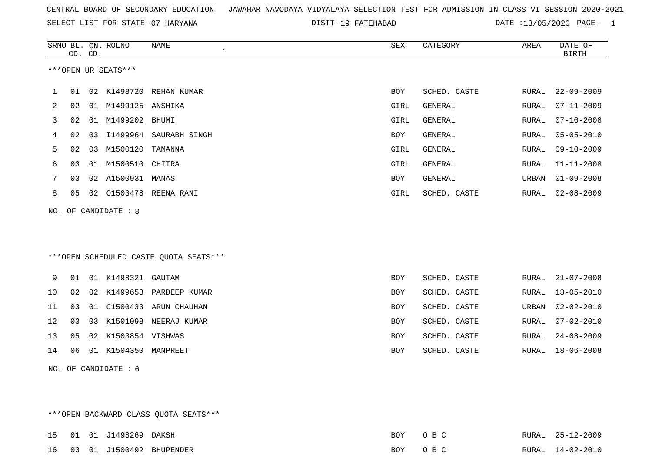SELECT LIST FOR STATE- DISTT- 07 HARYANA

DISTT-19 FATEHABAD **DATE** :13/05/2020 PAGE- 1

|    | CD. CD. |    | SRNO BL. CN. ROLNO     | <b>NAME</b><br>$\mathcal{L}_{\mathcal{A}}$ | ${\tt SEX}$ | CATEGORY     | AREA         | DATE OF<br><b>BIRTH</b> |
|----|---------|----|------------------------|--------------------------------------------|-------------|--------------|--------------|-------------------------|
|    |         |    | ***OPEN UR SEATS***    |                                            |             |              |              |                         |
| 1  | 01      |    |                        | 02 K1498720 REHAN KUMAR                    | <b>BOY</b>  | SCHED. CASTE | RURAL        | $22 - 09 - 2009$        |
| 2  | 02      |    | 01 M1499125 ANSHIKA    |                                            | GIRL        | GENERAL      | <b>RURAL</b> | $07 - 11 - 2009$        |
| 3  | 02      |    | 01 M1499202 BHUMI      |                                            | GIRL        | GENERAL      | <b>RURAL</b> | $07 - 10 - 2008$        |
| 4  | 02      |    |                        | 03 I1499964 SAURABH SINGH                  | <b>BOY</b>  | GENERAL      | RURAL        | $05 - 05 - 2010$        |
| 5  | 02      | 03 | M1500120               | TAMANNA                                    | GIRL        | GENERAL      | <b>RURAL</b> | $09 - 10 - 2009$        |
| 6  | 03      |    | 01 M1500510 CHITRA     |                                            | GIRL        | GENERAL      | RURAL        | $11 - 11 - 2008$        |
| 7  | 03      |    | 02 A1500931 MANAS      |                                            | <b>BOY</b>  | GENERAL      | URBAN        | $01 - 09 - 2008$        |
| 8  | 05      |    |                        | 02 01503478 REENA RANI                     | GIRL        | SCHED. CASTE | RURAL        | $02 - 08 - 2009$        |
|    |         |    | NO. OF CANDIDATE : 8   |                                            |             |              |              |                         |
|    |         |    |                        |                                            |             |              |              |                         |
|    |         |    |                        |                                            |             |              |              |                         |
|    |         |    |                        | ***OPEN SCHEDULED CASTE QUOTA SEATS***     |             |              |              |                         |
|    |         |    |                        |                                            |             |              |              |                         |
| 9  |         |    | 01 01 K1498321 GAUTAM  |                                            | <b>BOY</b>  | SCHED. CASTE | RURAL        | $21 - 07 - 2008$        |
| 10 | 02      | 02 | K1499653               | PARDEEP KUMAR                              | BOY         | SCHED. CASTE | RURAL        | $13 - 05 - 2010$        |
| 11 | 03      |    | 01 C1500433            | ARUN CHAUHAN                               | BOY         | SCHED. CASTE | URBAN        | $02 - 02 - 2010$        |
| 12 | 03      | 03 | K1501098               | NEERAJ KUMAR                               | BOY         | SCHED. CASTE | RURAL        | $07 - 02 - 2010$        |
| 13 | 05      |    | 02 K1503854 VISHWAS    |                                            | <b>BOY</b>  | SCHED. CASTE | RURAL        | $24 - 08 - 2009$        |
| 14 | 06      |    | 01 K1504350 MANPREET   |                                            | <b>BOY</b>  | SCHED. CASTE | RURAL        | $18 - 06 - 2008$        |
|    |         |    | NO. OF CANDIDATE $: 6$ |                                            |             |              |              |                         |

\*\*\*OPEN BACKWARD CLASS QUOTA SEATS\*\*\*

|  | 15 01 01 J1498269 DAKSH |                             | BOY | $O$ B C | RURAL 25-12-2009 |
|--|-------------------------|-----------------------------|-----|---------|------------------|
|  |                         | 16 03 01 J1500492 BHUPENDER |     | BOY OBC | RURAL 14-02-2010 |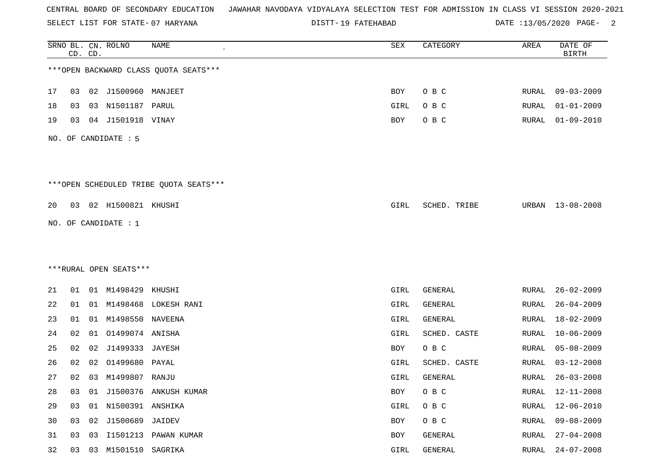SELECT LIST FOR STATE- DISTT- 07 HARYANA

DISTT-19 FATEHABAD DATE :13/05/2020 PAGE- 2

|    |    | CD. CD. | SRNO BL. CN. ROLNO     | <b>NAME</b>                            | SEX        | CATEGORY     | AREA         | DATE OF<br><b>BIRTH</b> |
|----|----|---------|------------------------|----------------------------------------|------------|--------------|--------------|-------------------------|
|    |    |         |                        | *** OPEN BACKWARD CLASS QUOTA SEATS*** |            |              |              |                         |
| 17 | 03 |         | 02 J1500960 MANJEET    |                                        | BOY        | O B C        | RURAL        | $09 - 03 - 2009$        |
| 18 | 03 | 03      | N1501187 PARUL         |                                        | GIRL       | O B C        | RURAL        | $01 - 01 - 2009$        |
| 19 | 03 | 04      | J1501918 VINAY         |                                        | BOY        | O B C        | RURAL        | $01 - 09 - 2010$        |
|    |    |         | NO. OF CANDIDATE : 5   |                                        |            |              |              |                         |
|    |    |         |                        | ***OPEN SCHEDULED TRIBE QUOTA SEATS*** |            |              |              |                         |
| 20 | 03 |         | 02 H1500821 KHUSHI     |                                        | GIRL       | SCHED. TRIBE | URBAN        | $13 - 08 - 2008$        |
|    |    |         | NO. OF CANDIDATE : 1   |                                        |            |              |              |                         |
|    |    |         |                        |                                        |            |              |              |                         |
|    |    |         |                        |                                        |            |              |              |                         |
|    |    |         | ***RURAL OPEN SEATS*** |                                        |            |              |              |                         |
| 21 | 01 |         | 01 M1498429 KHUSHI     |                                        | GIRL       | GENERAL      | RURAL        | $26 - 02 - 2009$        |
| 22 | 01 |         |                        | 01 M1498468 LOKESH RANI                | GIRL       | GENERAL      | RURAL        | $26 - 04 - 2009$        |
| 23 | 01 | 01      | M1498550 NAVEENA       |                                        | GIRL       | GENERAL      | RURAL        | $18 - 02 - 2009$        |
| 24 | 02 | 01      | 01499074 ANISHA        |                                        | GIRL       | SCHED. CASTE | RURAL        | $10 - 06 - 2009$        |
| 25 | 02 | 02      | J1499333 JAYESH        |                                        | BOY        | O B C        | RURAL        | $05 - 08 - 2009$        |
| 26 | 02 | 02      | 01499680               | PAYAL                                  | GIRL       | SCHED. CASTE | RURAL        | $03 - 12 - 2008$        |
| 27 | 02 |         | 03 M1499807 RANJU      |                                        | GIRL       | GENERAL      | RURAL        | $26 - 03 - 2008$        |
| 28 | 03 | 01      |                        | J1500376 ANKUSH KUMAR                  | <b>BOY</b> | O B C        | <b>RURAL</b> | $12 - 11 - 2008$        |
| 29 | 03 |         | 01 N1500391 ANSHIKA    |                                        | GIRL       | O B C        | <b>RURAL</b> | $12 - 06 - 2010$        |
| 30 | 03 | 02      | J1500689 JAIDEV        |                                        | BOY        | O B C        | RURAL        | $09 - 08 - 2009$        |
| 31 | 03 | 03      | I1501213               | PAWAN KUMAR                            | BOY        | GENERAL      | <b>RURAL</b> | $27 - 04 - 2008$        |
| 32 | 03 |         | 03 M1501510            | SAGRIKA                                | GIRL       | GENERAL      | RURAL        | $24 - 07 - 2008$        |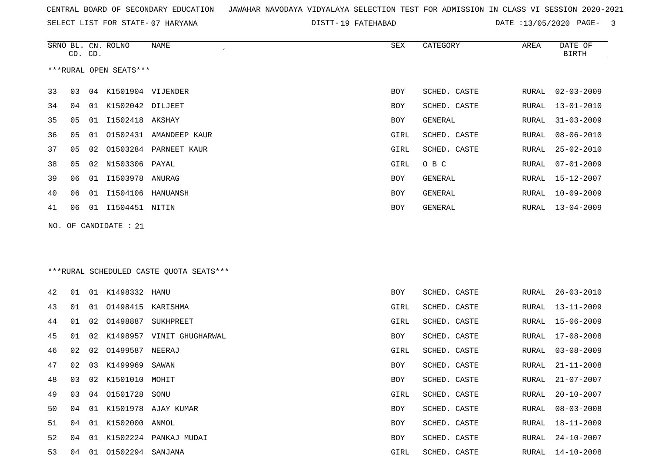SELECT LIST FOR STATE- DISTT- 07 HARYANA

DISTT-19 FATEHABAD DATE :13/05/2020 PAGE- 3

|    | CD. CD. |    | SRNO BL. CN. ROLNO        | NAME                                    | SEX        | CATEGORY       | AREA  | DATE OF<br><b>BIRTH</b> |
|----|---------|----|---------------------------|-----------------------------------------|------------|----------------|-------|-------------------------|
|    |         |    | ***RURAL OPEN SEATS***    |                                         |            |                |       |                         |
| 33 | 03      |    | 04 K1501904 VIJENDER      |                                         | <b>BOY</b> | SCHED. CASTE   | RURAL | $02 - 03 - 2009$        |
| 34 | 04      |    | 01 K1502042 DILJEET       |                                         | BOY        | SCHED. CASTE   | RURAL | $13 - 01 - 2010$        |
| 35 | 05      | 01 | 11502418 AKSHAY           |                                         | BOY        | <b>GENERAL</b> | RURAL | $31 - 03 - 2009$        |
| 36 | 05      | 01 |                           | 01502431 AMANDEEP KAUR                  | GIRL       | SCHED. CASTE   | RURAL | $08 - 06 - 2010$        |
| 37 | 05      | 02 |                           | 01503284 PARNEET KAUR                   | GIRL       | SCHED. CASTE   | RURAL | $25 - 02 - 2010$        |
| 38 | 05      | 02 | N1503306                  | PAYAL                                   | GIRL       | O B C          | RURAL | $07 - 01 - 2009$        |
| 39 | 06      | 01 | 11503978 ANURAG           |                                         | BOY        | GENERAL        | RURAL | 15-12-2007              |
| 40 | 06      | 01 | I1504106                  | HANUANSH                                | BOY        | <b>GENERAL</b> | RURAL | $10 - 09 - 2009$        |
| 41 | 06      |    | 01 I1504451 NITIN         |                                         | BOY        | GENERAL        | RURAL | $13 - 04 - 2009$        |
|    |         |    | NO. OF CANDIDATE : 21     |                                         |            |                |       |                         |
|    |         |    |                           |                                         |            |                |       |                         |
|    |         |    |                           |                                         |            |                |       |                         |
|    |         |    |                           | ***RURAL SCHEDULED CASTE QUOTA SEATS*** |            |                |       |                         |
| 42 | 01      |    | 01 K1498332               | HANU                                    | BOY        | SCHED. CASTE   | RURAL | $26 - 03 - 2010$        |
| 43 | 01      | 01 | 01498415                  | KARISHMA                                | GIRL       | SCHED. CASTE   | RURAL | $13 - 11 - 2009$        |
| 44 | 01      | 02 | 01498887                  | SUKHPREET                               | GIRL       | SCHED. CASTE   | RURAL | $15 - 06 - 2009$        |
| 45 | 01      | 02 |                           | K1498957 VINIT GHUGHARWAL               | BOY        | SCHED. CASTE   | RURAL | $17 - 08 - 2008$        |
| 46 | 02      | 02 | 01499587                  | NEERAJ                                  | GIRL       | SCHED. CASTE   | RURAL | $03 - 08 - 2009$        |
| 47 | 02      | 03 | K1499969                  | SAWAN                                   | BOY        | SCHED. CASTE   | RURAL | $21 - 11 - 2008$        |
| 48 | 03      | 02 | K1501010 MOHIT            |                                         | BOY        | SCHED. CASTE   | RURAL | $21 - 07 - 2007$        |
| 49 | 03      |    | 04 01501728 SONU          |                                         | GIRL       | SCHED. CASTE   | RURAL | $20 - 10 - 2007$        |
| 50 | 04      |    |                           | 01 K1501978 AJAY KUMAR                  | BOY        | SCHED. CASTE   | RURAL | $08 - 03 - 2008$        |
| 51 | 04      | 01 | K1502000 ANMOL            |                                         | BOY        | SCHED. CASTE   | RURAL | $18 - 11 - 2009$        |
| 52 | 04      |    |                           | 01 K1502224 PANKAJ MUDAI                | BOY        | SCHED. CASTE   | RURAL | $24 - 10 - 2007$        |
| 53 |         |    | 04  01  01502294  SANJANA |                                         | GIRL       | SCHED. CASTE   | RURAL | $14 - 10 - 2008$        |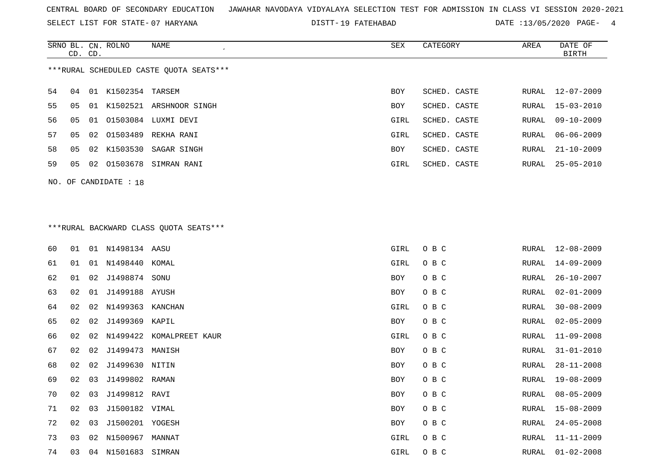SELECT LIST FOR STATE- DISTT- 07 HARYANA

19 FATEHABAD DATE :13/05/2020 PAGE- 4

|    | CD. CD. |    | SRNO BL. CN. ROLNO | NAME                                    | SEX        | CATEGORY     | AREA  | DATE OF<br><b>BIRTH</b> |
|----|---------|----|--------------------|-----------------------------------------|------------|--------------|-------|-------------------------|
|    |         |    |                    |                                         |            |              |       |                         |
|    |         |    |                    | ***RURAL SCHEDULED CASTE OUOTA SEATS*** |            |              |       |                         |
| 54 | 04      | 01 | K1502354 TARSEM    |                                         | <b>BOY</b> | SCHED. CASTE | RURAL | 12-07-2009              |
| 55 | 05      | 01 | K1502521           | ARSHNOOR SINGH                          | <b>BOY</b> | SCHED. CASTE | RURAL | $15 - 03 - 2010$        |
| 56 | 05      | 01 | 01503084           | LUXMI DEVI                              | GIRL       | SCHED. CASTE | RURAL | 09-10-2009              |
| 57 | 05      |    | 02 01503489        | REKHA RANI                              | GIRL       | SCHED. CASTE | RURAL | $06 - 06 - 2009$        |
| 58 | 05      |    | 02 K1503530        | SAGAR SINGH                             | <b>BOY</b> | SCHED. CASTE | RURAL | $21 - 10 - 2009$        |
| 59 | 05      | 02 | 01503678           | SIMRAN RANI                             | GIRL       | SCHED. CASTE | RURAL | $25 - 05 - 2010$        |
|    |         |    |                    |                                         |            |              |       |                         |

NO. OF CANDIDATE : 18

## \*\*\*RURAL BACKWARD CLASS QUOTA SEATS\*\*\*

| 60 | 01 | 01 | N1498134 AASU   |                 | GIRL | O B C | RURAL | 12-08-2009       |
|----|----|----|-----------------|-----------------|------|-------|-------|------------------|
| 61 | 01 | 01 | N1498440        | KOMAL           | GIRL | O B C | RURAL | $14 - 09 - 2009$ |
| 62 | 01 | 02 | J1498874        | SONU            | BOY  | O B C | RURAL | $26 - 10 - 2007$ |
| 63 | 02 | 01 | J1499188 AYUSH  |                 | BOY  | O B C | RURAL | $02 - 01 - 2009$ |
| 64 | 02 | 02 | N1499363        | KANCHAN         | GIRL | O B C | RURAL | $30 - 08 - 2009$ |
| 65 | 02 | 02 | J1499369 KAPIL  |                 | BOY  | O B C | RURAL | $02 - 05 - 2009$ |
| 66 | 02 | 02 | N1499422        | KOMALPREET KAUR | GIRL | O B C | RURAL | $11 - 09 - 2008$ |
| 67 | 02 | 02 | J1499473        | MANISH          | BOY  | O B C | RURAL | $31 - 01 - 2010$ |
| 68 | 02 | 02 | J1499630        | NITIN           | BOY  | O B C | RURAL | $28 - 11 - 2008$ |
| 69 | 02 | 03 | J1499802 RAMAN  |                 | BOY  | O B C | RURAL | $19 - 08 - 2009$ |
| 70 | 02 | 03 | J1499812 RAVI   |                 | BOY  | O B C | RURAL | $08 - 05 - 2009$ |
| 71 | 02 | 03 | J1500182 VIMAL  |                 | BOY  | O B C | RURAL | $15 - 08 - 2009$ |
| 72 | 02 | 03 | J1500201        | YOGESH          | BOY  | O B C | RURAL | $24 - 05 - 2008$ |
| 73 | 03 | 02 | N1500967        | MANNAT          | GIRL | O B C | RURAL | $11 - 11 - 2009$ |
| 74 | 03 | 04 | N1501683 SIMRAN |                 | GIRL | O B C | RURAL | $01 - 02 - 2008$ |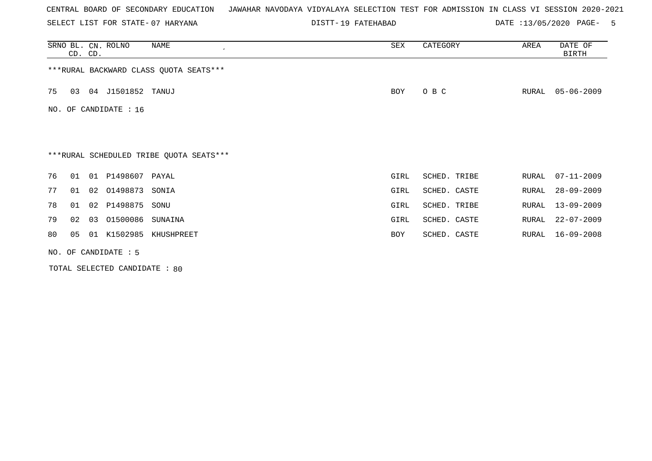SELECT LIST FOR STATE- DISTT- 07 HARYANA

19 FATEHABAD DATE :13/05/2020 PAGE- 5

|     | CD. CD. |    | SRNO BL. CN. ROLNO   | NAME<br>$\cdot$                         | SEX  | CATEGORY     | AREA  | DATE OF<br><b>BIRTH</b> |
|-----|---------|----|----------------------|-----------------------------------------|------|--------------|-------|-------------------------|
|     |         |    |                      | *** RURAL BACKWARD CLASS QUOTA SEATS*** |      |              |       |                         |
| 75  | 03      |    | 04 J1501852 TANUJ    |                                         | BOY  | O B C        | RURAL | $05 - 06 - 2009$        |
| NO. |         |    | OF CANDIDATE : 16    |                                         |      |              |       |                         |
|     |         |    |                      |                                         |      |              |       |                         |
|     |         |    |                      | ***RURAL SCHEDULED TRIBE QUOTA SEATS*** |      |              |       |                         |
| 76  | 01      |    | 01 P1498607 PAYAL    |                                         | GIRL | SCHED. TRIBE | RURAL | $07 - 11 - 2009$        |
| 77  | 01      |    | 02 01498873          | SONIA                                   | GIRL | SCHED. CASTE | RURAL | $28 - 09 - 2009$        |
| 78  | 01      |    | 02 P1498875          | SONU                                    | GIRL | SCHED. TRIBE | RURAL | $13 - 09 - 2009$        |
| 79  | 02      | 03 | 01500086             | SUNAINA                                 | GIRL | SCHED. CASTE | RURAL | $22 - 07 - 2009$        |
| 80  | 05      |    | 01 K1502985          | KHUSHPREET                              | BOY  | SCHED. CASTE | RURAL | $16 - 09 - 2008$        |
|     |         |    | NO. OF CANDIDATE : 5 |                                         |      |              |       |                         |

TOTAL SELECTED CANDIDATE : 80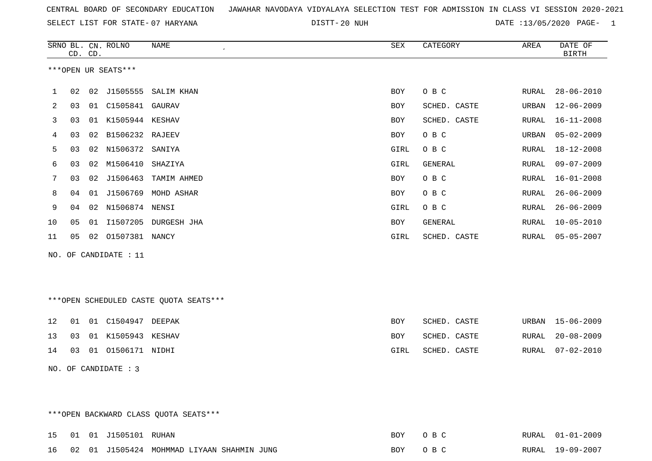| CENTRAL BOARD OF SECONDARY EDUCATION – JAWAHAR NAVODAYA VIDYALAYA SELECTION TEST FOR ADMISSION IN CLASS VI SESSION 2020-2021 |  |  |
|------------------------------------------------------------------------------------------------------------------------------|--|--|
|------------------------------------------------------------------------------------------------------------------------------|--|--|

DISTT-20 NUH 20 NUH 20 NATE :13/05/2020 PAGE- 1

|     |                     | CD. CD. | SRNO BL. CN. ROLNO | NAME<br>$\epsilon$      | SEX        | CATEGORY     | AREA  | DATE OF<br><b>BIRTH</b> |  |  |  |
|-----|---------------------|---------|--------------------|-------------------------|------------|--------------|-------|-------------------------|--|--|--|
|     | ***OPEN UR SEATS*** |         |                    |                         |            |              |       |                         |  |  |  |
| 1   | 02                  | 02      | J1505555           | SALIM KHAN              | <b>BOY</b> | O B C        | RURAL | $28 - 06 - 2010$        |  |  |  |
| 2   | 03                  | 01      | C1505841           | GAURAV                  | BOY        | SCHED. CASTE | URBAN | $12 - 06 - 2009$        |  |  |  |
| 3   | 03                  |         | 01 K1505944 KESHAV |                         | <b>BOY</b> | SCHED. CASTE | RURAL | $16 - 11 - 2008$        |  |  |  |
| 4   | 03                  | 02      | B1506232 RAJEEV    |                         | <b>BOY</b> | O B C        | URBAN | $05 - 02 - 2009$        |  |  |  |
| 5   | 03                  | 02      | N1506372 SANIYA    |                         | GIRL       | O B C        | RURAL | 18-12-2008              |  |  |  |
| 6   | 03                  | 02      | M1506410           | SHAZIYA                 | GIRL       | GENERAL      | RURAL | $09 - 07 - 2009$        |  |  |  |
| 7   | 03                  | 02      | J1506463           | TAMIM AHMED             | <b>BOY</b> | O B C        | RURAL | $16 - 01 - 2008$        |  |  |  |
| 8   | 04                  |         |                    | 01 J1506769 MOHD ASHAR  | BOY        | O B C        | RURAL | $26 - 06 - 2009$        |  |  |  |
| 9   | 04                  | 02      | N1506874 NENSI     |                         | GIRL       | O B C        | RURAL | $26 - 06 - 2009$        |  |  |  |
| 10  | 05                  |         |                    | 01 I1507205 DURGESH JHA | <b>BOY</b> | GENERAL      | RURAL | $10 - 05 - 2010$        |  |  |  |
| 11  | 05                  | 02      | 01507381 NANCY     |                         | GIRL       | SCHED. CASTE | RURAL | $05 - 05 - 2007$        |  |  |  |
| NO. |                     |         | OF CANDIDATE : 11  |                         |            |              |       |                         |  |  |  |

\*\*\*OPEN SCHEDULED CASTE QUOTA SEATS\*\*\*

|  | 12 01 01 C1504947 DEEPAK | BOY  | SCHED. CASTE |  | URBAN 15-06-2009 |
|--|--------------------------|------|--------------|--|------------------|
|  | 13 03 01 K1505943 KESHAV | BOY. | SCHED. CASTE |  | RURAL 20-08-2009 |
|  | 14 03 01 01506171 NIDHI  | GIRL | SCHED. CASTE |  | RURAL 07-02-2010 |

NO. OF CANDIDATE : 3

\*\*\*OPEN BACKWARD CLASS QUOTA SEATS\*\*\*

|  | 15   01   01   J1505101   RUHAN |                                               | <b>BOY</b> | O R C   | RURAL 01-01-2009 |
|--|---------------------------------|-----------------------------------------------|------------|---------|------------------|
|  |                                 | 16 02 01 J1505424 MOHMMAD LIYAAN SHAHMIN JUNG |            | ROY ORC | RURAL 19-09-2007 |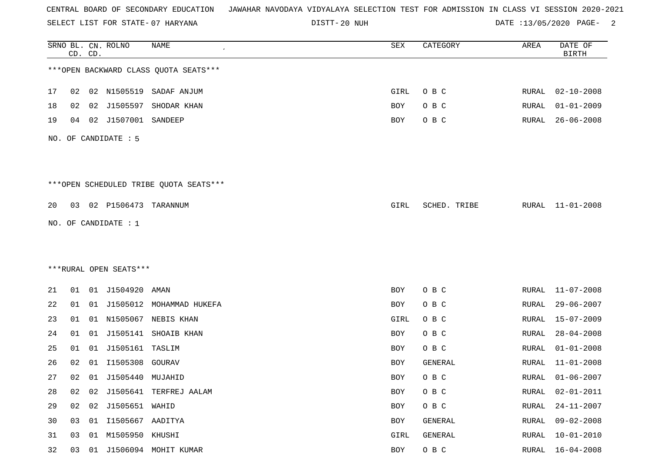SELECT LIST FOR STATE- DISTT- 07 HARYANA

DISTT-20 NUH 20 NUH 20 NATE :13/05/2020 PAGE- 2

|    |    | CD. CD. | SRNO BL. CN. ROLNO     | <b>NAME</b>                            | SEX        | CATEGORY     | AREA         | DATE OF<br><b>BIRTH</b> |
|----|----|---------|------------------------|----------------------------------------|------------|--------------|--------------|-------------------------|
|    |    |         |                        | *** OPEN BACKWARD CLASS QUOTA SEATS*** |            |              |              |                         |
| 17 | 02 |         | 02 N1505519            | SADAF ANJUM                            | GIRL       | O B C        | RURAL        | $02 - 10 - 2008$        |
| 18 | 02 | 02      | J1505597               | SHODAR KHAN                            | <b>BOY</b> | O B C        | RURAL        | $01 - 01 - 2009$        |
| 19 | 04 | 02      | J1507001               | SANDEEP                                | BOY        | O B C        | RURAL        | $26 - 06 - 2008$        |
|    |    |         | NO. OF CANDIDATE : 5   |                                        |            |              |              |                         |
|    |    |         |                        | ***OPEN SCHEDULED TRIBE QUOTA SEATS*** |            |              |              |                         |
| 20 | 03 |         | 02 P1506473 TARANNUM   |                                        | GIRL       | SCHED. TRIBE | RURAL        | $11 - 01 - 2008$        |
|    |    |         | NO. OF CANDIDATE : 1   |                                        |            |              |              |                         |
|    |    |         |                        |                                        |            |              |              |                         |
|    |    |         |                        |                                        |            |              |              |                         |
|    |    |         | ***RURAL OPEN SEATS*** |                                        |            |              |              |                         |
| 21 | 01 |         | 01 J1504920            | AMAN                                   | BOY        | O B C        | RURAL        | $11 - 07 - 2008$        |
| 22 | 01 |         |                        | 01 J1505012 MOHAMMAD HUKEFA            | <b>BOY</b> | O B C        | RURAL        | $29 - 06 - 2007$        |
| 23 | 01 | 01      | N1505067               | NEBIS KHAN                             | GIRL       | O B C        | <b>RURAL</b> | $15 - 07 - 2009$        |
| 24 | 01 | 01      | J1505141               | SHOAIB KHAN                            | BOY        | O B C        | <b>RURAL</b> | $28 - 04 - 2008$        |
| 25 | 01 | 01      | J1505161 TASLIM        |                                        | BOY        | O B C        | RURAL        | $01 - 01 - 2008$        |
| 26 | 02 | 01      | I1505308               | GOURAV                                 | <b>BOY</b> | GENERAL      | RURAL        | $11 - 01 - 2008$        |
| 27 | 02 |         | 01 J1505440 MUJAHID    |                                        | <b>BOY</b> | O B C        | RURAL        | $01 - 06 - 2007$        |
| 28 | 02 | 02      |                        | J1505641 TERFREJ AALAM                 | <b>BOY</b> | O B C        | RURAL        | $02 - 01 - 2011$        |
| 29 | 02 | 02      | J1505651 WAHID         |                                        | BOY        | O B C        | <b>RURAL</b> | $24 - 11 - 2007$        |
| 30 | 03 |         | 01 I1505667 AADITYA    |                                        | BOY        | GENERAL      | RURAL        | $09 - 02 - 2008$        |
| 31 | 03 | 01      | M1505950 KHUSHI        |                                        | GIRL       | GENERAL      | <b>RURAL</b> | $10 - 01 - 2010$        |
| 32 |    |         |                        | 03 01 J1506094 MOHIT KUMAR             | BOY        | O B C        | RURAL        | $16 - 04 - 2008$        |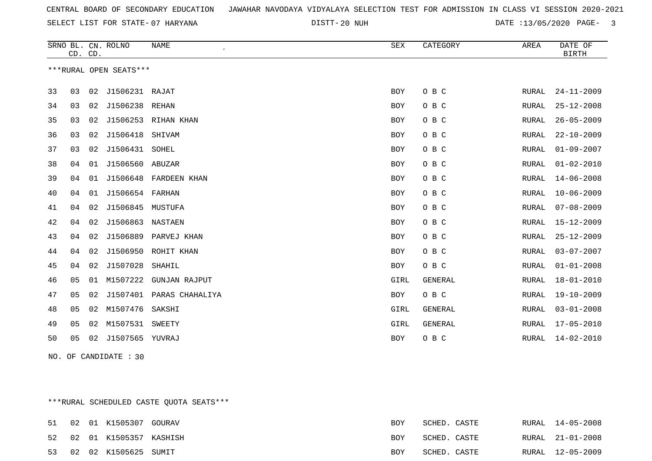DISTT-20 NUH 20 NUH 20 NATE :13/05/2020 PAGE- 3

|    | CD. CD. |    | SRNO BL. CN. ROLNO     | <b>NAME</b>              | ${\tt SEX}$ | CATEGORY       | AREA  | DATE OF<br><b>BIRTH</b> |
|----|---------|----|------------------------|--------------------------|-------------|----------------|-------|-------------------------|
|    |         |    | ***RURAL OPEN SEATS*** |                          |             |                |       |                         |
| 33 | 03      | 02 | J1506231 RAJAT         |                          | <b>BOY</b>  | O B C          | RURAL | $24 - 11 - 2009$        |
| 34 | 03      | 02 | J1506238 REHAN         |                          | <b>BOY</b>  | O B C          | RURAL | $25 - 12 - 2008$        |
| 35 | 03      | 02 |                        | J1506253 RIHAN KHAN      | <b>BOY</b>  | O B C          | RURAL | $26 - 05 - 2009$        |
| 36 | 03      | 02 | J1506418               | SHIVAM                   | <b>BOY</b>  | O B C          | RURAL | $22 - 10 - 2009$        |
| 37 | 03      | 02 | J1506431               | SOHEL                    | <b>BOY</b>  | O B C          | RURAL | $01 - 09 - 2007$        |
| 38 | 04      | 01 | J1506560 ABUZAR        |                          | <b>BOY</b>  | O B C          | RURAL | $01 - 02 - 2010$        |
| 39 | 04      | 01 |                        | J1506648 FARDEEN KHAN    | <b>BOY</b>  | O B C          | RURAL | $14 - 06 - 2008$        |
| 40 | 04      | 01 | J1506654 FARHAN        |                          | <b>BOY</b>  | O B C          | RURAL | $10 - 06 - 2009$        |
| 41 | 04      | 02 | J1506845               | MUSTUFA                  | <b>BOY</b>  | O B C          | RURAL | $07 - 08 - 2009$        |
| 42 | 04      | 02 | J1506863               | NASTAEN                  | <b>BOY</b>  | O B C          | RURAL | $15 - 12 - 2009$        |
| 43 | 04      | 02 |                        | J1506889 PARVEJ KHAN     | <b>BOY</b>  | O B C          | RURAL | $25 - 12 - 2009$        |
| 44 | 04      | 02 |                        | J1506950 ROHIT KHAN      | <b>BOY</b>  | O B C          | RURAL | $03 - 07 - 2007$        |
| 45 | 04      | 02 | J1507028               | SHAHIL                   | <b>BOY</b>  | O B C          | RURAL | $01 - 01 - 2008$        |
| 46 | 05      | 01 | M1507222               | <b>GUNJAN RAJPUT</b>     | GIRL        | GENERAL        | RURAL | $18 - 01 - 2010$        |
| 47 | 05      | 02 |                        | J1507401 PARAS CHAHALIYA | <b>BOY</b>  | O B C          | RURAL | $19 - 10 - 2009$        |
| 48 | 05      | 02 | M1507476               | SAKSHI                   | GIRL        | <b>GENERAL</b> | RURAL | $03 - 01 - 2008$        |
| 49 | 05      | 02 | M1507531               | <b>SWEETY</b>            | GIRL        | <b>GENERAL</b> | RURAL | $17 - 05 - 2010$        |
| 50 | 05      | 02 | J1507565 YUVRAJ        |                          | BOY         | O B C          | RURAL | $14 - 02 - 2010$        |

NO. OF CANDIDATE : 30

\*\*\*RURAL SCHEDULED CASTE QUOTA SEATS\*\*\*

|  | 51 02 01 K1505307 GOURAV  | BOY  | SCHED. CASTE | RURAL 14-05-2008 |
|--|---------------------------|------|--------------|------------------|
|  | 52 02 01 K1505357 KASHISH | BOY  | SCHED. CASTE | RURAL 21-01-2008 |
|  | 53 02 02 K1505625 SUMIT   | BOY. | SCHED. CASTE | RURAL 12-05-2009 |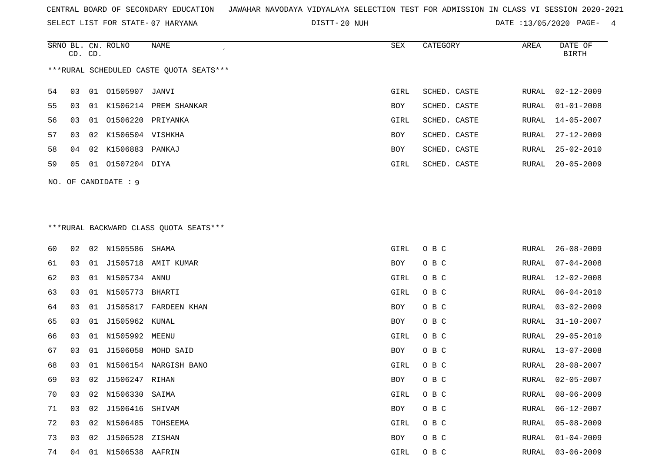SELECT LIST FOR STATE- DISTT- 07 HARYANA

DISTT-20 NUH 20 NUH 20 NATE :13/05/2020 PAGE- 4

|                                         | CD. CD. |    | SRNO BL. CN. ROLNO  | NAME         | SEX        | CATEGORY     | AREA  | DATE OF<br>BIRTH |  |  |
|-----------------------------------------|---------|----|---------------------|--------------|------------|--------------|-------|------------------|--|--|
| ***RURAL SCHEDULED CASTE OUOTA SEATS*** |         |    |                     |              |            |              |       |                  |  |  |
| 54                                      | 03      |    | 01 01505907 JANVI   |              | GIRL       | SCHED. CASTE | RURAL | $02 - 12 - 2009$ |  |  |
| 55                                      | 03      | 01 | K1506214            | PREM SHANKAR | <b>BOY</b> | SCHED. CASTE | RURAL | $01 - 01 - 2008$ |  |  |
| 56.                                     | 03      | 01 | 01506220 PRIYANKA   |              | GIRL       | SCHED. CASTE |       | RURAL 14-05-2007 |  |  |
| 57                                      | 03      |    | 02 K1506504 VISHKHA |              | <b>BOY</b> | SCHED. CASTE | RURAL | $27 - 12 - 2009$ |  |  |
| 58                                      | 04      |    | 02 K1506883 PANKAJ  |              | <b>BOY</b> | SCHED. CASTE | RURAL | $25 - 02 - 2010$ |  |  |
| 59                                      | 05      | 01 | 01507204 DIYA       |              | GIRL       | SCHED. CASTE | RURAL | $20 - 05 - 2009$ |  |  |
|                                         |         |    |                     |              |            |              |       |                  |  |  |

\*\*\*RURAL BACKWARD CLASS QUOTA SEATS\*\*\*

NO. OF CANDIDATE : 9

| 60 | 02 | 02 | N1505586        | SHAMA                 | GIRL | O B C | RURAL | $26 - 08 - 2009$ |
|----|----|----|-----------------|-----------------------|------|-------|-------|------------------|
| 61 | 03 | 01 |                 | J1505718 AMIT KUMAR   | BOY  | O B C | RURAL | $07 - 04 - 2008$ |
| 62 | 03 | 01 | N1505734 ANNU   |                       | GIRL | O B C | RURAL | $12 - 02 - 2008$ |
| 63 | 03 | 01 | N1505773 BHARTI |                       | GIRL | O B C | RURAL | $06 - 04 - 2010$ |
| 64 | 03 | 01 | J1505817        | FARDEEN KHAN          | BOY  | O B C | RURAL | $03 - 02 - 2009$ |
| 65 | 03 | 01 | J1505962 KUNAL  |                       | BOY  | O B C | RURAL | $31 - 10 - 2007$ |
| 66 | 03 | 01 | N1505992        | MEENU                 | GIRL | O B C | RURAL | $29 - 05 - 2010$ |
| 67 | 03 | 01 |                 | J1506058 MOHD SAID    | BOY  | O B C | RURAL | 13-07-2008       |
| 68 | 03 | 01 |                 | N1506154 NARGISH BANO | GIRL | O B C | RURAL | $28 - 08 - 2007$ |
| 69 | 03 | 02 | J1506247 RIHAN  |                       | BOY  | O B C | RURAL | $02 - 05 - 2007$ |
| 70 | 03 | 02 | N1506330        | SAIMA                 | GIRL | O B C | RURAL | $08 - 06 - 2009$ |
| 71 | 03 | 02 | J1506416        | SHIVAM                | BOY  | O B C | RURAL | $06 - 12 - 2007$ |
| 72 | 03 | 02 | N1506485        | TOHSEEMA              | GIRL | O B C | RURAL | $05 - 08 - 2009$ |
| 73 | 03 | 02 | J1506528        | ZISHAN                | BOY  | O B C | RURAL | $01 - 04 - 2009$ |
| 74 | 04 | 01 | N1506538 AAFRIN |                       | GIRL | O B C | RURAL | $03 - 06 - 2009$ |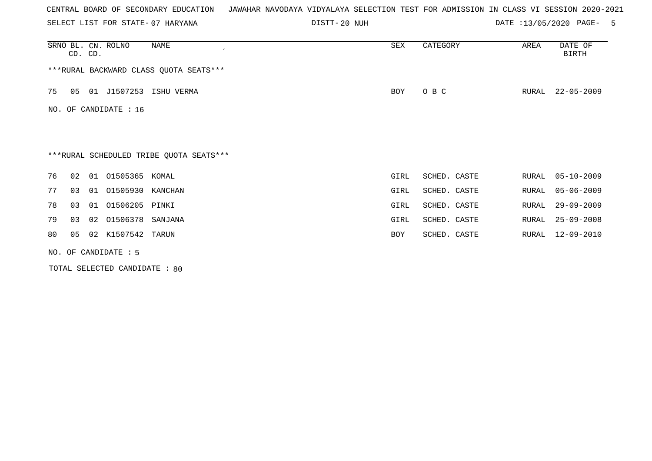SELECT LIST FOR STATE- DISTT- 07 HARYANA

DISTT-20 NUH 20 NUH 20 NATE :13/05/2020 PAGE- 5

|     | CD. CD.                                 |    | SRNO BL. CN. ROLNO | NAME<br>$\epsilon$                      | SEX  | CATEGORY     | AREA  | DATE OF<br>BIRTH |  |  |
|-----|-----------------------------------------|----|--------------------|-----------------------------------------|------|--------------|-------|------------------|--|--|
|     |                                         |    |                    | *** RURAL BACKWARD CLASS QUOTA SEATS*** |      |              |       |                  |  |  |
| 75  | 05                                      |    | 01 J1507253        | ISHU VERMA                              | BOY  | O B C        | RURAL | $22 - 05 - 2009$ |  |  |
| NO. |                                         |    | OF CANDIDATE : 16  |                                         |      |              |       |                  |  |  |
|     |                                         |    |                    |                                         |      |              |       |                  |  |  |
|     | ***RURAL SCHEDULED TRIBE QUOTA SEATS*** |    |                    |                                         |      |              |       |                  |  |  |
|     |                                         |    |                    |                                         |      |              |       |                  |  |  |
| 76  | 02                                      | 01 | 01505365 KOMAL     |                                         | GIRL | SCHED. CASTE | RURAL | $05 - 10 - 2009$ |  |  |
| 77  | 03                                      | 01 | 01505930 KANCHAN   |                                         | GIRL | SCHED. CASTE | RURAL | $05 - 06 - 2009$ |  |  |
| 78  | 03                                      | 01 | 01506205 PINKI     |                                         | GIRL | SCHED. CASTE | RURAL | $29 - 09 - 2009$ |  |  |
| 79  | 03                                      | 02 | 01506378           | SANJANA                                 | GIRL | SCHED. CASTE | RURAL | $25 - 09 - 2008$ |  |  |
| 80  | 05                                      |    | 02 K1507542 TARUN  |                                         | BOY  | SCHED. CASTE | RURAL | 12-09-2010       |  |  |
|     | NO. OF CANDIDATE : 5                    |    |                    |                                         |      |              |       |                  |  |  |

TOTAL SELECTED CANDIDATE : 80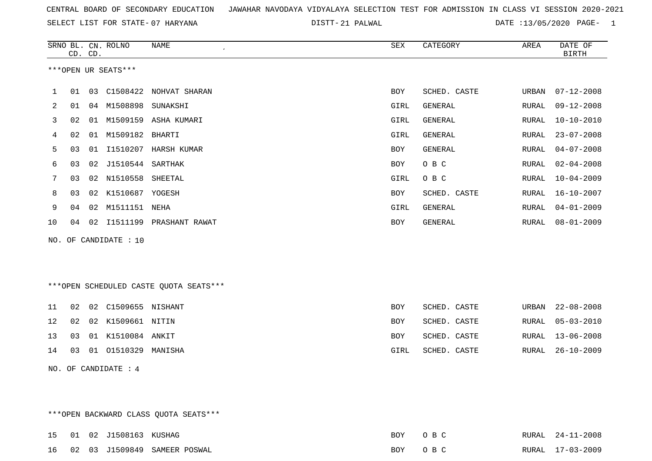SELECT LIST FOR STATE- DISTT- 07 HARYANA

21 PALWAL DATE :13/05/2020 PAGE- 1

|    |                                        | CD. CD. | SRNO BL. CN. ROLNO    | NAME<br>$\epsilon$        | <b>SEX</b> | CATEGORY       | AREA  | DATE OF<br><b>BIRTH</b> |  |  |  |
|----|----------------------------------------|---------|-----------------------|---------------------------|------------|----------------|-------|-------------------------|--|--|--|
|    | ***OPEN UR SEATS***                    |         |                       |                           |            |                |       |                         |  |  |  |
| 1. | 01                                     |         |                       | 03 C1508422 NOHVAT SHARAN | BOY        | SCHED. CASTE   | URBAN | $07 - 12 - 2008$        |  |  |  |
| 2  | 01                                     |         | 04 M1508898           | SUNAKSHI                  | GIRL       | GENERAL        | RURAL | $09 - 12 - 2008$        |  |  |  |
| 3  | 02                                     | 01      |                       | M1509159 ASHA KUMARI      | GIRL       | GENERAL        | RURAL | $10 - 10 - 2010$        |  |  |  |
| 4  | 02                                     | 01      | M1509182 BHARTI       |                           | GIRL       | <b>GENERAL</b> | RURAL | $23 - 07 - 2008$        |  |  |  |
| 5  | 03                                     | 01      | I1510207              | HARSH KUMAR               | <b>BOY</b> | GENERAL        | RURAL | $04 - 07 - 2008$        |  |  |  |
| 6  | 03                                     | 02      | J1510544              | SARTHAK                   | <b>BOY</b> | O B C          | RURAL | $02 - 04 - 2008$        |  |  |  |
| 7  | 03                                     |         | 02 N1510558           | SHEETAL                   | GIRL       | O B C          | RURAL | $10 - 04 - 2009$        |  |  |  |
| 8  | 03                                     | 02      | K1510687 YOGESH       |                           | <b>BOY</b> | SCHED. CASTE   | RURAL | 16-10-2007              |  |  |  |
| 9  | 04                                     | 02      | M1511151 NEHA         |                           | GIRL       | <b>GENERAL</b> | RURAL | $04 - 01 - 2009$        |  |  |  |
| 10 | 04                                     | 02      | I1511199              | PRASHANT RAWAT            | <b>BOY</b> | GENERAL        | RURAL | $08 - 01 - 2009$        |  |  |  |
|    |                                        |         | NO. OF CANDIDATE : 10 |                           |            |                |       |                         |  |  |  |
|    |                                        |         |                       |                           |            |                |       |                         |  |  |  |
|    |                                        |         |                       |                           |            |                |       |                         |  |  |  |
|    | ***OPEN SCHEDULED CASTE QUOTA SEATS*** |         |                       |                           |            |                |       |                         |  |  |  |

|  | 11 02 02 C1509655 NISHANT   | BOY        | SCHED. CASTE |  | URBAN 22-08-2008 |
|--|-----------------------------|------------|--------------|--|------------------|
|  | 12  02  02  K1509661  NITIN | BOY        | SCHED. CASTE |  | RURAL 05-03-2010 |
|  | 13  03  01  K1510084  ANKIT | <b>BOY</b> | SCHED. CASTE |  | RURAL 13-06-2008 |
|  | 14 03 01 01510329 MANISHA   | GIRL       | SCHED. CASTE |  | RURAL 26-10-2009 |
|  |                             |            |              |  |                  |

NO. OF CANDIDATE : 4

\*\*\*OPEN BACKWARD CLASS QUOTA SEATS\*\*\*

|  | 15 01 02 J1508163 KUSHAG |                                 | BOY OBC | RURAL 24-11-2008 |
|--|--------------------------|---------------------------------|---------|------------------|
|  |                          | 16 02 03 J1509849 SAMEER POSWAL | BOY OBC | RURAL 17-03-2009 |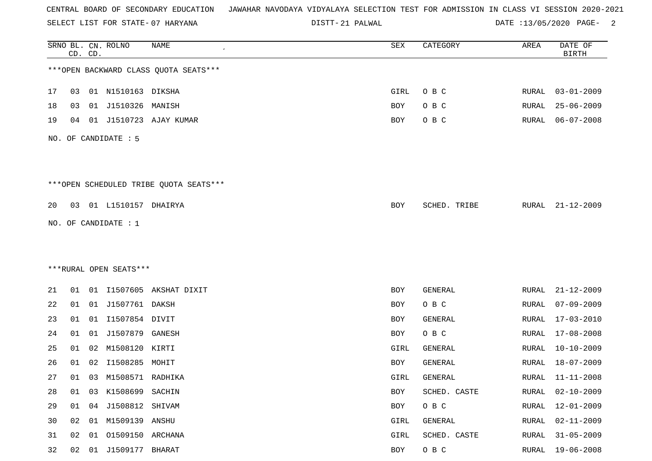SELECT LIST FOR STATE- DISTT- 07 HARYANA

21 PALWAL DATE :13/05/2020 PAGE- 2

|    |    | CD. CD. | SRNO BL. CN. ROLNO     | <b>NAME</b>                            | ${\tt SEX}$ | CATEGORY       | AREA         | DATE OF<br><b>BIRTH</b> |
|----|----|---------|------------------------|----------------------------------------|-------------|----------------|--------------|-------------------------|
|    |    |         |                        | *** OPEN BACKWARD CLASS QUOTA SEATS*** |             |                |              |                         |
| 17 | 03 |         | 01 N1510163 DIKSHA     |                                        | GIRL        | O B C          | RURAL        | $03 - 01 - 2009$        |
| 18 | 03 |         | 01 J1510326            | MANISH                                 | BOY         | O B C          | RURAL        | $25 - 06 - 2009$        |
| 19 | 04 |         | 01 J1510723            | AJAY KUMAR                             | BOY         | O B C          | RURAL        | $06 - 07 - 2008$        |
|    |    |         | NO. OF CANDIDATE : 5   |                                        |             |                |              |                         |
|    |    |         |                        | ***OPEN SCHEDULED TRIBE QUOTA SEATS*** |             |                |              |                         |
| 20 | 03 |         | 01 L1510157 DHAIRYA    |                                        | BOY         | SCHED. TRIBE   | RURAL        | $21 - 12 - 2009$        |
|    |    |         | NO. OF CANDIDATE : 1   |                                        |             |                |              |                         |
|    |    |         |                        |                                        |             |                |              |                         |
|    |    |         |                        |                                        |             |                |              |                         |
|    |    |         | ***RURAL OPEN SEATS*** |                                        |             |                |              |                         |
| 21 | 01 |         |                        | 01 I1507605 AKSHAT DIXIT               | BOY         | GENERAL        | RURAL        | $21 - 12 - 2009$        |
| 22 | 01 |         | 01 J1507761 DAKSH      |                                        | BOY         | O B C          | RURAL        | $07 - 09 - 2009$        |
| 23 | 01 | 01      | I1507854 DIVIT         |                                        | BOY         | <b>GENERAL</b> | <b>RURAL</b> | $17 - 03 - 2010$        |
| 24 | 01 | 01      | J1507879               | GANESH                                 | BOY         | O B C          | <b>RURAL</b> | $17 - 08 - 2008$        |
| 25 | 01 | 02      | M1508120               | KIRTI                                  | GIRL        | GENERAL        | RURAL        | $10 - 10 - 2009$        |
| 26 | 01 | 02      | I1508285               | MOHIT                                  | BOY         | GENERAL        | RURAL        | $18 - 07 - 2009$        |
| 27 | 01 |         | 03 M1508571 RADHIKA    |                                        | GIRL        | GENERAL        | RURAL        | 11-11-2008              |
| 28 | 01 | 03      | K1508699 SACHIN        |                                        | BOY         | SCHED. CASTE   | <b>RURAL</b> | $02 - 10 - 2009$        |
| 29 | 01 | 04      | J1508812               | SHIVAM                                 | BOY         | O B C          | <b>RURAL</b> | $12 - 01 - 2009$        |
| 30 | 02 |         | 01 M1509139 ANSHU      |                                        | GIRL        | GENERAL        | <b>RURAL</b> | $02 - 11 - 2009$        |
| 31 | 02 | 01      | 01509150 ARCHANA       |                                        | GIRL        | SCHED. CASTE   | <b>RURAL</b> | $31 - 05 - 2009$        |
| 32 | 02 | 01      | J1509177 BHARAT        |                                        | BOY         | O B C          | <b>RURAL</b> | $19 - 06 - 2008$        |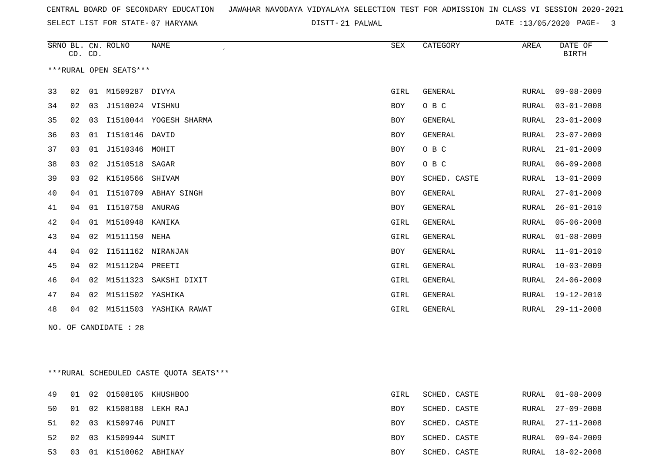SELECT LIST FOR STATE- DISTT- 07 HARYANA

21 PALWAL DATE :13/05/2020 PAGE- 3

|                        |    | CD. CD. | SRNO BL. CN. ROLNO | <b>NAME</b><br>$\epsilon$ | <b>SEX</b>  | CATEGORY       | AREA         | DATE OF<br><b>BIRTH</b> |
|------------------------|----|---------|--------------------|---------------------------|-------------|----------------|--------------|-------------------------|
| ***RURAL OPEN SEATS*** |    |         |                    |                           |             |                |              |                         |
| 33                     | 02 | 01      | M1509287           | DIVYA                     | GIRL        | <b>GENERAL</b> | RURAL        | $09 - 08 - 2009$        |
| 34                     | 02 | 03      | J1510024 VISHNU    |                           | <b>BOY</b>  | O B C          | RURAL        | $03 - 01 - 2008$        |
| 35                     | 02 | 03      |                    | I1510044 YOGESH SHARMA    | <b>BOY</b>  | <b>GENERAL</b> | RURAL        | $23 - 01 - 2009$        |
| 36                     | 03 | 01      | I1510146           | DAVID                     | <b>BOY</b>  | GENERAL        | <b>RURAL</b> | $23 - 07 - 2009$        |
| 37                     | 03 | 01      | J1510346           | MOHIT                     | <b>BOY</b>  | O B C          | RURAL        | $21 - 01 - 2009$        |
| 38                     | 03 | 02      | J1510518           | SAGAR                     | <b>BOY</b>  | O B C          | RURAL        | $06 - 09 - 2008$        |
| 39                     | 03 |         | 02 K1510566        | SHIVAM                    | <b>BOY</b>  | SCHED. CASTE   | <b>RURAL</b> | $13 - 01 - 2009$        |
| 40                     | 04 | 01      | I1510709           | ABHAY SINGH               | <b>BOY</b>  | <b>GENERAL</b> | RURAL        | $27 - 01 - 2009$        |
| 41                     | 04 | 01      | I1510758           | ANURAG                    | <b>BOY</b>  | <b>GENERAL</b> | RURAL        | $26 - 01 - 2010$        |
| 42                     | 04 | 01      | M1510948           | KANIKA                    | GIRL        | <b>GENERAL</b> | RURAL        | $05 - 06 - 2008$        |
| 43                     | 04 | 02      | M1511150           | NEHA                      | GIRL        | <b>GENERAL</b> | <b>RURAL</b> | $01 - 08 - 2009$        |
| 44                     | 04 | 02      | I1511162           | NIRANJAN                  | <b>BOY</b>  | <b>GENERAL</b> | <b>RURAL</b> | $11 - 01 - 2010$        |
| 45                     | 04 | 02      | M1511204           | PREETI                    | <b>GIRL</b> | <b>GENERAL</b> | RURAL        | $10 - 03 - 2009$        |
| 46                     | 04 | 02      | M1511323           | SAKSHI DIXIT              | GIRL        | <b>GENERAL</b> | RURAL        | $24 - 06 - 2009$        |
| 47                     | 04 | 02      | M1511502           | YASHIKA                   | GIRL        | GENERAL        | <b>RURAL</b> | $19 - 12 - 2010$        |
| 48                     | 04 | 02      | M1511503           | YASHIKA RAWAT             | GIRL        | <b>GENERAL</b> | RURAL        | $29 - 11 - 2008$        |

NO. OF CANDIDATE : 28

\*\*\*RURAL SCHEDULED CASTE QUOTA SEATS\*\*\*

|       |                | 49 01 02 01508105 KHUSHBOO | GIRL | SCHED. CASTE | RURAL 01-08-2009 |
|-------|----------------|----------------------------|------|--------------|------------------|
|       |                | 50 01 02 K1508188 LEKH RAJ | BOY  | SCHED. CASTE | RURAL 27-09-2008 |
| 51 02 |                | 03 K1509746 PUNIT          | BOY  | SCHED. CASTE | RURAL 27-11-2008 |
|       |                | 52 02 03 K1509944 SUMIT    | BOY  | SCHED. CASTE | RURAL 09-04-2009 |
| 53    | 0 <sub>3</sub> | 01 K1510062 ABHINAY        | BOY  | SCHED. CASTE | RURAL 18-02-2008 |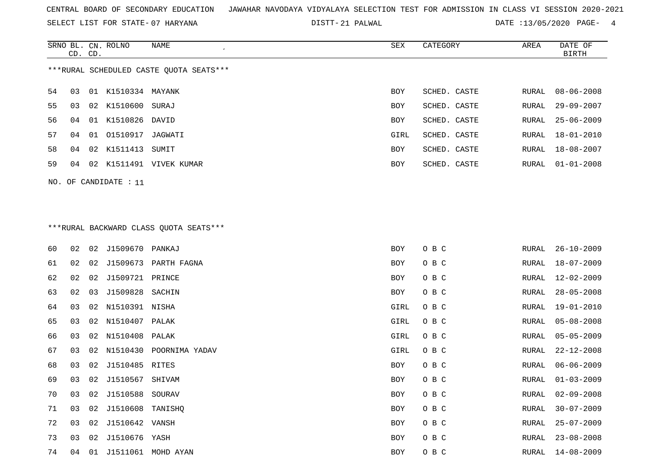SELECT LIST FOR STATE- DISTT- 07 HARYANA

21 PALWAL DATE :13/05/2020 PAGE- 4

|                                         | CD. CD. |  | SRNO BL. CN. ROLNO | NAME        | SEX        | CATEGORY     | AREA  | DATE OF<br>BIRTH |
|-----------------------------------------|---------|--|--------------------|-------------|------------|--------------|-------|------------------|
| ***RURAL SCHEDULED CASTE QUOTA SEATS*** |         |  |                    |             |            |              |       |                  |
| 54                                      | 03      |  | 01 K1510334 MAYANK |             | <b>BOY</b> | SCHED. CASTE | RURAL | 08-06-2008       |
| 55                                      | 03      |  | 02 K1510600 SURAJ  |             | <b>BOY</b> | SCHED. CASTE | RURAL | 29-09-2007       |
| 56                                      | 04      |  | 01 K1510826        | DAVID       | <b>BOY</b> | SCHED. CASTE | RURAL | 25-06-2009       |
| 57                                      | 04      |  | 01 01510917        | JAGWATI     | GIRL       | SCHED. CASTE | RURAL | 18-01-2010       |
| 58                                      | 04      |  | 02 K1511413        | SUMIT       | <b>BOY</b> | SCHED. CASTE | RURAL | 18-08-2007       |
| 59                                      | 04      |  | 02 K1511491        | VIVEK KUMAR | <b>BOY</b> | SCHED. CASTE | RURAL | $01 - 01 - 2008$ |
|                                         |         |  |                    |             |            |              |       |                  |

# \*\*\*RURAL BACKWARD CLASS QUOTA SEATS\*\*\*

NO. OF CANDIDATE : 11

| 60 | 02 | 02 | J1509670            | PANKAJ                     | <b>BOY</b> | O B C | RURAL | $26 - 10 - 2009$ |
|----|----|----|---------------------|----------------------------|------------|-------|-------|------------------|
| 61 | 02 | 02 | J1509673            | PARTH FAGNA                | BOY        | O B C | RURAL | $18 - 07 - 2009$ |
| 62 | 02 | 02 | J1509721 PRINCE     |                            | BOY        | O B C | RURAL | $12 - 02 - 2009$ |
| 63 | 02 | 03 | J1509828            | SACHIN                     | BOY        | O B C | RURAL | $28 - 05 - 2008$ |
| 64 | 03 |    | 02 N1510391 NISHA   |                            | GIRL       | O B C | RURAL | $19 - 01 - 2010$ |
| 65 | 03 |    | 02 N1510407 PALAK   |                            | GIRL       | O B C | RURAL | $05 - 08 - 2008$ |
| 66 | 03 |    | 02 N1510408         | PALAK                      | GIRL       | O B C | RURAL | $05 - 05 - 2009$ |
| 67 | 03 |    |                     | 02 N1510430 POORNIMA YADAV | GIRL       | O B C | RURAL | $22 - 12 - 2008$ |
| 68 | 03 | 02 | J1510485 RITES      |                            | BOY        | O B C | RURAL | $06 - 06 - 2009$ |
| 69 | 03 |    | 02 J1510567         | SHIVAM                     | BOY        | O B C | RURAL | $01 - 03 - 2009$ |
| 70 | 03 | 02 | J1510588            | SOURAV                     | BOY        | O B C | RURAL | $02 - 09 - 2008$ |
| 71 | 03 |    | 02 J1510608 TANISHQ |                            | BOY        | O B C | RURAL | $30 - 07 - 2009$ |
| 72 | 03 | 02 | J1510642            | VANSH                      | BOY        | O B C | RURAL | $25 - 07 - 2009$ |
| 73 | 03 | 02 | J1510676 YASH       |                            | BOY        | O B C | RURAL | $23 - 08 - 2008$ |
| 74 | 04 | 01 | J1511061            | MOHD AYAN                  | BOY        | O B C | RURAL | $14 - 08 - 2009$ |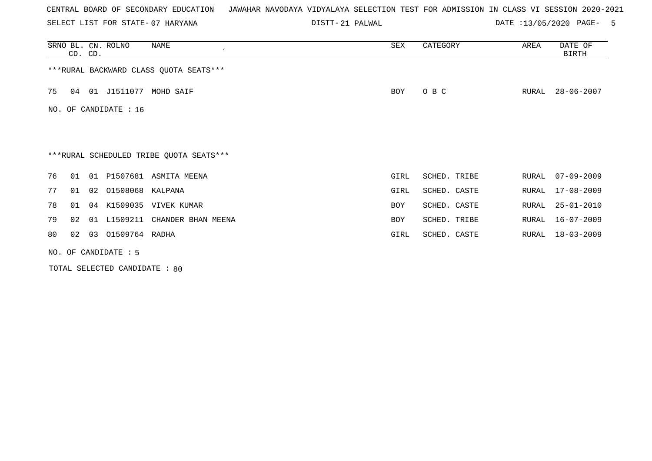SELECT LIST FOR STATE- DISTT- 07 HARYANA

21 PALWAL DATE :13/05/2020 PAGE- 5

|    | CD. CD.                |    | SRNO BL. CN. ROLNO    | NAME                                    | SEX        | CATEGORY     | AREA  | DATE OF<br>BIRTH |  |
|----|------------------------|----|-----------------------|-----------------------------------------|------------|--------------|-------|------------------|--|
|    |                        |    |                       | ***RURAL BACKWARD CLASS QUOTA SEATS***  |            |              |       |                  |  |
| 75 | 04                     |    |                       | 01 J1511077 MOHD SAIF                   | BOY        | O B C        | RURAL | $28 - 06 - 2007$ |  |
|    |                        |    | NO. OF CANDIDATE : 16 |                                         |            |              |       |                  |  |
|    |                        |    |                       |                                         |            |              |       |                  |  |
|    |                        |    |                       | ***RURAL SCHEDULED TRIBE QUOTA SEATS*** |            |              |       |                  |  |
| 76 | 01                     |    |                       | 01 P1507681 ASMITA MEENA                | GIRL       | SCHED. TRIBE | RURAL | $07 - 09 - 2009$ |  |
| 77 | 01                     |    | 02 01508068 KALPANA   |                                         | GIRL       | SCHED. CASTE | RURAL | $17 - 08 - 2009$ |  |
| 78 | 01                     | 04 |                       | K1509035 VIVEK KUMAR                    | <b>BOY</b> | SCHED. CASTE | RURAL | $25 - 01 - 2010$ |  |
| 79 | 02                     | 01 | L1509211              | CHANDER BHAN MEENA                      | BOY        | SCHED. TRIBE | RURAL | 16-07-2009       |  |
| 80 | 02                     |    | 03 01509764 RADHA     |                                         | GIRL       | SCHED. CASTE | RURAL | 18-03-2009       |  |
|    | NO. OF CANDIDATE $: 5$ |    |                       |                                         |            |              |       |                  |  |

TOTAL SELECTED CANDIDATE : 80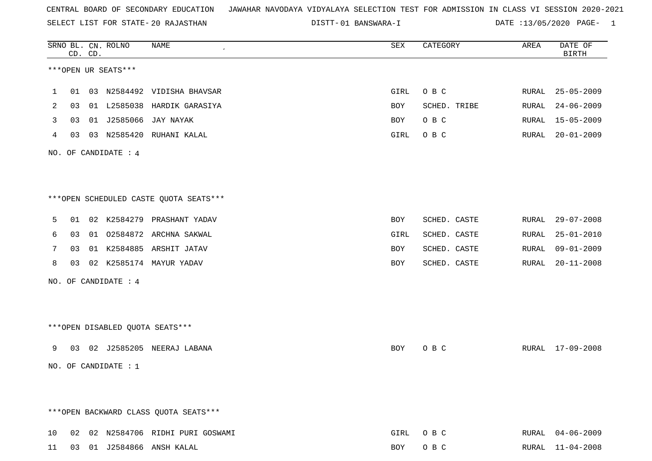SELECT LIST FOR STATE- DISTT- 20 RAJASTHAN

01 BANSWARA-I DATE :13/05/2020 PAGE- 1

|    |    | CD. CD. | SRNO BL. CN. ROLNO     | NAME                                   | SEX        | CATEGORY     | AREA  | DATE OF<br><b>BIRTH</b> |
|----|----|---------|------------------------|----------------------------------------|------------|--------------|-------|-------------------------|
|    |    |         | ***OPEN UR SEATS***    |                                        |            |              |       |                         |
| 1  | 01 |         |                        | 03 N2584492 VIDISHA BHAVSAR            | GIRL       | O B C        | RURAL | $25 - 05 - 2009$        |
| 2  | 03 | 01      | L2585038               | HARDIK GARASIYA                        | BOY        | SCHED. TRIBE | RURAL | $24 - 06 - 2009$        |
| 3  | 03 | 01      | J2585066               | JAY NAYAK                              | BOY        | O B C        | RURAL | $15 - 05 - 2009$        |
| 4  | 03 |         |                        | 03 N2585420 RUHANI KALAL               | GIRL       | O B C        | RURAL | $20 - 01 - 2009$        |
|    |    |         | NO. OF CANDIDATE : 4   |                                        |            |              |       |                         |
|    |    |         |                        | ***OPEN SCHEDULED CASTE QUOTA SEATS*** |            |              |       |                         |
| 5  | 01 |         |                        | 02 K2584279 PRASHANT YADAV             | BOY        | SCHED. CASTE | RURAL | $29 - 07 - 2008$        |
| 6  | 03 |         |                        | 01 02584872 ARCHNA SAKWAL              | GIRL       | SCHED. CASTE | RURAL | $25 - 01 - 2010$        |
| 7  | 03 |         |                        | 01 K2584885 ARSHIT JATAV               | <b>BOY</b> | SCHED. CASTE | RURAL | $09 - 01 - 2009$        |
| 8  | 03 |         | 02 K2585174            | MAYUR YADAV                            | <b>BOY</b> | SCHED. CASTE | RURAL | $20 - 11 - 2008$        |
|    |    |         | NO. OF CANDIDATE : 4   |                                        |            |              |       |                         |
|    |    |         |                        | *** OPEN DISABLED QUOTA SEATS***       |            |              |       |                         |
|    |    |         |                        |                                        |            |              |       |                         |
| 9  | 03 |         |                        | 02 J2585205 NEERAJ LABANA              | BOY        | O B C        |       | RURAL 17-09-2008        |
|    |    |         | NO. OF CANDIDATE : $1$ |                                        |            |              |       |                         |
|    |    |         |                        | *** OPEN BACKWARD CLASS QUOTA SEATS*** |            |              |       |                         |
| 10 |    |         |                        | 02 02 N2584706 RIDHI PURI GOSWAMI      | GIRL       | O B C        | RURAL | $04 - 06 - 2009$        |
| 11 |    |         |                        | 03 01 J2584866 ANSH KALAL              | BOY        | O B C        | RURAL | $11 - 04 - 2008$        |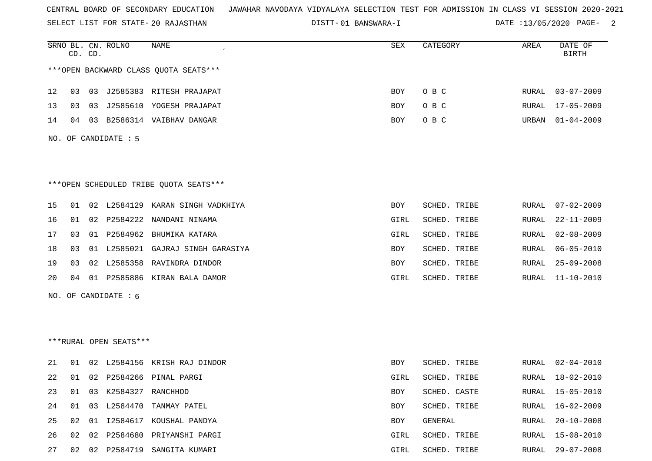SELECT LIST FOR STATE- DISTT- 20 RAJASTHAN

01 BANSWARA-I DATE :13/05/2020 PAGE- 2

|     |    | CD. CD. | SRNO BL. CN. ROLNO     | <b>NAME</b>                            | SEX  | CATEGORY     | AREA         | DATE OF<br><b>BIRTH</b> |
|-----|----|---------|------------------------|----------------------------------------|------|--------------|--------------|-------------------------|
|     |    |         |                        | *** OPEN BACKWARD CLASS QUOTA SEATS*** |      |              |              |                         |
| 12  | 03 |         |                        | 03 J2585383 RITESH PRAJAPAT            | BOY  | O B C        | RURAL        | $03 - 07 - 2009$        |
| 13  | 03 | 03      |                        | J2585610 YOGESH PRAJAPAT               | BOY  | O B C        | RURAL        | $17 - 05 - 2009$        |
| 14  | 04 |         |                        | 03 B2586314 VAIBHAV DANGAR             | BOY  | O B C        | URBAN        | $01 - 04 - 2009$        |
|     |    |         | NO. OF CANDIDATE : 5   |                                        |      |              |              |                         |
|     |    |         |                        |                                        |      |              |              |                         |
|     |    |         |                        | ***OPEN SCHEDULED TRIBE QUOTA SEATS*** |      |              |              |                         |
| 15  | 01 |         |                        | 02 L2584129 KARAN SINGH VADKHIYA       | BOY  | SCHED. TRIBE | RURAL        | $07 - 02 - 2009$        |
| 16  | 01 |         |                        | 02 P2584222 NANDANI NINAMA             | GIRL | SCHED. TRIBE | RURAL        | $22 - 11 - 2009$        |
| 17  | 03 |         |                        | 01 P2584962 BHUMIKA KATARA             | GIRL | SCHED. TRIBE | RURAL        | $02 - 08 - 2009$        |
| 18  | 03 |         |                        | 01 L2585021 GAJRAJ SINGH GARASIYA      | BOY  | SCHED. TRIBE | RURAL        | $06 - 05 - 2010$        |
| 19  | 03 |         |                        | 02 L2585358 RAVINDRA DINDOR            | BOY  | SCHED. TRIBE | RURAL        | $25 - 09 - 2008$        |
| 20  | 04 |         |                        | 01 P2585886 KIRAN BALA DAMOR           | GIRL | SCHED. TRIBE | RURAL        | $11 - 10 - 2010$        |
| NO. |    |         | OF CANDIDATE : 6       |                                        |      |              |              |                         |
|     |    |         |                        |                                        |      |              |              |                         |
|     |    |         |                        |                                        |      |              |              |                         |
|     |    |         | ***RURAL OPEN SEATS*** |                                        |      |              |              |                         |
| 21  | 01 |         |                        | 02 L2584156 KRISH RAJ DINDOR           | BOY  | SCHED. TRIBE | RURAL        | $02 - 04 - 2010$        |
| 22  | 01 |         |                        | 02 P2584266 PINAL PARGI                | GIRL | SCHED. TRIBE | RURAL        | 18-02-2010              |
| 23  | 01 |         | 03 K2584327 RANCHHOD   |                                        | BOY  | SCHED. CASTE | RURAL        | $15 - 05 - 2010$        |
| 24  | 01 |         |                        | 03 L2584470 TANMAY PATEL               | BOY  | SCHED. TRIBE | RURAL        | $16 - 02 - 2009$        |
| 25  | 02 |         |                        | 01 I2584617 KOUSHAL PANDYA             | BOY  | GENERAL      | RURAL        | $20 - 10 - 2008$        |
| 26  | 02 |         |                        | 02 P2584680 PRIYANSHI PARGI            | GIRL | SCHED. TRIBE | <b>RURAL</b> | $15 - 08 - 2010$        |
| 27  |    |         |                        | 02 02 P2584719 SANGITA KUMARI          | GIRL | SCHED. TRIBE | RURAL        | $29 - 07 - 2008$        |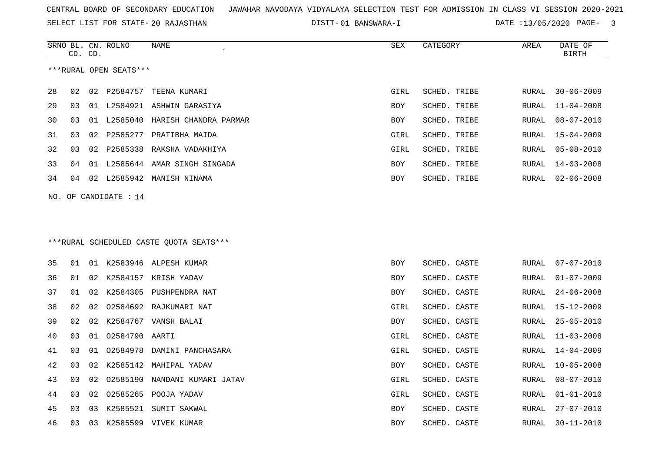SELECT LIST FOR STATE- DISTT- 20 RAJASTHAN

01 BANSWARA-I DATE :13/05/2020 PAGE- 3

|    | CD. CD. |    | SRNO BL. CN. ROLNO      | NAME                                     | SEX        | CATEGORY     | AREA         | DATE OF<br><b>BIRTH</b> |
|----|---------|----|-------------------------|------------------------------------------|------------|--------------|--------------|-------------------------|
|    |         |    | ***RURAL OPEN SEATS***  |                                          |            |              |              |                         |
| 28 | 02      | 02 | P2584757                | TEENA KUMARI                             | GIRL       | SCHED. TRIBE | RURAL        | $30 - 06 - 2009$        |
| 29 | 03      | 01 |                         | L2584921 ASHWIN GARASIYA                 | <b>BOY</b> | SCHED. TRIBE | <b>RURAL</b> | $11 - 04 - 2008$        |
| 30 | 03      | 01 | L2585040                | HARISH CHANDRA PARMAR                    | <b>BOY</b> | SCHED. TRIBE | <b>RURAL</b> | $08 - 07 - 2010$        |
| 31 | 03      | 02 |                         | P2585277 PRATIBHA MAIDA                  | GIRL       | SCHED. TRIBE | RURAL        | $15 - 04 - 2009$        |
| 32 | 03      | 02 | P2585338                | RAKSHA VADAKHIYA                         | GIRL       | SCHED. TRIBE | RURAL        | $05 - 08 - 2010$        |
| 33 | 04      |    |                         | 01 L2585644 AMAR SINGH SINGADA           | <b>BOY</b> | SCHED. TRIBE | RURAL        | $14 - 03 - 2008$        |
| 34 | 04      | 02 |                         | L2585942 MANISH NINAMA                   | BOY        | SCHED. TRIBE | RURAL        | $02 - 06 - 2008$        |
|    |         |    | NO. OF CANDIDATE : $14$ |                                          |            |              |              |                         |
|    |         |    |                         |                                          |            |              |              |                         |
|    |         |    |                         | *** RURAL SCHEDULED CASTE QUOTA SEATS*** |            |              |              |                         |
| 35 | 01      |    |                         | 01 K2583946 ALPESH KUMAR                 | BOY        | SCHED. CASTE | RURAL        | $07 - 07 - 2010$        |
| 36 | 01      | 02 |                         | K2584157 KRISH YADAV                     | BOY        | SCHED. CASTE | RURAL        | $01 - 07 - 2009$        |
| 37 | 01      | 02 |                         | K2584305 PUSHPENDRA NAT                  | <b>BOY</b> | SCHED. CASTE | <b>RURAL</b> | $24 - 06 - 2008$        |
| 38 | 02      | 02 |                         | 02584692 RAJKUMARI NAT                   | GIRL       | SCHED. CASTE | RURAL        | $15 - 12 - 2009$        |
| 39 | 02      | 02 |                         | K2584767 VANSH BALAI                     | BOY        | SCHED. CASTE | RURAL        | $25 - 05 - 2010$        |
| 40 | 03      | 01 | 02584790                | AARTI                                    | GIRL       | SCHED. CASTE | RURAL        | $11 - 03 - 2008$        |
| 41 | 03      | 01 | 02584978                | DAMINI PANCHASARA                        | GIRL       | SCHED. CASTE | <b>RURAL</b> | $14 - 04 - 2009$        |
| 42 | 03      | 02 | K2585142                | MAHIPAL YADAV                            | <b>BOY</b> | SCHED. CASTE | RURAL        | $10 - 05 - 2008$        |
| 43 | 03      | 02 | 02585190                | NANDANI KUMARI JATAV                     | GIRL       | SCHED. CASTE | RURAL        | $08 - 07 - 2010$        |
| 44 | 03      | 02 | 02585265                | POOJA YADAV                              | GIRL       | SCHED. CASTE | RURAL        | $01 - 01 - 2010$        |
| 45 | 03      | 03 |                         | K2585521 SUMIT SAKWAL                    | <b>BOY</b> | SCHED. CASTE | <b>RURAL</b> | $27 - 07 - 2010$        |
| 46 | 03      |    |                         | 03 K2585599 VIVEK KUMAR                  | <b>BOY</b> | SCHED. CASTE | <b>RURAL</b> | $30 - 11 - 2010$        |
|    |         |    |                         |                                          |            |              |              |                         |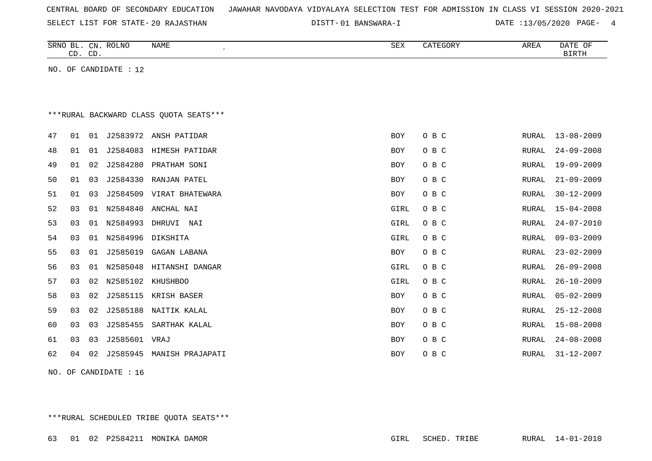|  |  |  |  | CENTRAL BOARD OF SECONDARY EDUCATION – JAWAHAR NAVODAYA VIDYALAYA SELECTION TEST FOR ADMISSION IN CLASS VI SESSION 2020-2021 |  |  |  |  |  |  |  |  |  |  |  |  |  |  |
|--|--|--|--|------------------------------------------------------------------------------------------------------------------------------|--|--|--|--|--|--|--|--|--|--|--|--|--|--|
|--|--|--|--|------------------------------------------------------------------------------------------------------------------------------|--|--|--|--|--|--|--|--|--|--|--|--|--|--|

01 BANSWARA-I DATE :13/05/2020 PAGE- 4

|    | CD. CD. |    | SRNO BL. CN. ROLNO    | NAME                                    | ${\tt SEX}$ | CATEGORY | AREA  | DATE OF<br><b>BIRTH</b> |
|----|---------|----|-----------------------|-----------------------------------------|-------------|----------|-------|-------------------------|
|    |         |    | NO. OF CANDIDATE : 12 |                                         |             |          |       |                         |
|    |         |    |                       |                                         |             |          |       |                         |
|    |         |    |                       |                                         |             |          |       |                         |
|    |         |    |                       | *** RURAL BACKWARD CLASS QUOTA SEATS*** |             |          |       |                         |
| 47 | 01      | 01 | J2583972              | ANSH PATIDAR                            | BOY         | O B C    | RURAL | $13 - 08 - 2009$        |
| 48 | 01      | 01 | J2584083              | HIMESH PATIDAR                          | BOY         | O B C    | RURAL | $24 - 09 - 2008$        |
| 49 | 01      | 02 | J2584280              | PRATHAM SONI                            | <b>BOY</b>  | O B C    | RURAL | $19 - 09 - 2009$        |
| 50 | 01      | 03 | J2584330              | RANJAN PATEL                            | <b>BOY</b>  | O B C    | RURAL | $21 - 09 - 2009$        |
| 51 | 01      | 03 | J2584509              | VIRAT BHATEWARA                         | BOY         | O B C    | RURAL | $30 - 12 - 2009$        |
| 52 | 03      | 01 | N2584840              | ANCHAL NAI                              | GIRL        | O B C    | RURAL | $15 - 04 - 2008$        |
| 53 | 03      | 01 | N2584993              | DHRUVI NAI                              | GIRL        | O B C    | RURAL | $24 - 07 - 2010$        |
| 54 | 03      | 01 | N2584996              | DIKSHITA                                | GIRL        | O B C    | RURAL | $09 - 03 - 2009$        |
| 55 | 03      | 01 | J2585019              | GAGAN LABANA                            | BOY         | O B C    | RURAL | $23 - 02 - 2009$        |
| 56 | 03      | 01 | N2585048              | HITANSHI DANGAR                         | GIRL        | O B C    | RURAL | $26 - 09 - 2008$        |
| 57 | 03      | 02 | N2585102              | <b>KHUSHBOO</b>                         | GIRL        | O B C    | RURAL | $26 - 10 - 2009$        |
| 58 | 03      | 02 | J2585115              | KRISH BASER                             | <b>BOY</b>  | O B C    | RURAL | $05 - 02 - 2009$        |
| 59 | 03      | 02 | J2585188              | NAITIK KALAL                            | BOY         | O B C    | RURAL | $25 - 12 - 2008$        |
| 60 | 03      | 03 | J2585455              | SARTHAK KALAL                           | BOY         | O B C    | RURAL | $15 - 08 - 2008$        |
| 61 | 03      | 03 | J2585601 VRAJ         |                                         | <b>BOY</b>  | O B C    | RURAL | $24 - 08 - 2008$        |
| 62 | 04      | 02 | J2585945              | MANISH PRAJAPATI                        | BOY         | O B C    | RURAL | $31 - 12 - 2007$        |
|    |         |    |                       |                                         |             |          |       |                         |

NO. OF CANDIDATE : 16

\*\*\*RURAL SCHEDULED TRIBE QUOTA SEATS\*\*\*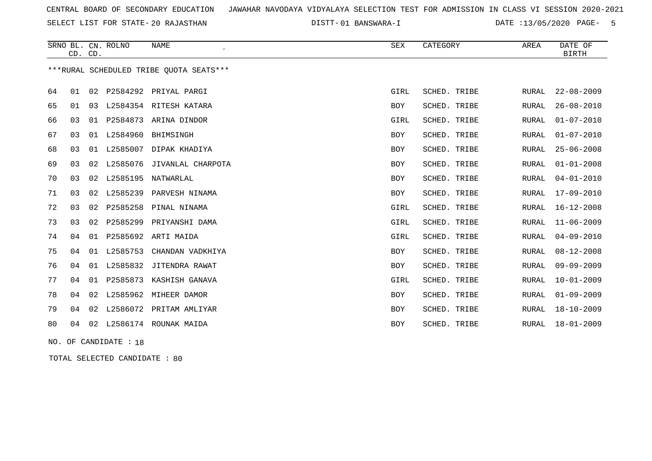SELECT LIST FOR STATE- DISTT- 20 RAJASTHAN

01 BANSWARA-I DATE :13/05/2020 PAGE- 5

|    | CD. CD. |    | SRNO BL. CN. ROLNO    | <b>NAME</b>                             | SEX        | CATEGORY     | AREA         | DATE OF<br><b>BIRTH</b> |
|----|---------|----|-----------------------|-----------------------------------------|------------|--------------|--------------|-------------------------|
|    |         |    |                       | ***RURAL SCHEDULED TRIBE QUOTA SEATS*** |            |              |              |                         |
| 64 | 01      | 02 |                       | P2584292 PRIYAL PARGI                   | GIRL       | SCHED. TRIBE | RURAL        | $22 - 08 - 2009$        |
| 65 | 01      | 03 |                       | L2584354 RITESH KATARA                  | BOY        | SCHED. TRIBE | RURAL        | $26 - 08 - 2010$        |
| 66 | 03      | 01 | P2584873              | ARINA DINDOR                            | GIRL       | SCHED. TRIBE | <b>RURAL</b> | $01 - 07 - 2010$        |
| 67 | 03      | 01 | L2584960              | BHIMSINGH                               | <b>BOY</b> | SCHED. TRIBE | <b>RURAL</b> | $01 - 07 - 2010$        |
| 68 | 03      | 01 | L2585007              | DIPAK KHADIYA                           | <b>BOY</b> | SCHED. TRIBE | <b>RURAL</b> | $25 - 06 - 2008$        |
| 69 | 03      | 02 | L2585076              | JIVANLAL CHARPOTA                       | BOY        | SCHED. TRIBE | <b>RURAL</b> | $01 - 01 - 2008$        |
| 70 | 03      |    | 02 L2585195           | NATWARLAL                               | BOY        | SCHED. TRIBE | <b>RURAL</b> | $04 - 01 - 2010$        |
| 71 | 03      | 02 | L2585239              | PARVESH NINAMA                          | BOY        | SCHED. TRIBE | <b>RURAL</b> | 17-09-2010              |
| 72 | 03      |    | 02 P2585258           | PINAL NINAMA                            | GIRL       | SCHED. TRIBE | <b>RURAL</b> | $16 - 12 - 2008$        |
| 73 | 03      | 02 | P2585299              | PRIYANSHI DAMA                          | GIRL       | SCHED. TRIBE | <b>RURAL</b> | $11 - 06 - 2009$        |
| 74 | 04      |    |                       | 01 P2585692 ARTI MAIDA                  | GIRL       | SCHED. TRIBE | <b>RURAL</b> | $04 - 09 - 2010$        |
| 75 | 04      | 01 | L2585753              | CHANDAN VADKHIYA                        | BOY        | SCHED. TRIBE | <b>RURAL</b> | $08 - 12 - 2008$        |
| 76 | 04      |    |                       | 01 L2585832 JITENDRA RAWAT              | BOY        | SCHED. TRIBE | <b>RURAL</b> | $09 - 09 - 2009$        |
| 77 | 04      | 01 |                       | P2585873 KASHISH GANAVA                 | GIRL       | SCHED. TRIBE | RURAL        | $10 - 01 - 2009$        |
| 78 | 04      | 02 |                       | L2585962 MIHEER DAMOR                   | <b>BOY</b> | SCHED. TRIBE | <b>RURAL</b> | $01 - 09 - 2009$        |
| 79 | 04      | 02 | L2586072              | PRITAM AMLIYAR                          | BOY        | SCHED. TRIBE | <b>RURAL</b> | $18 - 10 - 2009$        |
| 80 | 04      |    |                       | 02 L2586174 ROUNAK MAIDA                | <b>BOY</b> | SCHED. TRIBE | <b>RURAL</b> | $18 - 01 - 2009$        |
|    |         |    | NO. OF CANDIDATE : 18 |                                         |            |              |              |                         |

TOTAL SELECTED CANDIDATE : 80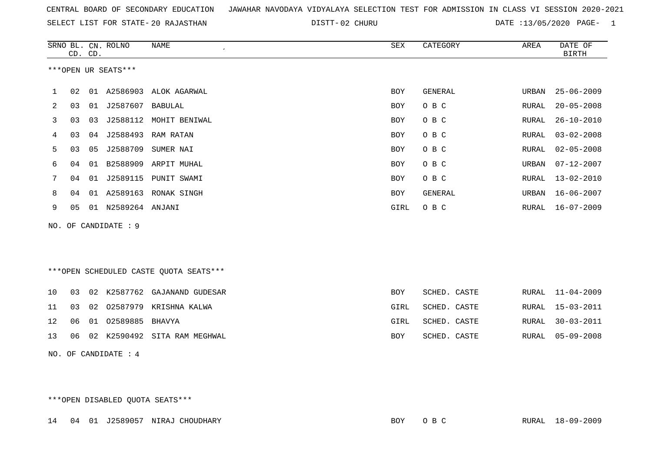|  |  |  |  | CENTRAL BOARD OF SECONDARY EDUCATION – JAWAHAR NAVODAYA VIDYALAYA SELECTION TEST FOR ADMISSION IN CLASS VI SESSION 2020-2021 |  |  |  |  |  |  |  |  |  |  |  |  |  |  |
|--|--|--|--|------------------------------------------------------------------------------------------------------------------------------|--|--|--|--|--|--|--|--|--|--|--|--|--|--|
|--|--|--|--|------------------------------------------------------------------------------------------------------------------------------|--|--|--|--|--|--|--|--|--|--|--|--|--|--|

02 CHURU DATE :13/05/2020 PAGE- 1

|    |    | CD. CD. | SRNO BL. CN. ROLNO   | <b>NAME</b>                            | SEX        | CATEGORY       | AREA             | DATE OF<br><b>BIRTH</b> |
|----|----|---------|----------------------|----------------------------------------|------------|----------------|------------------|-------------------------|
|    |    |         | ***OPEN UR SEATS***  |                                        |            |                |                  |                         |
| 1  | 02 |         |                      | 01 A2586903 ALOK AGARWAL               | <b>BOY</b> | <b>GENERAL</b> | URBAN            | $25 - 06 - 2009$        |
| 2  | 03 |         | 01 J2587607          | BABULAL                                | <b>BOY</b> | O B C          | RURAL            | $20 - 05 - 2008$        |
| 3  | 03 | 03      |                      | J2588112 MOHIT BENIWAL                 | BOY        | O B C          | RURAL            | $26 - 10 - 2010$        |
| 4  | 03 |         | 04 J2588493          | RAM RATAN                              | <b>BOY</b> | O B C          | RURAL            | $03 - 02 - 2008$        |
| 5  | 03 | 05      | J2588709             | SUMER NAI                              | BOY        | O B C          | RURAL            | $02 - 05 - 2008$        |
| 6  | 04 | 01      |                      | B2588909 ARPIT MUHAL                   | BOY        | O B C          | URBAN            | $07 - 12 - 2007$        |
| 7  | 04 | 01      | J2589115             | PUNIT SWAMI                            | <b>BOY</b> | O B C          | RURAL            | $13 - 02 - 2010$        |
| 8  | 04 | 01      |                      | A2589163 RONAK SINGH                   | BOY        | <b>GENERAL</b> | $\mathtt{URBAN}$ | $16 - 06 - 2007$        |
| 9  | 05 |         | 01 N2589264 ANJANI   |                                        | GIRL       | O B C          | RURAL            | $16 - 07 - 2009$        |
|    |    |         | NO. OF CANDIDATE : 9 |                                        |            |                |                  |                         |
|    |    |         |                      |                                        |            |                |                  |                         |
|    |    |         |                      |                                        |            |                |                  |                         |
|    |    |         |                      | ***OPEN SCHEDULED CASTE QUOTA SEATS*** |            |                |                  |                         |
| 10 | 03 |         |                      | 02 K2587762 GAJANAND GUDESAR           | <b>BOY</b> | SCHED. CASTE   | RURAL            | $11 - 04 - 2009$        |
| 11 | 03 | 02      | 02587979             | KRISHNA KALWA                          | GIRL       | SCHED. CASTE   | RURAL            | $15 - 03 - 2011$        |
| 12 | 06 | 01      | 02589885             | BHAVYA                                 | GIRL       | SCHED. CASTE   | RURAL            | $30 - 03 - 2011$        |
| 13 | 06 |         |                      | 02 K2590492 SITA RAM MEGHWAL           | BOY        | SCHED. CASTE   | RURAL            | $05 - 09 - 2008$        |
|    |    |         | NO. OF CANDIDATE : 4 |                                        |            |                |                  |                         |

\*\*\*OPEN DISABLED QUOTA SEATS\*\*\*

14 04 01 J2589057 NIRAJ CHOUDHARY BOY O B C RURAL 18-09-2009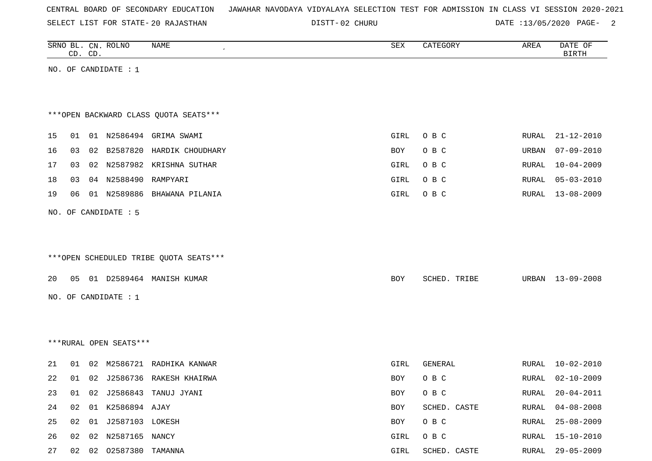| CENTRAL BOARD OF SECONDARY EDUCATION – JAWAHAR NAVODAYA VIDYALAYA SELECTION TEST FOR ADMISSION IN CLASS VI SESSION 2020-2021 |  |  |  |  |
|------------------------------------------------------------------------------------------------------------------------------|--|--|--|--|
|------------------------------------------------------------------------------------------------------------------------------|--|--|--|--|

DISTT-02 CHURU 2000 2000 DATE :13/05/2020 PAGE-

|    |    | CD. CD. | SRNO BL. CN. ROLNO     | NAME                                   | SEX  | CATEGORY     | AREA         | DATE OF<br><b>BIRTH</b> |
|----|----|---------|------------------------|----------------------------------------|------|--------------|--------------|-------------------------|
|    |    |         | NO. OF CANDIDATE : $1$ |                                        |      |              |              |                         |
|    |    |         |                        |                                        |      |              |              |                         |
|    |    |         |                        | *** OPEN BACKWARD CLASS QUOTA SEATS*** |      |              |              |                         |
|    |    |         |                        |                                        |      |              |              |                         |
| 15 | 01 |         |                        | 01 N2586494 GRIMA SWAMI                | GIRL | O B C        | <b>RURAL</b> | $21 - 12 - 2010$        |
| 16 | 03 |         | 02 B2587820            | HARDIK CHOUDHARY                       | BOY  | O B C        | URBAN        | $07 - 09 - 2010$        |
| 17 | 03 |         |                        | 02 N2587982 KRISHNA SUTHAR             | GIRL | O B C        | <b>RURAL</b> | $10 - 04 - 2009$        |
| 18 | 03 |         | 04 N2588490 RAMPYARI   |                                        | GIRL | O B C        | RURAL        | $05 - 03 - 2010$        |
| 19 | 06 |         |                        | 01 N2589886 BHAWANA PILANIA            | GIRL | O B C        | RURAL        | $13 - 08 - 2009$        |
|    |    |         | NO. OF CANDIDATE : 5   |                                        |      |              |              |                         |
|    |    |         |                        |                                        |      |              |              |                         |
|    |    |         |                        |                                        |      |              |              |                         |
|    |    |         |                        | ***OPEN SCHEDULED TRIBE QUOTA SEATS*** |      |              |              |                         |
|    |    |         |                        |                                        |      |              |              |                         |
| 20 |    |         |                        | 05 01 D2589464 MANISH KUMAR            | BOY  | SCHED. TRIBE |              | URBAN 13-09-2008        |
|    |    |         | NO. OF CANDIDATE : $1$ |                                        |      |              |              |                         |
|    |    |         |                        |                                        |      |              |              |                         |
|    |    |         |                        |                                        |      |              |              |                         |
|    |    |         | ***RURAL OPEN SEATS*** |                                        |      |              |              |                         |
| 21 | 01 |         |                        | 02 M2586721 RADHIKA KANWAR             | GIRL | GENERAL      | RURAL        | $10 - 02 - 2010$        |
| 22 | 01 |         |                        | 02 J2586736 RAKESH KHAIRWA             | BOY  | O B C        | RURAL        | $02 - 10 - 2009$        |
| 23 | 01 |         |                        | 02 J2586843 TANUJ JYANI                | BOY  | O B C        | RURAL        | $20 - 04 - 2011$        |
| 24 | 02 |         | 01 K2586894 AJAY       |                                        | BOY  | SCHED. CASTE | RURAL        | $04 - 08 - 2008$        |
| 25 | 02 |         | 01 J2587103 LOKESH     |                                        | BOY  | O B C        | RURAL        | $25 - 08 - 2009$        |
| 26 |    |         | 02 02 N2587165 NANCY   |                                        | GIRL | O B C        |              | RURAL 15-10-2010        |

27 02 02 O2587380 TAMANNA GIRL SCHED. CASTE RURAL 29-05-2009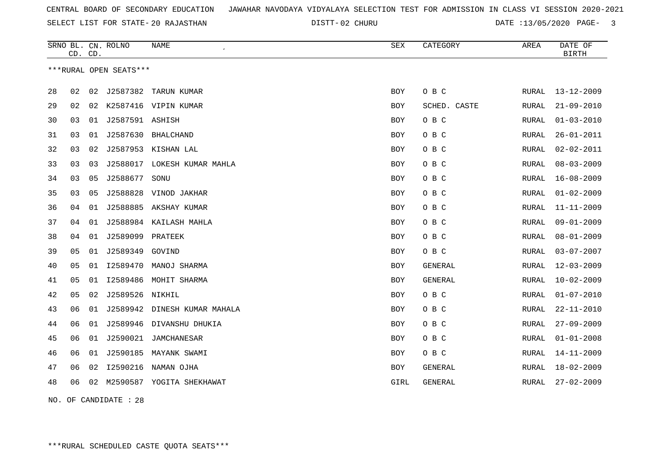02 CHURU DATE :13/05/2020 PAGE- 3

|    |    | CD. CD. | SRNO BL. CN. ROLNO     | NAME<br>$\pmb{\cdot}$        | <b>SEX</b> | CATEGORY       | AREA         | DATE OF<br><b>BIRTH</b> |
|----|----|---------|------------------------|------------------------------|------------|----------------|--------------|-------------------------|
|    |    |         | ***RURAL OPEN SEATS*** |                              |            |                |              |                         |
| 28 | 02 | 02      | J2587382               | TARUN KUMAR                  | <b>BOY</b> | O B C          | RURAL        | $13 - 12 - 2009$        |
| 29 | 02 | 02      |                        | K2587416 VIPIN KUMAR         | BOY        | SCHED. CASTE   | RURAL        | $21 - 09 - 2010$        |
| 30 | 03 | 01      | J2587591 ASHISH        |                              | BOY        | O B C          | RURAL        | $01 - 03 - 2010$        |
| 31 | 03 | 01      | J2587630               | BHALCHAND                    | BOY        | O B C          | RURAL        | $26 - 01 - 2011$        |
| 32 | 03 | 02      |                        | J2587953 KISHAN LAL          | BOY        | O B C          | RURAL        | $02 - 02 - 2011$        |
| 33 | 03 | 03      |                        | J2588017 LOKESH KUMAR MAHLA  | <b>BOY</b> | O B C          | RURAL        | $08 - 03 - 2009$        |
| 34 | 03 | 05      | J2588677               | SONU                         | <b>BOY</b> | O B C          | <b>RURAL</b> | $16 - 08 - 2009$        |
| 35 | 03 | 05      | J2588828               | VINOD JAKHAR                 | <b>BOY</b> | O B C          | <b>RURAL</b> | $01 - 02 - 2009$        |
| 36 | 04 | 01      |                        | J2588885 AKSHAY KUMAR        | <b>BOY</b> | O B C          | RURAL        | $11 - 11 - 2009$        |
| 37 | 04 | 01      | J2588984               | KAILASH MAHLA                | <b>BOY</b> | O B C          | <b>RURAL</b> | $09 - 01 - 2009$        |
| 38 | 04 | 01      | J2589099               | PRATEEK                      | <b>BOY</b> | O B C          | RURAL        | $08 - 01 - 2009$        |
| 39 | 05 | 01      | J2589349               | GOVIND                       | BOY        | O B C          | RURAL        | $03 - 07 - 2007$        |
| 40 | 05 | 01      | I2589470               | MANOJ SHARMA                 | BOY        | GENERAL        | <b>RURAL</b> | $12 - 03 - 2009$        |
| 41 | 05 | 01      | I2589486               | MOHIT SHARMA                 | BOY        | <b>GENERAL</b> | RURAL        | $10 - 02 - 2009$        |
| 42 | 05 | 02      | J2589526               | NIKHIL                       | <b>BOY</b> | O B C          | RURAL        | $01 - 07 - 2010$        |
| 43 | 06 | 01      |                        | J2589942 DINESH KUMAR MAHALA | <b>BOY</b> | O B C          | RURAL        | $22 - 11 - 2010$        |
| 44 | 06 | 01      |                        | J2589946 DIVANSHU DHUKIA     | <b>BOY</b> | O B C          | RURAL        | $27 - 09 - 2009$        |
| 45 | 06 | 01      |                        | J2590021 JAMCHANESAR         | <b>BOY</b> | O B C          | RURAL        | $01 - 01 - 2008$        |
| 46 | 06 | 01      | J2590185               | MAYANK SWAMI                 | <b>BOY</b> | O B C          | RURAL        | $14 - 11 - 2009$        |
| 47 | 06 | 02      | I2590216               | NAMAN OJHA                   | <b>BOY</b> | <b>GENERAL</b> | RURAL        | $18 - 02 - 2009$        |
| 48 | 06 | 02      |                        | M2590587 YOGITA SHEKHAWAT    | GIRL       | <b>GENERAL</b> | RURAL        | $27 - 02 - 2009$        |
|    |    |         |                        |                              |            |                |              |                         |

NO. OF CANDIDATE : 28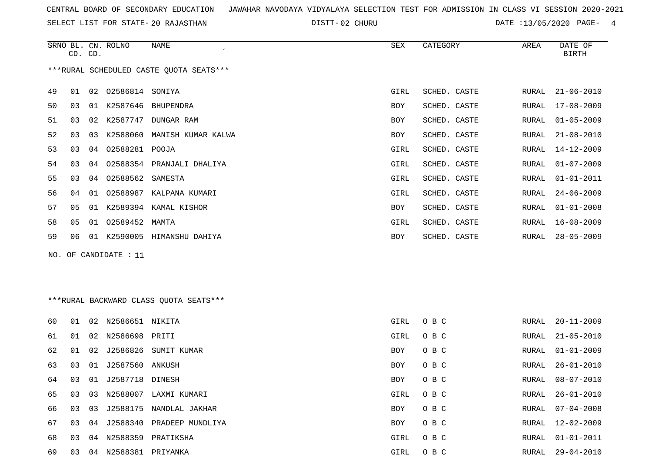SELECT LIST FOR STATE- DISTT- 20 RAJASTHAN

02 CHURU DATE :13/05/2020 PAGE- 4

|          |          | NAME                                                              | SEX                                                                                                                                                                                                                                                                         | CATEGORY     | AREA  | DATE OF<br><b>BIRTH</b> |
|----------|----------|-------------------------------------------------------------------|-----------------------------------------------------------------------------------------------------------------------------------------------------------------------------------------------------------------------------------------------------------------------------|--------------|-------|-------------------------|
|          |          |                                                                   |                                                                                                                                                                                                                                                                             |              |       |                         |
| 01       |          |                                                                   | GIRL                                                                                                                                                                                                                                                                        | SCHED. CASTE | RURAL | 21-06-2010              |
| 03       |          |                                                                   | <b>BOY</b>                                                                                                                                                                                                                                                                  | SCHED. CASTE | RURAL | 17-08-2009              |
| 03       | K2587747 | DUNGAR RAM                                                        | <b>BOY</b>                                                                                                                                                                                                                                                                  | SCHED. CASTE | RURAL | $01 - 05 - 2009$        |
| 03       | K2588060 |                                                                   | BOY                                                                                                                                                                                                                                                                         | SCHED. CASTE | RURAL | $21 - 08 - 2010$        |
| 03       |          |                                                                   | GIRL                                                                                                                                                                                                                                                                        | SCHED. CASTE | RURAL | 14-12-2009              |
| 03       |          |                                                                   | GIRL                                                                                                                                                                                                                                                                        | SCHED. CASTE | RURAL | $01 - 07 - 2009$        |
| 03       |          |                                                                   | GIRL                                                                                                                                                                                                                                                                        | SCHED. CASTE | RURAL | 01-01-2011              |
| 04       |          |                                                                   | GIRL                                                                                                                                                                                                                                                                        | SCHED. CASTE | RURAL | $24 - 06 - 2009$        |
| 05<br>01 |          |                                                                   | BOY                                                                                                                                                                                                                                                                         | SCHED. CASTE | RURAL | $01 - 01 - 2008$        |
| 05       |          |                                                                   | GIRL                                                                                                                                                                                                                                                                        | SCHED. CASTE | RURAL | $16 - 08 - 2009$        |
| 06       | K2590005 |                                                                   | <b>BOY</b>                                                                                                                                                                                                                                                                  | SCHED. CASTE | RURAL | $28 - 05 - 2009$        |
|          | 01       | SRNO BL. CN. ROLNO<br>CD. CD.<br>02<br>01<br>02<br>03<br>04<br>01 | ***RURAL SCHEDULED CASTE OUOTA SEATS***<br>02586814 SONIYA<br>K2587646 BHUPENDRA<br>MANISH KUMAR KALWA<br>04 02588281 POOJA<br>02588354 PRANJALI DHALIYA<br>04 02588562 SAMESTA<br>02588987 KALPANA KUMARI<br>K2589394 KAMAL KISHOR<br>01 02589452 MAMTA<br>HIMANSHU DAHIYA |              |       |                         |

NO. OF CANDIDATE : 11

\*\*\*RURAL BACKWARD CLASS QUOTA SEATS\*\*\*

| 60 | O 1 | 02 | N2586651 NIKITA    |                           | GIRL | O B C | RURAL | $20 - 11 - 2009$ |
|----|-----|----|--------------------|---------------------------|------|-------|-------|------------------|
| 61 | 01  | 02 | N2586698 PRITI     |                           | GIRL | O B C | RURAL | $21 - 05 - 2010$ |
| 62 | 01  |    |                    | 02 J2586826 SUMIT KUMAR   | BOY  | O B C | RURAL | $01 - 01 - 2009$ |
| 63 | 03  |    | 01 J2587560 ANKUSH |                           | BOY  | O B C | RURAL | 26-01-2010       |
| 64 | 03  |    | 01 J2587718 DINESH |                           | BOY  | O B C | RURAL | 08-07-2010       |
| 65 | 03  | 03 | N2588007           | LAXMI KUMARI              | GIRL | O B C | RURAL | 26-01-2010       |
| 66 | 03  | 03 | J2588175           | NANDLAL JAKHAR            | BOY  | O B C | RURAL | $07 - 04 - 2008$ |
| 67 | 03  | 04 |                    | J2588340 PRADEEP MUNDLIYA | BOY  | O B C | RURAL | $12 - 02 - 2009$ |
| 68 | 03  | 04 | N2588359           | PRATIKSHA                 | GIRL | O B C | RURAL | 01-01-2011       |
| 69 | 03  | 04 | N2588381 PRIYANKA  |                           | GIRL | O B C | RURAL | $29 - 04 - 2010$ |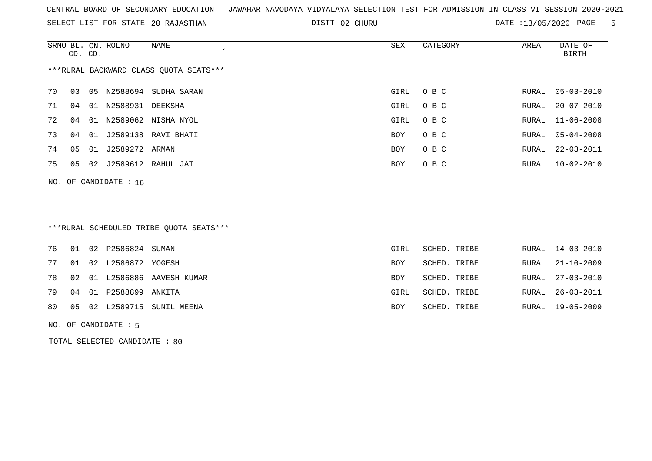SELECT LIST FOR STATE- DISTT- 20 RAJASTHAN

02 CHURU DATE :13/05/2020 PAGE- 5

|    | CD. CD. |    | SRNO BL. CN. ROLNO | NAME                                   | SEX        | CATEGORY | AREA  | DATE OF<br>BIRTH |
|----|---------|----|--------------------|----------------------------------------|------------|----------|-------|------------------|
|    |         |    |                    | ***RURAL BACKWARD CLASS OUOTA SEATS*** |            |          |       |                  |
| 70 | 03      | 05 | N2588694           | SUDHA SARAN                            | GIRL       | O B C    |       | RURAL 05-03-2010 |
| 71 | 04      | 01 | N2588931           | DEEKSHA                                | GIRL       | O B C    | RURAL | 20-07-2010       |
| 72 | 04      | 01 |                    | N2589062 NISHA NYOL                    | GIRL       | O B C    |       | RURAL 11-06-2008 |
| 73 | 04      | 01 |                    | J2589138 RAVI BHATI                    | <b>BOY</b> | O B C    |       | RURAL 05-04-2008 |
| 74 | 05      |    | 01 J2589272 ARMAN  |                                        | BOY.       | O B C    |       | RURAL 22-03-2011 |
| 75 | 05      | 02 |                    | J2589612 RAHUL JAT                     | BOY.       | O B C    |       | RURAL 10-02-2010 |
|    |         |    |                    |                                        |            |          |       |                  |

NO. OF CANDIDATE : 16

# \*\*\*RURAL SCHEDULED TRIBE QUOTA SEATS\*\*\*

| RURAL 21-10-2009 |
|------------------|
| RURAL 27-03-2010 |
| RURAL 26-03-2011 |
| RURAL 19-05-2009 |
|                  |

NO. OF CANDIDATE : 5

TOTAL SELECTED CANDIDATE : 80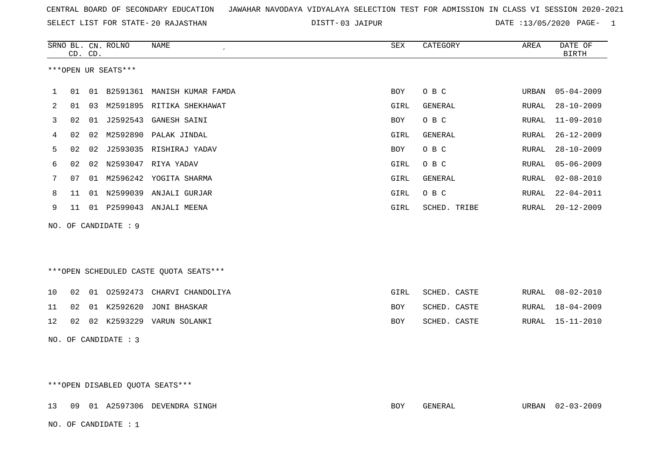| CENTRAL BOARD OF SECONDARY EDUCATION GUNAHAR NAVODAYA VIDYALAYA SELECTION TEST FOR ADMISSION IN CLASS VI SESSION 2020-2021 |  |  |  |
|----------------------------------------------------------------------------------------------------------------------------|--|--|--|
|----------------------------------------------------------------------------------------------------------------------------|--|--|--|

03 JAIPUR DATE :13/05/2020 PAGE- 1

|    |    | CD. CD. | SRNO BL. CN. ROLNO   | <b>NAME</b><br>$\epsilon$              | ${\tt SEX}$ | CATEGORY     | AREA         | DATE OF<br><b>BIRTH</b> |
|----|----|---------|----------------------|----------------------------------------|-------------|--------------|--------------|-------------------------|
|    |    |         | ***OPEN UR SEATS***  |                                        |             |              |              |                         |
| 1  | 01 |         |                      | 01 B2591361 MANISH KUMAR FAMDA         | BOY         | O B C        | URBAN        | $05 - 04 - 2009$        |
| 2  | 01 | 03      |                      | M2591895 RITIKA SHEKHAWAT              | GIRL        | GENERAL      | RURAL        | $28 - 10 - 2009$        |
| 3  | 02 |         | 01 J2592543          | <b>GANESH SAINI</b>                    | <b>BOY</b>  | O B C        | RURAL        | $11 - 09 - 2010$        |
| 4  | 02 | 02      |                      | M2592890 PALAK JINDAL                  | GIRL        | GENERAL      | RURAL        | $26 - 12 - 2009$        |
| 5  | 02 | 02      |                      | J2593035 RISHIRAJ YADAV                | BOY         | O B C        | RURAL        | $28 - 10 - 2009$        |
| 6  | 02 | 02      |                      | N2593047 RIYA YADAV                    | GIRL        | O B C        | RURAL        | $05 - 06 - 2009$        |
| 7  | 07 |         |                      | 01 M2596242 YOGITA SHARMA              | GIRL        | GENERAL      | RURAL        | $02 - 08 - 2010$        |
| 8  | 11 |         |                      | 01 N2599039 ANJALI GURJAR              | GIRL        | O B C        | <b>RURAL</b> | $22 - 04 - 2011$        |
| 9  | 11 |         |                      | 01 P2599043 ANJALI MEENA               | GIRL        | SCHED. TRIBE | <b>RURAL</b> | $20 - 12 - 2009$        |
|    |    |         | NO. OF CANDIDATE : 9 |                                        |             |              |              |                         |
|    |    |         |                      |                                        |             |              |              |                         |
|    |    |         |                      |                                        |             |              |              |                         |
|    |    |         |                      | ***OPEN SCHEDULED CASTE QUOTA SEATS*** |             |              |              |                         |
| 10 | 02 | 01      | 02592473             | CHARVI CHANDOLIYA                      | GIRL        | SCHED. CASTE | RURAL        | $08 - 02 - 2010$        |
| 11 | 02 |         | 01 K2592620          | JONI BHASKAR                           | BOY         | SCHED. CASTE | RURAL        | $18 - 04 - 2009$        |
| 12 | 02 |         |                      | 02 K2593229 VARUN SOLANKI              | <b>BOY</b>  | SCHED. CASTE | RURAL        | $15 - 11 - 2010$        |
|    |    |         | NO. OF CANDIDATE : 3 |                                        |             |              |              |                         |
|    |    |         |                      |                                        |             |              |              |                         |
|    |    |         |                      |                                        |             |              |              |                         |

\*\*\*OPEN DISABLED QUOTA SEATS\*\*\*

13 09 01 A2597306 DEVENDRA SINGH BOY GENERAL URBAN 02-03-2009 NO. OF CANDIDATE : 1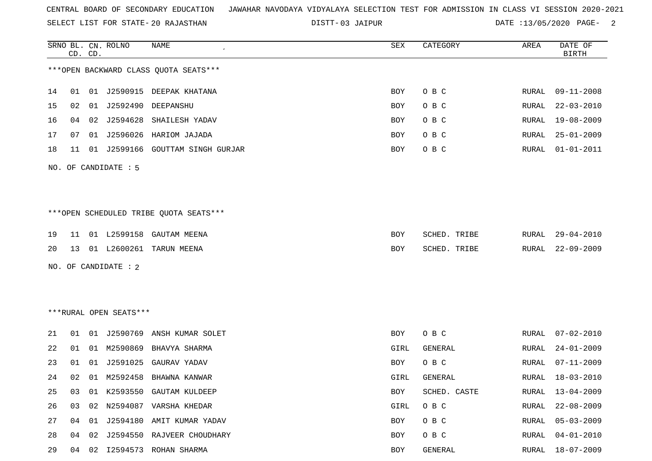SELECT LIST FOR STATE- DISTT- 20 RAJASTHAN

03 JAIPUR DATE :13/05/2020 PAGE- 2

|    |    | CD. CD. | SRNO BL. CN. ROLNO     | NAME                                   | SEX  | CATEGORY     | AREA  | DATE OF<br><b>BIRTH</b> |
|----|----|---------|------------------------|----------------------------------------|------|--------------|-------|-------------------------|
|    |    |         |                        | *** OPEN BACKWARD CLASS QUOTA SEATS*** |      |              |       |                         |
| 14 | 01 |         |                        | 01 J2590915 DEEPAK KHATANA             | BOY  | O B C        | RURAL | $09 - 11 - 2008$        |
| 15 | 02 |         |                        | 01 J2592490 DEEPANSHU                  | BOY  | O B C        | RURAL | $22 - 03 - 2010$        |
| 16 | 04 |         | 02 J2594628            | SHAILESH YADAV                         | BOY  | O B C        | RURAL | $19 - 08 - 2009$        |
| 17 | 07 |         |                        | 01 J2596026 HARIOM JAJADA              | BOY  | O B C        | RURAL | $25 - 01 - 2009$        |
| 18 | 11 |         |                        | 01 J2599166 GOUTTAM SINGH GURJAR       | BOY  | O B C        | RURAL | $01 - 01 - 2011$        |
|    |    |         | NO. OF CANDIDATE : 5   |                                        |      |              |       |                         |
|    |    |         |                        |                                        |      |              |       |                         |
|    |    |         |                        |                                        |      |              |       |                         |
|    |    |         |                        | ***OPEN SCHEDULED TRIBE QUOTA SEATS*** |      |              |       |                         |
| 19 | 11 |         |                        | 01 L2599158 GAUTAM MEENA               | BOY  | SCHED. TRIBE | RURAL | 29-04-2010              |
| 20 | 13 |         |                        | 01 L2600261 TARUN MEENA                | BOY  | SCHED. TRIBE | RURAL | $22 - 09 - 2009$        |
|    |    |         | NO. OF CANDIDATE : 2   |                                        |      |              |       |                         |
|    |    |         |                        |                                        |      |              |       |                         |
|    |    |         |                        |                                        |      |              |       |                         |
|    |    |         | ***RURAL OPEN SEATS*** |                                        |      |              |       |                         |
| 21 |    |         |                        | 01 01 J2590769 ANSH KUMAR SOLET        | BOY  | O B C        | RURAL | $07 - 02 - 2010$        |
| 22 | 01 | 01      |                        | M2590869 BHAVYA SHARMA                 | GIRL | GENERAL      | RURAL | $24 - 01 - 2009$        |
| 23 | 01 | 01      |                        | J2591025 GAURAV YADAV                  | BOY  | O B C        | RURAL | $07 - 11 - 2009$        |
| 24 | 02 | 01      | M2592458               | BHAWNA KANWAR                          | GIRL | GENERAL      | RURAL | $18 - 03 - 2010$        |
|    |    |         |                        | 25 03 01 K2593550 GAUTAM KULDEEP       | BOY  | SCHED. CASTE |       | RURAL 13-04-2009        |
| 26 | 03 | 02      |                        | N2594087 VARSHA KHEDAR                 | GIRL | O B C        | RURAL | $22 - 08 - 2009$        |
| 27 | 04 | 01      |                        | J2594180 AMIT KUMAR YADAV              | BOY  | O B C        | RURAL | $05 - 03 - 2009$        |
| 28 | 04 |         |                        | 02 J2594550 RAJVEER CHOUDHARY          | BOY  | O B C        | RURAL | $04 - 01 - 2010$        |
| 29 | 04 |         |                        | 02 I2594573 ROHAN SHARMA               | BOY  | GENERAL      | RURAL | $18 - 07 - 2009$        |
|    |    |         |                        |                                        |      |              |       |                         |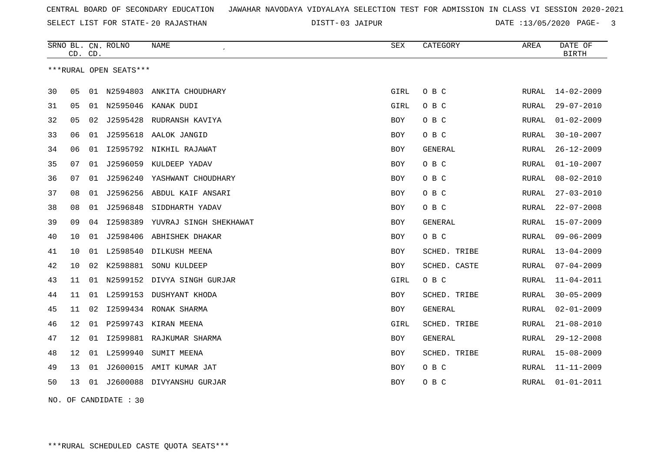SELECT LIST FOR STATE- DISTT- 20 RAJASTHAN

03 JAIPUR DATE :13/05/2020 PAGE- 3

|    |    | CD. CD. | SRNO BL. CN. ROLNO     | NAME                        | <b>SEX</b> | CATEGORY       | AREA         | DATE OF<br><b>BIRTH</b> |
|----|----|---------|------------------------|-----------------------------|------------|----------------|--------------|-------------------------|
|    |    |         | ***RURAL OPEN SEATS*** |                             |            |                |              |                         |
| 30 | 05 | 01      | N2594803               | ANKITA CHOUDHARY            | GIRL       | O B C          | RURAL        | $14 - 02 - 2009$        |
| 31 | 05 | 01      |                        | N2595046 KANAK DUDI         | GIRL       | O B C          | RURAL        | $29 - 07 - 2010$        |
| 32 | 05 | 02      |                        | J2595428 RUDRANSH KAVIYA    | <b>BOY</b> | O B C          | RURAL        | $01 - 02 - 2009$        |
| 33 | 06 | 01      |                        | J2595618 AALOK JANGID       | <b>BOY</b> | O B C          | RURAL        | $30 - 10 - 2007$        |
| 34 | 06 | 01      |                        | I2595792 NIKHIL RAJAWAT     | <b>BOY</b> | <b>GENERAL</b> | RURAL        | $26 - 12 - 2009$        |
| 35 | 07 | 01      |                        | J2596059 KULDEEP YADAV      | <b>BOY</b> | O B C          | RURAL        | $01 - 10 - 2007$        |
| 36 | 07 | 01      |                        | J2596240 YASHWANT CHOUDHARY | <b>BOY</b> | O B C          | RURAL        | $08 - 02 - 2010$        |
| 37 | 08 | 01      |                        | J2596256 ABDUL KAIF ANSARI  | <b>BOY</b> | O B C          | RURAL        | $27 - 03 - 2010$        |
| 38 | 08 |         | 01 J2596848            | SIDDHARTH YADAV             | <b>BOY</b> | O B C          | RURAL        | $22 - 07 - 2008$        |
| 39 | 09 | 04      | I2598389               | YUVRAJ SINGH SHEKHAWAT      | <b>BOY</b> | GENERAL        | RURAL        | $15 - 07 - 2009$        |
| 40 | 10 | 01      |                        | J2598406 ABHISHEK DHAKAR    | <b>BOY</b> | O B C          | <b>RURAL</b> | $09 - 06 - 2009$        |
| 41 | 10 | 01      | L2598540               | DILKUSH MEENA               | <b>BOY</b> | SCHED. TRIBE   | <b>RURAL</b> | $13 - 04 - 2009$        |
| 42 | 10 | 02      | K2598881               | SONU KULDEEP                | <b>BOY</b> | SCHED. CASTE   | RURAL        | $07 - 04 - 2009$        |
| 43 | 11 | 01      |                        | N2599152 DIVYA SINGH GURJAR | GIRL       | O B C          | RURAL        | $11 - 04 - 2011$        |
| 44 | 11 |         |                        | 01 L2599153 DUSHYANT KHODA  | <b>BOY</b> | SCHED. TRIBE   | RURAL        | $30 - 05 - 2009$        |
| 45 | 11 | 02      |                        | I2599434 RONAK SHARMA       | <b>BOY</b> | GENERAL        | <b>RURAL</b> | $02 - 01 - 2009$        |
| 46 | 12 | 01      |                        | P2599743 KIRAN MEENA        | GIRL       | SCHED. TRIBE   | RURAL        | $21 - 08 - 2010$        |
| 47 | 12 | 01      |                        | 12599881 RAJKUMAR SHARMA    | <b>BOY</b> | GENERAL        | RURAL        | $29 - 12 - 2008$        |
| 48 | 12 | 01      | L2599940               | SUMIT MEENA                 | BOY        | SCHED. TRIBE   | RURAL        | $15 - 08 - 2009$        |
| 49 | 13 | 01      |                        | J2600015 AMIT KUMAR JAT     | BOY        | O B C          | RURAL        | $11 - 11 - 2009$        |
| 50 | 13 | 01      |                        | J2600088 DIVYANSHU GURJAR   | <b>BOY</b> | O B C          | RURAL        | $01 - 01 - 2011$        |
|    |    |         |                        |                             |            |                |              |                         |

NO. OF CANDIDATE : 30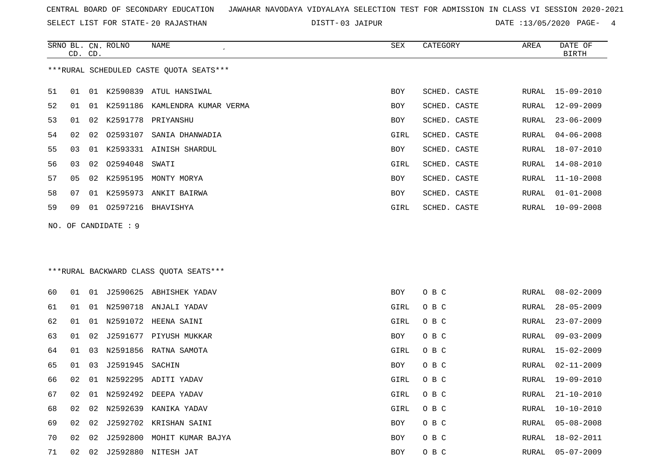SELECT LIST FOR STATE- DISTT- 20 RAJASTHAN

SRNO BL. CN.

ROLNO NAME SEX CATEGORY AREA DATE OF

03 JAIPUR DATE :13/05/2020 PAGE- 4

|    |    | CD. CD. |                     |                                         |      |              |       | <b>BIRTH</b>     |
|----|----|---------|---------------------|-----------------------------------------|------|--------------|-------|------------------|
|    |    |         |                     | ***RURAL SCHEDULED CASTE QUOTA SEATS*** |      |              |       |                  |
| 51 | 01 | 01      |                     | K2590839 ATUL HANSIWAL                  | BOY  | SCHED. CASTE | RURAL | $15 - 09 - 2010$ |
| 52 | 01 | 01      | K2591186            | KAMLENDRA KUMAR VERMA                   | BOY  | SCHED. CASTE | RURAL | $12 - 09 - 2009$ |
| 53 | 01 | 02      |                     | K2591778 PRIYANSHU                      | BOY  | SCHED. CASTE | RURAL | $23 - 06 - 2009$ |
| 54 | 02 | 02      | 02593107            | SANIA DHANWADIA                         | GIRL | SCHED. CASTE | RURAL | $04 - 06 - 2008$ |
| 55 | 03 | 01      |                     | K2593331 AINISH SHARDUL                 | BOY  | SCHED. CASTE | RURAL | 18-07-2010       |
| 56 | 03 | 02      | 02594048            | SWATI                                   | GIRL | SCHED. CASTE | RURAL | $14 - 08 - 2010$ |
| 57 | 05 | 02      | K2595195            | MONTY MORYA                             | BOY  | SCHED. CASTE | RURAL | 11-10-2008       |
| 58 | 07 | 01      | K2595973            | ANKIT BAIRWA                            | BOY  | SCHED. CASTE | RURAL | $01 - 01 - 2008$ |
| 59 | 09 | 01      |                     | 02597216 BHAVISHYA                      | GIRL | SCHED. CASTE | RURAL | $10 - 09 - 2008$ |
|    |    |         | NO. OF CANDIDATE: 9 |                                         |      |              |       |                  |
|    |    |         |                     |                                         |      |              |       |                  |
|    |    |         |                     | *** RURAL BACKWARD CLASS QUOTA SEATS*** |      |              |       |                  |
| 60 | 01 |         |                     | 01 J2590625 ABHISHEK YADAV              | BOY  | O B C        | RURAL | $08 - 02 - 2009$ |
| 61 | 01 | 01      |                     | N2590718 ANJALI YADAV                   | GIRL | O B C        | RURAL | $28 - 05 - 2009$ |
| 62 | 01 | 01      | N2591072            | HEENA SAINI                             | GIRL | O B C        | RURAL | $23 - 07 - 2009$ |
| 63 | 01 | 02      |                     | J2591677 PIYUSH MUKKAR                  | BOY  | O B C        | RURAL | $09 - 03 - 2009$ |
| 64 | 01 | 03      | N2591856            | RATNA SAMOTA                            | GIRL | O B C        | RURAL | $15 - 02 - 2009$ |
| 65 | 01 | 03      | J2591945            | SACHIN                                  | BOY  | O B C        | RURAL | $02 - 11 - 2009$ |
| 66 | 02 | 01      |                     | N2592295 ADITI YADAV                    | GIRL | O B C        | RURAL | 19-09-2010       |
| 67 | 02 |         |                     | 01 N2592492 DEEPA YADAV                 | GIRL | O B C        | RURAL | $21 - 10 - 2010$ |
| 68 |    |         |                     | 02 02 N2592639 KANIKA YADAV             | GIRL | O B C        | RURAL | $10 - 10 - 2010$ |
| 69 | 02 |         |                     | 02 J2592702 KRISHAN SAINI               | BOY  | O B C        | RURAL | $05 - 08 - 2008$ |
| 70 | 02 | 02      | J2592800            | MOHIT KUMAR BAJYA                       | BOY  | O B C        | RURAL | $18 - 02 - 2011$ |
| 71 | 02 | 02      |                     | J2592880 NITESH JAT                     | BOY  | O B C        | RURAL | $05 - 07 - 2009$ |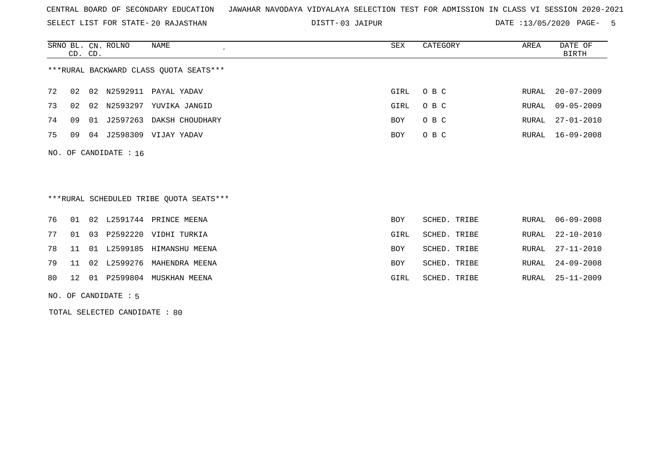SELECT LIST FOR STATE- DISTT- 20 RAJASTHAN

03 JAIPUR DATE :13/05/2020 PAGE- 5

|    | CD. CD.                                |    | SRNO BL. CN. ROLNO      | NAME            | SEX  | CATEGORY | AREA  | DATE OF<br>BIRTH |  |  |
|----|----------------------------------------|----|-------------------------|-----------------|------|----------|-------|------------------|--|--|
|    | ***RURAL BACKWARD CLASS QUOTA SEATS*** |    |                         |                 |      |          |       |                  |  |  |
| 72 | 02                                     |    | 02 N2592911             | PAYAL YADAV     | GIRL | O B C    | RURAL | $20 - 07 - 2009$ |  |  |
| 73 | 02                                     | 02 | N2593297                | YUVIKA JANGID   | GIRL | O B C    |       | RURAL 09-05-2009 |  |  |
| 74 | 09                                     |    | 01 J2597263             | DAKSH CHOUDHARY | BOY  | O B C    |       | RURAL 27-01-2010 |  |  |
| 75 | 09                                     | 04 | J2598309                | VIJAY YADAV     | BOY  | O B C    |       | RURAL 16-09-2008 |  |  |
|    |                                        |    | NO. OF CANDIDATE : $16$ |                 |      |          |       |                  |  |  |

\*\*\*RURAL SCHEDULED TRIBE QUOTA SEATS\*\*\*

|  |  | 76 01 02 L2591744 PRINCE MEENA   | <b>BOY</b> | SCHED. TRIBE | RURAL 06-09-2008 |
|--|--|----------------------------------|------------|--------------|------------------|
|  |  | 77 01 03 P2592220 VIDHI TURKIA   | GIRL       | SCHED. TRIBE | RURAL 22-10-2010 |
|  |  | 78 11 01 L2599185 HIMANSHU MEENA | BOY        | SCHED. TRIBE | RURAL 27-11-2010 |
|  |  | 79 11 02 L2599276 MAHENDRA MEENA | BOY        | SCHED. TRIBE | RURAL 24-09-2008 |
|  |  | 80 12 01 P2599804 MUSKHAN MEENA  | GIRL       | SCHED. TRIBE | RURAL 25-11-2009 |

NO. OF CANDIDATE : 5

TOTAL SELECTED CANDIDATE : 80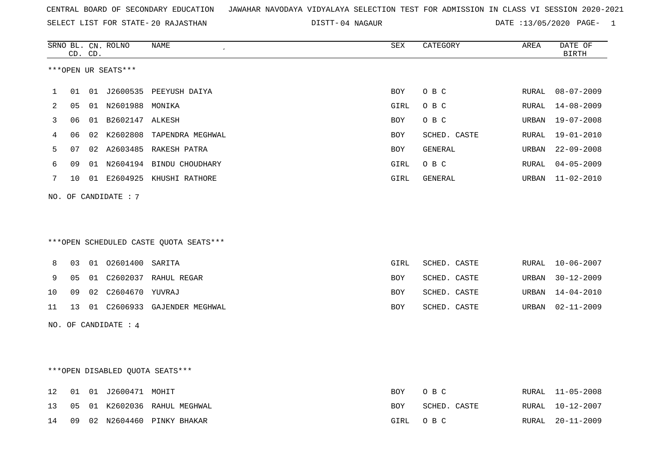SELECT LIST FOR STATE- DISTT- 20 RAJASTHAN

04 NAGAUR DATE :13/05/2020 PAGE- 1

|    |    | CD. CD. | SRNO BL. CN. ROLNO              | NAME                                   | SEX         | CATEGORY       | AREA  | DATE OF<br><b>BIRTH</b> |
|----|----|---------|---------------------------------|----------------------------------------|-------------|----------------|-------|-------------------------|
|    |    |         | ***OPEN UR SEATS***             |                                        |             |                |       |                         |
| 1  | 01 |         |                                 | 01 J2600535 PEEYUSH DAIYA              | BOY         | O B C          | RURAL | $08 - 07 - 2009$        |
| 2  | 05 |         | 01 N2601988 MONIKA              |                                        | GIRL        | O B C          | RURAL | $14 - 08 - 2009$        |
| 3  | 06 |         | 01 B2602147 ALKESH              |                                        | <b>BOY</b>  | O B C          | URBAN | $19 - 07 - 2008$        |
| 4  | 06 |         |                                 | 02 K2602808 TAPENDRA MEGHWAL           | <b>BOY</b>  | SCHED. CASTE   | RURAL | 19-01-2010              |
| 5  | 07 |         |                                 | 02 A2603485 RAKESH PATRA               | BOY         | GENERAL        | URBAN | $22 - 09 - 2008$        |
| 6  | 09 |         |                                 | 01 N2604194 BINDU CHOUDHARY            | GIRL        | O B C          | RURAL | $04 - 05 - 2009$        |
| 7  | 10 |         |                                 | 01 E2604925 KHUSHI RATHORE             | GIRL        | <b>GENERAL</b> | URBAN | $11 - 02 - 2010$        |
|    |    |         | NO. OF CANDIDATE: 7             |                                        |             |                |       |                         |
|    |    |         |                                 |                                        |             |                |       |                         |
|    |    |         |                                 |                                        |             |                |       |                         |
|    |    |         |                                 | ***OPEN SCHEDULED CASTE QUOTA SEATS*** |             |                |       |                         |
| 8  | 03 |         | 01 02601400 SARITA              |                                        | <b>GIRL</b> | SCHED. CASTE   | RURAL | $10 - 06 - 2007$        |
| 9  | 05 |         |                                 | 01 C2602037 RAHUL REGAR                | <b>BOY</b>  | SCHED. CASTE   | URBAN | $30 - 12 - 2009$        |
| 10 | 09 | 02      | C2604670 YUVRAJ                 |                                        | BOY         | SCHED. CASTE   | URBAN | $14 - 04 - 2010$        |
| 11 | 13 |         |                                 | 01 C2606933 GAJENDER MEGHWAL           | BOY         | SCHED. CASTE   | URBAN | $02 - 11 - 2009$        |
|    |    |         | NO. OF CANDIDATE : 4            |                                        |             |                |       |                         |
|    |    |         |                                 |                                        |             |                |       |                         |
|    |    |         |                                 |                                        |             |                |       |                         |
|    |    |         | ***OPEN DISABLED QUOTA SEATS*** |                                        |             |                |       |                         |
|    |    |         |                                 |                                        |             |                |       |                         |
| 12 | 01 |         | 01 J2600471 MOHIT               |                                        | BOY         | O B C          | RURAL | $11 - 05 - 2008$        |
| 13 | 05 |         |                                 | 01 K2602036 RAHUL MEGHWAL              | <b>BOY</b>  | SCHED. CASTE   | RURAL | $10 - 12 - 2007$        |
| 14 | 09 |         |                                 | 02 N2604460 PINKY BHAKAR               | GIRL        | O B C          | RURAL | $20 - 11 - 2009$        |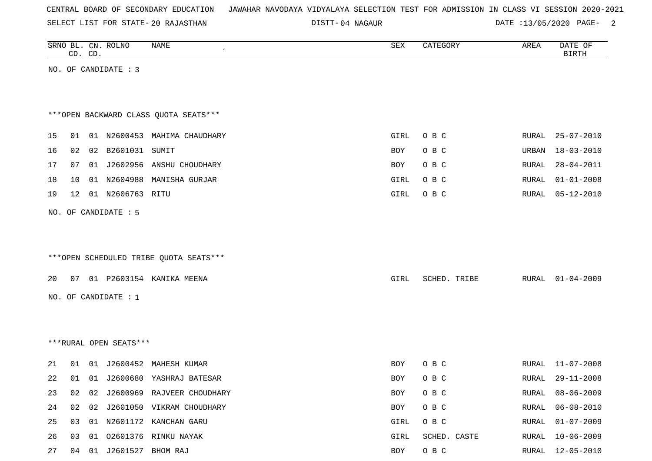| CENTRAL BOARD OF SECONDARY EDUCATION – JAWAHAR NAVODAYA VIDYALAYA SELECTION TEST FOR ADMISSION IN CLASS VI SESSION 2020-2021 |  |  |  |  |  |
|------------------------------------------------------------------------------------------------------------------------------|--|--|--|--|--|
|------------------------------------------------------------------------------------------------------------------------------|--|--|--|--|--|

DISTT-04 NAGAUR 2004 1204 2005/2020 PAGE- 2004 2015/05/2020 PAGE-

|    |    | CD. CD. | SRNO BL. CN. ROLNO     | NAME                                   | SEX        | CATEGORY     | AREA  | DATE OF<br><b>BIRTH</b> |
|----|----|---------|------------------------|----------------------------------------|------------|--------------|-------|-------------------------|
|    |    |         | NO. OF CANDIDATE : 3   |                                        |            |              |       |                         |
|    |    |         |                        |                                        |            |              |       |                         |
|    |    |         |                        |                                        |            |              |       |                         |
|    |    |         |                        | *** OPEN BACKWARD CLASS QUOTA SEATS*** |            |              |       |                         |
| 15 | 01 |         |                        | 01 N2600453 MAHIMA CHAUDHARY           | GIRL       | O B C        | RURAL | 25-07-2010              |
| 16 | 02 |         | 02 B2601031 SUMIT      |                                        | BOY        | O B C        | URBAN | $18 - 03 - 2010$        |
| 17 | 07 |         |                        | 01 J2602956 ANSHU CHOUDHARY            | BOY        | O B C        | RURAL | $28 - 04 - 2011$        |
| 18 | 10 |         | 01 N2604988            | MANISHA GURJAR                         | GIRL       | O B C        | RURAL | $01 - 01 - 2008$        |
| 19 | 12 |         | 01 N2606763 RITU       |                                        | GIRL       | O B C        | RURAL | $05 - 12 - 2010$        |
|    |    |         | NO. OF CANDIDATE : 5   |                                        |            |              |       |                         |
|    |    |         |                        |                                        |            |              |       |                         |
|    |    |         |                        |                                        |            |              |       |                         |
|    |    |         |                        | ***OPEN SCHEDULED TRIBE QUOTA SEATS*** |            |              |       |                         |
| 20 | 07 |         |                        | 01 P2603154 KANIKA MEENA               | GIRL       | SCHED. TRIBE |       | RURAL 01-04-2009        |
|    |    |         |                        |                                        |            |              |       |                         |
|    |    |         | NO. OF CANDIDATE : $1$ |                                        |            |              |       |                         |
|    |    |         |                        |                                        |            |              |       |                         |
|    |    |         | ***RURAL OPEN SEATS*** |                                        |            |              |       |                         |
|    |    |         |                        |                                        |            |              |       |                         |
| 21 | 01 |         |                        | 01 J2600452 MAHESH KUMAR               | BOY        | O B C        | RURAL | $11 - 07 - 2008$        |
| 22 | 01 |         |                        | 01 J2600680 YASHRAJ BATESAR            | <b>BOY</b> | O B C        | RURAL | $29 - 11 - 2008$        |
| 23 | 02 |         |                        | 02 J2600969 RAJVEER CHOUDHARY          | <b>BOY</b> | O B C        | RURAL | $08 - 06 - 2009$        |
| 24 | 02 | 02      |                        | J2601050 VIKRAM CHOUDHARY              | BOY        | $O$ B $C$    | RURAL | $06 - 08 - 2010$        |
| 25 | 03 |         |                        | 01 N2601172 KANCHAN GARU               | GIRL       | O B C        | RURAL | $01 - 07 - 2009$        |
| 26 | 03 |         |                        | 01 02601376 RINKU NAYAK                | GIRL       | SCHED. CASTE | RURAL | $10 - 06 - 2009$        |

27 04 01 J2601527 BHOM RAJ 800 BOY O B C RURAL 12-05-2010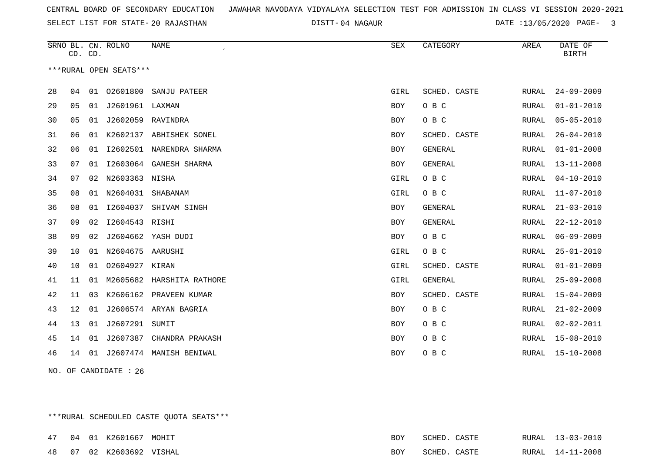04 NAGAUR DATE :13/05/2020 PAGE- 3

|    | CD. CD. |    | SRNO BL. CN. ROLNO     | NAME                       | ${\tt SEX}$ | CATEGORY       | AREA         | DATE OF<br><b>BIRTH</b> |
|----|---------|----|------------------------|----------------------------|-------------|----------------|--------------|-------------------------|
|    |         |    | ***RURAL OPEN SEATS*** |                            |             |                |              |                         |
|    |         |    |                        |                            |             |                |              |                         |
| 28 | 04      |    |                        | 01  02601800  SANJU PATEER | GIRL        | SCHED. CASTE   | RURAL        | $24 - 09 - 2009$        |
| 29 | 05      | 01 | J2601961 LAXMAN        |                            | BOY         | O B C          | RURAL        | $01 - 01 - 2010$        |
| 30 | 05      | 01 | J2602059               | RAVINDRA                   | BOY         | O B C          | RURAL        | $05 - 05 - 2010$        |
| 31 | 06      | 01 | K2602137               | ABHISHEK SONEL             | <b>BOY</b>  | SCHED. CASTE   | RURAL        | $26 - 04 - 2010$        |
| 32 | 06      | 01 |                        | 12602501 NARENDRA SHARMA   | <b>BOY</b>  | GENERAL        | RURAL        | $01 - 01 - 2008$        |
| 33 | 07      | 01 | I2603064               | GANESH SHARMA              | BOY         | <b>GENERAL</b> | RURAL        | $13 - 11 - 2008$        |
| 34 | 07      | 02 | N2603363               | NISHA                      | GIRL        | O B C          | RURAL        | $04 - 10 - 2010$        |
| 35 | 08      | 01 | N2604031               | SHABANAM                   | GIRL        | O B C          | RURAL        | $11 - 07 - 2010$        |
| 36 | 08      | 01 | I2604037               | SHIVAM SINGH               | <b>BOY</b>  | <b>GENERAL</b> | <b>RURAL</b> | $21 - 03 - 2010$        |
| 37 | 09      | 02 | I2604543 RISHI         |                            | <b>BOY</b>  | GENERAL        | <b>RURAL</b> | $22 - 12 - 2010$        |
| 38 | 09      | 02 |                        | J2604662 YASH DUDI         | BOY         | O B C          | RURAL        | $06 - 09 - 2009$        |
| 39 | 10      | 01 | N2604675 AARUSHI       |                            | GIRL        | O B C          | <b>RURAL</b> | $25 - 01 - 2010$        |
| 40 | 10      | 01 | 02604927 KIRAN         |                            | GIRL        | SCHED. CASTE   | RURAL        | $01 - 01 - 2009$        |
| 41 | 11      | 01 |                        | M2605682 HARSHITA RATHORE  | GIRL        | GENERAL        | RURAL        | $25 - 09 - 2008$        |
| 42 | 11      | 03 | K2606162               | PRAVEEN KUMAR              | BOY         | SCHED. CASTE   | RURAL        | $15 - 04 - 2009$        |
| 43 | 12      | 01 |                        | J2606574 ARYAN BAGRIA      | BOY         | O B C          | RURAL        | $21 - 02 - 2009$        |
| 44 | 13      | 01 | J2607291               | SUMIT                      | <b>BOY</b>  | O B C          | RURAL        | $02 - 02 - 2011$        |
| 45 | 14      | 01 | J2607387               | CHANDRA PRAKASH            | BOY         | O B C          | RURAL        | $15 - 08 - 2010$        |
| 46 | 14      |    |                        | 01 J2607474 MANISH BENIWAL | <b>BOY</b>  | O B C          | <b>RURAL</b> | $15 - 10 - 2008$        |
|    |         |    |                        |                            |             |                |              |                         |

NO. OF CANDIDATE : 26

\*\*\*RURAL SCHEDULED CASTE QUOTA SEATS\*\*\*

| 47 04 01 |  | . K2601667 MOHIT         | BOY | SCHED        | CASTE        | RURAL 13-03-2010 |
|----------|--|--------------------------|-----|--------------|--------------|------------------|
|          |  | 48 07 02 K2603692 VISHAL | BOY | <b>COHED</b> | <b>CASTE</b> | RURAL 14-11-2008 |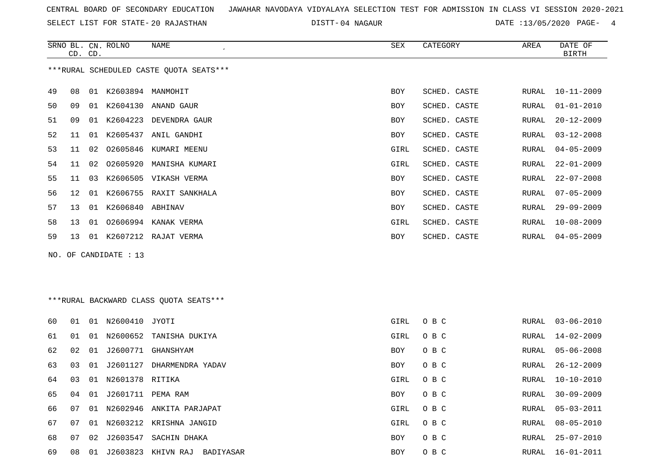SELECT LIST FOR STATE- DISTT- 20 RAJASTHAN

04 NAGAUR DATE :13/05/2020 PAGE- 4

|    | CD. CD. |    | SRNO BL. CN. ROLNO    | NAME                                    | SEX        | CATEGORY     | AREA  | DATE OF<br><b>BIRTH</b> |
|----|---------|----|-----------------------|-----------------------------------------|------------|--------------|-------|-------------------------|
|    |         |    |                       | ***RURAL SCHEDULED CASTE OUOTA SEATS*** |            |              |       |                         |
| 49 | 08      | 01 | K2603894 MANMOHIT     |                                         | <b>BOY</b> | SCHED. CASTE | RURAL | $10 - 11 - 2009$        |
| 50 | 09      |    |                       | 01 K2604130 ANAND GAUR                  | BOY        | SCHED. CASTE | RURAL | $01 - 01 - 2010$        |
| 51 | 09      | 01 | K2604223              | DEVENDRA GAUR                           | BOY        | SCHED. CASTE | RURAL | $20 - 12 - 2009$        |
| 52 | 11      |    |                       | 01 K2605437 ANIL GANDHI                 | BOY        | SCHED. CASTE | RURAL | $03 - 12 - 2008$        |
| 53 | 11      | 02 | 02605846              | KUMARI MEENU                            | GIRL       | SCHED. CASTE | RURAL | $04 - 05 - 2009$        |
| 54 | 11      |    | 02 02605920           | MANISHA KUMARI                          | GIRL       | SCHED. CASTE | RURAL | $22 - 01 - 2009$        |
| 55 | 11      | 03 |                       | K2606505 VIKASH VERMA                   | <b>BOY</b> | SCHED. CASTE | RURAL | $22 - 07 - 2008$        |
| 56 | 12      |    |                       | 01 K2606755 RAXIT SANKHALA              | BOY        | SCHED. CASTE | RURAL | $07 - 05 - 2009$        |
| 57 | 13      |    | 01 K2606840 ABHINAV   |                                         | BOY        | SCHED. CASTE | RURAL | $29 - 09 - 2009$        |
| 58 | 13      | 01 |                       | 02606994 KANAK VERMA                    | GIRL       | SCHED. CASTE | RURAL | $10 - 08 - 2009$        |
| 59 | 13      |    |                       | 01 K2607212 RAJAT VERMA                 | <b>BOY</b> | SCHED. CASTE | RURAL | $04 - 05 - 2009$        |
|    |         |    | NO. OF CANDIDATE : 13 |                                         |            |              |       |                         |

# \*\*\*RURAL BACKWARD CLASS QUOTA SEATS\*\*\*

| 60 | 01 | 01              | N2600410 JYOTI     |                             | GIRL       | O B C |       | RURAL 03-06-2010 |
|----|----|-----------------|--------------------|-----------------------------|------------|-------|-------|------------------|
| 61 | 01 | 01              |                    | N2600652 TANISHA DUKIYA     | GIRL       | O B C | RURAL | $14 - 02 - 2009$ |
| 62 | 02 | 01              |                    | J2600771 GHANSHYAM          | <b>BOY</b> | O B C |       | RURAL 05-06-2008 |
| 63 | 03 | 01              | J2601127           | DHARMENDRA YADAV            | BOY        | O B C |       | RURAL 26-12-2009 |
| 64 | 03 |                 | 01 N2601378 RITIKA |                             | GIRL       | O B C | RURAL | 10-10-2010       |
| 65 | 04 | 01              | J2601711 PEMA RAM  |                             | BOY        | O B C | RURAL | $30 - 09 - 2009$ |
| 66 | 07 |                 |                    | 01 N2602946 ANKITA PARJAPAT | GIRL       | O B C | RURAL | 05-03-2011       |
| 67 | 07 | 01              |                    | N2603212 KRISHNA JANGID     | GIRL       | O B C | RURAL | $08 - 05 - 2010$ |
| 68 | 07 | 02 <sub>o</sub> | J2603547           | SACHIN DHAKA                | <b>BOY</b> | O B C | RURAL | $25 - 07 - 2010$ |
| 69 | 08 | 01              | J2603823           | KHIVN RAJ<br>BADIYASAR      | <b>BOY</b> | O B C | RURAL | 16-01-2011       |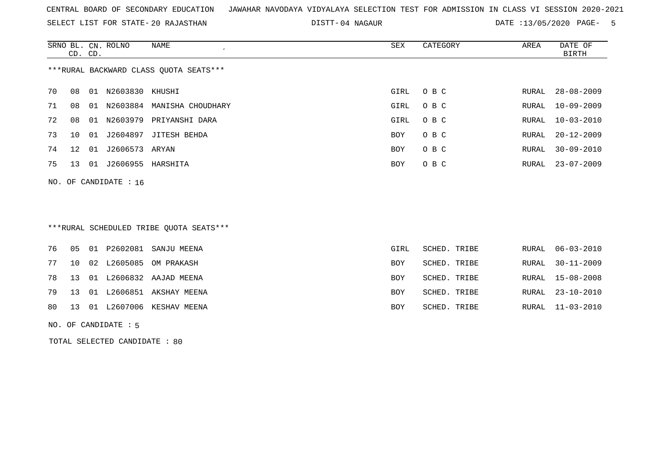SELECT LIST FOR STATE- DISTT- 20 RAJASTHAN

04 NAGAUR DATE :13/05/2020 PAGE- 5

|    | CD. CD.      |       | SRNO BL. CN. ROLNO | NAME                                   | SEX  | CATEGORY | AREA  | DATE OF<br>BIRTH |
|----|--------------|-------|--------------------|----------------------------------------|------|----------|-------|------------------|
|    |              |       |                    | ***RURAL BACKWARD CLASS QUOTA SEATS*** |      |          |       |                  |
| 70 | 08           | 01    | N2603830           | KHUSHI                                 | GIRL | O B C    | RURAL | $28 - 08 - 2009$ |
| 71 | 08           | -01   | N2603884           | MANISHA CHOUDHARY                      | GIRL | O B C    | RURAL | $10 - 09 - 2009$ |
| 72 | 08           | 01    | N2603979           | PRIYANSHI DARA                         | GIRL | O B C    | RURAL | $10 - 03 - 2010$ |
| 73 | 1 O          | . N 1 | J2604897           | JITESH BEHDA                           | BOY  | O B C    | RURAL | $20 - 12 - 2009$ |
| 74 | $12^{\circ}$ | 01    | J2606573           | ARYAN                                  | BOY  | O B C    | RURAL | $30 - 09 - 2010$ |
| 75 | 13           | 01    | J2606955           | HARSHITA                               | BOY  | O B C    | RURAL | 23-07-2009       |
|    |              |       |                    |                                        |      |          |       |                  |

NO. OF CANDIDATE : 16

# \*\*\*RURAL SCHEDULED TRIBE QUOTA SEATS\*\*\*

|  |  | 76  05  01  P2602081  SANJU MEENA | GIRL | SCHED. TRIBE | RURAL 06-03-2010 |
|--|--|-----------------------------------|------|--------------|------------------|
|  |  | 77 10 02 L2605085 OM PRAKASH      | BOY  | SCHED. TRIBE | RURAL 30-11-2009 |
|  |  | 78 13 01 L2606832 AAJAD MEENA     | BOY  | SCHED. TRIBE | RURAL 15-08-2008 |
|  |  | 79 13 01 L2606851 AKSHAY MEENA    | BOY  | SCHED. TRIBE | RURAL 23-10-2010 |
|  |  | 80 13 01 L2607006 KESHAV MEENA    | BOY  | SCHED. TRIBE | RURAL 11-03-2010 |
|  |  |                                   |      |              |                  |

NO. OF CANDIDATE : 5

TOTAL SELECTED CANDIDATE : 80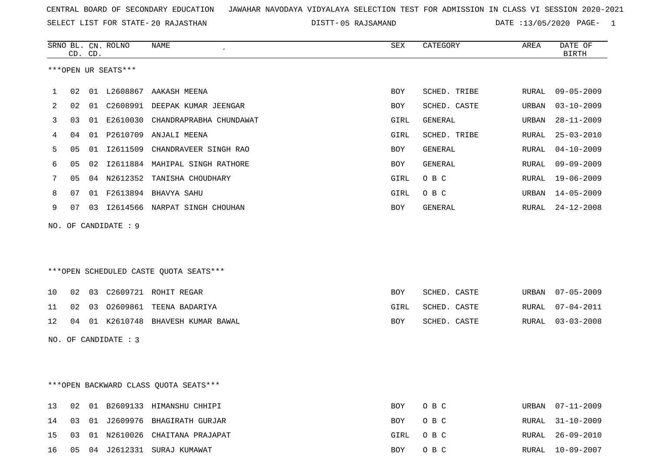SELECT LIST FOR STATE- DISTT- 20 RAJASTHAN

|    |    | CD. CD. | SRNO BL. CN. ROLNO   | NAME                                   | ${\tt SEX}$ | CATEGORY     | AREA         | DATE OF<br><b>BIRTH</b> |
|----|----|---------|----------------------|----------------------------------------|-------------|--------------|--------------|-------------------------|
|    |    |         | ***OPEN UR SEATS***  |                                        |             |              |              |                         |
| 1  | 02 |         |                      | 01 L2608867 AAKASH MEENA               | <b>BOY</b>  | SCHED. TRIBE | RURAL        | $09 - 05 - 2009$        |
| 2  | 02 |         |                      | 01 C2608991 DEEPAK KUMAR JEENGAR       | BOY         | SCHED. CASTE | URBAN        | $03 - 10 - 2009$        |
| 3  | 03 |         | 01 E2610030          | CHANDRAPRABHA CHUNDAWAT                | GIRL        | GENERAL      | URBAN        | $28 - 11 - 2009$        |
| 4  | 04 |         |                      | 01 P2610709 ANJALI MEENA               | GIRL        | SCHED. TRIBE | RURAL        | $25 - 03 - 2010$        |
| 5  | 05 |         |                      | 01 I2611509 CHANDRAVEER SINGH RAO      | BOY         | GENERAL      | RURAL        | $04 - 10 - 2009$        |
| 6  | 05 | 02      |                      | 12611884 MAHIPAL SINGH RATHORE         | <b>BOY</b>  | GENERAL      | <b>RURAL</b> | $09 - 09 - 2009$        |
| 7  | 05 |         |                      | 04 N2612352 TANISHA CHOUDHARY          | GIRL        | O B C        | <b>RURAL</b> | $19 - 06 - 2009$        |
| 8  | 07 |         |                      | 01 F2613894 BHAVYA SAHU                | GIRL        | O B C        | URBAN        | $14 - 05 - 2009$        |
| 9  | 07 |         |                      | 03 I2614566 NARPAT SINGH CHOUHAN       | <b>BOY</b>  | GENERAL      | RURAL        | $24 - 12 - 2008$        |
|    |    |         | NO. OF CANDIDATE : 9 |                                        |             |              |              |                         |
|    |    |         |                      |                                        |             |              |              |                         |
|    |    |         |                      |                                        |             |              |              |                         |
|    |    |         |                      | ***OPEN SCHEDULED CASTE QUOTA SEATS*** |             |              |              |                         |
| 10 | 02 |         |                      | 03 C2609721 ROHIT REGAR                | BOY         | SCHED. CASTE | URBAN        | $07 - 05 - 2009$        |
| 11 | 02 |         |                      | 03 02609861 TEENA BADARIYA             | GIRL        | SCHED. CASTE | RURAL        | $07 - 04 - 2011$        |
| 12 | 04 |         |                      | 01 K2610748 BHAVESH KUMAR BAWAL        | BOY         | SCHED. CASTE | RURAL        | $03 - 03 - 2008$        |
|    |    |         | NO. OF CANDIDATE : 3 |                                        |             |              |              |                         |
|    |    |         |                      |                                        |             |              |              |                         |
|    |    |         |                      |                                        |             |              |              |                         |
|    |    |         |                      | *** OPEN BACKWARD CLASS QUOTA SEATS*** |             |              |              |                         |

|  |  | 13 02 01 B2609133 HIMANSHU CHHIPI   | BOY OBC  |  | URBAN 07-11-2009 |
|--|--|-------------------------------------|----------|--|------------------|
|  |  | 14 03 01 J2609976 BHAGIRATH GURJAR  | BOY OBC  |  | RURAL 31-10-2009 |
|  |  | 15 03 01 N2610026 CHAITANA PRAJAPAT | GIRL OBC |  | RURAL 26-09-2010 |
|  |  | 16 05 04 J2612331 SURAJ KUMAWAT     | BOY OBC  |  | RURAL 10-09-2007 |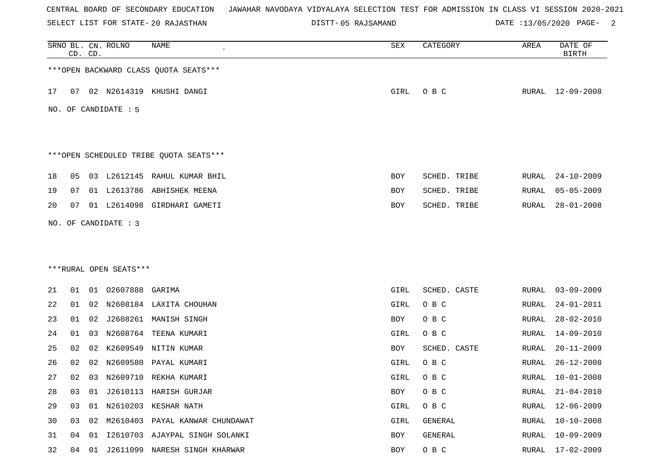SELECT LIST FOR STATE- DISTT- 20 RAJASTHAN

|    |    |          |                                              | SEX                                                                                                                                                                                                                                                                                                                                                                                                                                                                                                                                                                                        | CATEGORY     | AREA  | DATE OF<br><b>BIRTH</b> |
|----|----|----------|----------------------------------------------|--------------------------------------------------------------------------------------------------------------------------------------------------------------------------------------------------------------------------------------------------------------------------------------------------------------------------------------------------------------------------------------------------------------------------------------------------------------------------------------------------------------------------------------------------------------------------------------------|--------------|-------|-------------------------|
|    |    |          |                                              |                                                                                                                                                                                                                                                                                                                                                                                                                                                                                                                                                                                            |              |       |                         |
|    |    |          |                                              | GIRL                                                                                                                                                                                                                                                                                                                                                                                                                                                                                                                                                                                       | O B C        |       | RURAL 12-09-2008        |
|    |    |          |                                              |                                                                                                                                                                                                                                                                                                                                                                                                                                                                                                                                                                                            |              |       |                         |
|    |    |          |                                              |                                                                                                                                                                                                                                                                                                                                                                                                                                                                                                                                                                                            |              |       |                         |
| 05 |    |          |                                              | BOY                                                                                                                                                                                                                                                                                                                                                                                                                                                                                                                                                                                        | SCHED. TRIBE | RURAL | $24 - 10 - 2009$        |
| 07 |    |          |                                              | BOY                                                                                                                                                                                                                                                                                                                                                                                                                                                                                                                                                                                        | SCHED. TRIBE | RURAL | $05 - 05 - 2009$        |
| 07 |    |          |                                              | BOY                                                                                                                                                                                                                                                                                                                                                                                                                                                                                                                                                                                        | SCHED. TRIBE | RURAL | $28 - 01 - 2008$        |
|    |    |          |                                              |                                                                                                                                                                                                                                                                                                                                                                                                                                                                                                                                                                                            |              |       |                         |
|    |    |          |                                              |                                                                                                                                                                                                                                                                                                                                                                                                                                                                                                                                                                                            |              |       |                         |
|    |    |          |                                              |                                                                                                                                                                                                                                                                                                                                                                                                                                                                                                                                                                                            |              |       |                         |
| 01 |    |          |                                              | GIRL                                                                                                                                                                                                                                                                                                                                                                                                                                                                                                                                                                                       | SCHED. CASTE | RURAL | $03 - 09 - 2009$        |
| 01 |    |          |                                              | GIRL                                                                                                                                                                                                                                                                                                                                                                                                                                                                                                                                                                                       | O B C        | RURAL | $24 - 01 - 2011$        |
| 01 | 02 |          |                                              | BOY                                                                                                                                                                                                                                                                                                                                                                                                                                                                                                                                                                                        | O B C        | RURAL | $28 - 02 - 2010$        |
| 01 | 03 |          |                                              | GIRL                                                                                                                                                                                                                                                                                                                                                                                                                                                                                                                                                                                       | O B C        | RURAL | $14 - 09 - 2010$        |
| 02 | 02 | K2609549 |                                              | BOY                                                                                                                                                                                                                                                                                                                                                                                                                                                                                                                                                                                        | SCHED. CASTE | RURAL | $20 - 11 - 2009$        |
| 02 |    |          |                                              | GIRL                                                                                                                                                                                                                                                                                                                                                                                                                                                                                                                                                                                       | O B C        | RURAL | $26 - 12 - 2008$        |
| 02 |    |          |                                              | GIRL                                                                                                                                                                                                                                                                                                                                                                                                                                                                                                                                                                                       | O B C        | RURAL | $10 - 01 - 2008$        |
| 28 |    |          |                                              | BOY                                                                                                                                                                                                                                                                                                                                                                                                                                                                                                                                                                                        | O B C        |       | RURAL 21-04-2010        |
| 03 |    |          |                                              | GIRL                                                                                                                                                                                                                                                                                                                                                                                                                                                                                                                                                                                       | O B C        | RURAL | $12 - 06 - 2009$        |
| 03 |    |          |                                              | GIRL                                                                                                                                                                                                                                                                                                                                                                                                                                                                                                                                                                                       | GENERAL      | RURAL | $10 - 10 - 2008$        |
| 04 |    |          |                                              | BOY                                                                                                                                                                                                                                                                                                                                                                                                                                                                                                                                                                                        | GENERAL      | RURAL | 10-09-2009              |
| 04 | 01 |          |                                              | BOY                                                                                                                                                                                                                                                                                                                                                                                                                                                                                                                                                                                        | O B C        | RURAL | 17-02-2009              |
|    |    | CD. CD.  | NO. OF CANDIDATE : 5<br>NO. OF CANDIDATE : 3 | *** OPEN BACKWARD CLASS QUOTA SEATS***<br>07 02 N2614319 KHUSHI DANGI<br>***OPEN SCHEDULED TRIBE QUOTA SEATS***<br>03 L2612145 RAHUL KUMAR BHIL<br>01 L2613786 ABHISHEK MEENA<br>01 L2614098 GIRDHARI GAMETI<br>***RURAL OPEN SEATS***<br>01 02607888 GARIMA<br>02 N2608184 LAXITA CHOUHAN<br>J2608261 MANISH SINGH<br>N2608764 TEENA KUMARI<br>NITIN KUMAR<br>02 N2609580 PAYAL KUMARI<br>03 N2609710 REKHA KUMARI<br>03 01 J2610113 HARISH GURJAR<br>01 N2610203 KESHAR NATH<br>02 M2610403 PAYAL KANWAR CHUNDAWAT<br>01 I2610703 AJAYPAL SINGH SOLANKI<br>J2611099 NARESH SINGH KHARWAR |              |       |                         |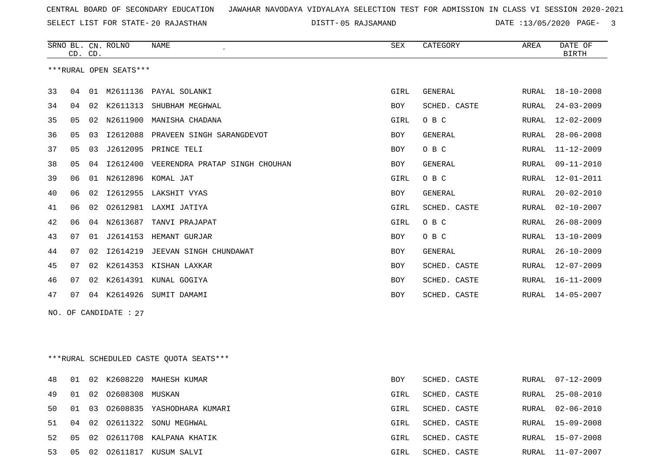SELECT LIST FOR STATE- DISTT- 20 RAJASTHAN

|    | CD. CD. |    | SRNO BL. CN. ROLNO      | <b>NAME</b><br>$\epsilon$               | ${\tt SEX}$ | CATEGORY     | AREA          | DATE OF<br><b>BIRTH</b> |
|----|---------|----|-------------------------|-----------------------------------------|-------------|--------------|---------------|-------------------------|
|    |         |    | ***RURAL OPEN SEATS***  |                                         |             |              |               |                         |
| 33 | 04      |    |                         | 01 M2611136 PAYAL SOLANKI               | GIRL        | GENERAL      | RURAL         | $18 - 10 - 2008$        |
| 34 | 04      | 02 | K2611313                | SHUBHAM MEGHWAL                         | <b>BOY</b>  | SCHED. CASTE | RURAL         | $24 - 03 - 2009$        |
| 35 | 05      |    |                         | 02 N2611900 MANISHA CHADANA             | GIRL        | O B C        | RURAL         | $12 - 02 - 2009$        |
| 36 | 05      | 03 | I2612088                | PRAVEEN SINGH SARANGDEVOT               | <b>BOY</b>  | GENERAL      | ${\tt RURAL}$ | $28 - 06 - 2008$        |
| 37 | 05      | 03 |                         | J2612095 PRINCE TELI                    | <b>BOY</b>  | O B C        | <b>RURAL</b>  | $11 - 12 - 2009$        |
| 38 | 05      | 04 |                         | 12612400 VEERENDRA PRATAP SINGH CHOUHAN | BOY         | GENERAL      | RURAL         | $09 - 11 - 2010$        |
| 39 | 06      |    |                         | 01 N2612896 KOMAL JAT                   | GIRL        | O B C        | RURAL         | $12 - 01 - 2011$        |
| 40 | 06      | 02 |                         | I2612955 LAKSHIT VYAS                   | BOY         | GENERAL      | <b>RURAL</b>  | $20 - 02 - 2010$        |
| 41 | 06      | 02 |                         | 02612981 LAXMI JATIYA                   | GIRL        | SCHED. CASTE | RURAL         | $02 - 10 - 2007$        |
| 42 | 06      |    | 04 N2613687             | TANVI PRAJAPAT                          | GIRL        | O B C        | RURAL         | $26 - 08 - 2009$        |
| 43 | 07      | 01 |                         | J2614153 HEMANT GURJAR                  | <b>BOY</b>  | O B C        | <b>RURAL</b>  | $13 - 10 - 2009$        |
| 44 | 07      | 02 |                         | 12614219 JEEVAN SINGH CHUNDAWAT         | <b>BOY</b>  | GENERAL      | RURAL         | $26 - 10 - 2009$        |
| 45 | 07      | 02 |                         | K2614353 KISHAN LAXKAR                  | <b>BOY</b>  | SCHED. CASTE | <b>RURAL</b>  | $12 - 07 - 2009$        |
| 46 | 07      | 02 |                         | K2614391 KUNAL GOGIYA                   | <b>BOY</b>  | SCHED. CASTE | RURAL         | $16 - 11 - 2009$        |
| 47 | 07      |    |                         | 04 K2614926 SUMIT DAMAMI                | BOY         | SCHED. CASTE | RURAL         | $14 - 05 - 2007$        |
|    |         |    | NO. OF CANDIDATE : $27$ |                                         |             |              |               |                         |
|    |         |    |                         |                                         |             |              |               |                         |
|    |         |    |                         |                                         |             |              |               |                         |
|    |         |    |                         | ***RURAL SCHEDULED CASTE QUOTA SEATS*** |             |              |               |                         |

| 48 01 |    |                          | 02 K2608220 MAHESH KUMAR            | <b>BOY</b> | SCHED. CASTE | RURAL 07-12-2009 |
|-------|----|--------------------------|-------------------------------------|------------|--------------|------------------|
|       |    | 49 01 02 02608308 MUSKAN |                                     | GIRL       | SCHED. CASTE | RURAL 25-08-2010 |
|       |    |                          | 50 01 03 02608835 YASHODHARA KUMARI | GIRL       | SCHED. CASTE | RURAL 02-06-2010 |
|       |    |                          | 51 04 02 02611322 SONU MEGHWAL      | GIRL       | SCHED. CASTE | RURAL 15-09-2008 |
| 52.   |    |                          | 05 02 02611708 KALPANA KHATIK       | GIRL       | SCHED. CASTE | RURAL 15-07-2008 |
| 53    | 05 |                          | 02 02611817 KUSUM SALVI             | GIRL       | SCHED. CASTE | RURAL 11-07-2007 |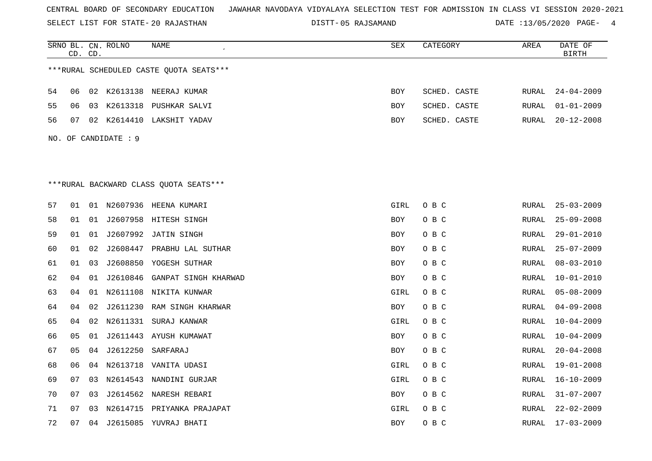SELECT LIST FOR STATE- DISTT- 20 RAJASTHAN

|    |    | CD. CD. | SRNO BL. CN. ROLNO   | NAME                                    | <b>SEX</b>  | CATEGORY     | AREA  | DATE OF<br><b>BIRTH</b> |
|----|----|---------|----------------------|-----------------------------------------|-------------|--------------|-------|-------------------------|
|    |    |         |                      | ***RURAL SCHEDULED CASTE QUOTA SEATS*** |             |              |       |                         |
| 54 | 06 |         |                      | 02 K2613138 NEERAJ KUMAR                | <b>BOY</b>  | SCHED. CASTE | RURAL | $24 - 04 - 2009$        |
| 55 | 06 | 03      |                      | K2613318 PUSHKAR SALVI                  | <b>BOY</b>  | SCHED. CASTE | RURAL | $01 - 01 - 2009$        |
| 56 | 07 | 02      |                      | K2614410 LAKSHIT YADAV                  | BOY         | SCHED. CASTE | RURAL | $20 - 12 - 2008$        |
|    |    |         | NO. OF CANDIDATE : 9 |                                         |             |              |       |                         |
|    |    |         |                      |                                         |             |              |       |                         |
|    |    |         |                      |                                         |             |              |       |                         |
|    |    |         |                      | ***RURAL BACKWARD CLASS QUOTA SEATS***  |             |              |       |                         |
|    |    |         |                      |                                         |             |              |       |                         |
| 57 | 01 |         |                      | 01 N2607936 HEENA KUMARI                | GIRL        | O B C        | RURAL | $25 - 03 - 2009$        |
| 58 | 01 | 01      |                      | J2607958 HITESH SINGH                   | BOY         | O B C        | RURAL | $25 - 09 - 2008$        |
| 59 | 01 | 01      | J2607992             | JATIN SINGH                             | BOY         | O B C        | RURAL | $29 - 01 - 2010$        |
| 60 | 01 | 02      | J2608447             | PRABHU LAL SUTHAR                       | BOY         | O B C        | RURAL | $25 - 07 - 2009$        |
| 61 | 01 | 03      |                      | J2608850 YOGESH SUTHAR                  | <b>BOY</b>  | O B C        | RURAL | $08 - 03 - 2010$        |
| 62 | 04 | 01      | J2610846             | GANPAT SINGH KHARWAD                    | <b>BOY</b>  | O B C        | RURAL | $10 - 01 - 2010$        |
| 63 | 04 | 01      |                      | N2611108 NIKITA KUNWAR                  | GIRL        | O B C        | RURAL | $05 - 08 - 2009$        |
| 64 | 04 | 02      | J2611230             | RAM SINGH KHARWAR                       | BOY         | O B C        | RURAL | $04 - 09 - 2008$        |
| 65 | 04 | 02      |                      | N2611331 SURAJ KANWAR                   | <b>GIRL</b> | O B C        | RURAL | $10 - 04 - 2009$        |
| 66 | 05 | 01      |                      | J2611443 AYUSH KUMAWAT                  | BOY         | O B C        | RURAL | $10 - 04 - 2009$        |
| 67 | 05 | 04      | J2612250             | SARFARAJ                                | BOY         | O B C        | RURAL | $20 - 04 - 2008$        |
| 68 | 06 |         |                      | 04 N2613718 VANITA UDASI                | GIRL        | O B C        | RURAL | $19 - 01 - 2008$        |
| 69 | 07 | 03      | N2614543             | NANDINI GURJAR                          | GIRL        | O B C        | RURAL | $16 - 10 - 2009$        |
| 70 | 07 | 03      |                      | J2614562 NARESH REBARI                  | BOY         | O B C        | RURAL | $31 - 07 - 2007$        |
| 71 | 07 | 03      |                      | N2614715 PRIYANKA PRAJAPAT              | GIRL        | O B C        | RURAL | $22 - 02 - 2009$        |
| 72 | 07 | 04      |                      | J2615085 YUVRAJ BHATI                   | <b>BOY</b>  | O B C        | RURAL | $17 - 03 - 2009$        |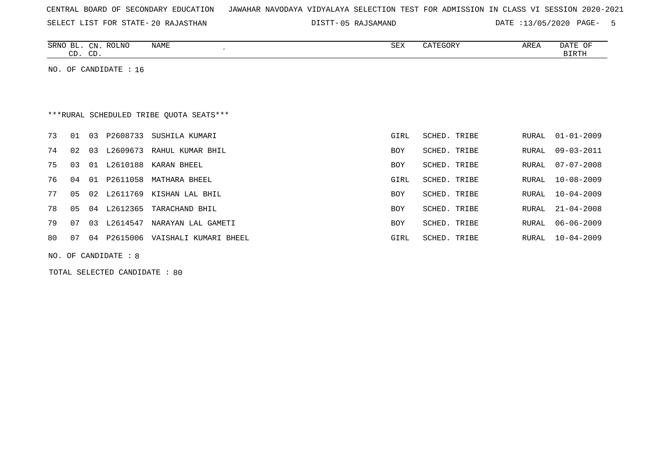|  |  |  | CENTRAL BOARD OF SECONDARY EDUCATION – JAWAHAR NAVODAYA VIDYALAYA SELECTION TEST FOR ADMISSION IN CLASS VI SESSION 2020-2021 |  |  |  |  |  |  |  |  |  |  |  |  |  |  |  |
|--|--|--|------------------------------------------------------------------------------------------------------------------------------|--|--|--|--|--|--|--|--|--|--|--|--|--|--|--|
|--|--|--|------------------------------------------------------------------------------------------------------------------------------|--|--|--|--|--|--|--|--|--|--|--|--|--|--|--|

05 RAJSAMAND DATE :13/05/2020 PAGE- 5

| SRNO<br>--   | CΝ           | <b>ROLNO</b> | <b>NAME</b> | CFV<br>ついひ | $ -$<br>$\prime$<br>$\cdot$ $-$<br>. | AREA | ᇅᅐᇚ<br>۱н<br>DA 11 |
|--------------|--------------|--------------|-------------|------------|--------------------------------------|------|--------------------|
| $\sim$<br>ىب | $\cap$<br>ىب |              |             |            |                                      |      | . ب<br>₽∓₩∓        |

NO. OF CANDIDATE : 16

# \*\*\*RURAL SCHEDULED TRIBE QUOTA SEATS\*\*\*

| 73 | 01 | 03 | P2608733 | SUSHILA KUMARI        | GIRL       | SCHED. TRIBE |       | RURAL 01-01-2009 |
|----|----|----|----------|-----------------------|------------|--------------|-------|------------------|
| 74 | 02 | 03 | L2609673 | RAHUL KUMAR BHIL      | <b>BOY</b> | SCHED. TRIBE | RURAL | 09-03-2011       |
| 75 | 03 | 01 | L2610188 | KARAN BHEEL           | <b>BOY</b> | SCHED. TRIBE | RURAL | 07-07-2008       |
| 76 | 04 | 01 | P2611058 | MATHARA BHEEL         | GIRL       | SCHED. TRIBE | RURAL | 10-08-2009       |
| 77 | 05 | 02 | L2611769 | KISHAN LAL BHIL       | BOY        | SCHED. TRIBE | RURAL | $10 - 04 - 2009$ |
| 78 | 05 | 04 | L2612365 | TARACHAND BHIL        | <b>BOY</b> | SCHED. TRIBE | RURAL | $21 - 04 - 2008$ |
| 79 | 07 | 03 | L2614547 | NARAYAN LAL GAMETI    | <b>BOY</b> | SCHED. TRIBE |       | RURAL 06-06-2009 |
| 80 | 07 | 04 | P2615006 | VAISHALI KUMARI BHEEL | GIRL       | SCHED. TRIBE | RURAL | 10-04-2009       |
|    |    |    |          |                       |            |              |       |                  |

NO. OF CANDIDATE : 8

TOTAL SELECTED CANDIDATE : 80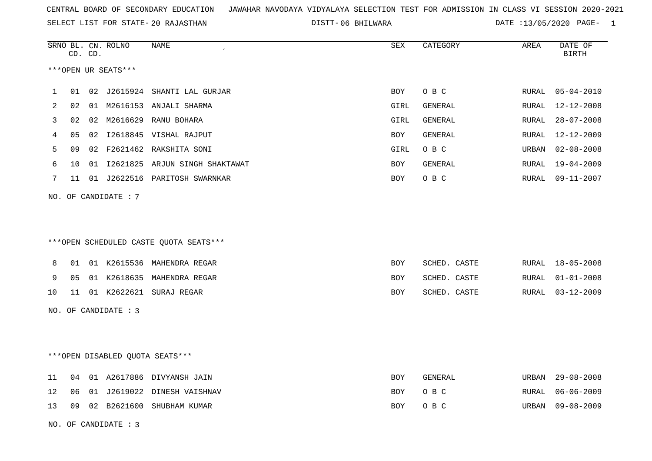SELECT LIST FOR STATE- DISTT- 20 RAJASTHAN

06 BHILWARA DATE :13/05/2020 PAGE- 1

|    |    | CD. CD. | SRNO BL. CN. ROLNO   | <b>NAME</b>                            | SEX        | CATEGORY     | AREA         | DATE OF<br><b>BIRTH</b> |
|----|----|---------|----------------------|----------------------------------------|------------|--------------|--------------|-------------------------|
|    |    |         | ***OPEN UR SEATS***  |                                        |            |              |              |                         |
| 1  | 01 |         |                      | 02 J2615924 SHANTI LAL GURJAR          | <b>BOY</b> | O B C        | RURAL        | $05 - 04 - 2010$        |
| 2  | 02 |         |                      | 01 M2616153 ANJALI SHARMA              | GIRL       | GENERAL      | RURAL        | 12-12-2008              |
| 3  | 02 |         |                      | 02 M2616629 RANU BOHARA                | GIRL       | GENERAL      | RURAL        | $28 - 07 - 2008$        |
| 4  | 05 |         |                      | 02 I2618845 VISHAL RAJPUT              | BOY        | GENERAL      | RURAL        | $12 - 12 - 2009$        |
| 5  | 09 |         |                      | 02 F2621462 RAKSHITA SONI              | GIRL       | O B C        | URBAN        | $02 - 08 - 2008$        |
| 6  | 10 |         |                      | 01 I2621825 ARJUN SINGH SHAKTAWAT      | <b>BOY</b> | GENERAL      | RURAL        | $19 - 04 - 2009$        |
| 7  | 11 |         |                      | 01 J2622516 PARITOSH SWARNKAR          | BOY        | O B C        | RURAL        | $09 - 11 - 2007$        |
|    |    |         |                      |                                        |            |              |              |                         |
|    |    |         | NO. OF CANDIDATE: 7  |                                        |            |              |              |                         |
|    |    |         |                      |                                        |            |              |              |                         |
|    |    |         |                      |                                        |            |              |              |                         |
|    |    |         |                      | ***OPEN SCHEDULED CASTE QUOTA SEATS*** |            |              |              |                         |
| 8  | 01 |         |                      | 01 K2615536 MAHENDRA REGAR             | BOY        | SCHED. CASTE | RURAL        | $18 - 05 - 2008$        |
| 9  | 05 |         |                      | 01 K2618635 MAHENDRA REGAR             | BOY        | SCHED. CASTE | RURAL        | $01 - 01 - 2008$        |
| 10 | 11 |         |                      | 01 K2622621 SURAJ REGAR                | <b>BOY</b> | SCHED. CASTE | RURAL        | $03 - 12 - 2009$        |
|    |    |         |                      |                                        |            |              |              |                         |
|    |    |         | NO. OF CANDIDATE : 3 |                                        |            |              |              |                         |
|    |    |         |                      |                                        |            |              |              |                         |
|    |    |         |                      |                                        |            |              |              |                         |
|    |    |         |                      | ***OPEN DISABLED QUOTA SEATS***        |            |              |              |                         |
| 11 | 04 |         |                      | 01 A2617886 DIVYANSH JAIN              | <b>BOY</b> | GENERAL      | URBAN        | $29 - 08 - 2008$        |
| 12 | 06 |         |                      | 01 J2619022 DINESH VAISHNAV            | BOY        | O B C        | <b>RURAL</b> | $06 - 06 - 2009$        |
| 13 |    |         |                      | 09 02 B2621600 SHUBHAM KUMAR           | BOY        | O B C        | URBAN        | $09 - 08 - 2009$        |
|    |    |         | NO. OF CANDIDATE : 3 |                                        |            |              |              |                         |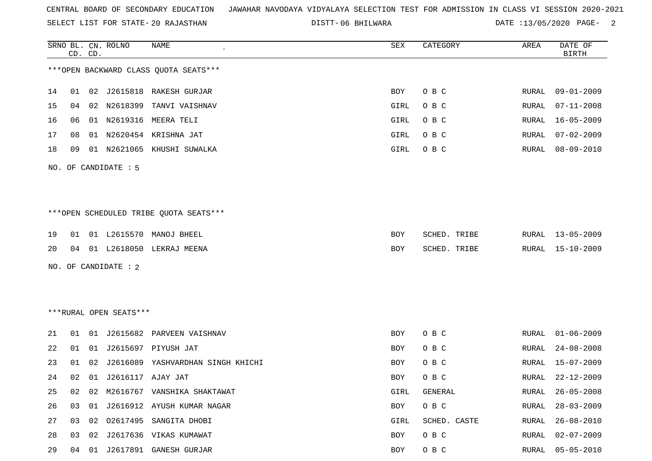SELECT LIST FOR STATE- DISTT- 20 RAJASTHAN

06 BHILWARA DATE :13/05/2020 PAGE- 2

|    |    | CD. CD. | SRNO BL. CN. ROLNO     | <b>NAME</b>                            | SEX  | CATEGORY     | AREA  | DATE OF<br><b>BIRTH</b> |
|----|----|---------|------------------------|----------------------------------------|------|--------------|-------|-------------------------|
|    |    |         |                        | *** OPEN BACKWARD CLASS QUOTA SEATS*** |      |              |       |                         |
| 14 | 01 |         |                        | 02 J2615818 RAKESH GURJAR              | BOY  | O B C        | RURAL | $09 - 01 - 2009$        |
| 15 | 04 |         | 02 N2618399            | TANVI VAISHNAV                         | GIRL | O B C        | RURAL | $07 - 11 - 2008$        |
| 16 | 06 |         |                        | 01 N2619316 MEERA TELI                 | GIRL | O B C        | RURAL | $16 - 05 - 2009$        |
| 17 | 08 |         |                        | 01 N2620454 KRISHNA JAT                | GIRL | O B C        | RURAL | $07 - 02 - 2009$        |
| 18 | 09 |         |                        | 01 N2621065 KHUSHI SUWALKA             | GIRL | O B C        | RURAL | $08 - 09 - 2010$        |
|    |    |         | NO. OF CANDIDATE : 5   |                                        |      |              |       |                         |
|    |    |         |                        | ***OPEN SCHEDULED TRIBE QUOTA SEATS*** |      |              |       |                         |
| 19 | 01 |         |                        | 01 L2615570 MANOJ BHEEL                | BOY  | SCHED. TRIBE | RURAL | $13 - 05 - 2009$        |
| 20 | 04 |         |                        | 01 L2618050 LEKRAJ MEENA               | BOY  | SCHED. TRIBE | RURAL | $15 - 10 - 2009$        |
|    |    |         | NO. OF CANDIDATE : 2   |                                        |      |              |       |                         |
|    |    |         | ***RURAL OPEN SEATS*** |                                        |      |              |       |                         |
|    |    |         |                        |                                        |      |              |       |                         |
| 21 | 01 |         |                        | 01 J2615682 PARVEEN VAISHNAV           | BOY  | O B C        | RURAL | $01 - 06 - 2009$        |
| 22 | 01 |         |                        | 01 J2615697 PIYUSH JAT                 | BOY  | O B C        | RURAL | $24 - 08 - 2008$        |
| 23 | 01 | 02      |                        | J2616089 YASHVARDHAN SINGH KHICHI      | BOY  | O B C        | RURAL | $15 - 07 - 2009$        |
| 24 | 02 |         | 01 J2616117 AJAY JAT   |                                        | BOY  | O B C        | RURAL | $22 - 12 - 2009$        |
| 25 | 02 |         |                        | 02 M2616767 VANSHIKA SHAKTAWAT         | GIRL | GENERAL      | RURAL | $26 - 05 - 2008$        |
| 26 | 03 |         |                        | 01 J2616912 AYUSH KUMAR NAGAR          | BOY  | O B C        | RURAL | $28 - 03 - 2009$        |
| 27 | 03 |         |                        | 02 02617495 SANGITA DHOBI              | GIRL | SCHED. CASTE | RURAL | $26 - 08 - 2010$        |
| 28 | 03 |         |                        | 02 J2617636 VIKAS KUMAWAT              | BOY  | O B C        | RURAL | $02 - 07 - 2009$        |
| 29 |    |         |                        | 04 01 J2617891 GANESH GURJAR           | BOY  | O B C        | RURAL | $05 - 05 - 2010$        |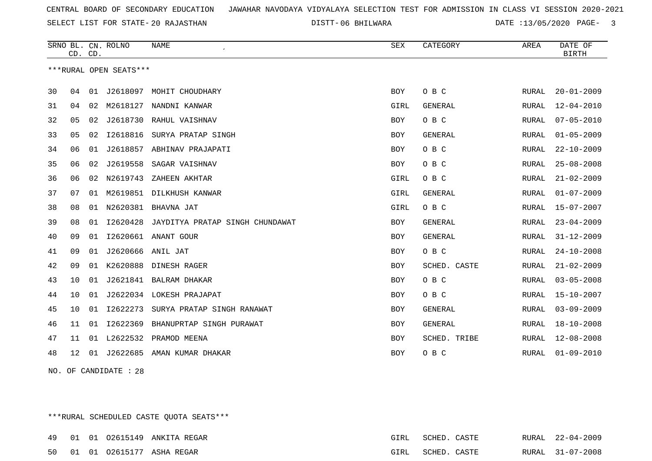SELECT LIST FOR STATE- DISTT- 20 RAJASTHAN

06 BHILWARA DATE :13/05/2020 PAGE- 3

|    | CD. CD. |    | SRNO BL. CN. ROLNO     | <b>NAME</b>                     | <b>SEX</b>  | CATEGORY       | AREA         | DATE OF<br><b>BIRTH</b> |
|----|---------|----|------------------------|---------------------------------|-------------|----------------|--------------|-------------------------|
|    |         |    | ***RURAL OPEN SEATS*** |                                 |             |                |              |                         |
| 30 | 04      | 01 |                        | J2618097 MOHIT CHOUDHARY        | <b>BOY</b>  | O B C          | RURAL        | $20 - 01 - 2009$        |
| 31 | 04      | 02 | M2618127               | NANDNI KANWAR                   | <b>GIRL</b> | <b>GENERAL</b> | RURAL        | $12 - 04 - 2010$        |
| 32 | 05      | 02 | J2618730               | RAHUL VAISHNAV                  | <b>BOY</b>  | O B C          | RURAL        | $07 - 05 - 2010$        |
| 33 | 05      | 02 | I2618816               | SURYA PRATAP SINGH              | <b>BOY</b>  | <b>GENERAL</b> | <b>RURAL</b> | $01 - 05 - 2009$        |
| 34 | 06      | 01 |                        | J2618857 ABHINAV PRAJAPATI      | <b>BOY</b>  | O B C          | RURAL        | $22 - 10 - 2009$        |
| 35 | 06      | 02 | J2619558               | SAGAR VAISHNAV                  | <b>BOY</b>  | O B C          | RURAL        | $25 - 08 - 2008$        |
| 36 | 06      | 02 | N2619743               | ZAHEEN AKHTAR                   | GIRL        | O B C          | RURAL        | $21 - 02 - 2009$        |
| 37 | 07      | 01 | M2619851               | DILKHUSH KANWAR                 | <b>GIRL</b> | <b>GENERAL</b> | RURAL        | $01 - 07 - 2009$        |
| 38 | 08      | 01 |                        | N2620381 BHAVNA JAT             | GIRL        | O B C          | RURAL        | $15 - 07 - 2007$        |
| 39 | 08      | 01 | I2620428               | JAYDITYA PRATAP SINGH CHUNDAWAT | <b>BOY</b>  | <b>GENERAL</b> | <b>RURAL</b> | $23 - 04 - 2009$        |
| 40 | 09      | 01 |                        | I2620661 ANANT GOUR             | <b>BOY</b>  | <b>GENERAL</b> | RURAL        | $31 - 12 - 2009$        |
| 41 | 09      | 01 |                        | J2620666 ANIL JAT               | <b>BOY</b>  | O B C          | RURAL        | $24 - 10 - 2008$        |
| 42 | 09      | 01 | K2620888               | DINESH RAGER                    | <b>BOY</b>  | SCHED. CASTE   | RURAL        | $21 - 02 - 2009$        |
| 43 | 10      | 01 | J2621841               | BALRAM DHAKAR                   | <b>BOY</b>  | O B C          | <b>RURAL</b> | $03 - 05 - 2008$        |
| 44 | 10      | 01 |                        | J2622034 LOKESH PRAJAPAT        | <b>BOY</b>  | O B C          | RURAL        | $15 - 10 - 2007$        |
| 45 | 10      | 01 | I2622273               | SURYA PRATAP SINGH RANAWAT      | <b>BOY</b>  | <b>GENERAL</b> | <b>RURAL</b> | $03 - 09 - 2009$        |
| 46 | 11      | 01 | I2622369               | BHANUPRTAP SINGH PURAWAT        | <b>BOY</b>  | GENERAL        | RURAL        | $18 - 10 - 2008$        |
| 47 | 11      | 01 |                        | L2622532 PRAMOD MEENA           | <b>BOY</b>  | SCHED. TRIBE   | RURAL        | $12 - 08 - 2008$        |
| 48 | 12      | 01 |                        | J2622685 AMAN KUMAR DHAKAR      | <b>BOY</b>  | O B C          | RURAL        | $01 - 09 - 2010$        |

NO. OF CANDIDATE : 28

\*\*\*RURAL SCHEDULED CASTE QUOTA SEATS\*\*\*

|  |  | 49 01 01 02615149 ANKITA REGAR | GIRL SCHED. CASTE |  | RURAL 22-04-2009 |
|--|--|--------------------------------|-------------------|--|------------------|
|  |  | 50 01 01 02615177 ASHA REGAR   | GIRL SCHED. CASTE |  | RURAL 31-07-2008 |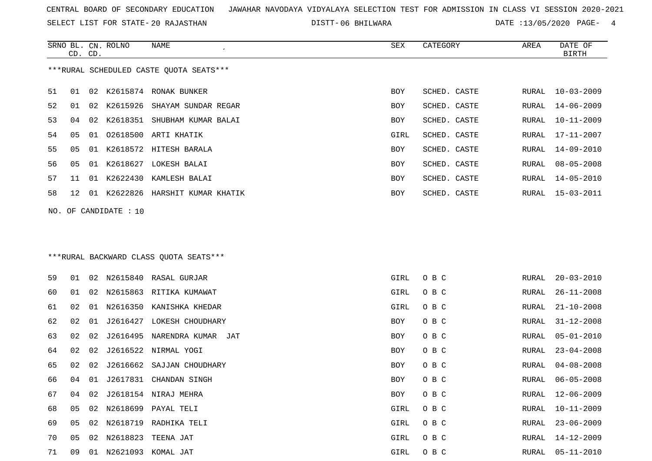SELECT LIST FOR STATE- DISTT- 20 RAJASTHAN

SRNO BL. CN.

ROLNO NAME SEX CATEGORY AREA DATE OF

06 BHILWARA DATE :13/05/2020 PAGE- 4

| ***RURAL SCHEDULED CASTE QUOTA SEATS***<br>51<br>K2615874 RONAK BUNKER<br>01<br>02<br>BOY<br>SCHED. CASTE<br>RURAL<br>52<br>K2615926<br>01<br>02<br>SHAYAM SUNDAR REGAR<br>SCHED. CASTE<br>BOY<br>RURAL<br>53<br>02<br>K2618351 SHUBHAM KUMAR BALAI<br>SCHED. CASTE<br>04<br>BOY<br>RURAL<br>54<br>02618500 ARTI KHATIK<br>05<br>GIRL<br>SCHED. CASTE<br>01<br>RURAL<br>55<br>05<br>01 K2618572 HITESH BARALA<br>BOY<br>SCHED. CASTE<br>RURAL<br>56<br>K2618627<br>05<br>01<br>LOKESH BALAI<br>BOY<br>SCHED. CASTE<br>RURAL<br>K2622430<br>57<br>01<br>KAMLESH BALAI<br>BOY<br>SCHED. CASTE<br>11<br>RURAL<br>58<br>01 K2622826 HARSHIT KUMAR KHATIK<br>SCHED. CASTE<br>BOY<br>12<br>RURAL<br>NO. OF CANDIDATE : 10<br>*** RURAL BACKWARD CLASS QUOTA SEATS***<br>59<br>N2615840 RASAL GURJAR<br>O B C<br>01<br>02<br>GIRL<br>RURAL<br>60<br>N2615863<br>01<br>02<br>RITIKA KUMAWAT<br>GIRL<br>O B C<br>RURAL<br>61<br>N2616350 KANISHKA KHEDAR<br>O B C<br>02<br>01<br>GIRL<br>RURAL<br>62<br>02<br>01<br>J2616427<br>LOKESH CHOUDHARY<br>BOY<br>O B C<br>RURAL<br>63<br>J2616495<br>O B C<br>02<br>02<br>NARENDRA KUMAR JAT<br>BOY<br>RURAL<br>64<br>J2616522<br>02<br>02<br>NIRMAL YOGI<br>O B C<br>BOY<br>RURAL<br>65<br>J2616662<br>O B C<br>02<br>02<br>SAJJAN CHOUDHARY<br>BOY<br>RURAL<br>66<br>04<br>01<br>J2617831<br>CHANDAN SINGH<br>O B C<br>${\tt RURAL}$<br>BOY<br>67<br>04<br>02 J2618154 NIRAJ MEHRA<br>BOY<br>O B C<br>RURAL<br>68<br>05 02 N2618699 PAYAL TELI<br>GIRL<br>O B C<br>RURAL<br>69<br>02 N2618719 RADHIKA TELI<br>05<br>GIRL<br>O B C<br>RURAL | CD. CD. |  |  |  | <b>BIRTH</b>     |
|-------------------------------------------------------------------------------------------------------------------------------------------------------------------------------------------------------------------------------------------------------------------------------------------------------------------------------------------------------------------------------------------------------------------------------------------------------------------------------------------------------------------------------------------------------------------------------------------------------------------------------------------------------------------------------------------------------------------------------------------------------------------------------------------------------------------------------------------------------------------------------------------------------------------------------------------------------------------------------------------------------------------------------------------------------------------------------------------------------------------------------------------------------------------------------------------------------------------------------------------------------------------------------------------------------------------------------------------------------------------------------------------------------------------------------------------------------------------------------------------------------------------------------------------------------------------------------|---------|--|--|--|------------------|
|                                                                                                                                                                                                                                                                                                                                                                                                                                                                                                                                                                                                                                                                                                                                                                                                                                                                                                                                                                                                                                                                                                                                                                                                                                                                                                                                                                                                                                                                                                                                                                               |         |  |  |  |                  |
|                                                                                                                                                                                                                                                                                                                                                                                                                                                                                                                                                                                                                                                                                                                                                                                                                                                                                                                                                                                                                                                                                                                                                                                                                                                                                                                                                                                                                                                                                                                                                                               |         |  |  |  | $10 - 03 - 2009$ |
|                                                                                                                                                                                                                                                                                                                                                                                                                                                                                                                                                                                                                                                                                                                                                                                                                                                                                                                                                                                                                                                                                                                                                                                                                                                                                                                                                                                                                                                                                                                                                                               |         |  |  |  | 14-06-2009       |
|                                                                                                                                                                                                                                                                                                                                                                                                                                                                                                                                                                                                                                                                                                                                                                                                                                                                                                                                                                                                                                                                                                                                                                                                                                                                                                                                                                                                                                                                                                                                                                               |         |  |  |  | $10 - 11 - 2009$ |
|                                                                                                                                                                                                                                                                                                                                                                                                                                                                                                                                                                                                                                                                                                                                                                                                                                                                                                                                                                                                                                                                                                                                                                                                                                                                                                                                                                                                                                                                                                                                                                               |         |  |  |  | 17-11-2007       |
|                                                                                                                                                                                                                                                                                                                                                                                                                                                                                                                                                                                                                                                                                                                                                                                                                                                                                                                                                                                                                                                                                                                                                                                                                                                                                                                                                                                                                                                                                                                                                                               |         |  |  |  | 14-09-2010       |
|                                                                                                                                                                                                                                                                                                                                                                                                                                                                                                                                                                                                                                                                                                                                                                                                                                                                                                                                                                                                                                                                                                                                                                                                                                                                                                                                                                                                                                                                                                                                                                               |         |  |  |  | $08 - 05 - 2008$ |
|                                                                                                                                                                                                                                                                                                                                                                                                                                                                                                                                                                                                                                                                                                                                                                                                                                                                                                                                                                                                                                                                                                                                                                                                                                                                                                                                                                                                                                                                                                                                                                               |         |  |  |  | 14-05-2010       |
|                                                                                                                                                                                                                                                                                                                                                                                                                                                                                                                                                                                                                                                                                                                                                                                                                                                                                                                                                                                                                                                                                                                                                                                                                                                                                                                                                                                                                                                                                                                                                                               |         |  |  |  | $15 - 03 - 2011$ |
|                                                                                                                                                                                                                                                                                                                                                                                                                                                                                                                                                                                                                                                                                                                                                                                                                                                                                                                                                                                                                                                                                                                                                                                                                                                                                                                                                                                                                                                                                                                                                                               |         |  |  |  |                  |
|                                                                                                                                                                                                                                                                                                                                                                                                                                                                                                                                                                                                                                                                                                                                                                                                                                                                                                                                                                                                                                                                                                                                                                                                                                                                                                                                                                                                                                                                                                                                                                               |         |  |  |  |                  |
|                                                                                                                                                                                                                                                                                                                                                                                                                                                                                                                                                                                                                                                                                                                                                                                                                                                                                                                                                                                                                                                                                                                                                                                                                                                                                                                                                                                                                                                                                                                                                                               |         |  |  |  | $20 - 03 - 2010$ |
|                                                                                                                                                                                                                                                                                                                                                                                                                                                                                                                                                                                                                                                                                                                                                                                                                                                                                                                                                                                                                                                                                                                                                                                                                                                                                                                                                                                                                                                                                                                                                                               |         |  |  |  | $26 - 11 - 2008$ |
|                                                                                                                                                                                                                                                                                                                                                                                                                                                                                                                                                                                                                                                                                                                                                                                                                                                                                                                                                                                                                                                                                                                                                                                                                                                                                                                                                                                                                                                                                                                                                                               |         |  |  |  | $21 - 10 - 2008$ |
|                                                                                                                                                                                                                                                                                                                                                                                                                                                                                                                                                                                                                                                                                                                                                                                                                                                                                                                                                                                                                                                                                                                                                                                                                                                                                                                                                                                                                                                                                                                                                                               |         |  |  |  | $31 - 12 - 2008$ |
|                                                                                                                                                                                                                                                                                                                                                                                                                                                                                                                                                                                                                                                                                                                                                                                                                                                                                                                                                                                                                                                                                                                                                                                                                                                                                                                                                                                                                                                                                                                                                                               |         |  |  |  | $05 - 01 - 2010$ |
|                                                                                                                                                                                                                                                                                                                                                                                                                                                                                                                                                                                                                                                                                                                                                                                                                                                                                                                                                                                                                                                                                                                                                                                                                                                                                                                                                                                                                                                                                                                                                                               |         |  |  |  | $23 - 04 - 2008$ |
|                                                                                                                                                                                                                                                                                                                                                                                                                                                                                                                                                                                                                                                                                                                                                                                                                                                                                                                                                                                                                                                                                                                                                                                                                                                                                                                                                                                                                                                                                                                                                                               |         |  |  |  | $04 - 08 - 2008$ |
|                                                                                                                                                                                                                                                                                                                                                                                                                                                                                                                                                                                                                                                                                                                                                                                                                                                                                                                                                                                                                                                                                                                                                                                                                                                                                                                                                                                                                                                                                                                                                                               |         |  |  |  | $06 - 05 - 2008$ |
|                                                                                                                                                                                                                                                                                                                                                                                                                                                                                                                                                                                                                                                                                                                                                                                                                                                                                                                                                                                                                                                                                                                                                                                                                                                                                                                                                                                                                                                                                                                                                                               |         |  |  |  | $12 - 06 - 2009$ |
|                                                                                                                                                                                                                                                                                                                                                                                                                                                                                                                                                                                                                                                                                                                                                                                                                                                                                                                                                                                                                                                                                                                                                                                                                                                                                                                                                                                                                                                                                                                                                                               |         |  |  |  | $10 - 11 - 2009$ |
|                                                                                                                                                                                                                                                                                                                                                                                                                                                                                                                                                                                                                                                                                                                                                                                                                                                                                                                                                                                                                                                                                                                                                                                                                                                                                                                                                                                                                                                                                                                                                                               |         |  |  |  | $23 - 06 - 2009$ |
| 70<br>N2618823<br>GIRL<br>O B C<br>05<br>02<br>TEENA JAT<br>RURAL                                                                                                                                                                                                                                                                                                                                                                                                                                                                                                                                                                                                                                                                                                                                                                                                                                                                                                                                                                                                                                                                                                                                                                                                                                                                                                                                                                                                                                                                                                             |         |  |  |  | $14 - 12 - 2009$ |
| 71<br>01 N2621093 KOMAL JAT<br>O B C<br>09<br>GIRL<br>RURAL                                                                                                                                                                                                                                                                                                                                                                                                                                                                                                                                                                                                                                                                                                                                                                                                                                                                                                                                                                                                                                                                                                                                                                                                                                                                                                                                                                                                                                                                                                                   |         |  |  |  | $05 - 11 - 2010$ |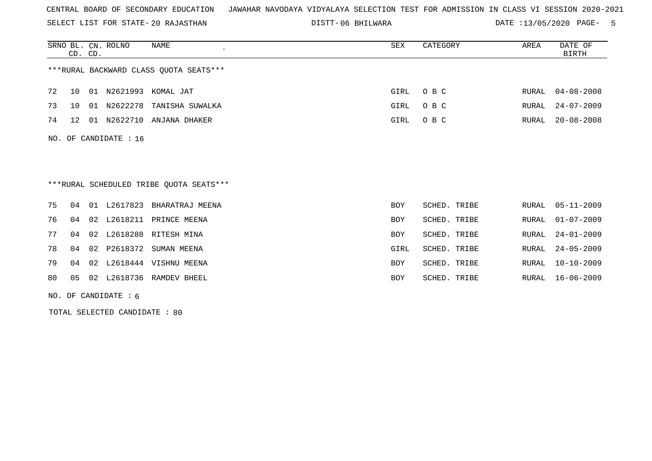SELECT LIST FOR STATE- DISTT- 20 RAJASTHAN

06 BHILWARA DATE :13/05/2020 PAGE- 5

|                                                                  |                                         | CD. CD. | SRNO BL. CN. ROLNO | NAME                  | SEX        | CATEGORY     | AREA         | DATE OF<br><b>BIRTH</b> |  |  |  |
|------------------------------------------------------------------|-----------------------------------------|---------|--------------------|-----------------------|------------|--------------|--------------|-------------------------|--|--|--|
|                                                                  | *** RURAL BACKWARD CLASS QUOTA SEATS*** |         |                    |                       |            |              |              |                         |  |  |  |
| 72                                                               | 10                                      |         |                    | 01 N2621993 KOMAL JAT | GIRL       | O B C        | RURAL        | $04 - 08 - 2008$        |  |  |  |
| 73                                                               | 10                                      |         | 01 N2622278        | TANISHA SUWALKA       | GIRL       | O B C        | RURAL        | $24 - 07 - 2009$        |  |  |  |
| 74                                                               | 12 <sup>°</sup>                         |         | 01 N2622710        | ANJANA DHAKER         | GIRL       | O B C        | <b>RURAL</b> | $20 - 08 - 2008$        |  |  |  |
| NO. OF CANDIDATE : 16<br>***RURAL SCHEDULED TRIBE QUOTA SEATS*** |                                         |         |                    |                       |            |              |              |                         |  |  |  |
| 75                                                               | 04                                      |         | 01 L2617823        | BHARATRAJ MEENA       | <b>BOY</b> | SCHED. TRIBE | RURAL        | $05 - 11 - 2009$        |  |  |  |
| 76                                                               | 04                                      | 02      | L2618211           | PRINCE MEENA          | <b>BOY</b> | SCHED. TRIBE | <b>RURAL</b> | $01 - 07 - 2009$        |  |  |  |
| 77                                                               | 04                                      | 02      | L2618288           | RITESH MINA           | <b>BOY</b> | SCHED. TRIBE | <b>RURAL</b> | $24 - 01 - 2009$        |  |  |  |
| 78                                                               | 04                                      | 02      | P2618372           | SUMAN MEENA           | GIRL       | SCHED. TRIBE | <b>RURAL</b> | $24 - 05 - 2009$        |  |  |  |
| 79                                                               | 04                                      | 02      |                    | L2618444 VISHNU MEENA | <b>BOY</b> | SCHED. TRIBE | RURAL        | $10 - 10 - 2009$        |  |  |  |
| 80                                                               | 05                                      | 02      |                    | L2618736 RAMDEV BHEEL | <b>BOY</b> | SCHED. TRIBE | RURAL        | $16 - 06 - 2009$        |  |  |  |
|                                                                  | NO. OF CANDIDATE $: 6$                  |         |                    |                       |            |              |              |                         |  |  |  |

TOTAL SELECTED CANDIDATE : 80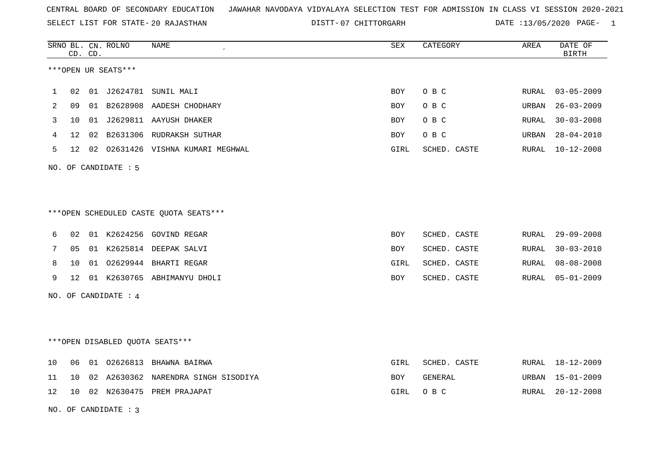SELECT LIST FOR STATE- DISTT- 20 RAJASTHAN

07 CHITTORGARH DATE :13/05/2020 PAGE- 1

|    |    | CD. CD. | SRNO BL. CN. ROLNO   | NAME                                   | SEX        | CATEGORY     | AREA  | DATE OF<br><b>BIRTH</b> |
|----|----|---------|----------------------|----------------------------------------|------------|--------------|-------|-------------------------|
|    |    |         | ***OPEN UR SEATS***  |                                        |            |              |       |                         |
| 1  | 02 |         |                      | 01 J2624781 SUNIL MALI                 | BOY        | O B C        | RURAL | $03 - 05 - 2009$        |
| 2  | 09 |         |                      | 01 B2628908 AADESH CHODHARY            | <b>BOY</b> | O B C        | URBAN | $26 - 03 - 2009$        |
| 3  | 10 |         |                      | 01 J2629811 AAYUSH DHAKER              | BOY        | O B C        | RURAL | $30 - 03 - 2008$        |
| 4  | 12 |         |                      | 02 B2631306 RUDRAKSH SUTHAR            | <b>BOY</b> | O B C        | URBAN | $28 - 04 - 2010$        |
| 5  | 12 |         |                      | 02 02631426 VISHNA KUMARI MEGHWAL      | GIRL       | SCHED. CASTE | RURAL | 10-12-2008              |
|    |    |         | NO. OF CANDIDATE : 5 |                                        |            |              |       |                         |
|    |    |         |                      |                                        |            |              |       |                         |
|    |    |         |                      | ***OPEN SCHEDULED CASTE QUOTA SEATS*** |            |              |       |                         |
| 6  | 02 |         |                      | 01 K2624256 GOVIND REGAR               | <b>BOY</b> | SCHED. CASTE | RURAL | $29 - 09 - 2008$        |
| 7  | 05 |         |                      | 01 K2625814 DEEPAK SALVI               | BOY        | SCHED. CASTE | RURAL | $30 - 03 - 2010$        |
| 8  | 10 |         |                      | 01 02629944 BHARTI REGAR               | GIRL       | SCHED. CASTE | RURAL | $08 - 08 - 2008$        |
| 9  | 12 |         |                      | 01 K2630765 ABHIMANYU DHOLI            | <b>BOY</b> | SCHED. CASTE | RURAL | $05 - 01 - 2009$        |
|    |    |         | NO. OF CANDIDATE : 4 |                                        |            |              |       |                         |
|    |    |         |                      |                                        |            |              |       |                         |
|    |    |         |                      | ***OPEN DISABLED QUOTA SEATS***        |            |              |       |                         |
| 10 | 06 |         |                      | 01 02626813 BHAWNA BAIRWA              | GIRL       | SCHED. CASTE |       | RURAL 18-12-2009        |
| 11 | 10 |         |                      | 02 A2630362 NARENDRA SINGH SISODIYA    | BOY        | GENERAL      | URBAN | $15 - 01 - 2009$        |
| 12 | 10 |         |                      | 02 N2630475 PREM PRAJAPAT              | GIRL       | O B C        | RURAL | $20 - 12 - 2008$        |
|    |    |         | NO. OF CANDIDATE: 3  |                                        |            |              |       |                         |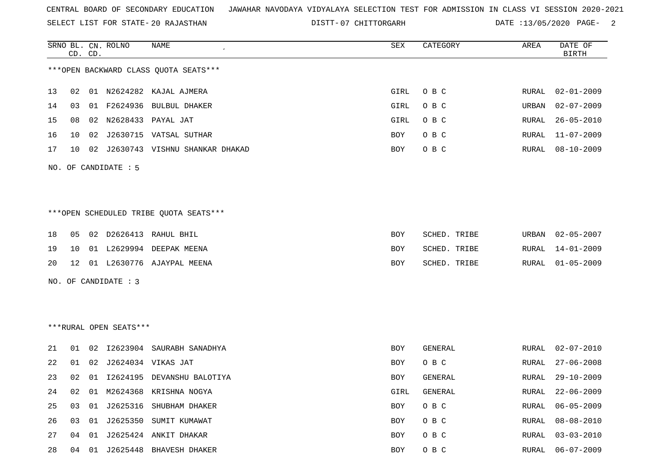SELECT LIST FOR STATE- DISTT- 20 RAJASTHAN

DISTT-07 CHITTORGARH DATE :13/05/2020 PAGE- 2

|    |    | CD. CD. | SRNO BL. CN. ROLNO     | <b>NAME</b>                            | SEX         | CATEGORY     | AREA         | DATE OF<br><b>BIRTH</b> |
|----|----|---------|------------------------|----------------------------------------|-------------|--------------|--------------|-------------------------|
|    |    |         |                        | *** OPEN BACKWARD CLASS QUOTA SEATS*** |             |              |              |                         |
| 13 | 02 |         |                        | 01 N2624282 KAJAL AJMERA               | GIRL        | O B C        | RURAL        | 02-01-2009              |
| 14 | 03 | 01      | F2624936               | <b>BULBUL DHAKER</b>                   | <b>GIRL</b> | O B C        | URBAN        | $02 - 07 - 2009$        |
| 15 | 08 | 02      | N2628433               | PAYAL JAT                              | GIRL        | O B C        | RURAL        | $26 - 05 - 2010$        |
| 16 | 10 | 02      |                        | J2630715 VATSAL SUTHAR                 | BOY         | O B C        | RURAL        | $11 - 07 - 2009$        |
| 17 | 10 | 02      |                        | J2630743 VISHNU SHANKAR DHAKAD         | BOY         | O B C        | RURAL        | $08 - 10 - 2009$        |
|    |    |         | NO. OF CANDIDATE : 5   |                                        |             |              |              |                         |
|    |    |         |                        |                                        |             |              |              |                         |
|    |    |         |                        | ***OPEN SCHEDULED TRIBE QUOTA SEATS*** |             |              |              |                         |
| 18 | 05 |         |                        | 02 D2626413 RAHUL BHIL                 | BOY         | SCHED. TRIBE | URBAN        | 02-05-2007              |
| 19 | 10 |         |                        | 01 L2629994 DEEPAK MEENA               | BOY         | SCHED. TRIBE | RURAL        | 14-01-2009              |
| 20 | 12 |         |                        | 01 L2630776 AJAYPAL MEENA              | BOY         | SCHED. TRIBE | RURAL        | $01 - 05 - 2009$        |
|    |    |         | NO. OF CANDIDATE : 3   |                                        |             |              |              |                         |
|    |    |         |                        |                                        |             |              |              |                         |
|    |    |         |                        |                                        |             |              |              |                         |
|    |    |         | ***RURAL OPEN SEATS*** |                                        |             |              |              |                         |
| 21 | 01 | 02      |                        | I2623904 SAURABH SANADHYA              | <b>BOY</b>  | GENERAL      | RURAL        | $02 - 07 - 2010$        |
| 22 | 01 | 02      |                        | J2624034 VIKAS JAT                     | BOY         | O B C        | RURAL        | $27 - 06 - 2008$        |
| 23 | 02 |         |                        | 01 I2624195 DEVANSHU BALOTIYA          | BOY         | GENERAL      | RURAL        | 29-10-2009              |
| 24 | 02 | 01      |                        | M2624368 KRISHNA NOGYA                 | GIRL        | GENERAL      | RURAL        | $22 - 06 - 2009$        |
| 25 | 03 | 01      | J2625316               | SHUBHAM DHAKER                         | BOY         | O B C        | RURAL        | $06 - 05 - 2009$        |
| 26 | 03 |         |                        | 01 J2625350 SUMIT KUMAWAT              | BOY         | O B C        | RURAL        | $08 - 08 - 2010$        |
| 27 | 04 | 01      |                        | J2625424 ANKIT DHAKAR                  | BOY         | O B C        | <b>RURAL</b> | $03 - 03 - 2010$        |
| 28 | 04 | 01      |                        | J2625448 BHAVESH DHAKER                | BOY         | O B C        | RURAL        | $06 - 07 - 2009$        |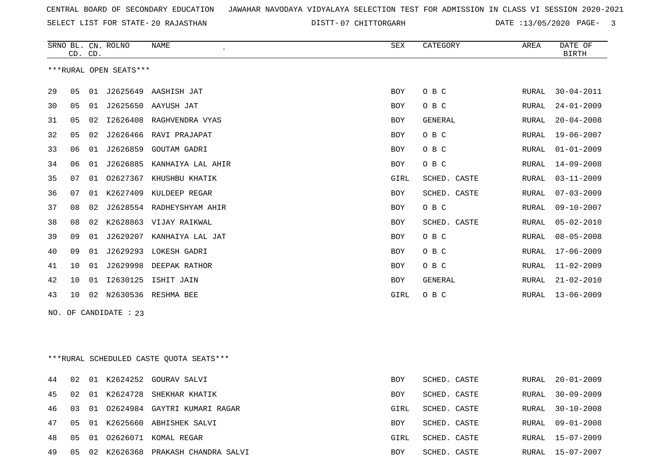SELECT LIST FOR STATE- DISTT- 20 RAJASTHAN

DISTT-07 CHITTORGARH DATE :13/05/2020 PAGE- 3

|    | CD. CD. |    | SRNO BL. CN. ROLNO     | NAME                                    | SEX        | CATEGORY     | AREA          | DATE OF<br>BIRTH |
|----|---------|----|------------------------|-----------------------------------------|------------|--------------|---------------|------------------|
|    |         |    | ***RURAL OPEN SEATS*** |                                         |            |              |               |                  |
| 29 | 05      |    |                        | 01 J2625649 AASHISH JAT                 | BOY        | O B C        | RURAL         | $30 - 04 - 2011$ |
| 30 | 05      |    |                        | 01 J2625650 AAYUSH JAT                  | <b>BOY</b> | O B C        | RURAL         | $24 - 01 - 2009$ |
| 31 | 05      |    |                        | 02 I2626408 RAGHVENDRA VYAS             | BOY        | GENERAL      | RURAL         | $20 - 04 - 2008$ |
| 32 | 05      | 02 |                        | J2626466 RAVI PRAJAPAT                  | BOY        | O B C        | RURAL         | 19-06-2007       |
| 33 | 06      |    |                        | 01 J2626859 GOUTAM GADRI                | BOY        | O B C        | ${\tt RURAL}$ | $01 - 01 - 2009$ |
| 34 | 06      | 01 |                        | J2626885 KANHAIYA LAL AHIR              | BOY        | O B C        | RURAL         | $14 - 09 - 2008$ |
| 35 | 07      | 01 |                        | 02627367 KHUSHBU KHATIK                 | GIRL       | SCHED. CASTE | RURAL         | $03 - 11 - 2009$ |
| 36 | 07      |    |                        | 01 K2627409 KULDEEP REGAR               | BOY        | SCHED. CASTE | RURAL         | $07 - 03 - 2009$ |
| 37 | 08      | 02 |                        | J2628554 RADHEYSHYAM AHIR               | <b>BOY</b> | O B C        | RURAL         | $09 - 10 - 2007$ |
| 38 | 08      |    |                        | 02 K2628863 VIJAY RAIKWAL               | <b>BOY</b> | SCHED. CASTE | RURAL         | $05 - 02 - 2010$ |
| 39 | 09      |    |                        | 01 J2629207 KANHAIYA LAL JAT            | BOY        | O B C        | RURAL         | $08 - 05 - 2008$ |
| 40 | 09      |    |                        | 01 J2629293 LOKESH GADRI                | BOY        | O B C        | RURAL         | $17 - 06 - 2009$ |
| 41 | 10      |    |                        | 01 J2629998 DEEPAK RATHOR               | <b>BOY</b> | O B C        | RURAL         | $11 - 02 - 2009$ |
| 42 | 10      |    |                        | 01 I2630125 ISHIT JAIN                  | <b>BOY</b> | GENERAL      | RURAL         | $21 - 02 - 2010$ |
| 43 | 10      |    |                        | 02 N2630536 RESHMA BEE                  | GIRL       | O B C        | RURAL         | $13 - 06 - 2009$ |
|    |         |    | NO. OF CANDIDATE : 23  |                                         |            |              |               |                  |
|    |         |    |                        | ***RURAL SCHEDULED CASTE QUOTA SEATS*** |            |              |               |                  |
| 44 | 02      |    |                        | 01 K2624252 GOURAV SALVI                | <b>BOY</b> | SCHED. CASTE | RURAL         | $20 - 01 - 2009$ |
| 45 | 02      |    | 01 K2624728            | SHEKHAR KHATIK                          | BOY        | SCHED. CASTE | RURAL         | $30 - 09 - 2009$ |
| 46 | 03      |    |                        | 01 02624984 GAYTRI KUMARI RAGAR         | GIRL       | SCHED. CASTE | RURAL         | $30 - 10 - 2008$ |
| 47 | 05      |    |                        | 01 K2625660 ABHISHEK SALVI              | <b>BOY</b> | SCHED. CASTE | RURAL         | $09 - 01 - 2008$ |
| 48 | 05      |    |                        | 01 02626071 KOMAL REGAR                 | GIRL       | SCHED. CASTE | RURAL         | $15 - 07 - 2009$ |

05 02 K2626368 PRAKASH CHANDRA SALVI BOY SCHED. CASTE RURAL 15-07-2007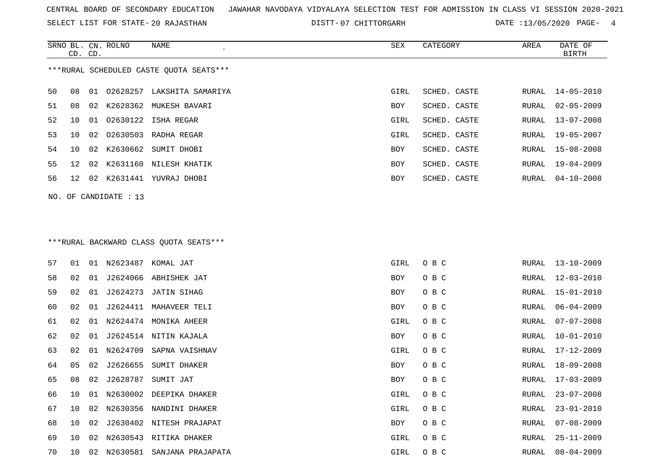SELECT LIST FOR STATE- DISTT- 20 RAJASTHAN

DISTT-07 CHITTORGARH DATE :13/05/2020 PAGE- 4

|    | CD. CD. |    | SRNO BL. CN. ROLNO    | NAME                                    | SEX        | CATEGORY     | AREA  | DATE OF<br>BIRTH |
|----|---------|----|-----------------------|-----------------------------------------|------------|--------------|-------|------------------|
|    |         |    |                       | ***RURAL SCHEDULED CASTE QUOTA SEATS*** |            |              |       |                  |
| 50 | 08      | 01 |                       | 02628257 LAKSHITA SAMARIYA              | GIRL       | SCHED. CASTE | RURAL | $14 - 05 - 2010$ |
| 51 | 08      | 02 |                       | K2628362 MUKESH BAVARI                  | BOY        | SCHED. CASTE | RURAL | $02 - 05 - 2009$ |
| 52 | 10      | 01 |                       | 02630122 ISHA REGAR                     | GIRL       | SCHED. CASTE | RURAL | 13-07-2008       |
| 53 | 10      | 02 | 02630503              | RADHA REGAR                             | GIRL       | SCHED. CASTE | RURAL | $19 - 05 - 2007$ |
| 54 | 10      | 02 | K2630662              | SUMIT DHOBI                             | BOY        | SCHED. CASTE | RURAL | 15-08-2008       |
| 55 | 12      | 02 | K2631160              | NILESH KHATIK                           | BOY        | SCHED. CASTE | RURAL | $19 - 04 - 2009$ |
| 56 | 12      | 02 |                       | K2631441 YUVRAJ DHOBI                   | BOY        | SCHED. CASTE | RURAL | $04 - 10 - 2008$ |
|    |         |    | NO. OF CANDIDATE : 13 |                                         |            |              |       |                  |
|    |         |    |                       |                                         |            |              |       |                  |
|    |         |    |                       |                                         |            |              |       |                  |
|    |         |    |                       | *** RURAL BACKWARD CLASS QUOTA SEATS*** |            |              |       |                  |
| 57 | 01      |    |                       | 01 N2623487 KOMAL JAT                   | GIRL       | O B C        | RURAL | $13 - 10 - 2009$ |
| 58 | 02      | 01 |                       | J2624066 ABHISHEK JAT                   | BOY        | O B C        | RURAL | $12 - 03 - 2010$ |
| 59 | 02      | 01 | J2624273              | JATIN SIHAG                             | <b>BOY</b> | O B C        | RURAL | $15 - 01 - 2010$ |
| 60 | 02      | 01 | J2624411              | MAHAVEER TELI                           | BOY        | O B C        | RURAL | $06 - 04 - 2009$ |
| 61 | 02      | 01 | N2624474              | MONIKA AHEER                            | GIRL       | O B C        | RURAL | $07 - 07 - 2008$ |
| 62 | 02      | 01 | J2624514              | NITIN KAJALA                            | BOY        | O B C        | RURAL | $10 - 01 - 2010$ |
| 63 | 02      | 01 | N2624709              | SAPNA VAISHNAV                          | GIRL       | O B C        | RURAL | $17 - 12 - 2009$ |
| 64 | 05      | 02 | J2626655              | SUMIT DHAKER                            | BOY        | O B C        | RURAL | $18 - 09 - 2008$ |
| 65 | 08      | 02 |                       | J2628787 SUMIT JAT                      | BOY        | O B C        | RURAL | $17 - 03 - 2009$ |
| 66 | 10      |    |                       | 01 N2630002 DEEPIKA DHAKER              | GIRL       | O B C        | RURAL | $23 - 07 - 2008$ |
| 67 | 10      | 02 |                       | N2630356 NANDINI DHAKER                 | GIRL       | O B C        | RURAL | $23 - 01 - 2010$ |
| 68 | 10      | 02 |                       | J2630402 NITESH PRAJAPAT                | BOY        | O B C        | RURAL | $07 - 08 - 2009$ |
| 69 | 10      | 02 |                       | N2630543 RITIKA DHAKER                  | GIRL       | O B C        | RURAL | $25 - 11 - 2009$ |
| 70 | 10      |    |                       | 02 N2630581 SANJANA PRAJAPATA           | GIRL       | O B C        | RURAL | $08 - 04 - 2009$ |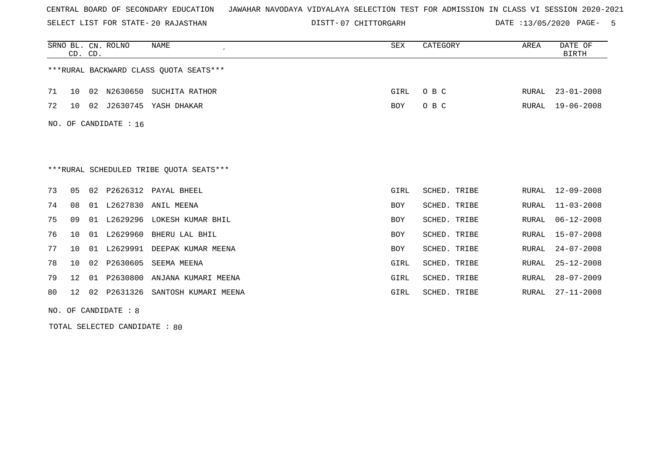SELECT LIST FOR STATE- DISTT- 20 RAJASTHAN

07 CHITTORGARH DATE :13/05/2020 PAGE- 5

|     | CD. CD.         |    | SRNO BL. CN. ROLNO | <b>NAME</b>                             | <b>SEX</b> | CATEGORY        | AREA         | DATE OF<br><b>BIRTH</b> |
|-----|-----------------|----|--------------------|-----------------------------------------|------------|-----------------|--------------|-------------------------|
|     |                 |    |                    | *** RURAL BACKWARD CLASS QUOTA SEATS*** |            |                 |              |                         |
| 71  | 10              | 02 | N2630650           | SUCHITA RATHOR                          | GIRL       | O B C           | RURAL        | $23 - 01 - 2008$        |
| 72  | 10              |    |                    | 02 J2630745 YASH DHAKAR                 | <b>BOY</b> | O B C           | RURAL        | $19 - 06 - 2008$        |
| NO. |                 |    | OF CANDIDATE : 16  |                                         |            |                 |              |                         |
|     |                 |    |                    |                                         |            |                 |              |                         |
|     |                 |    |                    | ***RURAL SCHEDULED TRIBE QUOTA SEATS*** |            |                 |              |                         |
| 73  | 0 <sub>5</sub>  | 02 | P2626312           | PAYAL BHEEL                             | GIRL       | SCHED. TRIBE    | RURAL        | $12 - 09 - 2008$        |
| 74  | 08              | 01 | L2627830           | ANIL MEENA                              | <b>BOY</b> | SCHED. TRIBE    | RURAL        | $11 - 03 - 2008$        |
| 75  | 09              |    | 01 L2629296        | LOKESH KUMAR BHIL                       | <b>BOY</b> | SCHED. TRIBE    | <b>RURAL</b> | $06 - 12 - 2008$        |
| 76  | 10              |    | 01 L2629960        | BHERU LAL BHIL                          | <b>BOY</b> | SCHED. TRIBE    | RURAL        | $15 - 07 - 2008$        |
| 77  | 10 <sup>°</sup> |    | 01 L2629991        | DEEPAK KUMAR MEENA                      | <b>BOY</b> | SCHED. TRIBE    | RURAL        | $24 - 07 - 2008$        |
| 78  | 10              | 02 | P2630605           | SEEMA MEENA                             | GIRL       | SCHED. TRIBE    | RURAL        | $25 - 12 - 2008$        |
| 79  | 12 <sup>°</sup> | 01 | P2630800           | ANJANA KUMARI MEENA                     | GIRL       | SCHED. TRIBE    | RURAL        | $28 - 07 - 2009$        |
| 80  | 12 <sup>°</sup> | 02 | P2631326           | SANTOSH KUMARI MEENA                    | GIRL       | SCHED.<br>TRIBE | <b>RURAL</b> | $27 - 11 - 2008$        |

NO. OF CANDIDATE : 8

TOTAL SELECTED CANDIDATE : 80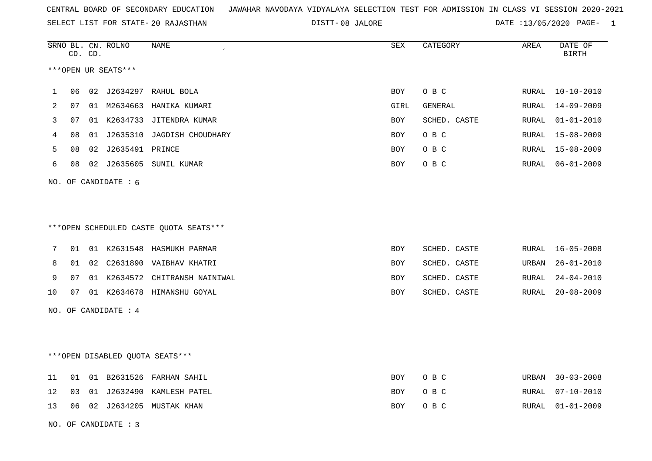SELECT LIST FOR STATE- DISTT- 20 RAJASTHAN

DISTT-08 JALORE 2008 2020 DATE :13/05/2020 PAGE- 1

|    |                      | CD. CD. | SRNO BL. CN. ROLNO     | <b>NAME</b>                             | SEX        | CATEGORY     | AREA  | DATE OF<br><b>BIRTH</b> |  |
|----|----------------------|---------|------------------------|-----------------------------------------|------------|--------------|-------|-------------------------|--|
|    |                      |         | ***OPEN UR SEATS***    |                                         |            |              |       |                         |  |
| 1  | 06                   |         |                        | 02 J2634297 RAHUL BOLA                  | BOY        | O B C        |       | RURAL 10-10-2010        |  |
| 2  | 07                   |         |                        | 01 M2634663 HANIKA KUMARI               | GIRL       | GENERAL      | RURAL | $14 - 09 - 2009$        |  |
| 3  | 07                   |         |                        | 01 K2634733 JITENDRA KUMAR              | BOY        | SCHED. CASTE | RURAL | $01 - 01 - 2010$        |  |
| 4  | 08                   |         |                        | 01 J2635310 JAGDISH CHOUDHARY           | BOY        | O B C        | RURAL | 15-08-2009              |  |
| 5  | 08                   |         | 02 J2635491 PRINCE     |                                         | BOY        | O B C        | RURAL | 15-08-2009              |  |
| 6  | 08                   |         |                        | 02 J2635605 SUNIL KUMAR                 | BOY        | O B C        | RURAL | $06 - 01 - 2009$        |  |
|    |                      |         | NO. OF CANDIDATE : $6$ |                                         |            |              |       |                         |  |
|    |                      |         |                        |                                         |            |              |       |                         |  |
|    |                      |         |                        |                                         |            |              |       |                         |  |
|    |                      |         |                        | *** OPEN SCHEDULED CASTE QUOTA SEATS*** |            |              |       |                         |  |
| 7  | 01                   |         |                        | 01 K2631548 HASMUKH PARMAR              | BOY        | SCHED. CASTE | RURAL | $16 - 05 - 2008$        |  |
| 8  | 01                   |         |                        | 02 C2631890 VAIBHAV KHATRI              | <b>BOY</b> | SCHED. CASTE | URBAN | $26 - 01 - 2010$        |  |
| 9  | 07                   |         |                        | 01 K2634572 CHITRANSH NAINIWAL          | <b>BOY</b> | SCHED. CASTE | RURAL | $24 - 04 - 2010$        |  |
| 10 | 07                   |         |                        | 01 K2634678 HIMANSHU GOYAL              | <b>BOY</b> | SCHED. CASTE | RURAL | $20 - 08 - 2009$        |  |
|    |                      |         | NO. OF CANDIDATE : 4   |                                         |            |              |       |                         |  |
|    |                      |         |                        |                                         |            |              |       |                         |  |
|    |                      |         |                        |                                         |            |              |       |                         |  |
|    |                      |         |                        | *** OPEN DISABLED QUOTA SEATS***        |            |              |       |                         |  |
| 11 | 01                   |         |                        | 01 B2631526 FARHAN SAHIL                | BOY        | O B C        | URBAN | $30 - 03 - 2008$        |  |
| 12 | 03                   |         |                        | 01 J2632490 KAMLESH PATEL               | BOY        | O B C        | RURAL | $07 - 10 - 2010$        |  |
| 13 | 06                   |         |                        | 02 J2634205 MUSTAK KHAN                 | BOY        | O B C        | RURAL | $01 - 01 - 2009$        |  |
|    | NO. OF CANDIDATE : 3 |         |                        |                                         |            |              |       |                         |  |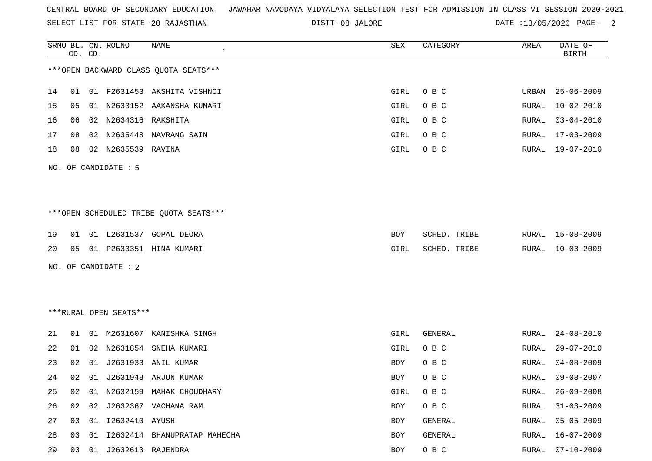SELECT LIST FOR STATE- DISTT- 20 RAJASTHAN

08 JALORE DATE :13/05/2020 PAGE- 2

RURAL 16-07-2009

|    |    | CD. CD. | SRNO BL. CN. ROLNO     | NAME                                   | SEX        | CATEGORY       | AREA         | DATE OF<br><b>BIRTH</b> |
|----|----|---------|------------------------|----------------------------------------|------------|----------------|--------------|-------------------------|
|    |    |         |                        | *** OPEN BACKWARD CLASS QUOTA SEATS*** |            |                |              |                         |
| 14 | 01 |         |                        | 01 F2631453 AKSHITA VISHNOI            | GIRL       | O B C          | URBAN        | $25 - 06 - 2009$        |
| 15 | 05 |         |                        | 01 N2633152 AAKANSHA KUMARI            | GIRL       | O B C          | RURAL        | $10 - 02 - 2010$        |
| 16 | 06 |         | 02 N2634316 RAKSHITA   |                                        | GIRL       | O B C          | RURAL        | $03 - 04 - 2010$        |
| 17 | 08 |         |                        | 02 N2635448 NAVRANG SAIN               | GIRL       | O B C          | RURAL        | $17 - 03 - 2009$        |
| 18 | 08 |         | 02 N2635539 RAVINA     |                                        | GIRL       | O B C          | RURAL        | $19 - 07 - 2010$        |
|    |    |         | NO. OF CANDIDATE : 5   |                                        |            |                |              |                         |
|    |    |         |                        |                                        |            |                |              |                         |
|    |    |         |                        | ***OPEN SCHEDULED TRIBE QUOTA SEATS*** |            |                |              |                         |
| 19 | 01 |         |                        | 01 L2631537 GOPAL DEORA                | <b>BOY</b> | SCHED. TRIBE   | RURAL        | $15 - 08 - 2009$        |
| 20 | 05 |         |                        | 01 P2633351 HINA KUMARI                | GIRL       | SCHED. TRIBE   | RURAL        | $10 - 03 - 2009$        |
|    |    |         | NO. OF CANDIDATE : 2   |                                        |            |                |              |                         |
|    |    |         |                        |                                        |            |                |              |                         |
|    |    |         |                        |                                        |            |                |              |                         |
|    |    |         | ***RURAL OPEN SEATS*** |                                        |            |                |              |                         |
| 21 | 01 |         |                        | 01 M2631607 KANISHKA SINGH             | GIRL       | GENERAL        | RURAL        | $24 - 08 - 2010$        |
| 22 | 01 |         | 02 N2631854            | SNEHA KUMARI                           | GIRL       | O B C          | RURAL        | $29 - 07 - 2010$        |
| 23 | 02 |         |                        | 01 J2631933 ANIL KUMAR                 | <b>BOY</b> | O B C          | RURAL        | $04 - 08 - 2009$        |
| 24 | 02 | 01      |                        | J2631948 ARJUN KUMAR                   | BOY        | O B C          | RURAL        | $09 - 08 - 2007$        |
| 25 | 02 |         |                        | 01 N2632159 MAHAK CHOUDHARY            | GIRL       | O B C          | RURAL        | $26 - 09 - 2008$        |
| 26 | 02 | 02      |                        | J2632367 VACHANA RAM                   | <b>BOY</b> | O B C          | RURAL        | $31 - 03 - 2009$        |
| 27 | 03 |         | 01 I2632410 AYUSH      |                                        | <b>BOY</b> | <b>GENERAL</b> | <b>RURAL</b> | $05 - 05 - 2009$        |

29 03 01 J2632613 RAJENDRA BOY O B C RURAL 07-10-2009

28 03 01 I2632414 BHANUPRATAP MAHECHA BOY GENERAL BOY GENERAL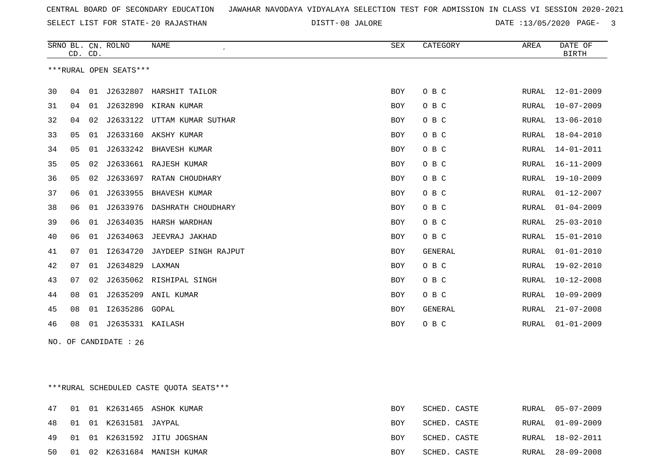SELECT LIST FOR STATE- DISTT- 20 RAJASTHAN

DISTT-08 JALORE **DATE** :13/05/2020 PAGE- 3

|                        | CD. CD. |    | SRNO BL. CN. ROLNO | <b>NAME</b><br>$\epsilon$ | <b>SEX</b> | CATEGORY | AREA  | DATE OF<br><b>BIRTH</b> |
|------------------------|---------|----|--------------------|---------------------------|------------|----------|-------|-------------------------|
| ***RURAL OPEN SEATS*** |         |    |                    |                           |            |          |       |                         |
| 30                     | 04      | 01 | J2632807           | HARSHIT TAILOR            | <b>BOY</b> | O B C    | RURAL | $12 - 01 - 2009$        |
| 31                     | 04      | 01 | J2632890           | KIRAN KUMAR               | <b>BOY</b> | O B C    | RURAL | $10 - 07 - 2009$        |
| 32                     | 04      | 02 | J2633122           | UTTAM KUMAR SUTHAR        | <b>BOY</b> | O B C    | RURAL | $13 - 06 - 2010$        |
| 33                     | 05      | 01 | J2633160           | AKSHY KUMAR               | <b>BOY</b> | O B C    | RURAL | $18 - 04 - 2010$        |
| 34                     | 05      | 01 | J2633242           | BHAVESH KUMAR             | <b>BOY</b> | O B C    | RURAL | $14 - 01 - 2011$        |
| 35                     | 05      | 02 | J2633661           | RAJESH KUMAR              | <b>BOY</b> | O B C    | RURAL | $16 - 11 - 2009$        |
| 36                     | 05      | 02 | J2633697           | RATAN CHOUDHARY           | <b>BOY</b> | O B C    | RURAL | $19 - 10 - 2009$        |
| 37                     | 06      | 01 | J2633955           | BHAVESH KUMAR             | <b>BOY</b> | O B C    | RURAL | $01 - 12 - 2007$        |
| 38                     | 06      | 01 | J2633976           | DASHRATH CHOUDHARY        | <b>BOY</b> | O B C    | RURAL | $01 - 04 - 2009$        |
| 39                     | 06      | 01 | J2634035           | HARSH WARDHAN             | <b>BOY</b> | O B C    | RURAL | $25 - 03 - 2010$        |
| 40                     | 06      | 01 | J2634063           | JEEVRAJ JAKHAD            | <b>BOY</b> | O B C    | RURAL | $15 - 01 - 2010$        |
| 41                     | 07      | 01 | I2634720           | JAYDEEP SINGH RAJPUT      | BOY        | GENERAL  | RURAL | $01 - 01 - 2010$        |
| 42                     | 07      | 01 | J2634829           | LAXMAN                    | <b>BOY</b> | O B C    | RURAL | 19-02-2010              |
| 43                     | 07      | 02 |                    | J2635062 RISHIPAL SINGH   | <b>BOY</b> | O B C    | RURAL | $10 - 12 - 2008$        |
| 44                     | 08      | 01 | J2635209           | ANIL KUMAR                | <b>BOY</b> | O B C    | RURAL | $10 - 09 - 2009$        |
| 45                     | 08      | 01 | I2635286           | GOPAL                     | <b>BOY</b> | GENERAL  | RURAL | $21 - 07 - 2008$        |
| 46                     | 08      | 01 | J2635331 KAILASH   |                           | <b>BOY</b> | O B C    | RURAL | $01 - 01 - 2009$        |

NO. OF CANDIDATE : 26

\*\*\*RURAL SCHEDULED CASTE QUOTA SEATS\*\*\*

|  |                          | 47 01 01 K2631465 ASHOK KUMAR  | <b>BOY</b> | SCHED. CASTE | RURAL 05-07-2009 |
|--|--------------------------|--------------------------------|------------|--------------|------------------|
|  | 48 01 01 K2631581 JAYPAL |                                | BOY        | SCHED. CASTE | RURAL 01-09-2009 |
|  |                          | 49 01 01 K2631592 JITU JOGSHAN | <b>BOY</b> | SCHED. CASTE | RURAL 18-02-2011 |
|  |                          | 50 01 02 K2631684 MANISH KUMAR | BOY        | SCHED. CASTE | RURAL 28-09-2008 |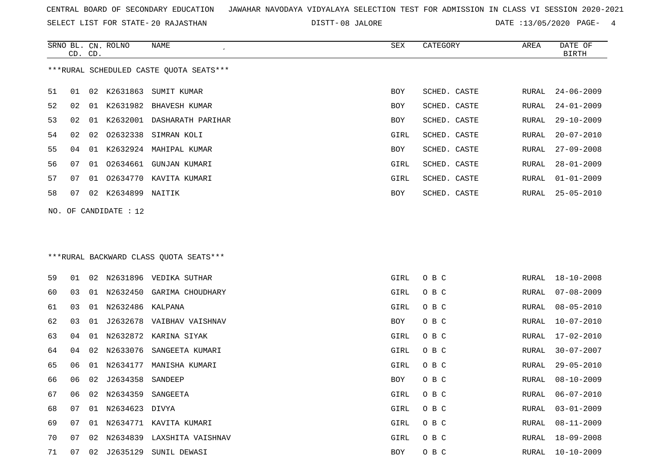SELECT LIST FOR STATE- DISTT- 20 RAJASTHAN

SRNO BL. CN.

ROLNO NAME SEX CATEGORY AREA DATE OF

DISTT-08 JALORE **DATE** :13/05/2020 PAGE- 4

|                                         | CD. CD.                                 |    |                   |                               |      |              |       | <b>BIRTH</b>     |
|-----------------------------------------|-----------------------------------------|----|-------------------|-------------------------------|------|--------------|-------|------------------|
| ***RURAL SCHEDULED CASTE QUOTA SEATS*** |                                         |    |                   |                               |      |              |       |                  |
| 51                                      | 01                                      | 02 | K2631863          | SUMIT KUMAR                   | BOY  | SCHED. CASTE | RURAL | $24 - 06 - 2009$ |
| 52                                      | 02                                      | 01 |                   | K2631982 BHAVESH KUMAR        | BOY  | SCHED. CASTE | RURAL | $24 - 01 - 2009$ |
| 53                                      | 02                                      | 01 |                   | K2632001 DASHARATH PARIHAR    | BOY  | SCHED. CASTE | RURAL | 29-10-2009       |
| 54                                      | 02                                      | 02 | 02632338          | SIMRAN KOLI                   | GIRL | SCHED. CASTE | RURAL | $20 - 07 - 2010$ |
| 55                                      | 04                                      |    |                   | 01 K2632924 MAHIPAL KUMAR     | BOY  | SCHED. CASTE | RURAL | $27 - 09 - 2008$ |
| 56                                      | 07                                      | 01 | 02634661          | GUNJAN KUMARI                 | GIRL | SCHED. CASTE | RURAL | $28 - 01 - 2009$ |
| 57                                      | 07                                      | 01 | 02634770          | KAVITA KUMARI                 | GIRL | SCHED. CASTE | RURAL | $01 - 01 - 2009$ |
| 58                                      | 07                                      | 02 | K2634899          | NAITIK                        | BOY  | SCHED. CASTE | RURAL | $25 - 05 - 2010$ |
| NO.                                     |                                         |    | OF CANDIDATE : 12 |                               |      |              |       |                  |
|                                         | *** RURAL BACKWARD CLASS QUOTA SEATS*** |    |                   |                               |      |              |       |                  |
| 59                                      | 01                                      | 02 |                   | N2631896 VEDIKA SUTHAR        | GIRL | O B C        | RURAL | $18 - 10 - 2008$ |
| 60                                      | 03                                      | 01 | N2632450          | GARIMA CHOUDHARY              | GIRL | O B C        | RURAL | $07 - 08 - 2009$ |
| 61                                      | 03                                      | 01 | N2632486 KALPANA  |                               | GIRL | O B C        | RURAL | $08 - 05 - 2010$ |
| 62                                      | 03                                      | 01 |                   | J2632678 VAIBHAV VAISHNAV     | BOY  | O B C        | RURAL | $10 - 07 - 2010$ |
| 63                                      | 04                                      | 01 | N2632872          | KARINA SIYAK                  | GIRL | O B C        | RURAL | 17-02-2010       |
| 64                                      | 04                                      | 02 | N2633076          | SANGEETA KUMARI               | GIRL | O B C        | RURAL | $30 - 07 - 2007$ |
| 65                                      | 06                                      | 01 | N2634177          | MANISHA KUMARI                | GIRL | O B C        | RURAL | $29 - 05 - 2010$ |
| 66                                      | 06                                      | 02 | J2634358          | SANDEEP                       | BOY  | O B C        | RURAL | 08-10-2009       |
| 67                                      | 06                                      | 02 | N2634359          | SANGEETA                      | GIRL | O B C        | RURAL | $06 - 07 - 2010$ |
| 68                                      | 07                                      |    | 01 N2634623 DIVYA |                               | GIRL | O B C        | RURAL | $03 - 01 - 2009$ |
| 69                                      | 07                                      |    |                   | 01 N2634771 KAVITA KUMARI     | GIRL | O B C        | RURAL | $08 - 11 - 2009$ |
| 70                                      | 07                                      |    |                   | 02 N2634839 LAXSHITA VAISHNAV | GIRL | O B C        | RURAL | $18 - 09 - 2008$ |
| 71                                      | 07                                      |    |                   | 02 J2635129 SUNIL DEWASI      | BOY  | O B C        | RURAL | $10 - 10 - 2009$ |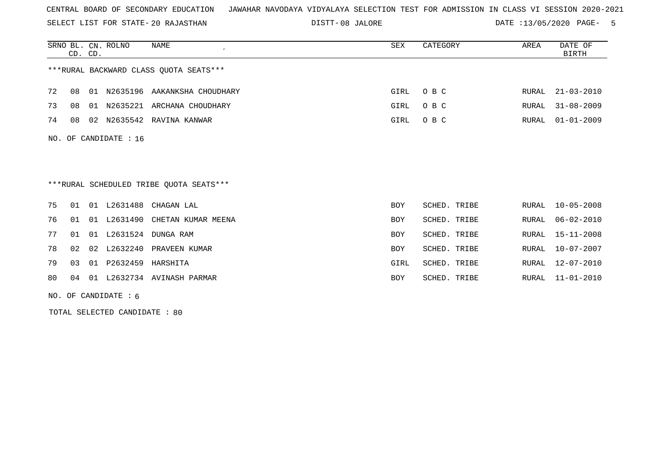SELECT LIST FOR STATE- DISTT- 20 RAJASTHAN

08 JALORE DATE :13/05/2020 PAGE- 5

|    |                | CD. CD. | SRNO BL. CN. ROLNO    | <b>NAME</b>                             | <b>SEX</b> | CATEGORY     | AREA  | DATE OF<br><b>BIRTH</b> |
|----|----------------|---------|-----------------------|-----------------------------------------|------------|--------------|-------|-------------------------|
|    |                |         |                       | *** RURAL BACKWARD CLASS QUOTA SEATS*** |            |              |       |                         |
| 72 | 08             | 01      |                       | N2635196 AAKANKSHA CHOUDHARY            | GIRL       | O B C        | RURAL | $21 - 03 - 2010$        |
| 73 | 08             |         |                       | 01 N2635221 ARCHANA CHOUDHARY           | GIRL       | O B C        | RURAL | $31 - 08 - 2009$        |
| 74 | 08             |         |                       | 02 N2635542 RAVINA KANWAR               | GIRL       | O B C        | RURAL | $01 - 01 - 2009$        |
|    |                |         | NO. OF CANDIDATE : 16 |                                         |            |              |       |                         |
|    |                |         |                       |                                         |            |              |       |                         |
|    |                |         |                       |                                         |            |              |       |                         |
|    |                |         |                       | ***RURAL SCHEDULED TRIBE QUOTA SEATS*** |            |              |       |                         |
| 75 | 01             |         | 01 L2631488           | CHAGAN LAL                              | <b>BOY</b> | SCHED. TRIBE | RURAL | $10 - 05 - 2008$        |
| 76 | 01             | 01      | L2631490              | CHETAN KUMAR MEENA                      | <b>BOY</b> | SCHED. TRIBE | RURAL | $06 - 02 - 2010$        |
| 77 | 01             |         |                       | 01 L2631524 DUNGA RAM                   | <b>BOY</b> | SCHED. TRIBE | RURAL | $15 - 11 - 2008$        |
| 78 | 02             | 02      | L2632240              | PRAVEEN KUMAR                           | <b>BOY</b> | SCHED. TRIBE | RURAL | $10 - 07 - 2007$        |
| 79 | 0 <sub>3</sub> | 01      | P2632459              | HARSHITA                                | GIRL       | SCHED. TRIBE | RURAL | $12 - 07 - 2010$        |
| 80 | 04             | 01      |                       | L2632734 AVINASH PARMAR                 | <b>BOY</b> | SCHED. TRIBE | RURAL | $11 - 01 - 2010$        |
|    |                |         |                       |                                         |            |              |       |                         |

NO. OF CANDIDATE : 6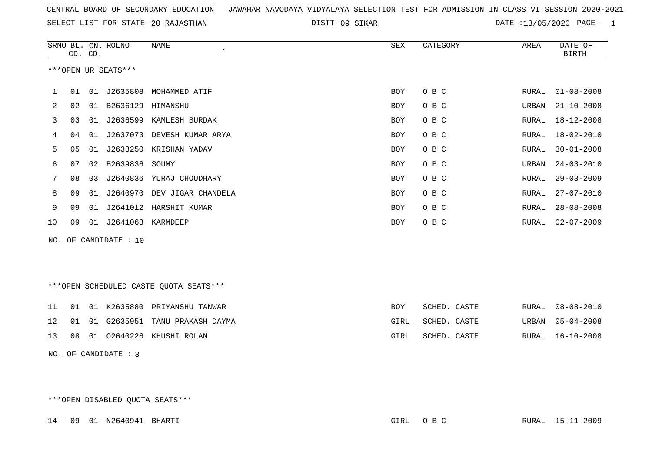09 SIKAR DATE :13/05/2020 PAGE- 1

|    | CD. CD. |    | SRNO BL. CN. ROLNO  | NAME               | SEX | CATEGORY | AREA  | DATE OF<br><b>BIRTH</b> |
|----|---------|----|---------------------|--------------------|-----|----------|-------|-------------------------|
|    |         |    | ***OPEN UR SEATS*** |                    |     |          |       |                         |
| 1  | 01      | 01 | J2635808            | MOHAMMED ATIF      | BOY | O B C    | RURAL | $01 - 08 - 2008$        |
| 2  | 02      | 01 | B2636129 HIMANSHU   |                    | BOY | O B C    | URBAN | $21 - 10 - 2008$        |
| 3  | 03      | 01 | J2636599            | KAMLESH BURDAK     | BOY | O B C    | RURAL | 18-12-2008              |
| 4  | 04      | 01 | J2637073            | DEVESH KUMAR ARYA  | BOY | O B C    | RURAL | $18 - 02 - 2010$        |
| 5  | 05      | 01 | J2638250            | KRISHAN YADAV      | BOY | O B C    | RURAL | $30 - 01 - 2008$        |
| 6  | 07      | 02 | B2639836            | SOUMY              | BOY | O B C    | URBAN | $24 - 03 - 2010$        |
|    | 08      | 03 | J2640836            | YURAJ CHOUDHARY    | BOY | O B C    | RURAL | $29 - 03 - 2009$        |
| 8  | 09      | 01 | J2640970            | DEV JIGAR CHANDELA | BOY | O B C    | RURAL | $27 - 07 - 2010$        |
| 9  | 09      | 01 | J2641012            | HARSHIT KUMAR      | BOY | O B C    | RURAL | $28 - 08 - 2008$        |
| 10 | 09      | 01 | J2641068            | KARMDEEP           | BOY | O B C    | RURAL | $02 - 07 - 2009$        |
|    |         |    |                     |                    |     |          |       |                         |

NO. OF CANDIDATE : 10

\*\*\*OPEN SCHEDULED CASTE QUOTA SEATS\*\*\*

|  |  | 11 01 01 K2635880 PRIYANSHU TANWAR   | BOY  | SCHED. CASTE |  | RURAL 08-08-2010 |
|--|--|--------------------------------------|------|--------------|--|------------------|
|  |  | 12 01 01 G2635951 TANU PRAKASH DAYMA | GIRL | SCHED. CASTE |  | URBAN 05-04-2008 |
|  |  | 13 08 01 02640226 KHUSHI ROLAN       | GIRL | SCHED. CASTE |  | RURAL 16-10-2008 |

NO. OF CANDIDATE : 3

\*\*\*OPEN DISABLED QUOTA SEATS\*\*\*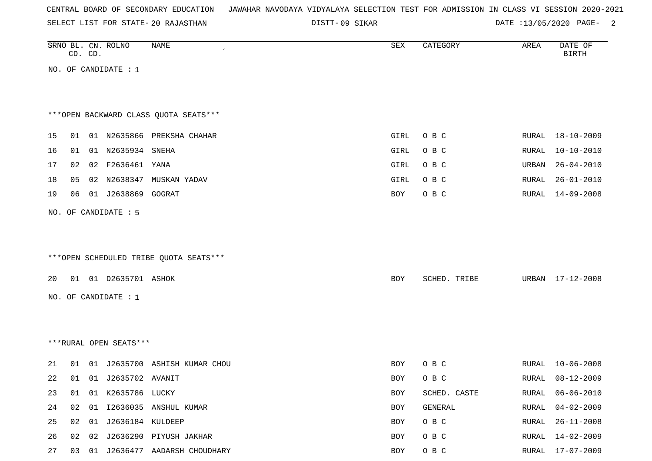| CENTRAL BOARD OF SECONDARY EDUCATION – JAWAHAR NAVODAYA VIDYALAYA SELECTION TEST FOR ADMISSION IN CLASS VI SESSION 2020-2021 |  |  |  |  |  |  |  |  |  |  |  |  |  |  |  |  |  |
|------------------------------------------------------------------------------------------------------------------------------|--|--|--|--|--|--|--|--|--|--|--|--|--|--|--|--|--|
|------------------------------------------------------------------------------------------------------------------------------|--|--|--|--|--|--|--|--|--|--|--|--|--|--|--|--|--|

DISTT-09 SIKAR DATE :13/05/2020 PAGE- 2

|    |    | CD. CD. | SRNO BL. CN. ROLNO       | NAME                                   | ${\tt SEX}$ | CATEGORY     | AREA  | DATE OF<br><b>BIRTH</b> |
|----|----|---------|--------------------------|----------------------------------------|-------------|--------------|-------|-------------------------|
|    |    |         | NO. OF CANDIDATE : 1     |                                        |             |              |       |                         |
|    |    |         |                          |                                        |             |              |       |                         |
|    |    |         |                          |                                        |             |              |       |                         |
|    |    |         |                          | *** OPEN BACKWARD CLASS QUOTA SEATS*** |             |              |       |                         |
| 15 | 01 |         |                          | 01 N2635866 PREKSHA CHAHAR             | GIRL        | O B C        | RURAL | 18-10-2009              |
| 16 | 01 |         | 01 N2635934 SNEHA        |                                        | GIRL        | O B C        | RURAL | $10 - 10 - 2010$        |
| 17 | 02 |         | 02 F2636461 YANA         |                                        | GIRL        | O B C        | URBAN | $26 - 04 - 2010$        |
| 18 | 05 |         | 02 N2638347              | MUSKAN YADAV                           | GIRL        | O B C        | RURAL | $26 - 01 - 2010$        |
| 19 | 06 |         | 01 J2638869 GOGRAT       |                                        | BOY         | O B C        | RURAL | 14-09-2008              |
|    |    |         | NO. OF CANDIDATE : 5     |                                        |             |              |       |                         |
|    |    |         |                          |                                        |             |              |       |                         |
|    |    |         |                          |                                        |             |              |       |                         |
|    |    |         |                          | ***OPEN SCHEDULED TRIBE QUOTA SEATS*** |             |              |       |                         |
| 20 |    |         | 01 01 D2635701 ASHOK     |                                        | BOY         | SCHED. TRIBE | URBAN | 17-12-2008              |
|    |    |         | NO. OF CANDIDATE : 1     |                                        |             |              |       |                         |
|    |    |         |                          |                                        |             |              |       |                         |
|    |    |         |                          |                                        |             |              |       |                         |
|    |    |         |                          |                                        |             |              |       |                         |
|    |    |         | ***RURAL OPEN SEATS***   |                                        |             |              |       |                         |
| 21 |    |         |                          | 01 01 J2635700 ASHISH KUMAR CHOU       | BOY         | O B C        | RURAL | $10 - 06 - 2008$        |
| 22 |    |         | 01  01  J2635702  AVANIT |                                        | BOY         | O B C        | RURAL | 08-12-2009              |
| 23 | 01 |         | 01 K2635786 LUCKY        |                                        | BOY         | SCHED. CASTE | RURAL | $06 - 06 - 2010$        |
| 24 | 02 |         |                          | 01 I2636035 ANSHUL KUMAR               | BOY         | GENERAL      | RURAL | $04 - 02 - 2009$        |
| 25 |    |         | 02 01 J2636184 KULDEEP   |                                        | BOY         | O B C        | RURAL | $26 - 11 - 2008$        |
| 26 |    |         |                          | 02 02 J2636290 PIYUSH JAKHAR           | BOY         | O B C        | RURAL | 14-02-2009              |
| 27 |    |         |                          | 03 01 J2636477 AADARSH CHOUDHARY       | BOY         | O B C        |       | RURAL 17-07-2009        |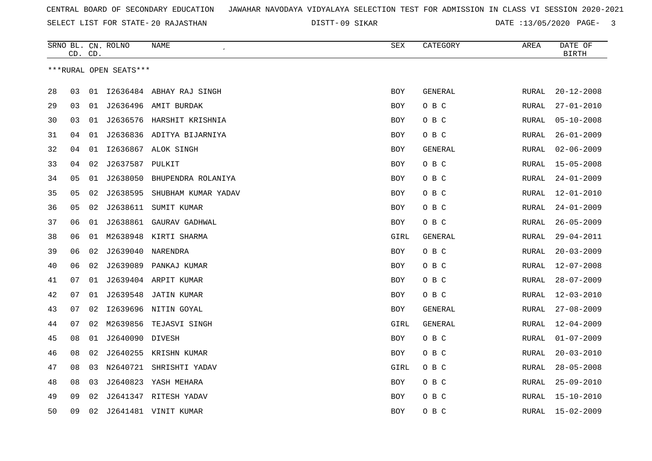SELECT LIST FOR STATE- DISTT- 20 RAJASTHAN

09 SIKAR DATE :13/05/2020 PAGE- 3

|    |    | CD. CD. | SRNO BL. CN. ROLNO     | NAME                         | SEX        | CATEGORY       | AREA         | DATE OF<br><b>BIRTH</b> |
|----|----|---------|------------------------|------------------------------|------------|----------------|--------------|-------------------------|
|    |    |         | ***RURAL OPEN SEATS*** |                              |            |                |              |                         |
|    |    |         |                        |                              |            |                |              |                         |
| 28 | 03 | 01      |                        | 12636484 ABHAY RAJ SINGH     | BOY        | GENERAL        | RURAL        | $20 - 12 - 2008$        |
| 29 | 03 | 01      |                        | J2636496 AMIT BURDAK         | <b>BOY</b> | O B C          | RURAL        | $27 - 01 - 2010$        |
| 30 | 03 | 01      |                        | J2636576 HARSHIT KRISHNIA    | BOY        | O B C          | RURAL        | $05 - 10 - 2008$        |
| 31 | 04 |         |                        | 01 J2636836 ADITYA BIJARNIYA | <b>BOY</b> | O B C          | RURAL        | $26 - 01 - 2009$        |
| 32 | 04 | 01      |                        | I2636867 ALOK SINGH          | BOY        | GENERAL        | RURAL        | $02 - 06 - 2009$        |
| 33 | 04 | 02      | J2637587               | PULKIT                       | BOY        | O B C          | RURAL        | $15 - 05 - 2008$        |
| 34 | 05 | 01      | J2638050               | BHUPENDRA ROLANIYA           | BOY        | O B C          | RURAL        | $24 - 01 - 2009$        |
| 35 | 05 | 02      | J2638595               | SHUBHAM KUMAR YADAV          | BOY        | O B C          | RURAL        | $12 - 01 - 2010$        |
| 36 | 05 |         | 02 J2638611            | SUMIT KUMAR                  | <b>BOY</b> | O B C          | RURAL        | $24 - 01 - 2009$        |
| 37 | 06 | 01      | J2638861               | GAURAV GADHWAL               | <b>BOY</b> | O B C          | <b>RURAL</b> | $26 - 05 - 2009$        |
| 38 | 06 | 01      |                        | M2638948 KIRTI SHARMA        | GIRL       | GENERAL        | RURAL        | $29 - 04 - 2011$        |
| 39 | 06 | 02      | J2639040               | NARENDRA                     | BOY        | O B C          | RURAL        | $20 - 03 - 2009$        |
| 40 | 06 |         |                        | 02 J2639089 PANKAJ KUMAR     | <b>BOY</b> | O B C          | RURAL        | $12 - 07 - 2008$        |
| 41 | 07 | 01      |                        | J2639404 ARPIT KUMAR         | BOY        | O B C          | RURAL        | $28 - 07 - 2009$        |
| 42 | 07 | 01      | J2639548               | <b>JATIN KUMAR</b>           | <b>BOY</b> | O B C          | <b>RURAL</b> | $12 - 03 - 2010$        |
| 43 | 07 | 02      |                        | I2639696 NITIN GOYAL         | <b>BOY</b> | <b>GENERAL</b> | <b>RURAL</b> | $27 - 08 - 2009$        |
| 44 | 07 | 02      | M2639856               | TEJASVI SINGH                | GIRL       | <b>GENERAL</b> | RURAL        | $12 - 04 - 2009$        |
| 45 | 08 | 01      | J2640090 DIVESH        |                              | <b>BOY</b> | O B C          | RURAL        | $01 - 07 - 2009$        |
| 46 | 08 | 02      |                        | J2640255 KRISHN KUMAR        | BOY        | O B C          | <b>RURAL</b> | $20 - 03 - 2010$        |
| 47 | 08 | 03      | N2640721               | SHRISHTI YADAV               | GIRL       | O B C          | RURAL        | $28 - 05 - 2008$        |
| 48 | 08 | 03      | J2640823               | YASH MEHARA                  | BOY        | O B C          | RURAL        | $25 - 09 - 2010$        |
| 49 | 09 | 02      |                        | J2641347 RITESH YADAV        | BOY        | O B C          | RURAL        | $15 - 10 - 2010$        |
| 50 | 09 | 02      |                        | J2641481 VINIT KUMAR         | <b>BOY</b> | O B C          | RURAL        | $15 - 02 - 2009$        |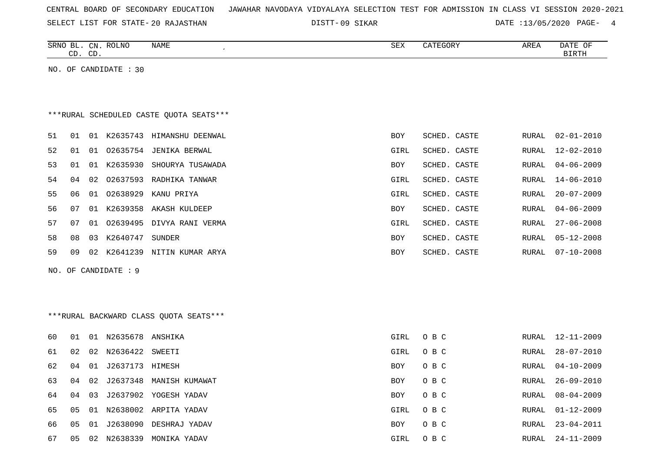| CENTRAL BOARD OF SECONDARY EDUCATION – JAWAHAR NAVODAYA VIDYALAYA SELECTION TEST FOR ADMISSION IN CLASS VI SESSION 2020-2021 |  |  |  |  |
|------------------------------------------------------------------------------------------------------------------------------|--|--|--|--|
|------------------------------------------------------------------------------------------------------------------------------|--|--|--|--|

SELECT LIST FOR STATE- DISTT- 20 RAJASTHAN 09 SIKAR DATE :13/05/2020 PAGE- 4

|    | CD. | CD. | SRNO BL. CN. ROLNO    | NAME                                    | SEX        | CATEGORY     | AREA         | DATE OF<br><b>BIRTH</b> |
|----|-----|-----|-----------------------|-----------------------------------------|------------|--------------|--------------|-------------------------|
|    |     |     | NO. OF CANDIDATE : 30 |                                         |            |              |              |                         |
|    |     |     |                       |                                         |            |              |              |                         |
|    |     |     |                       |                                         |            |              |              |                         |
|    |     |     |                       | ***RURAL SCHEDULED CASTE QUOTA SEATS*** |            |              |              |                         |
| 51 | 01  |     |                       | 01 K2635743 HIMANSHU DEENWAL            | BOY        | SCHED. CASTE | RURAL        | $02 - 01 - 2010$        |
| 52 | 01  | 01  | 02635754              | JENIKA BERWAL                           | GIRL       | SCHED. CASTE | RURAL        | $12 - 02 - 2010$        |
| 53 | 01  |     | 01 K2635930           | SHOURYA TUSAWADA                        | BOY        | SCHED. CASTE | RURAL        | $04 - 06 - 2009$        |
| 54 | 04  |     |                       | 02 02637593 RADHIKA TANWAR              | GIRL       | SCHED. CASTE | RURAL        | $14 - 06 - 2010$        |
| 55 | 06  | 01  | 02638929              | KANU PRIYA                              | GIRL       | SCHED. CASTE | RURAL        | $20 - 07 - 2009$        |
| 56 | 07  |     | 01 K2639358           | AKASH KULDEEP                           | BOY        | SCHED. CASTE | RURAL        | $04 - 06 - 2009$        |
| 57 | 07  |     |                       | 01 02639495 DIVYA RANI VERMA            | GIRL       | SCHED. CASTE | RURAL        | $27 - 06 - 2008$        |
| 58 | 08  | 03  | K2640747              | SUNDER                                  | <b>BOY</b> | SCHED. CASTE | RURAL        | $05 - 12 - 2008$        |
| 59 | 09  |     |                       | 02 K2641239 NITIN KUMAR ARYA            | BOY        | SCHED. CASTE | RURAL        | $07 - 10 - 2008$        |
|    |     |     | NO. OF CANDIDATE : 9  |                                         |            |              |              |                         |
|    |     |     |                       |                                         |            |              |              |                         |
|    |     |     |                       |                                         |            |              |              |                         |
|    |     |     |                       | ***RURAL BACKWARD CLASS OUOTA SEATS***  |            |              |              |                         |
| 60 | 01  |     | 01 N2635678 ANSHIKA   |                                         | GIRL       | O B C        | RURAL        | 12-11-2009              |
| 61 | 02  |     | 02 N2636422           | SWEETI                                  | GIRL       | O B C        | RURAL        | $28 - 07 - 2010$        |
| 62 | 04  |     | 01 J2637173 HIMESH    |                                         | <b>BOY</b> | O B C        | RURAL        | $04 - 10 - 2009$        |
| 63 | 04  | 02  | J2637348              | MANISH KUMAWAT                          | <b>BOY</b> | O B C        | <b>RURAL</b> | $26 - 09 - 2010$        |
| 64 | 04  | 03  |                       | J2637902 YOGESH YADAV                   | <b>BOY</b> | O B C        | RURAL        | $08 - 04 - 2009$        |
| 65 | 05  | 01  |                       | N2638002 ARPITA YADAV                   | GIRL       | O B C        | RURAL        | $01 - 12 - 2009$        |
| 66 | 05  | 01  |                       | J2638090 DESHRAJ YADAV                  | <b>BOY</b> | O B C        | RURAL        | $23 - 04 - 2011$        |

67 05 02 N2638339 MONIKA YADAV GIRL O B C RURAL 24-11-2009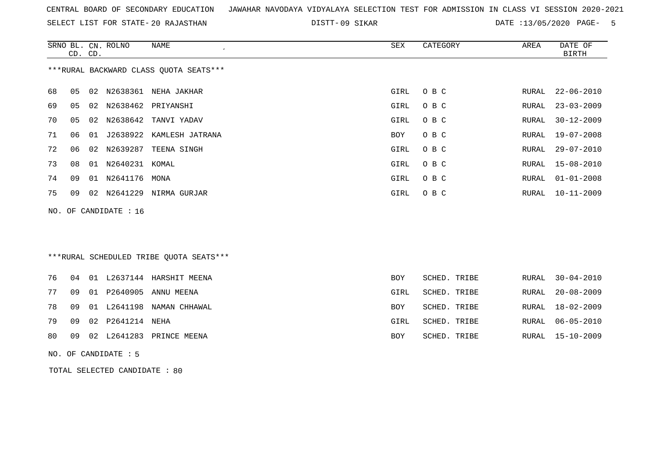SELECT LIST FOR STATE- DISTT- 20 RAJASTHAN

09 SIKAR DATE :13/05/2020 PAGE- 5

|    | CD. CD. |    | SRNO BL. CN. ROLNO    | <b>NAME</b><br>$\epsilon$               | <b>SEX</b> | CATEGORY     | AREA          | DATE OF<br><b>BIRTH</b> |
|----|---------|----|-----------------------|-----------------------------------------|------------|--------------|---------------|-------------------------|
|    |         |    |                       | *** RURAL BACKWARD CLASS QUOTA SEATS*** |            |              |               |                         |
| 68 | 05      | 02 |                       | N2638361 NEHA JAKHAR                    | GIRL       | O B C        | RURAL         | $22 - 06 - 2010$        |
| 69 | 05      | 02 | N2638462              | PRIYANSHI                               | GIRL       | O B C        | RURAL         | $23 - 03 - 2009$        |
| 70 | 05      | 02 | N2638642              | TANVI YADAV                             | GIRL       | O B C        | RURAL         | $30 - 12 - 2009$        |
| 71 | 06      | 01 |                       | J2638922 KAMLESH JATRANA                | <b>BOY</b> | O B C        | ${\tt RURAL}$ | $19 - 07 - 2008$        |
| 72 | 06      | 02 | N2639287              | TEENA SINGH                             | GIRL       | O B C        | RURAL         | $29 - 07 - 2010$        |
| 73 | 08      |    | 01 N2640231 KOMAL     |                                         | GIRL       | O B C        | RURAL         | $15 - 08 - 2010$        |
| 74 | 09      |    | 01 N2641176           | MONA                                    | GIRL       | O B C        | RURAL         | $01 - 01 - 2008$        |
| 75 | 09      |    |                       | 02 N2641229 NIRMA GURJAR                | GIRL       | O B C        | RURAL         | $10 - 11 - 2009$        |
|    |         |    | NO. OF CANDIDATE : 16 |                                         |            |              |               |                         |
|    |         |    |                       |                                         |            |              |               |                         |
|    |         |    |                       |                                         |            |              |               |                         |
|    |         |    |                       | ***RURAL SCHEDULED TRIBE QUOTA SEATS*** |            |              |               |                         |
| 76 | 04      |    |                       | 01 L2637144 HARSHIT MEENA               | <b>BOY</b> | SCHED. TRIBE | RURAL         | $30 - 04 - 2010$        |
| 77 | 09      |    | 01 P2640905           | ANNU MEENA                              | GIRL       | SCHED. TRIBE | RURAL         | $20 - 08 - 2009$        |
| 78 |         |    |                       |                                         |            |              |               |                         |
|    | 09      | 01 | L2641198              | NAMAN CHHAWAL                           | <b>BOY</b> | SCHED. TRIBE | <b>RURAL</b>  | $18 - 02 - 2009$        |
| 79 | 09      | 02 | P2641214              | NEHA                                    | GIRL       | SCHED. TRIBE | <b>RURAL</b>  | $06 - 05 - 2010$        |
| 80 | 09      | 02 | L2641283              | PRINCE MEENA                            | BOY        | SCHED. TRIBE | <b>RURAL</b>  | $15 - 10 - 2009$        |

NO. OF CANDIDATE : 5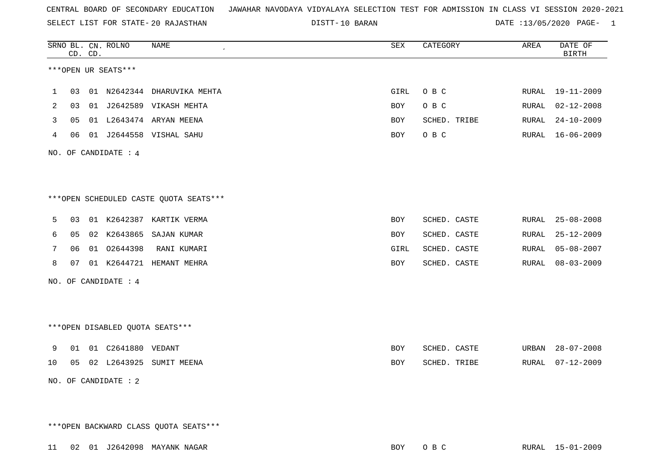SELECT LIST FOR STATE- DISTT- 20 RAJASTHAN

10 BARAN DATE :13/05/2020 PAGE- 1

|              |    | CD. CD. | SRNO BL. CN. ROLNO              | <b>NAME</b>                            | SEX        | CATEGORY     | AREA          | DATE OF<br><b>BIRTH</b> |
|--------------|----|---------|---------------------------------|----------------------------------------|------------|--------------|---------------|-------------------------|
|              |    |         | ***OPEN UR SEATS***             |                                        |            |              |               |                         |
| $\mathbf{1}$ | 03 |         |                                 | 01 N2642344 DHARUVIKA MEHTA            | GIRL       | O B C        | RURAL         | $19 - 11 - 2009$        |
| 2            | 03 |         |                                 | 01 J2642589 VIKASH MEHTA               | BOY        | O B C        | <b>RURAL</b>  | $02 - 12 - 2008$        |
| 3            | 05 |         |                                 | 01 L2643474 ARYAN MEENA                | BOY        | SCHED. TRIBE | RURAL         | $24 - 10 - 2009$        |
| 4            | 06 |         |                                 | 01 J2644558 VISHAL SAHU                | BOY        | O B C        | RURAL         | $16 - 06 - 2009$        |
|              |    |         | NO. OF CANDIDATE : 4            |                                        |            |              |               |                         |
|              |    |         |                                 | ***OPEN SCHEDULED CASTE QUOTA SEATS*** |            |              |               |                         |
| 5            | 03 |         |                                 | 01 K2642387 KARTIK VERMA               | BOY        | SCHED. CASTE | RURAL         | $25 - 08 - 2008$        |
| 6            | 05 |         |                                 | 02 K2643865 SAJAN KUMAR                | BOY        | SCHED. CASTE | RURAL         | $25 - 12 - 2009$        |
| 7            | 06 |         | 01 02644398                     | RANI KUMARI                            | GIRL       | SCHED. CASTE | RURAL         | $05 - 08 - 2007$        |
| 8            | 07 |         |                                 | 01 K2644721 HEMANT MEHRA               | BOY        | SCHED. CASTE | ${\tt RURAL}$ | $08 - 03 - 2009$        |
|              |    |         | NO. OF CANDIDATE : 4            |                                        |            |              |               |                         |
|              |    |         | ***OPEN DISABLED QUOTA SEATS*** |                                        |            |              |               |                         |
| 9            | 01 |         | 01  C2641880  VEDANT            |                                        | <b>BOY</b> | SCHED. CASTE | URBAN         | $28 - 07 - 2008$        |
| 10           | 05 |         |                                 | 02 L2643925 SUMIT MEENA                | <b>BOY</b> | SCHED. TRIBE | RURAL         | $07 - 12 - 2009$        |
|              |    |         | NO. OF CANDIDATE : 2            |                                        |            |              |               |                         |

\*\*\*OPEN BACKWARD CLASS QUOTA SEATS\*\*\*

11 02 01 J2642098 MAYANK NAGAR BOY O B C RURAL 15-01-2009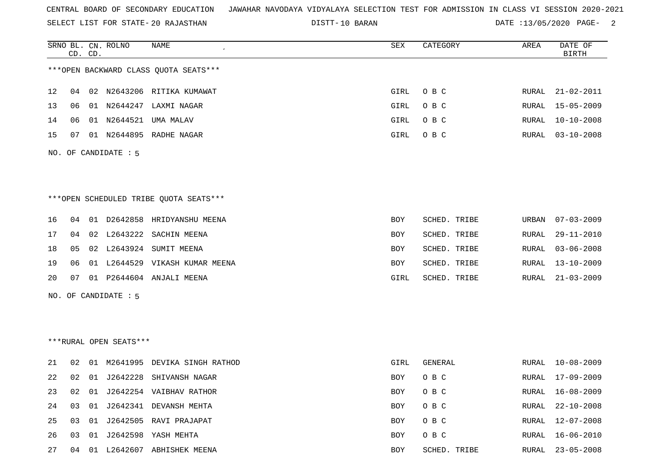SELECT LIST FOR STATE- DISTT- 20 RAJASTHAN

DISTT-10 BARAN **DATE** :13/05/2020 PAGE- 2

|                   |    | CD. CD. | SRNO BL. CN. ROLNO     | NAME                                   | ${\tt SEX}$ | CATEGORY     | AREA  | DATE OF<br><b>BIRTH</b> |
|-------------------|----|---------|------------------------|----------------------------------------|-------------|--------------|-------|-------------------------|
|                   |    |         |                        | *** OPEN BACKWARD CLASS QUOTA SEATS*** |             |              |       |                         |
| $12 \overline{ }$ | 04 |         |                        | 02 N2643206 RITIKA KUMAWAT             | GIRL        | O B C        | RURAL | $21 - 02 - 2011$        |
| 13                | 06 |         |                        | 01 N2644247 LAXMI NAGAR                | GIRL        | O B C        | RURAL | $15 - 05 - 2009$        |
| 14                | 06 |         |                        | 01 N2644521 UMA MALAV                  | GIRL        | O B C        | RURAL | $10 - 10 - 2008$        |
| 15                | 07 |         |                        | 01 N2644895 RADHE NAGAR                | GIRL        | O B C        |       | RURAL 03-10-2008        |
|                   |    |         | NO. OF CANDIDATE : 5   |                                        |             |              |       |                         |
|                   |    |         |                        |                                        |             |              |       |                         |
|                   |    |         |                        | ***OPEN SCHEDULED TRIBE QUOTA SEATS*** |             |              |       |                         |
| 16                | 04 |         |                        | 01 D2642858 HRIDYANSHU MEENA           | BOY         | SCHED. TRIBE | URBAN | $07 - 03 - 2009$        |
| 17                | 04 |         |                        | 02 L2643222 SACHIN MEENA               | BOY         | SCHED. TRIBE | RURAL | $29 - 11 - 2010$        |
| 18                | 05 |         |                        | 02 L2643924 SUMIT MEENA                | BOY         | SCHED. TRIBE | RURAL | $03 - 06 - 2008$        |
| 19                | 06 |         |                        | 01 L2644529 VIKASH KUMAR MEENA         | BOY         | SCHED. TRIBE | RURAL | $13 - 10 - 2009$        |
| 20                | 07 |         |                        | 01 P2644604 ANJALI MEENA               | GIRL        | SCHED. TRIBE | RURAL | 21-03-2009              |
|                   |    |         | NO. OF CANDIDATE : 5   |                                        |             |              |       |                         |
|                   |    |         |                        |                                        |             |              |       |                         |
|                   |    |         | ***RURAL OPEN SEATS*** |                                        |             |              |       |                         |
| 21                | 02 |         |                        | 01 M2641995 DEVIKA SINGH RATHOD        | GIRL        | GENERAL      | RURAL | 10-08-2009              |
| 22                | 02 |         |                        | 01 J2642228 SHIVANSH NAGAR             | BOY         | O B C        | RURAL | $17 - 09 - 2009$        |
| 23                | 02 |         |                        | 01 J2642254 VAIBHAV RATHOR             | <b>BOY</b>  | O B C        | RURAL | $16 - 08 - 2009$        |
| 24                | 03 |         |                        | 01 J2642341 DEVANSH MEHTA              | BOY         | O B C        | RURAL | $22 - 10 - 2008$        |
| 25                | 03 |         |                        | 01 J2642505 RAVI PRAJAPAT              | <b>BOY</b>  | O B C        | RURAL | $12 - 07 - 2008$        |

26 03 01 J2642598 YASH MEHTA BOY O B C RURAL 16-06-2010 27 04 01 L2642607 ABHISHEK MEENA BOY SCHED. TRIBE RURAL 23-05-2008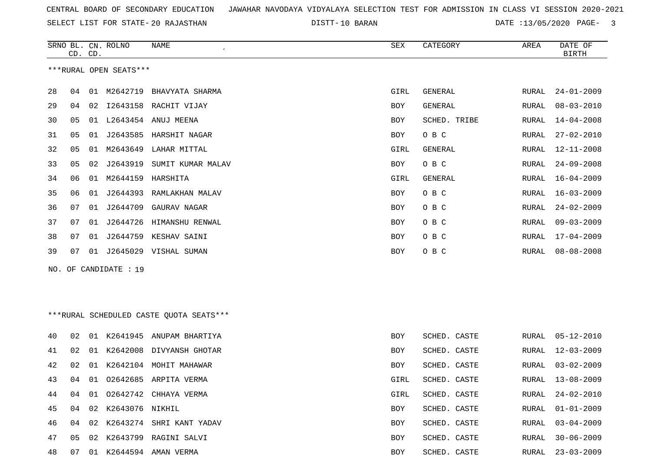SELECT LIST FOR STATE- DISTT- 20 RAJASTHAN

DISTT-10 BARAN **DATE** :13/05/2020 PAGE- 3

|     | CD. CD. |    | SRNO BL. CN. ROLNO     | NAME                                    | SEX        | CATEGORY       | AREA  | DATE OF<br><b>BIRTH</b> |
|-----|---------|----|------------------------|-----------------------------------------|------------|----------------|-------|-------------------------|
|     |         |    | ***RURAL OPEN SEATS*** |                                         |            |                |       |                         |
| 28  | 04      |    | 01 M2642719            | BHAVYATA SHARMA                         | GIRL       | <b>GENERAL</b> | RURAL | $24 - 01 - 2009$        |
| 29  | 04      | 02 |                        | I2643158 RACHIT VIJAY                   | <b>BOY</b> | GENERAL        | RURAL | $08 - 03 - 2010$        |
| 30  | 05      | 01 |                        | L2643454 ANUJ MEENA                     | <b>BOY</b> | SCHED. TRIBE   | RURAL | $14 - 04 - 2008$        |
| 31  | 05      | 01 |                        | J2643585 HARSHIT NAGAR                  | BOY        | O B C          | RURAL | $27 - 02 - 2010$        |
| 32  | 05      | 01 | M2643649               | LAHAR MITTAL                            | GIRL       | GENERAL        | RURAL | $12 - 11 - 2008$        |
| 33  | 05      | 02 | J2643919               | SUMIT KUMAR MALAV                       | BOY        | O B C          | RURAL | $24 - 09 - 2008$        |
| 34  | 06      | 01 | M2644159               | HARSHITA                                | GIRL       | GENERAL        | RURAL | 16-04-2009              |
| 35  | 06      | 01 | J2644393               | RAMLAKHAN MALAV                         | BOY        | O B C          | RURAL | $16 - 03 - 2009$        |
| 36  | 07      | 01 |                        | J2644709 GAURAV NAGAR                   | <b>BOY</b> | O B C          | RURAL | $24 - 02 - 2009$        |
| 37  | 07      | 01 | J2644726               | HIMANSHU RENWAL                         | BOY        | O B C          | RURAL | $09 - 03 - 2009$        |
| 38  | 07      | 01 | J2644759               | KESHAV SAINI                            | BOY        | O B C          | RURAL | $17 - 04 - 2009$        |
| 39  | 07      |    |                        | 01 J2645029 VISHAL SUMAN                | BOY        | O B C          | RURAL | $08 - 08 - 2008$        |
| NO. |         |    | OF CANDIDATE : 19      |                                         |            |                |       |                         |
|     |         |    |                        |                                         |            |                |       |                         |
|     |         |    |                        |                                         |            |                |       |                         |
|     |         |    |                        | ***RURAL SCHEDULED CASTE QUOTA SEATS*** |            |                |       |                         |
| 40  | 02      | 01 |                        | K2641945 ANUPAM BHARTIYA                | BOY        | SCHED. CASTE   | RURAL | $05 - 12 - 2010$        |
| 41  | 02      | 01 | K2642008               | DIVYANSH GHOTAR                         | BOY        | SCHED. CASTE   | RURAL | $12 - 03 - 2009$        |
| 42  | 02      | 01 |                        | K2642104 MOHIT MAHAWAR                  | BOY        | SCHED. CASTE   | RURAL | $03 - 02 - 2009$        |
| 43  | 04      | 01 |                        | 02642685 ARPITA VERMA                   | GIRL       | SCHED. CASTE   | RURAL | $13 - 08 - 2009$        |
| 44  | 04      |    |                        | 01 02642742 CHHAYA VERMA                | GIRL       | SCHED. CASTE   | RURAL | $24 - 02 - 2010$        |
| 45  | 04      |    | 02 K2643076 NIKHIL     |                                         | BOY        | SCHED. CASTE   | RURAL | $01 - 01 - 2009$        |
| 46  | 04      |    |                        | 02 K2643274 SHRI KANT YADAV             | BOY        | SCHED. CASTE   | RURAL | $03 - 04 - 2009$        |
| 47  | 05      |    |                        | 02 K2643799 RAGINI SALVI                | BOY        | SCHED. CASTE   | RURAL | $30 - 06 - 2009$        |
| 48  | 07      |    |                        | 01 K2644594 AMAN VERMA                  | BOY        | SCHED. CASTE   | RURAL | $23 - 03 - 2009$        |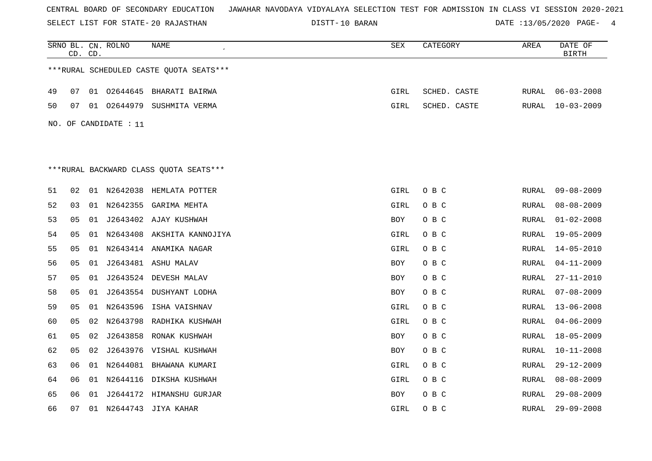SELECT LIST FOR STATE- DISTT- 20 RAJASTHAN

10 BARAN DATE :13/05/2020 PAGE- 4

|     |    | CD. CD. | SRNO BL. CN. ROLNO | NAME<br>$\epsilon$                       | SEX        | CATEGORY     | AREA         | DATE OF<br><b>BIRTH</b> |
|-----|----|---------|--------------------|------------------------------------------|------------|--------------|--------------|-------------------------|
|     |    |         |                    | *** RURAL SCHEDULED CASTE QUOTA SEATS*** |            |              |              |                         |
| 49  | 07 |         | 01 02644645        | BHARATI BAIRWA                           | GIRL       | SCHED. CASTE | RURAL        | $06 - 03 - 2008$        |
| 50  | 07 |         |                    | 01 02644979 SUSHMITA VERMA               | GIRL       | SCHED. CASTE | RURAL        | $10 - 03 - 2009$        |
| NO. |    |         | OF CANDIDATE : 11  |                                          |            |              |              |                         |
|     |    |         |                    |                                          |            |              |              |                         |
|     |    |         |                    | ***RURAL BACKWARD CLASS OUOTA SEATS***   |            |              |              |                         |
| 51  | 02 |         |                    | 01 N2642038 HEMLATA POTTER               | GIRL       | O B C        | RURAL        | $09 - 08 - 2009$        |
| 52  | 03 |         |                    | 01 N2642355 GARIMA MEHTA                 | GIRL       | O B C        | RURAL        | $08 - 08 - 2009$        |
| 53  | 05 | 01      |                    | J2643402 AJAY KUSHWAH                    | BOY        | O B C        | RURAL        | $01 - 02 - 2008$        |
| 54  | 05 |         |                    | 01 N2643408 AKSHITA KANNOJIYA            | GIRL       | O B C        | RURAL        | 19-05-2009              |
| 55  | 05 |         |                    | 01 N2643414 ANAMIKA NAGAR                | GIRL       | O B C        | RURAL        | $14 - 05 - 2010$        |
| 56  | 05 |         |                    | 01 J2643481 ASHU MALAV                   | BOY        | O B C        | RURAL        | $04 - 11 - 2009$        |
| 57  | 05 | 01      |                    | J2643524 DEVESH MALAV                    | <b>BOY</b> | O B C        | <b>RURAL</b> | $27 - 11 - 2010$        |
| 58  | 05 |         |                    | 01 J2643554 DUSHYANT LODHA               | <b>BOY</b> | O B C        | <b>RURAL</b> | $07 - 08 - 2009$        |
| 59  | 05 | 01      | N2643596           | ISHA VAISHNAV                            | GIRL       | O B C        | RURAL        | $13 - 06 - 2008$        |
| 60  | 05 | 02      |                    | N2643798 RADHIKA KUSHWAH                 | GIRL       | O B C        | RURAL        | $04 - 06 - 2009$        |
| 61  | 05 | 02      |                    | J2643858 RONAK KUSHWAH                   | BOY        | O B C        | RURAL        | $18 - 05 - 2009$        |
| 62  | 05 | 02      |                    | J2643976 VISHAL KUSHWAH                  | BOY        | O B C        | RURAL        | $10 - 11 - 2008$        |
| 63  | 06 |         |                    | 01 N2644081 BHAWANA KUMARI               | GIRL       | O B C        | RURAL        | $29 - 12 - 2009$        |
| 64  | 06 |         |                    | 01 N2644116 DIKSHA KUSHWAH               | GIRL       | O B C        | RURAL        | $08 - 08 - 2009$        |
| 65  | 06 |         |                    | 01 J2644172 HIMANSHU GURJAR              | <b>BOY</b> | O B C        | <b>RURAL</b> | $29 - 08 - 2009$        |
| 66  | 07 |         |                    | 01 N2644743 JIYA KAHAR                   | GIRL       | O B C        | <b>RURAL</b> | $29 - 09 - 2008$        |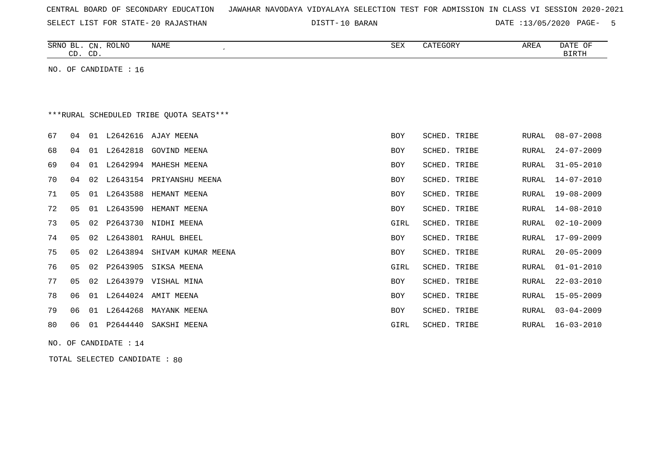| CENTRAL BOARD OF SECONDARY EDUCATION – JAWAHAR NAVODAYA VIDYALAYA SELECTION TEST FOR ADMISSION IN CLASS VI SESSION 2020-2021 |  |  |  |  |
|------------------------------------------------------------------------------------------------------------------------------|--|--|--|--|
|------------------------------------------------------------------------------------------------------------------------------|--|--|--|--|

10 BARAN DATE :13/05/2020 PAGE- 5

| NAME<br>SRNO BL. CN. ROLNO<br>CD. CD.   | SEX | CATEGORY | AREA | DATE OF<br>BIRTH |
|-----------------------------------------|-----|----------|------|------------------|
| NO. OF CANDIDATE $: 16$                 |     |          |      |                  |
|                                         |     |          |      |                  |
| ***RURAL SCHEDULED TRIBE QUOTA SEATS*** |     |          |      |                  |

67 04 01 L2642616 AJAY MEENA BOY SCHED. TRIBE RURAL 08-07-2008

| 68 | 04 |    |          | 01 L2642818 GOVIND MEENA       | BOY  | SCHED. TRIBE | RURAL | 24-07-2009       |
|----|----|----|----------|--------------------------------|------|--------------|-------|------------------|
| 69 | 04 | 01 |          | L2642994 MAHESH MEENA          | BOY  | SCHED. TRIBE | RURAL | 31-05-2010       |
| 70 | 04 | 02 |          | L2643154 PRIYANSHU MEENA       | BOY  | SCHED. TRIBE | RURAL | 14-07-2010       |
| 71 | 05 | 01 | L2643588 | HEMANT MEENA                   | BOY  | SCHED. TRIBE | RURAL | 19-08-2009       |
| 72 | 05 | 01 | L2643590 | HEMANT MEENA                   | BOY  | SCHED. TRIBE | RURAL | 14-08-2010       |
| 73 | 05 | 02 |          | P2643730 NIDHI MEENA           | GIRL | SCHED. TRIBE | RURAL | 02-10-2009       |
| 74 | 05 |    |          | 02 L2643801 RAHUL BHEEL        | BOY  | SCHED. TRIBE |       | RURAL 17-09-2009 |
| 75 | 05 |    |          | 02 L2643894 SHIVAM KUMAR MEENA | BOY  | SCHED. TRIBE |       | RURAL 20-05-2009 |
| 76 | 05 |    |          | 02 P2643905 SIKSA MEENA        | GIRL | SCHED. TRIBE | RURAL | 01-01-2010       |
| 77 | 05 |    |          | 02 L2643979 VISHAL MINA        | BOY  | SCHED. TRIBE | RURAL | 22-03-2010       |
| 78 | 06 | 01 |          | L2644024 AMIT MEENA            | BOY  | SCHED. TRIBE | RURAL | 15-05-2009       |
| 79 | 06 | 01 | L2644268 | MAYANK MEENA                   | BOY  | SCHED. TRIBE | RURAL | $03 - 04 - 2009$ |
| 80 | 06 | 01 | P2644440 | SAKSHI MEENA                   | GIRL | SCHED. TRIBE | RURAL | 16-03-2010       |
|    |    |    |          |                                |      |              |       |                  |

NO. OF CANDIDATE : 14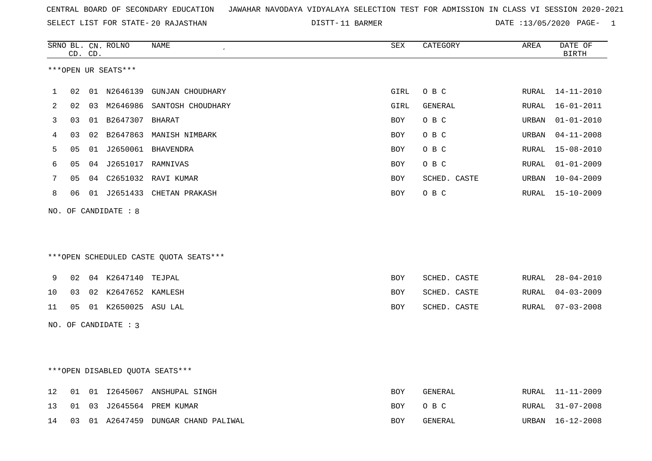DISTT-11 BARMER **DATE** :13/05/2020 PAGE- 1

|    |    | CD. CD. | SRNO BL. CN. ROLNO   | NAME                                   | SEX        | CATEGORY     | AREA  | DATE OF<br><b>BIRTH</b> |
|----|----|---------|----------------------|----------------------------------------|------------|--------------|-------|-------------------------|
|    |    |         | ***OPEN UR SEATS***  |                                        |            |              |       |                         |
| 1  | 02 |         |                      | 01 N2646139 GUNJAN CHOUDHARY           | GIRL       | O B C        | RURAL | 14-11-2010              |
| 2  | 02 |         |                      | 03 M2646986 SANTOSH CHOUDHARY          | GIRL       | GENERAL      | RURAL | $16 - 01 - 2011$        |
| 3  | 03 |         | 01 B2647307 BHARAT   |                                        | <b>BOY</b> | O B C        | URBAN | $01 - 01 - 2010$        |
| 4  | 03 |         |                      | 02 B2647863 MANISH NIMBARK             | BOY        | O B C        | URBAN | $04 - 11 - 2008$        |
| 5  | 05 |         |                      |                                        | <b>BOY</b> | O B C        | RURAL | $15 - 08 - 2010$        |
| 6  | 05 |         | 04 J2651017 RAMNIVAS |                                        | <b>BOY</b> | O B C        | RURAL | $01 - 01 - 2009$        |
| 7  | 05 |         |                      | 04 C2651032 RAVI KUMAR                 | <b>BOY</b> | SCHED. CASTE | URBAN | $10 - 04 - 2009$        |
| 8  | 06 |         |                      | 01 J2651433 CHETAN PRAKASH             | BOY        | O B C        | RURAL | 15-10-2009              |
|    |    |         | NO. OF CANDIDATE : 8 | ***OPEN SCHEDULED CASTE QUOTA SEATS*** |            |              |       |                         |
| 9  | 02 |         | 04 K2647140 TEJPAL   |                                        | BOY        | SCHED. CASTE | RURAL | $28 - 04 - 2010$        |
| 10 | 03 |         | 02 K2647652 KAMLESH  |                                        | BOY        | SCHED. CASTE | RURAL | $04 - 03 - 2009$        |
| 11 | 05 |         | 01 K2650025 ASU LAL  |                                        | <b>BOY</b> | SCHED. CASTE | RURAL | $07 - 03 - 2008$        |
|    |    |         | NO. OF CANDIDATE : 3 |                                        |            |              |       |                         |
|    |    |         |                      | *** OPEN DISABLED QUOTA SEATS***       |            |              |       |                         |
| 12 | 01 |         |                      | 01 I2645067 ANSHUPAL SINGH             | <b>BOY</b> | GENERAL      | RURAL | $11 - 11 - 2009$        |
| 13 | 01 |         |                      | 03 J2645564 PREM KUMAR                 | <b>BOY</b> | O B C        | RURAL | $31 - 07 - 2008$        |
| 14 | 03 |         |                      | 01 A2647459 DUNGAR CHAND PALIWAL       | <b>BOY</b> | GENERAL      | URBAN | $16 - 12 - 2008$        |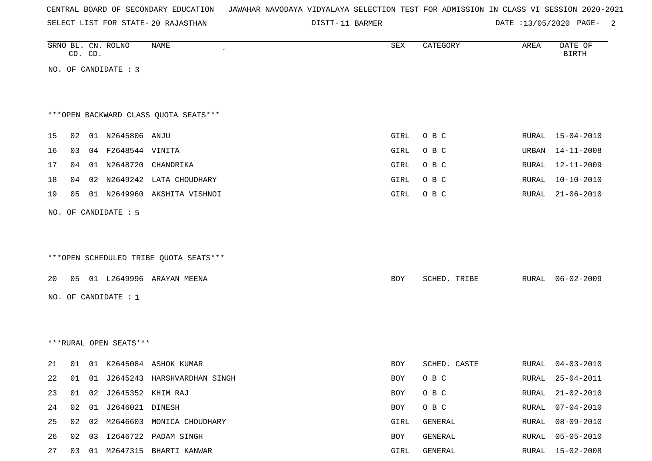| CENTRAL BOARD OF SECONDARY EDUCATION – JAWAHAR NAVODAYA VIDYALAYA SELECTION TEST FOR ADMISSION IN CLASS VI SESSION 2020-2021 |  |  |  |  |  |
|------------------------------------------------------------------------------------------------------------------------------|--|--|--|--|--|
|------------------------------------------------------------------------------------------------------------------------------|--|--|--|--|--|

DISTT-11 BARMER DATE :13/05/2020 PAGE- 2

|    |    | CD. CD. | SRNO BL. CN. ROLNO     | NAME                                   | SEX  | CATEGORY     | AREA         | DATE OF<br><b>BIRTH</b> |
|----|----|---------|------------------------|----------------------------------------|------|--------------|--------------|-------------------------|
|    |    |         | NO. OF CANDIDATE : 3   |                                        |      |              |              |                         |
|    |    |         |                        |                                        |      |              |              |                         |
|    |    |         |                        |                                        |      |              |              |                         |
|    |    |         |                        | *** OPEN BACKWARD CLASS QUOTA SEATS*** |      |              |              |                         |
| 15 | 02 |         | 01 N2645806 ANJU       |                                        | GIRL | O B C        |              | RURAL 15-04-2010        |
| 16 | 03 |         | 04 F2648544 VINITA     |                                        | GIRL | O B C        | URBAN        | $14 - 11 - 2008$        |
| 17 | 04 |         |                        | 01 N2648720 CHANDRIKA                  | GIRL | O B C        | RURAL        | 12-11-2009              |
| 18 | 04 |         |                        | 02 N2649242 LATA CHOUDHARY             | GIRL | O B C        | RURAL        | $10 - 10 - 2010$        |
| 19 | 05 |         |                        | 01 N2649960 AKSHITA VISHNOI            | GIRL | O B C        | RURAL        | $21 - 06 - 2010$        |
|    |    |         | NO. OF CANDIDATE : 5   |                                        |      |              |              |                         |
|    |    |         |                        |                                        |      |              |              |                         |
|    |    |         |                        |                                        |      |              |              |                         |
|    |    |         |                        | ***OPEN SCHEDULED TRIBE QUOTA SEATS*** |      |              |              |                         |
| 20 |    |         |                        | 05 01 L2649996 ARAYAN MEENA            | BOY  | SCHED. TRIBE | RURAL        | $06 - 02 - 2009$        |
|    |    |         | NO. OF CANDIDATE : 1   |                                        |      |              |              |                         |
|    |    |         |                        |                                        |      |              |              |                         |
|    |    |         |                        |                                        |      |              |              |                         |
|    |    |         | ***RURAL OPEN SEATS*** |                                        |      |              |              |                         |
|    |    |         |                        |                                        |      |              |              |                         |
| 21 | 01 |         |                        | 01 K2645084 ASHOK KUMAR                | BOY  | SCHED. CASTE | RURAL        | $04 - 03 - 2010$        |
| 22 |    |         |                        | 01 01 J2645243 HARSHVARDHAN SINGH      | BOY  | O B C        | RURAL        | $25 - 04 - 2011$        |
| 23 | 01 |         | 02 J2645352 KHIM RAJ   |                                        | BOY  | O B C        | RURAL        | $21 - 02 - 2010$        |
| 24 | 02 |         | 01 J2646021 DINESH     |                                        | BOY  | O B C        | <b>RURAL</b> | $07 - 04 - 2010$        |
| 25 | 02 |         |                        | 02 M2646603 MONICA CHOUDHARY           | GIRL | GENERAL      | RURAL        | $08 - 09 - 2010$        |
| 26 | 02 | 03      |                        | I2646722 PADAM SINGH                   | BOY  | GENERAL      | RURAL        | $05 - 05 - 2010$        |
| 27 |    |         |                        | 03 01 M2647315 BHARTI KANWAR           | GIRL | GENERAL      |              | RURAL 15-02-2008        |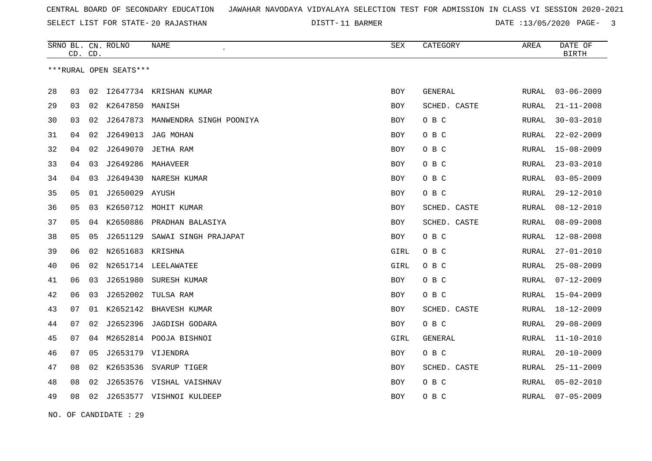SELECT LIST FOR STATE- DISTT- 20 RAJASTHAN

DISTT-11 BARMER 2020 DATE :13/05/2020 PAGE- 3

|    | CD. CD. |    | SRNO BL. CN. ROLNO     | <b>NAME</b>               | <b>SEX</b> | CATEGORY       | AREA         | DATE OF<br><b>BIRTH</b> |
|----|---------|----|------------------------|---------------------------|------------|----------------|--------------|-------------------------|
|    |         |    | ***RURAL OPEN SEATS*** |                           |            |                |              |                         |
|    |         |    |                        |                           |            |                |              |                         |
| 28 | 03      | 02 |                        | 12647734 KRISHAN KUMAR    | <b>BOY</b> | <b>GENERAL</b> | <b>RURAL</b> | $03 - 06 - 2009$        |
| 29 | 03      |    | 02 K2647850 MANISH     |                           | BOY        | SCHED. CASTE   | RURAL        | $21 - 11 - 2008$        |
| 30 | 03      | 02 | J2647873               | MANWENDRA SINGH POONIYA   | <b>BOY</b> | O B C          | <b>RURAL</b> | $30 - 03 - 2010$        |
| 31 | 04      | 02 | J2649013               | JAG MOHAN                 | BOY        | O B C          | RURAL        | $22 - 02 - 2009$        |
| 32 | 04      | 02 | J2649070               | JETHA RAM                 | BOY        | O B C          | <b>RURAL</b> | $15 - 08 - 2009$        |
| 33 | 04      | 03 | J2649286               | MAHAVEER                  | BOY        | O B C          | RURAL        | $23 - 03 - 2010$        |
| 34 | 04      | 03 | J2649430               | NARESH KUMAR              | <b>BOY</b> | O B C          | <b>RURAL</b> | $03 - 05 - 2009$        |
| 35 | 05      |    | 01 J2650029 AYUSH      |                           | BOY        | O B C          | RURAL        | $29 - 12 - 2010$        |
| 36 | 05      | 03 |                        | K2650712 MOHIT KUMAR      | <b>BOY</b> | SCHED. CASTE   | <b>RURAL</b> | $08 - 12 - 2010$        |
| 37 | 05      | 04 |                        | K2650886 PRADHAN BALASIYA | BOY        | SCHED. CASTE   | RURAL        | $08 - 09 - 2008$        |
| 38 | 05      | 05 | J2651129               | SAWAI SINGH PRAJAPAT      | BOY        | O B C          | RURAL        | $12 - 08 - 2008$        |
| 39 | 06      |    | 02 N2651683 KRISHNA    |                           | GIRL       | O B C          | RURAL        | $27 - 01 - 2010$        |
| 40 | 06      | 02 |                        | N2651714 LEELAWATEE       | GIRL       | O B C          | RURAL        | $25 - 08 - 2009$        |
| 41 | 06      | 03 | J2651980               | SURESH KUMAR              | BOY        | O B C          | RURAL        | $07 - 12 - 2009$        |
| 42 | 06      | 03 | J2652002               | TULSA RAM                 | BOY        | O B C          | RURAL        | $15 - 04 - 2009$        |
| 43 | 07      | 01 |                        | K2652142 BHAVESH KUMAR    | BOY        | SCHED. CASTE   | RURAL        | $18 - 12 - 2009$        |
| 44 | 07      | 02 | J2652396               | JAGDISH GODARA            | BOY        | O B C          | RURAL        | $29 - 08 - 2009$        |
| 45 | 07      | 04 |                        | M2652814 POOJA BISHNOI    | GIRL       | GENERAL        | <b>RURAL</b> | $11 - 10 - 2010$        |
| 46 | 07      | 05 |                        | J2653179 VIJENDRA         | BOY        | O B C          | RURAL        | $20 - 10 - 2009$        |
| 47 | 08      | 02 |                        | K2653536 SVARUP TIGER     | <b>BOY</b> | SCHED. CASTE   | RURAL        | $25 - 11 - 2009$        |
| 48 | 08      | 02 |                        | J2653576 VISHAL VAISHNAV  | BOY        | O B C          | RURAL        | $05 - 02 - 2010$        |
| 49 | 08      | 02 |                        | J2653577 VISHNOI KULDEEP  | BOY        | O B C          | RURAL        | $07 - 05 - 2009$        |
|    |         |    |                        |                           |            |                |              |                         |

NO. OF CANDIDATE : 29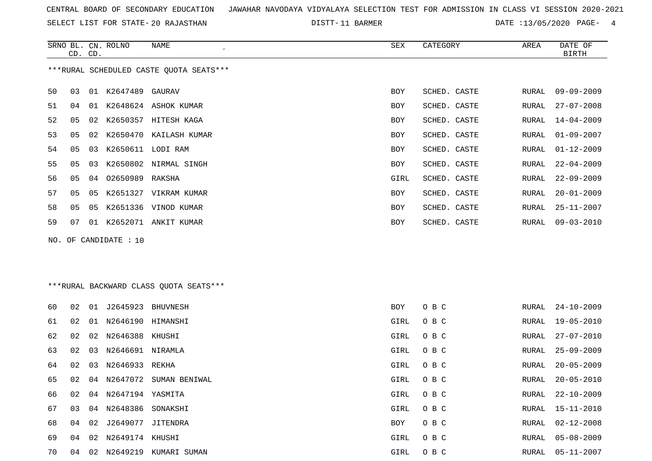SELECT LIST FOR STATE- DISTT- 20 RAJASTHAN

DISTT-11 BARMER **DATE** :13/05/2020 PAGE- 4

|    | CD. CD.                                 |    | SRNO BL. CN. ROLNO    | NAME                    | SEX        | CATEGORY     | AREA  | DATE OF<br><b>BIRTH</b> |  |  |  |  |
|----|-----------------------------------------|----|-----------------------|-------------------------|------------|--------------|-------|-------------------------|--|--|--|--|
|    | ***RURAL SCHEDULED CASTE OUOTA SEATS*** |    |                       |                         |            |              |       |                         |  |  |  |  |
| 50 | 03                                      |    | 01 K2647489 GAURAV    |                         | <b>BOY</b> | SCHED. CASTE | RURAL | $09 - 09 - 2009$        |  |  |  |  |
| 51 | 04                                      |    |                       | 01 K2648624 ASHOK KUMAR | BOY        | SCHED. CASTE | RURAL | $27 - 07 - 2008$        |  |  |  |  |
| 52 | 05                                      | 02 |                       | K2650357 HITESH KAGA    | BOY        | SCHED. CASTE | RURAL | 14-04-2009              |  |  |  |  |
| 53 | 05                                      | 02 |                       | K2650470 KAILASH KUMAR  | BOY        | SCHED. CASTE | RURAL | $01 - 09 - 2007$        |  |  |  |  |
| 54 | 05                                      | 03 | K2650611 LODI RAM     |                         | <b>BOY</b> | SCHED. CASTE | RURAL | $01 - 12 - 2009$        |  |  |  |  |
| 55 | 05                                      | 03 |                       | K2650802 NIRMAL SINGH   | BOY        | SCHED. CASTE | RURAL | $22 - 04 - 2009$        |  |  |  |  |
| 56 | 05                                      | 04 | 02650989 RAKSHA       |                         | GIRL       | SCHED. CASTE | RURAL | $22 - 09 - 2009$        |  |  |  |  |
| 57 | 05                                      | 05 |                       | K2651327 VIKRAM KUMAR   | <b>BOY</b> | SCHED. CASTE | RURAL | $20 - 01 - 2009$        |  |  |  |  |
| 58 | 05                                      |    |                       | 05 K2651336 VINOD KUMAR | BOY        | SCHED. CASTE | RURAL | $25 - 11 - 2007$        |  |  |  |  |
| 59 | 07                                      | 01 |                       | K2652071 ANKIT KUMAR    | <b>BOY</b> | SCHED. CASTE | RURAL | $09 - 03 - 2010$        |  |  |  |  |
|    |                                         |    | NO. OF CANDIDATE : 10 |                         |            |              |       |                         |  |  |  |  |

# \*\*\*RURAL BACKWARD CLASS QUOTA SEATS\*\*\*

| 60 | 02 | 01 | J2645923             | BHUVNESH               | BOY  | O B C | RURAL | 24-10-2009       |
|----|----|----|----------------------|------------------------|------|-------|-------|------------------|
| 61 | 02 | 01 | N2646190 HIMANSHI    |                        | GIRL | O B C | RURAL | 19-05-2010       |
| 62 | 02 |    | 02 N2646388 KHUSHI   |                        | GIRL | O B C | RURAL | 27-07-2010       |
| 63 | 02 | 03 | N2646691 NIRAMLA     |                        | GIRL | O B C | RURAL | 25-09-2009       |
| 64 | 02 | 03 | N2646933 REKHA       |                        | GIRL | O B C | RURAL | 20-05-2009       |
| 65 | 02 | 04 |                      | N2647072 SUMAN BENIWAL | GIRL | O B C | RURAL | $20 - 05 - 2010$ |
| 66 | 02 | 04 | N2647194 YASMITA     |                        | GIRL | O B C | RURAL | 22-10-2009       |
| 67 | 03 | 04 | N2648386 SONAKSHI    |                        | GIRL | O B C | RURAL | 15-11-2010       |
| 68 | 04 |    | 02 J2649077 JITENDRA |                        | BOY  | O B C | RURAL | 02-12-2008       |
| 69 | 04 |    | 02 N2649174 KHUSHI   |                        | GIRL | O B C |       | RURAL 05-08-2009 |
| 70 | 04 | 02 | N2649219             | KUMARI SUMAN           | GIRL | O B C | RURAL | 05-11-2007       |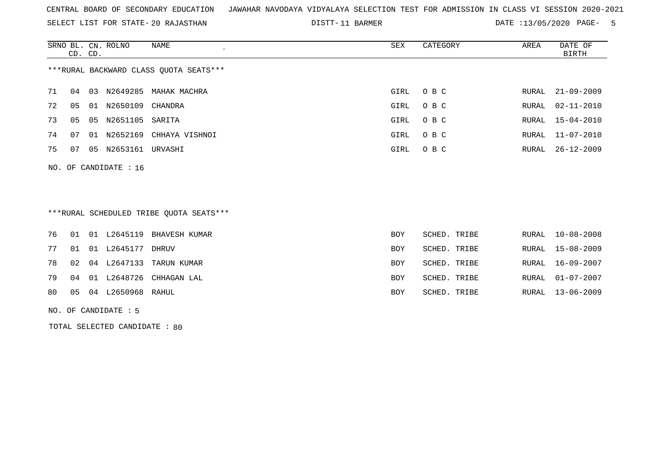SELECT LIST FOR STATE- DISTT- 20 RAJASTHAN

DISTT-11 BARMER DATE :13/05/2020 PAGE- 5

|                                        | CD. CD. |    | SRNO BL. CN. ROLNO | NAME<br>$\cdot$ | SEX  | CATEGORY | AREA  | DATE OF<br>BIRTH |  |  |  |
|----------------------------------------|---------|----|--------------------|-----------------|------|----------|-------|------------------|--|--|--|
| ***RURAL BACKWARD CLASS QUOTA SEATS*** |         |    |                    |                 |      |          |       |                  |  |  |  |
| 71                                     | 04      | 03 | N2649285           | MAHAK MACHRA    | GIRL | O B C    |       | RURAL 21-09-2009 |  |  |  |
| 72                                     | 05      | 01 | N2650109           | CHANDRA         | GIRL | O B C    | RURAL | $02 - 11 - 2010$ |  |  |  |
| 73                                     | 05      | 05 | N2651105           | SARITA          | GIRL | O B C    |       | RURAL 15-04-2010 |  |  |  |
| 74                                     | 07      | 01 | N2652169           | CHHAYA VISHNOI  | GIRL | O B C    |       | RURAL 11-07-2010 |  |  |  |
| 75                                     | 07      | 05 | N2653161           | URVASHI         | GIRL | O B C    | RURAL | $26 - 12 - 2009$ |  |  |  |

# \*\*\*RURAL SCHEDULED TRIBE QUOTA SEATS\*\*\*

|    |  |                      | 76 01 01 L2645119 BHAVESH KUMAR | BOY | SCHED. TRIBE | RURAL 10-08-2008 |
|----|--|----------------------|---------------------------------|-----|--------------|------------------|
| 77 |  | 01 01 L2645177 DHRUV |                                 | BOY | SCHED. TRIBE | RURAL 15-08-2009 |
|    |  |                      | 78 02 04 L2647133 TARUN KUMAR   | BOY | SCHED. TRIBE | RURAL 16-09-2007 |
| 79 |  |                      | 04 01 L2648726 CHHAGAN LAL      | BOY | SCHED. TRIBE | RURAL 01-07-2007 |
| 80 |  | 05 04 L2650968 RAHUL |                                 | BOY | SCHED. TRIBE | RURAL 13-06-2009 |
|    |  |                      |                                 |     |              |                  |

NO. OF CANDIDATE : 5

NO. OF CANDIDATE : 16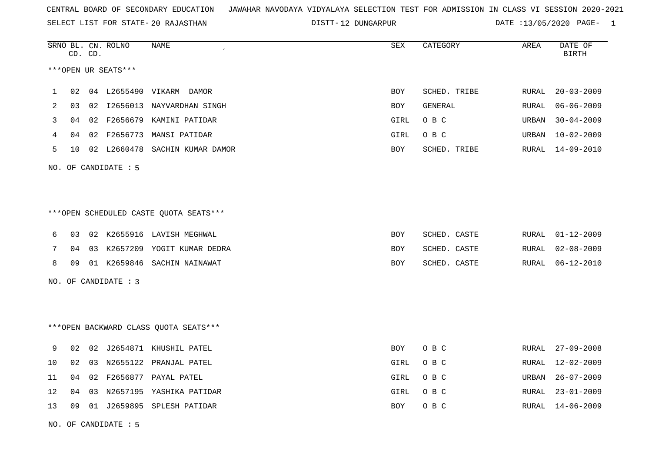SELECT LIST FOR STATE- DISTT- 20 RAJASTHAN

12 DUNGARPUR DATE :13/05/2020 PAGE- 1

|      |    | CD. CD. | SRNO BL. CN. ROLNO   | <b>NAME</b>                             | <b>SEX</b> | CATEGORY     | AREA         | DATE OF<br><b>BIRTH</b> |
|------|----|---------|----------------------|-----------------------------------------|------------|--------------|--------------|-------------------------|
|      |    |         | ***OPEN UR SEATS***  |                                         |            |              |              |                         |
| 1    | 02 |         | 04 L2655490          | VIKARM DAMOR                            | <b>BOY</b> | SCHED. TRIBE | <b>RURAL</b> | $20 - 03 - 2009$        |
| 2    | 03 |         |                      | 02 I2656013 NAYVARDHAN SINGH            | BOY        | GENERAL      | RURAL        | $06 - 06 - 2009$        |
| 3    | 04 |         | 02 F2656679          | KAMINI PATIDAR                          | GIRL       | O B C        | <b>URBAN</b> | $30 - 04 - 2009$        |
| 4    | 04 |         | 02 F2656773          | MANSI PATIDAR                           | GIRL       | O B C        | <b>URBAN</b> | $10 - 02 - 2009$        |
| 5    | 10 |         | 02 L2660478          | SACHIN KUMAR DAMOR                      | BOY        | SCHED. TRIBE | RURAL        | $14 - 09 - 2010$        |
|      |    |         | NO. OF CANDIDATE : 5 |                                         |            |              |              |                         |
|      |    |         |                      |                                         |            |              |              |                         |
|      |    |         |                      | *** OPEN SCHEDULED CASTE QUOTA SEATS*** |            |              |              |                         |
| 6    | 03 |         |                      | 02 K2655916 LAVISH MEGHWAL              | BOY        | SCHED. CASTE | RURAL        | $01 - 12 - 2009$        |
| 7    | 04 | 03      | K2657209             | YOGIT KUMAR DEDRA                       | BOY        | SCHED. CASTE | <b>RURAL</b> | $02 - 08 - 2009$        |
| 8    | 09 |         |                      | 01 K2659846 SACHIN NAINAWAT             | BOY        | SCHED. CASTE | RURAL        | $06 - 12 - 2010$        |
|      |    |         | NO. OF CANDIDATE : 3 |                                         |            |              |              |                         |
|      |    |         |                      |                                         |            |              |              |                         |
|      |    |         |                      | *** OPEN BACKWARD CLASS QUOTA SEATS***  |            |              |              |                         |
| 9    | 02 |         |                      | 02 J2654871 KHUSHIL PATEL               | <b>BOY</b> | O B C        | RURAL        | $27 - 09 - 2008$        |
| $10$ | 02 |         |                      | 03 N2655122 PRANJAL PATEL               | GIRL       | O B C        | RURAL        | $12 - 02 - 2009$        |
| 11   | 04 | 02      |                      | F2656877 PAYAL PATEL                    | GIRL       | O B C        | <b>URBAN</b> | $26 - 07 - 2009$        |
| 12   | 04 | 03      |                      | N2657195 YASHIKA PATIDAR                | GIRL       | O B C        | <b>RURAL</b> | $23 - 01 - 2009$        |
| 13   | 09 |         |                      | 01 J2659895 SPLESH PATIDAR              | BOY        | O B C        | RURAL        | 14-06-2009              |
|      |    |         |                      |                                         |            |              |              |                         |

NO. OF CANDIDATE : 5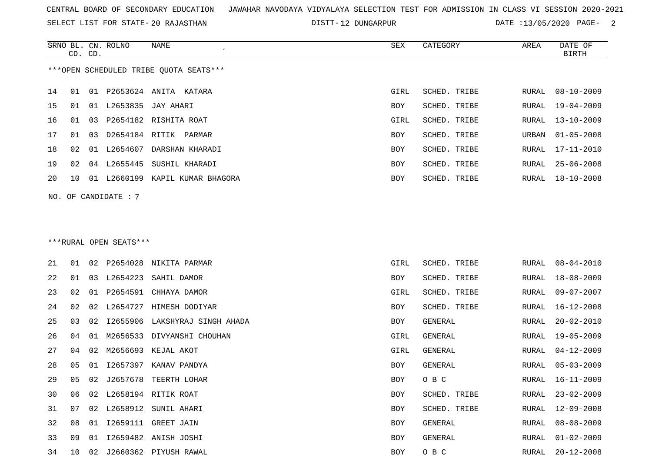SELECT LIST FOR STATE- DISTT- 20 RAJASTHAN

DISTT-12 DUNGARPUR DATE :13/05/2020 PAGE- 2

|    |    | CD. CD. | SRNO BL. CN. ROLNO     | NAME                                   | SEX        | CATEGORY     | AREA         | DATE OF<br><b>BIRTH</b> |
|----|----|---------|------------------------|----------------------------------------|------------|--------------|--------------|-------------------------|
|    |    |         |                        | ***OPEN SCHEDULED TRIBE QUOTA SEATS*** |            |              |              |                         |
| 14 | 01 |         |                        | 01 P2653624 ANITA KATARA               | GIRL       | SCHED. TRIBE | RURAL        | $08 - 10 - 2009$        |
| 15 | 01 |         |                        | 01 L2653835 JAY AHARI                  | <b>BOY</b> | SCHED. TRIBE | RURAL        | $19 - 04 - 2009$        |
| 16 | 01 | 03      |                        | P2654182 RISHITA ROAT                  | GIRL       | SCHED. TRIBE | RURAL        | $13 - 10 - 2009$        |
| 17 | 01 | 03      |                        | D2654184 RITIK PARMAR                  | BOY        | SCHED. TRIBE | URBAN        | $01 - 05 - 2008$        |
| 18 | 02 |         |                        | 01 L2654607 DARSHAN KHARADI            | BOY        | SCHED. TRIBE | RURAL        | 17-11-2010              |
| 19 | 02 |         |                        | 04 L2655445 SUSHIL KHARADI             | BOY        | SCHED. TRIBE | RURAL        | $25 - 06 - 2008$        |
| 20 | 10 |         |                        | 01 L2660199 KAPIL KUMAR BHAGORA        | BOY        | SCHED. TRIBE |              | RURAL 18-10-2008        |
|    |    |         | NO. OF CANDIDATE: 7    |                                        |            |              |              |                         |
|    |    |         |                        |                                        |            |              |              |                         |
|    |    |         |                        |                                        |            |              |              |                         |
|    |    |         | ***RURAL OPEN SEATS*** |                                        |            |              |              |                         |
| 21 | 01 |         |                        | 02 P2654028 NIKITA PARMAR              | GIRL       | SCHED. TRIBE | RURAL        | $08 - 04 - 2010$        |
| 22 | 01 | 03      | L2654223               | SAHIL DAMOR                            | BOY        | SCHED. TRIBE | RURAL        | $18 - 08 - 2009$        |
| 23 | 02 |         |                        | 01 P2654591 CHHAYA DAMOR               | GIRL       | SCHED. TRIBE | RURAL        | $09 - 07 - 2007$        |
| 24 | 02 |         |                        | 02 L2654727 HIMESH DODIYAR             | BOY        | SCHED. TRIBE | RURAL        | $16 - 12 - 2008$        |
| 25 | 03 | 02      |                        | 12655906 LAKSHYRAJ SINGH AHADA         | BOY        | GENERAL      | <b>RURAL</b> | $20 - 02 - 2010$        |
| 26 | 04 |         |                        | 01 M2656533 DIVYANSHI CHOUHAN          | GIRL       | GENERAL      | RURAL        | 19-05-2009              |
| 27 | 04 | 02      |                        | M2656693 KEJAL AKOT                    | GIRL       | GENERAL      | RURAL        | $04 - 12 - 2009$        |
| 28 | 05 |         |                        | 01 12657397 KANAV PANDYA               | BOY        | GENERAL      | RURAL        | $05 - 03 - 2009$        |
| 29 | 05 |         |                        | 02 J2657678 TEERTH LOHAR               | BOY        | O B C        | RURAL        | $16 - 11 - 2009$        |
| 30 | 06 |         |                        | 02 L2658194 RITIK ROAT                 | BOY        | SCHED. TRIBE | RURAL        | $23 - 02 - 2009$        |
| 31 | 07 |         |                        | 02 L2658912 SUNIL AHARI                | BOY        | SCHED. TRIBE | RURAL        | 12-09-2008              |
| 32 | 08 |         |                        | 01 I2659111 GREET JAIN                 | BOY        | GENERAL      | RURAL        | $08 - 08 - 2009$        |

 09 01 I2659482 ANISH JOSHI BOY GENERAL RURAL 01-02-2009 10 02 J2660362 PIYUSH RAWAL BOY O B C RURAL 20-12-2008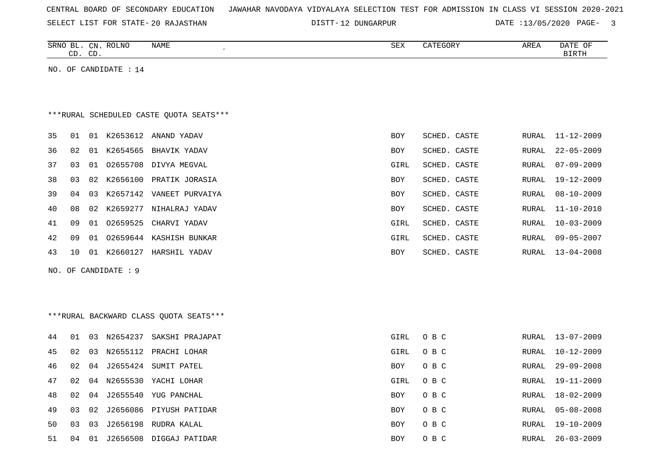| CENTRAL BOARD OF SECONDARY EDUCATION – JAWAHAR NAVODAYA VIDYALAYA SELECTION TEST FOR ADMISSION IN CLASS VI SESSION 2020-2021 |  |  |  |  |
|------------------------------------------------------------------------------------------------------------------------------|--|--|--|--|
|------------------------------------------------------------------------------------------------------------------------------|--|--|--|--|

DISTT-12 DUNGARPUR DATE :13/05/2020 PAGE- 3

|    | CD. CD. |    | SRNO BL. CN. ROLNO      | NAME                                     | ${\tt SEX}$ | CATEGORY     | AREA         | DATE OF<br><b>BIRTH</b> |
|----|---------|----|-------------------------|------------------------------------------|-------------|--------------|--------------|-------------------------|
|    |         |    | NO. OF CANDIDATE : $14$ |                                          |             |              |              |                         |
|    |         |    |                         |                                          |             |              |              |                         |
|    |         |    |                         |                                          |             |              |              |                         |
|    |         |    |                         | *** RURAL SCHEDULED CASTE QUOTA SEATS*** |             |              |              |                         |
| 35 | 01      |    |                         | 01 K2653612 ANAND YADAV                  | BOY         | SCHED. CASTE | RURAL        | 11-12-2009              |
| 36 | 02      |    | 01 K2654565             | BHAVIK YADAV                             | BOY         | SCHED. CASTE | RURAL        | $22 - 05 - 2009$        |
| 37 | 03      |    |                         | 01 02655708 DIVYA MEGVAL                 | GIRL        | SCHED. CASTE | RURAL        | $07 - 09 - 2009$        |
| 38 | 03      | 02 |                         | K2656100 PRATIK JORASIA                  | BOY         | SCHED. CASTE | RURAL        | 19-12-2009              |
| 39 | 04      | 03 |                         | K2657142 VANEET PURVAIYA                 | BOY         | SCHED. CASTE | RURAL        | $08 - 10 - 2009$        |
| 40 | 08      | 02 |                         | K2659277 NIHALRAJ YADAV                  | BOY         | SCHED. CASTE | <b>RURAL</b> | $11 - 10 - 2010$        |
| 41 | 09      |    | 01 02659525             | CHARVI YADAV                             | GIRL        | SCHED. CASTE | RURAL        | $10 - 03 - 2009$        |
| 42 | 09      |    |                         | 01 02659644 KASHISH BUNKAR               | GIRL        | SCHED. CASTE | RURAL        | $09 - 05 - 2007$        |
| 43 | 10      |    |                         | 01 K2660127 HARSHIL YADAV                | BOY         | SCHED. CASTE | RURAL        | $13 - 04 - 2008$        |
|    |         |    | NO. OF CANDIDATE : 9    |                                          |             |              |              |                         |
|    |         |    |                         |                                          |             |              |              |                         |
|    |         |    |                         |                                          |             |              |              |                         |
|    |         |    |                         | *** RURAL BACKWARD CLASS QUOTA SEATS***  |             |              |              |                         |
| 44 | 01      |    |                         | 03 N2654237 SAKSHI PRAJAPAT              | <b>GIRL</b> | O B C        | RURAL        | 13-07-2009              |
| 45 | 02      | 03 |                         | N2655112 PRACHI LOHAR                    | GIRL        | O B C        | <b>RURAL</b> | $10 - 12 - 2009$        |
| 46 | 02      |    |                         | 04 J2655424 SUMIT PATEL                  | BOY         | O B C        | RURAL        | $29 - 09 - 2008$        |
| 47 | 02      |    |                         | 04 N2655530 YACHI LOHAR                  | GIRL        | O B C        | RURAL        | $19 - 11 - 2009$        |
| 48 | 02      | 04 |                         | J2655540 YUG PANCHAL                     | BOY         | O B C        | RURAL        | $18 - 02 - 2009$        |
| 49 | 03      | 02 |                         | J2656086 PIYUSH PATIDAR                  | <b>BOY</b>  | O B C        | RURAL        | $05 - 08 - 2008$        |
| 50 | 03      | 03 |                         | J2656198 RUDRA KALAL                     | <b>BOY</b>  | O B C        | <b>RURAL</b> | $19 - 10 - 2009$        |
| 51 | 04      |    |                         | 01 J2656508 DIGGAJ PATIDAR               | BOY         | O B C        | RURAL        | $26 - 03 - 2009$        |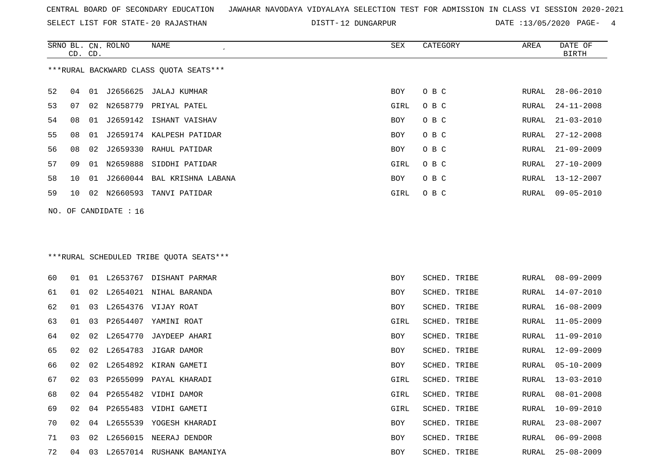SELECT LIST FOR STATE- DISTT- 20 RAJASTHAN

DISTT-12 DUNGARPUR DATE :13/05/2020 PAGE- 4

|          | SRNO BL. CN. ROLNO<br>CD. CD. | <b>NAME</b><br>$\cdot$                  | SEX        | CATEGORY     | AREA  | DATE OF<br><b>BIRTH</b> |
|----------|-------------------------------|-----------------------------------------|------------|--------------|-------|-------------------------|
|          |                               | ***RURAL BACKWARD CLASS OUOTA SEATS***  |            |              |       |                         |
| 52<br>04 | 01 J2656625                   | JALAJ KUMHAR                            | <b>BOY</b> | O B C        | RURAL | $28 - 06 - 2010$        |
| 53<br>07 |                               | 02 N2658779 PRIYAL PATEL                | GIRL       | O B C        | RURAL | $24 - 11 - 2008$        |
| 08<br>54 | J2659142<br>01                | ISHANT VAISHAV                          | <b>BOY</b> | O B C        | RURAL | $21 - 03 - 2010$        |
| 55<br>08 | J2659174<br>01                | KALPESH PATIDAR                         | <b>BOY</b> | O B C        | RURAL | $27 - 12 - 2008$        |
| 56<br>08 | J2659330<br>02                | RAHUL PATIDAR                           | BOY        | O B C        | RURAL | $21 - 09 - 2009$        |
| 57<br>09 | N2659888<br>01                | SIDDHI PATIDAR                          | GIRL       | O B C        | RURAL | $27 - 10 - 2009$        |
| 58<br>10 | 01                            | J2660044 BAL KRISHNA LABANA             | BOY        | O B C        | RURAL | $13 - 12 - 2007$        |
| 59<br>10 | N2660593<br>02                | TANVI PATIDAR                           | GIRL       | O B C        | RURAL | $09 - 05 - 2010$        |
| NO.      | OF CANDIDATE : 16             |                                         |            |              |       |                         |
|          |                               | ***RURAL SCHEDULED TRIBE QUOTA SEATS*** |            |              |       |                         |
| 01<br>60 | 01 L2653767                   | DISHANT PARMAR                          | <b>BOY</b> | SCHED. TRIBE | RURAL | $08 - 09 - 2009$        |

| 61 | 01 | 02 | L2654021    | NIHAL BARANDA    | BOY  | SCHED. TRIBE | RURAL | 14-07-2010       |
|----|----|----|-------------|------------------|------|--------------|-------|------------------|
| 62 | 01 | 03 | L2654376    | VIJAY ROAT       | BOY  | SCHED. TRIBE | RURAL | 16-08-2009       |
| 63 | 01 | 03 | P2654407    | YAMINI ROAT      | GIRL | SCHED. TRIBE | RURAL | $11 - 05 - 2009$ |
| 64 | 02 | 02 | L2654770    | JAYDEEP AHARI    | BOY  | SCHED. TRIBE | RURAL | 11-09-2010       |
| 65 | 02 | 02 | L2654783    | JIGAR DAMOR      | BOY  | SCHED. TRIBE | RURAL | $12 - 09 - 2009$ |
| 66 | 02 | 02 | L2654892    | KIRAN GAMETI     | BOY  | SCHED. TRIBE | RURAL | $05 - 10 - 2009$ |
| 67 | 02 | 03 | P2655099    | PAYAL KHARADI    | GIRL | SCHED. TRIBE | RURAL | $13 - 03 - 2010$ |
| 68 | 02 |    | 04 P2655482 | VIDHI DAMOR      | GIRL | SCHED. TRIBE | RURAL | $08 - 01 - 2008$ |
| 69 | 02 |    | 04 P2655483 | VIDHI GAMETI     | GIRL | SCHED. TRIBE | RURAL | $10 - 09 - 2010$ |
| 70 | 02 | 04 | L2655539    | YOGESH KHARADI   | BOY  | SCHED. TRIBE | RURAL | $23 - 08 - 2007$ |
| 71 | 03 | 02 | L2656015    | NEERAJ DENDOR    | BOY  | SCHED. TRIBE | RURAL | $06 - 09 - 2008$ |
| 72 | 04 | 03 | L2657014    | RUSHANK BAMANIYA | BOY  | SCHED. TRIBE | RURAL | $25 - 08 - 2009$ |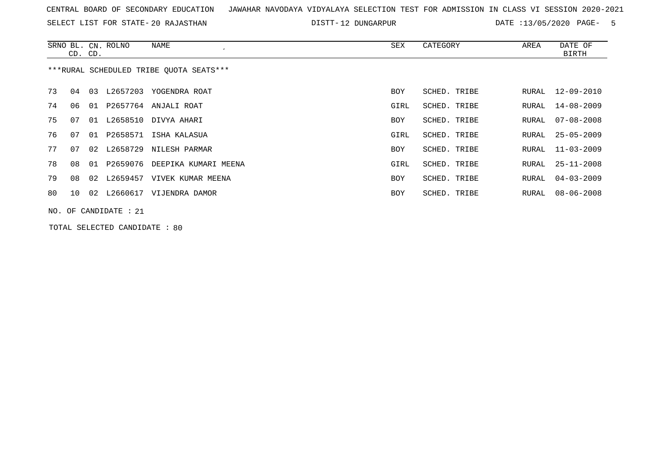SELECT LIST FOR STATE- DISTT- 20 RAJASTHAN

12 DUNGARPUR DATE :13/05/2020 PAGE- 5

|    | CD. CD.                                 |    | SRNO BL. CN. ROLNO      | NAME                             | SEX        | CATEGORY     | AREA  | DATE OF<br>BIRTH |  |  |  |
|----|-----------------------------------------|----|-------------------------|----------------------------------|------------|--------------|-------|------------------|--|--|--|
|    | ***RURAL SCHEDULED TRIBE OUOTA SEATS*** |    |                         |                                  |            |              |       |                  |  |  |  |
| 73 | 04                                      | 03 | L2657203                | YOGENDRA ROAT                    | <b>BOY</b> | SCHED. TRIBE | RURAL | 12-09-2010       |  |  |  |
| 74 | 06                                      |    |                         | 01 P2657764 ANJALI ROAT          | GIRL       | SCHED. TRIBE | RURAL | 14-08-2009       |  |  |  |
| 75 | 07                                      |    |                         | 01 L2658510 DIVYA AHARI          | BOY        | SCHED. TRIBE | RURAL | 07-08-2008       |  |  |  |
| 76 | 07                                      |    |                         | 01 P2658571 ISHA KALASUA         | GIRL       | SCHED. TRIBE | RURAL | $25 - 05 - 2009$ |  |  |  |
| 77 | 07                                      |    | 02 L2658729             | NILESH PARMAR                    | <b>BOY</b> | SCHED. TRIBE | RURAL | $11 - 03 - 2009$ |  |  |  |
| 78 | 08                                      |    |                         | 01 P2659076 DEEPIKA KUMARI MEENA | GIRL       | SCHED. TRIBE | RURAL | $25 - 11 - 2008$ |  |  |  |
| 79 | 08                                      | 02 | L2659457                | VIVEK KUMAR MEENA                | BOY        | SCHED. TRIBE | RURAL | $04 - 03 - 2009$ |  |  |  |
| 80 | 10                                      |    |                         | 02 L2660617 VIJENDRA DAMOR       | BOY        | SCHED. TRIBE | RURAL | 08-06-2008       |  |  |  |
|    |                                         |    | NO. OF CANDIDATE : $21$ |                                  |            |              |       |                  |  |  |  |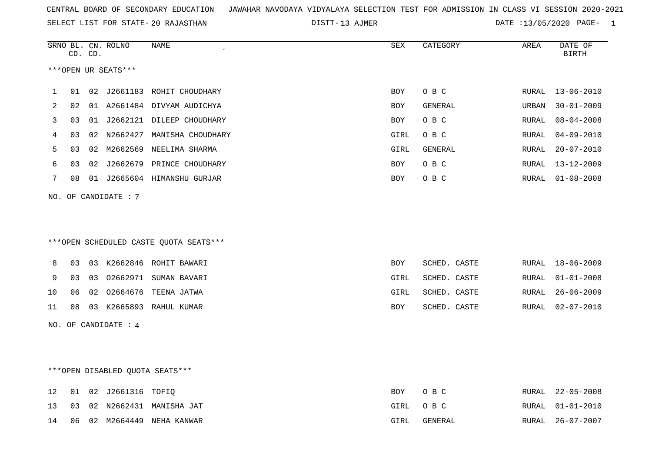| CENTRAL BOARD OF SECONDARY EDUCATION GUNAHAR NAVODAYA VIDYALAYA SELECTION TEST FOR ADMISSION IN CLASS VI SESSION 2020-2021 |  |  |  |  |  |  |  |  |  |  |  |  |  |  |  |  |  |  |
|----------------------------------------------------------------------------------------------------------------------------|--|--|--|--|--|--|--|--|--|--|--|--|--|--|--|--|--|--|
|----------------------------------------------------------------------------------------------------------------------------|--|--|--|--|--|--|--|--|--|--|--|--|--|--|--|--|--|--|

SELECT LIST FOR STATE- DISTT- 20 RAJASTHAN 13 AJMER DATE :13/05/2020 PAGE- 1

|    |    | CD. CD. | SRNO BL. CN. ROLNO   | NAME                                   | ${\tt SEX}$ | CATEGORY     | AREA  | DATE OF<br><b>BIRTH</b> |
|----|----|---------|----------------------|----------------------------------------|-------------|--------------|-------|-------------------------|
|    |    |         | ***OPEN UR SEATS***  |                                        |             |              |       |                         |
| 1  | 01 |         |                      | 02 J2661183 ROHIT CHOUDHARY            | <b>BOY</b>  | O B C        | RURAL | $13 - 06 - 2010$        |
| 2  | 02 |         |                      | 01 A2661484 DIVYAM AUDICHYA            | BOY         | GENERAL      | URBAN | $30 - 01 - 2009$        |
| 3  | 03 |         |                      | 01 J2662121 DILEEP CHOUDHARY           | BOY         | O B C        | RURAL | $08 - 04 - 2008$        |
| 4  | 03 | 02      |                      | N2662427 MANISHA CHOUDHARY             | GIRL        | овс          | RURAL | $04 - 09 - 2010$        |
| 5  | 03 |         |                      | 02 M2662569 NEELIMA SHARMA             | GIRL        | GENERAL      | RURAL | $20 - 07 - 2010$        |
| 6  | 03 | 02      |                      | J2662679 PRINCE CHOUDHARY              | <b>BOY</b>  | O B C        | RURAL | 13-12-2009              |
| 7  | 08 |         |                      | 01 J2665604 HIMANSHU GURJAR            | <b>BOY</b>  | O B C        | RURAL | $01 - 08 - 2008$        |
|    |    |         | NO. OF CANDIDATE : 7 |                                        |             |              |       |                         |
|    |    |         |                      |                                        |             |              |       |                         |
|    |    |         |                      |                                        |             |              |       |                         |
|    |    |         |                      | ***OPEN SCHEDULED CASTE OUOTA SEATS*** |             |              |       |                         |
| 8  | 03 |         |                      | 03 K2662846 ROHIT BAWARI               | <b>BOY</b>  | SCHED. CASTE | RURAL | $18 - 06 - 2009$        |
| 9  | 03 | 03      |                      | 02662971 SUMAN BAVARI                  | GIRL        | SCHED. CASTE | RURAL | $01 - 01 - 2008$        |
| 10 | 06 | 02      |                      | 02664676 TEENA JATWA                   | GIRL        | SCHED. CASTE | RURAL | $26 - 06 - 2009$        |
| 11 | 08 |         |                      | 03 K2665893 RAHUL KUMAR                | BOY         | SCHED. CASTE | RURAL | $02 - 07 - 2010$        |
|    |    |         | NO. OF CANDIDATE : 4 |                                        |             |              |       |                         |
|    |    |         |                      |                                        |             |              |       |                         |
|    |    |         |                      |                                        |             |              |       |                         |
|    |    |         |                      | ***OPEN DISABLED QUOTA SEATS***        |             |              |       |                         |
| 12 | 01 |         | 02 J2661316 TOFIQ    |                                        | BOY         | O B C        | RURAL | $22 - 05 - 2008$        |
| 13 | 03 |         |                      | 02 N2662431 MANISHA JAT                | GIRL        | O B C        | RURAL | $01 - 01 - 2010$        |
| 14 | 06 |         |                      | 02 M2664449 NEHA KANWAR                | GIRL        | GENERAL      | RURAL | $26 - 07 - 2007$        |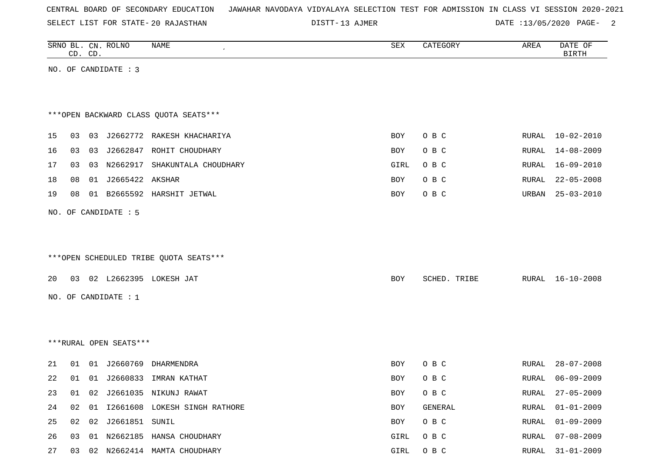| CENTRAL BOARD OF SECONDARY EDUCATION – JAWAHAR NAVODAYA VIDYALAYA SELECTION TEST FOR ADMISSION IN CLASS VI SESSION 2020-2021 |  |  |  |  |
|------------------------------------------------------------------------------------------------------------------------------|--|--|--|--|
|------------------------------------------------------------------------------------------------------------------------------|--|--|--|--|

DISTT-13 AJMER 2012 13/05/2020 PAGE- 2

|    |    | CD. CD. | SRNO BL. CN. ROLNO     | NAME                                   | SEX  | CATEGORY     | AREA         | DATE OF<br><b>BIRTH</b> |
|----|----|---------|------------------------|----------------------------------------|------|--------------|--------------|-------------------------|
|    |    |         | NO. OF CANDIDATE : 3   |                                        |      |              |              |                         |
|    |    |         |                        |                                        |      |              |              |                         |
|    |    |         |                        |                                        |      |              |              |                         |
|    |    |         |                        | *** OPEN BACKWARD CLASS QUOTA SEATS*** |      |              |              |                         |
| 15 | 03 |         |                        | 03 J2662772 RAKESH KHACHARIYA          | BOY  | O B C        | RURAL        | $10 - 02 - 2010$        |
| 16 | 03 |         |                        | 03 J2662847 ROHIT CHOUDHARY            | BOY  | O B C        | RURAL        | 14-08-2009              |
| 17 | 03 |         |                        | 03 N2662917 SHAKUNTALA CHOUDHARY       | GIRL | O B C        | RURAL        | 16-09-2010              |
| 18 | 08 |         | 01 J2665422 AKSHAR     |                                        | BOY  | O B C        | RURAL        | $22 - 05 - 2008$        |
| 19 | 08 |         |                        | 01 B2665592 HARSHIT JETWAL             | BOY  | O B C        | URBAN        | $25 - 03 - 2010$        |
|    |    |         | NO. OF CANDIDATE : 5   |                                        |      |              |              |                         |
|    |    |         |                        |                                        |      |              |              |                         |
|    |    |         |                        |                                        |      |              |              |                         |
|    |    |         |                        | ***OPEN SCHEDULED TRIBE QUOTA SEATS*** |      |              |              |                         |
| 20 |    |         |                        | 03 02 L2662395 LOKESH JAT              | BOY  | SCHED. TRIBE | RURAL        | $16 - 10 - 2008$        |
|    |    |         |                        |                                        |      |              |              |                         |
|    |    |         | NO. OF CANDIDATE : $1$ |                                        |      |              |              |                         |
|    |    |         |                        |                                        |      |              |              |                         |
|    |    |         |                        |                                        |      |              |              |                         |
|    |    |         | ***RURAL OPEN SEATS*** |                                        |      |              |              |                         |
| 21 | 01 |         | 01 J2660769            | DHARMENDRA                             | BOY  | O B C        | RURAL        | $28 - 07 - 2008$        |
| 22 | 01 |         |                        | 01 J2660833 IMRAN KATHAT               | BOY  | O B C        | RURAL        | $06 - 09 - 2009$        |
| 23 | 01 |         |                        | 02 J2661035 NIKUNJ RAWAT               | BOY  | O B C        | RURAL        | $27 - 05 - 2009$        |
| 24 | 02 |         |                        | 01 I2661608 LOKESH SINGH RATHORE       | BOY  | GENERAL      | <b>RURAL</b> | $01 - 01 - 2009$        |
| 25 | 02 |         | 02 J2661851 SUNIL      |                                        | BOY  | O B C        | RURAL        | $01 - 09 - 2009$        |
| 26 | 03 |         |                        | 01 N2662185 HANSA CHOUDHARY            | GIRL | O B C        | RURAL        | $07 - 08 - 2009$        |
| 27 |    |         |                        | 03 02 N2662414 MAMTA CHOUDHARY         | GIRL | O B C        |              | RURAL 31-01-2009        |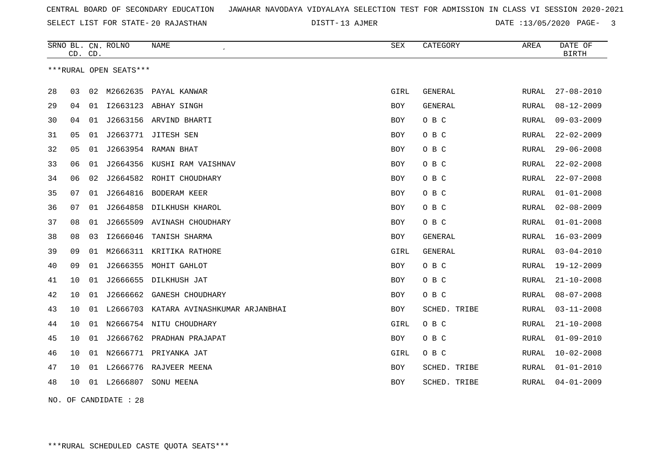DISTT-13 AJMER DATE :13/05/2020 PAGE- 3

|    | CD. CD. |    | SRNO BL. CN. ROLNO     | NAME                          | <b>SEX</b> | CATEGORY       | AREA         | DATE OF<br><b>BIRTH</b> |
|----|---------|----|------------------------|-------------------------------|------------|----------------|--------------|-------------------------|
|    |         |    | ***RURAL OPEN SEATS*** |                               |            |                |              |                         |
| 28 | 03      | 02 | M2662635               | PAYAL KANWAR                  | GIRL       | GENERAL        | <b>RURAL</b> | $27 - 08 - 2010$        |
| 29 | 04      | 01 |                        | I2663123 ABHAY SINGH          | BOY        | <b>GENERAL</b> | RURAL        | $08 - 12 - 2009$        |
| 30 | 04      | 01 |                        | J2663156 ARVIND BHARTI        | BOY        | O B C          | RURAL        | $09 - 03 - 2009$        |
| 31 | 05      | 01 | J2663771               | JITESH SEN                    | <b>BOY</b> | O B C          | <b>RURAL</b> | $22 - 02 - 2009$        |
| 32 | 05      | 01 |                        | J2663954 RAMAN BHAT           | BOY        | O B C          | RURAL        | $29 - 06 - 2008$        |
| 33 | 06      | 01 | J2664356               | KUSHI RAM VAISHNAV            | <b>BOY</b> | O B C          | RURAL        | $22 - 02 - 2008$        |
| 34 | 06      | 02 | J2664582               | ROHIT CHOUDHARY               | <b>BOY</b> | O B C          | <b>RURAL</b> | $22 - 07 - 2008$        |
| 35 | 07      | 01 | J2664816               | <b>BODERAM KEER</b>           | BOY        | O B C          | RURAL        | $01 - 01 - 2008$        |
| 36 | 07      | 01 | J2664858               | DILKHUSH KHAROL               | <b>BOY</b> | O B C          | RURAL        | $02 - 08 - 2009$        |
| 37 | 08      | 01 | J2665509               | AVINASH CHOUDHARY             | <b>BOY</b> | O B C          | <b>RURAL</b> | $01 - 01 - 2008$        |
| 38 | 08      | 03 | I2666046               | TANISH SHARMA                 | BOY        | <b>GENERAL</b> | RURAL        | $16 - 03 - 2009$        |
| 39 | 09      | 01 | M2666311               | KRITIKA RATHORE               | GIRL       | GENERAL        | RURAL        | $03 - 04 - 2010$        |
| 40 | 09      | 01 | J2666355               | MOHIT GAHLOT                  | BOY        | O B C          | RURAL        | $19 - 12 - 2009$        |
| 41 | 10      | 01 | J2666655               | DILKHUSH JAT                  | BOY        | O B C          | RURAL        | $21 - 10 - 2008$        |
| 42 | 10      | 01 | J2666662               | GANESH CHOUDHARY              | BOY        | O B C          | RURAL        | $08 - 07 - 2008$        |
| 43 | 10      | 01 | L2666703               | KATARA AVINASHKUMAR ARJANBHAI | <b>BOY</b> | SCHED. TRIBE   | <b>RURAL</b> | $03 - 11 - 2008$        |
| 44 | 10      | 01 |                        | N2666754 NITU CHOUDHARY       | GIRL       | O B C          | RURAL        | $21 - 10 - 2008$        |
| 45 | 10      | 01 |                        | J2666762 PRADHAN PRAJAPAT     | BOY        | O B C          | RURAL        | $01 - 09 - 2010$        |
| 46 | 10      |    |                        | 01 N2666771 PRIYANKA JAT      | GIRL       | O B C          | <b>RURAL</b> | $10 - 02 - 2008$        |
| 47 | 10      |    |                        | 01 L2666776 RAJVEER MEENA     | <b>BOY</b> | SCHED. TRIBE   | RURAL        | $01 - 01 - 2010$        |
| 48 | 10      |    | 01 L2666807            | SONU MEENA                    | BOY        | SCHED. TRIBE   | RURAL        | $04 - 01 - 2009$        |
|    |         |    |                        |                               |            |                |              |                         |

NO. OF CANDIDATE : 28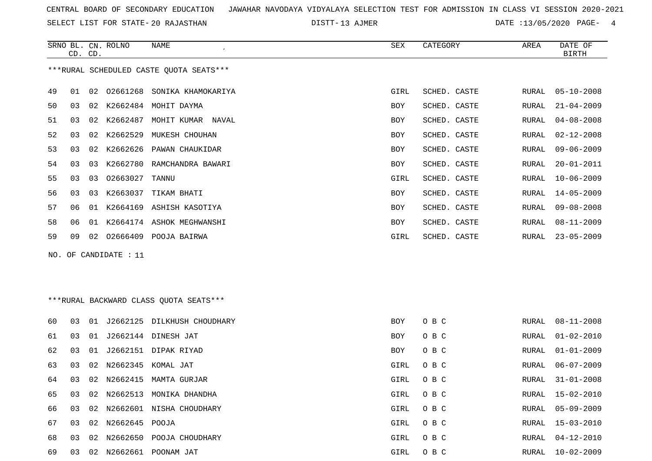SELECT LIST FOR STATE- DISTT- 20 RAJASTHAN

DISTT-13 AJMER DATE :13/05/2020 PAGE- 4

|    |    | CD. CD.         | SRNO BL. CN. ROLNO    | <b>NAME</b><br>$\epsilon$               | SEX        | CATEGORY     | AREA  | DATE OF<br><b>BIRTH</b> |
|----|----|-----------------|-----------------------|-----------------------------------------|------------|--------------|-------|-------------------------|
|    |    |                 |                       | ***RURAL SCHEDULED CASTE QUOTA SEATS*** |            |              |       |                         |
| 49 | 01 | 02              |                       | 02661268 SONIKA KHAMOKARIYA             | GIRL       | SCHED. CASTE | RURAL | $05 - 10 - 2008$        |
| 50 | 03 | 02              |                       | K2662484 MOHIT DAYMA                    | <b>BOY</b> | SCHED. CASTE | RURAL | $21 - 04 - 2009$        |
| 51 | 03 | 02              |                       | K2662487 MOHIT KUMAR NAVAL              | BOY        | SCHED. CASTE | RURAL | $04 - 08 - 2008$        |
| 52 | 03 | 02              | K2662529              | MUKESH CHOUHAN                          | <b>BOY</b> | SCHED. CASTE | RURAL | $02 - 12 - 2008$        |
| 53 | 03 | 02              |                       | K2662626 PAWAN CHAUKIDAR                | BOY        | SCHED. CASTE | RURAL | $09 - 06 - 2009$        |
| 54 | 03 | 03              |                       | K2662780 RAMCHANDRA BAWARI              | <b>BOY</b> | SCHED. CASTE | RURAL | $20 - 01 - 2011$        |
| 55 | 03 | 03              | 02663027              | TANNU                                   | GIRL       | SCHED. CASTE | RURAL | $10 - 06 - 2009$        |
| 56 | 03 | 03              |                       | K2663037 TIKAM BHATI                    | <b>BOY</b> | SCHED. CASTE | RURAL | $14 - 05 - 2009$        |
| 57 | 06 | 01              |                       | K2664169 ASHISH KASOTIYA                | <b>BOY</b> | SCHED. CASTE | RURAL | $09 - 08 - 2008$        |
| 58 | 06 | 01              |                       | K2664174 ASHOK MEGHWANSHI               | BOY        | SCHED. CASTE | RURAL | $08 - 11 - 2009$        |
| 59 | 09 | 02 <sub>o</sub> |                       | 02666409 POOJA BAIRWA                   | GIRL       | SCHED. CASTE | RURAL | $23 - 05 - 2009$        |
|    |    |                 | NO. OF CANDIDATE : 11 |                                         |            |              |       |                         |
|    |    |                 |                       |                                         |            |              |       |                         |

| 60 | 03 | . N 1 |                   | J2662125 DILKHUSH CHOUDHARY | <b>BOY</b> | O B C | RURAL | 08-11-2008       |
|----|----|-------|-------------------|-----------------------------|------------|-------|-------|------------------|
| 61 | 03 | 01    |                   | J2662144 DINESH JAT         | <b>BOY</b> | O B C | RURAL | $01 - 02 - 2010$ |
| 62 | 03 | - 01  |                   | J2662151 DIPAK RIYAD        | BOY        | O B C | RURAL | $01 - 01 - 2009$ |
| 63 | 03 |       |                   | 02 N2662345 KOMAL JAT       | GIRL       | O B C | RURAL | 06-07-2009       |
| 64 | 03 |       | 02 N2662415       | MAMTA GURJAR                | GIRL       | O B C | RURAL | 31-01-2008       |
| 65 | 03 |       | 02 N2662513       | MONIKA DHANDHA              | GIRL       | O B C | RURAL | 15-02-2010       |
| 66 | 03 |       |                   | 02 N2662601 NISHA CHOUDHARY | GIRL       | O B C | RURAL | 05-09-2009       |
| 67 | 03 |       | 02 N2662645 POOJA |                             | GIRL       | O B C | RURAL | $15 - 03 - 2010$ |
| 68 | 03 |       | 02 N2662650       | POOJA CHOUDHARY             | GIRL       | O B C | RURAL | $04 - 12 - 2010$ |
| 69 | 03 |       | 02 N2662661       | POONAM JAT                  | GIRL       | O B C | RURAL | 10-02-2009       |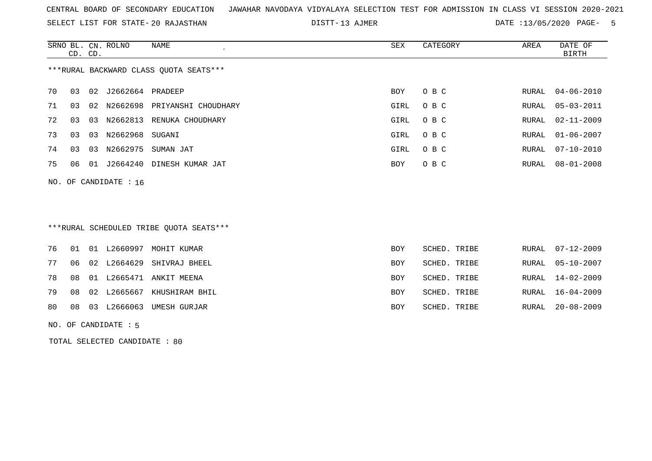SELECT LIST FOR STATE- DISTT- 20 RAJASTHAN

DISTT-13 AJMER 2020 DATE :13/05/2020 PAGE- 5

|    | CD. CD. |    | SRNO BL. CN. ROLNO      | NAME                                   | SEX  | CATEGORY | AREA  | DATE OF<br>BIRTH |
|----|---------|----|-------------------------|----------------------------------------|------|----------|-------|------------------|
|    |         |    |                         | ***RURAL BACKWARD CLASS OUOTA SEATS*** |      |          |       |                  |
| 70 | 03      |    | 02 J2662664 PRADEEP     |                                        | BOY  | O B C    |       | RURAL 04-06-2010 |
| 71 | 03      |    |                         | 02 N2662698 PRIYANSHI CHOUDHARY        | GIRL | O B C    |       | RURAL 05-03-2011 |
| 72 | 03      | 03 | N2662813                | RENUKA CHOUDHARY                       | GIRL | O B C    | RURAL | 02-11-2009       |
| 73 | 03      | 03 | N2662968 SUGANI         |                                        | GIRL | O B C    | RURAL | $01 - 06 - 2007$ |
| 74 | 03      | 03 | N2662975                | SUMAN JAT                              | GIRL | O B C    | RURAL | $07 - 10 - 2010$ |
| 75 | 06      | 01 | J2664240                | DINESH KUMAR JAT                       | BOY  | O B C    | RURAL | $08 - 01 - 2008$ |
|    |         |    | NO. OF CANDIDATE : $16$ |                                        |      |          |       |                  |

# \*\*\*RURAL SCHEDULED TRIBE QUOTA SEATS\*\*\*

|    |  | <b>BOY</b>                                                                                                                                                     | SCHED. TRIBE |                                                              | RURAL 07-12-2009 |
|----|--|----------------------------------------------------------------------------------------------------------------------------------------------------------------|--------------|--------------------------------------------------------------|------------------|
|    |  | BOY                                                                                                                                                            |              |                                                              | RURAL 05-10-2007 |
|    |  | <b>BOY</b>                                                                                                                                                     |              |                                                              | RURAL 14-02-2009 |
|    |  | BOY                                                                                                                                                            |              |                                                              | RURAL 16-04-2009 |
|    |  | BOY                                                                                                                                                            |              | RURAL                                                        | 20-08-2009       |
| 08 |  | 76 01 01 L2660997 MOHIT KUMAR<br>06 02 L2664629 SHIVRAJ BHEEL<br>78 08 01 L2665471 ANKIT MEENA<br>79 08 02 L2665667 KHUSHIRAM BHIL<br>03 L2666063 UMESH GURJAR |              | SCHED. TRIBE<br>SCHED. TRIBE<br>SCHED. TRIBE<br>SCHED. TRIBE |                  |

NO. OF CANDIDATE : 5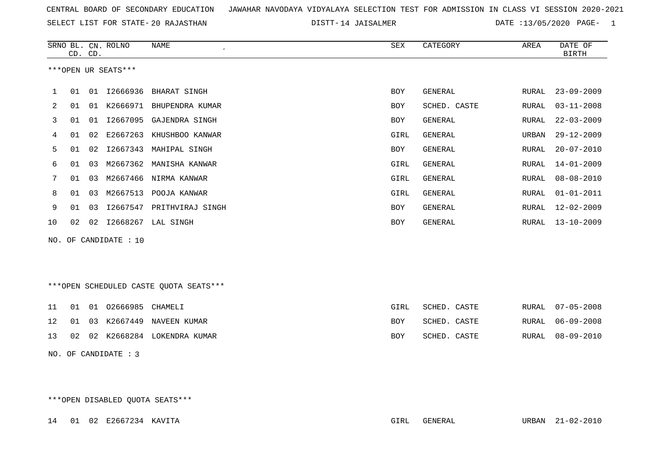SELECT LIST FOR STATE- DISTT- 20 RAJASTHAN

DISTT-14 JAISALMER DATE :13/05/2020 PAGE- 1

|    |    | CD. CD. | SRNO BL. CN. ROLNO    | NAME<br>$\epsilon$        | SEX        | CATEGORY     | AREA  | DATE OF<br><b>BIRTH</b> |
|----|----|---------|-----------------------|---------------------------|------------|--------------|-------|-------------------------|
|    |    |         | ***OPEN UR SEATS***   |                           |            |              |       |                         |
|    | 01 | 01      | I2666936              | BHARAT SINGH              | <b>BOY</b> | GENERAL      | RURAL | $23 - 09 - 2009$        |
| 2  | 01 | 01      | K2666971              | BHUPENDRA KUMAR           | <b>BOY</b> | SCHED. CASTE | RURAL | $03 - 11 - 2008$        |
| 3  | 01 | 01      |                       | I2667095 GAJENDRA SINGH   | BOY        | GENERAL      | RURAL | $22 - 03 - 2009$        |
| 4  | 01 | 02      | E2667263              | KHUSHBOO KANWAR           | GIRL       | GENERAL      | URBAN | $29 - 12 - 2009$        |
| 5  | 01 | 02      | I2667343              | MAHIPAL SINGH             | <b>BOY</b> | GENERAL      | RURAL | $20 - 07 - 2010$        |
| 6  | 01 | 03      |                       | M2667362 MANISHA KANWAR   | GIRL       | GENERAL      | RURAL | $14 - 01 - 2009$        |
| 7  | 01 | 03      |                       | M2667466 NIRMA KANWAR     | GIRL       | GENERAL      | RURAL | $08 - 08 - 2010$        |
| 8  | 01 | 03      | M2667513              | POOJA KANWAR              | GIRL       | GENERAL      | RURAL | $01 - 01 - 2011$        |
| 9  | 01 | 03      |                       | 12667547 PRITHVIRAJ SINGH | BOY        | GENERAL      | RURAL | $12 - 02 - 2009$        |
| 10 | 02 | 02      |                       | I2668267 LAL SINGH        | <b>BOY</b> | GENERAL      | RURAL | $13 - 10 - 2009$        |
|    |    |         | NO. OF CANDIDATE : 10 |                           |            |              |       |                         |

\*\*\*OPEN SCHEDULED CASTE QUOTA SEATS\*\*\*

|  | 11 01 01 02666985 CHAMELI |                                  | GIRL       | SCHED. CASTE |  | RURAL 07-05-2008 |
|--|---------------------------|----------------------------------|------------|--------------|--|------------------|
|  |                           | 12 01 03 K2667449 NAVEEN KUMAR   | BOY        | SCHED. CASTE |  | RURAL 06-09-2008 |
|  |                           | 13 02 02 K2668284 LOKENDRA KUMAR | <b>BOY</b> | SCHED. CASTE |  | RURAL 08-09-2010 |

NO. OF CANDIDATE : 3

\*\*\*OPEN DISABLED QUOTA SEATS\*\*\*

14 01 02 E2667234 KAVITA GIRL GENERAL URBAN 21-02-2010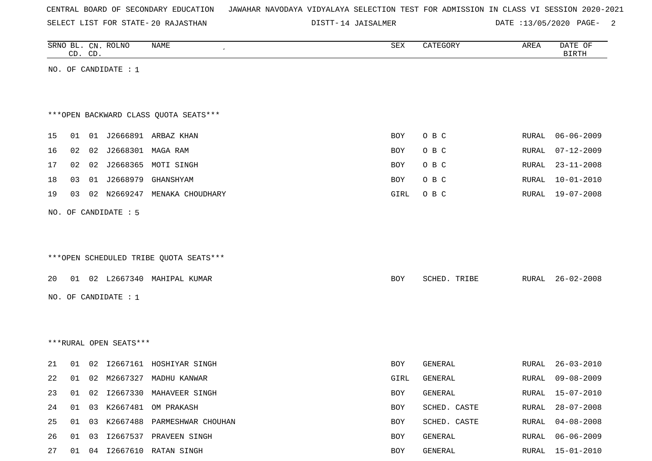| CENTRAL BOARD OF SECONDARY EDUCATION – JAWAHAR NAVODAYA VIDYALAYA SELECTION TEST FOR ADMISSION IN CLASS VI SESSION 2020-2021 |  |  |  |  |
|------------------------------------------------------------------------------------------------------------------------------|--|--|--|--|
|------------------------------------------------------------------------------------------------------------------------------|--|--|--|--|

DISTT-14 JAISALMER DATE :13/05/2020 PAGE- 2

|    |       | CD. CD. | SRNO BL. CN. ROLNO     | <b>NAME</b>                            | ${\tt SEX}$ | CATEGORY     | AREA  | DATE OF<br><b>BIRTH</b> |
|----|-------|---------|------------------------|----------------------------------------|-------------|--------------|-------|-------------------------|
|    |       |         | NO. OF CANDIDATE : $1$ |                                        |             |              |       |                         |
|    |       |         |                        |                                        |             |              |       |                         |
|    |       |         |                        |                                        |             |              |       |                         |
|    |       |         |                        | *** OPEN BACKWARD CLASS QUOTA SEATS*** |             |              |       |                         |
| 15 | 01    |         |                        | 01 J2666891 ARBAZ KHAN                 | <b>BOY</b>  | O B C        | RURAL | $06 - 06 - 2009$        |
| 16 | 02    | 02      | J2668301 MAGA RAM      |                                        | BOY         | O B C        | RURAL | $07 - 12 - 2009$        |
| 17 | 02    |         |                        | 02 J2668365 MOTI SINGH                 | BOY         | O B C        | RURAL | $23 - 11 - 2008$        |
| 18 | 03    |         | 01 J2668979            | GHANSHYAM                              | BOY         | O B C        | RURAL | $10 - 01 - 2010$        |
| 19 | 03    |         |                        | 02 N2669247 MENAKA CHOUDHARY           | GIRL        | O B C        | RURAL | 19-07-2008              |
|    |       |         | NO. OF CANDIDATE : 5   |                                        |             |              |       |                         |
|    |       |         |                        |                                        |             |              |       |                         |
|    |       |         |                        |                                        |             |              |       |                         |
|    |       |         |                        | ***OPEN SCHEDULED TRIBE QUOTA SEATS*** |             |              |       |                         |
| 20 |       |         |                        | 01 02 L2667340 MAHIPAL KUMAR           | BOY         | SCHED. TRIBE |       | RURAL 26-02-2008        |
|    |       |         | NO. OF CANDIDATE : 1   |                                        |             |              |       |                         |
|    |       |         |                        |                                        |             |              |       |                         |
|    |       |         |                        |                                        |             |              |       |                         |
|    |       |         | ***RURAL OPEN SEATS*** |                                        |             |              |       |                         |
|    |       |         |                        |                                        |             |              |       |                         |
| 21 | 01    |         |                        | 02 I2667161 HOSHIYAR SINGH             | BOY         | GENERAL      | RURAL | $26 - 03 - 2010$        |
| 22 |       |         |                        | 01 02 M2667327 MADHU KANWAR            | GIRL        | GENERAL      | RURAL | $09 - 08 - 2009$        |
| 23 | 01    |         |                        | 02 I2667330 MAHAVEER SINGH             | BOY         | GENERAL      | RURAL | 15-07-2010              |
| 24 | 01    | 03      | K2667481               | OM PRAKASH                             | BOY         | SCHED. CASTE | RURAL | $28 - 07 - 2008$        |
| 25 | 01    | 03      |                        | K2667488 PARMESHWAR CHOUHAN            | BOY         | SCHED. CASTE | RURAL | $04 - 08 - 2008$        |
| 26 | 01 03 |         |                        | I2667537 PRAVEEN SINGH                 | BOY         | GENERAL      | RURAL | $06 - 06 - 2009$        |
| 27 |       |         |                        | 01 04 12667610 RATAN SINGH             | BOY         | GENERAL      | RURAL | $15 - 01 - 2010$        |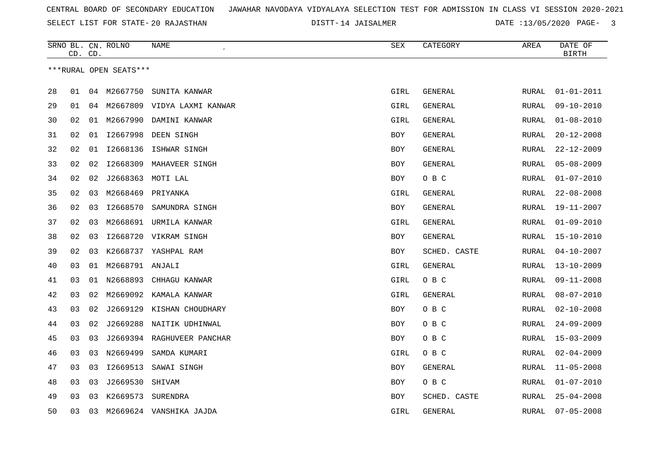SELECT LIST FOR STATE- DISTT- 20 RAJASTHAN

DISTT-14 JAISALMER DATE :13/05/2020 PAGE- 3

|    | CD. CD. |    | SRNO BL. CN. ROLNO     | NAME<br>$\pmb{\cdot}$          | ${\tt SEX}$ | CATEGORY       | AREA         | DATE OF<br><b>BIRTH</b> |
|----|---------|----|------------------------|--------------------------------|-------------|----------------|--------------|-------------------------|
|    |         |    | ***RURAL OPEN SEATS*** |                                |             |                |              |                         |
|    |         |    |                        |                                |             |                |              |                         |
| 28 | 01      |    | 04 M2667750            | SUNITA KANWAR                  | GIRL        | GENERAL        | RURAL        | $01 - 01 - 2011$        |
| 29 | 01      |    |                        | 04 M2667809 VIDYA LAXMI KANWAR | GIRL        | GENERAL        | RURAL        | $09 - 10 - 2010$        |
| 30 | 02      | 01 | M2667990               | DAMINI KANWAR                  | GIRL        | GENERAL        | RURAL        | $01 - 08 - 2010$        |
| 31 | 02      | 01 | I2667998               | DEEN SINGH                     | BOY         | GENERAL        | RURAL        | $20 - 12 - 2008$        |
| 32 | 02      | 01 | I2668136               | ISHWAR SINGH                   | <b>BOY</b>  | GENERAL        | <b>RURAL</b> | $22 - 12 - 2009$        |
| 33 | 02      | 02 | I2668309               | MAHAVEER SINGH                 | BOY         | GENERAL        | RURAL        | $05 - 08 - 2009$        |
| 34 | 02      | 02 |                        | J2668363 MOTI LAL              | BOY         | O B C          | RURAL        | $01 - 07 - 2010$        |
| 35 | 02      | 03 | M2668469               | PRIYANKA                       | GIRL        | GENERAL        | RURAL        | $22 - 08 - 2008$        |
| 36 | 02      | 03 | I2668570               | SAMUNDRA SINGH                 | BOY         | GENERAL        | RURAL        | $19 - 11 - 2007$        |
| 37 | 02      | 03 | M2668691               | URMILA KANWAR                  | GIRL        | GENERAL        | RURAL        | $01 - 09 - 2010$        |
| 38 | 02      | 03 |                        | I2668720 VIKRAM SINGH          | BOY         | GENERAL        | RURAL        | $15 - 10 - 2010$        |
| 39 | 02      | 03 | K2668737               | YASHPAL RAM                    | BOY         | SCHED. CASTE   | RURAL        | $04 - 10 - 2007$        |
| 40 | 03      | 01 | M2668791 ANJALI        |                                | GIRL        | GENERAL        | RURAL        | $13 - 10 - 2009$        |
| 41 | 03      | 01 | N2668893               | CHHAGU KANWAR                  | GIRL        | O B C          | <b>RURAL</b> | $09 - 11 - 2008$        |
| 42 | 03      | 02 | M2669092               | KAMALA KANWAR                  | GIRL        | GENERAL        | RURAL        | $08 - 07 - 2010$        |
| 43 | 03      | 02 | J2669129               | KISHAN CHOUDHARY               | BOY         | O B C          | <b>RURAL</b> | $02 - 10 - 2008$        |
| 44 | 03      | 02 | J2669288               | NAITIK UDHINWAL                | BOY         | O B C          | RURAL        | $24 - 09 - 2009$        |
| 45 | 03      | 03 |                        | J2669394 RAGHUVEER PANCHAR     | BOY         | O B C          | RURAL        | $15 - 03 - 2009$        |
| 46 | 03      | 03 | N2669499               | SAMDA KUMARI                   | GIRL        | O B C          | RURAL        | $02 - 04 - 2009$        |
| 47 | 03      | 03 | I2669513               | SAWAI SINGH                    | BOY         | GENERAL        | RURAL        | $11 - 05 - 2008$        |
| 48 | 03      | 03 | J2669530               | SHIVAM                         | BOY         | O B C          | RURAL        | $01 - 07 - 2010$        |
| 49 | 03      | 03 | K2669573               | SURENDRA                       | BOY         | SCHED. CASTE   | RURAL        | $25 - 04 - 2008$        |
| 50 | 03      | 03 |                        | M2669624 VANSHIKA JAJDA        | <b>GIRL</b> | <b>GENERAL</b> | <b>RURAL</b> | $07 - 05 - 2008$        |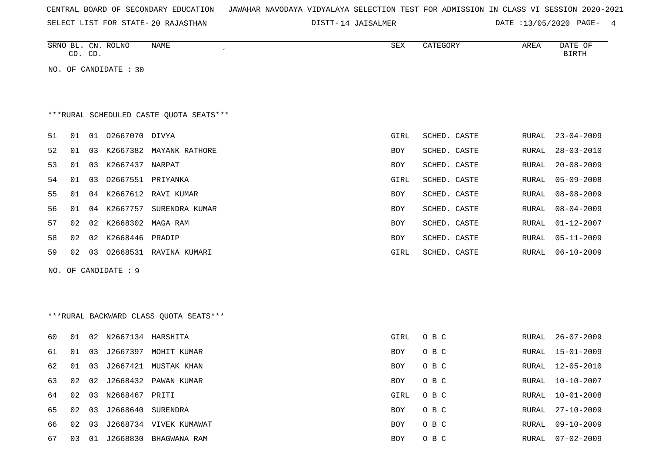|  |  |  |  | CENTRAL BOARD OF SECONDARY EDUCATION – JAWAHAR NAVODAYA VIDYALAYA SELECTION TEST FOR ADMISSION IN CLASS VI SESSION 2020-2021 |  |  |  |  |  |  |  |  |  |  |  |  |  |  |
|--|--|--|--|------------------------------------------------------------------------------------------------------------------------------|--|--|--|--|--|--|--|--|--|--|--|--|--|--|
|--|--|--|--|------------------------------------------------------------------------------------------------------------------------------|--|--|--|--|--|--|--|--|--|--|--|--|--|--|

DISTT-14 JAISALMER DATE :13/05/2020 PAGE- 4

|     |    | CD. CD. | SRNO BL. CN. ROLNO    | NAME<br>$\epsilon$                      | SEX        | CATEGORY     | AREA         | DATE OF<br><b>BIRTH</b> |
|-----|----|---------|-----------------------|-----------------------------------------|------------|--------------|--------------|-------------------------|
|     |    |         | NO. OF CANDIDATE : 30 |                                         |            |              |              |                         |
|     |    |         |                       |                                         |            |              |              |                         |
|     |    |         |                       |                                         |            |              |              |                         |
|     |    |         |                       | ***RURAL SCHEDULED CASTE QUOTA SEATS*** |            |              |              |                         |
| 51  | 01 |         | 01 02667070 DIVYA     |                                         | GIRL       | SCHED. CASTE | RURAL        | $23 - 04 - 2009$        |
| 52  | 01 |         |                       | 03 K2667382 MAYANK RATHORE              | <b>BOY</b> | SCHED. CASTE | RURAL        | $28 - 03 - 2010$        |
| 53  | 01 | 03      | K2667437 NARPAT       |                                         | <b>BOY</b> | SCHED. CASTE | <b>RURAL</b> | $20 - 08 - 2009$        |
| 54  | 01 | 03      |                       | 02667551 PRIYANKA                       | GIRL       | SCHED. CASTE | RURAL        | $05 - 09 - 2008$        |
| 55  | 01 |         |                       | 04 K2667612 RAVI KUMAR                  | BOY        | SCHED. CASTE | RURAL        | $08 - 08 - 2009$        |
| 56  | 01 |         | 04 K2667757           | SURENDRA KUMAR                          | BOY        | SCHED. CASTE | RURAL        | $08 - 04 - 2009$        |
| 57  | 02 |         | 02 K2668302 MAGA RAM  |                                         | <b>BOY</b> | SCHED. CASTE | RURAL        | $01 - 12 - 2007$        |
| 58  | 02 | 02      | K2668446 PRADIP       |                                         | <b>BOY</b> | SCHED. CASTE | RURAL        | $05 - 11 - 2009$        |
| 59  | 02 |         |                       | 03 02668531 RAVINA KUMARI               | GIRL       | SCHED. CASTE | RURAL        | $06 - 10 - 2009$        |
| NO. |    |         | OF CANDIDATE : 9      |                                         |            |              |              |                         |
|     |    |         |                       |                                         |            |              |              |                         |
|     |    |         |                       |                                         |            |              |              |                         |
|     |    |         |                       | *** RURAL BACKWARD CLASS QUOTA SEATS*** |            |              |              |                         |
|     |    |         |                       |                                         |            |              |              |                         |
| 60  | 01 |         | 02 N2667134 HARSHITA  |                                         | GIRL       | O B C        | RURAL        | $26 - 07 - 2009$        |
| 61  | 01 | 03      |                       | J2667397 MOHIT KUMAR                    | <b>BOY</b> | O B C        | RURAL        | $15 - 01 - 2009$        |
| 62  | 01 | 03      |                       | J2667421 MUSTAK KHAN                    | <b>BOY</b> | O B C        | RURAL        | $12 - 05 - 2010$        |
| 63  | 02 | 02      |                       | J2668432 PAWAN KUMAR                    | <b>BOY</b> | O B C        | RURAL        | $10 - 10 - 2007$        |
| 64  | 02 | 03      | N2668467 PRITI        |                                         | GIRL       | O B C        | RURAL        | $10 - 01 - 2008$        |
| 65  | 02 | 03      |                       | J2668640 SURENDRA                       | BOY        | O B C        | RURAL        | $27 - 10 - 2009$        |
| 66  | 02 | 03      |                       | J2668734 VIVEK KUMAWAT                  | <b>BOY</b> | O B C        | RURAL        | $09 - 10 - 2009$        |

67 03 01 J2668830 BHAGWANA RAM 67 2009 BOY O B C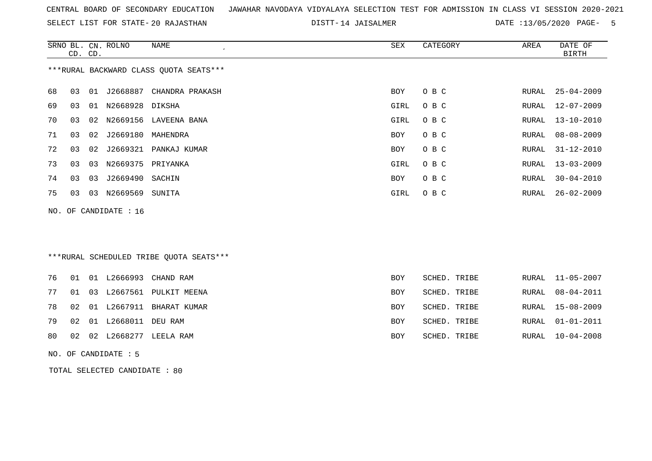SELECT LIST FOR STATE- DISTT- 20 RAJASTHAN

DISTT-14 JAISALMER DATE :13/05/2020 PAGE- 5

|     |    | CD. CD. | SRNO BL. CN. ROLNO   | NAME                                    | SEX        | CATEGORY     | AREA  | DATE OF<br><b>BIRTH</b> |
|-----|----|---------|----------------------|-----------------------------------------|------------|--------------|-------|-------------------------|
|     |    |         |                      | *** RURAL BACKWARD CLASS QUOTA SEATS*** |            |              |       |                         |
| 68  | 03 |         | 01 J2668887          | CHANDRA PRAKASH                         | BOY        | O B C        | RURAL | $25 - 04 - 2009$        |
| 69  | 03 | 01      | N2668928             | DIKSHA                                  | GIRL       | O B C        | RURAL | $12 - 07 - 2009$        |
| 70  | 03 |         |                      | 02 N2669156 LAVEENA BANA                | GIRL       | O B C        | RURAL | $13 - 10 - 2010$        |
| 71  | 03 | 02      | J2669180             | MAHENDRA                                | BOY        | O B C        | RURAL | $08 - 08 - 2009$        |
| 72  | 03 | 02      | J2669321             | PANKAJ KUMAR                            | BOY        | O B C        | RURAL | $31 - 12 - 2010$        |
| 73  | 03 | 03      | N2669375             | PRIYANKA                                | GIRL       | O B C        | RURAL | $13 - 03 - 2009$        |
| 74  | 03 | 03      | J2669490             | SACHIN                                  | BOY        | O B C        | RURAL | $30 - 04 - 2010$        |
| 75  | 03 | 03      | N2669569             | SUNITA                                  | GIRL       | O B C        | RURAL | $26 - 02 - 2009$        |
| NO. |    |         | OF CANDIDATE : 16    |                                         |            |              |       |                         |
|     |    |         |                      |                                         |            |              |       |                         |
|     |    |         |                      |                                         |            |              |       |                         |
|     |    |         |                      | ***RURAL SCHEDULED TRIBE QUOTA SEATS*** |            |              |       |                         |
| 76  |    |         | 01 01 L2666993       | CHAND RAM                               | <b>BOY</b> | SCHED. TRIBE | RURAL | $11 - 05 - 2007$        |
| 77  | 01 | 03      |                      | L2667561 PULKIT MEENA                   | <b>BOY</b> | SCHED. TRIBE | RURAL | $08 - 04 - 2011$        |
| 78  | 02 |         | 01 L2667911          | BHARAT KUMAR                            | <b>BOY</b> | SCHED. TRIBE | RURAL | $15 - 08 - 2009$        |
| 79  | 02 |         | 01 L2668011          | DEU RAM                                 | BOY        | SCHED. TRIBE | RURAL | $01 - 01 - 2011$        |
| 80  | 02 |         |                      | 02 L2668277 LEELA RAM                   | <b>BOY</b> | SCHED. TRIBE | RURAL | $10 - 04 - 2008$        |
|     |    |         | NO. OF CANDIDATE : 5 |                                         |            |              |       |                         |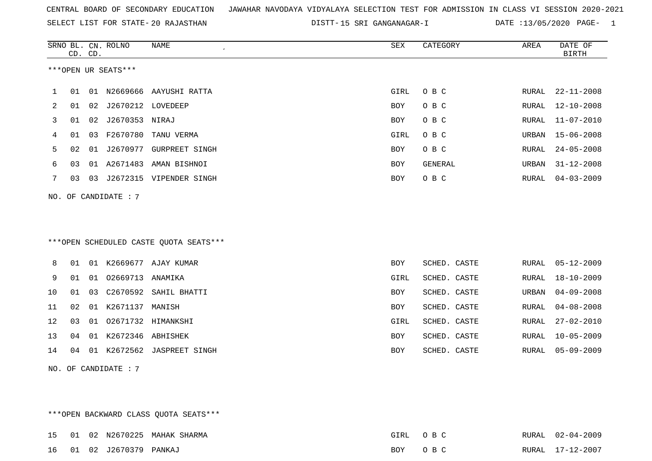SELECT LIST FOR STATE- DISTT- 20 RAJASTHAN

DISTT-15 SRI GANGANAGAR-I DATE :13/05/2020 PAGE- 1

|    |    | CD. CD. | SRNO BL. CN. ROLNO   | <b>NAME</b>                            | SEX        | CATEGORY       | AREA         | DATE OF<br><b>BIRTH</b> |
|----|----|---------|----------------------|----------------------------------------|------------|----------------|--------------|-------------------------|
|    |    |         | ***OPEN UR SEATS***  |                                        |            |                |              |                         |
| 1  | 01 |         |                      | 01 N2669666 AAYUSHI RATTA              | GIRL       | O B C          | RURAL        | $22 - 11 - 2008$        |
| 2  | 01 | 02      | J2670212 LOVEDEEP    |                                        | <b>BOY</b> | O B C          | RURAL        | $12 - 10 - 2008$        |
| 3  | 01 | 02      | J2670353 NIRAJ       |                                        | <b>BOY</b> | O B C          | RURAL        | $11 - 07 - 2010$        |
| 4  | 01 | 03      | F2670780             | TANU VERMA                             | GIRL       | O B C          | URBAN        | $15 - 06 - 2008$        |
| 5  | 02 | 01      |                      | J2670977 GURPREET SINGH                | <b>BOY</b> | O B C          | RURAL        | $24 - 05 - 2008$        |
| 6  | 03 | 01      |                      | A2671483 AMAN BISHNOI                  | BOY        | <b>GENERAL</b> | URBAN        | $31 - 12 - 2008$        |
| 7  | 03 |         |                      | 03 J2672315 VIPENDER SINGH             | <b>BOY</b> | O B C          | RURAL        | $04 - 03 - 2009$        |
|    |    |         | NO. OF CANDIDATE : 7 |                                        |            |                |              |                         |
|    |    |         |                      |                                        |            |                |              |                         |
|    |    |         |                      |                                        |            |                |              |                         |
|    |    |         |                      | ***OPEN SCHEDULED CASTE QUOTA SEATS*** |            |                |              |                         |
| 8  |    |         |                      | 01 01 K2669677 AJAY KUMAR              | <b>BOY</b> | SCHED. CASTE   | RURAL        | $05 - 12 - 2009$        |
| 9  | 01 | 01      | 02669713             | ANAMIKA                                | GIRL       | SCHED. CASTE   | RURAL        | $18 - 10 - 2009$        |
| 10 | 01 | 03      |                      | C2670592 SAHIL BHATTI                  | <b>BOY</b> | SCHED. CASTE   | URBAN        | $04 - 09 - 2008$        |
| 11 | 02 |         | 01 K2671137          | MANISH                                 | BOY        | SCHED. CASTE   | RURAL        | $04 - 08 - 2008$        |
| 12 | 03 | 01      |                      | 02671732 HIMANKSHI                     | GIRL       | SCHED. CASTE   | RURAL        | $27 - 02 - 2010$        |
| 13 | 04 | 01      | K2672346 ABHISHEK    |                                        | <b>BOY</b> | SCHED. CASTE   | <b>RURAL</b> | $10 - 05 - 2009$        |
| 14 | 04 |         |                      | 01 K2672562 JASPREET SINGH             | <b>BOY</b> | SCHED. CASTE   | RURAL        | $05 - 09 - 2009$        |
|    |    |         | NO. OF CANDIDATE : 7 |                                        |            |                |              |                         |

\*\*\*OPEN BACKWARD CLASS QUOTA SEATS\*\*\* 15 01 02 N2670225 MAHAK SHARMA GIRL O B C RURAL 02-04-2009RURAL 02-04-2009 16 01 02 J2670379 PANKAJ BOY O B C RURAL 17-12-2007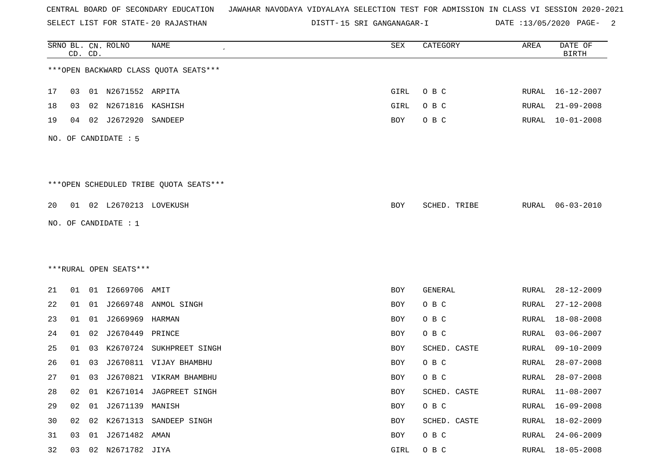SELECT LIST FOR STATE- DISTT- 20 RAJASTHAN

DISTT-15 SRI GANGANAGAR-I DATE :13/05/2020 PAGE- 2

|    |    | CD. CD. | SRNO BL. CN. ROLNO      | <b>NAME</b>                            | SEX  | CATEGORY       | AREA         | DATE OF<br><b>BIRTH</b> |
|----|----|---------|-------------------------|----------------------------------------|------|----------------|--------------|-------------------------|
|    |    |         |                         | *** OPEN BACKWARD CLASS QUOTA SEATS*** |      |                |              |                         |
| 17 | 03 |         | 01 N2671552 ARPITA      |                                        | GIRL | O B C          | RURAL        | 16-12-2007              |
| 18 | 03 | 02      | N2671816 KASHISH        |                                        | GIRL | O B C          | RURAL        | $21 - 09 - 2008$        |
| 19 | 04 | 02      | J2672920                | SANDEEP                                | BOY  | O B C          | RURAL        | $10 - 01 - 2008$        |
|    |    |         | NO. OF CANDIDATE : 5    |                                        |      |                |              |                         |
|    |    |         |                         | ***OPEN SCHEDULED TRIBE QUOTA SEATS*** |      |                |              |                         |
| 20 |    |         | 01 02 L2670213 LOVEKUSH |                                        | BOY  | SCHED. TRIBE   | RURAL        | $06 - 03 - 2010$        |
|    |    |         | NO. OF CANDIDATE : $1$  |                                        |      |                |              |                         |
|    |    |         |                         |                                        |      |                |              |                         |
|    |    |         |                         |                                        |      |                |              |                         |
|    |    |         | ***RURAL OPEN SEATS***  |                                        |      |                |              |                         |
| 21 | 01 |         | 01 I2669706 AMIT        |                                        | BOY  | <b>GENERAL</b> | RURAL        | $28 - 12 - 2009$        |
| 22 | 01 |         |                         | 01 J2669748 ANMOL SINGH                | BOY  | O B C          | RURAL        | $27 - 12 - 2008$        |
| 23 | 01 | 01      | J2669969 HARMAN         |                                        | BOY  | O B C          | RURAL        | $18 - 08 - 2008$        |
| 24 | 01 | 02      | J2670449                | PRINCE                                 | BOY  | O B C          | RURAL        | $03 - 06 - 2007$        |
| 25 | 01 | 03      | K2670724                | SUKHPREET SINGH                        | BOY  | SCHED. CASTE   | RURAL        | $09 - 10 - 2009$        |
| 26 | 01 | 03      |                         | J2670811 VIJAY BHAMBHU                 | BOY  | O B C          | RURAL        | $28 - 07 - 2008$        |
| 27 | 01 | 03      |                         | J2670821 VIKRAM BHAMBHU                | BOY  | O B C          | RURAL        | $28 - 07 - 2008$        |
| 28 | 02 |         |                         | 01 K2671014 JAGPREET SINGH             | BOY  | SCHED. CASTE   | <b>RURAL</b> | $11 - 08 - 2007$        |
| 29 | 02 |         | 01 J2671139 MANISH      |                                        | BOY  | O B C          | RURAL        | $16 - 09 - 2008$        |
| 30 | 02 |         |                         | 02 K2671313 SANDEEP SINGH              | BOY  | SCHED. CASTE   | RURAL        | 18-02-2009              |
| 31 | 03 |         | 01 J2671482 AMAN        |                                        | BOY  | O B C          | <b>RURAL</b> | $24 - 06 - 2009$        |
| 32 | 03 |         | 02 N2671782 JIYA        |                                        | GIRL | O B C          | RURAL        | $18 - 05 - 2008$        |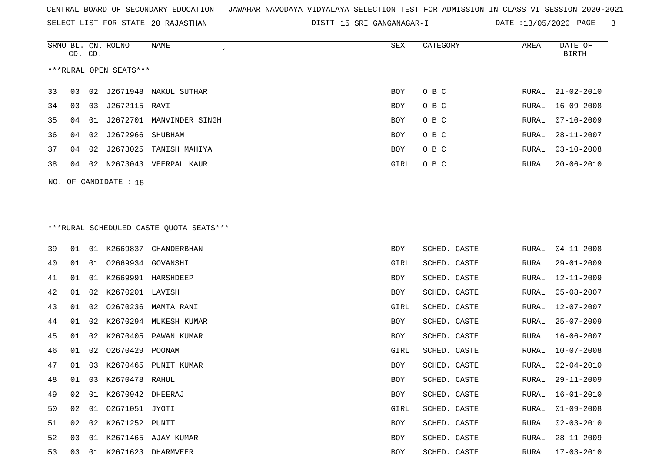SELECT LIST FOR STATE- DISTT- 20 RAJASTHAN

DISTT-15 SRI GANGANAGAR-I DATE :13/05/2020 PAGE- 3

|                        |                       | CD. CD. | SRNO BL. CN. ROLNO | NAME<br>$\epsilon$                      | SEX        | CATEGORY | AREA  | DATE OF<br>BIRTH |  |  |  |
|------------------------|-----------------------|---------|--------------------|-----------------------------------------|------------|----------|-------|------------------|--|--|--|
| ***RURAL OPEN SEATS*** |                       |         |                    |                                         |            |          |       |                  |  |  |  |
| 33                     | 03                    |         |                    | 02 J2671948 NAKUL SUTHAR                | BOY        | O B C    | RURAL | 21-02-2010       |  |  |  |
| 34                     | 03                    | 03      | J2672115 RAVI      |                                         | BOY        | O B C    | RURAL | 16-09-2008       |  |  |  |
| 35                     | 04                    | 01      | J2672701           | MANVINDER SINGH                         | <b>BOY</b> | O B C    | RURAL | $07 - 10 - 2009$ |  |  |  |
| 36                     | 04                    | 02      | J2672966           | SHUBHAM                                 | <b>BOY</b> | O B C    | RURAL | 28-11-2007       |  |  |  |
| 37                     | 04                    | 02      | J2673025           | TANISH MAHIYA                           | BOY        | O B C    | RURAL | $03 - 10 - 2008$ |  |  |  |
| 38                     | 04                    | 02      | N2673043           | VEERPAL KAUR                            | GIRL       | O B C    | RURAL | $20 - 06 - 2010$ |  |  |  |
|                        | NO. OF CANDIDATE : 18 |         |                    |                                         |            |          |       |                  |  |  |  |
|                        |                       |         |                    |                                         |            |          |       |                  |  |  |  |
|                        |                       |         |                    |                                         |            |          |       |                  |  |  |  |
|                        |                       |         |                    | ***RURAL SCHEDULED CASTE QUOTA SEATS*** |            |          |       |                  |  |  |  |

| noidin bennbennb eilbin gebin bhnib |  |  |
|-------------------------------------|--|--|
|                                     |  |  |
|                                     |  |  |

| 39 | 01 | 01 | K2669837          | CHANDERBHAN            | <b>BOY</b> | SCHED. CASTE | RURAL | $04 - 11 - 2008$ |
|----|----|----|-------------------|------------------------|------------|--------------|-------|------------------|
| 40 | 01 | 01 | 02669934 GOVANSHI |                        | GIRL       | SCHED. CASTE | RURAL | $29 - 01 - 2009$ |
| 41 | 01 | 01 |                   | K2669991 HARSHDEEP     | <b>BOY</b> | SCHED. CASTE | RURAL | $12 - 11 - 2009$ |
| 42 | 01 | 02 | K2670201 LAVISH   |                        | BOY        | SCHED. CASTE | RURAL | $05 - 08 - 2007$ |
| 43 | 01 |    |                   | 02 02670236 MAMTA RANI | GIRL       | SCHED. CASTE | RURAL | 12-07-2007       |
| 44 | 01 | 02 |                   | K2670294 MUKESH KUMAR  | <b>BOY</b> | SCHED. CASTE | RURAL | $25 - 07 - 2009$ |
| 45 | 01 | 02 |                   | K2670405 PAWAN KUMAR   | BOY        | SCHED. CASTE | RURAL | $16 - 06 - 2007$ |
| 46 | 01 | 02 | 02670429 POONAM   |                        | GIRL       | SCHED. CASTE | RURAL | $10 - 07 - 2008$ |
| 47 | 01 | 03 |                   | K2670465 PUNIT KUMAR   | BOY        | SCHED. CASTE | RURAL | $02 - 04 - 2010$ |
| 48 | 01 | 03 | K2670478 RAHUL    |                        | <b>BOY</b> | SCHED. CASTE | RURAL | $29 - 11 - 2009$ |
| 49 | 02 | 01 | K2670942 DHEERAJ  |                        | <b>BOY</b> | SCHED. CASTE | RURAL | $16 - 01 - 2010$ |
| 50 | 02 |    | 01 02671051 JYOTI |                        | GIRL       | SCHED. CASTE | RURAL | $01 - 09 - 2008$ |
| 51 | 02 | 02 | K2671252 PUNIT    |                        | <b>BOY</b> | SCHED. CASTE | RURAL | $02 - 03 - 2010$ |
| 52 | 03 | 01 |                   | K2671465 AJAY KUMAR    | BOY        | SCHED. CASTE | RURAL | $28 - 11 - 2009$ |
| 53 | 03 | 01 | K2671623          | DHARMVEER              | BOY        | SCHED. CASTE | RURAL | $17 - 03 - 2010$ |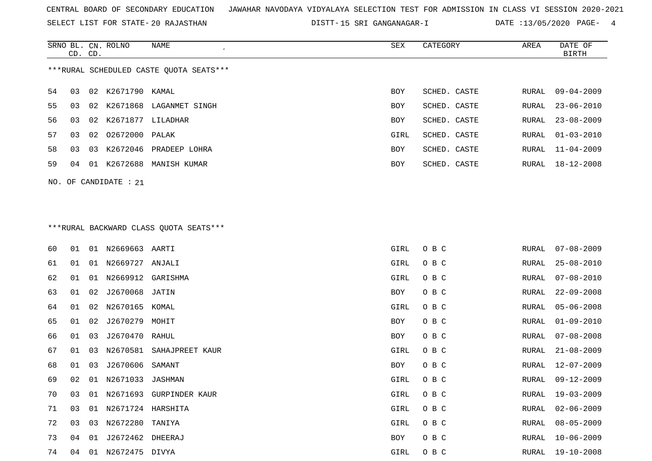SELECT LIST FOR STATE- DISTT- 20 RAJASTHAN

DISTT-15 SRI GANGANAGAR-I DATE :13/05/2020 PAGE- 4

|                                         | CD. CD. |    | SRNO BL. CN. ROLNO | NAME           | SEX  | CATEGORY     | AREA  | DATE OF<br>BIRTH |  |
|-----------------------------------------|---------|----|--------------------|----------------|------|--------------|-------|------------------|--|
| ***RURAL SCHEDULED CASTE OUOTA SEATS*** |         |    |                    |                |      |              |       |                  |  |
| 54                                      | 03      |    | 02 K2671790 KAMAL  |                | BOY  | SCHED. CASTE | RURAL | 09-04-2009       |  |
| 55                                      | 03      | 02 | K2671868           | LAGANMET SINGH | BOY  | SCHED. CASTE | RURAL | $23 - 06 - 2010$ |  |
| 56                                      | 03      | 02 | K2671877 LILADHAR  |                | BOY  | SCHED. CASTE |       | RURAL 23-08-2009 |  |
| 57                                      | 03      |    | 02 02672000        | PALAK          | GIRL | SCHED. CASTE |       | RURAL 01-03-2010 |  |
| 58                                      | 03      | 03 | K2672046           | PRADEEP LOHRA  | BOY  | SCHED. CASTE |       | RURAL 11-04-2009 |  |
| 59                                      | 04      | 01 | K2672688           | MANISH KUMAR   | BOY  | SCHED. CASTE |       | RURAL 18-12-2008 |  |
|                                         |         |    |                    |                |      |              |       |                  |  |

NO. OF CANDIDATE : 21

# \*\*\*RURAL BACKWARD CLASS QUOTA SEATS\*\*\*

| 60 | 01 | 01 | N2669663 AARTI    |                          | GIRL | O B C | RURAL | $07 - 08 - 2009$ |
|----|----|----|-------------------|--------------------------|------|-------|-------|------------------|
| 61 | 01 | 01 | N2669727 ANJALI   |                          | GIRL | O B C | RURAL | $25 - 08 - 2010$ |
| 62 | 01 | 01 | N2669912 GARISHMA |                          | GIRL | O B C | RURAL | $07 - 08 - 2010$ |
| 63 | 01 | 02 | J2670068 JATIN    |                          | BOY  | O B C | RURAL | $22 - 09 - 2008$ |
| 64 | 01 | 02 | N2670165 KOMAL    |                          | GIRL | O B C | RURAL | $05 - 06 - 2008$ |
| 65 | 01 | 02 | J2670279 MOHIT    |                          | BOY  | O B C | RURAL | $01 - 09 - 2010$ |
| 66 | 01 | 03 | J2670470 RAHUL    |                          | BOY  | O B C | RURAL | $07 - 08 - 2008$ |
| 67 | 01 | 03 |                   | N2670581 SAHAJPREET KAUR | GIRL | O B C | RURAL | $21 - 08 - 2009$ |
| 68 | 01 | 03 | J2670606          | SAMANT                   | BOY  | O B C | RURAL | $12 - 07 - 2009$ |
| 69 | 02 | 01 | N2671033 JASHMAN  |                          | GIRL | O B C | RURAL | $09 - 12 - 2009$ |
| 70 | 03 | 01 | N2671693          | GURPINDER KAUR           | GIRL | O B C | RURAL | $19 - 03 - 2009$ |
| 71 | 03 | 01 | N2671724 HARSHITA |                          | GIRL | O B C | RURAL | $02 - 06 - 2009$ |
| 72 | 03 | 03 | N2672280          | TANIYA                   | GIRL | O B C | RURAL | $08 - 05 - 2009$ |
| 73 | 04 | 01 | J2672462 DHEERAJ  |                          | BOY  | O B C | RURAL | $10 - 06 - 2009$ |
| 74 | 04 | 01 | N2672475 DIVYA    |                          | GIRL | O B C | RURAL | 19-10-2008       |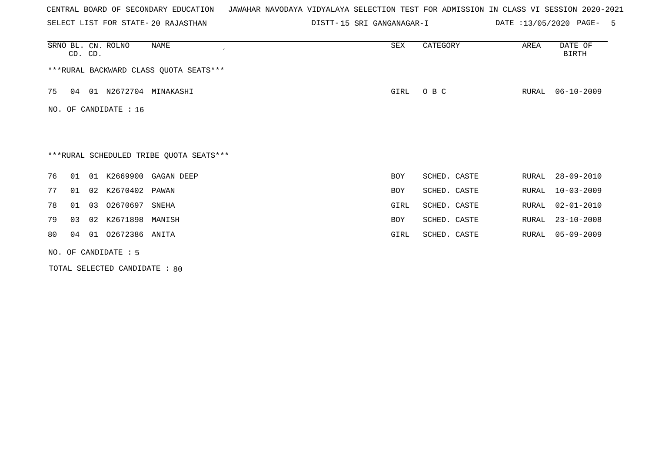SELECT LIST FOR STATE- DISTT- 20 RAJASTHAN

15 SRI GANGANAGAR-I DATE :13/05/2020 PAGE- 5

|                                         | CD. CD.              |    | SRNO BL. CN. ROLNO    | NAME                                    | SEX        | CATEGORY     | AREA  | DATE OF<br><b>BIRTH</b> |  |  |
|-----------------------------------------|----------------------|----|-----------------------|-----------------------------------------|------------|--------------|-------|-------------------------|--|--|
| *** RURAL BACKWARD CLASS QUOTA SEATS*** |                      |    |                       |                                         |            |              |       |                         |  |  |
| 75                                      | 04                   |    |                       | 01 N2672704 MINAKASHI                   | GIRL       | O B C        | RURAL | $06 - 10 - 2009$        |  |  |
|                                         |                      |    | NO. OF CANDIDATE : 16 |                                         |            |              |       |                         |  |  |
|                                         |                      |    |                       |                                         |            |              |       |                         |  |  |
|                                         |                      |    |                       | ***RURAL SCHEDULED TRIBE QUOTA SEATS*** |            |              |       |                         |  |  |
| 76                                      | 01                   |    |                       | 01 K2669900 GAGAN DEEP                  | <b>BOY</b> | SCHED. CASTE | RURAL | $28 - 09 - 2010$        |  |  |
| 77                                      | 01                   |    | 02 K2670402           | PAWAN                                   | <b>BOY</b> | SCHED. CASTE | RURAL | $10 - 03 - 2009$        |  |  |
| 78                                      | 01                   | 03 | 02670697 SNEHA        |                                         | GIRL       | SCHED. CASTE | RURAL | $02 - 01 - 2010$        |  |  |
| 79                                      | 03                   |    | 02 K2671898           | MANISH                                  | BOY        | SCHED. CASTE | RURAL | $23 - 10 - 2008$        |  |  |
| 80                                      | 04                   |    | 01 02672386 ANITA     |                                         | GIRL       | SCHED. CASTE | RURAL | 05-09-2009              |  |  |
|                                         | NO. OF CANDIDATE : 5 |    |                       |                                         |            |              |       |                         |  |  |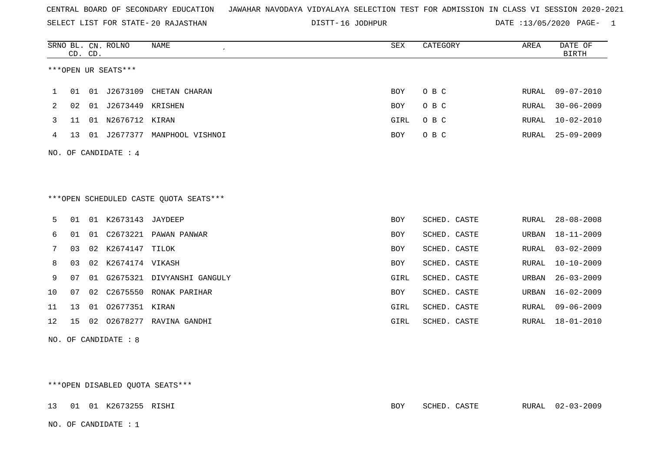SELECT LIST FOR STATE- DISTT- 20 RAJASTHAN

DISTT-16 JODHPUR DATE :13/05/2020 PAGE- 1

|    |                                                                 | CD. CD. | SRNO BL. CN. ROLNO  | <b>NAME</b><br>$\epsilon$ | SEX        | CATEGORY     | AREA         | DATE OF<br><b>BIRTH</b> |  |  |
|----|-----------------------------------------------------------------|---------|---------------------|---------------------------|------------|--------------|--------------|-------------------------|--|--|
|    |                                                                 |         | ***OPEN UR SEATS*** |                           |            |              |              |                         |  |  |
| 1  | 01                                                              | 01      | J2673109            | CHETAN CHARAN             | <b>BOY</b> | O B C        | RURAL        | $09 - 07 - 2010$        |  |  |
| 2  | 02                                                              | 01      | J2673449            | KRISHEN                   | <b>BOY</b> | O B C        | RURAL        | $30 - 06 - 2009$        |  |  |
| 3  | 11                                                              | 01      | N2676712 KIRAN      |                           | GIRL       | O B C        | RURAL        | $10 - 02 - 2010$        |  |  |
| 4  | 13                                                              | 01      | J2677377            | MANPHOOL VISHNOI          | <b>BOY</b> | O B C        | RURAL        | $25 - 09 - 2009$        |  |  |
|    | NO. OF CANDIDATE : 4<br>*** OPEN SCHEDULED CASTE QUOTA SEATS*** |         |                     |                           |            |              |              |                         |  |  |
| 5  | 01                                                              | 01      | K2673143            | JAYDEEP                   | <b>BOY</b> | SCHED. CASTE | RURAL        | $28 - 08 - 2008$        |  |  |
| 6  | 01                                                              | 01      | C2673221            | PAWAN PANWAR              | <b>BOY</b> | SCHED. CASTE | URBAN        | $18 - 11 - 2009$        |  |  |
| 7  | 03                                                              | 02      | K2674147            | TILOK                     | <b>BOY</b> | SCHED. CASTE | <b>RURAL</b> | $03 - 02 - 2009$        |  |  |
| 8  | 03                                                              | 02      | K2674174 VIKASH     |                           | <b>BOY</b> | SCHED. CASTE | <b>RURAL</b> | $10 - 10 - 2009$        |  |  |
| 9  | 07                                                              | 01      | G2675321            | DIVYANSHI GANGULY         | GIRL       | SCHED. CASTE | URBAN        | $26 - 03 - 2009$        |  |  |
| 10 | 07                                                              | 02      | C2675550            | RONAK PARIHAR             | <b>BOY</b> | SCHED. CASTE | URBAN        | $16 - 02 - 2009$        |  |  |
| 11 | 13                                                              |         | 01 02677351 KIRAN   |                           | GIRL       | SCHED. CASTE | RURAL        | $09 - 06 - 2009$        |  |  |
| 12 | 15                                                              | 02      |                     | 02678277 RAVINA GANDHI    | GIRL       | SCHED. CASTE | RURAL        | $18 - 01 - 2010$        |  |  |

NO. OF CANDIDATE : 8

\*\*\*OPEN DISABLED QUOTA SEATS\*\*\*

13 01 01 K2673255 RISHI BOY SCHED. CASTE RURAL 02-03-2009

NO. OF CANDIDATE : 1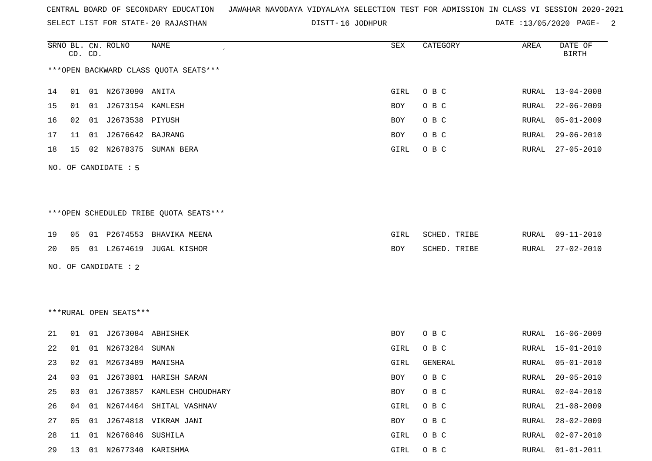| CENTRAL BOARD OF SECONDARY EDUCATION – JAWAHAR NAVODAYA VIDYALAYA SELECTION TEST FOR ADMISSION IN CLASS VI SESSION 2020-2021 |  |  |  |  |
|------------------------------------------------------------------------------------------------------------------------------|--|--|--|--|
|------------------------------------------------------------------------------------------------------------------------------|--|--|--|--|

DISTT-16 JODHPUR DATE :13/05/2020 PAGE- 2

|    |    | CD. CD. | SRNO BL. CN. ROLNO     | NAME                                   | SEX        | CATEGORY     | AREA         | DATE OF<br><b>BIRTH</b> |
|----|----|---------|------------------------|----------------------------------------|------------|--------------|--------------|-------------------------|
|    |    |         |                        | *** OPEN BACKWARD CLASS QUOTA SEATS*** |            |              |              |                         |
| 14 | 01 |         | 01 N2673090 ANITA      |                                        | GIRL       | O B C        | RURAL        | 13-04-2008              |
| 15 | 01 |         | 01 J2673154 KAMLESH    |                                        | <b>BOY</b> | O B C        | RURAL        | $22 - 06 - 2009$        |
| 16 | 02 |         | 01 J2673538 PIYUSH     |                                        | BOY        | O B C        | RURAL        | $05 - 01 - 2009$        |
| 17 | 11 |         | 01 J2676642 BAJRANG    |                                        | BOY        | O B C        | RURAL        | $29 - 06 - 2010$        |
| 18 | 15 |         |                        | 02 N2678375 SUMAN BERA                 | GIRL       | O B C        | RURAL        | $27 - 05 - 2010$        |
|    |    |         | NO. OF CANDIDATE : 5   |                                        |            |              |              |                         |
|    |    |         |                        |                                        |            |              |              |                         |
|    |    |         |                        | ***OPEN SCHEDULED TRIBE QUOTA SEATS*** |            |              |              |                         |
| 19 | 05 |         | 01 P2674553            | BHAVIKA MEENA                          | GIRL       | SCHED. TRIBE | RURAL        | $09 - 11 - 2010$        |
| 20 | 05 |         | 01 L2674619            | JUGAL KISHOR                           | BOY        | SCHED. TRIBE | RURAL        | $27 - 02 - 2010$        |
|    |    |         | NO. OF CANDIDATE : 2   |                                        |            |              |              |                         |
|    |    |         |                        |                                        |            |              |              |                         |
|    |    |         |                        |                                        |            |              |              |                         |
|    |    |         | ***RURAL OPEN SEATS*** |                                        |            |              |              |                         |
| 21 | 01 |         | 01 J2673084 ABHISHEK   |                                        | <b>BOY</b> | O B C        | RURAL        | $16 - 06 - 2009$        |
| 22 | 01 |         | 01 N2673284 SUMAN      |                                        | GIRL       | O B C        | RURAL        | $15 - 01 - 2010$        |
| 23 | 02 | 01      | M2673489               | MANISHA                                | GIRL       | GENERAL      | RURAL        | $05 - 01 - 2010$        |
| 24 | 03 |         |                        | 01 J2673801 HARISH SARAN               | <b>BOY</b> | O B C        | RURAL        | $20 - 05 - 2010$        |
| 25 | 03 |         |                        | 01 J2673857 KAMLESH CHOUDHARY          | <b>BOY</b> | O B C        | <b>RURAL</b> | $02 - 04 - 2010$        |
| 26 | 04 |         |                        | 01 N2674464 SHITAL VASHNAV             | GIRL       | O B C        | RURAL        | $21 - 08 - 2009$        |
| 27 | 05 |         |                        | 01 J2674818 VIKRAM JANI                | BOY        | O B C        | RURAL        | $28 - 02 - 2009$        |
| 28 | 11 | 01      | N2676846               | SUSHILA                                | GIRL       | O B C        | RURAL        | $02 - 07 - 2010$        |
| 29 | 13 |         | 01 N2677340 KARISHMA   |                                        | GIRL       | O B C        | RURAL        | $01 - 01 - 2011$        |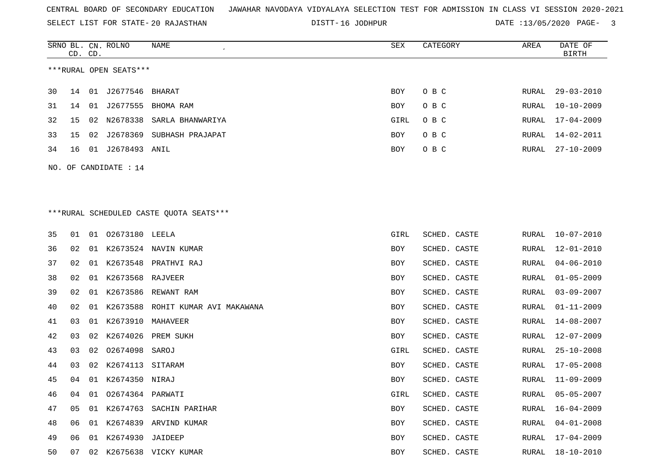DISTT-16 JODHPUR 2020 DATE :13/05/2020 PAGE- 3

|                        | CD. CD.                 |    | SRNO BL. CN. ROLNO | NAME                         | SEX        | CATEGORY | AREA  | DATE OF<br>BIRTH |  |  |
|------------------------|-------------------------|----|--------------------|------------------------------|------------|----------|-------|------------------|--|--|
| ***RURAL OPEN SEATS*** |                         |    |                    |                              |            |          |       |                  |  |  |
| 30 I                   | 14                      | 01 | J2677546 BHARAT    |                              | BOY        | O B C    | RURAL | 29-03-2010       |  |  |
| 31                     | 14                      | 01 | J2677555           | BHOMA RAM                    | <b>BOY</b> | O B C    | RURAL | 10-10-2009       |  |  |
| 32                     | 15                      |    |                    | 02 N2678338 SARLA BHANWARIYA | GIRL       | O B C    | RURAL | 17-04-2009       |  |  |
| 33                     | 15                      |    | 02 J2678369        | SUBHASH PRAJAPAT             | <b>BOY</b> | O B C    | RURAL | 14-02-2011       |  |  |
| 34                     | 16                      | 01 | J2678493 ANIL      |                              | <b>BOY</b> | O B C    | RURAL | $27 - 10 - 2009$ |  |  |
|                        | NO. OF CANDIDATE : $14$ |    |                    |                              |            |          |       |                  |  |  |

### \*\*\*RURAL SCHEDULED CASTE QUOTA SEATS\*\*\*

| 35 | 01             |    | 01 02673180 LEELA |                                   | GIRL | SCHED. CASTE | RURAL | $10 - 07 - 2010$ |
|----|----------------|----|-------------------|-----------------------------------|------|--------------|-------|------------------|
| 36 | 02             | 01 |                   | K2673524 NAVIN KUMAR              | BOY  | SCHED. CASTE | RURAL | $12 - 01 - 2010$ |
| 37 | 02             | 01 |                   | K2673548 PRATHVI RAJ              | BOY  | SCHED. CASTE | RURAL | $04 - 06 - 2010$ |
| 38 | 02             | 01 | K2673568 RAJVEER  |                                   | BOY  | SCHED. CASTE | RURAL | $01 - 05 - 2009$ |
| 39 | 02             | 01 |                   | K2673586 REWANT RAM               | BOY  | SCHED. CASTE | RURAL | $03 - 09 - 2007$ |
| 40 | 02             | 01 |                   | K2673588 ROHIT KUMAR AVI MAKAWANA | BOY  | SCHED. CASTE | RURAL | 01-11-2009       |
| 41 | 03             | 01 | K2673910 MAHAVEER |                                   | BOY  | SCHED. CASTE | RURAL | 14-08-2007       |
| 42 | 03             | 02 | K2674026          | PREM SUKH                         | BOY  | SCHED. CASTE | RURAL | $12 - 07 - 2009$ |
| 43 | 03             |    | 02 02674098 SAROJ |                                   | GIRL | SCHED. CASTE | RURAL | $25 - 10 - 2008$ |
| 44 | 03             | 02 | K2674113          | SITARAM                           | BOY  | SCHED. CASTE | RURAL | $17 - 05 - 2008$ |
| 45 | 04             | 01 | K2674350 NIRAJ    |                                   | BOY  | SCHED. CASTE | RURAL | $11 - 09 - 2009$ |
| 46 | 04             | 01 | 02674364 PARWATI  |                                   | GIRL | SCHED. CASTE | RURAL | $05 - 05 - 2007$ |
| 47 | 0 <sub>5</sub> | 01 | K2674763          | SACHIN PARIHAR                    | BOY  | SCHED. CASTE | RURAL | $16 - 04 - 2009$ |
| 48 | 06             | 01 |                   | K2674839 ARVIND KUMAR             | BOY  | SCHED. CASTE | RURAL | $04 - 01 - 2008$ |
| 49 | 06             | 01 | K2674930          | JAIDEEP                           | BOY  | SCHED. CASTE | RURAL | $17 - 04 - 2009$ |
| 50 | 07             | 02 |                   | K2675638 VICKY KUMAR              | BOY  | SCHED. CASTE | RURAL | 18-10-2010       |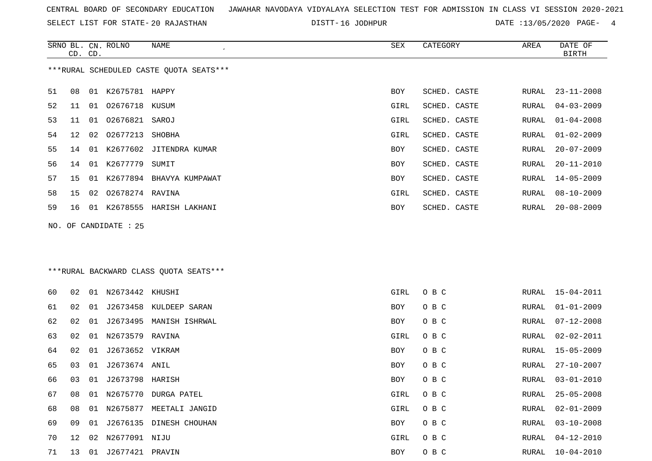SELECT LIST FOR STATE- DISTT- 20 RAJASTHAN

DISTT-16 JODHPUR 2020 DATE :13/05/2020 PAGE- 4

|    | CD. CD. |    | SRNO BL. CN. ROLNO | NAME                                    | SEX  | CATEGORY     | AREA  | DATE OF<br><b>BIRTH</b> |
|----|---------|----|--------------------|-----------------------------------------|------|--------------|-------|-------------------------|
|    |         |    |                    | ***RURAL SCHEDULED CASTE QUOTA SEATS*** |      |              |       |                         |
| 51 | 08      |    | 01 K2675781 HAPPY  |                                         | BOY  | SCHED. CASTE | RURAL | $23 - 11 - 2008$        |
| 52 | 11      |    | 01 02676718 KUSUM  |                                         | GIRL | SCHED. CASTE | RURAL | $04 - 03 - 2009$        |
| 53 | 11      | 01 | 02676821 SAROJ     |                                         | GIRL | SCHED. CASTE | RURAL | $01 - 04 - 2008$        |
| 54 | 12      | 02 | 02677213           | SHOBHA                                  | GIRL | SCHED. CASTE | RURAL | $01 - 02 - 2009$        |
| 55 | 14      | 01 | K2677602           | JITENDRA KUMAR                          | BOY  | SCHED. CASTE | RURAL | $20 - 07 - 2009$        |
| 56 | 14      | 01 | K2677779           | SUMIT                                   | BOY  | SCHED. CASTE | RURAL | $20 - 11 - 2010$        |
| 57 | 15      | 01 |                    | K2677894 BHAVYA KUMPAWAT                | BOY  | SCHED. CASTE | RURAL | $14 - 05 - 2009$        |
| 58 | 15      | 02 | 02678274 RAVINA    |                                         | GIRL | SCHED. CASTE | RURAL | $08 - 10 - 2009$        |
| 59 | 16      |    |                    | 01 K2678555 HARISH LAKHANI              | BOY  | SCHED. CASTE | RURAL | $20 - 08 - 2009$        |
|    |         |    |                    | *** RURAL BACKWARD CLASS QUOTA SEATS*** |      |              |       |                         |
| 60 | 02      |    | 01 N2673442 KHUSHI |                                         | GIRL | O B C        | RURAL | $15 - 04 - 2011$        |
| 61 | 02      | 01 | J2673458           | KULDEEP SARAN                           | BOY  | O B C        | RURAL | $01 - 01 - 2009$        |
| 62 | 02      | 01 | J2673495           | MANISH ISHRWAL                          | BOY  | O B C        | RURAL | $07 - 12 - 2008$        |
| 63 | 02      | 01 | N2673579 RAVINA    |                                         | GIRL | O B C        | RURAL | $02 - 02 - 2011$        |
| 64 | 02      | 01 | J2673652 VIKRAM    |                                         | BOY  | O B C        | RURAL | $15 - 05 - 2009$        |
| 65 | 03      | 01 | J2673674 ANIL      |                                         | BOY  | O B C        | RURAL | $27 - 10 - 2007$        |
| 66 | 03      | 01 | J2673798 HARISH    |                                         | BOY  | O B C        | RURAL | $03 - 01 - 2010$        |
| 67 | 08      |    |                    | 01 N2675770 DURGA PATEL                 | GIRL | O B C        | RURAL | $25 - 05 - 2008$        |
| 68 | 08      | 01 |                    | N2675877 MEETALI JANGID                 | GIRL | O B C        | RURAL | $02 - 01 - 2009$        |
| 69 | 09      | 01 |                    | J2676135 DINESH CHOUHAN                 | BOY  | O B C        | RURAL | $03 - 10 - 2008$        |
| 70 | 12      | 02 | N2677091 NIJU      |                                         | GIRL | O B C        | RURAL | $04 - 12 - 2010$        |
| 71 | 13      |    | 01 J2677421 PRAVIN |                                         | BOY  | O B C        | RURAL | $10 - 04 - 2010$        |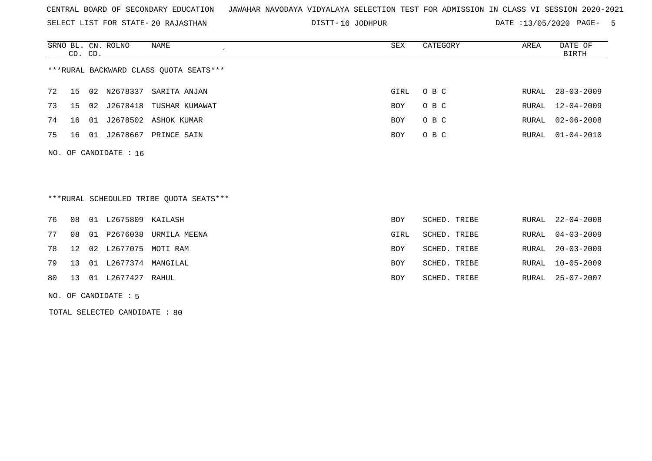SELECT LIST FOR STATE- DISTT- 20 RAJASTHAN

DISTT-16 JODHPUR DATE :13/05/2020 PAGE- 5

|                                        | CD. CD. |    | SRNO BL. CN. ROLNO   | NAME           | SEX        | CATEGORY | AREA  | DATE OF<br>BIRTH |
|----------------------------------------|---------|----|----------------------|----------------|------------|----------|-------|------------------|
| ***RURAL BACKWARD CLASS QUOTA SEATS*** |         |    |                      |                |            |          |       |                  |
| 72                                     | 15      | 02 | N2678337             | SARITA ANJAN   | GIRL       | O B C    | RURAL | 28-03-2009       |
| 73                                     | 15      | 02 | J2678418             | TUSHAR KUMAWAT | <b>BOY</b> | O B C    |       | RURAL 12-04-2009 |
| 74                                     | 16 01   |    | J2678502             | ASHOK KUMAR    | <b>BOY</b> | O B C    |       | RURAL 02-06-2008 |
| 75                                     | 16 01   |    | J2678667             | PRINCE SAIN    | <b>BOY</b> | O B C    |       | RURAL 01-04-2010 |
|                                        |         |    | NO. OF CANDIDATE: 16 |                |            |          |       |                  |

\*\*\*RURAL SCHEDULED TRIBE QUOTA SEATS\*\*\*

|    |  | 76 08 01 L2675809 KAILASH  |                             | BOY  | SCHED. TRIBE |       | RURAL 22-04-2008 |
|----|--|----------------------------|-----------------------------|------|--------------|-------|------------------|
| 77 |  |                            | 08 01 P2676038 URMILA MEENA | GIRL | SCHED. TRIBE |       | RURAL 04-03-2009 |
|    |  | 78 12 02 L2677075 MOTI RAM |                             | BOY  | SCHED. TRIBE | RURAL | 20-03-2009       |
|    |  | 79 13 01 L2677374 MANGILAL |                             | BOY  | SCHED. TRIBE |       | RURAL 10-05-2009 |
|    |  | 80 13 01 L2677427 RAHUL    |                             | BOY  | SCHED. TRIBE |       | RURAL 25-07-2007 |

NO. OF CANDIDATE : 5

TOTAL SELECTED CANDIDATE : 80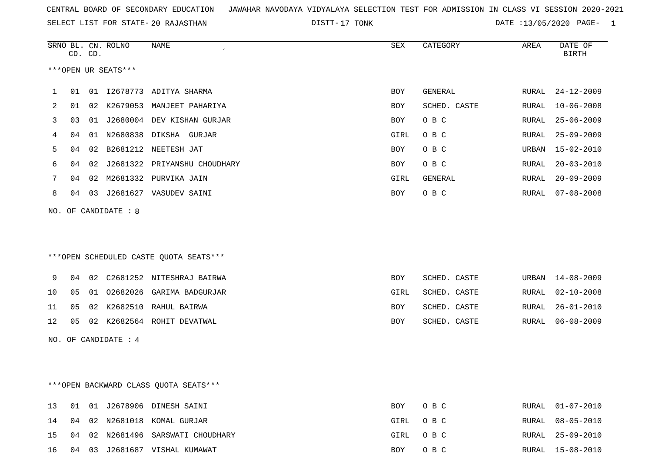DISTT-17 TONK 2020 DATE :13/05/2020 PAGE- 1

|    | CD. CD. |    | SRNO BL. CN. ROLNO   | NAME<br>$\epsilon$                     | SEX  | CATEGORY     | AREA         | DATE OF<br><b>BIRTH</b> |
|----|---------|----|----------------------|----------------------------------------|------|--------------|--------------|-------------------------|
|    |         |    | ***OPEN UR SEATS***  |                                        |      |              |              |                         |
| 1  | 01      |    |                      | 01 I2678773 ADITYA SHARMA              | BOY  | GENERAL      | RURAL        | $24 - 12 - 2009$        |
| 2  | 01      |    |                      | 02 K2679053 MANJEET PAHARIYA           | BOY  | SCHED. CASTE | RURAL        | $10 - 06 - 2008$        |
| 3  | 03      |    |                      | 01 J2680004 DEV KISHAN GURJAR          | BOY  | O B C        | <b>RURAL</b> | $25 - 06 - 2009$        |
| 4  | 04      |    |                      | 01 N2680838 DIKSHA GURJAR              | GIRL | O B C        | RURAL        | $25 - 09 - 2009$        |
| 5  | 04      | 02 |                      | B2681212 NEETESH JAT                   | BOY  | O B C        | URBAN        | $15 - 02 - 2010$        |
| 6  | 04      | 02 |                      | J2681322 PRIYANSHU CHOUDHARY           | BOY  | O B C        | RURAL        | $20 - 03 - 2010$        |
| 7  | 04      |    |                      | 02 M2681332 PURVIKA JAIN               | GIRL | GENERAL      | RURAL        | $20 - 09 - 2009$        |
| 8  | 04      |    |                      | 03 J2681627 VASUDEV SAINI              | BOY  | O B C        | RURAL        | $07 - 08 - 2008$        |
|    |         |    | NO. OF CANDIDATE : 8 |                                        |      |              |              |                         |
|    |         |    |                      | ***OPEN SCHEDULED CASTE QUOTA SEATS*** |      |              |              |                         |
| 9  |         |    |                      | 04 02 C2681252 NITESHRAJ BAIRWA        | BOY  | SCHED. CASTE | URBAN        | $14 - 08 - 2009$        |
| 10 | 05      |    |                      | 01 02682026 GARIMA BADGURJAR           | GIRL | SCHED. CASTE | RURAL        | $02 - 10 - 2008$        |
| 11 | 05      |    |                      | 02 K2682510 RAHUL BAIRWA               | BOY  | SCHED. CASTE | RURAL        | $26 - 01 - 2010$        |
| 12 | 05      |    |                      | 02 K2682564 ROHIT DEVATWAL             | BOY  | SCHED. CASTE | RURAL        | $06 - 08 - 2009$        |
|    |         |    | NO. OF CANDIDATE : 4 |                                        |      |              |              |                         |
|    |         |    |                      |                                        |      |              |              |                         |

\*\*\*OPEN BACKWARD CLASS QUOTA SEATS\*\*\*

|  |  | 13 01 01 J2678906 DINESH SAINI       | BOY OBC  | RURAL 01-07-2010 |
|--|--|--------------------------------------|----------|------------------|
|  |  | 14 04 02 N2681018 KOMAL GURJAR       | GIRL OBC | RURAL 08-05-2010 |
|  |  | 15 04 02 N2681496 SARSWATI CHOUDHARY | GIRL OBC | RURAL 25-09-2010 |
|  |  | 16 04 03 J2681687 VISHAL KUMAWAT     | BOY OBC  | RURAL 15-08-2010 |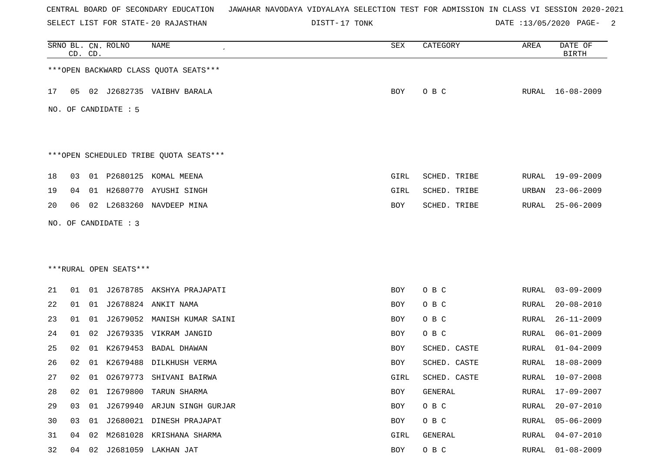SELECT LIST FOR STATE- DISTT- 20 RAJASTHAN

DISTT-17 TONK 2 DATE :13/05/2020 PAGE- 2

|    |    | CD. CD. | SRNO BL. CN. ROLNO                             | NAME                                   | SEX  | CATEGORY     | AREA         | DATE OF<br><b>BIRTH</b> |
|----|----|---------|------------------------------------------------|----------------------------------------|------|--------------|--------------|-------------------------|
|    |    |         |                                                | *** OPEN BACKWARD CLASS QUOTA SEATS*** |      |              |              |                         |
| 17 | 05 |         |                                                | 02 J2682735 VAIBHV BARALA              | BOY  | O B C        |              | RURAL 16-08-2009        |
|    |    |         | NO. OF CANDIDATE : 5                           |                                        |      |              |              |                         |
|    |    |         |                                                | ***OPEN SCHEDULED TRIBE QUOTA SEATS*** |      |              |              |                         |
| 18 | 03 | 01      | P2680125                                       | KOMAL MEENA                            | GIRL | SCHED. TRIBE | RURAL        | $19 - 09 - 2009$        |
| 19 | 04 |         |                                                | 01 H2680770 AYUSHI SINGH               | GIRL | SCHED. TRIBE | URBAN        | $23 - 06 - 2009$        |
| 20 | 06 |         |                                                | 02 L2683260 NAVDEEP MINA               | BOY  | SCHED. TRIBE | RURAL        | $25 - 06 - 2009$        |
|    |    |         | NO. OF CANDIDATE : 3<br>***RURAL OPEN SEATS*** |                                        |      |              |              |                         |
| 21 | 01 | 01      |                                                | J2678785 AKSHYA PRAJAPATI              | BOY  | O B C        | RURAL        | $03 - 09 - 2009$        |
| 22 | 01 |         |                                                | 01 J2678824 ANKIT NAMA                 | BOY  | O B C        | RURAL        | $20 - 08 - 2010$        |
| 23 | 01 | 01      | J2679052                                       | MANISH KUMAR SAINI                     | BOY  | O B C        | <b>RURAL</b> | $26 - 11 - 2009$        |
| 24 | 01 | 02      | J2679335                                       | VIKRAM JANGID                          | BOY  | O B C        | RURAL        | $06 - 01 - 2009$        |
| 25 | 02 | 01      | K2679453                                       | BADAL DHAWAN                           | BOY  | SCHED. CASTE | RURAL        | $01 - 04 - 2009$        |
| 26 | 02 | 01      | K2679488                                       | DILKHUSH VERMA                         | BOY  | SCHED. CASTE | RURAL        | $18 - 08 - 2009$        |
| 27 | 02 | 01      | 02679773                                       | SHIVANI BAIRWA                         | GIRL | SCHED. CASTE | RURAL        | 10-07-2008              |
| 28 | 02 | 01      | I2679800                                       | TARUN SHARMA                           | BOY  | GENERAL      | <b>RURAL</b> | 17-09-2007              |
| 29 | 03 | 01      |                                                | J2679940 ARJUN SINGH GURJAR            | BOY  | O B C        | <b>RURAL</b> | $20 - 07 - 2010$        |
| 30 | 03 | 01      |                                                | J2680021 DINESH PRAJAPAT               | BOY  | O B C        | <b>RURAL</b> | $05 - 06 - 2009$        |
| 31 | 04 | 02      |                                                | M2681028 KRISHANA SHARMA               | GIRL | GENERAL      | <b>RURAL</b> | $04 - 07 - 2010$        |
| 32 | 04 | 02      |                                                | J2681059 LAKHAN JAT                    | BOY  | O B C        | <b>RURAL</b> | $01 - 08 - 2009$        |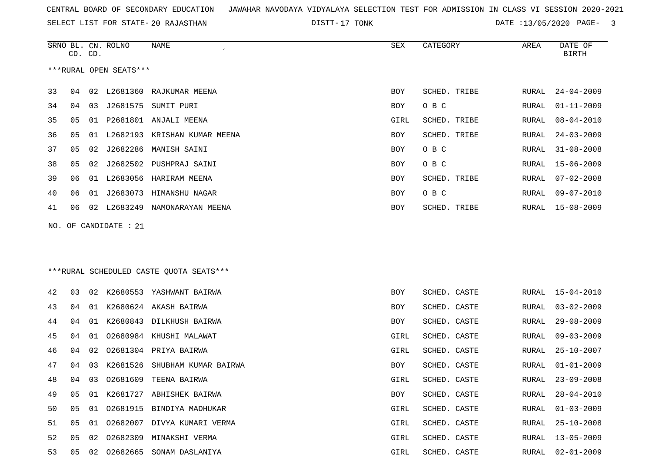SRNO BL. CN.

ROLNO NAME SEX CATEGORY AREA DATE OF

DISTT-17 TONK 6 000 DATE :13/05/2020 PAGE- 3

|    | CD. CD.                |    |                       |                                         |            |              |       | BIRTH            |  |  |
|----|------------------------|----|-----------------------|-----------------------------------------|------------|--------------|-------|------------------|--|--|
|    | ***RURAL OPEN SEATS*** |    |                       |                                         |            |              |       |                  |  |  |
| 33 |                        |    |                       | 04 02 L2681360 RAJKUMAR MEENA           | <b>BOY</b> | SCHED. TRIBE | RURAL | $24 - 04 - 2009$ |  |  |
| 34 | 04                     | 03 |                       | J2681575 SUMIT PURI                     | BOY        | O B C        | RURAL | $01 - 11 - 2009$ |  |  |
| 35 | 05                     |    |                       | 01 P2681801 ANJALI MEENA                | GIRL       | SCHED. TRIBE | RURAL | $08 - 04 - 2010$ |  |  |
| 36 | 05                     |    |                       | 01 L2682193 KRISHAN KUMAR MEENA         | BOY        | SCHED. TRIBE | RURAL | $24 - 03 - 2009$ |  |  |
| 37 | 05                     |    |                       | 02 J2682286 MANISH SAINI                | BOY        | O B C        | RURAL | $31 - 08 - 2008$ |  |  |
| 38 | 05                     | 02 |                       | J2682502 PUSHPRAJ SAINI                 | BOY        | O B C        | RURAL | $15 - 06 - 2009$ |  |  |
| 39 | 06                     |    |                       | 01 L2683056 HARIRAM MEENA               | BOY        | SCHED. TRIBE | RURAL | $07 - 02 - 2008$ |  |  |
| 40 | 06                     |    |                       | 01 J2683073 HIMANSHU NAGAR              | BOY        | O B C        | RURAL | $09 - 07 - 2010$ |  |  |
| 41 | 06                     |    |                       | 02 L2683249 NAMONARAYAN MEENA           | BOY        | SCHED. TRIBE | RURAL | 15-08-2009       |  |  |
|    |                        |    | NO. OF CANDIDATE : 21 |                                         |            |              |       |                  |  |  |
|    |                        |    |                       |                                         |            |              |       |                  |  |  |
|    |                        |    |                       |                                         |            |              |       |                  |  |  |
|    |                        |    |                       | ***RURAL SCHEDULED CASTE QUOTA SEATS*** |            |              |       |                  |  |  |
| 42 | 03                     |    |                       | 02 K2680553 YASHWANT BAIRWA             | BOY        | SCHED. CASTE | RURAL | 15-04-2010       |  |  |
| 43 | 04                     |    |                       | 01 K2680624 AKASH BAIRWA                | BOY        | SCHED. CASTE | RURAL | $03 - 02 - 2009$ |  |  |
| 44 | 04                     | 01 |                       | K2680843 DILKHUSH BAIRWA                | BOY        | SCHED. CASTE | RURAL | $29 - 08 - 2009$ |  |  |
| 45 | 04                     | 01 |                       | 02680984 KHUSHI MALAWAT                 | GIRL       | SCHED. CASTE | RURAL | $09 - 03 - 2009$ |  |  |
| 46 | 04                     | 02 |                       | 02681304 PRIYA BAIRWA                   | GIRL       | SCHED. CASTE | RURAL | $25 - 10 - 2007$ |  |  |
| 47 | 04                     | 03 |                       | K2681526 SHUBHAM KUMAR BAIRWA           | BOY        | SCHED. CASTE | RURAL | $01 - 01 - 2009$ |  |  |
| 48 | 04                     | 03 | 02681609              | TEENA BAIRWA                            | GIRL       | SCHED. CASTE | RURAL | $23 - 09 - 2008$ |  |  |
| 49 | 05                     |    |                       | 01 K2681727 ABHISHEK BAIRWA             | BOY        | SCHED. CASTE | RURAL | $28 - 04 - 2010$ |  |  |
| 50 |                        |    |                       | 05 01 02681915 BINDIYA MADHUKAR         | GIRL       | SCHED. CASTE | RURAL | $01 - 03 - 2009$ |  |  |
| 51 | 05                     |    |                       | 01 02682007 DIVYA KUMARI VERMA          | GIRL       | SCHED. CASTE | RURAL | $25 - 10 - 2008$ |  |  |
| 52 | 05                     |    |                       | 02 02682309 MINAKSHI VERMA              | GIRL       | SCHED. CASTE | RURAL | $13 - 05 - 2009$ |  |  |
| 53 |                        |    |                       | 05 02 02682665 SONAM DASLANIYA          | GIRL       | SCHED. CASTE | RURAL | $02 - 01 - 2009$ |  |  |
|    |                        |    |                       |                                         |            |              |       |                  |  |  |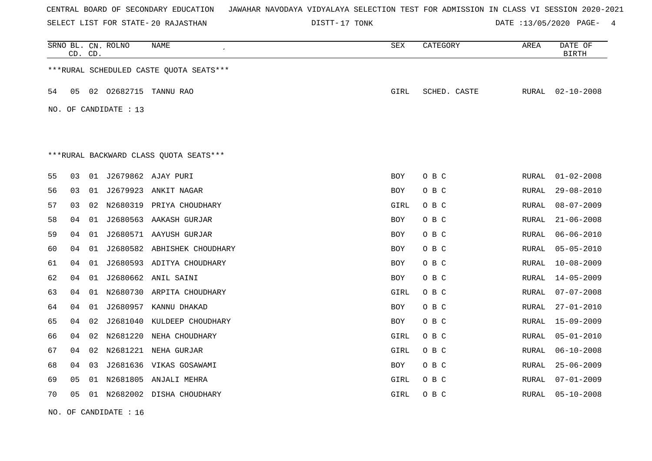SELECT LIST FOR STATE- DISTT- 20 RAJASTHAN

DISTT-17 TONK 2020 DATE :13/05/2020 PAGE- 4

|    | CD. CD.                                |    | SRNO BL. CN. ROLNO    | NAME                                    | SEX        | CATEGORY     | AREA  | DATE OF<br><b>BIRTH</b> |  |  |
|----|----------------------------------------|----|-----------------------|-----------------------------------------|------------|--------------|-------|-------------------------|--|--|
|    |                                        |    |                       | ***RURAL SCHEDULED CASTE QUOTA SEATS*** |            |              |       |                         |  |  |
| 54 | 05                                     |    | 02 02682715           | TANNU RAO                               | GIRL       | SCHED. CASTE | RURAL | $02 - 10 - 2008$        |  |  |
|    |                                        |    | NO. OF CANDIDATE : 13 |                                         |            |              |       |                         |  |  |
|    |                                        |    |                       |                                         |            |              |       |                         |  |  |
|    | ***RURAL BACKWARD CLASS QUOTA SEATS*** |    |                       |                                         |            |              |       |                         |  |  |
|    |                                        |    |                       |                                         |            |              |       |                         |  |  |
| 55 | 03                                     |    |                       | 01 J2679862 AJAY PURI                   | <b>BOY</b> | O B C        | RURAL | $01 - 02 - 2008$        |  |  |
| 56 | 03                                     |    |                       | 01 J2679923 ANKIT NAGAR                 | <b>BOY</b> | O B C        | RURAL | $29 - 08 - 2010$        |  |  |
| 57 | 03                                     | 02 |                       | N2680319 PRIYA CHOUDHARY                | GIRL       | O B C        | RURAL | $08 - 07 - 2009$        |  |  |
| 58 | 04                                     |    |                       | 01 J2680563 AAKASH GURJAR               | BOY        | O B C        | RURAL | $21 - 06 - 2008$        |  |  |
| 59 | 04                                     | 01 |                       | J2680571 AAYUSH GURJAR                  | <b>BOY</b> | O B C        | RURAL | $06 - 06 - 2010$        |  |  |
| 60 | 04                                     | 01 |                       | J2680582 ABHISHEK CHOUDHARY             | <b>BOY</b> | O B C        | RURAL | $05 - 05 - 2010$        |  |  |
| 61 | 04                                     | 01 |                       | J2680593 ADITYA CHOUDHARY               | <b>BOY</b> | O B C        | RURAL | $10 - 08 - 2009$        |  |  |
| 62 | 04                                     | 01 |                       | J2680662 ANIL SAINI                     | <b>BOY</b> | O B C        | RURAL | $14 - 05 - 2009$        |  |  |
| 63 | 04                                     | 01 |                       | N2680730 ARPITA CHOUDHARY               | GIRL       | O B C        | RURAL | $07 - 07 - 2008$        |  |  |
| 64 | 04                                     | 01 |                       | J2680957 KANNU DHAKAD                   | BOY        | O B C        | RURAL | $27 - 01 - 2010$        |  |  |
| 65 | 04                                     | 02 |                       | J2681040 KULDEEP CHOUDHARY              | <b>BOY</b> | O B C        | RURAL | $15 - 09 - 2009$        |  |  |
| 66 | 04                                     |    |                       | 02 N2681220 NEHA CHOUDHARY              | GIRL       | O B C        | RURAL | $05 - 01 - 2010$        |  |  |
| 67 | 04                                     | 02 |                       | N2681221 NEHA GURJAR                    | GIRL       | O B C        | RURAL | $06 - 10 - 2008$        |  |  |
| 68 | 04                                     | 03 |                       | J2681636 VIKAS GOSAWAMI                 | BOY        | O B C        | RURAL | $25 - 06 - 2009$        |  |  |
| 69 | 05                                     | 01 |                       | N2681805 ANJALI MEHRA                   | GIRL       | O B C        | RURAL | $07 - 01 - 2009$        |  |  |
| 70 | 05                                     |    |                       | 01 N2682002 DISHA CHOUDHARY             | GIRL       | O B C        | RURAL | $05 - 10 - 2008$        |  |  |
|    |                                        |    |                       |                                         |            |              |       |                         |  |  |

NO. OF CANDIDATE : 16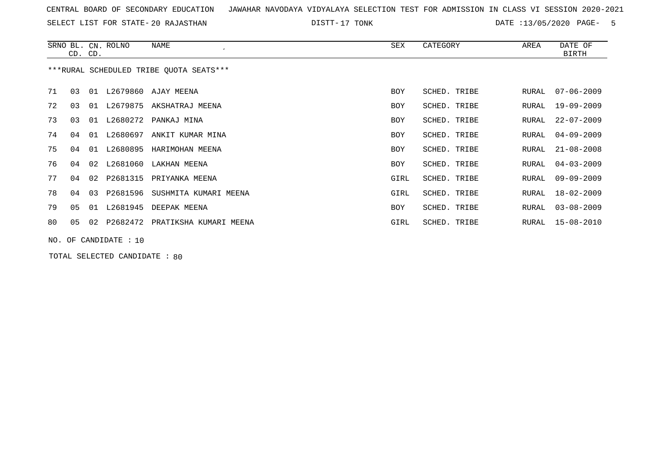SELECT LIST FOR STATE- DISTT- 20 RAJASTHAN

DISTT-17 TONK 6 0 DATE :13/05/2020 PAGE- 5

|    | CD. CD.                                 |    | SRNO BL. CN. ROLNO | NAME<br>$\epsilon$     | SEX        | CATEGORY     | AREA  | DATE OF<br>BIRTH |  |  |  |
|----|-----------------------------------------|----|--------------------|------------------------|------------|--------------|-------|------------------|--|--|--|
|    | ***RURAL SCHEDULED TRIBE OUOTA SEATS*** |    |                    |                        |            |              |       |                  |  |  |  |
| 71 | 03                                      | 01 |                    | L2679860 AJAY MEENA    | <b>BOY</b> | SCHED. TRIBE | RURAL | $07 - 06 - 2009$ |  |  |  |
| 72 | 03                                      | 01 | L2679875           | AKSHATRAJ MEENA        | BOY        | SCHED. TRIBE | RURAL | $19 - 09 - 2009$ |  |  |  |
| 73 | 03                                      | 01 | L2680272           | PANKAJ MINA            | <b>BOY</b> | SCHED. TRIBE | RURAL | $22 - 07 - 2009$ |  |  |  |
| 74 | 04                                      | 01 | L2680697           | ANKIT KUMAR MINA       | <b>BOY</b> | SCHED. TRIBE | RURAL | $04 - 09 - 2009$ |  |  |  |
| 75 | 04                                      | 01 | L2680895           | HARIMOHAN MEENA        | <b>BOY</b> | SCHED. TRIBE | RURAL | $21 - 08 - 2008$ |  |  |  |
| 76 | 04                                      | 02 |                    | L2681060 LAKHAN MEENA  | <b>BOY</b> | SCHED. TRIBE | RURAL | $04 - 03 - 2009$ |  |  |  |
| 77 | 04                                      | 02 | P2681315           | PRIYANKA MEENA         | GIRL       | SCHED. TRIBE | RURAL | $09 - 09 - 2009$ |  |  |  |
| 78 | 04                                      | 03 | P2681596           | SUSHMITA KUMARI MEENA  | GIRL       | SCHED. TRIBE | RURAL | $18 - 02 - 2009$ |  |  |  |
| 79 | 05                                      | 01 | L2681945           | DEEPAK MEENA           | <b>BOY</b> | SCHED. TRIBE | RURAL | $03 - 08 - 2009$ |  |  |  |
| 80 | 05                                      | 02 | P2682472           | PRATIKSHA KUMARI MEENA | GIRL       | SCHED. TRIBE | RURAL | $15 - 08 - 2010$ |  |  |  |
|    | NO. OF CANDIDATE : 10                   |    |                    |                        |            |              |       |                  |  |  |  |

TOTAL SELECTED CANDIDATE : 80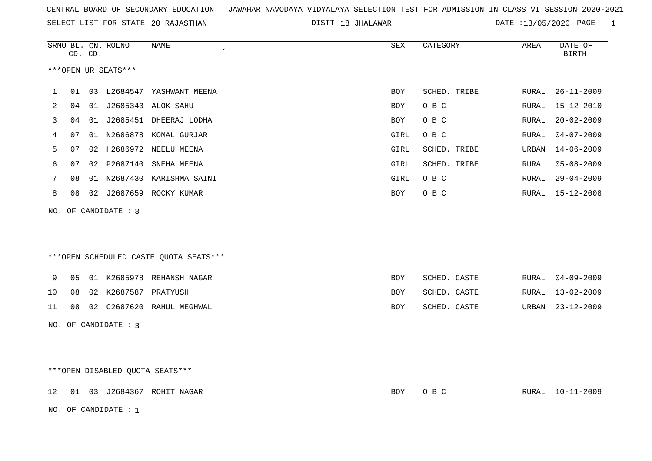SELECT LIST FOR STATE- DISTT- 20 RAJASTHAN

NO. OF CANDIDATE : 1

DISTT-18 JHALAWAR **DATE** :13/05/2020 PAGE- 1

|    |                                 | CD. CD. | SRNO BL. CN. ROLNO   | NAME<br>$\cdot$                        | SEX  | CATEGORY     | AREA  | DATE OF<br><b>BIRTH</b> |
|----|---------------------------------|---------|----------------------|----------------------------------------|------|--------------|-------|-------------------------|
|    |                                 |         | ***OPEN UR SEATS***  |                                        |      |              |       |                         |
| 1  | 01                              |         |                      | 03 L2684547 YASHWANT MEENA             | BOY  | SCHED. TRIBE | RURAL | $26 - 11 - 2009$        |
| 2  | 04                              | 01      |                      | J2685343 ALOK SAHU                     | BOY  | O B C        | RURAL | $15 - 12 - 2010$        |
| 3  | 04                              |         |                      | 01 J2685451 DHEERAJ LODHA              | BOY  | O B C        | RURAL | $20 - 02 - 2009$        |
| 4  | 07                              |         |                      | 01 N2686878 KOMAL GURJAR               | GIRL | O B C        | RURAL | $04 - 07 - 2009$        |
| 5  | 07                              |         |                      | 02 H2686972 NEELU MEENA                | GIRL | SCHED. TRIBE | URBAN | $14 - 06 - 2009$        |
| 6  | 07                              |         | 02 P2687140          | SNEHA MEENA                            | GIRL | SCHED. TRIBE | RURAL | $05 - 08 - 2009$        |
| 7  | 08                              |         |                      | 01 N2687430 KARISHMA SAINI             | GIRL | O B C        | RURAL | $29 - 04 - 2009$        |
| 8  | 08                              |         |                      | 02 J2687659 ROCKY KUMAR                | BOY  | O B C        | RURAL | $15 - 12 - 2008$        |
|    |                                 |         | NO. OF CANDIDATE : 8 |                                        |      |              |       |                         |
|    |                                 |         |                      |                                        |      |              |       |                         |
|    |                                 |         |                      |                                        |      |              |       |                         |
|    |                                 |         |                      | ***OPEN SCHEDULED CASTE QUOTA SEATS*** |      |              |       |                         |
| 9  | 05                              |         |                      | 01 K2685978 REHANSH NAGAR              | BOY  | SCHED. CASTE | RURAL | $04 - 09 - 2009$        |
| 10 | 08                              |         | 02 K2687587 PRATYUSH |                                        | BOY  | SCHED. CASTE | RURAL | $13 - 02 - 2009$        |
| 11 | 08                              |         |                      | 02 C2687620 RAHUL MEGHWAL              | BOY  | SCHED. CASTE | URBAN | $23 - 12 - 2009$        |
|    |                                 |         | NO. OF CANDIDATE : 3 |                                        |      |              |       |                         |
|    |                                 |         |                      |                                        |      |              |       |                         |
|    |                                 |         |                      |                                        |      |              |       |                         |
|    | ***OPEN DISABLED QUOTA SEATS*** |         |                      |                                        |      |              |       |                         |
| 12 |                                 |         |                      | 01 03 J2684367 ROHIT NAGAR             | BOY  | O B C        |       | RURAL 10-11-2009        |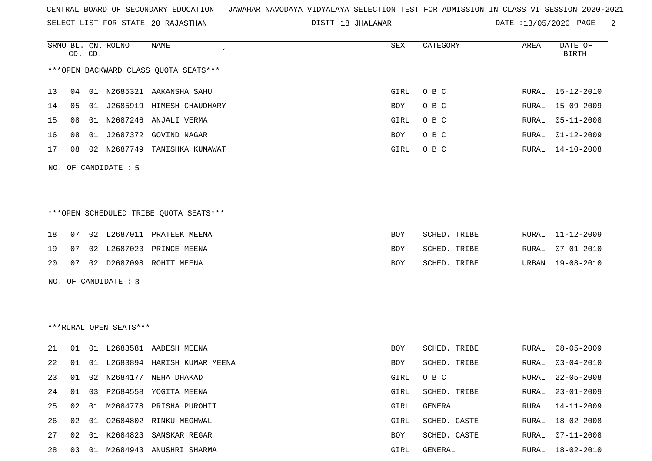SELECT LIST FOR STATE- DISTT- 20 RAJASTHAN

18 JHALAWAR DATE :13/05/2020 PAGE- 2

|    |    | CD. CD. | SRNO BL. CN. ROLNO     | NAME                                   | SEX  | CATEGORY     | AREA          | DATE OF<br><b>BIRTH</b> |
|----|----|---------|------------------------|----------------------------------------|------|--------------|---------------|-------------------------|
|    |    |         |                        | *** OPEN BACKWARD CLASS QUOTA SEATS*** |      |              |               |                         |
| 13 | 04 | 01      | N2685321               | AAKANSHA SAHU                          | GIRL | O B C        | RURAL         | $15 - 12 - 2010$        |
| 14 | 05 | 01      |                        | J2685919 HIMESH CHAUDHARY              | BOY  | O B C        | RURAL         | $15 - 09 - 2009$        |
| 15 | 08 | 01      |                        | N2687246 ANJALI VERMA                  | GIRL | O B C        | RURAL         | $05 - 11 - 2008$        |
| 16 | 08 | 01      |                        | J2687372 GOVIND NAGAR                  | BOY  | O B C        | RURAL         | $01 - 12 - 2009$        |
| 17 | 08 |         |                        | 02 N2687749 TANISHKA KUMAWAT           | GIRL | O B C        | RURAL         | $14 - 10 - 2008$        |
|    |    |         | NO. OF CANDIDATE : 5   |                                        |      |              |               |                         |
|    |    |         |                        |                                        |      |              |               |                         |
|    |    |         |                        |                                        |      |              |               |                         |
|    |    |         |                        | ***OPEN SCHEDULED TRIBE QUOTA SEATS*** |      |              |               |                         |
| 18 | 07 |         |                        | 02 L2687011 PRATEEK MEENA              | BOY  | SCHED. TRIBE | RURAL         | $11 - 12 - 2009$        |
| 19 | 07 |         |                        | 02 L2687023 PRINCE MEENA               | BOY  | SCHED. TRIBE | RURAL         | $07 - 01 - 2010$        |
| 20 | 07 |         |                        | 02 D2687098 ROHIT MEENA                | BOY  | SCHED. TRIBE | URBAN         | $19 - 08 - 2010$        |
|    |    |         | NO. OF CANDIDATE : 3   |                                        |      |              |               |                         |
|    |    |         |                        |                                        |      |              |               |                         |
|    |    |         |                        |                                        |      |              |               |                         |
|    |    |         | ***RURAL OPEN SEATS*** |                                        |      |              |               |                         |
| 21 | 01 |         |                        | 01 L2683581 AADESH MEENA               | BOY  | SCHED. TRIBE | RURAL         | $08 - 05 - 2009$        |
| 22 | 01 | 01      |                        | L2683894 HARISH KUMAR MEENA            | BOY  | SCHED. TRIBE | RURAL         | $03 - 04 - 2010$        |
| 23 | 01 |         |                        | 02 N2684177 NEHA DHAKAD                | GIRL | O B C        | RURAL         | $22 - 05 - 2008$        |
| 24 | 01 |         |                        | 03 P2684558 YOGITA MEENA               | GIRL | SCHED. TRIBE | ${\tt RURAL}$ | $23 - 01 - 2009$        |
| 25 | 02 | 01      |                        | M2684778 PRISHA PUROHIT                | GIRL | GENERAL      | RURAL         | $14 - 11 - 2009$        |
| 26 | 02 | 01      |                        | 02684802 RINKU MEGHWAL                 | GIRL | SCHED. CASTE | RURAL         | $18 - 02 - 2008$        |
| 27 | 02 | 01      |                        | K2684823 SANSKAR REGAR                 | BOY  | SCHED. CASTE | RURAL         | $07 - 11 - 2008$        |
| 28 |    |         |                        | 03 01 M2684943 ANUSHRI SHARMA          | GIRL | GENERAL      |               | RURAL 18-02-2010        |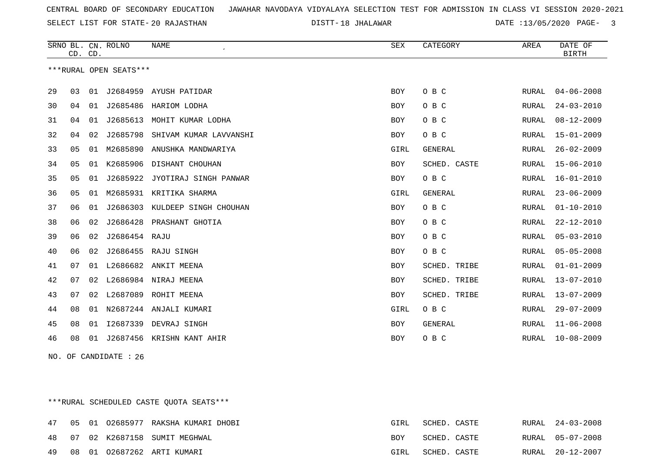SELECT LIST FOR STATE- DISTT- 20 RAJASTHAN

18 JHALAWAR DATE :13/05/2020 PAGE- 3

|    | CD. CD. |    | SRNO BL. CN. ROLNO     | <b>NAME</b>            | <b>SEX</b> | CATEGORY     | AREA  | DATE OF<br><b>BIRTH</b> |
|----|---------|----|------------------------|------------------------|------------|--------------|-------|-------------------------|
|    |         |    | ***RURAL OPEN SEATS*** |                        |            |              |       |                         |
| 29 | 03      |    | 01 J2684959            | AYUSH PATIDAR          | BOY        | O B C        | RURAL | $04 - 06 - 2008$        |
| 30 | 04      | 01 | J2685486               | HARIOM LODHA           | BOY        | O B C        | RURAL | $24 - 03 - 2010$        |
| 31 | 04      | 01 | J2685613               | MOHIT KUMAR LODHA      | BOY        | O B C        | RURAL | $08 - 12 - 2009$        |
| 32 | 04      | 02 | J2685798               | SHIVAM KUMAR LAVVANSHI | BOY        | O B C        | RURAL | $15 - 01 - 2009$        |
| 33 | 05      | 01 | M2685890               | ANUSHKA MANDWARIYA     | GIRL       | GENERAL      | RURAL | $26 - 02 - 2009$        |
| 34 | 05      | 01 | K2685906               | DISHANT CHOUHAN        | <b>BOY</b> | SCHED. CASTE | RURAL | $15 - 06 - 2010$        |
| 35 | 05      | 01 | J2685922               | JYOTIRAJ SINGH PANWAR  | BOY        | O B C        | RURAL | $16 - 01 - 2010$        |
| 36 | 05      | 01 | M2685931               | KRITIKA SHARMA         | GIRL       | GENERAL      | RURAL | $23 - 06 - 2009$        |
| 37 | 06      | 01 | J2686303               | KULDEEP SINGH CHOUHAN  | BOY        | O B C        | RURAL | $01 - 10 - 2010$        |
| 38 | 06      | 02 | J2686428               | PRASHANT GHOTIA        | <b>BOY</b> | O B C        | RURAL | $22 - 12 - 2010$        |
| 39 | 06      | 02 | J2686454 RAJU          |                        | <b>BOY</b> | O B C        | RURAL | $05 - 03 - 2010$        |
| 40 | 06      | 02 | J2686455               | RAJU SINGH             | <b>BOY</b> | O B C        | RURAL | $05 - 05 - 2008$        |
| 41 | 07      | 01 | L2686682               | ANKIT MEENA            | <b>BOY</b> | SCHED. TRIBE | RURAL | $01 - 01 - 2009$        |
| 42 | 07      | 02 |                        | L2686984 NIRAJ MEENA   | <b>BOY</b> | SCHED. TRIBE | RURAL | $13 - 07 - 2010$        |
| 43 | 07      | 02 | L2687089               | ROHIT MEENA            | BOY        | SCHED. TRIBE | RURAL | $13 - 07 - 2009$        |
| 44 | 08      | 01 |                        | N2687244 ANJALI KUMARI | GIRL       | O B C        | RURAL | $29 - 07 - 2009$        |
| 45 | 08      | 01 | I2687339               | DEVRAJ SINGH           | BOY        | GENERAL      | RURAL | $11 - 06 - 2008$        |
| 46 | 08      | 01 | J2687456               | KRISHN KANT AHIR       | <b>BOY</b> | O B C        | RURAL | $10 - 08 - 2009$        |
|    |         |    |                        |                        |            |              |       |                         |

NO. OF CANDIDATE : 26

\*\*\*RURAL SCHEDULED CASTE QUOTA SEATS\*\*\*

| 47 |  | 05   01   02685977  RAKSHA KUMARI DHOBI | GIRL       | SCHED. CASTE |  | RURAL 24-03-2008 |
|----|--|-----------------------------------------|------------|--------------|--|------------------|
|    |  | 48 07 02 K2687158 SUMIT MEGHWAL         | <b>BOY</b> | SCHED. CASTE |  | RURAL 05-07-2008 |
| 49 |  | 08 01 02687262 ARTI KUMARI              | GIRL       | SCHED. CASTE |  | RURAL 20-12-2007 |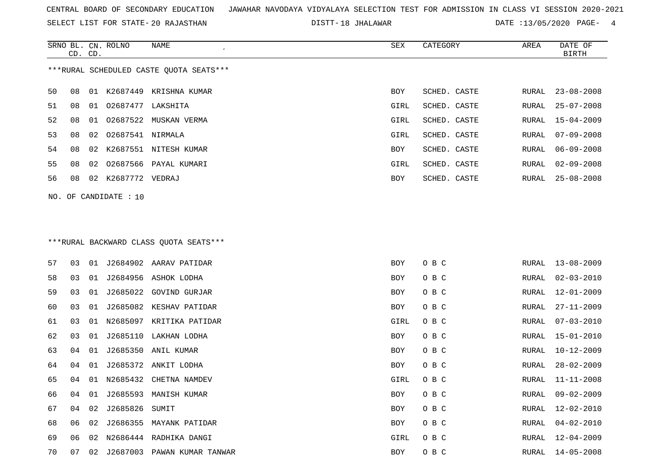SELECT LIST FOR STATE- DISTT- 20 RAJASTHAN

18 JHALAWAR DATE :13/05/2020 PAGE- 4

|    | CD. CD. |    | SRNO BL. CN. ROLNO    | NAME                                    | SEX        | CATEGORY     | AREA          | DATE OF<br><b>BIRTH</b> |
|----|---------|----|-----------------------|-----------------------------------------|------------|--------------|---------------|-------------------------|
|    |         |    |                       | ***RURAL SCHEDULED CASTE OUOTA SEATS*** |            |              |               |                         |
| 50 | 08      |    |                       | 01 K2687449 KRISHNA KUMAR               | BOY        | SCHED. CASTE | RURAL         | $23 - 08 - 2008$        |
| 51 | 08      |    | 01 02687477 LAKSHITA  |                                         | GIRL       | SCHED. CASTE | RURAL         | $25 - 07 - 2008$        |
| 52 | 08      | 01 | 02687522              | MUSKAN VERMA                            | GIRL       | SCHED. CASTE | RURAL         | $15 - 04 - 2009$        |
| 53 | 08      | 02 | 02687541              | NIRMALA                                 | GIRL       | SCHED. CASTE | RURAL         | $07 - 09 - 2008$        |
| 54 | 08      | 02 |                       | K2687551 NITESH KUMAR                   | BOY        | SCHED. CASTE | RURAL         | $06 - 09 - 2008$        |
| 55 | 08      | 02 |                       | 02687566 PAYAL KUMARI                   | GIRL       | SCHED. CASTE | RURAL         | $02 - 09 - 2008$        |
| 56 | 08      |    | 02 K2687772 VEDRAJ    |                                         | BOY        | SCHED. CASTE | RURAL         | $25 - 08 - 2008$        |
|    |         |    | NO. OF CANDIDATE : 10 |                                         |            |              |               |                         |
|    |         |    |                       |                                         |            |              |               |                         |
|    |         |    |                       |                                         |            |              |               |                         |
|    |         |    |                       | *** RURAL BACKWARD CLASS QUOTA SEATS*** |            |              |               |                         |
| 57 | 03      | 01 |                       | J2684902 AARAV PATIDAR                  | BOY        | O B C        | RURAL         | $13 - 08 - 2009$        |
| 58 | 03      | 01 |                       | J2684956 ASHOK LODHA                    | BOY        | O B C        | ${\tt RURAL}$ | $02 - 03 - 2010$        |
| 59 | 03      | 01 | J2685022              | GOVIND GURJAR                           | BOY        | O B C        | RURAL         | $12 - 01 - 2009$        |
| 60 | 03      | 01 | J2685082              | KESHAV PATIDAR                          | BOY        | O B C        | RURAL         | $27 - 11 - 2009$        |
| 61 | 03      | 01 |                       | N2685097 KRITIKA PATIDAR                | GIRL       | O B C        | RURAL         | $07 - 03 - 2010$        |
| 62 | 03      | 01 |                       | J2685110 LAKHAN LODHA                   | BOY        | O B C        | RURAL         | $15 - 01 - 2010$        |
| 63 | 04      | 01 | J2685350              | ANIL KUMAR                              | BOY        | O B C        | RURAL         | $10 - 12 - 2009$        |
| 64 | 04      | 01 |                       | J2685372 ANKIT LODHA                    | BOY        | O B C        | RURAL         | $28 - 02 - 2009$        |
| 65 | 04      |    |                       | 01 N2685432 CHETNA NAMDEV               | GIRL       | O B C        | RURAL         | $11 - 11 - 2008$        |
| 66 | 04      |    |                       | 01 J2685593 MANISH KUMAR                | BOY        | O B C        | RURAL         | $09 - 02 - 2009$        |
| 67 | 04      |    | 02 J2685826 SUMIT     |                                         | <b>BOY</b> | O B C        | RURAL         | 12-02-2010              |
| 68 | 06      | 02 |                       | J2686355 MAYANK PATIDAR                 | BOY        | O B C        | RURAL         | $04 - 02 - 2010$        |
| 69 | 06      | 02 |                       | N2686444 RADHIKA DANGI                  | GIRL       | O B C        | RURAL         | $12 - 04 - 2009$        |
| 70 | 07      |    |                       | 02 J2687003 PAWAN KUMAR TANWAR          | BOY        | O B C        | RURAL         | 14-05-2008              |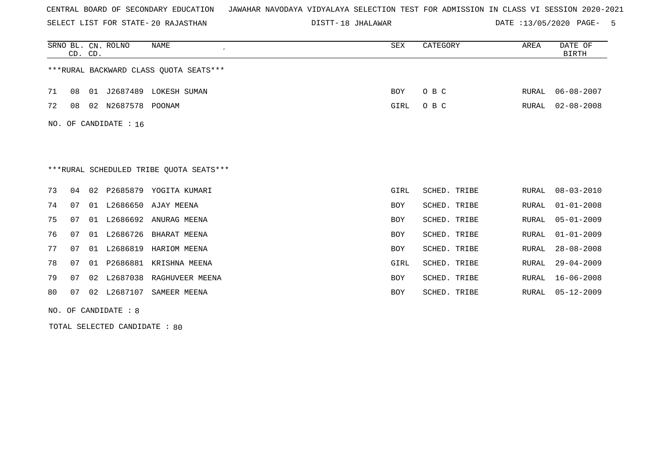SELECT LIST FOR STATE- DISTT- 20 RAJASTHAN

18 JHALAWAR DATE :13/05/2020 PAGE- 5

|     | CD. CD. |    | SRNO BL. CN. ROLNO | <b>NAME</b>                             | SEX        | CATEGORY     | AREA  | DATE OF<br><b>BIRTH</b> |
|-----|---------|----|--------------------|-----------------------------------------|------------|--------------|-------|-------------------------|
|     |         |    |                    | ***RURAL BACKWARD CLASS OUOTA SEATS***  |            |              |       |                         |
| 71  | 08      | 01 | J2687489           | LOKESH SUMAN                            | BOY        | O B C        | RURAL | $06 - 08 - 2007$        |
| 72  | 08      |    | 02 N2687578 POONAM |                                         | GIRL       | O B C        | RURAL | $02 - 08 - 2008$        |
| NO. |         |    | OF CANDIDATE : 16  |                                         |            |              |       |                         |
|     |         |    |                    |                                         |            |              |       |                         |
|     |         |    |                    | ***RURAL SCHEDULED TRIBE QUOTA SEATS*** |            |              |       |                         |
| 73  | 04      | 02 | P2685879           | YOGITA KUMARI                           | GIRL       | SCHED. TRIBE | RURAL | $08 - 03 - 2010$        |
| 74  | 07      |    | 01 L2686650        | AJAY MEENA                              | BOY        | SCHED. TRIBE | RURAL | $01 - 01 - 2008$        |
| 75  | 07      |    |                    | 01 L2686692 ANURAG MEENA                | <b>BOY</b> | SCHED. TRIBE | RURAL | $05 - 01 - 2009$        |
| 76  | 07      |    | 01 L2686726        | BHARAT MEENA                            | <b>BOY</b> | SCHED. TRIBE | RURAL | $01 - 01 - 2009$        |
| 77  | 07      | 01 | L2686819           | HARIOM MEENA                            | BOY        | SCHED. TRIBE | RURAL | $28 - 08 - 2008$        |
| 78  | 07      | 01 | P2686881           | KRISHNA MEENA                           | GIRL       | SCHED. TRIBE | RURAL | $29 - 04 - 2009$        |
| 79  | 07      | 02 | L2687038           | RAGHUVEER MEENA                         | <b>BOY</b> | SCHED. TRIBE | RURAL | $16 - 06 - 2008$        |
| 80  | 07      | 02 | L2687107           | SAMEER MEENA                            | <b>BOY</b> | SCHED. TRIBE | RURAL | $05 - 12 - 2009$        |

NO. OF CANDIDATE : 8

TOTAL SELECTED CANDIDATE : 80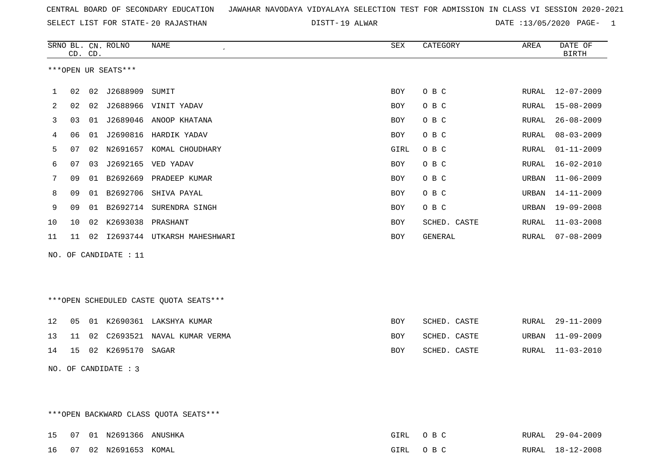19 ALWAR DATE :13/05/2020 PAGE- 1

|    |    | CD. CD. | SRNO BL. CN. ROLNO    | NAME                                   | ${\tt SEX}$ | CATEGORY     | AREA         | DATE OF<br><b>BIRTH</b> |
|----|----|---------|-----------------------|----------------------------------------|-------------|--------------|--------------|-------------------------|
|    |    |         | ***OPEN UR SEATS***   |                                        |             |              |              |                         |
| 1  | 02 |         | 02 J2688909           | SUMIT                                  | <b>BOY</b>  | O B C        | RURAL        | $12 - 07 - 2009$        |
| 2  | 02 |         |                       | 02 J2688966 VINIT YADAV                | <b>BOY</b>  | O B C        | RURAL        | $15 - 08 - 2009$        |
| 3  | 03 |         |                       | 01 J2689046 ANOOP KHATANA              | <b>BOY</b>  | O B C        | RURAL        | $26 - 08 - 2009$        |
| 4  | 06 |         |                       | 01 J2690816 HARDIK YADAV               | <b>BOY</b>  | O B C        | RURAL        | $08 - 03 - 2009$        |
| 5  | 07 |         |                       | 02 N2691657 KOMAL CHOUDHARY            | GIRL        | O B C        | RURAL        | $01 - 11 - 2009$        |
| 6  | 07 | 03      |                       | J2692165 VED YADAV                     | <b>BOY</b>  | O B C        | <b>RURAL</b> | $16 - 02 - 2010$        |
| 7  | 09 |         |                       | 01 B2692669 PRADEEP KUMAR              | BOY         | O B C        | URBAN        | $11 - 06 - 2009$        |
| 8  | 09 |         | 01 B2692706           | SHIVA PAYAL                            | <b>BOY</b>  | O B C        | URBAN        | $14 - 11 - 2009$        |
| 9  | 09 |         |                       | 01 B2692714 SURENDRA SINGH             | BOY         | O B C        | URBAN        | $19 - 09 - 2008$        |
| 10 | 10 |         | 02 K2693038 PRASHANT  |                                        | <b>BOY</b>  | SCHED. CASTE | RURAL        | $11 - 03 - 2008$        |
| 11 | 11 |         |                       | 02 I2693744 UTKARSH MAHESHWARI         | BOY         | GENERAL      | RURAL        | $07 - 08 - 2009$        |
|    |    |         | NO. OF CANDIDATE : 11 |                                        |             |              |              |                         |
|    |    |         |                       |                                        |             |              |              |                         |
|    |    |         |                       |                                        |             |              |              |                         |
|    |    |         |                       | ***OPEN SCHEDULED CASTE QUOTA SEATS*** |             |              |              |                         |
| 12 | 05 |         |                       | 01 K2690361 LAKSHYA KUMAR              | <b>BOY</b>  | SCHED. CASTE | RURAL        | $29 - 11 - 2009$        |
| 13 | 11 |         |                       | 02 C2693521 NAVAL KUMAR VERMA          | <b>BOY</b>  | SCHED. CASTE | URBAN        | $11 - 09 - 2009$        |
| 14 | 15 |         | 02 K2695170 SAGAR     |                                        | BOY         | SCHED. CASTE | RURAL        | $11 - 03 - 2010$        |
|    |    |         | NO. OF CANDIDATE : 3  |                                        |             |              |              |                         |

\*\*\*OPEN BACKWARD CLASS QUOTA SEATS\*\*\*

|  | 15 07 01 N2691366 ANUSHKA | GTRL  | $\cap$ $R$ $\cap$    | RURAL 29-04-2009 |
|--|---------------------------|-------|----------------------|------------------|
|  | 16 07 02 N2691653 KOMAL   | GTRI. | $\cap$ $\Box$ $\cap$ | RURAL 18-12-2008 |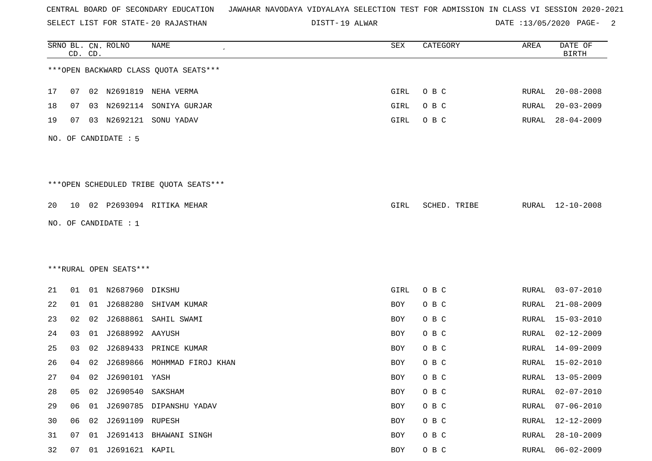SELECT LIST FOR STATE- DISTT- 20 RAJASTHAN

DISTT-19 ALWAR 2001 2002 DATE :13/05/2020 PAGE-

|    |    | CD. CD. | SRNO BL. CN. ROLNO     | <b>NAME</b>                            | SEX        | CATEGORY     | AREA          | DATE OF<br><b>BIRTH</b> |
|----|----|---------|------------------------|----------------------------------------|------------|--------------|---------------|-------------------------|
|    |    |         |                        | *** OPEN BACKWARD CLASS QUOTA SEATS*** |            |              |               |                         |
| 17 | 07 |         |                        | 02 N2691819 NEHA VERMA                 | GIRL       | O B C        | RURAL         | $20 - 08 - 2008$        |
| 18 | 07 | 03      |                        | N2692114 SONIYA GURJAR                 | GIRL       | O B C        | RURAL         | $20 - 03 - 2009$        |
| 19 | 07 | 03      |                        | N2692121 SONU YADAV                    | GIRL       | O B C        | RURAL         | $28 - 04 - 2009$        |
|    |    |         | NO. OF CANDIDATE : 5   |                                        |            |              |               |                         |
|    |    |         |                        | ***OPEN SCHEDULED TRIBE QUOTA SEATS*** |            |              |               |                         |
| 20 |    |         |                        | 10 02 P2693094 RITIKA MEHAR            | GIRL       | SCHED. TRIBE |               | RURAL 12-10-2008        |
|    |    |         | NO. OF CANDIDATE : $1$ |                                        |            |              |               |                         |
|    |    |         |                        |                                        |            |              |               |                         |
|    |    |         |                        |                                        |            |              |               |                         |
|    |    |         | ***RURAL OPEN SEATS*** |                                        |            |              |               |                         |
| 21 | 01 |         | 01 N2687960 DIKSHU     |                                        | GIRL       | O B C        | RURAL         | $03 - 07 - 2010$        |
| 22 | 01 |         |                        | 01 J2688280 SHIVAM KUMAR               | BOY        | O B C        | RURAL         | $21 - 08 - 2009$        |
| 23 | 02 | 02      | J2688861               | SAHIL SWAMI                            | BOY        | O B C        | RURAL         | $15 - 03 - 2010$        |
| 24 | 03 | 01      | J2688992 AAYUSH        |                                        | BOY        | O B C        | RURAL         | $02 - 12 - 2009$        |
| 25 | 03 | 02      |                        | J2689433 PRINCE KUMAR                  | BOY        | O B C        | RURAL         | $14 - 09 - 2009$        |
| 26 | 04 | 02      | J2689866               | MOHMMAD FIROJ KHAN                     | BOY        | O B C        | RURAL         | 15-02-2010              |
| 27 | 04 |         | 02 J2690101 YASH       |                                        | <b>BOY</b> | O B C        | RURAL         | 13-05-2009              |
| 28 | 05 | 02      | J2690540 SAKSHAM       |                                        | <b>BOY</b> | O B C        | <b>RURAL</b>  | $02 - 07 - 2010$        |
| 29 | 06 |         |                        | 01 J2690785 DIPANSHU YADAV             | BOY        | O B C        | <b>RURAL</b>  | $07 - 06 - 2010$        |
| 30 | 06 |         | 02 J2691109 RUPESH     |                                        | BOY        | O B C        | RURAL         | 12-12-2009              |
| 31 | 07 |         |                        | 01 J2691413 BHAWANI SINGH              | BOY        | O B C        | <b>RURAL</b>  | $28 - 10 - 2009$        |
| 32 | 07 |         | 01 J2691621 KAPIL      |                                        | BOY        | O B C        | ${\tt RURAL}$ | $06 - 02 - 2009$        |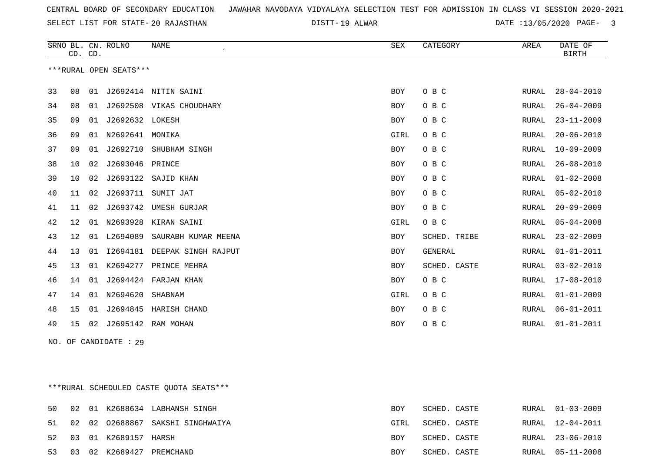DISTT-19 ALWAR 2001 2012 13/05/2020 PAGE- 3

|    | CD. CD.           |    | SRNO BL. CN. ROLNO     | <b>NAME</b>          | <b>SEX</b> | CATEGORY     | AREA  | DATE OF<br><b>BIRTH</b> |
|----|-------------------|----|------------------------|----------------------|------------|--------------|-------|-------------------------|
|    |                   |    | ***RURAL OPEN SEATS*** |                      |            |              |       |                         |
| 33 | 08                | 01 |                        | J2692414 NITIN SAINI | <b>BOY</b> | O B C        | RURAL | $28 - 04 - 2010$        |
| 34 | 08                | 01 | J2692508               | VIKAS CHOUDHARY      | <b>BOY</b> | O B C        | RURAL | $26 - 04 - 2009$        |
| 35 | 09                | 01 | J2692632 LOKESH        |                      | BOY        | O B C        | RURAL | $23 - 11 - 2009$        |
| 36 | 09                | 01 | N2692641               | MONIKA               | GIRL       | O B C        | RURAL | $20 - 06 - 2010$        |
| 37 | 09                | 01 | J2692710               | SHUBHAM SINGH        | <b>BOY</b> | O B C        | RURAL | $10 - 09 - 2009$        |
| 38 | 10                | 02 | J2693046 PRINCE        |                      | <b>BOY</b> | O B C        | RURAL | $26 - 08 - 2010$        |
| 39 | 10                | 02 | J2693122               | SAJID KHAN           | BOY        | O B C        | RURAL | $01 - 02 - 2008$        |
| 40 | 11                | 02 | J2693711               | SUMIT JAT            | <b>BOY</b> | O B C        | RURAL | $05 - 02 - 2010$        |
| 41 | 11                | 02 | J2693742               | UMESH GURJAR         | BOY        | O B C        | RURAL | $20 - 09 - 2009$        |
| 42 | 12                | 01 | N2693928               | KIRAN SAINI          | GIRL       | O B C        | RURAL | $05 - 04 - 2008$        |
| 43 | $12 \overline{ }$ | 01 | L2694089               | SAURABH KUMAR MEENA  | <b>BOY</b> | SCHED. TRIBE | RURAL | $23 - 02 - 2009$        |
| 44 | 13                | 01 | I2694181               | DEEPAK SINGH RAJPUT  | <b>BOY</b> | GENERAL      | RURAL | $01 - 01 - 2011$        |
| 45 | 13                | 01 | K2694277               | PRINCE MEHRA         | <b>BOY</b> | SCHED. CASTE | RURAL | $03 - 02 - 2010$        |
| 46 | 14                | 01 | J2694424               | FARJAN KHAN          | BOY        | O B C        | RURAL | $17 - 08 - 2010$        |
| 47 | 14                | 01 | N2694620               | SHABNAM              | GIRL       | O B C        | RURAL | $01 - 01 - 2009$        |
| 48 | 15                | 01 | J2694845               | HARISH CHAND         | <b>BOY</b> | O B C        | RURAL | $06 - 01 - 2011$        |
| 49 | 15                | 02 | J2695142               | RAM MOHAN            | <b>BOY</b> | O B C        | RURAL | $01 - 01 - 2011$        |
|    |                   |    |                        |                      |            |              |       |                         |

NO. OF CANDIDATE : 29

\*\*\*RURAL SCHEDULED CASTE QUOTA SEATS\*\*\*

| 50 |  |                         | 02 01 K2688634 LABHANSH SINGH    | BOY        | SCHED. CASTE |  | RURAL 01-03-2009 |
|----|--|-------------------------|----------------------------------|------------|--------------|--|------------------|
| 51 |  |                         | 02 02 02688867 SAKSHI SINGHWAIYA | GIRL       | SCHED. CASTE |  | RURAL 12-04-2011 |
|    |  | 52 03 01 K2689157 HARSH |                                  | <b>BOY</b> | SCHED. CASTE |  | RURAL 23-06-2010 |
| 53 |  |                         | 03 02 K2689427 PREMCHAND         | BOY        | SCHED. CASTE |  | RURAL 05-11-2008 |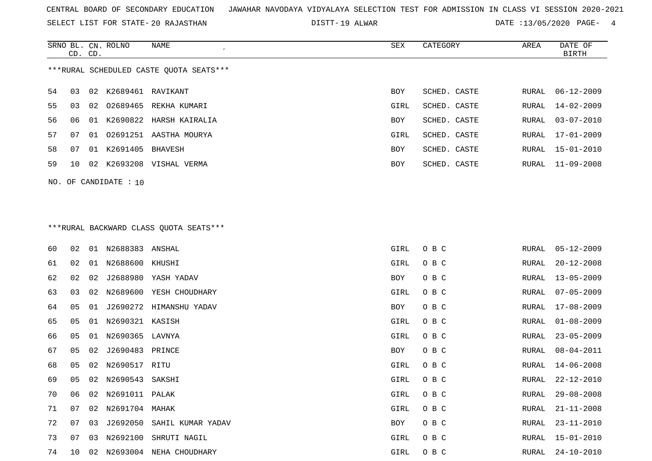SELECT LIST FOR STATE- DISTT- 20 RAJASTHAN

DISTT-19 ALWAR 2001 2012 13/05/2020 PAGE- 4

|     | CD. CD.                                 |    | SRNO BL. CN. ROLNO   | NAME                       | SEX        | CATEGORY     | AREA  | DATE OF<br>BIRTH |  |  |  |  |
|-----|-----------------------------------------|----|----------------------|----------------------------|------------|--------------|-------|------------------|--|--|--|--|
|     | ***RURAL SCHEDULED CASTE OUOTA SEATS*** |    |                      |                            |            |              |       |                  |  |  |  |  |
| 54  | 03                                      |    | 02 K2689461 RAVIKANT |                            | <b>BOY</b> | SCHED. CASTE | RURAL | $06 - 12 - 2009$ |  |  |  |  |
| 55  | 03                                      |    |                      | 02 02689465 REKHA KUMARI   | GIRL       | SCHED. CASTE | RURAL | $14 - 02 - 2009$ |  |  |  |  |
| 56. | 06                                      |    |                      | 01 K2690822 HARSH KAIRALIA | <b>BOY</b> | SCHED. CASTE | RURAL | 03-07-2010       |  |  |  |  |
| 57  | 07                                      |    |                      | 01 02691251 AASTHA MOURYA  | GIRL       | SCHED. CASTE | RURAL | $17 - 01 - 2009$ |  |  |  |  |
| 58  | 07                                      | 01 | K2691405             | BHAVESH                    | <b>BOY</b> | SCHED. CASTE | RURAL | 15-01-2010       |  |  |  |  |
| 59  | 10                                      | 02 | K2693208             | VISHAL VERMA               | <b>BOY</b> | SCHED. CASTE | RURAL | $11 - 09 - 2008$ |  |  |  |  |
|     |                                         |    |                      |                            |            |              |       |                  |  |  |  |  |

NO. OF CANDIDATE : 10

# \*\*\*RURAL BACKWARD CLASS QUOTA SEATS\*\*\*

| 60 | 02 | 01 | N2688383 ANSHAL   |                         | GIRL | O B C | RURAL | $05 - 12 - 2009$ |
|----|----|----|-------------------|-------------------------|------|-------|-------|------------------|
| 61 | 02 | 01 | N2688600          | KHUSHI                  | GIRL | O B C | RURAL | $20 - 12 - 2008$ |
| 62 | 02 | 02 |                   | J2688980 YASH YADAV     | BOY  | O B C | RURAL | $13 - 05 - 2009$ |
| 63 | 03 | 02 |                   | N2689600 YESH CHOUDHARY | GIRL | O B C | RURAL | $07 - 05 - 2009$ |
| 64 | 05 | 01 |                   | J2690272 HIMANSHU YADAV | BOY  | O B C | RURAL | 17-08-2009       |
| 65 | 05 | 01 | N2690321 KASISH   |                         | GIRL | O B C | RURAL | $01 - 08 - 2009$ |
| 66 | 05 | 01 | N2690365          | LAVNYA                  | GIRL | O B C | RURAL | $23 - 05 - 2009$ |
| 67 | 05 | 02 | J2690483 PRINCE   |                         | BOY  | O B C | RURAL | $08 - 04 - 2011$ |
| 68 | 05 | 02 | N2690517          | RITU                    | GIRL | O B C | RURAL | $14 - 06 - 2008$ |
| 69 | 05 | 02 | N2690543 SAKSHI   |                         | GIRL | O B C | RURAL | $22 - 12 - 2010$ |
| 70 | 06 | 02 | N2691011 PALAK    |                         | GIRL | O B C | RURAL | $29 - 08 - 2008$ |
| 71 | 07 |    | 02 N2691704 MAHAK |                         | GIRL | O B C | RURAL | $21 - 11 - 2008$ |
| 72 | 07 | 03 | J2692050          | SAHIL KUMAR YADAV       | BOY  | O B C | RURAL | $23 - 11 - 2010$ |
| 73 | 07 | 03 | N2692100          | SHRUTI NAGIL            | GIRL | O B C | RURAL | $15 - 01 - 2010$ |
| 74 | 10 | 02 |                   | N2693004 NEHA CHOUDHARY | GIRL | O B C | RURAL | $24 - 10 - 2010$ |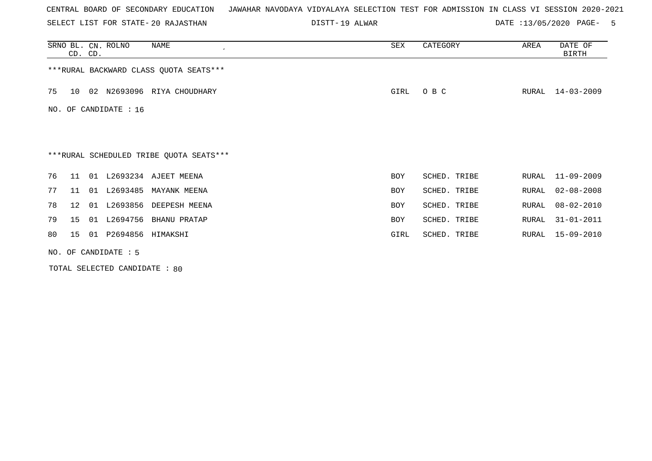SELECT LIST FOR STATE- DISTT- 20 RAJASTHAN

DISTT-19 ALWAR **DATE** :13/05/2020 PAGE- 5

|    | CD. CD. | SRNO BL. CN. ROLNO    | NAME<br>$\epsilon$                       | SEX        | CATEGORY     | AREA  | DATE OF<br><b>BIRTH</b> |
|----|---------|-----------------------|------------------------------------------|------------|--------------|-------|-------------------------|
|    |         |                       | *** RURAL BACKWARD CLASS QUOTA SEATS***  |            |              |       |                         |
| 75 | 10      |                       | 02 N2693096 RIYA CHOUDHARY               | GIRL       | O B C        | RURAL | $14 - 03 - 2009$        |
|    |         | NO. OF CANDIDATE : 16 |                                          |            |              |       |                         |
|    |         |                       |                                          |            |              |       |                         |
|    |         |                       |                                          |            |              |       |                         |
|    |         |                       | *** RURAL SCHEDULED TRIBE QUOTA SEATS*** |            |              |       |                         |
| 76 | 11      |                       | 01 L2693234 AJEET MEENA                  | BOY        | SCHED. TRIBE | RURAL | $11 - 09 - 2009$        |
| 77 | 11      |                       | 01 L2693485 MAYANK MEENA                 | <b>BOY</b> | SCHED. TRIBE | RURAL | $02 - 08 - 2008$        |
| 78 | 12      |                       | 01 L2693856 DEEPESH MEENA                | <b>BOY</b> | SCHED. TRIBE | RURAL | $08 - 02 - 2010$        |
| 79 | 15      | 01 L2694756           | <b>BHANU PRATAP</b>                      | <b>BOY</b> | SCHED. TRIBE | RURAL | $31 - 01 - 2011$        |
| 80 | 15      | 01 P2694856 HIMAKSHI  |                                          | GIRL       | SCHED. TRIBE | RURAL | $15 - 09 - 2010$        |
|    |         | NO. OF CANDIDATE : 5  |                                          |            |              |       |                         |

TOTAL SELECTED CANDIDATE : 80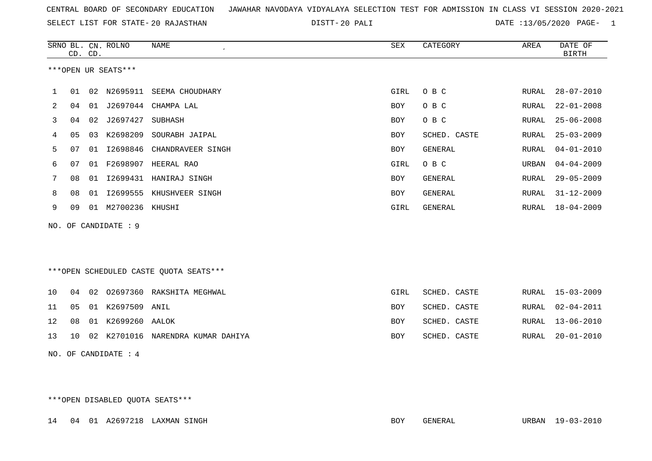|  |  |  |  | CENTRAL BOARD OF SECONDARY EDUCATION – JAWAHAR NAVODAYA VIDYALAYA SELECTION TEST FOR ADMISSION IN CLASS VI SESSION 2020-2021 |  |  |  |  |  |  |  |  |  |  |  |  |  |  |
|--|--|--|--|------------------------------------------------------------------------------------------------------------------------------|--|--|--|--|--|--|--|--|--|--|--|--|--|--|
|--|--|--|--|------------------------------------------------------------------------------------------------------------------------------|--|--|--|--|--|--|--|--|--|--|--|--|--|--|

20 PALI DATE :13/05/2020 PAGE- 1

|    |    | CD. CD. | SRNO BL. CN. ROLNO   | <b>NAME</b>                            | ${\tt SEX}$ | CATEGORY       | AREA  | DATE OF<br><b>BIRTH</b> |
|----|----|---------|----------------------|----------------------------------------|-------------|----------------|-------|-------------------------|
|    |    |         | ***OPEN UR SEATS***  |                                        |             |                |       |                         |
| 1  |    |         | 01  02  N2695911     | SEEMA CHOUDHARY                        | GIRL        | O B C          | RURAL | $28 - 07 - 2010$        |
| 2  | 04 | 01      |                      | J2697044 CHAMPA LAL                    | BOY         | O B C          | RURAL | $22 - 01 - 2008$        |
| 3  | 04 |         | 02 J2697427          | SUBHASH                                | <b>BOY</b>  | O B C          | RURAL | $25 - 06 - 2008$        |
| 4  | 05 | 03      | K2698209             | SOURABH JAIPAL                         | <b>BOY</b>  | SCHED. CASTE   | RURAL | $25 - 03 - 2009$        |
| 5  | 07 | 01      | I2698846             | CHANDRAVEER SINGH                      | <b>BOY</b>  | <b>GENERAL</b> | RURAL | $04 - 01 - 2010$        |
| 6  | 07 |         |                      | 01 F2698907 HEERAL RAO                 | GIRL        | O B C          | URBAN | $04 - 04 - 2009$        |
| 7  | 08 | 01      | I2699431             | HANIRAJ SINGH                          | <b>BOY</b>  | <b>GENERAL</b> | RURAL | $29 - 05 - 2009$        |
| 8  | 08 | 01      | I2699555             | KHUSHVEER SINGH                        | BOY         | GENERAL        | RURAL | $31 - 12 - 2009$        |
| 9  | 09 |         | 01 M2700236 KHUSHI   |                                        | GIRL        | <b>GENERAL</b> | RURAL | $18 - 04 - 2009$        |
|    |    |         | NO. OF CANDIDATE : 9 |                                        |             |                |       |                         |
|    |    |         |                      |                                        |             |                |       |                         |
|    |    |         |                      |                                        |             |                |       |                         |
|    |    |         |                      | ***OPEN SCHEDULED CASTE QUOTA SEATS*** |             |                |       |                         |
| 10 | 04 |         |                      | 02 02697360 RAKSHITA MEGHWAL           | GIRL        | SCHED. CASTE   | RURAL | 15-03-2009              |
| 11 | 05 | 01      | K2697509 ANIL        |                                        | BOY         | SCHED. CASTE   | RURAL | $02 - 04 - 2011$        |
| 12 | 08 |         | 01 K2699260 AALOK    |                                        | <b>BOY</b>  | SCHED. CASTE   | RURAL | $13 - 06 - 2010$        |
| 13 | 10 | 02      | K2701016             | NARENDRA KUMAR DAHIYA                  | <b>BOY</b>  | SCHED. CASTE   | RURAL | $20 - 01 - 2010$        |
|    |    |         | NO. OF CANDIDATE : 4 |                                        |             |                |       |                         |

\*\*\*OPEN DISABLED QUOTA SEATS\*\*\*

14 04 01 A2697218 LAXMAN SINGH BOY GENERAL URBAN 19-03-2010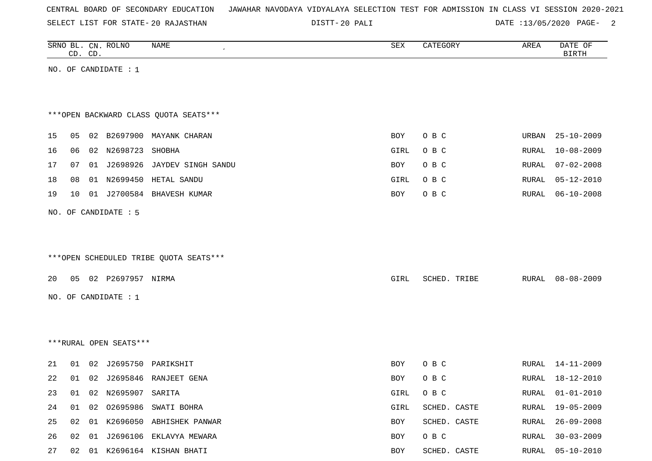| CENTRAL BOARD OF SECONDARY EDUCATION – JAWAHAR NAVODAYA VIDYALAYA SELECTION TEST FOR ADMISSION IN CLASS VI SESSION 2020-2021 |  |  |  |  |  |
|------------------------------------------------------------------------------------------------------------------------------|--|--|--|--|--|
|------------------------------------------------------------------------------------------------------------------------------|--|--|--|--|--|

20 PALI DATE :13/05/2020 PAGE- 2

|    |    | CD. CD. | SRNO BL. CN. ROLNO     | NAME<br>$\pmb{\cdot}$                  | SEX        | CATEGORY     | AREA  | DATE OF<br><b>BIRTH</b> |
|----|----|---------|------------------------|----------------------------------------|------------|--------------|-------|-------------------------|
|    |    |         | NO. OF CANDIDATE : 1   |                                        |            |              |       |                         |
|    |    |         |                        |                                        |            |              |       |                         |
|    |    |         |                        | *** OPEN BACKWARD CLASS QUOTA SEATS*** |            |              |       |                         |
| 15 | 05 |         |                        | 02 B2697900 MAYANK CHARAN              | BOY        | O B C        | URBAN | $25 - 10 - 2009$        |
| 16 | 06 |         | 02 N2698723 SHOBHA     |                                        | GIRL       | O B C        | RURAL | $10 - 08 - 2009$        |
| 17 | 07 |         |                        | 01 J2698926 JAYDEV SINGH SANDU         | <b>BOY</b> | O B C        | RURAL | $07 - 02 - 2008$        |
| 18 | 08 |         |                        | 01 N2699450 HETAL SANDU                | GIRL       | O B C        | RURAL | $05 - 12 - 2010$        |
| 19 | 10 |         |                        | 01 J2700584 BHAVESH KUMAR              | <b>BOY</b> | O B C        | RURAL | $06 - 10 - 2008$        |
|    |    |         | NO. OF CANDIDATE : 5   |                                        |            |              |       |                         |
|    |    |         |                        |                                        |            |              |       |                         |
|    |    |         |                        |                                        |            |              |       |                         |
|    |    |         |                        | ***OPEN SCHEDULED TRIBE QUOTA SEATS*** |            |              |       |                         |
| 20 |    |         | 05 02 P2697957 NIRMA   |                                        | GIRL       | SCHED. TRIBE | RURAL | $08 - 08 - 2009$        |
|    |    |         | NO. OF CANDIDATE : 1   |                                        |            |              |       |                         |
|    |    |         |                        |                                        |            |              |       |                         |
|    |    |         |                        |                                        |            |              |       |                         |
|    |    |         | ***RURAL OPEN SEATS*** |                                        |            |              |       |                         |
|    |    |         |                        |                                        |            |              |       |                         |
| 21 | 01 |         |                        | 02 J2695750 PARIKSHIT                  | BOY        | O B C        | RURAL | $14 - 11 - 2009$        |
| 22 | 01 |         |                        | 02 J2695846 RANJEET GENA               | BOY        | O B C        | RURAL | 18-12-2010              |
| 23 | 01 |         | 02 N2695907 SARITA     |                                        | GIRL       | O B C        | RURAL | $01 - 01 - 2010$        |
| 24 |    |         |                        | 01 02 02695986 SWATI BOHRA             | GIRL       | SCHED. CASTE | RURAL | $19 - 05 - 2009$        |
| 25 |    |         |                        | 02 01 K2696050 ABHISHEK PANWAR         | BOY        | SCHED. CASTE | RURAL | $26 - 09 - 2008$        |
| 26 | 02 |         |                        | 01 J2696106 EKLAVYA MEWARA             | BOY        | O B C        | RURAL | $30 - 03 - 2009$        |
| 27 |    |         |                        | 02 01 K2696164 KISHAN BHATI            | BOY        | SCHED. CASTE | RURAL | $05 - 10 - 2010$        |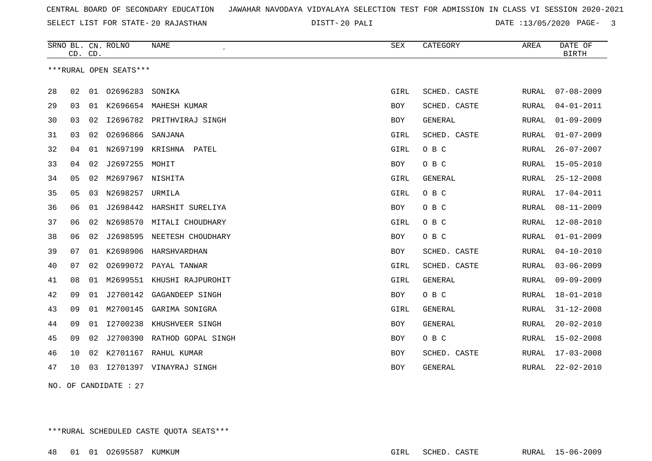SELECT LIST FOR STATE- DISTT- 20 RAJASTHAN

20 PALI DATE :13/05/2020 PAGE- 3

|    | CD. CD. |    | SRNO BL. CN. ROLNO     | <b>NAME</b>                | <b>SEX</b> | CATEGORY     | AREA         | DATE OF<br><b>BIRTH</b> |
|----|---------|----|------------------------|----------------------------|------------|--------------|--------------|-------------------------|
|    |         |    | ***RURAL OPEN SEATS*** |                            |            |              |              |                         |
| 28 | 02      |    | 01 02696283            | SONIKA                     | GIRL       | SCHED. CASTE | <b>RURAL</b> | $07 - 08 - 2009$        |
| 29 | 03      | 01 |                        | K2696654 MAHESH KUMAR      | BOY        | SCHED. CASTE | RURAL        | $04 - 01 - 2011$        |
| 30 | 03      | 02 | I2696782               | PRITHVIRAJ SINGH           | <b>BOY</b> | GENERAL      | RURAL        | $01 - 09 - 2009$        |
| 31 | 03      | 02 | 02696866               | SANJANA                    | GIRL       | SCHED. CASTE | RURAL        | $01 - 07 - 2009$        |
| 32 | 04      | 01 | N2697199               | KRISHNA<br>PATEL           | GIRL       | O B C        | RURAL        | $26 - 07 - 2007$        |
| 33 | 04      | 02 | J2697255               | MOHIT                      | BOY        | O B C        | RURAL        | $15 - 05 - 2010$        |
| 34 | 05      | 02 | M2697967 NISHITA       |                            | GIRL       | GENERAL      | RURAL        | $25 - 12 - 2008$        |
| 35 | 05      | 03 | N2698257               | URMILA                     | GIRL       | O B C        | <b>RURAL</b> | $17 - 04 - 2011$        |
| 36 | 06      | 01 | J2698442               | HARSHIT SURELIYA           | <b>BOY</b> | O B C        | <b>RURAL</b> | $08 - 11 - 2009$        |
| 37 | 06      | 02 | N2698570               | MITALI CHOUDHARY           | GIRL       | O B C        | <b>RURAL</b> | $12 - 08 - 2010$        |
| 38 | 06      | 02 | J2698595               | NEETESH CHOUDHARY          | <b>BOY</b> | O B C        | RURAL        | $01 - 01 - 2009$        |
| 39 | 07      | 01 | K2698906               | HARSHVARDHAN               | <b>BOY</b> | SCHED. CASTE | RURAL        | $04 - 10 - 2010$        |
| 40 | 07      | 02 | 02699072               | PAYAL TANWAR               | GIRL       | SCHED. CASTE | RURAL        | $03 - 06 - 2009$        |
| 41 | 08      | 01 |                        | M2699551 KHUSHI RAJPUROHIT | GIRL       | GENERAL      | RURAL        | $09 - 09 - 2009$        |
| 42 | 09      | 01 | J2700142               | GAGANDEEP SINGH            | <b>BOY</b> | O B C        | RURAL        | $18 - 01 - 2010$        |
| 43 | 09      | 01 | M2700145               | GARIMA SONIGRA             | GIRL       | GENERAL      | <b>RURAL</b> | $31 - 12 - 2008$        |
| 44 | 09      | 01 | I2700238               | KHUSHVEER SINGH            | <b>BOY</b> | GENERAL      | RURAL        | $20 - 02 - 2010$        |
| 45 | 09      | 02 | J2700390               | RATHOD GOPAL SINGH         | BOY        | O B C        | <b>RURAL</b> | $15 - 02 - 2008$        |
| 46 | 10      | 02 | K2701167               | RAHUL KUMAR                | <b>BOY</b> | SCHED. CASTE | RURAL        | $17 - 03 - 2008$        |
| 47 | 10      | 03 |                        | 12701397 VINAYRAJ SINGH    | <b>BOY</b> | GENERAL      | RURAL        | $22 - 02 - 2010$        |
|    |         |    |                        |                            |            |              |              |                         |

NO. OF CANDIDATE : 27

\*\*\*RURAL SCHEDULED CASTE QUOTA SEATS\*\*\*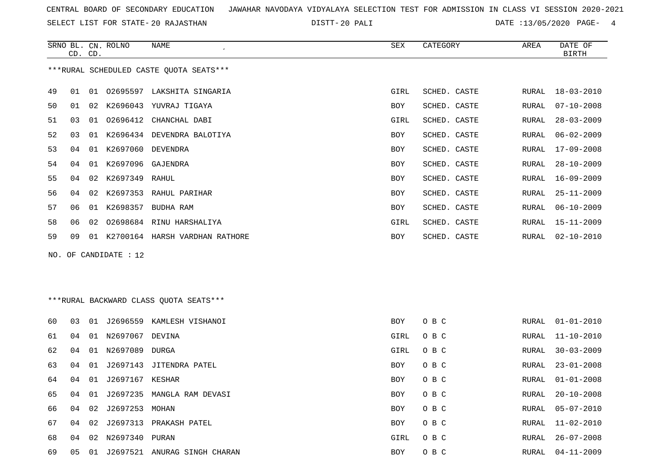SELECT LIST FOR STATE- DISTT- 20 RAJASTHAN

20 PALI DATE :13/05/2020 PAGE- 4

|    | CD. CD. |    | SRNO BL. CN. ROLNO    | NAME                                     | SEX        | CATEGORY     | AREA  | DATE OF<br><b>BIRTH</b> |
|----|---------|----|-----------------------|------------------------------------------|------------|--------------|-------|-------------------------|
|    |         |    |                       | *** RURAL SCHEDULED CASTE QUOTA SEATS*** |            |              |       |                         |
| 49 | 01      |    |                       | 01 02695597 LAKSHITA SINGARIA            | GIRL       | SCHED. CASTE | RURAL | $18 - 03 - 2010$        |
| 50 | 01      |    |                       | 02 K2696043 YUVRAJ TIGAYA                | BOY        | SCHED. CASTE | RURAL | $07 - 10 - 2008$        |
| 51 | 03      | 01 | 02696412              | CHANCHAL DABI                            | GIRL       | SCHED. CASTE | RURAL | $28 - 03 - 2009$        |
| 52 | 03      | 01 |                       | K2696434 DEVENDRA BALOTIYA               | BOY        | SCHED. CASTE | RURAL | $06 - 02 - 2009$        |
| 53 | 04      | 01 | K2697060              | DEVENDRA                                 | BOY        | SCHED. CASTE | RURAL | $17 - 09 - 2008$        |
| 54 | 04      | 01 | K2697096              | GAJENDRA                                 | BOY        | SCHED. CASTE | RURAL | $28 - 10 - 2009$        |
| 55 | 04      | 02 | K2697349 RAHUL        |                                          | BOY        | SCHED. CASTE | RURAL | $16 - 09 - 2009$        |
| 56 | 04      | 02 |                       | K2697353 RAHUL PARIHAR                   | BOY        | SCHED. CASTE | RURAL | $25 - 11 - 2009$        |
| 57 | 06      |    |                       | 01 K2698357 BUDHA RAM                    | BOY        | SCHED. CASTE | RURAL | $06 - 10 - 2009$        |
| 58 | 06      | 02 |                       | 02698684 RINU HARSHALIYA                 | GIRL       | SCHED. CASTE | RURAL | $15 - 11 - 2009$        |
| 59 | 09      | 01 |                       | K2700164 HARSH VARDHAN RATHORE           | BOY        | SCHED. CASTE | RURAL | $02 - 10 - 2010$        |
|    |         |    | NO. OF CANDIDATE : 12 |                                          |            |              |       |                         |
|    |         |    |                       | *** RURAL BACKWARD CLASS QUOTA SEATS***  |            |              |       |                         |
| 60 | 03      | 01 |                       | J2696559 KAMLESH VISHANOI                | <b>BOY</b> | O B C        | RURAL | $01 - 01 - 2010$        |
| 61 | 04      |    | 01 N2697067 DEVINA    |                                          | GIRL       | O B C        | RURAL | $11 - 10 - 2010$        |
| 62 | 04      | 01 | N2697089              | DURGA                                    | GIRL       | O B C        | RURAL | $30 - 03 - 2009$        |
| 63 | 04      | 01 |                       | J2697143 JITENDRA PATEL                  | BOY        | O B C        | RURAL | $23 - 01 - 2008$        |
| 64 | 04      | 01 | J2697167 KESHAR       |                                          | BOY        | O B C        | RURAL | $01 - 01 - 2008$        |
| 65 | 04      |    |                       | 01 J2697235 MANGLA RAM DEVASI            | BOY        | O B C        | RURAL | $20 - 10 - 2008$        |
| 66 | 04      |    | 02 J2697253 MOHAN     |                                          | BOY        | O B C        | RURAL | $05 - 07 - 2010$        |
| 67 | 04      |    |                       | 02 J2697313 PRAKASH PATEL                | BOY        | O B C        | RURAL | $11 - 02 - 2010$        |
| 68 | 04      |    | 02 N2697340 PURAN     |                                          | GIRL       | O B C        | RURAL | $26 - 07 - 2008$        |
| 69 |         |    |                       | 05 01 J2697521 ANURAG SINGH CHARAN       | BOY        | O B C        |       | RURAL 04-11-2009        |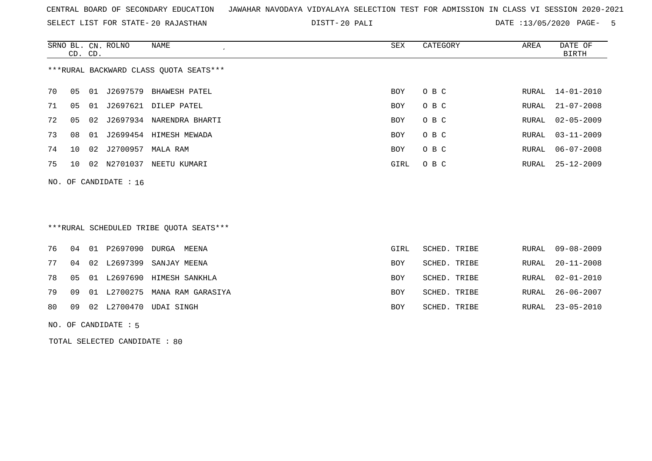SELECT LIST FOR STATE- DISTT- 20 RAJASTHAN

20 PALI DATE :13/05/2020 PAGE- 5

|    | CD. CD.                                |    | SRNO BL. CN. ROLNO | NAME            | SEX  | CATEGORY | AREA  | DATE OF<br>BIRTH |  |  |  |  |  |
|----|----------------------------------------|----|--------------------|-----------------|------|----------|-------|------------------|--|--|--|--|--|
|    | ***RURAL BACKWARD CLASS OUOTA SEATS*** |    |                    |                 |      |          |       |                  |  |  |  |  |  |
| 70 | 05                                     | 01 | J2697579           | BHAWESH PATEL   | BOY  | O B C    |       | RURAL 14-01-2010 |  |  |  |  |  |
| 71 | 05                                     | 01 | J2697621           | DILEP PATEL     | BOY  | O B C    | RURAL | $21 - 07 - 2008$ |  |  |  |  |  |
| 72 | 05                                     |    | 02 J2697934        | NARENDRA BHARTI | BOY  | O B C    |       | RURAL 02-05-2009 |  |  |  |  |  |
| 73 | 08                                     | 01 | J2699454           | HIMESH MEWADA   | BOY  | O B C    |       | RURAL 03-11-2009 |  |  |  |  |  |
| 74 | 10                                     | 02 | J2700957           | MALA RAM        | BOY  | O B C    |       | RURAL 06-07-2008 |  |  |  |  |  |
| 75 | 1 O                                    | 02 | N2701037           | NEETU KUMARI    | GIRL | O B C    |       | RURAL 25-12-2009 |  |  |  |  |  |
|    |                                        |    |                    |                 |      |          |       |                  |  |  |  |  |  |

\*\*\*RURAL SCHEDULED TRIBE QUOTA SEATS\*\*\*

|  |  | 76 04 01 P2697090 DURGA MEENA       | GIRL       | SCHED. TRIBE |  | RURAL 09-08-2009 |
|--|--|-------------------------------------|------------|--------------|--|------------------|
|  |  | 77 04 02 L2697399 SANJAY MEENA      | BOY        | SCHED. TRIBE |  | RURAL 20-11-2008 |
|  |  | 78 05 01 L2697690 HIMESH SANKHLA    | <b>BOY</b> | SCHED. TRIBE |  | RURAL 02-01-2010 |
|  |  | 79 09 01 L2700275 MANA RAM GARASIYA | <b>BOY</b> | SCHED. TRIBE |  | RURAL 26-06-2007 |
|  |  | 80 09 02 L2700470 UDAI SINGH        | <b>BOY</b> | SCHED. TRIBE |  | RURAL 23-05-2010 |
|  |  |                                     |            |              |  |                  |

NO. OF CANDIDATE : 5

NO. OF CANDIDATE : 16

TOTAL SELECTED CANDIDATE : 80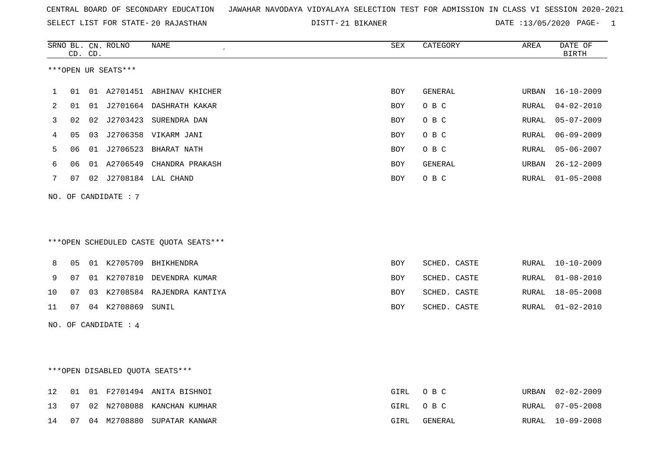| CENTRAL BOARD OF SECONDARY EDUCATION GUNAHAR NAVODAYA VIDYALAYA SELECTION TEST FOR ADMISSION IN CLASS VI SESSION 2020-2021 |  |  |  |
|----------------------------------------------------------------------------------------------------------------------------|--|--|--|
|----------------------------------------------------------------------------------------------------------------------------|--|--|--|

21 BIKANER DATE :13/05/2020 PAGE- 1

|    |    | CD. CD. | SRNO BL. CN. ROLNO   | NAME                                   | SEX        | CATEGORY       | AREA          | DATE OF<br><b>BIRTH</b> |
|----|----|---------|----------------------|----------------------------------------|------------|----------------|---------------|-------------------------|
|    |    |         | ***OPEN UR SEATS***  |                                        |            |                |               |                         |
|    |    |         |                      |                                        |            |                |               |                         |
| 1  | 01 |         |                      | 01 A2701451 ABHINAV KHICHER            | <b>BOY</b> | <b>GENERAL</b> | URBAN         | $16 - 10 - 2009$        |
| 2  | 01 |         |                      | 01 J2701664 DASHRATH KAKAR             | BOY        | O B C          | RURAL         | $04 - 02 - 2010$        |
| 3  | 02 | 02      |                      | J2703423 SURENDRA DAN                  | BOY        | O B C          | <b>RURAL</b>  | $05 - 07 - 2009$        |
| 4  | 05 |         |                      | 03 J2706358 VIKARM JANI                | BOY        | O B C          | <b>RURAL</b>  | $06 - 09 - 2009$        |
| 5  | 06 |         |                      | 01 J2706523 BHARAT NATH                | <b>BOY</b> | O B C          | RURAL         | $05 - 06 - 2007$        |
| 6  | 06 |         |                      | 01 A2706549 CHANDRA PRAKASH            | <b>BOY</b> | GENERAL        | URBAN         | $26 - 12 - 2009$        |
| 7  | 07 |         |                      | 02 J2708184 LAL CHAND                  | <b>BOY</b> | O B C          | ${\tt RURAL}$ | $01 - 05 - 2008$        |
|    |    |         | NO. OF CANDIDATE : 7 |                                        |            |                |               |                         |
|    |    |         |                      |                                        |            |                |               |                         |
|    |    |         |                      |                                        |            |                |               |                         |
|    |    |         |                      | ***OPEN SCHEDULED CASTE QUOTA SEATS*** |            |                |               |                         |
|    |    |         |                      |                                        |            |                |               |                         |
| 8  | 05 |         |                      | 01 K2705709 BHIKHENDRA                 | <b>BOY</b> | SCHED. CASTE   | RURAL         | $10 - 10 - 2009$        |
| 9  | 07 |         |                      | 01 K2707810 DEVENDRA KUMAR             | BOY        | SCHED. CASTE   | RURAL         | $01 - 08 - 2010$        |
| 10 | 07 |         |                      | 03 K2708584 RAJENDRA KANTIYA           | BOY        | SCHED. CASTE   | RURAL         | $18 - 05 - 2008$        |
| 11 | 07 |         | 04 K2708869 SUNIL    |                                        | BOY        | SCHED. CASTE   | RURAL         | $01 - 02 - 2010$        |
|    |    |         | NO. OF CANDIDATE : 4 |                                        |            |                |               |                         |
|    |    |         |                      |                                        |            |                |               |                         |
|    |    |         |                      |                                        |            |                |               |                         |
|    |    |         |                      |                                        |            |                |               |                         |
|    |    |         |                      | ***OPEN DISABLED QUOTA SEATS***        |            |                |               |                         |
| 12 | 01 |         |                      | 01 F2701494 ANITA BISHNOI              | GIRL       | O B C          | URBAN         | $02 - 02 - 2009$        |
| 13 | 07 |         |                      | 02 N2708088 KANCHAN KUMHAR             | GIRL       | O B C          | RURAL         | $07 - 05 - 2008$        |

14 07 04 M2708880 SUPATAR KANWAR GIRL GENERAL RURAL 10-09-2008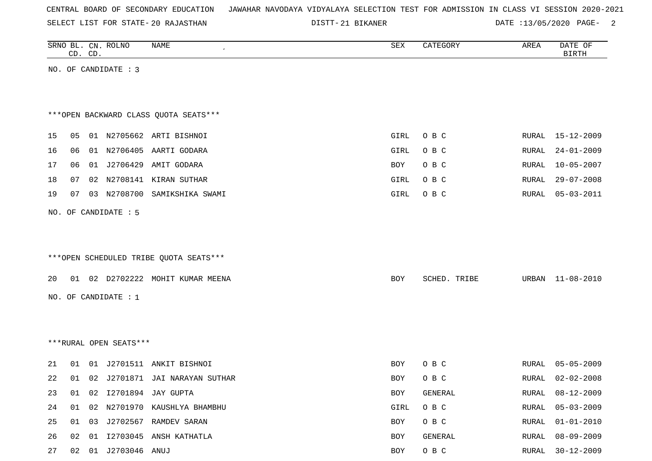|  |  |  | CENTRAL BOARD OF SECONDARY EDUCATION – JAWAHAR NAVODAYA VIDYALAYA SELECTION TEST FOR ADMISSION IN CLASS VI SESSION 2020-2021 |  |  |  |  |  |  |  |  |  |  |  |  |
|--|--|--|------------------------------------------------------------------------------------------------------------------------------|--|--|--|--|--|--|--|--|--|--|--|--|
|--|--|--|------------------------------------------------------------------------------------------------------------------------------|--|--|--|--|--|--|--|--|--|--|--|--|

DISTT-21 BIKANER DATE :13/05/2020 PAGE- 2

|    |    | CD. CD. | SRNO BL. CN. ROLNO     | NAME                                   | SEX  | CATEGORY     | AREA         | DATE OF<br><b>BIRTH</b> |
|----|----|---------|------------------------|----------------------------------------|------|--------------|--------------|-------------------------|
|    |    |         | NO. OF CANDIDATE : 3   |                                        |      |              |              |                         |
|    |    |         |                        |                                        |      |              |              |                         |
|    |    |         |                        |                                        |      |              |              |                         |
|    |    |         |                        | *** OPEN BACKWARD CLASS QUOTA SEATS*** |      |              |              |                         |
| 15 | 05 |         |                        | 01 N2705662 ARTI BISHNOI               | GIRL | O B C        | RURAL        | 15-12-2009              |
| 16 | 06 |         |                        | 01 N2706405 AARTI GODARA               | GIRL | O B C        | RURAL        | $24 - 01 - 2009$        |
| 17 | 06 |         |                        | 01 J2706429 AMIT GODARA                | BOY  | O B C        | RURAL        | $10 - 05 - 2007$        |
| 18 | 07 |         |                        | 02 N2708141 KIRAN SUTHAR               | GIRL | O B C        | RURAL        | $29 - 07 - 2008$        |
| 19 | 07 |         | 03 N2708700            | SAMIKSHIKA SWAMI                       | GIRL | O B C        | RURAL        | $05 - 03 - 2011$        |
|    |    |         |                        |                                        |      |              |              |                         |
|    |    |         | NO. OF CANDIDATE : 5   |                                        |      |              |              |                         |
|    |    |         |                        |                                        |      |              |              |                         |
|    |    |         |                        | ***OPEN SCHEDULED TRIBE QUOTA SEATS*** |      |              |              |                         |
|    |    |         |                        |                                        |      |              |              |                         |
| 20 |    |         |                        | 01 02 D2702222 MOHIT KUMAR MEENA       | BOY  | SCHED. TRIBE | URBAN        | 11-08-2010              |
|    |    |         | NO. OF CANDIDATE : 1   |                                        |      |              |              |                         |
|    |    |         |                        |                                        |      |              |              |                         |
|    |    |         |                        |                                        |      |              |              |                         |
|    |    |         | ***RURAL OPEN SEATS*** |                                        |      |              |              |                         |
| 21 | 01 |         |                        | 01 J2701511 ANKIT BISHNOI              | BOY  | O B C        | RURAL        | $05 - 05 - 2009$        |
| 22 |    |         |                        | 01 02 J2701871 JAI NARAYAN SUTHAR      | BOY  | O B C        | RURAL        | $02 - 02 - 2008$        |
| 23 | 01 |         |                        | 02 I2701894 JAY GUPTA                  | BOY  | GENERAL      | RURAL        | $08 - 12 - 2009$        |
| 24 | 01 |         |                        | 02 N2701970 KAUSHLYA BHAMBHU           | GIRL | O B C        | <b>RURAL</b> | $05 - 03 - 2009$        |
| 25 | 01 |         |                        | 03 J2702567 RAMDEV SARAN               | BOY  | O B C        | RURAL        | $01 - 01 - 2010$        |
| 26 | 02 |         |                        | 01 I2703045 ANSH KATHATLA              | BOY  | GENERAL      | RURAL        | $08 - 09 - 2009$        |
| 27 |    |         | 02  01  J2703046  ANUJ |                                        | BOY  | $O$ B $C$    | RURAL        | $30 - 12 - 2009$        |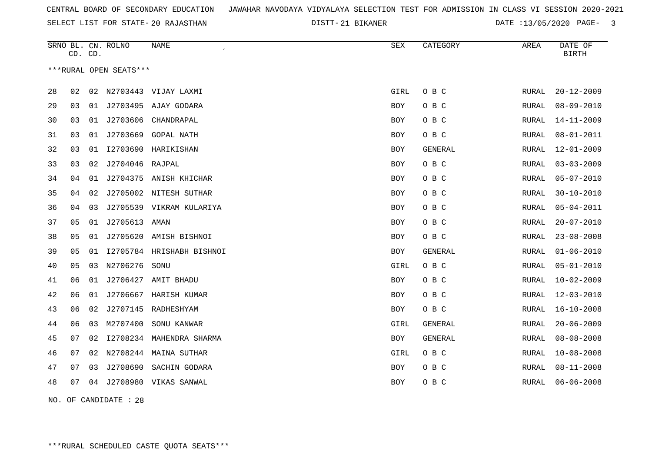21 BIKANER DATE :13/05/2020 PAGE- 3

|    | CD. CD. |    | SRNO BL. CN. ROLNO     | <b>NAME</b>               | SEX        | CATEGORY       | AREA  | DATE OF<br><b>BIRTH</b> |
|----|---------|----|------------------------|---------------------------|------------|----------------|-------|-------------------------|
|    |         |    | ***RURAL OPEN SEATS*** |                           |            |                |       |                         |
| 28 | 02      | 02 | N2703443               | VIJAY LAXMI               | GIRL       | O B C          | RURAL | $20 - 12 - 2009$        |
| 29 | 03      | 01 |                        | J2703495 AJAY GODARA      | <b>BOY</b> | O B C          | RURAL | $08 - 09 - 2010$        |
| 30 | 03      | 01 | J2703606               | CHANDRAPAL                | BOY        | O B C          | RURAL | $14 - 11 - 2009$        |
| 31 | 03      | 01 | J2703669               | <b>GOPAL NATH</b>         | BOY        | O B C          | RURAL | $08 - 01 - 2011$        |
| 32 | 03      | 01 |                        | 12703690 HARIKISHAN       | BOY        | <b>GENERAL</b> | RURAL | $12 - 01 - 2009$        |
| 33 | 03      | 02 | J2704046               | RAJPAL                    | <b>BOY</b> | O B C          | RURAL | $03 - 03 - 2009$        |
| 34 | 04      | 01 |                        | J2704375 ANISH KHICHAR    | BOY        | O B C          | RURAL | $05 - 07 - 2010$        |
| 35 | 04      | 02 | J2705002               | NITESH SUTHAR             | <b>BOY</b> | O B C          | RURAL | $30 - 10 - 2010$        |
| 36 | 04      | 03 |                        | J2705539 VIKRAM KULARIYA  | BOY        | O B C          | RURAL | $05 - 04 - 2011$        |
| 37 | 05      | 01 | J2705613               | AMAN                      | BOY        | O B C          | RURAL | $20 - 07 - 2010$        |
| 38 | 05      | 01 | J2705620               | AMISH BISHNOI             | BOY        | O B C          | RURAL | $23 - 08 - 2008$        |
| 39 | 05      | 01 |                        | 12705784 HRISHABH BISHNOI | BOY        | <b>GENERAL</b> | RURAL | $01 - 06 - 2010$        |
| 40 | 05      | 03 | N2706276               | SONU                      | GIRL       | O B C          | RURAL | $05 - 01 - 2010$        |
| 41 | 06      | 01 | J2706427               | AMIT BHADU                | <b>BOY</b> | O B C          | RURAL | $10 - 02 - 2009$        |
| 42 | 06      | 01 | J2706667               | HARISH KUMAR              | <b>BOY</b> | O B C          | RURAL | $12 - 03 - 2010$        |
| 43 | 06      | 02 | J2707145               | RADHESHYAM                | BOY        | O B C          | RURAL | $16 - 10 - 2008$        |
| 44 | 06      | 03 | M2707400               | SONU KANWAR               | GIRL       | <b>GENERAL</b> | RURAL | $20 - 06 - 2009$        |
| 45 | 07      | 02 |                        | I2708234 MAHENDRA SHARMA  | BOY        | <b>GENERAL</b> | RURAL | $08 - 08 - 2008$        |
| 46 | 07      | 02 |                        | N2708244 MAINA SUTHAR     | GIRL       | O B C          | RURAL | $10 - 08 - 2008$        |
| 47 | 07      | 03 | J2708690               | SACHIN GODARA             | <b>BOY</b> | O B C          | RURAL | $08 - 11 - 2008$        |
| 48 | 07      | 04 |                        | J2708980 VIKAS SANWAL     | BOY        | O B C          | RURAL | $06 - 06 - 2008$        |
|    |         |    |                        |                           |            |                |       |                         |

NO. OF CANDIDATE : 28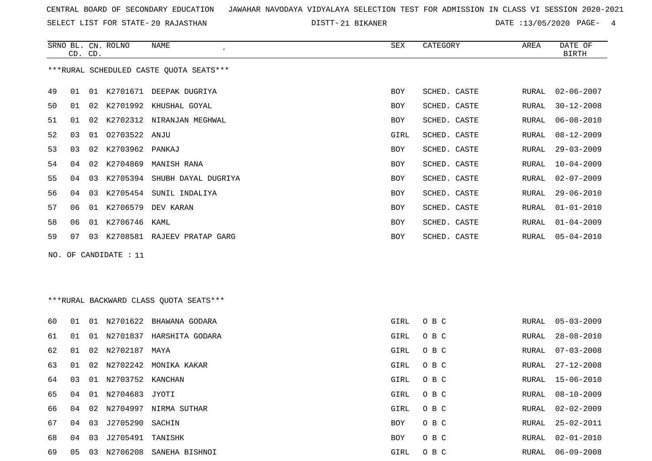SELECT LIST FOR STATE- DISTT- 20 RAJASTHAN

21 BIKANER DATE :13/05/2020 PAGE- 4

|    | CD. CD. |    | SRNO BL. CN. ROLNO      | NAME                                    | ${\tt SEX}$ | CATEGORY     | AREA         | DATE OF<br><b>BIRTH</b> |
|----|---------|----|-------------------------|-----------------------------------------|-------------|--------------|--------------|-------------------------|
|    |         |    |                         | ***RURAL SCHEDULED CASTE QUOTA SEATS*** |             |              |              |                         |
| 49 | 01      | 01 |                         | K2701671 DEEPAK DUGRIYA                 | <b>BOY</b>  | SCHED. CASTE | RURAL        | $02 - 06 - 2007$        |
| 50 | 01      |    |                         | 02 K2701992 KHUSHAL GOYAL               | BOY         | SCHED. CASTE | RURAL        | $30 - 12 - 2008$        |
| 51 | 01      |    |                         | 02 K2702312 NIRANJAN MEGHWAL            | BOY         | SCHED. CASTE | RURAL        | $06 - 08 - 2010$        |
| 52 | 03      |    | 01 02703522 ANJU        |                                         | GIRL        | SCHED. CASTE | RURAL        | $08 - 12 - 2009$        |
| 53 | 03      | 02 | K2703962 PANKAJ         |                                         | BOY         | SCHED. CASTE | RURAL        | $29 - 03 - 2009$        |
| 54 | 04      |    |                         | 02 K2704869 MANISH RANA                 | BOY         | SCHED. CASTE | RURAL        | $10 - 04 - 2009$        |
| 55 | 04      | 03 |                         | K2705394 SHUBH DAYAL DUGRIYA            | BOY         | SCHED. CASTE | RURAL        | $02 - 07 - 2009$        |
| 56 | 04      |    |                         | 03 K2705454 SUNIL INDALIYA              | BOY         | SCHED. CASTE | RURAL        | $29 - 06 - 2010$        |
| 57 | 06      |    |                         | 01 K2706579 DEV KARAN                   | BOY         | SCHED. CASTE | RURAL        | $01 - 01 - 2010$        |
| 58 | 06      |    | 01 K2706746 KAML        |                                         | BOY         | SCHED. CASTE | RURAL        | $01 - 04 - 2009$        |
| 59 | 07      |    |                         | 03 K2708581 RAJEEV PRATAP GARG          | BOY         | SCHED. CASTE | <b>RURAL</b> | $05 - 04 - 2010$        |
|    |         |    | NO. OF CANDIDATE : $11$ |                                         |             |              |              |                         |
|    |         |    |                         |                                         |             |              |              |                         |
|    |         |    |                         |                                         |             |              |              |                         |
|    |         |    |                         | *** RURAL BACKWARD CLASS QUOTA SEATS*** |             |              |              |                         |
| 60 | 01      |    |                         | 01 N2701622 BHAWANA GODARA              | GIRL        | O B C        | RURAL        | $05 - 03 - 2009$        |
| 61 | 01      |    |                         | 01 N2701837 HARSHITA GODARA             | GIRL        | O B C        | RURAL        | $28 - 08 - 2010$        |
| 62 | 01      |    | 02 N2702187 MAYA        |                                         | GIRL        | O B C        | RURAL        | $07 - 03 - 2008$        |
| 63 | 01      |    |                         | 02 N2702242 MONIKA KAKAR                | GIRL        | O B C        | RURAL        | $27 - 12 - 2008$        |
| 64 | 03      |    | 01 N2703752 KANCHAN     |                                         | GIRL        | O B C        | RURAL        | $15 - 06 - 2010$        |
| 65 | 04      |    | 01 N2704683 JYOTI       |                                         | GIRL        | O B C        | RURAL        | $08 - 10 - 2009$        |
| 66 | 04      |    |                         | 02 N2704997 NIRMA SUTHAR                | GIRL        | O B C        | RURAL        | $02 - 02 - 2009$        |

 04 03 J2705290 SACHIN BOY O B C RURAL 25-02-2011 04 03 J2705491 TANISHK BOY O B C RURAL 02-01-2010 05 03 N2706208 SANEHA BISHNOI GIRL O B C RURAL 06-09-2008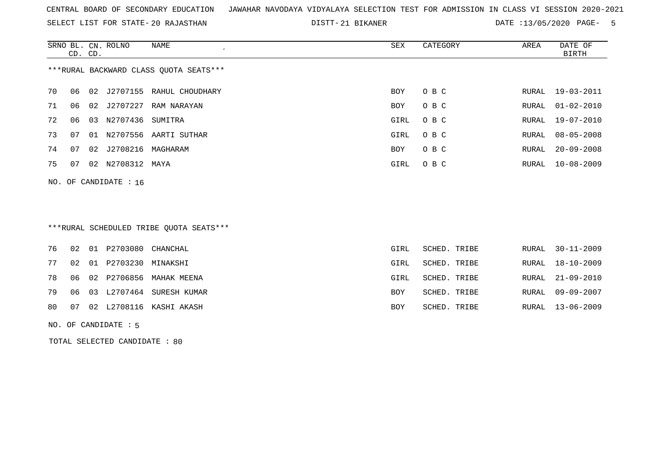SELECT LIST FOR STATE- DISTT- 20 RAJASTHAN

21 BIKANER DATE :13/05/2020 PAGE- 5

|                                        | CD. CD. |     | SRNO BL. CN. ROLNO | NAME                        | SEX  | CATEGORY | AREA  | DATE OF<br>BIRTH |  |  |
|----------------------------------------|---------|-----|--------------------|-----------------------------|------|----------|-------|------------------|--|--|
| ***RURAL BACKWARD CLASS QUOTA SEATS*** |         |     |                    |                             |      |          |       |                  |  |  |
| 70                                     | 06      |     |                    | 02 J2707155 RAHUL CHOUDHARY | BOY  | O B C    |       | RURAL 19-03-2011 |  |  |
| 71                                     | 06      |     | 02 J2707227        | RAM NARAYAN                 | BOY  | O B C    | RURAL | $01 - 02 - 2010$ |  |  |
| 72                                     | 06      | 03  | N2707436           | SUMITRA                     | GIRL | O B C    | RURAL | 19-07-2010       |  |  |
| 73                                     | 07      | O 1 | N2707556           | AARTI SUTHAR                | GIRL | O B C    | RURAL | 08-05-2008       |  |  |
| 74                                     | 07      | 02  | J2708216           | MAGHARAM                    | BOY  | O B C    | RURAL | $20 - 09 - 2008$ |  |  |
| 75                                     | 07      | 02  | N2708312           | MAYA                        | GIRL | O B C    |       | RURAL 10-08-2009 |  |  |
|                                        |         |     |                    |                             |      |          |       |                  |  |  |

NO. OF CANDIDATE : 16

## \*\*\*RURAL SCHEDULED TRIBE QUOTA SEATS\*\*\*

|  | 76 02 01 P2703080 CHANCHAL |                                | GIRL       | SCHED. TRIBE |  | RURAL 30-11-2009 |
|--|----------------------------|--------------------------------|------------|--------------|--|------------------|
|  | 77 02 01 P2703230 MINAKSHI |                                | GIRL       | SCHED. TRIBE |  | RURAL 18-10-2009 |
|  |                            | 78 06 02 P2706856 MAHAK MEENA  | GIRL       | SCHED. TRIBE |  | RURAL 21-09-2010 |
|  |                            | 79 06 03 L2707464 SURESH KUMAR | BOY        | SCHED. TRIBE |  | RURAL 09-09-2007 |
|  |                            | 80 07 02 L2708116 KASHI AKASH  | <b>BOY</b> | SCHED. TRIBE |  | RURAL 13-06-2009 |
|  |                            |                                |            |              |  |                  |

NO. OF CANDIDATE : 5

TOTAL SELECTED CANDIDATE : 80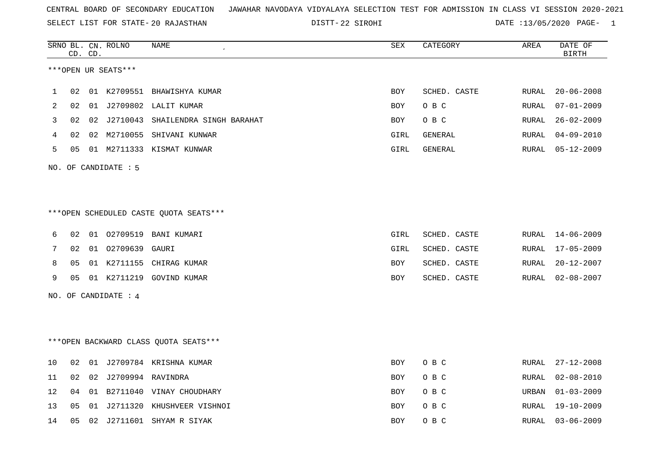SELECT LIST FOR STATE- DISTT- 20 RAJASTHAN

22 SIROHI DATE :13/05/2020 PAGE- 1

|    |    | CD. CD. | SRNO BL. CN. ROLNO   | NAME<br>$\epsilon$                     | SEX        | CATEGORY       | AREA          | DATE OF<br><b>BIRTH</b> |
|----|----|---------|----------------------|----------------------------------------|------------|----------------|---------------|-------------------------|
|    |    |         | ***OPEN UR SEATS***  |                                        |            |                |               |                         |
|    |    |         |                      |                                        |            |                |               |                         |
| 1  | 02 |         |                      | 01 K2709551 BHAWISHYA KUMAR            | BOY        | SCHED. CASTE   | RURAL         | $20 - 06 - 2008$        |
| 2  | 02 |         |                      | 01 J2709802 LALIT KUMAR                | <b>BOY</b> | O B C          | RURAL         | $07 - 01 - 2009$        |
| 3  | 02 | 02      |                      | J2710043 SHAILENDRA SINGH BARAHAT      | BOY        | O B C          | RURAL         | $26 - 02 - 2009$        |
| 4  | 02 | 02      |                      | M2710055 SHIVANI KUNWAR                | GIRL       | GENERAL        | RURAL         | $04 - 09 - 2010$        |
| 5  | 05 |         |                      | 01 M2711333 KISMAT KUNWAR              | GIRL       | <b>GENERAL</b> | RURAL         | $05 - 12 - 2009$        |
|    |    |         | NO. OF CANDIDATE : 5 |                                        |            |                |               |                         |
|    |    |         |                      |                                        |            |                |               |                         |
|    |    |         |                      |                                        |            |                |               |                         |
|    |    |         |                      | ***OPEN SCHEDULED CASTE QUOTA SEATS*** |            |                |               |                         |
|    |    |         |                      |                                        |            |                |               |                         |
| 6  | 02 |         |                      | 01  02709519  BANI  KUMARI             | GIRL       | SCHED. CASTE   | RURAL         | $14 - 06 - 2009$        |
| 7  | 02 |         | 01 02709639          | GAURI                                  | GIRL       | SCHED. CASTE   | RURAL         | $17 - 05 - 2009$        |
| 8  | 05 |         |                      | 01 K2711155 CHIRAG KUMAR               | BOY        | SCHED. CASTE   | RURAL         | $20 - 12 - 2007$        |
| 9  | 05 |         |                      | 01 K2711219 GOVIND KUMAR               | <b>BOY</b> | SCHED. CASTE   | RURAL         | $02 - 08 - 2007$        |
|    |    |         | NO. OF CANDIDATE : 4 |                                        |            |                |               |                         |
|    |    |         |                      |                                        |            |                |               |                         |
|    |    |         |                      |                                        |            |                |               |                         |
|    |    |         |                      | *** OPEN BACKWARD CLASS QUOTA SEATS*** |            |                |               |                         |
|    |    |         |                      |                                        |            |                |               |                         |
| 10 | 02 |         |                      | 01 J2709784 KRISHNA KUMAR              | <b>BOY</b> | O B C          | RURAL         | $27 - 12 - 2008$        |
| 11 | 02 | 02      | J2709994 RAVINDRA    |                                        | <b>BOY</b> | O B C          | RURAL         | $02 - 08 - 2010$        |
| 12 | 04 | 01      |                      | B2711040 VINAY CHOUDHARY               | <b>BOY</b> | O B C          | URBAN         | $01 - 03 - 2009$        |
| 13 | 05 | 01      |                      | J2711320 KHUSHVEER VISHNOI             | <b>BOY</b> | O B C          | ${\tt RURAL}$ | $19 - 10 - 2009$        |
| 14 | 05 |         |                      | 02 J2711601 SHYAM R SIYAK              | <b>BOY</b> | O B C          | RURAL         | $03 - 06 - 2009$        |
|    |    |         |                      |                                        |            |                |               |                         |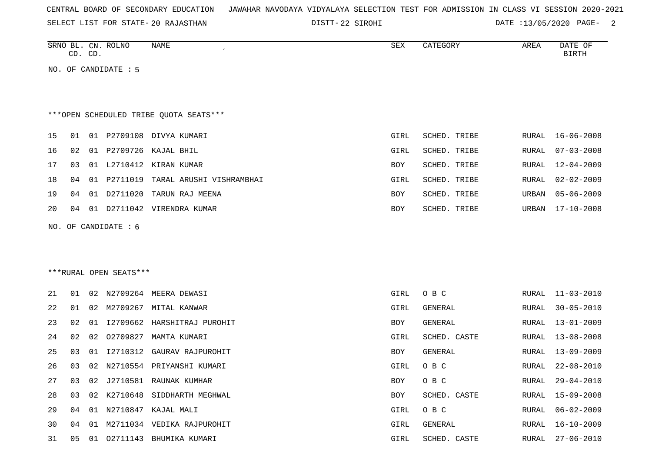| CENTRAL BOARD OF SECONDARY EDUCATION – JAWAHAR NAVODAYA VIDYALAYA SELECTION TEST FOR ADMISSION IN CLASS VI SESSION 2020-2021 |  |  |  |  |  |  |  |
|------------------------------------------------------------------------------------------------------------------------------|--|--|--|--|--|--|--|
|------------------------------------------------------------------------------------------------------------------------------|--|--|--|--|--|--|--|

22 SIROHI DATE :13/05/2020 PAGE- 2

| <b>SRNC</b> | $\mathbb{C}N$ | ROLNO<br>10 / س | NAME | CDU<br>∆∟ت | $-2-1$<br>$\cdots$<br>$\sim$ | <b>AREA</b> | <b>DATE</b><br>OF |
|-------------|---------------|-----------------|------|------------|------------------------------|-------------|-------------------|
| $\sim$      | $\sim$<br>ىت  |                 |      |            |                              |             | טייסדם            |
|             |               |                 |      |            |                              |             |                   |

NO. OF CANDIDATE : 5

## \*\*\*OPEN SCHEDULED TRIBE QUOTA SEATS\*\*\*

|    |    |      |          | 15 01 01 P2709108 DIVYA KUMARI             | GIRL       | SCHED. TRIBE |       | RURAL 16-06-2008 |
|----|----|------|----------|--------------------------------------------|------------|--------------|-------|------------------|
| 16 |    |      |          | 02 01 P2709726 KAJAL BHIL                  | GIRL       | SCHED. TRIBE |       | RURAL 07-03-2008 |
| 17 |    |      |          | 03 01 L2710412 KIRAN KUMAR                 | <b>BOY</b> | SCHED. TRIBE |       | RURAL 12-04-2009 |
|    |    |      |          | 18 04 01 P2711019 TARAL ARUSHI VISHRAMBHAI | GIRL       | SCHED. TRIBE |       | RURAL 02-02-2009 |
| 19 | 04 | 01   | D2711020 | TARUN RAJ MEENA                            | <b>BOY</b> | SCHED. TRIBE | URBAN | 05-06-2009       |
| 20 | 04 | - 01 | D2711042 | VIRENDRA KUMAR                             | BOY        | SCHED. TRIBE | URBAN | 17-10-2008       |

NO. OF CANDIDATE : 6

\*\*\*RURAL OPEN SEATS\*\*\*

| 21        | 01 |    |             | 02 N2709264 MEERA DEWASI      | GIRL       | O B C        |       | RURAL 11-03-2010 |
|-----------|----|----|-------------|-------------------------------|------------|--------------|-------|------------------|
| 22        | 01 | 02 | M2709267    | MITAL KANWAR                  | GIRL       | GENERAL      |       | RURAL 30-05-2010 |
| 23        | 02 | 01 |             | 12709662 HARSHITRAJ PUROHIT   | <b>BOY</b> | GENERAL      |       | RURAL 13-01-2009 |
| 24        | 02 |    | 02 02709827 | MAMTA KUMARI                  | GIRL       | SCHED. CASTE |       | RURAL 13-08-2008 |
| 25        | 03 | 01 |             | 12710312 GAURAV RAJPUROHIT    | BOY        | GENERAL      |       | RURAL 13-09-2009 |
| 26        | 03 |    |             | 02 N2710554 PRIYANSHI KUMARI  | GIRL       | O B C        |       | RURAL 22-08-2010 |
| 27        | 03 |    |             | 02 J2710581 RAUNAK KUMHAR     | BOY        | O B C        |       | RURAL 29-04-2010 |
| 28        | 03 |    |             | 02 K2710648 SIDDHARTH MEGHWAL | <b>BOY</b> | SCHED. CASTE |       | RURAL 15-09-2008 |
| 2.9       | 04 | 01 | N2710847    | KAJAL MALI                    | GIRL       | O B C        | RURAL | $06 - 02 - 2009$ |
| 30        | 04 | 01 |             | M2711034 VEDIKA RAJPUROHIT    | GIRL       | GENERAL      |       | RURAL 16-10-2009 |
| <b>31</b> | 05 | 01 | 02711143    | BHUMIKA KUMARI                | GIRL       | SCHED. CASTE |       | RURAL 27-06-2010 |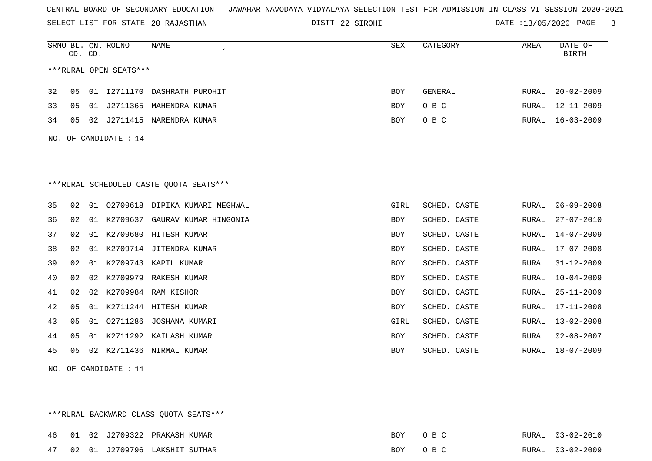SELECT LIST FOR STATE- DISTT- 20 RAJASTHAN

22 SIROHI DATE :13/05/2020 PAGE- 3

|    | CD. CD. |    | SRNO BL. CN. ROLNO     | <b>NAME</b>                             | SEX        | CATEGORY       | AREA  | DATE OF<br><b>BIRTH</b> |
|----|---------|----|------------------------|-----------------------------------------|------------|----------------|-------|-------------------------|
|    |         |    | ***RURAL OPEN SEATS*** |                                         |            |                |       |                         |
| 32 | 05      |    |                        | 01 I2711170 DASHRATH PUROHIT            | <b>BOY</b> | <b>GENERAL</b> | RURAL | $20 - 02 - 2009$        |
| 33 | 05      |    |                        | 01 J2711365 MAHENDRA KUMAR              | <b>BOY</b> | O B C          | RURAL | $12 - 11 - 2009$        |
| 34 | 05      |    | 02 J2711415            | NARENDRA KUMAR                          | <b>BOY</b> | O B C          | RURAL | $16 - 03 - 2009$        |
|    |         |    | NO. OF CANDIDATE : 14  |                                         |            |                |       |                         |
|    |         |    |                        |                                         |            |                |       |                         |
|    |         |    |                        | ***RURAL SCHEDULED CASTE QUOTA SEATS*** |            |                |       |                         |
| 35 | 02      |    |                        | 01 02709618 DIPIKA KUMARI MEGHWAL       | GIRL       | SCHED. CASTE   | RURAL | $06 - 09 - 2008$        |
| 36 | 02      | 01 |                        | K2709637 GAURAV KUMAR HINGONIA          | <b>BOY</b> | SCHED. CASTE   | RURAL | $27 - 07 - 2010$        |
| 37 | 02      |    |                        | 01 K2709680 HITESH KUMAR                | BOY        | SCHED. CASTE   | RURAL | $14 - 07 - 2009$        |
| 38 | 02      |    |                        | 01 K2709714 JITENDRA KUMAR              | <b>BOY</b> | SCHED. CASTE   | RURAL | $17 - 07 - 2008$        |
| 39 | 02      | 01 | K2709743               | KAPIL KUMAR                             | <b>BOY</b> | SCHED. CASTE   | RURAL | $31 - 12 - 2009$        |
| 40 | 02      | 02 |                        | K2709979 RAKESH KUMAR                   | <b>BOY</b> | SCHED. CASTE   | RURAL | $10 - 04 - 2009$        |
| 41 | 02      |    |                        | 02 K2709984 RAM KISHOR                  | <b>BOY</b> | SCHED. CASTE   | RURAL | $25 - 11 - 2009$        |
| 42 | 05      | 01 |                        | K2711244 HITESH KUMAR                   | <b>BOY</b> | SCHED. CASTE   | RURAL | $17 - 11 - 2008$        |
| 43 | 05      |    |                        | 01 02711286 JOSHANA KUMARI              | GIRL       | SCHED. CASTE   | RURAL | $13 - 02 - 2008$        |
| 44 | 05      |    |                        | 01 K2711292 KAILASH KUMAR               | BOY        | SCHED. CASTE   | RURAL | $02 - 08 - 2007$        |
| 45 | 05      | 02 | K2711436               | NIRMAL KUMAR                            | <b>BOY</b> | SCHED. CASTE   | RURAL | $18 - 07 - 2009$        |

NO. OF CANDIDATE : 11

\*\*\*RURAL BACKWARD CLASS QUOTA SEATS\*\*\*

|  |  | 46 01 02 J2709322 PRAKASH KUMAR  | BOY OBC |  | RURAL 03-02-2010 |
|--|--|----------------------------------|---------|--|------------------|
|  |  | 47 02 01 J2709796 LAKSHIT SUTHAR | BOY OBC |  | RURAL 03-02-2009 |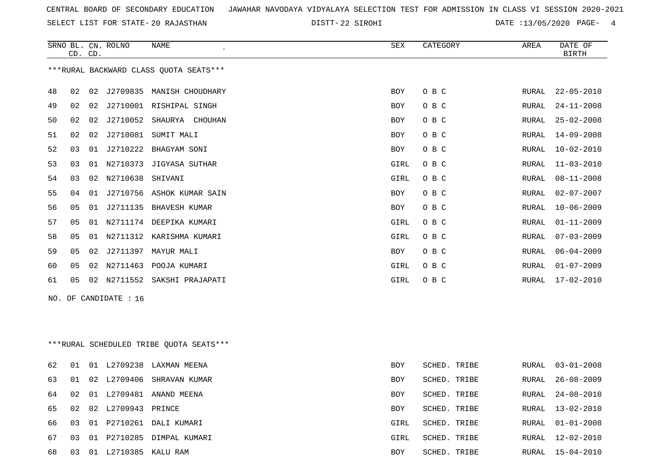SELECT LIST FOR STATE- DISTT- 20 RAJASTHAN

22 SIROHI DATE :13/05/2020 PAGE- 4

|    | CD. CD.                                |    | SRNO BL. CN. ROLNO  | NAME                                    | SEX        | CATEGORY     | AREA  | DATE OF<br><b>BIRTH</b> |  |  |
|----|----------------------------------------|----|---------------------|-----------------------------------------|------------|--------------|-------|-------------------------|--|--|
|    | ***RURAL BACKWARD CLASS QUOTA SEATS*** |    |                     |                                         |            |              |       |                         |  |  |
| 48 | 02                                     |    |                     | 02 J2709835 MANISH CHOUDHARY            | <b>BOY</b> | O B C        | RURAL | $22 - 05 - 2010$        |  |  |
| 49 | 02                                     |    |                     | 02 J2710001 RISHIPAL SINGH              | BOY        | O B C        | RURAL | $24 - 11 - 2008$        |  |  |
| 50 | 02                                     |    |                     | 02 J2710052 SHAURYA CHOUHAN             | BOY        | O B C        | RURAL | $25 - 02 - 2008$        |  |  |
| 51 | 02                                     |    | 02 J2710081         | SUMIT MALI                              | BOY        | O B C        | RURAL | $14 - 09 - 2008$        |  |  |
| 52 | 03                                     |    |                     | 01 J2710222 BHAGYAM SONI                | BOY        | O B C        | RURAL | $10 - 02 - 2010$        |  |  |
| 53 | 03                                     |    |                     | 01 N2710373 JIGYASA SUTHAR              | GIRL       | O B C        | RURAL | $11 - 03 - 2010$        |  |  |
| 54 | 03                                     |    | 02 N2710638 SHIVANI |                                         | GIRL       | O B C        | RURAL | $08 - 11 - 2008$        |  |  |
| 55 | 04                                     | 01 |                     | J2710756 ASHOK KUMAR SAIN               | BOY        | O B C        | RURAL | $02 - 07 - 2007$        |  |  |
| 56 | 05                                     |    |                     | 01 J2711135 BHAVESH KUMAR               | BOY        | O B C        | RURAL | $10 - 06 - 2009$        |  |  |
| 57 | 05                                     |    |                     | 01 N2711174 DEEPIKA KUMARI              | GIRL       | O B C        | RURAL | $01 - 11 - 2009$        |  |  |
| 58 | 05                                     |    |                     | 01 N2711312 KARISHMA KUMARI             | GIRL       | O B C        | RURAL | $07 - 03 - 2009$        |  |  |
| 59 | 05                                     |    |                     | 02 J2711397 MAYUR MALI                  | BOY        | O B C        | RURAL | $06 - 04 - 2009$        |  |  |
| 60 | 05                                     |    |                     | 02 N2711463 POOJA KUMARI                | GIRL       | O B C        | RURAL | $01 - 07 - 2009$        |  |  |
| 61 | 05                                     |    |                     | 02 N2711552 SAKSHI PRAJAPATI            | GIRL       | O B C        | RURAL | $17 - 02 - 2010$        |  |  |
|    | NO. OF CANDIDATE $: 16$                |    |                     |                                         |            |              |       |                         |  |  |
|    |                                        |    |                     | ***RURAL SCHEDULED TRIBE QUOTA SEATS*** |            |              |       |                         |  |  |
| 62 | 01                                     |    |                     | 01 L2709238 LAXMAN MEENA                | <b>BOY</b> | SCHED. TRIBE | RURAL | $03 - 01 - 2008$        |  |  |
| 63 | 01                                     |    |                     | 02 L2709406 SHRAVAN KUMAR               | BOY        | SCHED. TRIBE | RURAL | $26 - 08 - 2009$        |  |  |
| 64 | 02                                     |    |                     | 01 L2709481 ANAND MEENA                 | <b>BOY</b> | SCHED. TRIBE | RURAL | $24 - 08 - 2010$        |  |  |
| 65 | 02                                     |    | 02 L2709943 PRINCE  |                                         | BOY        | SCHED. TRIBE | RURAL | $13 - 02 - 2010$        |  |  |
| 66 | 03                                     |    |                     | 01 P2710261 DALI KUMARI                 | GIRL       | SCHED. TRIBE | RURAL | $01 - 01 - 2008$        |  |  |

 03 01 P2710285 DIMPAL KUMARI GIRL SCHED. TRIBE RURAL 12-02-2010 03 01 L2710385 KALU RAM BOY SCHED. TRIBE RURAL 15-04-2010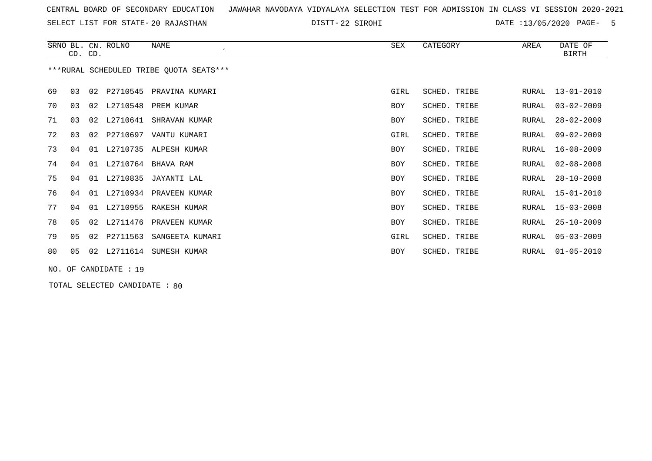SELECT LIST FOR STATE- DISTT- 20 RAJASTHAN

22 SIROHI DATE :13/05/2020 PAGE- 5

|                                         |    | CD. CD. | SRNO BL. CN. ROLNO | NAME                        | SEX        | CATEGORY     | AREA         | DATE OF<br><b>BIRTH</b> |
|-----------------------------------------|----|---------|--------------------|-----------------------------|------------|--------------|--------------|-------------------------|
| ***RURAL SCHEDULED TRIBE OUOTA SEATS*** |    |         |                    |                             |            |              |              |                         |
| 69                                      | 03 |         |                    | 02 P2710545 PRAVINA KUMARI  | GIRL       | SCHED. TRIBE | RURAL        | $13 - 01 - 2010$        |
| 70                                      | 03 |         | 02 L2710548        | PREM KUMAR                  | BOY        | SCHED. TRIBE | RURAL        | $03 - 02 - 2009$        |
| 71                                      | 03 |         | 02 L2710641        | SHRAVAN KUMAR               | <b>BOY</b> | SCHED. TRIBE | RURAL        | $28 - 02 - 2009$        |
| 72                                      | 03 | 02      | P2710697           | VANTU KUMARI                | GIRL       | SCHED. TRIBE | RURAL        | $09 - 02 - 2009$        |
| 73                                      | 04 |         |                    | 01 L2710735 ALPESH KUMAR    | BOY        | SCHED. TRIBE | RURAL        | $16 - 08 - 2009$        |
| 74                                      | 04 |         | 01 L2710764        | BHAVA RAM                   | BOY        | SCHED. TRIBE | <b>RURAL</b> | $02 - 08 - 2008$        |
| 75                                      | 04 | 01      | L2710835           | JAYANTI LAL                 | <b>BOY</b> | SCHED. TRIBE | RURAL        | $28 - 10 - 2008$        |
| 76                                      | 04 |         |                    | 01 L2710934 PRAVEEN KUMAR   | <b>BOY</b> | SCHED. TRIBE | RURAL        | $15 - 01 - 2010$        |
| 77                                      | 04 |         | 01 L2710955        | RAKESH KUMAR                | <b>BOY</b> | SCHED. TRIBE | RURAL        | $15 - 03 - 2008$        |
| 78                                      | 05 | 02      | L2711476           | PRAVEEN KUMAR               | BOY        | SCHED. TRIBE | RURAL        | $25 - 10 - 2009$        |
| 79                                      | 05 |         |                    | 02 P2711563 SANGEETA KUMARI | GIRL       | SCHED. TRIBE | RURAL        | $05 - 03 - 2009$        |
| 80                                      | 05 | 02      | L2711614           | SUMESH KUMAR                | <b>BOY</b> | SCHED. TRIBE | RURAL        | $01 - 05 - 2010$        |
| NO. OF CANDIDATE : 19                   |    |         |                    |                             |            |              |              |                         |

TOTAL SELECTED CANDIDATE : 80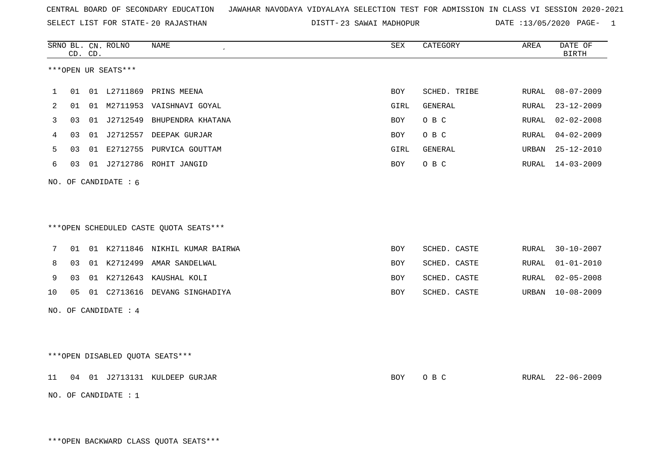SELECT LIST FOR STATE- DISTT- 20 RAJASTHAN

23 SAWAI MADHOPUR DATE :13/05/2020 PAGE- 1

|    |    | CD. CD. | SRNO BL. CN. ROLNO              | NAME                                   | SEX        | CATEGORY     | AREA  | DATE OF<br><b>BIRTH</b> |
|----|----|---------|---------------------------------|----------------------------------------|------------|--------------|-------|-------------------------|
|    |    |         | ***OPEN UR SEATS***             |                                        |            |              |       |                         |
| 1  | 01 |         |                                 | 01 L2711869 PRINS MEENA                | <b>BOY</b> | SCHED. TRIBE | RURAL | $08 - 07 - 2009$        |
| 2  | 01 |         |                                 | 01 M2711953 VAISHNAVI GOYAL            | GIRL       | GENERAL      | RURAL | $23 - 12 - 2009$        |
| 3  | 03 |         |                                 | 01 J2712549 BHUPENDRA KHATANA          | BOY        | O B C        | RURAL | $02 - 02 - 2008$        |
| 4  | 03 |         |                                 | 01 J2712557 DEEPAK GURJAR              | BOY        | O B C        | RURAL | $04 - 02 - 2009$        |
| 5  | 03 |         |                                 | 01 E2712755 PURVICA GOUTTAM            | GIRL       | GENERAL      | URBAN | $25 - 12 - 2010$        |
| 6  | 03 |         |                                 | 01 J2712786 ROHIT JANGID               | BOY        | O B C        | RURAL | $14 - 03 - 2009$        |
|    |    |         | NO. OF CANDIDATE : 6            |                                        |            |              |       |                         |
|    |    |         |                                 | ***OPEN SCHEDULED CASTE QUOTA SEATS*** |            |              |       |                         |
| 7  | 01 |         |                                 | 01 K2711846 NIKHIL KUMAR BAIRWA        | <b>BOY</b> | SCHED. CASTE | RURAL | $30 - 10 - 2007$        |
| 8  | 03 |         |                                 | 01 K2712499 AMAR SANDELWAL             | <b>BOY</b> | SCHED. CASTE | RURAL | $01 - 01 - 2010$        |
| 9  | 03 |         |                                 | 01 K2712643 KAUSHAL KOLI               | BOY        | SCHED. CASTE | RURAL | $02 - 05 - 2008$        |
| 10 | 05 |         |                                 | 01 C2713616 DEVANG SINGHADIYA          | BOY        | SCHED. CASTE | URBAN | $10 - 08 - 2009$        |
|    |    |         | NO. OF CANDIDATE : 4            |                                        |            |              |       |                         |
|    |    |         | ***OPEN DISABLED QUOTA SEATS*** |                                        |            |              |       |                         |
| 11 |    |         |                                 | 04 01 J2713131 KULDEEP GURJAR          | BOY        | O B C        |       | RURAL 22-06-2009        |
|    |    |         | NO. OF CANDIDATE : $1$          |                                        |            |              |       |                         |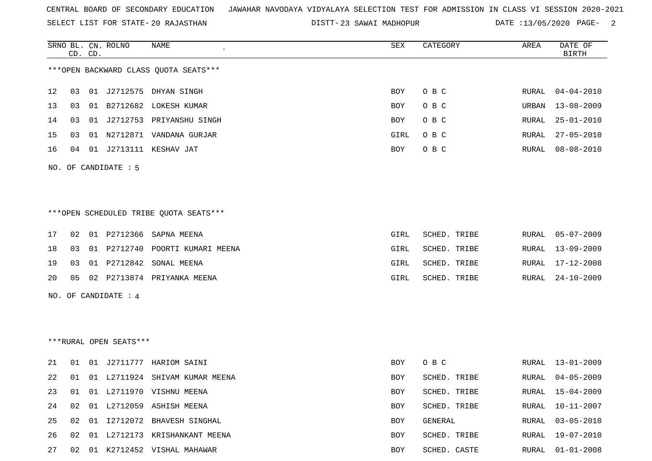SELECT LIST FOR STATE- DISTT- 20 RAJASTHAN

DISTT-23 SAWAI MADHOPUR DATE :13/05/2020 PAGE- 2

|    |    | CD. CD. | SRNO BL. CN. ROLNO     | NAME                                   | SEX         | CATEGORY     | AREA  | DATE OF<br>BIRTH |
|----|----|---------|------------------------|----------------------------------------|-------------|--------------|-------|------------------|
|    |    |         |                        | *** OPEN BACKWARD CLASS QUOTA SEATS*** |             |              |       |                  |
| 12 | 03 |         |                        | 01 J2712575 DHYAN SINGH                | <b>BOY</b>  | O B C        |       | RURAL 04-04-2010 |
| 13 | 03 |         |                        | 01 B2712682 LOKESH KUMAR               | <b>BOY</b>  | O B C        | URBAN | 13-08-2009       |
| 14 | 03 |         |                        | 01 J2712753 PRIYANSHU SINGH            | <b>BOY</b>  | O B C        | RURAL | $25 - 01 - 2010$ |
| 15 | 03 |         |                        | 01 N2712871 VANDANA GURJAR             | GIRL        | O B C        | RURAL | $27 - 05 - 2010$ |
| 16 |    |         |                        | 04 01 J2713111 KESHAV JAT              | BOY         | O B C        |       | RURAL 08-08-2010 |
|    |    |         | NO. OF CANDIDATE : 5   |                                        |             |              |       |                  |
|    |    |         |                        |                                        |             |              |       |                  |
|    |    |         |                        | ***OPEN SCHEDULED TRIBE QUOTA SEATS*** |             |              |       |                  |
| 17 | 02 |         |                        | 01 P2712366 SAPNA MEENA                | GIRL        | SCHED. TRIBE |       | RURAL 05-07-2009 |
| 18 | 03 |         |                        | 01 P2712740 POORTI KUMARI MEENA        | GIRL        | SCHED. TRIBE |       | RURAL 13-09-2009 |
| 19 | 03 |         |                        | 01 P2712842 SONAL MEENA                | GIRL        | SCHED. TRIBE | RURAL | 17-12-2008       |
| 20 |    |         |                        | 05 02 P2713874 PRIYANKA MEENA          | <b>GIRL</b> | SCHED. TRIBE |       | RURAL 24-10-2009 |
|    |    |         | NO. OF CANDIDATE : 4   |                                        |             |              |       |                  |
|    |    |         | ***RURAL OPEN SEATS*** |                                        |             |              |       |                  |
|    |    |         |                        |                                        |             |              |       |                  |
| 21 | 01 |         |                        | 01 J2711777 HARIOM SAINI               | BOY         | O B C        |       | RURAL 13-01-2009 |
| 22 | 01 |         |                        | 01 L2711924 SHIVAM KUMAR MEENA         | BOY         | SCHED. TRIBE | RURAL | $04 - 05 - 2009$ |
| 23 | 01 |         |                        | 01 L2711970 VISHNU MEENA               | BOY         | SCHED. TRIBE | RURAL | 15-04-2009       |
| 24 | 02 |         |                        | 01 L2712059 ASHISH MEENA               | <b>BOY</b>  | SCHED. TRIBE | RURAL | 10-11-2007       |
| 25 | 02 |         |                        | 01 I2712072 BHAVESH SINGHAL            | <b>BOY</b>  | GENERAL      | RURAL | $03 - 05 - 2010$ |
| 26 | 02 |         |                        | 01 L2712173 KRISHANKANT MEENA          | <b>BOY</b>  | SCHED. TRIBE | RURAL | 19-07-2010       |

27 02 01 K2712452 VISHAL MAHAWAR BOY SCHED. CASTE RURAL 01-01-2008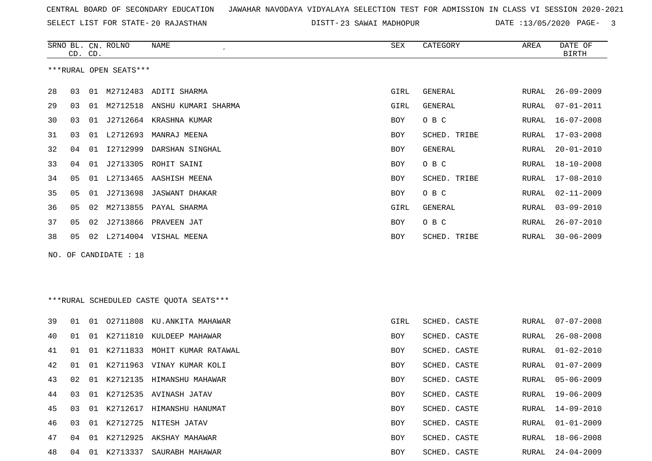SELECT LIST FOR STATE- DISTT- 20 RAJASTHAN

DISTT-23 SAWAI MADHOPUR DATE :13/05/2020 PAGE- 3

|     | CD. CD. |    | SRNO BL. CN. ROLNO     | NAME                                    | SEX  | CATEGORY     | AREA  | DATE OF<br><b>BIRTH</b> |
|-----|---------|----|------------------------|-----------------------------------------|------|--------------|-------|-------------------------|
|     |         |    | ***RURAL OPEN SEATS*** |                                         |      |              |       |                         |
| 28  | 03      |    |                        | 01 M2712483 ADITI SHARMA                | GIRL | GENERAL      | RURAL | $26 - 09 - 2009$        |
| 29  | 03      | 01 |                        | M2712518 ANSHU KUMARI SHARMA            | GIRL | GENERAL      | RURAL | $07 - 01 - 2011$        |
| 30  | 03      | 01 | J2712664               | KRASHNA KUMAR                           | BOY  | O B C        | RURAL | $16 - 07 - 2008$        |
| 31  | 03      | 01 | L2712693               | MANRAJ MEENA                            | BOY  | SCHED. TRIBE | RURAL | $17 - 03 - 2008$        |
| 32  | 04      | 01 | I2712999               | DARSHAN SINGHAL                         | BOY  | GENERAL      | RURAL | $20 - 01 - 2010$        |
| 33  | 04      | 01 | J2713305               | ROHIT SAINI                             | BOY  | O B C        | RURAL | $18 - 10 - 2008$        |
| 34  | 05      | 01 |                        | L2713465 AASHISH MEENA                  | BOY  | SCHED. TRIBE | RURAL | $17 - 08 - 2010$        |
| 35  | 05      | 01 | J2713698               | JASWANT DHAKAR                          | BOY  | O B C        | RURAL | $02 - 11 - 2009$        |
| 36  | 05      |    |                        | 02 M2713855 PAYAL SHARMA                | GIRL | GENERAL      | RURAL | $03 - 09 - 2010$        |
| 37  | 05      |    | 02 J2713866            | PRAVEEN JAT                             | BOY  | O B C        | RURAL | $26 - 07 - 2010$        |
| 38  | 05      |    |                        | 02 L2714004 VISHAL MEENA                | BOY  | SCHED. TRIBE | RURAL | $30 - 06 - 2009$        |
| NO. |         |    | OF CANDIDATE : 18      |                                         |      |              |       |                         |
|     |         |    |                        | ***RURAL SCHEDULED CASTE QUOTA SEATS*** |      |              |       |                         |
| 39  | 01      | 01 | 02711808               | KU.ANKITA MAHAWAR                       | GIRL | SCHED. CASTE | RURAL | $07 - 07 - 2008$        |
| 40  | 01      | 01 | K2711810               | KULDEEP MAHAWAR                         | BOY  | SCHED. CASTE | RURAL | $26 - 08 - 2008$        |
| 41  | 01      | 01 | K2711833               | MOHIT KUMAR RATAWAL                     | BOY  | SCHED. CASTE | RURAL | $01 - 02 - 2010$        |
| 42  | 01      |    |                        | 01 K2711963 VINAY KUMAR KOLI            | BOY  | SCHED. CASTE | RURAL | $01 - 07 - 2009$        |
| 43  | 02      |    |                        | 01 K2712135 HIMANSHU MAHAWAR            | BOY  | SCHED. CASTE | RURAL | $05 - 06 - 2009$        |
| 44  | 03      |    |                        | 01 K2712535 AVINASH JATAV               | BOY  | SCHED. CASTE | RURAL | $19 - 06 - 2009$        |
| 45  | 03      |    |                        | 01 K2712617 HIMANSHU HANUMAT            | BOY  | SCHED. CASTE | RURAL | 14-09-2010              |
| 46  | 03      |    |                        | 01 K2712725 NITESH JATAV                | BOY  | SCHED. CASTE | RURAL | $01 - 01 - 2009$        |
| 47  | 04      | 01 |                        | K2712925 AKSHAY MAHAWAR                 | BOY  | SCHED. CASTE | RURAL | $18 - 06 - 2008$        |
| 48  |         |    |                        | 04 01 K2713337 SAURABH MAHAWAR          | BOY  | SCHED. CASTE | RURAL | $24 - 04 - 2009$        |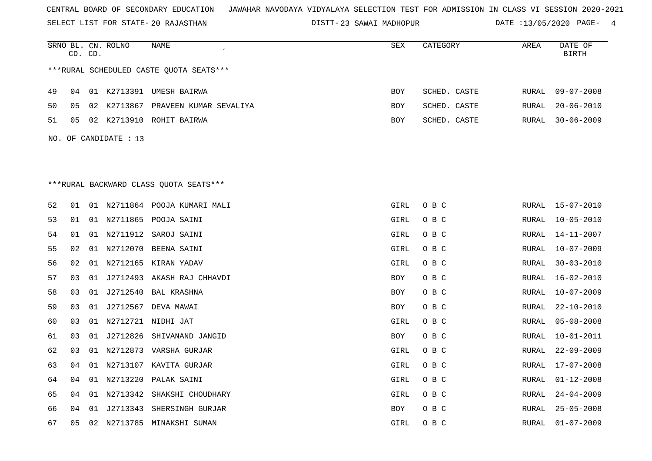SELECT LIST FOR STATE- DISTT- 20 RAJASTHAN

DISTT-23 SAWAI MADHOPUR DATE :13/05/2020 PAGE- 4

|    | CD. CD. |    | SRNO BL. CN. ROLNO    | NAME                                    | SEX        | CATEGORY     | AREA  | DATE OF<br><b>BIRTH</b> |
|----|---------|----|-----------------------|-----------------------------------------|------------|--------------|-------|-------------------------|
|    |         |    |                       | ***RURAL SCHEDULED CASTE QUOTA SEATS*** |            |              |       |                         |
| 49 | 04      |    |                       | 01 K2713391 UMESH BAIRWA                | <b>BOY</b> | SCHED. CASTE | RURAL | $09 - 07 - 2008$        |
| 50 | 05      |    |                       | 02 K2713867 PRAVEEN KUMAR SEVALIYA      | <b>BOY</b> | SCHED. CASTE | RURAL | $20 - 06 - 2010$        |
| 51 | 05      |    |                       | 02 K2713910 ROHIT BAIRWA                | BOY        | SCHED. CASTE | RURAL | $30 - 06 - 2009$        |
|    |         |    | NO. OF CANDIDATE : 13 |                                         |            |              |       |                         |
|    |         |    |                       |                                         |            |              |       |                         |
|    |         |    |                       |                                         |            |              |       |                         |
|    |         |    |                       | ***RURAL BACKWARD CLASS QUOTA SEATS***  |            |              |       |                         |
| 52 | 01      |    |                       | 01 N2711864 POOJA KUMARI MALI           | GIRL       | O B C        | RURAL | $15 - 07 - 2010$        |
| 53 | 01      |    |                       | 01 N2711865 POOJA SAINI                 | GIRL       | O B C        | RURAL | $10 - 05 - 2010$        |
| 54 | 01      |    | 01 N2711912           | SAROJ SAINI                             | GIRL       | O B C        | RURAL | $14 - 11 - 2007$        |
| 55 | 02      |    |                       | 01 N2712070 BEENA SAINI                 | GIRL       | O B C        | RURAL | $10 - 07 - 2009$        |
| 56 | 02      |    |                       | 01 N2712165 KIRAN YADAV                 | GIRL       | O B C        | RURAL | $30 - 03 - 2010$        |
| 57 | 03      | 01 |                       | J2712493 AKASH RAJ CHHAVDI              | BOY        | O B C        | RURAL | $16 - 02 - 2010$        |
| 58 | 03      |    |                       | 01 J2712540 BAL KRASHNA                 | <b>BOY</b> | O B C        | RURAL | $10 - 07 - 2009$        |
| 59 | 03      | 01 |                       | J2712567 DEVA MAWAI                     | BOY        | O B C        | RURAL | $22 - 10 - 2010$        |
| 60 | 03      |    |                       | 01 N2712721 NIDHI JAT                   | GIRL       | O B C        | RURAL | $05 - 08 - 2008$        |
| 61 | 03      |    |                       | 01 J2712826 SHIVANAND JANGID            | BOY        | O B C        | RURAL | $10 - 01 - 2011$        |
| 62 | 03      |    |                       | 01 N2712873 VARSHA GURJAR               | GIRL       | O B C        | RURAL | $22 - 09 - 2009$        |
| 63 | 04      |    |                       | 01 N2713107 KAVITA GURJAR               | GIRL       | O B C        | RURAL | $17 - 07 - 2008$        |
| 64 | 04      |    | 01 N2713220           | PALAK SAINI                             | GIRL       | O B C        | RURAL | $01 - 12 - 2008$        |
| 65 | 04      |    | 01 N2713342           | SHAKSHI CHOUDHARY                       | GIRL       | O B C        | RURAL | $24 - 04 - 2009$        |
| 66 | 04      |    |                       | 01 J2713343 SHERSINGH GURJAR            | BOY        | O B C        | RURAL | $25 - 05 - 2008$        |
| 67 | 05      | 02 |                       | N2713785 MINAKSHI SUMAN                 | GIRL       | O B C        | RURAL | $01 - 07 - 2009$        |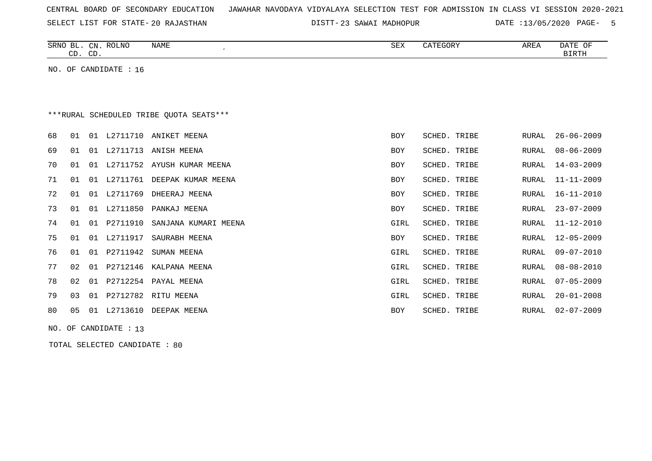|  |  |  | CENTRAL BOARD OF SECONDARY EDUCATION – JAWAHAR NAVODAYA VIDYALAYA SELECTION TEST FOR ADMISSION IN CLASS VI SESSION 2020-2021 |  |  |  |  |  |  |  |  |  |  |  |  |  |  |
|--|--|--|------------------------------------------------------------------------------------------------------------------------------|--|--|--|--|--|--|--|--|--|--|--|--|--|--|
|--|--|--|------------------------------------------------------------------------------------------------------------------------------|--|--|--|--|--|--|--|--|--|--|--|--|--|--|

SELECT LIST FOR STATE- DISTT- 20 RAJASTHAN

23 SAWAI MADHOPUR DATE :13/05/2020 PAGE- 5

|                                         | CD. CD. |    | SRNO BL. CN. ROLNO    | NAME                   | SEX        | CATEGORY     | AREA  | DATE OF<br><b>BIRTH</b> |  |  |  |
|-----------------------------------------|---------|----|-----------------------|------------------------|------------|--------------|-------|-------------------------|--|--|--|
|                                         |         |    | NO. OF CANDIDATE : 16 |                        |            |              |       |                         |  |  |  |
|                                         |         |    |                       |                        |            |              |       |                         |  |  |  |
|                                         |         |    |                       |                        |            |              |       |                         |  |  |  |
| ***RURAL SCHEDULED TRIBE QUOTA SEATS*** |         |    |                       |                        |            |              |       |                         |  |  |  |
| 68                                      | 01      | 01 |                       | L2711710 ANIKET MEENA  | <b>BOY</b> | SCHED. TRIBE | RURAL | $26 - 06 - 2009$        |  |  |  |
| 69                                      | 01      | 01 | L2711713              | ANISH MEENA            | BOY        | SCHED. TRIBE | RURAL | $08 - 06 - 2009$        |  |  |  |
| 70                                      | 01      | 01 | L2711752              | AYUSH KUMAR MEENA      | <b>BOY</b> | SCHED. TRIBE | RURAL | $14 - 03 - 2009$        |  |  |  |
| 71                                      | 01      | 01 | L2711761              | DEEPAK KUMAR MEENA     | BOY        | SCHED. TRIBE | RURAL | $11 - 11 - 2009$        |  |  |  |
| 72                                      | 01      | 01 | L2711769              | DHEERAJ MEENA          | <b>BOY</b> | SCHED. TRIBE | RURAL | $16 - 11 - 2010$        |  |  |  |
| 73                                      | 01      | 01 | L2711850              | PANKAJ MEENA           | <b>BOY</b> | SCHED. TRIBE | RURAL | $23 - 07 - 2009$        |  |  |  |
| 74                                      | 01      | 01 | P2711910              | SANJANA KUMARI MEENA   | GIRL       | SCHED. TRIBE | RURAL | $11 - 12 - 2010$        |  |  |  |
| 75                                      | 01      | 01 | L2711917              | SAURABH MEENA          | <b>BOY</b> | SCHED. TRIBE | RURAL | $12 - 05 - 2009$        |  |  |  |
| 76                                      | 01      | 01 | P2711942              | SUMAN MEENA            | GIRL       | SCHED. TRIBE | RURAL | $09 - 07 - 2010$        |  |  |  |
| 77                                      | 02      | 01 | P2712146              | KALPANA MEENA          | GIRL       | SCHED. TRIBE | RURAL | $08 - 08 - 2010$        |  |  |  |
| 78                                      | 02      | 01 | P2712254              | PAYAL MEENA            | GIRL       | SCHED. TRIBE | RURAL | $07 - 05 - 2009$        |  |  |  |
| 79                                      | 03      |    |                       | 01 P2712782 RITU MEENA | GIRL       | SCHED. TRIBE | RURAL | $20 - 01 - 2008$        |  |  |  |
| 80                                      | 05      | 01 | L2713610              | DEEPAK MEENA           | BOY        | SCHED. TRIBE | RURAL | $02 - 07 - 2009$        |  |  |  |
|                                         |         |    |                       |                        |            |              |       |                         |  |  |  |

NO. OF CANDIDATE : 13

TOTAL SELECTED CANDIDATE : 80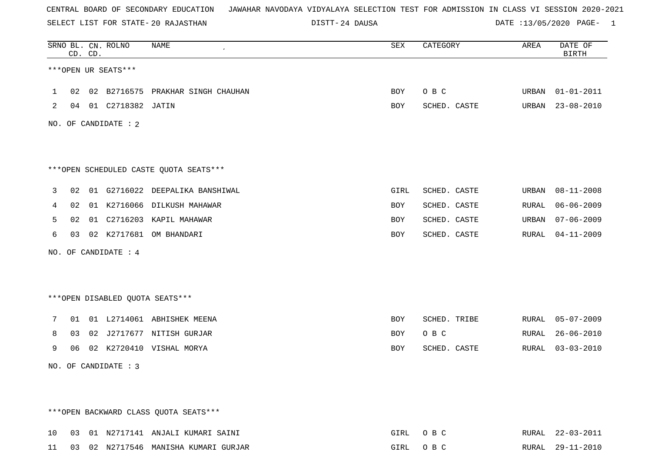SELECT LIST FOR STATE- DISTT- 20 RAJASTHAN

24 DAUSA DATE :13/05/2020 PAGE- 1

|              | CD. CD. | SRNO BL. CN. ROLNO     | NAME<br>$\overline{\phantom{a}}$       | SEX        | CATEGORY     | AREA  | DATE OF<br><b>BIRTH</b> |
|--------------|---------|------------------------|----------------------------------------|------------|--------------|-------|-------------------------|
|              |         | ***OPEN UR SEATS***    |                                        |            |              |       |                         |
| $\mathbf{1}$ |         |                        | 02 02 B2716575 PRAKHAR SINGH CHAUHAN   | BOY        | O B C        |       | URBAN 01-01-2011        |
| 2            |         | 04 01 C2718382 JATIN   |                                        | BOY        | SCHED. CASTE |       | URBAN 23-08-2010        |
|              |         | NO. OF CANDIDATE : $2$ |                                        |            |              |       |                         |
|              |         |                        |                                        |            |              |       |                         |
|              |         |                        | ***OPEN SCHEDULED CASTE QUOTA SEATS*** |            |              |       |                         |
| 3            |         |                        | 02 01 G2716022 DEEPALIKA BANSHIWAL     | GIRL       | SCHED. CASTE |       | URBAN 08-11-2008        |
| 4            |         |                        | 02 01 K2716066 DILKUSH MAHAWAR         | BOY        | SCHED. CASTE | RURAL | $06 - 06 - 2009$        |
| 5            |         |                        | 02 01 C2716203 KAPIL MAHAWAR           | BOY        | SCHED. CASTE |       | URBAN 07-06-2009        |
| 6            |         |                        | 03 02 K2717681 OM BHANDARI             | BOY        | SCHED. CASTE |       | RURAL 04-11-2009        |
|              |         | NO. OF CANDIDATE : 4   |                                        |            |              |       |                         |
|              |         |                        |                                        |            |              |       |                         |
|              |         |                        | ***OPEN DISABLED QUOTA SEATS***        |            |              |       |                         |
| 7            |         |                        | 01 01 L2714061 ABHISHEK MEENA          | <b>BOY</b> | SCHED. TRIBE |       | RURAL 05-07-2009        |
| 8            |         |                        | 03 02 J2717677 NITISH GURJAR           | BOY        | O B C        |       | RURAL 26-06-2010        |
| 9            |         |                        | 06 02 K2720410 VISHAL MORYA            | BOY        | SCHED. CASTE |       | RURAL 03-03-2010        |
|              |         | NO. OF CANDIDATE : 3   |                                        |            |              |       |                         |
|              |         |                        |                                        |            |              |       |                         |
|              |         |                        | *** OPEN BACKWARD CLASS QUOTA SEATS*** |            |              |       |                         |
| 10           |         |                        | 03 01 N2717141 ANJALI KUMARI SAINI     | GIRL       | O B C        |       | RURAL 22-03-2011        |

11 03 02 N2717546 MANISHA KUMARI GURJAR GIRL O B C RURAL 29-11-2010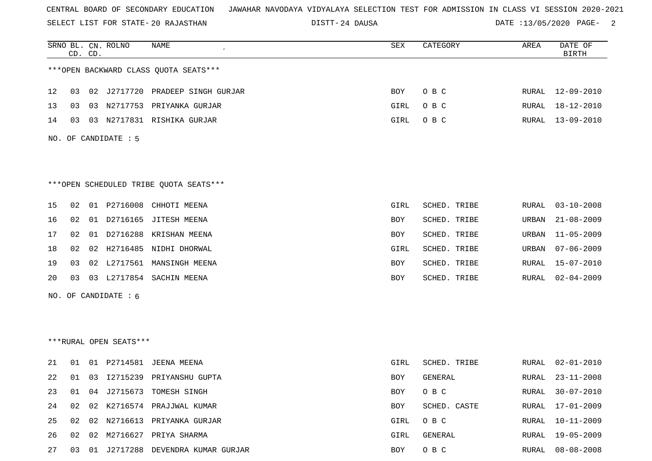SELECT LIST FOR STATE- DISTT- 20 RAJASTHAN

24 DAUSA DATE :13/05/2020 PAGE- 2

|    |    | CD. CD. | SRNO BL. CN. ROLNO     | <b>NAME</b>                             | SEX  | CATEGORY     | AREA  | DATE OF<br><b>BIRTH</b> |
|----|----|---------|------------------------|-----------------------------------------|------|--------------|-------|-------------------------|
|    |    |         |                        | *** OPEN BACKWARD CLASS QUOTA SEATS *** |      |              |       |                         |
| 12 | 03 |         |                        | 02 J2717720 PRADEEP SINGH GURJAR        | BOY  | O B C        | RURAL | 12-09-2010              |
| 13 | 03 |         |                        | 03 N2717753 PRIYANKA GURJAR             | GIRL | O B C        | RURAL | 18-12-2010              |
| 14 | 03 |         |                        | 03 N2717831 RISHIKA GURJAR              | GIRL | O B C        | RURAL | $13 - 09 - 2010$        |
|    |    |         | NO. OF CANDIDATE : 5   |                                         |      |              |       |                         |
|    |    |         |                        | *** OPEN SCHEDULED TRIBE QUOTA SEATS*** |      |              |       |                         |
| 15 |    |         |                        | 02 01 P2716008 CHHOTI MEENA             | GIRL | SCHED. TRIBE | RURAL | $03 - 10 - 2008$        |
| 16 |    |         |                        | 02 01 D2716165 JITESH MEENA             | BOY  | SCHED. TRIBE | URBAN | $21 - 08 - 2009$        |
| 17 | 02 |         |                        | 01 D2716288 KRISHAN MEENA               | BOY  | SCHED. TRIBE | URBAN | $11 - 05 - 2009$        |
| 18 | 02 |         |                        | 02 H2716485 NIDHI DHORWAL               | GIRL | SCHED. TRIBE | URBAN | $07 - 06 - 2009$        |
| 19 | 03 |         |                        | 02 L2717561 MANSINGH MEENA              | BOY  | SCHED. TRIBE | RURAL | $15 - 07 - 2010$        |
| 20 | 03 |         |                        | 03 L2717854 SACHIN MEENA                | BOY  | SCHED. TRIBE | RURAL | $02 - 04 - 2009$        |
|    |    |         | NO. OF CANDIDATE : 6   |                                         |      |              |       |                         |
|    |    |         |                        |                                         |      |              |       |                         |
|    |    |         | ***RURAL OPEN SEATS*** |                                         |      |              |       |                         |
| 21 | 01 |         |                        | 01 P2714581 JEENA MEENA                 | GIRL | SCHED. TRIBE | RURAL | $02 - 01 - 2010$        |
| 22 | 01 |         |                        | 03 I2715239 PRIYANSHU GUPTA             | BOY  | GENERAL      | RURAL | $23 - 11 - 2008$        |
| 23 |    |         |                        | 01 04 J2715673 TOMESH SINGH             | BOY  | O B C        | RURAL | $30 - 07 - 2010$        |
| 24 | 02 |         | 02 K2716574            | PRAJJWAL KUMAR                          | BOY  | SCHED. CASTE | RURAL | $17 - 01 - 2009$        |
| 25 | 02 |         |                        | 02 N2716613 PRIYANKA GURJAR             | GIRL | O B C        | RURAL | $10 - 11 - 2009$        |
| 26 |    |         |                        | 02 02 M2716627 PRIYA SHARMA             | GIRL | GENERAL      | RURAL | $19 - 05 - 2009$        |
| 27 |    |         |                        | 03 01 J2717288 DEVENDRA KUMAR GURJAR    | BOY  | O B C        | RURAL | $08 - 08 - 2008$        |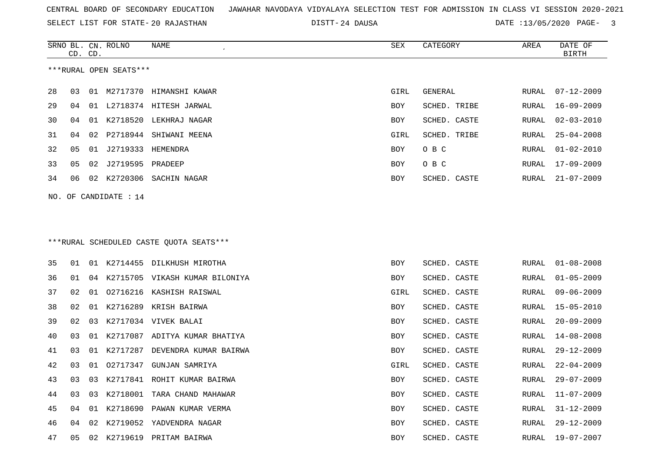SELECT LIST FOR STATE- DISTT- 20 RAJASTHAN

24 DAUSA DATE :13/05/2020 PAGE- 3

|    | CD. CD. |    | SRNO BL. CN. ROLNO     | NAME                                    | SEX  | CATEGORY     | AREA  | DATE OF<br><b>BIRTH</b> |
|----|---------|----|------------------------|-----------------------------------------|------|--------------|-------|-------------------------|
|    |         |    | ***RURAL OPEN SEATS*** |                                         |      |              |       |                         |
| 28 | 03      |    |                        | 01 M2717370 HIMANSHI KAWAR              | GIRL | GENERAL      | RURAL | $07 - 12 - 2009$        |
| 29 | 04      |    |                        | 01 L2718374 HITESH JARWAL               | BOY  | SCHED. TRIBE | RURAL | $16 - 09 - 2009$        |
| 30 | 04      | 01 |                        | K2718520 LEKHRAJ NAGAR                  | BOY  | SCHED. CASTE | RURAL | $02 - 03 - 2010$        |
| 31 | 04      | 02 | P2718944               | SHIWANI MEENA                           | GIRL | SCHED. TRIBE | RURAL | $25 - 04 - 2008$        |
| 32 | 05      | 01 | J2719333               | HEMENDRA                                | BOY  | O B C        | RURAL | $01 - 02 - 2010$        |
| 33 | 05      | 02 | J2719595               | PRADEEP                                 | BOY  | O B C        | RURAL | $17 - 09 - 2009$        |
| 34 | 06      | 02 |                        | K2720306 SACHIN NAGAR                   | BOY  | SCHED. CASTE | RURAL | $21 - 07 - 2009$        |
|    |         |    | NO. OF CANDIDATE : 14  |                                         |      |              |       |                         |
|    |         |    |                        |                                         |      |              |       |                         |
|    |         |    |                        | ***RURAL SCHEDULED CASTE QUOTA SEATS*** |      |              |       |                         |
| 35 | 01      | 01 |                        | K2714455 DILKHUSH MIROTHA               | BOY  | SCHED. CASTE | RURAL | $01 - 08 - 2008$        |
| 36 | 01      | 04 |                        | K2715705 VIKASH KUMAR BILONIYA          | BOY  | SCHED. CASTE | RURAL | $01 - 05 - 2009$        |
| 37 | 02      | 01 |                        | 02716216 KASHISH RAISWAL                | GIRL | SCHED. CASTE | RURAL | $09 - 06 - 2009$        |
| 38 | 02      | 01 | K2716289               | KRISH BAIRWA                            | BOY  | SCHED. CASTE | RURAL | $15 - 05 - 2010$        |
| 39 | 02      | 03 |                        | K2717034 VIVEK BALAI                    | BOY  | SCHED. CASTE | RURAL | $20 - 09 - 2009$        |
| 40 | 03      | 01 |                        | K2717087 ADITYA KUMAR BHATIYA           | BOY  | SCHED. CASTE | RURAL | $14 - 08 - 2008$        |
| 41 | 03      | 01 | K2717287               | DEVENDRA KUMAR BAIRWA                   | BOY  | SCHED. CASTE | RURAL | $29 - 12 - 2009$        |
| 42 | 03      | 01 |                        | 02717347 GUNJAN SAMRIYA                 | GIRL | SCHED. CASTE | RURAL | $22 - 04 - 2009$        |
| 43 | 03      | 03 |                        | K2717841 ROHIT KUMAR BAIRWA             | BOY  | SCHED. CASTE | RURAL | $29 - 07 - 2009$        |
| 44 | 03      | 03 |                        | K2718001 TARA CHAND MAHAWAR             | BOY  | SCHED. CASTE | RURAL | $11 - 07 - 2009$        |
| 45 | 04      | 01 | K2718690               | PAWAN KUMAR VERMA                       | BOY  | SCHED. CASTE | RURAL | $31 - 12 - 2009$        |
| 46 | 04      | 02 |                        | K2719052 YADVENDRA NAGAR                | BOY  | SCHED. CASTE | RURAL | 29-12-2009              |
| 47 | 05      |    |                        | 02 K2719619 PRITAM BAIRWA               | BOY  | SCHED. CASTE | RURAL | 19-07-2007              |
|    |         |    |                        |                                         |      |              |       |                         |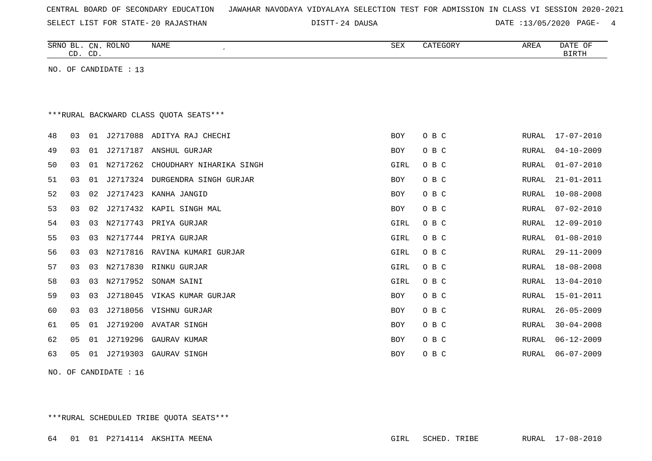| CENTRAL BOARD OF SECONDARY EDUCATION – JAWAHAR NAVODAYA VIDYALAYA SELECTION TEST FOR ADMISSION IN CLASS VI SESSION 2020-2021 |  |
|------------------------------------------------------------------------------------------------------------------------------|--|
|------------------------------------------------------------------------------------------------------------------------------|--|

SELECT LIST FOR STATE- DISTT- 20 RAJASTHAN

24 DAUSA DATE :13/05/2020 PAGE- 4

|    |    | CD. CD. | SRNO BL. CN. ROLNO    | NAME<br>$\epsilon$                      | SEX        | CATEGORY | AREA         | DATE OF<br><b>BIRTH</b> |
|----|----|---------|-----------------------|-----------------------------------------|------------|----------|--------------|-------------------------|
|    |    |         | NO. OF CANDIDATE : 13 |                                         |            |          |              |                         |
|    |    |         |                       |                                         |            |          |              |                         |
|    |    |         |                       |                                         |            |          |              |                         |
|    |    |         |                       | *** RURAL BACKWARD CLASS QUOTA SEATS*** |            |          |              |                         |
| 48 | 03 | 01      |                       | J2717088 ADITYA RAJ CHECHI              | BOY        | O B C    | RURAL        | $17 - 07 - 2010$        |
| 49 | 03 | 01      |                       | J2717187 ANSHUL GURJAR                  | <b>BOY</b> | O B C    | RURAL        | $04 - 10 - 2009$        |
| 50 | 03 | 01      | N2717262              | CHOUDHARY NIHARIKA SINGH                | GIRL       | O B C    | <b>RURAL</b> | $01 - 07 - 2010$        |
| 51 | 03 | 01      |                       | J2717324 DURGENDRA SINGH GURJAR         | <b>BOY</b> | O B C    | RURAL        | $21 - 01 - 2011$        |
| 52 | 03 | 02      | J2717423              | KANHA JANGID                            | BOY        | O B C    | RURAL        | $10 - 08 - 2008$        |
| 53 | 03 | 02      | J2717432              | KAPIL SINGH MAL                         | BOY        | O B C    | RURAL        | $07 - 02 - 2010$        |
| 54 | 03 | 03      | N2717743              | PRIYA GURJAR                            | GIRL       | O B C    | RURAL        | $12 - 09 - 2010$        |
| 55 | 03 | 03      |                       | N2717744 PRIYA GURJAR                   | GIRL       | O B C    | RURAL        | $01 - 08 - 2010$        |
| 56 | 03 | 03      |                       | N2717816 RAVINA KUMARI GURJAR           | GIRL       | O B C    | <b>RURAL</b> | $29 - 11 - 2009$        |
| 57 | 03 | 03      | N2717830              | RINKU GURJAR                            | GIRL       | O B C    | RURAL        | $18 - 08 - 2008$        |
| 58 | 03 | 03      | N2717952              | SONAM SAINI                             | GIRL       | O B C    | <b>RURAL</b> | $13 - 04 - 2010$        |
| 59 | 03 | 03      | J2718045              | VIKAS KUMAR GURJAR                      | BOY        | O B C    | RURAL        | $15 - 01 - 2011$        |
| 60 | 03 | 03      |                       | J2718056 VISHNU GURJAR                  | BOY        | O B C    | RURAL        | $26 - 05 - 2009$        |
| 61 | 05 | 01      |                       | J2719200 AVATAR SINGH                   | BOY        | O B C    | RURAL        | $30 - 04 - 2008$        |
| 62 | 05 | 01      | J2719296              | GAURAV KUMAR                            | <b>BOY</b> | O B C    | RURAL        | $06 - 12 - 2009$        |
| 63 | 05 | 01      | J2719303              | GAURAV SINGH                            | <b>BOY</b> | O B C    | <b>RURAL</b> | $06 - 07 - 2009$        |
|    |    |         |                       |                                         |            |          |              |                         |

NO. OF CANDIDATE : 16

\*\*\*RURAL SCHEDULED TRIBE QUOTA SEATS\*\*\*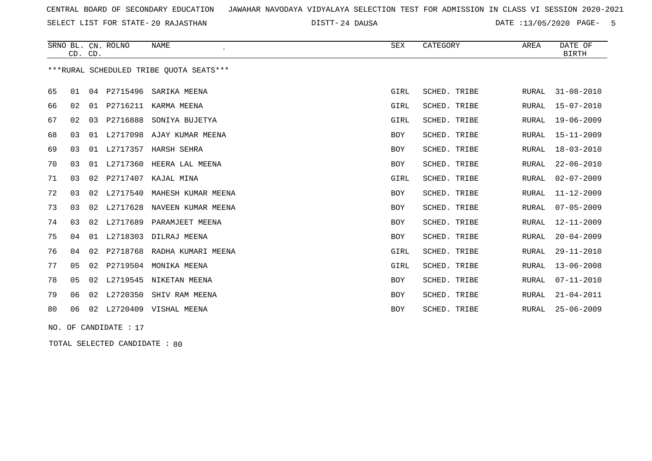SELECT LIST FOR STATE- DISTT- 20 RAJASTHAN

24 DAUSA DATE :13/05/2020 PAGE- 5

|    | CD. CD.        |    | SRNO BL. CN. ROLNO   | <b>NAME</b>                             | SEX        | CATEGORY     | AREA  | DATE OF<br><b>BIRTH</b> |
|----|----------------|----|----------------------|-----------------------------------------|------------|--------------|-------|-------------------------|
|    |                |    |                      | ***RURAL SCHEDULED TRIBE OUOTA SEATS*** |            |              |       |                         |
| 65 | 01             |    | 04 P2715496          | SARIKA MEENA                            | GIRL       | SCHED. TRIBE | RURAL | $31 - 08 - 2010$        |
| 66 | 02             | 01 | P2716211             | KARMA MEENA                             | GIRL       | SCHED. TRIBE | RURAL | $15 - 07 - 2010$        |
| 67 | 02             | 03 | P2716888             | SONIYA BUJETYA                          | GIRL       | SCHED. TRIBE | RURAL | $19 - 06 - 2009$        |
| 68 | 03             |    |                      | 01 L2717098 AJAY KUMAR MEENA            | <b>BOY</b> | SCHED. TRIBE | RURAL | $15 - 11 - 2009$        |
| 69 | 03             | 01 |                      | L2717357 HARSH SEHRA                    | <b>BOY</b> | SCHED. TRIBE | RURAL | $18 - 03 - 2010$        |
| 70 | 03             | 01 |                      | L2717360 HEERA LAL MEENA                | <b>BOY</b> | SCHED. TRIBE | RURAL | $22 - 06 - 2010$        |
| 71 | 03             |    |                      | 02 P2717407 KAJAL MINA                  | GIRL       | SCHED. TRIBE | RURAL | $02 - 07 - 2009$        |
| 72 | 03             |    |                      | 02 L2717540 MAHESH KUMAR MEENA          | <b>BOY</b> | SCHED. TRIBE | RURAL | $11 - 12 - 2009$        |
| 73 | 03             | 02 |                      | L2717628 NAVEEN KUMAR MEENA             | <b>BOY</b> | SCHED. TRIBE | RURAL | $07 - 05 - 2009$        |
| 74 | 03             | 02 | L2717689             | PARAMJEET MEENA                         | <b>BOY</b> | SCHED. TRIBE | RURAL | $12 - 11 - 2009$        |
| 75 | 04             | 01 | L2718303             | DILRAJ MEENA                            | <b>BOY</b> | SCHED. TRIBE | RURAL | $20 - 04 - 2009$        |
| 76 | 04             | 02 |                      | P2718768 RADHA KUMARI MEENA             | GIRL       | SCHED. TRIBE | RURAL | $29 - 11 - 2010$        |
| 77 | 05             | 02 | P2719504             | MONIKA MEENA                            | GIRL       | SCHED. TRIBE | RURAL | $13 - 06 - 2008$        |
| 78 | 0 <sub>5</sub> | 02 |                      | L2719545 NIKETAN MEENA                  | <b>BOY</b> | SCHED. TRIBE | RURAL | $07 - 11 - 2010$        |
| 79 | 06             |    |                      | 02 L2720350 SHIV RAM MEENA              | <b>BOY</b> | SCHED. TRIBE | RURAL | $21 - 04 - 2011$        |
| 80 | 06             |    |                      | 02 L2720409 VISHAL MEENA                | <b>BOY</b> | SCHED. TRIBE | RURAL | $25 - 06 - 2009$        |
|    |                |    | NO. OF CANDIDATE: 17 |                                         |            |              |       |                         |

TOTAL SELECTED CANDIDATE : 80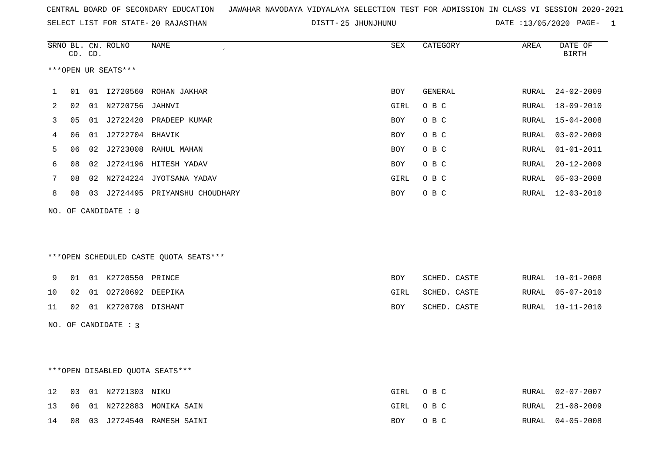SELECT LIST FOR STATE- DISTT- 20 RAJASTHAN

25 JHUNJHUNU DATE :13/05/2020 PAGE- 1

|    |    | CD. CD. | SRNO BL. CN. ROLNO     | NAME                                   | ${\tt SEX}$ | CATEGORY     | AREA  | DATE OF<br><b>BIRTH</b> |
|----|----|---------|------------------------|----------------------------------------|-------------|--------------|-------|-------------------------|
|    |    |         | ***OPEN UR SEATS***    |                                        |             |              |       |                         |
| 1  | 01 |         |                        | 01 12720560 ROHAN JAKHAR               | BOY         | GENERAL      | RURAL | $24 - 02 - 2009$        |
| 2  | 02 |         | 01 N2720756 JAHNVI     |                                        | GIRL        | O B C        | RURAL | $18 - 09 - 2010$        |
| 3  | 05 |         |                        | 01 J2722420 PRADEEP KUMAR              | BOY         | O B C        | RURAL | $15 - 04 - 2008$        |
| 4  | 06 |         | 01 J2722704 BHAVIK     |                                        | <b>BOY</b>  | O B C        | RURAL | $03 - 02 - 2009$        |
| 5  | 06 |         |                        | 02 J2723008 RAHUL MAHAN                | BOY         | O B C        | RURAL | $01 - 01 - 2011$        |
| 6  | 08 |         |                        | 02 J2724196 HITESH YADAV               | BOY         | O B C        | RURAL | $20 - 12 - 2009$        |
| 7  | 08 |         |                        | 02 N2724224 JYOTSANA YADAV             | GIRL        | O B C        | RURAL | $05 - 03 - 2008$        |
| 8  | 08 |         |                        | 03 J2724495 PRIYANSHU CHOUDHARY        | BOY         | O B C        | RURAL | 12-03-2010              |
|    |    |         | NO. OF CANDIDATE : 8   | ***OPEN SCHEDULED CASTE QUOTA SEATS*** |             |              |       |                         |
| 9  | 01 |         | 01 K2720550 PRINCE     |                                        | BOY         | SCHED. CASTE | RURAL | $10 - 01 - 2008$        |
| 10 | 02 |         | 01 02720692 DEEPIKA    |                                        | GIRL        | SCHED. CASTE | RURAL | $05 - 07 - 2010$        |
| 11 | 02 |         | 01 K2720708 DISHANT    |                                        | BOY         | SCHED. CASTE | RURAL | $10 - 11 - 2010$        |
|    |    |         | NO. OF CANDIDATE : $3$ |                                        |             |              |       |                         |
|    |    |         |                        | *** OPEN DISABLED QUOTA SEATS***       |             |              |       |                         |
| 12 | 03 |         | 01 N2721303 NIKU       |                                        | GIRL        | O B C        | RURAL | $02 - 07 - 2007$        |
| 13 | 06 |         |                        | 01 N2722883 MONIKA SAIN                | GIRL        | O B C        | RURAL | $21 - 08 - 2009$        |

14 08 03 J2724540 RAMESH SAINI BOY O B C RURAL 04-05-2008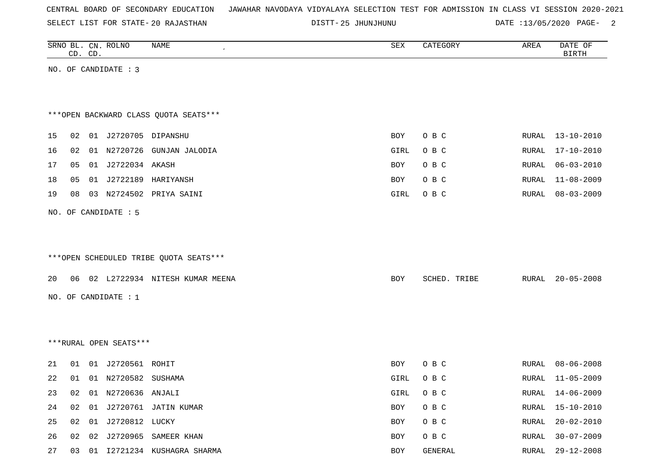SELECT LIST FOR STATE- DISTT- 20 RAJASTHAN

25 JHUNJHUNU DATE :13/05/2020 PAGE- 2

|                                        |          | CD. CD. | SRNO BL. CN. ROLNO                                                                        | <b>NAME</b>                                                                                | ${\tt SEX}$                                     | CATEGORY                                                      | AREA                                      | DATE OF<br><b>BIRTH</b>                                                                                                                  |
|----------------------------------------|----------|---------|-------------------------------------------------------------------------------------------|--------------------------------------------------------------------------------------------|-------------------------------------------------|---------------------------------------------------------------|-------------------------------------------|------------------------------------------------------------------------------------------------------------------------------------------|
|                                        |          |         | NO. OF CANDIDATE : 3                                                                      |                                                                                            |                                                 |                                                               |                                           |                                                                                                                                          |
|                                        |          |         |                                                                                           |                                                                                            |                                                 |                                                               |                                           |                                                                                                                                          |
|                                        |          |         |                                                                                           |                                                                                            |                                                 |                                                               |                                           |                                                                                                                                          |
|                                        |          |         |                                                                                           | *** OPEN BACKWARD CLASS QUOTA SEATS***                                                     |                                                 |                                                               |                                           |                                                                                                                                          |
|                                        |          |         |                                                                                           |                                                                                            |                                                 |                                                               |                                           |                                                                                                                                          |
| 15                                     |          |         | 02 01 J2720705 DIPANSHU                                                                   |                                                                                            | <b>BOY</b>                                      | O B C                                                         |                                           | RURAL 13-10-2010                                                                                                                         |
| 16                                     | 02       |         |                                                                                           | 01 N2720726 GUNJAN JALODIA                                                                 | GIRL                                            | O B C                                                         | RURAL                                     | $17 - 10 - 2010$                                                                                                                         |
| 17                                     | 05       |         | 01 J2722034 AKASH                                                                         |                                                                                            | BOY                                             | O B C                                                         | RURAL                                     | $06 - 03 - 2010$                                                                                                                         |
| 18                                     | 05       |         |                                                                                           | 01 J2722189 HARIYANSH                                                                      | BOY                                             | O B C                                                         | RURAL                                     | $11 - 08 - 2009$                                                                                                                         |
| 19                                     | 08       |         |                                                                                           | 03 N2724502 PRIYA SAINI                                                                    | GIRL                                            | O B C                                                         | RURAL                                     | $08 - 03 - 2009$                                                                                                                         |
|                                        |          |         | NO. OF CANDIDATE : 5                                                                      |                                                                                            |                                                 |                                                               |                                           |                                                                                                                                          |
|                                        |          |         |                                                                                           |                                                                                            |                                                 |                                                               |                                           |                                                                                                                                          |
|                                        |          |         |                                                                                           |                                                                                            |                                                 |                                                               |                                           |                                                                                                                                          |
|                                        |          |         |                                                                                           | ***OPEN SCHEDULED TRIBE QUOTA SEATS***                                                     |                                                 |                                                               |                                           |                                                                                                                                          |
|                                        |          |         |                                                                                           |                                                                                            |                                                 |                                                               |                                           |                                                                                                                                          |
| 20                                     |          |         |                                                                                           | 06 02 L2722934 NITESH KUMAR MEENA                                                          | BOY                                             | SCHED. TRIBE                                                  | RURAL                                     | $20 - 05 - 2008$                                                                                                                         |
|                                        |          |         | NO. OF CANDIDATE : 1                                                                      |                                                                                            |                                                 |                                                               |                                           |                                                                                                                                          |
|                                        |          |         |                                                                                           |                                                                                            |                                                 |                                                               |                                           |                                                                                                                                          |
|                                        |          |         |                                                                                           |                                                                                            |                                                 |                                                               |                                           |                                                                                                                                          |
|                                        |          |         | ***RURAL OPEN SEATS***                                                                    |                                                                                            |                                                 |                                                               |                                           |                                                                                                                                          |
|                                        |          |         |                                                                                           |                                                                                            |                                                 |                                                               |                                           |                                                                                                                                          |
|                                        |          |         |                                                                                           |                                                                                            |                                                 |                                                               |                                           |                                                                                                                                          |
|                                        |          |         |                                                                                           |                                                                                            |                                                 |                                                               |                                           |                                                                                                                                          |
|                                        |          |         |                                                                                           |                                                                                            |                                                 |                                                               |                                           |                                                                                                                                          |
|                                        |          |         |                                                                                           |                                                                                            |                                                 |                                                               |                                           |                                                                                                                                          |
|                                        |          |         |                                                                                           |                                                                                            |                                                 |                                                               |                                           |                                                                                                                                          |
|                                        |          |         |                                                                                           |                                                                                            |                                                 |                                                               |                                           |                                                                                                                                          |
| 21<br>22<br>23<br>24<br>25<br>26<br>27 | 01<br>01 |         | 01 J2720561 ROHIT<br>01 N2720582 SUSHAMA<br>02 01 N2720636 ANJALI<br>02 01 J2720812 LUCKY | 02 01 J2720761 JATIN KUMAR<br>02 02 J2720965 SAMEER KHAN<br>03 01 I2721234 KUSHAGRA SHARMA | BOY<br>GIRL<br>GIRL<br>BOY<br>BOY<br>BOY<br>BOY | O B C<br>O B C<br>O B C<br>O B C<br>O B C<br>O B C<br>GENERAL | RURAL<br>RURAL<br>RURAL<br>RURAL<br>RURAL | $08 - 06 - 2008$<br>$11 - 05 - 2009$<br>RURAL 14-06-2009<br>$15 - 10 - 2010$<br>$20 - 02 - 2010$<br>$30 - 07 - 2009$<br>RURAL 29-12-2008 |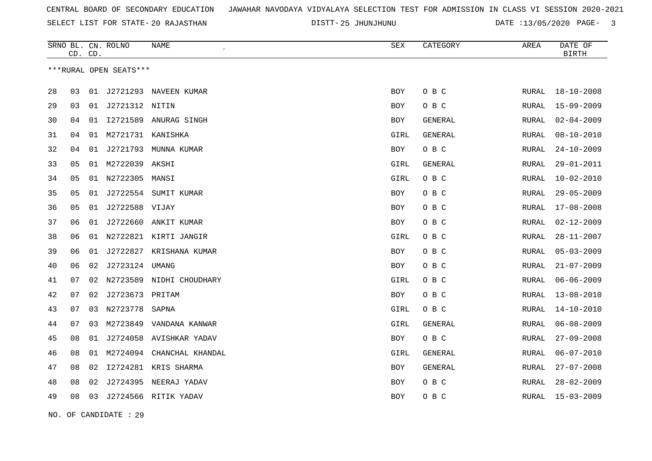SELECT LIST FOR STATE- DISTT- 20 RAJASTHAN

25 JHUNJHUNU DATE :13/05/2020 PAGE- 3

|    | CD. CD. |    | SRNO BL. CN. ROLNO     | <b>NAME</b>              | SEX        | CATEGORY       | AREA         | DATE OF<br><b>BIRTH</b> |
|----|---------|----|------------------------|--------------------------|------------|----------------|--------------|-------------------------|
|    |         |    | ***RURAL OPEN SEATS*** |                          |            |                |              |                         |
| 28 | 03      | 01 |                        | J2721293 NAVEEN KUMAR    | <b>BOY</b> | O B C          | RURAL        | $18 - 10 - 2008$        |
| 29 | 03      | 01 | J2721312 NITIN         |                          | BOY        | O B C          | RURAL        | $15 - 09 - 2009$        |
| 30 | 04      | 01 | I2721589               | ANURAG SINGH             | <b>BOY</b> | GENERAL        | <b>RURAL</b> | $02 - 04 - 2009$        |
| 31 | 04      | 01 | M2721731               | KANISHKA                 | GIRL       | <b>GENERAL</b> | RURAL        | $08 - 10 - 2010$        |
| 32 | 04      | 01 | J2721793               | MUNNA KUMAR              | BOY        | O B C          | RURAL        | $24 - 10 - 2009$        |
| 33 | 05      |    | 01 M2722039 AKSHI      |                          | GIRL       | GENERAL        | RURAL        | $29 - 01 - 2011$        |
| 34 | 05      |    | 01 N2722305            | MANSI                    | GIRL       | O B C          | <b>RURAL</b> | $10 - 02 - 2010$        |
| 35 | 05      |    |                        | 01 J2722554 SUMIT KUMAR  | BOY        | O B C          | RURAL        | $29 - 05 - 2009$        |
| 36 | 05      | 01 | J2722588 VIJAY         |                          | BOY        | O B C          | RURAL        | $17 - 08 - 2008$        |
| 37 | 06      |    |                        | 01 J2722660 ANKIT KUMAR  | BOY        | O B C          | RURAL        | $02 - 12 - 2009$        |
| 38 | 06      | 01 |                        | N2722821 KIRTI JANGIR    | GIRL       | O B C          | <b>RURAL</b> | $28 - 11 - 2007$        |
| 39 | 06      | 01 |                        | J2722827 KRISHANA KUMAR  | BOY        | O B C          | RURAL        | $05 - 03 - 2009$        |
| 40 | 06      | 02 | J2723124               | UMANG                    | <b>BOY</b> | O B C          | RURAL        | $21 - 07 - 2009$        |
| 41 | 07      | 02 |                        | N2723589 NIDHI CHOUDHARY | GIRL       | O B C          | RURAL        | $06 - 06 - 2009$        |
| 42 | 07      | 02 | J2723673 PRITAM        |                          | <b>BOY</b> | O B C          | <b>RURAL</b> | $13 - 08 - 2010$        |
| 43 | 07      | 03 | N2723778               | SAPNA                    | GIRL       | O B C          | RURAL        | $14 - 10 - 2010$        |
| 44 | 07      | 03 | M2723849               | VANDANA KANWAR           | GIRL       | GENERAL        | RURAL        | $06 - 08 - 2009$        |
| 45 | 08      | 01 |                        | J2724058 AVISHKAR YADAV  | BOY        | O B C          | RURAL        | $27 - 09 - 2008$        |
| 46 | 08      | 01 | M2724094               | CHANCHAL KHANDAL         | GIRL       | GENERAL        | RURAL        | $06 - 07 - 2010$        |
| 47 | 08      | 02 |                        | 12724281 KRIS SHARMA     | BOY        | GENERAL        | RURAL        | $27 - 07 - 2008$        |
| 48 | 08      | 02 |                        | J2724395 NEERAJ YADAV    | BOY        | O B C          | RURAL        | $28 - 02 - 2009$        |
| 49 | 08      | 03 |                        | J2724566 RITIK YADAV     | BOY        | O B C          | RURAL        | $15 - 03 - 2009$        |

NO. OF CANDIDATE : 29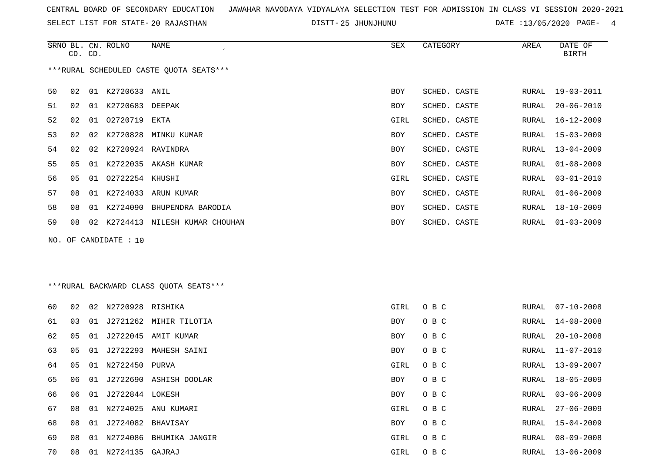SELECT LIST FOR STATE- DISTT- 20 RAJASTHAN

25 JHUNJHUNU DATE :13/05/2020 PAGE- 4

|    | CD. CD. |    | SRNO BL. CN. ROLNO | NAME<br>$\overline{ }$                  | SEX        | CATEGORY     | AREA  | DATE OF<br><b>BIRTH</b> |
|----|---------|----|--------------------|-----------------------------------------|------------|--------------|-------|-------------------------|
|    |         |    |                    | ***RURAL SCHEDULED CASTE QUOTA SEATS*** |            |              |       |                         |
| 50 | 02      | 01 | K2720633           | ANIL                                    | <b>BOY</b> | SCHED. CASTE | RURAL | $19 - 03 - 2011$        |
| 51 | 02      | 01 | K2720683 DEEPAK    |                                         | BOY        | SCHED. CASTE | RURAL | $20 - 06 - 2010$        |
| 52 | 02      | 01 | 02720719           | EKTA                                    | GIRL       | SCHED. CASTE | RURAL | $16 - 12 - 2009$        |
| 53 | 02      | 02 | K2720828           | MINKU KUMAR                             | BOY        | SCHED. CASTE | RURAL | $15 - 03 - 2009$        |
| 54 | 02      | 02 | K2720924           | RAVINDRA                                | <b>BOY</b> | SCHED. CASTE | RURAL | $13 - 04 - 2009$        |
| 55 | 05      | 01 | K2722035           | AKASH KUMAR                             | BOY        | SCHED. CASTE | RURAL | $01 - 08 - 2009$        |
| 56 | 05      | 01 | 02722254           | KHUSHI                                  | GIRL       | SCHED. CASTE | RURAL | $03 - 01 - 2010$        |
| 57 | 08      | 01 | K2724033           | ARUN KUMAR                              | BOY        | SCHED. CASTE | RURAL | $01 - 06 - 2009$        |
| 58 | 08      | 01 | K2724090           | BHUPENDRA BARODIA                       | BOY        | SCHED. CASTE | RURAL | $18 - 10 - 2009$        |
| 59 | 08      | 02 | K2724413           | NILESH KUMAR CHOUHAN                    | BOY        | SCHED. CASTE | RURAL | $01 - 03 - 2009$        |

NO. OF CANDIDATE : 10

### \*\*\*RURAL BACKWARD CLASS QUOTA SEATS\*\*\*

| 60 | 02  | 02 | N2720928 RISHIKA  |                        | GIRL       | O B C | RURAL | 07-10-2008       |
|----|-----|----|-------------------|------------------------|------------|-------|-------|------------------|
| 61 | 03  | 01 |                   | J2721262 MIHIR TILOTIA | BOY        | O B C | RURAL | 14-08-2008       |
| 62 | 05  | 01 |                   | J2722045 AMIT KUMAR    | BOY        | O B C | RURAL | $20 - 10 - 2008$ |
| 63 | 05  | 01 | J2722293          | MAHESH SAINI           | <b>BOY</b> | O B C | RURAL | 11-07-2010       |
| 64 | 05  | 01 | N2722450 PURVA    |                        | GIRL       | O B C | RURAL | 13-09-2007       |
| 65 | 06  | 01 |                   | J2722690 ASHISH DOOLAR | BOY        | O B C | RURAL | 18-05-2009       |
| 66 | 06  | 01 | J2722844 LOKESH   |                        | BOY        | O B C | RURAL | 03-06-2009       |
| 67 | 08  | 01 | N2724025          | ANU KUMARI             | GIRL       | O B C | RURAL | $27 - 06 - 2009$ |
| 68 | 08  | 01 | J2724082 BHAVISAY |                        | BOY        | O B C |       | RURAL 15-04-2009 |
| 69 | 0.8 | 01 | N2724086          | BHUMIKA JANGIR         | GIRL       | O B C | RURAL | $08 - 09 - 2008$ |
| 70 | 08  | 01 | N2724135          | GAJRAJ                 | GIRL       | O B C | RURAL | 13-06-2009       |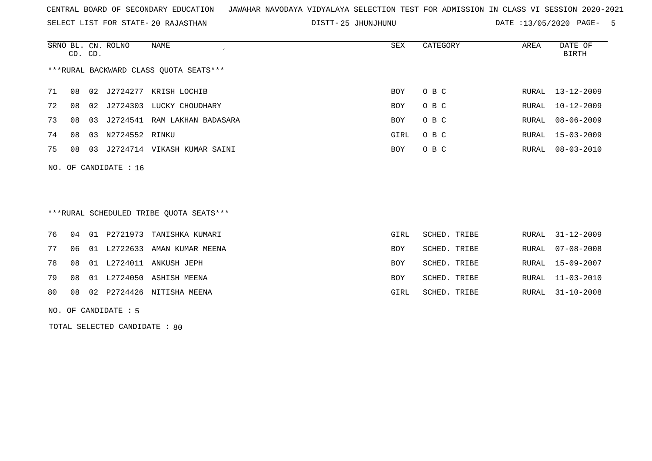SELECT LIST FOR STATE- DISTT- 20 RAJASTHAN

25 JHUNJHUNU DATE :13/05/2020 PAGE- 5

|                                        | CD. CD. |    | SRNO BL. CN. ROLNO | NAME                     | SEX        | CATEGORY | AREA  | DATE OF<br>BIRTH |  |
|----------------------------------------|---------|----|--------------------|--------------------------|------------|----------|-------|------------------|--|
| ***RURAL BACKWARD CLASS QUOTA SEATS*** |         |    |                    |                          |            |          |       |                  |  |
| 71                                     | 08      |    |                    | 02 J2724277 KRISH LOCHIB | <b>BOY</b> | O B C    | RURAL | 13-12-2009       |  |
| 72                                     | 08      |    | 02 J2724303        | LUCKY CHOUDHARY          | <b>BOY</b> | O B C    | RURAL | $10 - 12 - 2009$ |  |
| 73                                     | 08      | 03 | J2724541           | RAM LAKHAN BADASARA      | <b>BOY</b> | O B C    | RURAL | 08-06-2009       |  |
| 74                                     | 08      | 03 | N2724552 RINKU     |                          | GIRL       | O B C    | RURAL | 15-03-2009       |  |
| 75                                     | 08      | 03 | J2724714           | VIKASH KUMAR SAINI       | <b>BOY</b> | O B C    | RURAL | $08 - 03 - 2010$ |  |
|                                        |         |    |                    |                          |            |          |       |                  |  |

\*\*\*RURAL SCHEDULED TRIBE QUOTA SEATS\*\*\*

|  |  | 80 08 02 P2724426 NITISHA MEENA    | GIRL       | SCHED. TRIBE | RURAL 31-10-2008 |
|--|--|------------------------------------|------------|--------------|------------------|
|  |  | 79 08 01 L2724050 ASHISH MEENA     | BOY        | SCHED. TRIBE | RURAL 11-03-2010 |
|  |  | 78 08 01 L2724011 ANKUSH JEPH      | <b>BOY</b> | SCHED. TRIBE | RURAL 15-09-2007 |
|  |  | 77 06 01 L2722633 AMAN KUMAR MEENA | BOY        | SCHED. TRIBE | RURAL 07-08-2008 |
|  |  | 76 04 01 P2721973 TANISHKA KUMARI  | GIRL       | SCHED. TRIBE | RURAL 31-12-2009 |

NO. OF CANDIDATE : 5

NO. OF CANDIDATE : 16

TOTAL SELECTED CANDIDATE : 80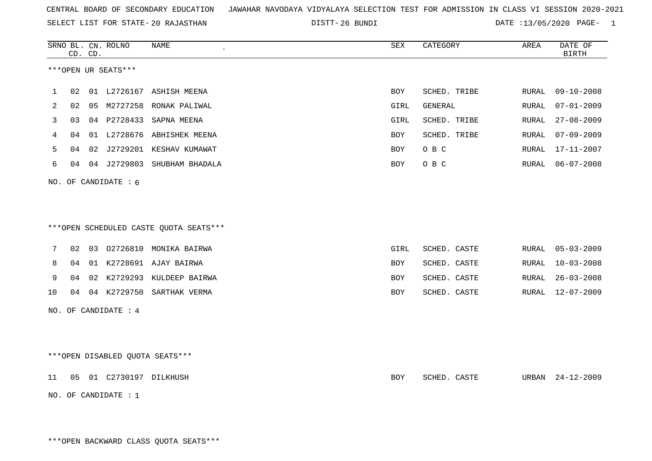SELECT LIST FOR STATE- DISTT- 20 RAJASTHAN

26 BUNDI DATE :13/05/2020 PAGE- 1

|    |    | CD. CD. | SRNO BL. CN. ROLNO              | NAME                                   | ${\tt SEX}$ | CATEGORY     | AREA  | DATE OF<br><b>BIRTH</b> |
|----|----|---------|---------------------------------|----------------------------------------|-------------|--------------|-------|-------------------------|
|    |    |         | ***OPEN UR SEATS***             |                                        |             |              |       |                         |
| 1  | 02 |         |                                 | 01 L2726167 ASHISH MEENA               | <b>BOY</b>  | SCHED. TRIBE | RURAL | $09 - 10 - 2008$        |
| 2  | 02 | 05      |                                 | M2727258 RONAK PALIWAL                 | GIRL        | GENERAL      | RURAL | $07 - 01 - 2009$        |
| 3  | 03 |         |                                 | 04 P2728433 SAPNA MEENA                | GIRL        | SCHED. TRIBE | RURAL | $27 - 08 - 2009$        |
| 4  | 04 |         |                                 | 01 L2728676 ABHISHEK MEENA             | <b>BOY</b>  | SCHED. TRIBE | RURAL | $07 - 09 - 2009$        |
| 5  | 04 |         |                                 | 02 J2729201 KESHAV KUMAWAT             | BOY         | O B C        | RURAL | 17-11-2007              |
| 6  | 04 |         |                                 | 04 J2729803 SHUBHAM BHADALA            | BOY         | O B C        | RURAL | $06 - 07 - 2008$        |
|    |    |         | NO. OF CANDIDATE : 6            |                                        |             |              |       |                         |
|    |    |         |                                 |                                        |             |              |       |                         |
|    |    |         |                                 |                                        |             |              |       |                         |
|    |    |         |                                 | ***OPEN SCHEDULED CASTE QUOTA SEATS*** |             |              |       |                         |
| 7  | 02 |         |                                 | 03 02726810 MONIKA BAIRWA              | GIRL        | SCHED. CASTE | RURAL | $05 - 03 - 2009$        |
| 8  | 04 |         |                                 | 01 K2728691 AJAY BAIRWA                | BOY         | SCHED. CASTE | RURAL | $10 - 03 - 2008$        |
| 9  | 04 |         |                                 | 02 K2729293 KULDEEP BAIRWA             | <b>BOY</b>  | SCHED. CASTE | RURAL | $26 - 03 - 2008$        |
| 10 | 04 |         |                                 | 04 K2729750 SARTHAK VERMA              | BOY         | SCHED. CASTE | RURAL | $12 - 07 - 2009$        |
|    |    |         | NO. OF CANDIDATE : 4            |                                        |             |              |       |                         |
|    |    |         |                                 |                                        |             |              |       |                         |
|    |    |         |                                 |                                        |             |              |       |                         |
|    |    |         | ***OPEN DISABLED QUOTA SEATS*** |                                        |             |              |       |                         |
| 11 |    |         | 05 01 C2730197 DILKHUSH         |                                        | BOY         | SCHED. CASTE | URBAN | $24 - 12 - 2009$        |
|    |    |         | NO. OF CANDIDATE : 1            |                                        |             |              |       |                         |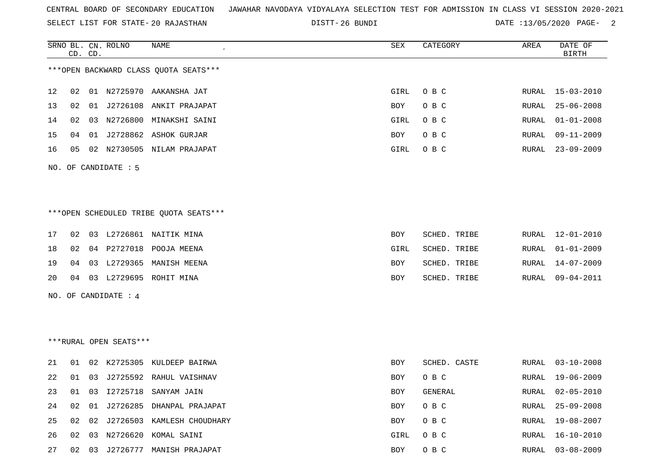SELECT LIST FOR STATE- DISTT- 20 RAJASTHAN

DISTT-26 BUNDI DATE :13/05/2020 PAGE- 2

RURAL 16-10-2010

|    | CD. CD.  | SRNO BL. CN. ROLNO     | <b>NAME</b>                             | SEX        | CATEGORY       | AREA  | DATE OF<br><b>BIRTH</b> |
|----|----------|------------------------|-----------------------------------------|------------|----------------|-------|-------------------------|
|    |          |                        | *** OPEN BACKWARD CLASS QUOTA SEATS *** |            |                |       |                         |
| 12 | 02       |                        | 01 N2725970 AAKANSHA JAT                | GIRL       | O B C          | RURAL | $15 - 03 - 2010$        |
| 13 | 02       |                        | 01 J2726108 ANKIT PRAJAPAT              | <b>BOY</b> | O B C          | RURAL | $25 - 06 - 2008$        |
| 14 | 02       |                        | 03 N2726800 MINAKSHI SAINI              | GIRL       | O B C          | RURAL | $01 - 01 - 2008$        |
| 15 | 04       |                        | 01 J2728862 ASHOK GURJAR                | BOY        | O B C          | RURAL | $09 - 11 - 2009$        |
| 16 | 05       |                        | 02 N2730505 NILAM PRAJAPAT              | GIRL       | O B C          | RURAL | $23 - 09 - 2009$        |
|    |          | NO. OF CANDIDATE : 5   |                                         |            |                |       |                         |
|    |          |                        |                                         |            |                |       |                         |
|    |          |                        | ***OPEN SCHEDULED TRIBE QUOTA SEATS***  |            |                |       |                         |
| 17 | 02       |                        | 03 L2726861 NAITIK MINA                 | <b>BOY</b> | SCHED. TRIBE   | RURAL | 12-01-2010              |
| 18 | 02       |                        | 04 P2727018 POOJA MEENA                 | GIRL       | SCHED. TRIBE   | RURAL | $01 - 01 - 2009$        |
| 19 | 04       |                        | 03 L2729365 MANISH MEENA                | BOY        | SCHED. TRIBE   | RURAL | $14 - 07 - 2009$        |
| 20 | 04       |                        | 03 L2729695 ROHIT MINA                  | BOY        | SCHED. TRIBE   | RURAL | $09 - 04 - 2011$        |
|    |          | NO. OF CANDIDATE : 4   |                                         |            |                |       |                         |
|    |          |                        |                                         |            |                |       |                         |
|    |          |                        |                                         |            |                |       |                         |
|    |          | ***RURAL OPEN SEATS*** |                                         |            |                |       |                         |
| 21 | 01       |                        | 02 K2725305 KULDEEP BAIRWA              | BOY        | SCHED. CASTE   | RURAL | 03-10-2008              |
| 22 | 01       |                        | 03 J2725592 RAHUL VAISHNAV              | <b>BOY</b> | O B C          | RURAL | $19 - 06 - 2009$        |
| 23 | 01<br>03 | I2725718               | SANYAM JAIN                             | <b>BOY</b> | <b>GENERAL</b> | RURAL | $02 - 05 - 2010$        |
| 24 | 02<br>01 |                        | J2726285 DHANPAL PRAJAPAT               | <b>BOY</b> | O B C          | RURAL | $25 - 09 - 2008$        |
| 25 | 02       |                        | 02 J2726503 KAMLESH CHOUDHARY           | BOY        | O B C          | RURAL | 19-08-2007              |

27 02 03 J2726777 MANISH PRAJAPAT BOY O B C RURAL 03-08-2009

26 02 03 N2726620 KOMAL SAINI GIRL O B C RURAL 16-10-2010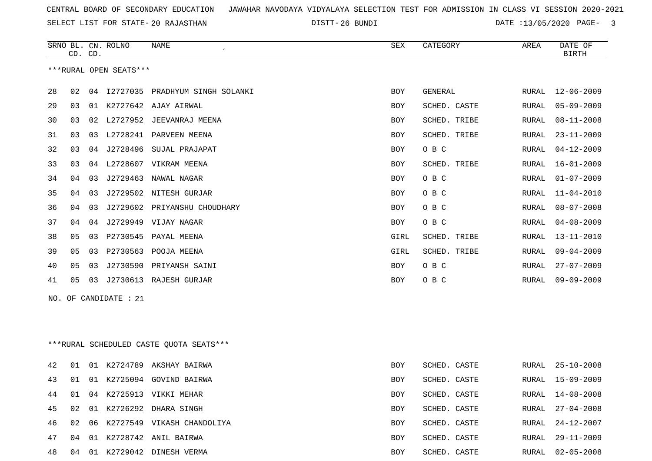SELECT LIST FOR STATE- DISTT- 20 RAJASTHAN

26 BUNDI DATE :13/05/2020 PAGE- 3

|    |    | CD. CD. | SRNO BL. CN. ROLNO     | NAME                                    | SEX  | CATEGORY     | AREA         | DATE OF<br><b>BIRTH</b> |
|----|----|---------|------------------------|-----------------------------------------|------|--------------|--------------|-------------------------|
|    |    |         | ***RURAL OPEN SEATS*** |                                         |      |              |              |                         |
| 28 | 02 |         |                        | 04 I2727035 PRADHYUM SINGH SOLANKI      | BOY  | GENERAL      | RURAL        | 12-06-2009              |
| 29 | 03 |         |                        | 01 K2727642 AJAY AIRWAL                 | BOY  | SCHED. CASTE | RURAL        | $05 - 09 - 2009$        |
| 30 | 03 |         |                        | 02 L2727952 JEEVANRAJ MEENA             | BOY  | SCHED. TRIBE | RURAL        | $08 - 11 - 2008$        |
| 31 | 03 |         |                        | 03 L2728241 PARVEEN MEENA               | BOY  | SCHED. TRIBE | RURAL        | $23 - 11 - 2009$        |
| 32 | 03 |         | 04 J2728496            | SUJAL PRAJAPAT                          | BOY  | O B C        | RURAL        | $04 - 12 - 2009$        |
| 33 | 03 |         |                        | 04 L2728607 VIKRAM MEENA                | BOY  | SCHED. TRIBE | RURAL        | 16-01-2009              |
| 34 | 04 | 03      | J2729463               | NAWAL NAGAR                             | BOY  | O B C        | RURAL        | $01 - 07 - 2009$        |
| 35 | 04 |         |                        | 03 J2729502 NITESH GURJAR               | BOY  | O B C        | RURAL        | $11 - 04 - 2010$        |
| 36 | 04 | 03      |                        | J2729602 PRIYANSHU CHOUDHARY            | BOY  | O B C        | RURAL        | $08 - 07 - 2008$        |
| 37 | 04 |         |                        | 04 J2729949 VIJAY NAGAR                 | BOY  | O B C        | <b>RURAL</b> | $04 - 08 - 2009$        |
| 38 | 05 | 03      | P2730545               | PAYAL MEENA                             | GIRL | SCHED. TRIBE | RURAL        | $13 - 11 - 2010$        |
| 39 | 05 | 03      |                        | P2730563 POOJA MEENA                    | GIRL | SCHED. TRIBE | RURAL        | $09 - 04 - 2009$        |
| 40 | 05 | 03      |                        | J2730590 PRIYANSH SAINI                 | BOY  | O B C        | RURAL        | $27 - 07 - 2009$        |
| 41 | 05 |         |                        | 03 J2730613 RAJESH GURJAR               | BOY  | O B C        | RURAL        | $09 - 09 - 2009$        |
|    |    |         | NO. OF CANDIDATE : 21  |                                         |      |              |              |                         |
|    |    |         |                        |                                         |      |              |              |                         |
|    |    |         |                        |                                         |      |              |              |                         |
|    |    |         |                        | ***RURAL SCHEDULED CASTE QUOTA SEATS*** |      |              |              |                         |
| 42 | 01 |         |                        | 01 K2724789 AKSHAY BAIRWA               | BOY  | SCHED. CASTE | RURAL        | $25 - 10 - 2008$        |
| 43 | 01 |         |                        | 01 K2725094 GOVIND BAIRWA               | BOY  | SCHED. CASTE | RURAL        | $15 - 09 - 2009$        |
| 44 | 01 |         |                        | 04 K2725913 VIKKI MEHAR                 | BOY  | SCHED. CASTE |              | RURAL 14-08-2008        |
| 45 | 02 |         |                        | 01 K2726292 DHARA SINGH                 | BOY  | SCHED. CASTE | RURAL        | $27 - 04 - 2008$        |
| 46 | 02 |         |                        | 06 K2727549 VIKASH CHANDOLIYA           | BOY  | SCHED. CASTE | RURAL        | 24-12-2007              |
| 47 |    |         |                        | 04 01 K2728742 ANIL BAIRWA              | BOY  | SCHED. CASTE |              | RURAL 29-11-2009        |
| 48 |    |         |                        | 04 01 K2729042 DINESH VERMA             | BOY  | SCHED. CASTE |              | RURAL 02-05-2008        |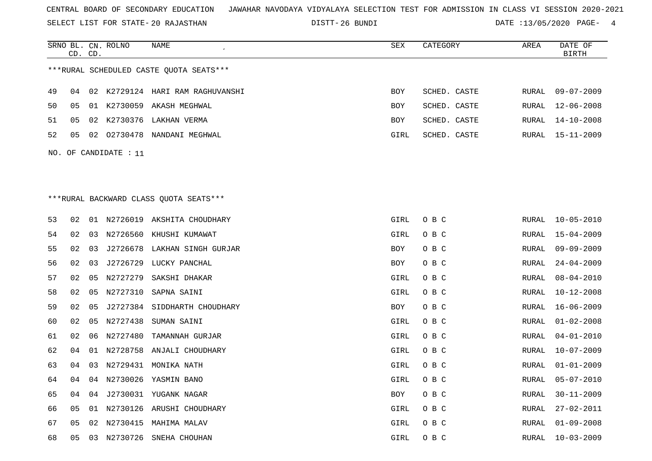SELECT LIST FOR STATE- DISTT- 20 RAJASTHAN

26 BUNDI DATE :13/05/2020 PAGE- 4

|    |    | CD. CD. | SRNO BL. CN. ROLNO    | NAME                                    | SEX         | CATEGORY     | AREA         | DATE OF<br><b>BIRTH</b> |
|----|----|---------|-----------------------|-----------------------------------------|-------------|--------------|--------------|-------------------------|
|    |    |         |                       | ***RURAL SCHEDULED CASTE QUOTA SEATS*** |             |              |              |                         |
| 49 | 04 |         |                       | 02 K2729124 HARI RAM RAGHUVANSHI        | <b>BOY</b>  | SCHED. CASTE | RURAL        | $09 - 07 - 2009$        |
| 50 | 05 |         |                       | 01 K2730059 AKASH MEGHWAL               | <b>BOY</b>  | SCHED. CASTE | RURAL        | $12 - 06 - 2008$        |
| 51 | 05 |         |                       | 02 K2730376 LAKHAN VERMA                | <b>BOY</b>  | SCHED. CASTE | RURAL        | $14 - 10 - 2008$        |
| 52 | 05 | 02      |                       | 02730478 NANDANI MEGHWAL                | GIRL        | SCHED. CASTE | RURAL        | 15-11-2009              |
|    |    |         | NO. OF CANDIDATE : 11 |                                         |             |              |              |                         |
|    |    |         |                       |                                         |             |              |              |                         |
|    |    |         |                       |                                         |             |              |              |                         |
|    |    |         |                       | *** RURAL BACKWARD CLASS QUOTA SEATS*** |             |              |              |                         |
| 53 | 02 |         |                       | 01 N2726019 AKSHITA CHOUDHARY           | GIRL        | O B C        | RURAL        | $10 - 05 - 2010$        |
| 54 | 02 | 03      |                       | N2726560 KHUSHI KUMAWAT                 | GIRL        | O B C        | RURAL        | $15 - 04 - 2009$        |
| 55 | 02 | 03      | J2726678              | LAKHAN SINGH GURJAR                     | BOY         | O B C        | RURAL        | $09 - 09 - 2009$        |
| 56 | 02 | 03      | J2726729              | LUCKY PANCHAL                           | BOY         | O B C        | RURAL        | $24 - 04 - 2009$        |
| 57 | 02 | 05      | N2727279              | SAKSHI DHAKAR                           | GIRL        | O B C        | RURAL        | $08 - 04 - 2010$        |
| 58 | 02 | 05      | N2727310              | SAPNA SAINI                             | GIRL        | O B C        | RURAL        | $10 - 12 - 2008$        |
| 59 | 02 | 05      | J2727384              | SIDDHARTH CHOUDHARY                     | <b>BOY</b>  | O B C        | RURAL        | $16 - 06 - 2009$        |
| 60 | 02 | 05      | N2727438              | SUMAN SAINI                             | <b>GIRL</b> | O B C        | <b>RURAL</b> | $01 - 02 - 2008$        |
| 61 | 02 | 06      | N2727480              | TAMANNAH GURJAR                         | GIRL        | O B C        | RURAL        | $04 - 01 - 2010$        |
| 62 | 04 | 01      | N2728758              | ANJALI CHOUDHARY                        | GIRL        | O B C        | RURAL        | $10 - 07 - 2009$        |
| 63 | 04 | 03      |                       | N2729431 MONIKA NATH                    | GIRL        | O B C        | RURAL        | $01 - 01 - 2009$        |
| 64 | 04 | 04      |                       | N2730026 YASMIN BANO                    | GIRL        | O B C        | RURAL        | $05 - 07 - 2010$        |
| 65 | 04 | 04      |                       | J2730031 YUGANK NAGAR                   | BOY         | O B C        | RURAL        | $30 - 11 - 2009$        |
| 66 | 05 |         |                       | 01 N2730126 ARUSHI CHOUDHARY            | GIRL        | O B C        | RURAL        | 27-02-2011              |
| 67 | 05 | 02      |                       | N2730415 MAHIMA MALAV                   | GIRL        | O B C        | RURAL        | $01 - 09 - 2008$        |
| 68 | 05 |         |                       | 03 N2730726 SNEHA CHOUHAN               | GTRI.       | $O$ B $C$    |              | RURAL 10-03-2009        |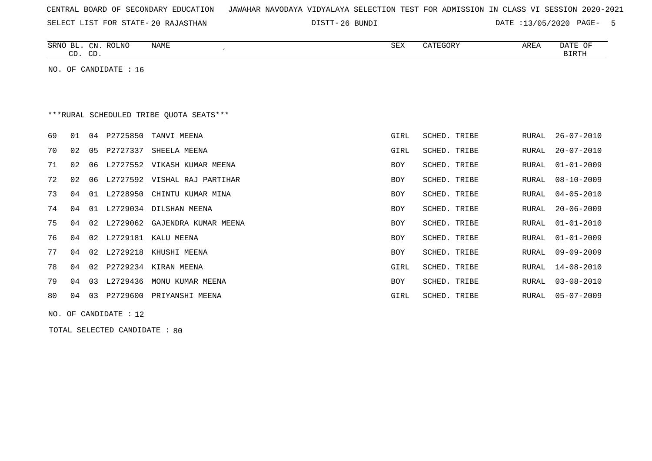|  |  |  |  |  | CENTRAL BOARD OF SECONDARY EDUCATION – JAWAHAR NAVODAYA VIDYALAYA SELECTION TEST FOR ADMISSION IN CLASS VI SESSION 2020-2021 |  |  |  |  |  |  |  |  |  |  |  |  |
|--|--|--|--|--|------------------------------------------------------------------------------------------------------------------------------|--|--|--|--|--|--|--|--|--|--|--|--|
|--|--|--|--|--|------------------------------------------------------------------------------------------------------------------------------|--|--|--|--|--|--|--|--|--|--|--|--|

SELECT LIST FOR STATE- DISTT- 20 RAJASTHAN

DISTT-26 BUNDI DATE :13/05/2020 PAGE- 5

| SRNO<br>$\overline{\phantom{a}}$<br>ப | CN              | <b>ROLNO</b> | NAME | $\sim$ m $\tau$<br>∆ײַכ | $C0$ $R0$ $R0$ $R0$<br>"JUK. | <b>AREA</b> | DATE<br>OF |
|---------------------------------------|-----------------|--------------|------|-------------------------|------------------------------|-------------|------------|
| $\cap$<br>. ب                         | $\cap$<br>. پ ب |              |      |                         |                              |             | RIRTH      |

NO. OF CANDIDATE : 16

# \*\*\*RURAL SCHEDULED TRIBE QUOTA SEATS\*\*\*

| 69 | 01 |    | 04 P2725850 | TANVI MEENA               | GIRL | SCHED. TRIBE | RURAL | $26 - 07 - 2010$ |
|----|----|----|-------------|---------------------------|------|--------------|-------|------------------|
| 70 | 02 | 05 | P2727337    | SHEELA MEENA              | GIRL | SCHED. TRIBE | RURAL | 20-07-2010       |
| 71 | 02 | 06 | L2727552    | VIKASH KUMAR MEENA        | BOY  | SCHED. TRIBE | RURAL | 01-01-2009       |
| 72 | 02 | 06 | L2727592    | VISHAL RAJ PARTIHAR       | BOY  | SCHED. TRIBE | RURAL | 08-10-2009       |
| 73 | 04 | 01 | L2728950    | CHINTU KUMAR MINA         | BOY  | SCHED. TRIBE | RURAL | 04-05-2010       |
| 74 | 04 |    |             | 01 L2729034 DILSHAN MEENA | BOY  | SCHED. TRIBE | RURAL | $20 - 06 - 2009$ |
| 75 | 04 |    | 02 L2729062 | GAJENDRA KUMAR MEENA      | BOY  | SCHED. TRIBE | RURAL | 01-01-2010       |
| 76 | 04 |    | 02 L2729181 | KALU MEENA                | BOY  | SCHED. TRIBE | RURAL | 01-01-2009       |
| 77 | 04 |    | 02 L2729218 | KHUSHI MEENA              | BOY  | SCHED. TRIBE | RURAL | 09-09-2009       |
| 78 | 04 | 02 | P2729234    | KIRAN MEENA               | GIRL | SCHED. TRIBE | RURAL | 14-08-2010       |
| 79 | 04 | 03 | L2729436    | MONU KUMAR MEENA          | BOY  | SCHED. TRIBE | RURAL | 03-08-2010       |
| 80 | 04 | 03 | P2729600    | PRIYANSHI MEENA           | GIRL | SCHED. TRIBE | RURAL | 05-07-2009       |
|    |    |    |             |                           |      |              |       |                  |

NO. OF CANDIDATE : 12

TOTAL SELECTED CANDIDATE : 80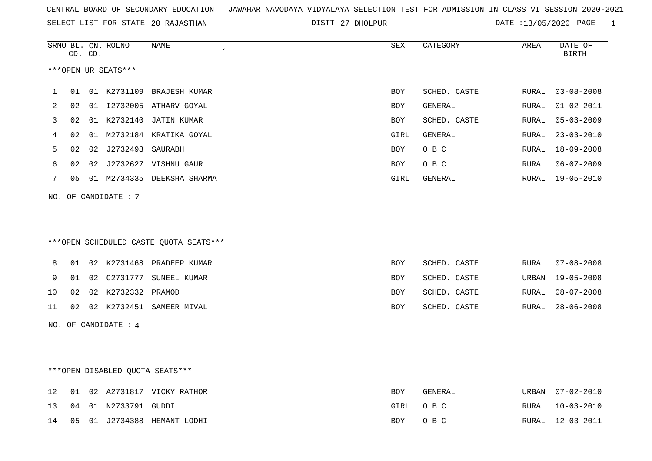|  |  |  |  | CENTRAL BOARD OF SECONDARY EDUCATION GJAWAHAR NAVODAYA VIDYALAYA SELECTION TEST FOR ADMISSION IN CLASS VI SESSION 2020-2021 |  |  |  |  |  |  |  |  |  |  |  |
|--|--|--|--|-----------------------------------------------------------------------------------------------------------------------------|--|--|--|--|--|--|--|--|--|--|--|
|--|--|--|--|-----------------------------------------------------------------------------------------------------------------------------|--|--|--|--|--|--|--|--|--|--|--|

SELECT LIST FOR STATE- DISTT- 20 RAJASTHAN 27 DHOLPUR DATE :13/05/2020 PAGE- 1

|    |    | CD. CD. | SRNO BL. CN. ROLNO     | NAME<br>$\epsilon$                     | <b>SEX</b> | CATEGORY       | AREA  | DATE OF<br><b>BIRTH</b> |
|----|----|---------|------------------------|----------------------------------------|------------|----------------|-------|-------------------------|
|    |    |         | ***OPEN UR SEATS***    |                                        |            |                |       |                         |
|    |    |         |                        |                                        |            |                |       |                         |
| 1  | 01 |         |                        | 01 K2731109 BRAJESH KUMAR              | BOY        | SCHED. CASTE   | RURAL | $03 - 08 - 2008$        |
| 2  | 02 |         |                        | 01 I2732005 ATHARV GOYAL               | BOY        | <b>GENERAL</b> | RURAL | $01 - 02 - 2011$        |
| 3  | 02 |         |                        | 01 K2732140 JATIN KUMAR                | BOY        | SCHED. CASTE   | RURAL | $05 - 03 - 2009$        |
| 4  | 02 |         |                        | 01 M2732184 KRATIKA GOYAL              | GIRL       | <b>GENERAL</b> | RURAL | $23 - 03 - 2010$        |
| 5  | 02 | 02      | J2732493 SAURABH       |                                        | BOY        | O B C          | RURAL | 18-09-2008              |
| 6  | 02 | 02      |                        | J2732627 VISHNU GAUR                   | BOY        | O B C          | RURAL | $06 - 07 - 2009$        |
| 7  | 05 |         |                        | 01 M2734335 DEEKSHA SHARMA             | GIRL       | GENERAL        | RURAL | $19 - 05 - 2010$        |
|    |    |         | NO. OF CANDIDATE: 7    |                                        |            |                |       |                         |
|    |    |         |                        |                                        |            |                |       |                         |
|    |    |         |                        |                                        |            |                |       |                         |
|    |    |         |                        | ***OPEN SCHEDULED CASTE QUOTA SEATS*** |            |                |       |                         |
| 8  | 01 |         |                        | 02 K2731468 PRADEEP KUMAR              | <b>BOY</b> | SCHED. CASTE   | RURAL | $07 - 08 - 2008$        |
| 9  | 01 | 02      |                        | C2731777 SUNEEL KUMAR                  | BOY        | SCHED. CASTE   | URBAN | $19 - 05 - 2008$        |
| 10 | 02 |         | 02 K2732332 PRAMOD     |                                        | <b>BOY</b> | SCHED. CASTE   | RURAL | $08 - 07 - 2008$        |
| 11 | 02 |         |                        | 02 K2732451 SAMEER MIVAL               | <b>BOY</b> | SCHED. CASTE   | RURAL | $28 - 06 - 2008$        |
|    |    |         | NO. OF CANDIDATE : $4$ |                                        |            |                |       |                         |
|    |    |         |                        |                                        |            |                |       |                         |
|    |    |         |                        |                                        |            |                |       |                         |
|    |    |         |                        | ***OPEN DISABLED QUOTA SEATS***        |            |                |       |                         |
| 12 | 01 |         |                        | 02 A2731817 VICKY RATHOR               | BOY        | GENERAL        | URBAN | $07 - 02 - 2010$        |
| 13 | 04 |         | 01 N2733791 GUDDI      |                                        | GIRL       | O B C          | RURAL | $10 - 03 - 2010$        |
| 14 | 05 |         |                        | 01 J2734388 HEMANT LODHI               | BOY        | O B C          |       | RURAL 12-03-2011        |
|    |    |         |                        |                                        |            |                |       |                         |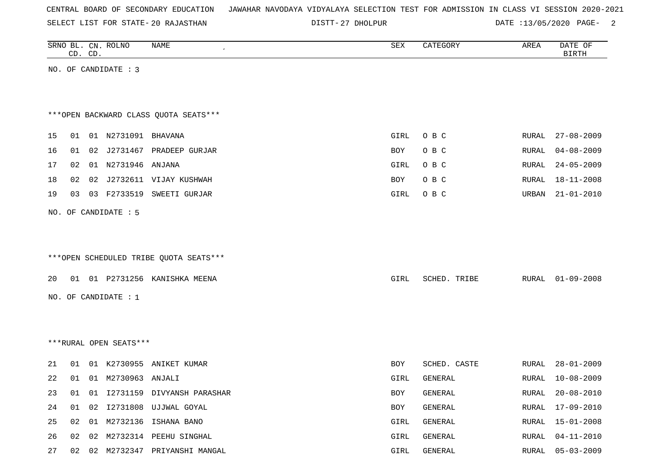| CENTRAL BOARD OF SECONDARY EDUCATION – JAWAHAR NAVODAYA VIDYALAYA SELECTION TEST FOR ADMISSION IN CLASS VI SESSION 2020-2021 |  |  |  |  |
|------------------------------------------------------------------------------------------------------------------------------|--|--|--|--|
|------------------------------------------------------------------------------------------------------------------------------|--|--|--|--|

SELECT LIST FOR STATE- DISTT- 20 RAJASTHAN

DISTT-27 DHOLPUR DATE :13/05/2020 PAGE- 2

|    |    | CD. CD. | SRNO BL. CN. ROLNO       | NAME                                   | SEX  | CATEGORY     | AREA         | DATE OF<br><b>BIRTH</b> |
|----|----|---------|--------------------------|----------------------------------------|------|--------------|--------------|-------------------------|
|    |    |         | NO. OF CANDIDATE : 3     |                                        |      |              |              |                         |
|    |    |         |                          |                                        |      |              |              |                         |
|    |    |         |                          |                                        |      |              |              |                         |
|    |    |         |                          | *** OPEN BACKWARD CLASS QUOTA SEATS*** |      |              |              |                         |
| 15 | 01 |         | 01 N2731091 BHAVANA      |                                        | GIRL | O B C        | RURAL        | $27 - 08 - 2009$        |
| 16 |    | 02      |                          | J2731467 PRADEEP GURJAR                |      |              | RURAL        | $04 - 08 - 2009$        |
|    | 01 |         |                          |                                        | BOY  | O B C        |              |                         |
| 17 | 02 |         | 01 N2731946 ANJANA       |                                        | GIRL | O B C        | RURAL        | $24 - 05 - 2009$        |
| 18 | 02 |         |                          | 02 J2732611 VIJAY KUSHWAH              | BOY  | O B C        | RURAL        | $18 - 11 - 2008$        |
| 19 | 03 |         | 03 F2733519              | SWEETI GURJAR                          | GIRL | O B C        | URBAN        | $21 - 01 - 2010$        |
|    |    |         | NO. OF CANDIDATE : 5     |                                        |      |              |              |                         |
|    |    |         |                          |                                        |      |              |              |                         |
|    |    |         |                          |                                        |      |              |              |                         |
|    |    |         |                          | ***OPEN SCHEDULED TRIBE QUOTA SEATS*** |      |              |              |                         |
|    |    |         |                          |                                        |      |              |              |                         |
| 20 |    |         |                          | 01 01 P2731256 KANISHKA MEENA          | GIRL | SCHED. TRIBE |              | RURAL 01-09-2008        |
|    |    |         | NO. OF CANDIDATE : 1     |                                        |      |              |              |                         |
|    |    |         |                          |                                        |      |              |              |                         |
|    |    |         |                          |                                        |      |              |              |                         |
|    |    |         | ***RURAL OPEN SEATS***   |                                        |      |              |              |                         |
|    |    |         |                          |                                        |      |              |              |                         |
| 21 | 01 |         |                          | 01 K2730955 ANIKET KUMAR               | BOY  | SCHED. CASTE | RURAL        | $28 - 01 - 2009$        |
| 22 |    |         | 01  01  M2730963  ANJALI |                                        | GIRL | GENERAL      | RURAL        | 10-08-2009              |
| 23 | 01 |         |                          | 01 I2731159 DIVYANSH PARASHAR          | BOY  | GENERAL      | RURAL        | $20 - 08 - 2010$        |
| 24 | 01 | 02      |                          | I2731808 UJJWAL GOYAL                  | BOY  | GENERAL      | <b>RURAL</b> | $17 - 09 - 2010$        |
| 25 | 02 |         |                          | 01 M2732136 ISHANA BANO                | GIRL | GENERAL      | RURAL        | $15 - 01 - 2008$        |
| 26 | 02 | 02      |                          | M2732314 PEEHU SINGHAL                 | GIRL | GENERAL      | RURAL        | $04 - 11 - 2010$        |
| 27 |    |         |                          | 02 02 M2732347 PRIYANSHI MANGAL        | GIRL | GENERAL      | RURAL        | $05 - 03 - 2009$        |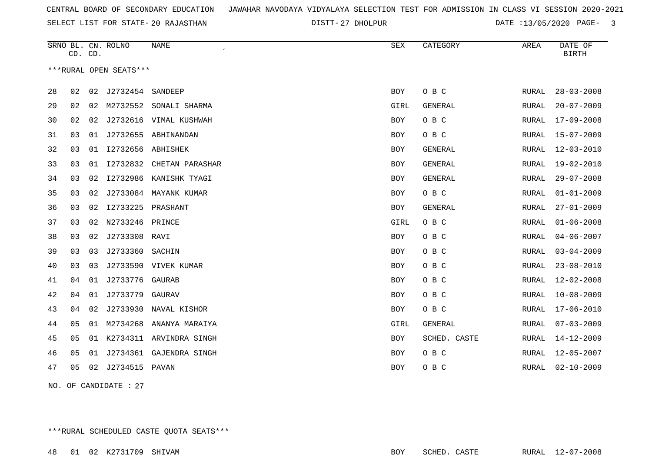SELECT LIST FOR STATE- DISTT- 20 RAJASTHAN

27 DHOLPUR DATE :13/05/2020 PAGE- 3

|    | CD. CD. |    | SRNO BL. CN. ROLNO     | <b>NAME</b>              | <b>SEX</b> | CATEGORY       | AREA  | DATE OF<br><b>BIRTH</b> |
|----|---------|----|------------------------|--------------------------|------------|----------------|-------|-------------------------|
|    |         |    | ***RURAL OPEN SEATS*** |                          |            |                |       |                         |
| 28 | 02      | 02 | J2732454 SANDEEP       |                          | <b>BOY</b> | O B C          | RURAL | $28 - 03 - 2008$        |
| 29 | 02      | 02 | M2732552               | SONALI SHARMA            | GIRL       | <b>GENERAL</b> | RURAL | $20 - 07 - 2009$        |
| 30 | 02      | 02 |                        | J2732616 VIMAL KUSHWAH   | BOY        | O B C          | RURAL | $17 - 09 - 2008$        |
| 31 | 03      | 01 |                        | J2732655 ABHINANDAN      | BOY        | O B C          | RURAL | $15 - 07 - 2009$        |
| 32 | 03      | 01 | I2732656 ABHISHEK      |                          | <b>BOY</b> | <b>GENERAL</b> | RURAL | $12 - 03 - 2010$        |
| 33 | 03      | 01 |                        | 12732832 CHETAN PARASHAR | <b>BOY</b> | <b>GENERAL</b> | RURAL | 19-02-2010              |
| 34 | 03      | 02 | I2732986               | KANISHK TYAGI            | <b>BOY</b> | <b>GENERAL</b> | RURAL | $29 - 07 - 2008$        |
| 35 | 03      | 02 |                        | J2733084 MAYANK KUMAR    | <b>BOY</b> | O B C          | RURAL | $01 - 01 - 2009$        |
| 36 | 03      | 02 | I2733225 PRASHANT      |                          | <b>BOY</b> | <b>GENERAL</b> | RURAL | $27 - 01 - 2009$        |
| 37 | 03      | 02 | N2733246 PRINCE        |                          | GIRL       | O B C          | RURAL | $01 - 06 - 2008$        |
| 38 | 03      | 02 | J2733308 RAVI          |                          | BOY        | O B C          | RURAL | $04 - 06 - 2007$        |
| 39 | 03      | 03 | J2733360               | SACHIN                   | BOY        | O B C          | RURAL | $03 - 04 - 2009$        |
| 40 | 03      | 03 |                        | J2733590 VIVEK KUMAR     | BOY        | O B C          | RURAL | $23 - 08 - 2010$        |
| 41 | 04      | 01 | J2733776 GAURAB        |                          | <b>BOY</b> | O B C          | RURAL | $12 - 02 - 2008$        |
| 42 | 04      | 01 | J2733779               | GAURAV                   | <b>BOY</b> | O B C          | RURAL | $10 - 08 - 2009$        |
| 43 | 04      | 02 | J2733930               | NAVAL KISHOR             | BOY        | O B C          | RURAL | $17 - 06 - 2010$        |
| 44 | 05      | 01 | M2734268               | ANANYA MARAIYA           | GIRL       | GENERAL        | RURAL | $07 - 03 - 2009$        |
| 45 | 05      | 01 | K2734311               | ARVINDRA SINGH           | <b>BOY</b> | SCHED. CASTE   | RURAL | $14 - 12 - 2009$        |
| 46 | 05      | 01 |                        | J2734361 GAJENDRA SINGH  | <b>BOY</b> | O B C          | RURAL | $12 - 05 - 2007$        |
| 47 | 05      |    | 02 J2734515 PAVAN      |                          | <b>BOY</b> | O B C          | RURAL | $02 - 10 - 2009$        |
|    |         |    |                        |                          |            |                |       |                         |

NO. OF CANDIDATE : 27

\*\*\*RURAL SCHEDULED CASTE QUOTA SEATS\*\*\*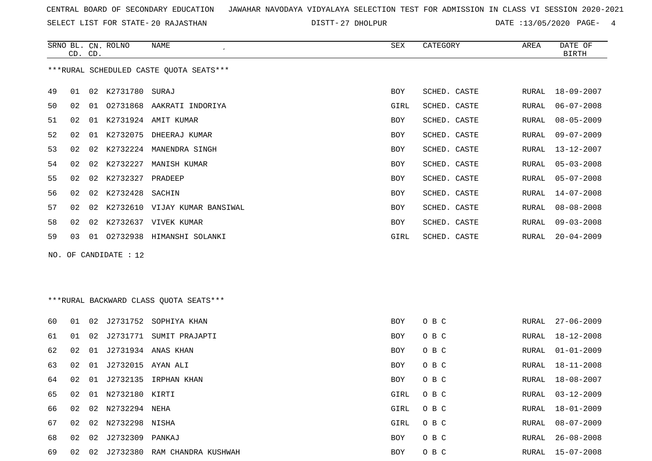SELECT LIST FOR STATE- DISTT- 20 RAJASTHAN

27 DHOLPUR DATE :13/05/2020 PAGE- 4

|    | CD. CD. |    | SRNO BL. CN. ROLNO      | NAME<br>$\epsilon$                      | SEX        | CATEGORY     | AREA  | DATE OF<br><b>BIRTH</b> |
|----|---------|----|-------------------------|-----------------------------------------|------------|--------------|-------|-------------------------|
|    |         |    |                         | ***RURAL SCHEDULED CASTE OUOTA SEATS*** |            |              |       |                         |
| 49 |         |    | 01 02 K2731780 SURAJ    |                                         | <b>BOY</b> | SCHED. CASTE | RURAL | 18-09-2007              |
| 50 | 02      | 01 |                         | 02731868 AAKRATI INDORIYA               | GIRL       | SCHED. CASTE | RURAL | $06 - 07 - 2008$        |
| 51 | 02      |    |                         | 01 K2731924 AMIT KUMAR                  | <b>BOY</b> | SCHED. CASTE | RURAL | $08 - 05 - 2009$        |
| 52 | 02      |    | 01 K2732075             | DHEERAJ KUMAR                           | BOY        | SCHED. CASTE | RURAL | $09 - 07 - 2009$        |
| 53 | 02      | 02 | K2732224                | MANENDRA SINGH                          | BOY        | SCHED. CASTE | RURAL | $13 - 12 - 2007$        |
| 54 | 02      | 02 | K2732227                | MANISH KUMAR                            | <b>BOY</b> | SCHED. CASTE | RURAL | $05 - 03 - 2008$        |
| 55 | 02      | 02 | K2732327                | PRADEEP                                 | BOY        | SCHED. CASTE | RURAL | $05 - 07 - 2008$        |
| 56 | 02      | 02 | K2732428                | SACHIN                                  | BOY        | SCHED. CASTE | RURAL | $14 - 07 - 2008$        |
| 57 | 02      | 02 |                         | K2732610 VIJAY KUMAR BANSIWAL           | <b>BOY</b> | SCHED. CASTE | RURAL | $08 - 08 - 2008$        |
| 58 | 02      | 02 |                         | K2732637 VIVEK KUMAR                    | BOY        | SCHED. CASTE | RURAL | $09 - 03 - 2008$        |
| 59 | 03      |    |                         | 01 02732938 HIMANSHI SOLANKI            | GIRL       | SCHED. CASTE | RURAL | $20 - 04 - 2009$        |
|    |         |    | NO. OF CANDIDATE : $12$ |                                         |            |              |       |                         |
|    |         |    |                         |                                         |            |              |       |                         |
|    |         |    |                         |                                         |            |              |       |                         |
|    |         |    |                         | ***RURAL BACKWARD CLASS OUOTA SEATS***  |            |              |       |                         |

| 60 | 01              | 02 |                   | J2731752 SOPHIYA KHAN | <b>BOY</b> | O B C | RURAL | 27-06-2009 |
|----|-----------------|----|-------------------|-----------------------|------------|-------|-------|------------|
| 61 | 01              |    | 02 J2731771       | SUMIT PRAJAPTI        | BOY        | O B C | RURAL | 18-12-2008 |
| 62 | 02              |    |                   | 01 J2731934 ANAS KHAN | BOY        | O B C | RURAL | 01-01-2009 |
| 63 | 02              | 01 | J2732015 AYAN ALI |                       | BOY        | O B C | RURAL | 18-11-2008 |
| 64 | 02              | 01 |                   | J2732135 IRPHAN KHAN  | <b>BOY</b> | O B C | RURAL | 18-08-2007 |
| 65 | 02              | 01 | N2732180 KIRTI    |                       | GIRL       | O B C | RURAL | 03-12-2009 |
| 66 | 02              | 02 | N2732294 NEHA     |                       | GIRL       | O B C | RURAL | 18-01-2009 |
| 67 | 02 <sub>o</sub> | 02 | N2732298 NISHA    |                       | GIRL       | O B C | RURAL | 08-07-2009 |
| 68 | 02              |    | 02 J2732309       | PANKAJ                | <b>BOY</b> | O B C | RURAL | 26-08-2008 |
| 69 | 02              | 02 | J2732380          | RAM CHANDRA KUSHWAH   | <b>BOY</b> | O B C | RURAL | 15-07-2008 |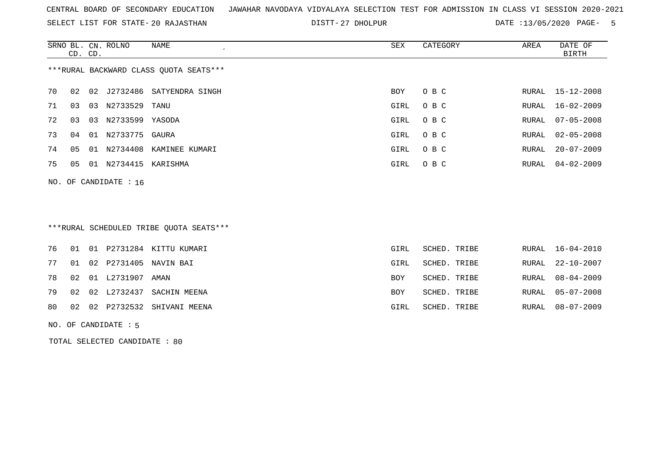SELECT LIST FOR STATE- DISTT- 20 RAJASTHAN

27 DHOLPUR DATE :13/05/2020 PAGE- 5

|                                        | CD. CD. |    | SRNO BL. CN. ROLNO | NAME                        | SEX  | CATEGORY | AREA  | DATE OF<br>BIRTH |  |  |  |
|----------------------------------------|---------|----|--------------------|-----------------------------|------|----------|-------|------------------|--|--|--|
| ***RURAL BACKWARD CLASS OUOTA SEATS*** |         |    |                    |                             |      |          |       |                  |  |  |  |
| 70                                     | 02      |    |                    | 02 J2732486 SATYENDRA SINGH | BOY  | O B C    |       | RURAL 15-12-2008 |  |  |  |
| 71                                     | 03      | 03 | N2733529           | TANU                        | GIRL | O B C    |       | RURAL 16-02-2009 |  |  |  |
| 72                                     | 03      | 03 | N2733599 YASODA    |                             | GIRL | O B C    |       | RURAL 07-05-2008 |  |  |  |
| 73                                     | 04      |    | 01 N2733775 GAURA  |                             | GIRL | O B C    |       | RURAL 02-05-2008 |  |  |  |
| 74                                     | 05      |    | 01 N2734408        | KAMINEE KUMARI              | GIRL | O B C    | RURAL | $20 - 07 - 2009$ |  |  |  |
| 75                                     | 05      | 01 | N2734415           | KARISHMA                    | GIRL | O B C    |       | RURAL 04-02-2009 |  |  |  |
|                                        |         |    |                    |                             |      |          |       |                  |  |  |  |

NO. OF CANDIDATE : 16

### \*\*\*RURAL SCHEDULED TRIBE QUOTA SEATS\*\*\*

|  |                            | 76 01 01 P2731284 KITTU KUMARI  | GIRL       | SCHED. TRIBE |  | RURAL 16-04-2010 |
|--|----------------------------|---------------------------------|------------|--------------|--|------------------|
|  |                            | 77 01 02 P2731405 NAVIN BAI     | GIRL       | SCHED. TRIBE |  | RURAL 22-10-2007 |
|  | 78  02  01  L2731907  AMAN |                                 | <b>BOY</b> | SCHED. TRIBE |  | RURAL 08-04-2009 |
|  |                            | 79 02 02 L2732437 SACHIN MEENA  | <b>BOY</b> | SCHED. TRIBE |  | RURAL 05-07-2008 |
|  |                            | 80 02 02 P2732532 SHIVANI MEENA | GIRL       | SCHED. TRIBE |  | RURAL 08-07-2009 |
|  |                            |                                 |            |              |  |                  |

NO. OF CANDIDATE : 5

TOTAL SELECTED CANDIDATE : 80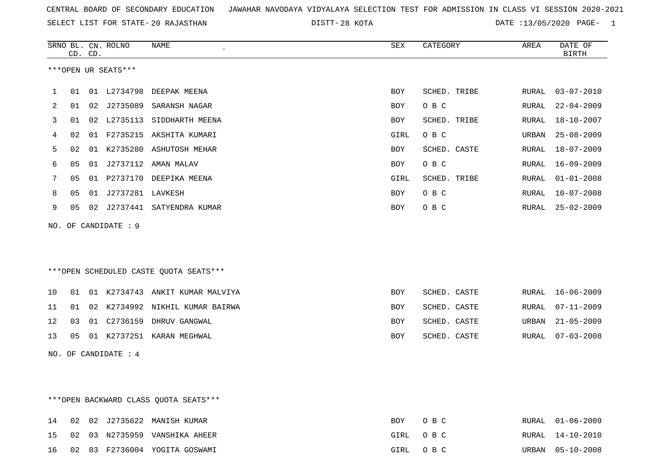SELECT LIST FOR STATE- DISTT- 20 RAJASTHAN

DISTT-28 KOTA 128 CONSUMERT 20 2020 DATE :13/05/2020 PAGE- 1

|    |    | CD. CD. | SRNO BL. CN. ROLNO   | <b>NAME</b>                            | ${\tt SEX}$ | CATEGORY     | AREA         | DATE OF<br><b>BIRTH</b> |
|----|----|---------|----------------------|----------------------------------------|-------------|--------------|--------------|-------------------------|
|    |    |         | ***OPEN UR SEATS***  |                                        |             |              |              |                         |
|    | 01 |         |                      | 01 L2734798 DEEPAK MEENA               | <b>BOY</b>  | SCHED. TRIBE | RURAL        | $03 - 07 - 2010$        |
| 2  | 01 | 02      | J2735089             | SARANSH NAGAR                          | BOY         | O B C        | RURAL        | $22 - 04 - 2009$        |
| 3  | 01 | 02      | L2735113             | SIDDHARTH MEENA                        | <b>BOY</b>  | SCHED. TRIBE | RURAL        | $18 - 10 - 2007$        |
| 4  | 02 | 01      | F2735215             | AKSHITA KUMARI                         | GIRL        | O B C        | URBAN        | $25 - 08 - 2009$        |
| 5  | 02 | 01      |                      | K2735280 ASHUTOSH MEHAR                | BOY         | SCHED. CASTE | RURAL        | $18 - 07 - 2009$        |
| 6  | 05 | 01      | J2737112             | AMAN MALAV                             | <b>BOY</b>  | O B C        | RURAL        | $16 - 09 - 2009$        |
| 7  | 05 | 01      | P2737170             | DEEPIKA MEENA                          | GIRL        | SCHED. TRIBE | RURAL        | $01 - 01 - 2008$        |
| 8  | 05 | 01      | J2737281 LAVKESH     |                                        | <b>BOY</b>  | O B C        | RURAL        | $10 - 07 - 2008$        |
| 9  | 05 | 02      |                      | J2737441 SATYENDRA KUMAR               | BOY         | O B C        | RURAL        | $25 - 02 - 2009$        |
|    |    |         | NO. OF CANDIDATE : 9 |                                        |             |              |              |                         |
|    |    |         |                      |                                        |             |              |              |                         |
|    |    |         |                      |                                        |             |              |              |                         |
|    |    |         |                      | ***OPEN SCHEDULED CASTE QUOTA SEATS*** |             |              |              |                         |
| 10 | 01 |         |                      | 01 K2734743 ANKIT KUMAR MALVIYA        | <b>BOY</b>  | SCHED. CASTE | RURAL        | $16 - 06 - 2009$        |
| 11 | 01 | 02      |                      | K2734992 NIKHIL KUMAR BAIRWA           | <b>BOY</b>  | SCHED. CASTE | <b>RURAL</b> | $07 - 11 - 2009$        |
| 12 | 03 | 01      | C2736159             | DHRUV GANGWAL                          | BOY         | SCHED. CASTE | URBAN        | $21 - 05 - 2009$        |
| 13 | 05 |         |                      | 01 K2737251 KARAN MEGHWAL              | <b>BOY</b>  | SCHED. CASTE | RURAL        | $07 - 03 - 2008$        |
|    |    |         | NO. OF CANDIDATE : 4 |                                        |             |              |              |                         |

\*\*\*OPEN BACKWARD CLASS QUOTA SEATS\*\*\*

|  |  | 14 02 02 J2735622 MANISH KUMAR   | BOY OBC  | RURAL 01-06-2009 |
|--|--|----------------------------------|----------|------------------|
|  |  | 15 02 03 N2735959 VANSHIKA AHEER | GIRL OBC | RURAL 14-10-2010 |
|  |  | 16 02 03 F2736004 YOGITA GOSWAMI | GIRL OBC | URBAN 05-10-2008 |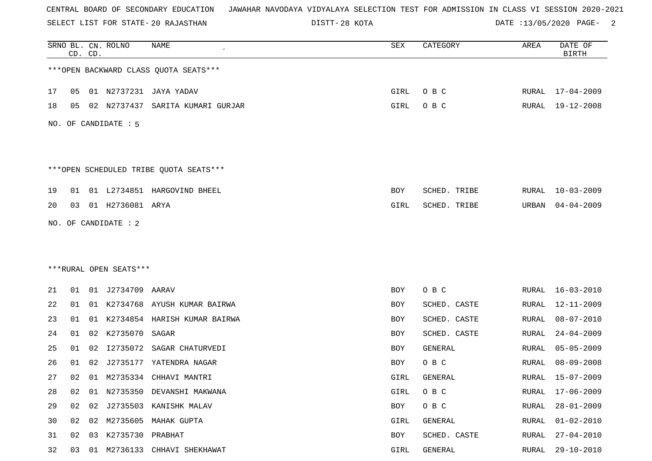SELECT LIST FOR STATE- DISTT- 20 RAJASTHAN

DISTT-28 KOTA 2008 CONTE :13/05/2020 PAGE- 2

|    |    | CD. CD. | SRNO BL. CN. ROLNO     | NAME                                   | SEX        | CATEGORY     | AREA  | DATE OF<br><b>BIRTH</b> |
|----|----|---------|------------------------|----------------------------------------|------------|--------------|-------|-------------------------|
|    |    |         |                        | *** OPEN BACKWARD CLASS QUOTA SEATS*** |            |              |       |                         |
| 17 | 05 |         |                        | 01 N2737231 JAYA YADAV                 | GIRL       | O B C        |       | RURAL 17-04-2009        |
| 18 | 05 |         | 02 N2737437            | SARITA KUMARI GURJAR                   | GIRL       | O B C        | RURAL | 19-12-2008              |
|    |    |         | NO. OF CANDIDATE : 5   |                                        |            |              |       |                         |
|    |    |         |                        | ***OPEN SCHEDULED TRIBE QUOTA SEATS*** |            |              |       |                         |
| 19 | 01 |         |                        | 01 L2734851 HARGOVIND BHEEL            | <b>BOY</b> | SCHED. TRIBE | RURAL | $10 - 03 - 2009$        |
| 20 | 03 |         | 01 H2736081 ARYA       |                                        | GIRL       | SCHED. TRIBE | URBAN | $04 - 04 - 2009$        |
|    |    |         | NO. OF CANDIDATE : 2   |                                        |            |              |       |                         |
|    |    |         |                        |                                        |            |              |       |                         |
|    |    |         |                        |                                        |            |              |       |                         |
|    |    |         | ***RURAL OPEN SEATS*** |                                        |            |              |       |                         |
| 21 | 01 |         | 01 J2734709 AARAV      |                                        | BOY        | O B C        | RURAL | $16 - 03 - 2010$        |
| 22 | 01 |         |                        | 01 K2734768 AYUSH KUMAR BAIRWA         | BOY        | SCHED. CASTE | RURAL | 12-11-2009              |
| 23 | 01 | 01      |                        | K2734854 HARISH KUMAR BAIRWA           | BOY        | SCHED. CASTE | RURAL | $08 - 07 - 2010$        |
| 24 | 01 | 02      | K2735070               | SAGAR                                  | BOY        | SCHED. CASTE | RURAL | $24 - 04 - 2009$        |
| 25 | 01 | 02      | I2735072               | SAGAR CHATURVEDI                       | BOY        | GENERAL      | RURAL | $05 - 05 - 2009$        |
| 26 | 01 | 02      | J2735177               | YATENDRA NAGAR                         | BOY        | O B C        | RURAL | $08 - 09 - 2008$        |
| 27 | 02 |         |                        | 01 M2735334 CHHAVI MANTRI              | GIRL       | GENERAL      | RURAL | 15-07-2009              |
| 28 | 02 | 01      |                        | N2735350 DEVANSHI MAKWANA              | GIRL       | O B C        | RURAL | $17 - 06 - 2009$        |
| 29 | 02 | 02      |                        | J2735503 KANISHK MALAV                 | BOY        | $O$ B $C$    | RURAL | $28 - 01 - 2009$        |
| 30 | 02 | 02      |                        | M2735605 MAHAK GUPTA                   | GIRL       | GENERAL      | RURAL | $01 - 02 - 2010$        |
| 31 | 02 | 03      | K2735730 PRABHAT       |                                        | BOY        | SCHED. CASTE | RURAL | $27 - 04 - 2010$        |
| 32 | 03 |         |                        | 01 M2736133 CHHAVI SHEKHAWAT           | GIRL       | GENERAL      | RURAL | $29 - 10 - 2010$        |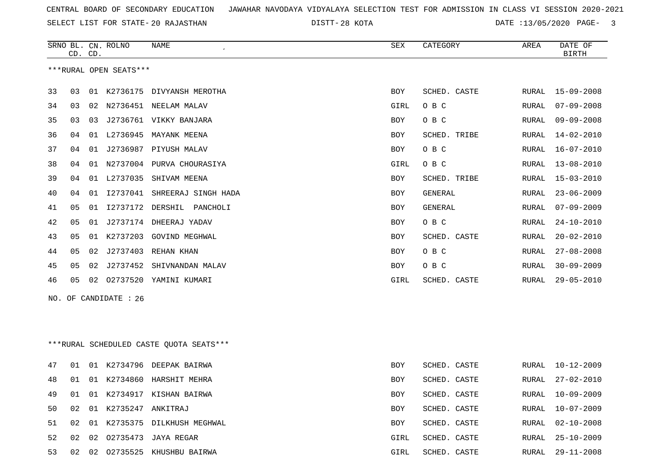SELECT LIST FOR STATE- DISTT- 20 RAJASTHAN

DISTT-28 KOTA 120 ATE :13/05/2020 PAGE- 3

|     |    | CD. CD. | SRNO BL. CN. ROLNO     | NAME                                    | ${\tt SEX}$ | CATEGORY       | AREA  | DATE OF<br><b>BIRTH</b> |
|-----|----|---------|------------------------|-----------------------------------------|-------------|----------------|-------|-------------------------|
|     |    |         | ***RURAL OPEN SEATS*** |                                         |             |                |       |                         |
| 33  | 03 |         |                        | 01 K2736175 DIVYANSH MEROTHA            | BOY         | SCHED. CASTE   | RURAL | 15-09-2008              |
| 34  | 03 | 02      |                        | N2736451 NEELAM MALAV                   | <b>GIRL</b> | O B C          | RURAL | $07 - 09 - 2008$        |
| 35  | 03 | 03      |                        | J2736761 VIKKY BANJARA                  | BOY         | O B C          | RURAL | $09 - 09 - 2008$        |
| 36  | 04 |         |                        | 01 L2736945 MAYANK MEENA                | BOY         | SCHED. TRIBE   | RURAL | $14 - 02 - 2010$        |
| 37  | 04 |         |                        | 01 J2736987 PIYUSH MALAV                | BOY         | O B C          | RURAL | $16 - 07 - 2010$        |
| 38  | 04 |         |                        | 01 N2737004 PURVA CHOURASIYA            | GIRL        | O B C          | RURAL | $13 - 08 - 2010$        |
| 39  | 04 |         | 01 L2737035            | SHIVAM MEENA                            | BOY         | SCHED. TRIBE   | RURAL | $15 - 03 - 2010$        |
| 40  | 04 |         |                        | 01 I2737041 SHREERAJ SINGH HADA         | BOY         | <b>GENERAL</b> | RURAL | $23 - 06 - 2009$        |
| 41  | 05 | 01      | I2737172               | DERSHIL<br>PANCHOLI                     | BOY         | GENERAL        | RURAL | $07 - 09 - 2009$        |
| 42  | 05 | 01      | J2737174               | DHEERAJ YADAV                           | BOY         | O B C          | RURAL | $24 - 10 - 2010$        |
| 43  | 05 | 01      | K2737203               | <b>GOVIND MEGHWAL</b>                   | BOY         | SCHED. CASTE   | RURAL | $20 - 02 - 2010$        |
| 44  | 05 | 02      | J2737403               | REHAN KHAN                              | BOY         | O B C          | RURAL | $27 - 08 - 2008$        |
| 45  | 05 | 02      | J2737452               | SHIVNANDAN MALAV                        | BOY         | O B C          | RURAL | $30 - 09 - 2009$        |
| 46  | 05 | 02      |                        | 02737520 YAMINI KUMARI                  | GIRL        | SCHED. CASTE   | RURAL | $29 - 05 - 2010$        |
| NO. |    |         | OF CANDIDATE : 26      |                                         |             |                |       |                         |
|     |    |         |                        |                                         |             |                |       |                         |
|     |    |         |                        |                                         |             |                |       |                         |
|     |    |         |                        | ***RURAL SCHEDULED CASTE QUOTA SEATS*** |             |                |       |                         |
| 47  | 01 |         |                        | 01 K2734796 DEEPAK BAIRWA               | BOY         | SCHED. CASTE   | RURAL | 10-12-2009              |
| 48  | 01 |         |                        | 01 K2734860 HARSHIT MEHRA               | BOY         | SCHED. CASTE   | RURAL | $27 - 02 - 2010$        |
| 49  | 01 |         |                        | 01 K2734917 KISHAN BAIRWA               | BOY         | SCHED. CASTE   |       | RURAL 10-09-2009        |
| 50  | 02 |         | 01 K2735247 ANKITRAJ   |                                         | BOY         | SCHED. CASTE   | RURAL | $10 - 07 - 2009$        |
| 51  | 02 |         |                        | 01 K2735375 DILKHUSH MEGHWAL            | BOY         | SCHED. CASTE   |       | RURAL 02-10-2008        |
| 52  | 02 |         |                        | 02 02735473 JAYA REGAR                  | GIRL        | SCHED. CASTE   | RURAL | 25-10-2009              |
| 53  |    |         |                        | 02 02 02735525 KHUSHBU BAIRWA           | GIRL        | SCHED. CASTE   |       | RURAL 29-11-2008        |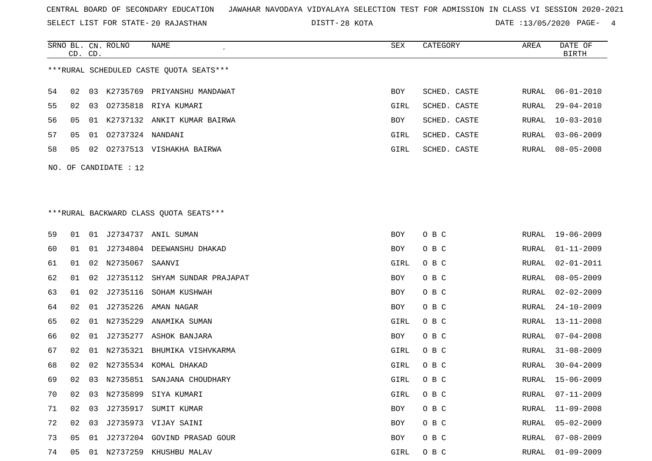SELECT LIST FOR STATE- DISTT- 20 RAJASTHAN

SRNO BL. CN.

ROLNO NAME SEX CATEGORY AREA DATE OF

28 KOTA DATE :13/05/2020 PAGE- 4

|    | CD. CD. |    |                       |                                          |      |              |               | <b>BIRTH</b>     |
|----|---------|----|-----------------------|------------------------------------------|------|--------------|---------------|------------------|
|    |         |    |                       | *** RURAL SCHEDULED CASTE QUOTA SEATS*** |      |              |               |                  |
| 54 | 02      | 03 |                       | K2735769 PRIYANSHU MANDAWAT              | BOY  | SCHED. CASTE | RURAL         | $06 - 01 - 2010$ |
| 55 | 02      | 03 |                       | 02735818 RIYA KUMARI                     | GIRL | SCHED. CASTE | RURAL         | $29 - 04 - 2010$ |
| 56 | 05      |    |                       | 01 K2737132 ANKIT KUMAR BAIRWA           | BOY  | SCHED. CASTE | RURAL         | $10 - 03 - 2010$ |
| 57 | 05      |    | 01 02737324 NANDANI   |                                          | GIRL | SCHED. CASTE | RURAL         | $03 - 06 - 2009$ |
| 58 | 05      |    |                       | 02 02737513 VISHAKHA BAIRWA              | GIRL | SCHED. CASTE | RURAL         | $08 - 05 - 2008$ |
|    |         |    | NO. OF CANDIDATE : 12 |                                          |      |              |               |                  |
|    |         |    |                       |                                          |      |              |               |                  |
|    |         |    |                       |                                          |      |              |               |                  |
|    |         |    |                       | *** RURAL BACKWARD CLASS QUOTA SEATS***  |      |              |               |                  |
|    |         |    |                       |                                          |      |              |               |                  |
| 59 | 01      |    |                       | 01 J2734737 ANIL SUMAN                   | BOY  | O B C        | RURAL         | 19-06-2009       |
| 60 | 01      | 01 |                       | J2734804 DEEWANSHU DHAKAD                | BOY  | O B C        | RURAL         | $01 - 11 - 2009$ |
| 61 | 01      | 02 | N2735067              | SAANVI                                   | GIRL | O B C        | RURAL         | $02 - 01 - 2011$ |
| 62 | 01      | 02 |                       | J2735112 SHYAM SUNDAR PRAJAPAT           | BOY  | O B C        | RURAL         | $08 - 05 - 2009$ |
| 63 | 01      | 02 | J2735116              | SOHAM KUSHWAH                            | BOY  | O B C        | RURAL         | $02 - 02 - 2009$ |
| 64 | 02      |    | 01 J2735226           | AMAN NAGAR                               | BOY  | O B C        | RURAL         | $24 - 10 - 2009$ |
| 65 | 02      | 01 | N2735229              | ANAMIKA SUMAN                            | GIRL | O B C        | RURAL         | $13 - 11 - 2008$ |
| 66 | 02      | 01 | J2735277              | ASHOK BANJARA                            | BOY  | O B C        | RURAL         | $07 - 04 - 2008$ |
| 67 | 02      | 01 |                       | N2735321 BHUMIKA VISHVKARMA              | GIRL | O B C        | RURAL         | $31 - 08 - 2009$ |
| 68 | 02      | 02 |                       | N2735534 KOMAL DHAKAD                    | GIRL | O B C        | RURAL         | $30 - 04 - 2009$ |
| 69 | 02      | 03 |                       | N2735851 SANJANA CHOUDHARY               | GIRL | O B C        | RURAL         | $15 - 06 - 2009$ |
| 70 | 02      |    |                       | 03 N2735899 SIYA KUMARI                  | GIRL | O B C        | ${\tt RURAL}$ | $07 - 11 - 2009$ |
| 71 |         |    |                       | 02 03 J2735917 SUMIT KUMAR               | BOY  | O B C        | RURAL         | 11-09-2008       |
| 72 | 02      |    |                       | 03 J2735973 VIJAY SAINI                  | BOY  | O B C        | RURAL         | $05 - 02 - 2009$ |
| 73 | 05      |    |                       | 01 J2737204 GOVIND PRASAD GOUR           | BOY  | O B C        | RURAL         | $07 - 08 - 2009$ |
| 74 | 05      |    |                       | 01 N2737259 KHUSHBU MALAV                | GIRL | O B C        | RURAL         | $01 - 09 - 2009$ |
|    |         |    |                       |                                          |      |              |               |                  |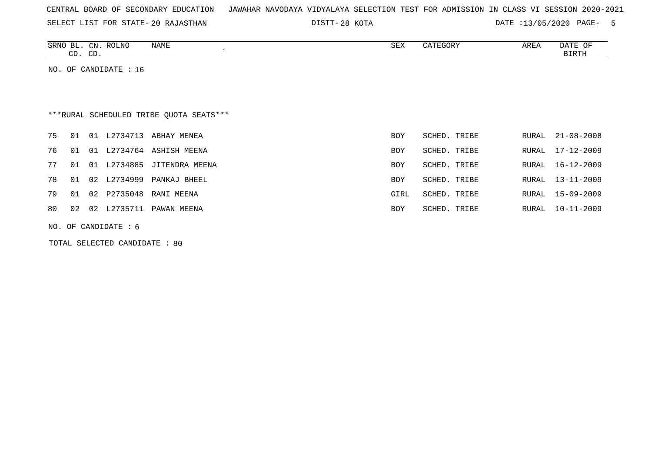|  |  |  |  | CENTRAL BOARD OF SECONDARY EDUCATION – JAWAHAR NAVODAYA VIDYALAYA SELECTION TEST FOR ADMISSION IN CLASS VI SESSION 2020-2021 |  |  |  |  |  |  |  |  |  |  |  |  |  |  |
|--|--|--|--|------------------------------------------------------------------------------------------------------------------------------|--|--|--|--|--|--|--|--|--|--|--|--|--|--|
|--|--|--|--|------------------------------------------------------------------------------------------------------------------------------|--|--|--|--|--|--|--|--|--|--|--|--|--|--|

SELECT LIST FOR STATE- DISTT- 20 RAJASTHAN

28 KOTA DATE :13/05/2020 PAGE- 5

| <b>ROLNO</b><br>SRN <sub>(</sub><br>$\text{CN}$<br>⊢ א<br>$\sim$ | <b>NAME</b> | ייה ה<br>フロマ | AREA | $\sim$<br>U. P<br>DAIL |
|------------------------------------------------------------------|-------------|--------------|------|------------------------|
| $\sim$<br>$\cap$<br>ىب<br>ىب                                     |             |              |      | TDTT.                  |

NO. OF CANDIDATE : 16

# \*\*\*RURAL SCHEDULED TRIBE QUOTA SEATS\*\*\*

| 75 |    |                   | 01 01 L2734713 ABHAY MENEA   | BOY        | SCHED. TRIBE    | RURAL 21-08-2008 |
|----|----|-------------------|------------------------------|------------|-----------------|------------------|
|    |    | 76 01 01 L2734764 | ASHISH MEENA                 | BOY        | SCHED. TRIBE    | RURAL 17-12-2009 |
| 77 |    | 01 01 L2734885    | JITENDRA MEENA               | <b>BOY</b> | SCHED. TRIBE    | RURAL 16-12-2009 |
|    |    | 78 01 02 L2734999 | PANKAJ BHEEL                 | <b>BOY</b> | SCHED. TRIBE    | RURAL 13-11-2009 |
|    |    |                   | 79 01 02 P2735048 RANI MEENA | GIRL       | SCHED. TRIBE    | RURAL 15-09-2009 |
| 80 | 02 | 02 L2735711       | PAWAN MEENA                  | <b>BOY</b> | SCHED.<br>TRIBE | RURAL 10-11-2009 |

NO. OF CANDIDATE : 6

TOTAL SELECTED CANDIDATE : 80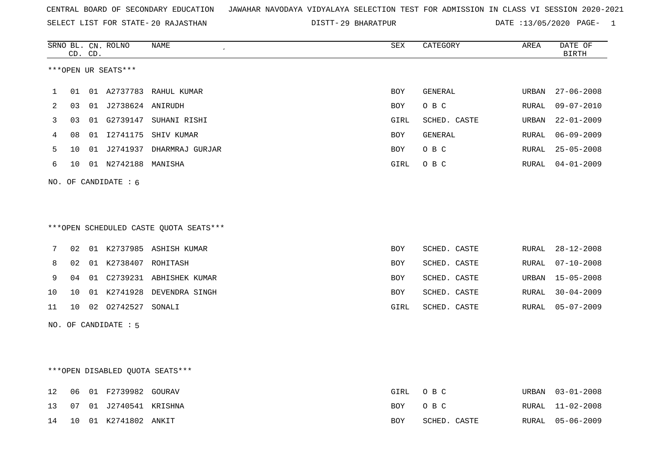SELECT LIST FOR STATE- DISTT- 20 RAJASTHAN

DISTT-29 BHARATPUR DATE :13/05/2020 PAGE- 1

|    |    | CD. CD. | SRNO BL. CN. ROLNO   | NAME<br>$\pmb{\cdot}$                  | ${\tt SEX}$ | CATEGORY     | AREA  | DATE OF<br><b>BIRTH</b> |
|----|----|---------|----------------------|----------------------------------------|-------------|--------------|-------|-------------------------|
|    |    |         | ***OPEN UR SEATS***  |                                        |             |              |       |                         |
| 1  | 01 |         |                      | 01 A2737783 RAHUL KUMAR                | BOY         | GENERAL      | URBAN | $27 - 06 - 2008$        |
| 2  | 03 |         | 01 J2738624 ANIRUDH  |                                        | BOY         | O B C        | RURAL | $09 - 07 - 2010$        |
| 3  | 03 |         |                      | 01 G2739147 SUHANI RISHI               | GIRL        | SCHED. CASTE | URBAN | $22 - 01 - 2009$        |
| 4  | 08 |         |                      | 01 I2741175 SHIV KUMAR                 | BOY         | GENERAL      | RURAL | $06 - 09 - 2009$        |
| 5  | 10 |         |                      | 01 J2741937 DHARMRAJ GURJAR            | BOY         | O B C        | RURAL | $25 - 05 - 2008$        |
| 6  | 10 |         | 01 N2742188 MANISHA  |                                        | GIRL        | O B C        | RURAL | $04 - 01 - 2009$        |
|    |    |         | NO. OF CANDIDATE : 6 |                                        |             |              |       |                         |
|    |    |         |                      |                                        |             |              |       |                         |
|    |    |         |                      |                                        |             |              |       |                         |
|    |    |         |                      | ***OPEN SCHEDULED CASTE QUOTA SEATS*** |             |              |       |                         |
| 7  | 02 |         |                      | 01 K2737985 ASHISH KUMAR               | BOY         | SCHED. CASTE | RURAL | $28 - 12 - 2008$        |
| 8  | 02 |         | 01 K2738407 ROHITASH |                                        | BOY         | SCHED. CASTE | RURAL | $07 - 10 - 2008$        |
| 9  | 04 |         |                      | 01 C2739231 ABHISHEK KUMAR             | BOY         | SCHED. CASTE | URBAN | $15 - 05 - 2008$        |
| 10 | 10 |         |                      | 01 K2741928 DEVENDRA SINGH             | BOY         | SCHED. CASTE | RURAL | $30 - 04 - 2009$        |
| 11 | 10 |         | 02 02742527 SONALI   |                                        | GIRL        | SCHED. CASTE | RURAL | $05 - 07 - 2009$        |
|    |    |         | NO. OF CANDIDATE : 5 |                                        |             |              |       |                         |
|    |    |         |                      |                                        |             |              |       |                         |
|    |    |         |                      |                                        |             |              |       |                         |
|    |    |         |                      | *** OPEN DISABLED QUOTA SEATS***       |             |              |       |                         |
| 12 | 06 |         | 01 F2739982 GOURAV   |                                        | <b>GIRL</b> | O B C        | URBAN | $03 - 01 - 2008$        |
| 13 | 07 |         | 01 J2740541 KRISHNA  |                                        | BOY         | O B C        | RURAL | $11 - 02 - 2008$        |

14 10 01 K2741802 ANKIT BOY SCHED. CASTE RURAL 05-06-2009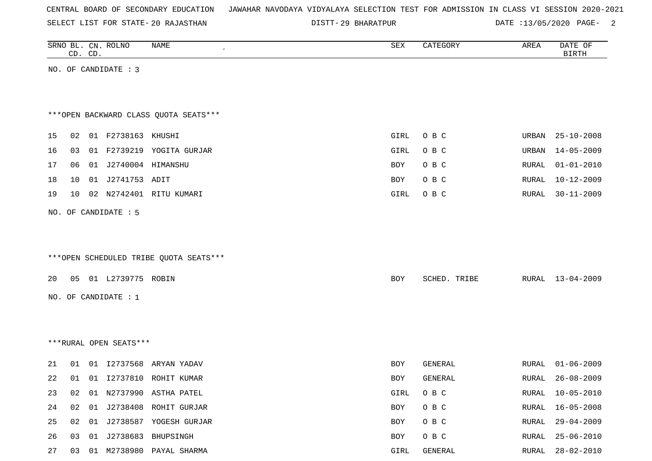| CENTRAL BOARD OF SECONDARY EDUCATION – JAWAHAR NAVODAYA VIDYALAYA SELECTION TEST FOR ADMISSION IN CLASS VI SESSION 2020-2021 |  |  |  |  |  |  |  |  |  |  |  |  |  |  |  |  |  |
|------------------------------------------------------------------------------------------------------------------------------|--|--|--|--|--|--|--|--|--|--|--|--|--|--|--|--|--|
|------------------------------------------------------------------------------------------------------------------------------|--|--|--|--|--|--|--|--|--|--|--|--|--|--|--|--|--|

SELECT LIST FOR STATE- DISTT- 20 RAJASTHAN

DISTT-29 BHARATPUR DATE :13/05/2020 PAGE- 2

|    |    | CD. CD. | SRNO BL. CN. ROLNO     | NAME                                   | ${\tt SEX}$ | CATEGORY     | AREA           | DATE OF<br><b>BIRTH</b>              |
|----|----|---------|------------------------|----------------------------------------|-------------|--------------|----------------|--------------------------------------|
|    |    |         | NO. OF CANDIDATE : 3   |                                        |             |              |                |                                      |
|    |    |         |                        |                                        |             |              |                |                                      |
|    |    |         |                        |                                        |             |              |                |                                      |
|    |    |         |                        | *** OPEN BACKWARD CLASS QUOTA SEATS*** |             |              |                |                                      |
|    |    |         | 01 F2738163 KHUSHI     |                                        |             |              |                |                                      |
| 15 | 02 |         |                        |                                        | GIRL        | O B C        | URBAN<br>URBAN | $25 - 10 - 2008$<br>$14 - 05 - 2009$ |
| 16 | 03 |         |                        | 01 F2739219 YOGITA GURJAR              | GIRL        | O B C        |                |                                      |
| 17 | 06 |         | 01 J2740004 HIMANSHU   |                                        | BOY         | O B C        | RURAL          | $01 - 01 - 2010$                     |
| 18 | 10 | 01      | J2741753 ADIT          |                                        | BOY         | O B C        | RURAL          | $10 - 12 - 2009$                     |
| 19 | 10 | 02      |                        | N2742401 RITU KUMARI                   | GIRL        | O B C        | RURAL          | $30 - 11 - 2009$                     |
|    |    |         | NO. OF CANDIDATE : 5   |                                        |             |              |                |                                      |
|    |    |         |                        |                                        |             |              |                |                                      |
|    |    |         |                        |                                        |             |              |                |                                      |
|    |    |         |                        | ***OPEN SCHEDULED TRIBE QUOTA SEATS*** |             |              |                |                                      |
| 20 | 05 |         | 01 L2739775 ROBIN      |                                        | BOY         | SCHED. TRIBE | RURAL          | $13 - 04 - 2009$                     |
|    |    |         |                        |                                        |             |              |                |                                      |
|    |    |         | NO. OF CANDIDATE : 1   |                                        |             |              |                |                                      |
|    |    |         |                        |                                        |             |              |                |                                      |
|    |    |         |                        |                                        |             |              |                |                                      |
|    |    |         | ***RURAL OPEN SEATS*** |                                        |             |              |                |                                      |
| 21 | 01 |         | 01 12737568            | ARYAN YADAV                            | BOY         | GENERAL      | RURAL          | $01 - 06 - 2009$                     |
| 22 | 01 |         |                        | 01 I2737810 ROHIT KUMAR                | BOY         | GENERAL      | RURAL          | $26 - 08 - 2009$                     |
| 23 | 02 |         |                        | 01 N2737990 ASTHA PATEL                | GIRL        | O B C        | RURAL          | $10 - 05 - 2010$                     |
| 24 | 02 | 01      | J2738408               | ROHIT GURJAR                           | BOY         | O B C        | RURAL          | $16 - 05 - 2008$                     |
| 25 | 02 |         |                        | 01 J2738587 YOGESH GURJAR              | BOY         | O B C        | RURAL          | $29 - 04 - 2009$                     |
| 26 | 03 |         |                        | 01 J2738683 BHUPSINGH                  | BOY         | $O$ B $C$    | RURAL          | $25 - 06 - 2010$                     |
| 27 | 03 |         |                        | 01 M2738980 PAYAL SHARMA               | GIRL        | GENERAL      | RURAL          | $28 - 02 - 2010$                     |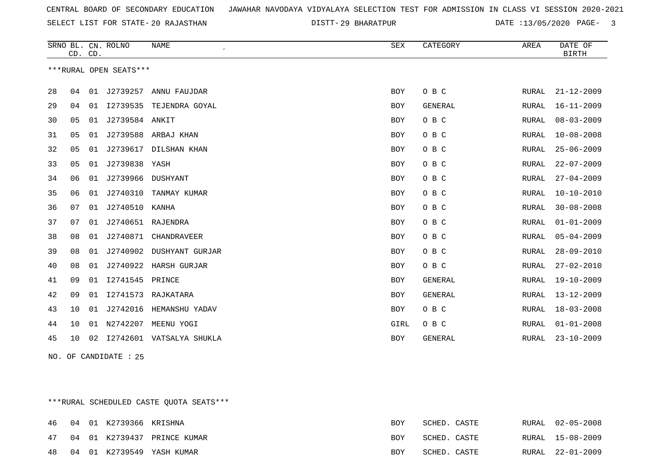SELECT LIST FOR STATE- DISTT- 20 RAJASTHAN

29 BHARATPUR DATE :13/05/2020 PAGE- 3

|    | CD. CD. |    | SRNO BL. CN. ROLNO     | <b>NAME</b>        | SEX        | CATEGORY       | AREA          | DATE OF<br><b>BIRTH</b> |
|----|---------|----|------------------------|--------------------|------------|----------------|---------------|-------------------------|
|    |         |    | ***RURAL OPEN SEATS*** |                    |            |                |               |                         |
| 28 | 04      | 01 | J2739257               | ANNU FAUJDAR       | <b>BOY</b> | O B C          | RURAL         | $21 - 12 - 2009$        |
| 29 | 04      | 01 | I2739535               | TEJENDRA GOYAL     | BOY        | <b>GENERAL</b> | RURAL         | $16 - 11 - 2009$        |
| 30 | 05      | 01 | J2739584 ANKIT         |                    | <b>BOY</b> | O B C          | RURAL         | $08 - 03 - 2009$        |
| 31 | 05      | 01 | J2739588               | ARBAJ KHAN         | BOY        | O B C          | RURAL         | $10 - 08 - 2008$        |
| 32 | 05      | 01 | J2739617               | DILSHAN KHAN       | BOY        | O B C          | ${\tt RURAL}$ | $25 - 06 - 2009$        |
| 33 | 05      | 01 | J2739838               | YASH               | <b>BOY</b> | O B C          | RURAL         | $22 - 07 - 2009$        |
| 34 | 06      | 01 | J2739966 DUSHYANT      |                    | BOY        | O B C          | RURAL         | $27 - 04 - 2009$        |
| 35 | 06      | 01 | J2740310               | TANMAY KUMAR       | BOY        | O B C          | RURAL         | $10 - 10 - 2010$        |
| 36 | 07      | 01 | J2740510               | KANHA              | BOY        | O B C          | RURAL         | $30 - 08 - 2008$        |
| 37 | 07      | 01 | J2740651 RAJENDRA      |                    | <b>BOY</b> | O B C          | RURAL         | $01 - 01 - 2009$        |
| 38 | 08      | 01 | J2740871               | CHANDRAVEER        | BOY        | O B C          | RURAL         | $05 - 04 - 2009$        |
| 39 | 08      | 01 | J2740902               | DUSHYANT GURJAR    | BOY        | O B C          | <b>RURAL</b>  | $28 - 09 - 2010$        |
| 40 | 08      | 01 | J2740922               | HARSH GURJAR       | BOY        | O B C          | RURAL         | $27 - 02 - 2010$        |
| 41 | 09      | 01 | I2741545               | PRINCE             | <b>BOY</b> | <b>GENERAL</b> | RURAL         | $19 - 10 - 2009$        |
| 42 | 09      | 01 |                        | 12741573 RAJKATARA | BOY        | <b>GENERAL</b> | RURAL         | $13 - 12 - 2009$        |
| 43 | 10      | 01 | J2742016               | HEMANSHU YADAV     | BOY        | O B C          | RURAL         | $18 - 03 - 2008$        |
| 44 | 10      | 01 | N2742207               | MEENU YOGI         | GIRL       | O B C          | RURAL         | $01 - 01 - 2008$        |
| 45 | 10      | 02 | I2742601               | VATSALYA SHUKLA    | BOY        | <b>GENERAL</b> | RURAL         | $23 - 10 - 2009$        |

NO. OF CANDIDATE : 25

\*\*\*RURAL SCHEDULED CASTE QUOTA SEATS\*\*\*

|    |  | 46 04 01 K2739366 KRISHNA |                             | BOY | SCHED. CASTE | RURAL 02-05-2008 |
|----|--|---------------------------|-----------------------------|-----|--------------|------------------|
| 47 |  |                           | 04 01 K2739437 PRINCE KUMAR | BOY | SCHED. CASTE | RURAL 15-08-2009 |
| 48 |  |                           | 04 01 K2739549 YASH KUMAR   | BOY | SCHED. CASTE | RURAL 22-01-2009 |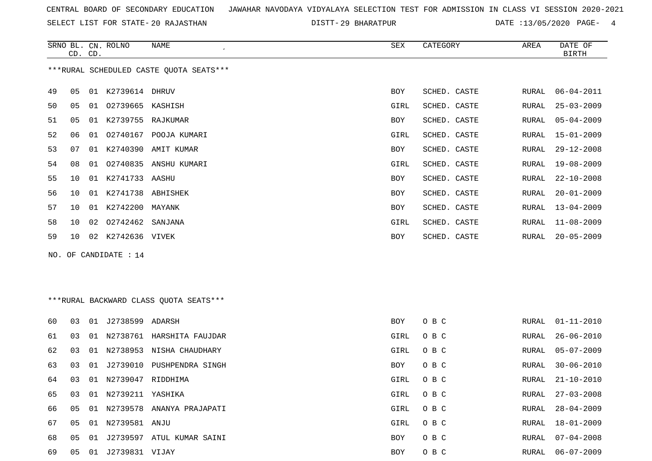SELECT LIST FOR STATE- DISTT- 20 RAJASTHAN

DISTT-29 BHARATPUR DATE :13/05/2020 PAGE- 4

|    | CD. CD. |    | SRNO BL. CN. ROLNO  | NAME                                    | SEX        | CATEGORY     | AREA  | DATE OF<br><b>BIRTH</b> |
|----|---------|----|---------------------|-----------------------------------------|------------|--------------|-------|-------------------------|
|    |         |    |                     | ***RURAL SCHEDULED CASTE QUOTA SEATS*** |            |              |       |                         |
| 49 | 05      | 01 | K2739614 DHRUV      |                                         | BOY        | SCHED. CASTE | RURAL | $06 - 04 - 2011$        |
| 50 | 05      | 01 | O2739665 KASHISH    |                                         | GIRL       | SCHED. CASTE | RURAL | 25-03-2009              |
| 51 | 05      | 01 | K2739755            | RAJKUMAR                                | BOY        | SCHED. CASTE | RURAL | $05 - 04 - 2009$        |
| 52 | 06      | 01 | 02740167            | POOJA KUMARI                            | GIRL       | SCHED. CASTE | RURAL | 15-01-2009              |
| 53 | 07      | 01 |                     | K2740390 AMIT KUMAR                     | BOY        | SCHED. CASTE | RURAL | $29 - 12 - 2008$        |
| 54 | 08      | 01 | 02740835            | ANSHU KUMARI                            | GIRL       | SCHED. CASTE | RURAL | 19-08-2009              |
| 55 | 10      |    | 01 K2741733 AASHU   |                                         | BOY        | SCHED. CASTE | RURAL | $22 - 10 - 2008$        |
| 56 | 10      | 01 | K2741738            | ABHISHEK                                | BOY        | SCHED. CASTE | RURAL | $20 - 01 - 2009$        |
| 57 | 10      | 01 | K2742200            | MAYANK                                  | BOY        | SCHED. CASTE | RURAL | $13 - 04 - 2009$        |
| 58 | 10      |    | 02 02742462 SANJANA |                                         | GIRL       | SCHED. CASTE | RURAL | 11-08-2009              |
| 59 | 10      | 02 | K2742636 VIVEK      |                                         | <b>BOY</b> | SCHED. CASTE | RURAL | $20 - 05 - 2009$        |

NO. OF CANDIDATE : 14

### \*\*\*RURAL BACKWARD CLASS QUOTA SEATS\*\*\*

| 60 | 03 | 01 | J2738599            | ADARSH                       | BOY        | O B C | RURAL | $01 - 11 - 2010$ |
|----|----|----|---------------------|------------------------------|------------|-------|-------|------------------|
| 61 | 03 | 01 | N2738761            | HARSHITA FAUJDAR             | GIRL       | O B C | RURAL | $26 - 06 - 2010$ |
| 62 | 03 | 01 | N2738953            | NISHA CHAUDHARY              | GIRL       | O B C | RURAL | 05-07-2009       |
| 63 | 03 |    | 01 J2739010         | PUSHPENDRA SINGH             | BOY        | O B C | RURAL | 30-06-2010       |
| 64 | 03 |    | 01 N2739047         | RIDDHIMA                     | GIRL       | O B C | RURAL | 21-10-2010       |
| 65 | 03 |    | 01 N2739211 YASHIKA |                              | GIRL       | O B C | RURAL | $27 - 03 - 2008$ |
| 66 | 05 |    |                     | 01 N2739578 ANANYA PRAJAPATI | GIRL       | O B C | RURAL | $28 - 04 - 2009$ |
| 67 | 05 |    | 01 N2739581 ANJU    |                              | GIRL       | O B C | RURAL | 18-01-2009       |
| 68 | 05 | 01 | J2739597            | ATUL KUMAR SAINI             | BOY        | O B C | RURAL | $07 - 04 - 2008$ |
| 69 | 05 |    | 01 J2739831 VIJAY   |                              | <b>BOY</b> | O B C | RURAL | 06-07-2009       |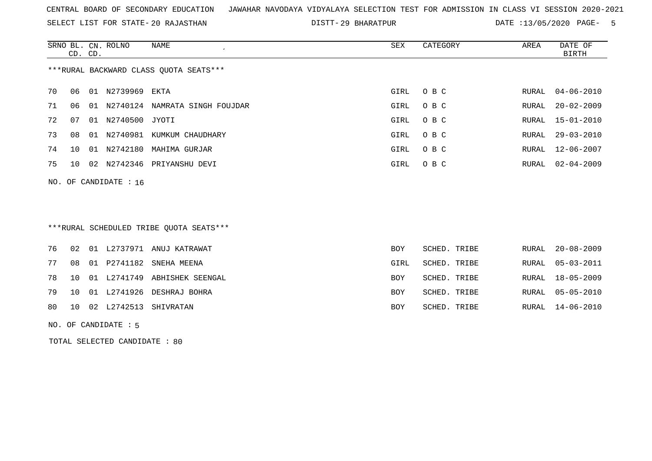SELECT LIST FOR STATE- DISTT- 20 RAJASTHAN

29 BHARATPUR DATE :13/05/2020 PAGE- 5

|                                        | CD. CD.               |    | SRNO BL. CN. ROLNO | NAME                  | SEX  | CATEGORY | AREA  | DATE OF<br>BIRTH |  |  |
|----------------------------------------|-----------------------|----|--------------------|-----------------------|------|----------|-------|------------------|--|--|
| ***RURAL BACKWARD CLASS QUOTA SEATS*** |                       |    |                    |                       |      |          |       |                  |  |  |
| 70                                     | 06                    |    | 01 N2739969 EKTA   |                       | GIRL | O B C    | RURAL | 04-06-2010       |  |  |
| 71                                     | 06                    |    | 01 N2740124        | NAMRATA SINGH FOUJDAR | GIRL | O B C    | RURAL | $20 - 02 - 2009$ |  |  |
| 72                                     | 07                    | 01 | N2740500 JYOTI     |                       | GIRL | O B C    |       | RURAL 15-01-2010 |  |  |
| 73                                     | 08                    |    | 01 N2740981        | KUMKUM CHAUDHARY      | GIRL | O B C    |       | RURAL 29-03-2010 |  |  |
| 74                                     | 1 O                   | 01 | N2742180           | MAHIMA GURJAR         | GIRL | O B C    | RURAL | 12-06-2007       |  |  |
| 75                                     | 10                    |    | 02 N2742346        | PRIYANSHU DEVI        | GIRL | O B C    | RURAL | $02 - 04 - 2009$ |  |  |
|                                        | NO. OF CANDIDATE : 16 |    |                    |                       |      |          |       |                  |  |  |

## \*\*\*RURAL SCHEDULED TRIBE QUOTA SEATS\*\*\*

|  |  | 76 02 01 L2737971 ANUJ KATRAWAT    | <b>BOY</b> | SCHED. TRIBE | RURAL 20-08-2009 |
|--|--|------------------------------------|------------|--------------|------------------|
|  |  | 77 08 01 P2741182 SNEHA MEENA      | GIRL       | SCHED. TRIBE | RURAL 05-03-2011 |
|  |  | 78 10 01 L2741749 ABHISHEK SEENGAL | BOY        | SCHED. TRIBE | RURAL 18-05-2009 |
|  |  | 79 10 01 L2741926 DESHRAJ BOHRA    | BOY        | SCHED. TRIBE | RURAL 05-05-2010 |
|  |  | 80 10 02 L2742513 SHIVRATAN        | BOY        | SCHED. TRIBE | RURAL 14-06-2010 |
|  |  |                                    |            |              |                  |

#### NO. OF CANDIDATE : 5

TOTAL SELECTED CANDIDATE : 80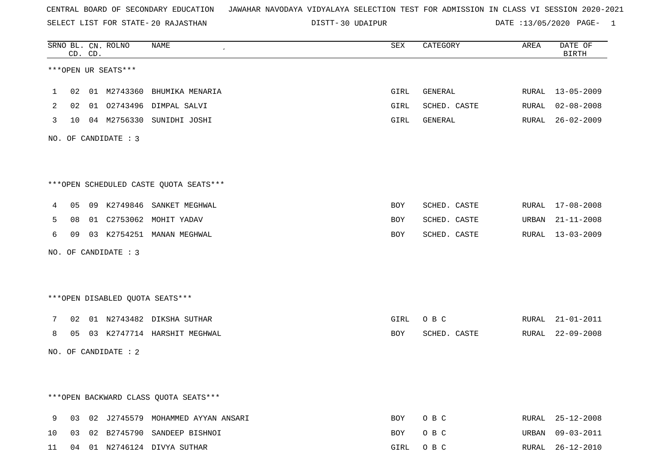SELECT LIST FOR STATE- DISTT- 20 RAJASTHAN

DISTT-30 UDAIPUR **DATE** :13/05/2020 PAGE- 1

|              | CD. CD. | SRNO BL. CN. ROLNO   | NAME<br>$\epsilon$                      | SEX  | CATEGORY     | AREA  | DATE OF<br><b>BIRTH</b> |
|--------------|---------|----------------------|-----------------------------------------|------|--------------|-------|-------------------------|
|              |         | ***OPEN UR SEATS***  |                                         |      |              |       |                         |
| $\mathbf{1}$ |         |                      | 02 01 M2743360 BHUMIKA MENARIA          | GIRL | GENERAL      |       | RURAL 13-05-2009        |
| 2            |         |                      | 02 01 02743496 DIMPAL SALVI             | GIRL | SCHED. CASTE | RURAL | $02 - 08 - 2008$        |
| 3            |         |                      | 10 04 M2756330 SUNIDHI JOSHI            | GIRL | GENERAL      | RURAL | $26 - 02 - 2009$        |
|              |         | NO. OF CANDIDATE : 3 |                                         |      |              |       |                         |
|              |         |                      | *** OPEN SCHEDULED CASTE QUOTA SEATS*** |      |              |       |                         |
| 4            |         |                      | 05 09 K2749846 SANKET MEGHWAL           | BOY  | SCHED. CASTE |       | RURAL 17-08-2008        |
| 5            |         |                      | 08 01 C2753062 MOHIT YADAV              | BOY  | SCHED. CASTE |       | URBAN 21-11-2008        |
| 6            |         |                      | 09 03 K2754251 MANAN MEGHWAL            | BOY  | SCHED. CASTE |       | RURAL 13-03-2009        |
|              |         | NO. OF CANDIDATE : 3 |                                         |      |              |       |                         |
|              |         |                      | ***OPEN DISABLED QUOTA SEATS***         |      |              |       |                         |
| 7            |         |                      | 02 01 N2743482 DIKSHA SUTHAR            | GIRL | O B C        |       | RURAL 21-01-2011        |
| 8            |         |                      | 05 03 K2747714 HARSHIT MEGHWAL          | BOY  | SCHED. CASTE |       | RURAL 22-09-2008        |
|              |         | NO. OF CANDIDATE : 2 |                                         |      |              |       |                         |
|              |         |                      |                                         |      |              |       |                         |
|              |         |                      | *** OPEN BACKWARD CLASS QUOTA SEATS***  |      |              |       |                         |
| 9            |         |                      | 03 02 J2745579 MOHAMMED AYYAN ANSARI    | BOY  | O B C        |       | RURAL 25-12-2008        |
| 10           |         |                      | 03 02 B2745790 SANDEEP BISHNOI          | BOY  | O B C        | URBAN | $09 - 03 - 2011$        |
| 11           |         |                      | 04 01 N2746124 DIVYA SUTHAR             | GIRL | O B C        |       | RURAL 26-12-2010        |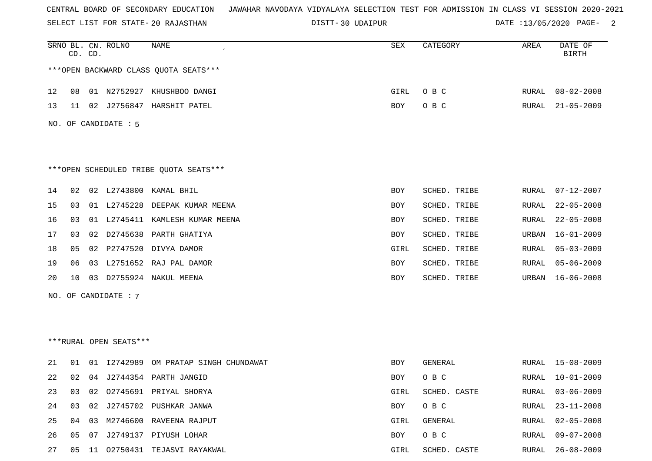SELECT LIST FOR STATE- DISTT- 20 RAJASTHAN

DISTT-30 UDAIPUR **DATE** :13/05/2020 PAGE- 2

|                                        | CD. CD.              |    | SRNO BL. CN. ROLNO     | NAME                                  | SEX  | CATEGORY     | AREA         | DATE OF<br><b>BIRTH</b> |  |  |
|----------------------------------------|----------------------|----|------------------------|---------------------------------------|------|--------------|--------------|-------------------------|--|--|
| *** OPEN BACKWARD CLASS QUOTA SEATS*** |                      |    |                        |                                       |      |              |              |                         |  |  |
| 12                                     | 08                   |    |                        | 01 N2752927 KHUSHBOO DANGI            | GIRL | O B C        | RURAL        | $08 - 02 - 2008$        |  |  |
| 13                                     | 11                   |    |                        | 02 J2756847 HARSHIT PATEL             | BOY  | O B C        | RURAL        | $21 - 05 - 2009$        |  |  |
|                                        | NO. OF CANDIDATE : 5 |    |                        |                                       |      |              |              |                         |  |  |
|                                        |                      |    |                        |                                       |      |              |              |                         |  |  |
| ***OPEN SCHEDULED TRIBE QUOTA SEATS*** |                      |    |                        |                                       |      |              |              |                         |  |  |
| 14                                     | 02                   |    |                        | 02 L2743800 KAMAL BHIL                | BOY  | SCHED. TRIBE | RURAL        | $07 - 12 - 2007$        |  |  |
| 15                                     | 03                   |    | 01 L2745228            | DEEPAK KUMAR MEENA                    | BOY  | SCHED. TRIBE | RURAL        | $22 - 05 - 2008$        |  |  |
| 16                                     | 03                   |    |                        | 01 L2745411 KAMLESH KUMAR MEENA       | BOY  | SCHED. TRIBE | RURAL        | $22 - 05 - 2008$        |  |  |
| 17                                     | 03                   |    | 02 D2745638            | PARTH GHATIYA                         | BOY  | SCHED. TRIBE | URBAN        | $16 - 01 - 2009$        |  |  |
| 18                                     | 05                   |    |                        | 02 P2747520 DIVYA DAMOR               | GIRL | SCHED. TRIBE | <b>RURAL</b> | $05 - 03 - 2009$        |  |  |
| 19                                     | 06                   |    |                        | 03 L2751652 RAJ PAL DAMOR             | BOY  | SCHED. TRIBE | RURAL        | $05 - 06 - 2009$        |  |  |
| 20                                     | 10                   | 03 |                        | D2755924 NAKUL MEENA                  | BOY  | SCHED. TRIBE | URBAN        | $16 - 06 - 2008$        |  |  |
|                                        |                      |    | NO. OF CANDIDATE : 7   |                                       |      |              |              |                         |  |  |
|                                        |                      |    |                        |                                       |      |              |              |                         |  |  |
|                                        |                      |    |                        |                                       |      |              |              |                         |  |  |
|                                        |                      |    | ***RURAL OPEN SEATS*** |                                       |      |              |              |                         |  |  |
| 21                                     | 01                   |    |                        | 01 I2742989 OM PRATAP SINGH CHUNDAWAT | BOY  | GENERAL      | RURAL        | $15 - 08 - 2009$        |  |  |
| 22                                     |                      |    |                        | 02 04 J2744354 PARTH JANGID           | BOY  | O B C        | RURAL        | $10 - 01 - 2009$        |  |  |
| 23                                     | 03                   | 02 |                        | 02745691 PRIYAL SHORYA                | GIRL | SCHED. CASTE | <b>RURAL</b> | $03 - 06 - 2009$        |  |  |
| 24                                     | 03                   | 02 |                        | J2745702 PUSHKAR JANWA                | BOY  | O B C        | <b>RURAL</b> | $23 - 11 - 2008$        |  |  |
| 25                                     |                      |    |                        | 04 03 M2746600 RAVEENA RAJPUT         | GIRL | GENERAL      | RURAL        | $02 - 05 - 2008$        |  |  |
| 26                                     | 05                   | 07 |                        | J2749137 PIYUSH LOHAR                 | BOY  | O B C        | <b>RURAL</b> | $09 - 07 - 2008$        |  |  |
| 27                                     | 05                   |    |                        | 11 02750431 TEJASVI RAYAKWAL          | GIRL | SCHED. CASTE | RURAL        | $26 - 08 - 2009$        |  |  |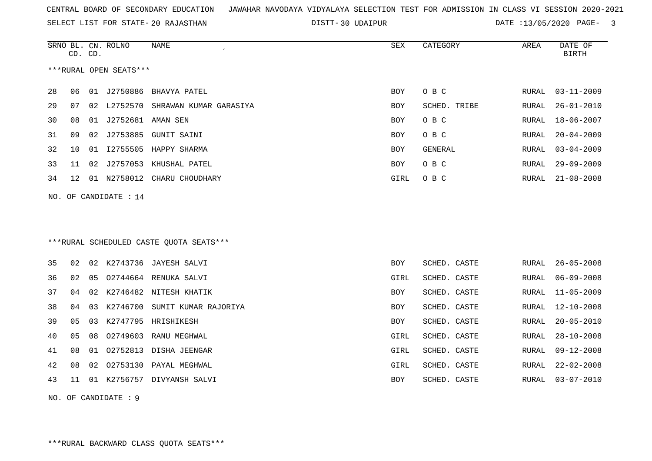SELECT LIST FOR STATE- DISTT- 20 RAJASTHAN

30 UDAIPUR DATE :13/05/2020 PAGE- 3

|    | CD. CD.           |    | SRNO BL. CN. ROLNO     | NAME                                    | SEX        | CATEGORY     | AREA         | DATE OF<br><b>BIRTH</b> |
|----|-------------------|----|------------------------|-----------------------------------------|------------|--------------|--------------|-------------------------|
|    |                   |    |                        |                                         |            |              |              |                         |
|    |                   |    | ***RURAL OPEN SEATS*** |                                         |            |              |              |                         |
| 28 | 06                |    |                        | 01 J2750886 BHAVYA PATEL                | <b>BOY</b> | O B C        | <b>RURAL</b> | $03 - 11 - 2009$        |
| 29 | 07                |    |                        | 02 L2752570 SHRAWAN KUMAR GARASIYA      | <b>BOY</b> | SCHED. TRIBE | RURAL        | $26 - 01 - 2010$        |
| 30 | 08                | 01 | J2752681               | AMAN SEN                                | <b>BOY</b> | O B C        | <b>RURAL</b> | $18 - 06 - 2007$        |
| 31 | 09                | 02 | J2753885               | GUNIT SAINI                             | BOY        | O B C        | RURAL        | $20 - 04 - 2009$        |
| 32 | 10                | 01 | I2755505               | HAPPY SHARMA                            | BOY        | GENERAL      | RURAL        | $03 - 04 - 2009$        |
| 33 | 11                | 02 |                        | J2757053 KHUSHAL PATEL                  | BOY        | O B C        | RURAL        | $29 - 09 - 2009$        |
| 34 | $12 \overline{ }$ |    |                        | 01 N2758012 CHARU CHOUDHARY             | GIRL       | O B C        | RURAL        | $21 - 08 - 2008$        |
|    |                   |    | NO. OF CANDIDATE : 14  |                                         |            |              |              |                         |
|    |                   |    |                        |                                         |            |              |              |                         |
|    |                   |    |                        |                                         |            |              |              |                         |
|    |                   |    |                        | ***RURAL SCHEDULED CASTE QUOTA SEATS*** |            |              |              |                         |
|    |                   |    |                        |                                         |            |              |              |                         |
| 35 | 02                |    |                        | 02 K2743736 JAYESH SALVI                | <b>BOY</b> | SCHED. CASTE | RURAL        | $26 - 05 - 2008$        |
| 36 | 02                | 05 |                        | 02744664 RENUKA SALVI                   | GIRL       | SCHED. CASTE | RURAL        | $06 - 09 - 2008$        |
| 37 | 04                | 02 |                        | K2746482 NITESH KHATIK                  | <b>BOY</b> | SCHED. CASTE | RURAL        | $11 - 05 - 2009$        |
| 38 | 04                | 03 |                        | K2746700 SUMIT KUMAR RAJORIYA           | <b>BOY</b> | SCHED. CASTE | RURAL        | $12 - 10 - 2008$        |
| 39 | 05                | 03 | K2747795               | HRISHIKESH                              | <b>BOY</b> | SCHED. CASTE | <b>RURAL</b> | $20 - 05 - 2010$        |
| 40 | 05                | 08 |                        | 02749603 RANU MEGHWAL                   | GIRL       | SCHED. CASTE | RURAL        | $28 - 10 - 2008$        |
| 41 | 08                | 01 |                        | 02752813 DISHA JEENGAR                  | GIRL       | SCHED. CASTE | RURAL        | $09 - 12 - 2008$        |
| 42 | 08                | 02 |                        | 02753130 PAYAL MEGHWAL                  | GIRL       | SCHED. CASTE | RURAL        | $22 - 02 - 2008$        |
| 43 | 11                |    |                        | 01 K2756757 DIVYANSH SALVI              | <b>BOY</b> | SCHED. CASTE | RURAL        | $03 - 07 - 2010$        |
|    |                   |    | NO. OF CANDIDATE : 9   |                                         |            |              |              |                         |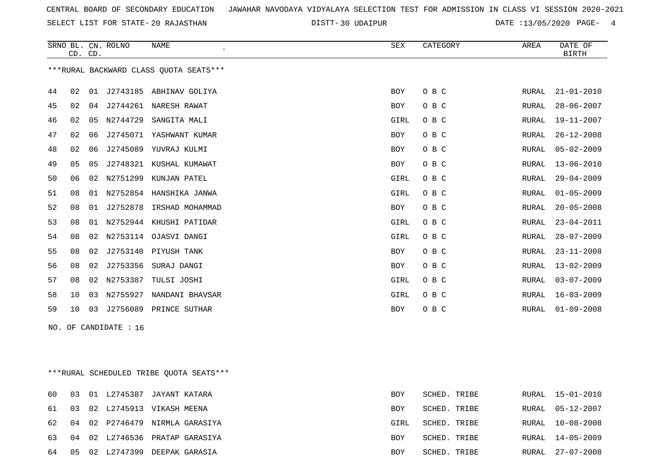SELECT LIST FOR STATE- DISTT- 20 RAJASTHAN

30 UDAIPUR DATE :13/05/2020 PAGE- 4

|    | CD. CD.         |    | SRNO BL. CN. ROLNO    | <b>NAME</b>                            | ${\tt SEX}$ | CATEGORY | AREA         | DATE OF<br><b>BIRTH</b> |
|----|-----------------|----|-----------------------|----------------------------------------|-------------|----------|--------------|-------------------------|
|    |                 |    |                       | ***RURAL BACKWARD CLASS OUOTA SEATS*** |             |          |              |                         |
| 44 | 02              |    |                       | 01 J2743185 ABHINAV GOLIYA             | <b>BOY</b>  | O B C    | RURAL        | $21 - 01 - 2010$        |
| 45 | 02              | 04 |                       | J2744261 NARESH RAWAT                  | BOY         | O B C    | RURAL        | $28 - 06 - 2007$        |
| 46 | 02              | 05 | N2744729              | SANGITA MALI                           | GIRL        | O B C    | RURAL        | 19-11-2007              |
| 47 | 02              | 06 | J2745071              | YASHWANT KUMAR                         | <b>BOY</b>  | O B C    | RURAL        | $26 - 12 - 2008$        |
| 48 | 02              | 06 |                       | J2745089 YUVRAJ KULMI                  | <b>BOY</b>  | O B C    | RURAL        | $05 - 02 - 2009$        |
| 49 | 05              | 05 |                       | J2748321 KUSHAL KUMAWAT                | BOY         | O B C    | RURAL        | $13 - 06 - 2010$        |
| 50 | 06              | 02 | N2751299              | KUNJAN PATEL                           | GIRL        | O B C    | RURAL        | $29 - 04 - 2009$        |
| 51 | 08              | 01 |                       | N2752854 HANSHIKA JANWA                | GIRL        | O B C    | <b>RURAL</b> | $01 - 05 - 2009$        |
| 52 | 08              | 01 |                       | J2752878 IRSHAD MOHAMMAD               | BOY         | O B C    | RURAL        | $20 - 05 - 2008$        |
| 53 | 08              | 01 |                       | N2752944 KHUSHI PATIDAR                | GIRL        | O B C    | RURAL        | $23 - 04 - 2011$        |
| 54 | 08              | 02 |                       | N2753114 OJASVI DANGI                  | GIRL        | O B C    | RURAL        | $28 - 07 - 2009$        |
| 55 | 08              | 02 |                       | J2753140 PIYUSH TANK                   | <b>BOY</b>  | O B C    | <b>RURAL</b> | $23 - 11 - 2008$        |
| 56 | 08              | 02 | J2753356              | SURAJ DANGI                            | BOY         | O B C    | RURAL        | $13 - 02 - 2009$        |
| 57 | 08              | 02 | N2753387              | TULSI JOSHI                            | GIRL        | O B C    | <b>RURAL</b> | $03 - 07 - 2009$        |
| 58 | 10              | 03 |                       | N2755927 NANDANI BHAVSAR               | GIRL        | O B C    | RURAL        | $16 - 03 - 2009$        |
| 59 | 10 <sup>°</sup> | 03 |                       | J2756089 PRINCE SUTHAR                 | BOY         | O B C    | RURAL        | $01 - 09 - 2008$        |
|    |                 |    | NO. OF CANDIDATE : 16 |                                        |             |          |              |                         |
|    |                 |    |                       |                                        |             |          |              |                         |
|    |                 |    |                       |                                        |             |          |              |                         |

\*\*\*RURAL SCHEDULED TRIBE QUOTA SEATS\*\*\*

| 60    |  | 03 01 L2745387 JAYANT KATARA      | <b>BOY</b> | SCHED. TRIBE |       | RURAL 15-01-2010 |
|-------|--|-----------------------------------|------------|--------------|-------|------------------|
| 61 03 |  | 02 L2745913 VIKASH MEENA          | <b>BOY</b> | SCHED. TRIBE |       | RURAL 05-12-2007 |
| 62 04 |  | 02 P2746479 NIRMLA GARASIYA       | GIRL       | SCHED. TRIBE | RURAL | 10-08-2008       |
|       |  | 63 04 02 L2746536 PRATAP GARASIYA | BOY        | SCHED. TRIBE |       | RURAL 14-05-2009 |
| 64 05 |  | 02 L2747399 DEEPAK GARASIA        | BOY        | SCHED. TRIBE |       | RURAL 27-07-2008 |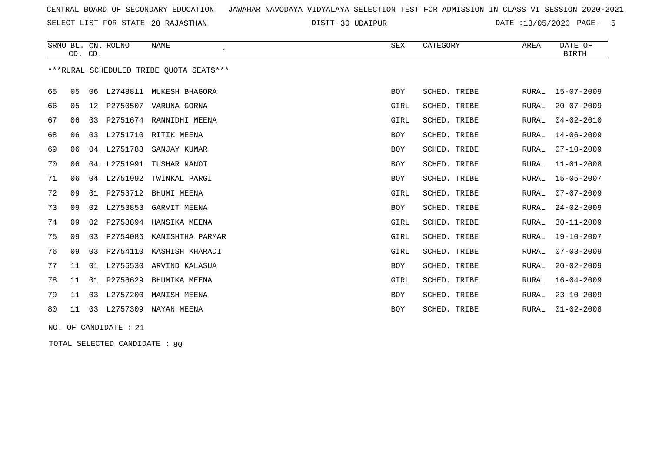SELECT LIST FOR STATE- DISTT- 20 RAJASTHAN

30 UDAIPUR DATE :13/05/2020 PAGE- 5

|    |    | CD. CD. | SRNO BL. CN. ROLNO | <b>NAME</b>                             | SEX        | CATEGORY     | AREA         | DATE OF<br><b>BIRTH</b> |
|----|----|---------|--------------------|-----------------------------------------|------------|--------------|--------------|-------------------------|
|    |    |         |                    | ***RURAL SCHEDULED TRIBE QUOTA SEATS*** |            |              |              |                         |
| 65 | 05 | 06      | L2748811           | MUKESH BHAGORA                          | <b>BOY</b> | SCHED. TRIBE | RURAL        | $15 - 07 - 2009$        |
| 66 | 05 | 12      | P2750507           | VARUNA GORNA                            | GIRL       | SCHED. TRIBE | <b>RURAL</b> | $20 - 07 - 2009$        |
| 67 | 06 |         |                    | 03 P2751674 RANNIDHI MEENA              | GIRL       | SCHED. TRIBE | <b>RURAL</b> | $04 - 02 - 2010$        |
| 68 | 06 |         |                    | 03 L2751710 RITIK MEENA                 | BOY        | SCHED. TRIBE | <b>RURAL</b> | $14 - 06 - 2009$        |
| 69 | 06 | 04      | L2751783           | SANJAY KUMAR                            | <b>BOY</b> | SCHED. TRIBE | RURAL        | $07 - 10 - 2009$        |
| 70 | 06 | 04      | L2751991           | TUSHAR NANOT                            | BOY        | SCHED. TRIBE | <b>RURAL</b> | $11 - 01 - 2008$        |
| 71 | 06 | 04      | L2751992           | TWINKAL PARGI                           | <b>BOY</b> | SCHED. TRIBE | <b>RURAL</b> | $15 - 05 - 2007$        |
| 72 | 09 |         | 01 P2753712        | BHUMI MEENA                             | GIRL       | SCHED. TRIBE | <b>RURAL</b> | $07 - 07 - 2009$        |
| 73 | 09 | 02      | L2753853           | GARVIT MEENA                            | <b>BOY</b> | SCHED. TRIBE | <b>RURAL</b> | $24 - 02 - 2009$        |
| 74 | 09 | 02      |                    | P2753894 HANSIKA MEENA                  | GIRL       | SCHED. TRIBE | <b>RURAL</b> | $30 - 11 - 2009$        |
| 75 | 09 | 03      | P2754086           | KANISHTHA PARMAR                        | GIRL       | SCHED. TRIBE | <b>RURAL</b> | $19 - 10 - 2007$        |
| 76 | 09 |         |                    | 03 P2754110 KASHISH KHARADI             | GIRL       | SCHED. TRIBE | <b>RURAL</b> | $07 - 03 - 2009$        |
| 77 | 11 |         |                    | 01 L2756530 ARVIND KALASUA              | BOY        | SCHED. TRIBE | <b>RURAL</b> | $20 - 02 - 2009$        |
| 78 | 11 |         | 01 P2756629        | BHUMIKA MEENA                           | GIRL       | SCHED. TRIBE | <b>RURAL</b> | $16 - 04 - 2009$        |
| 79 | 11 | 03      | L2757200           | MANISH MEENA                            | <b>BOY</b> | SCHED. TRIBE | <b>RURAL</b> | $23 - 10 - 2009$        |
| 80 | 11 | 03      | L2757309           | NAYAN MEENA                             | <b>BOY</b> | SCHED. TRIBE | <b>RURAL</b> | $01 - 02 - 2008$        |
|    |    |         |                    |                                         |            |              |              |                         |

NO. OF CANDIDATE : 21

TOTAL SELECTED CANDIDATE : 80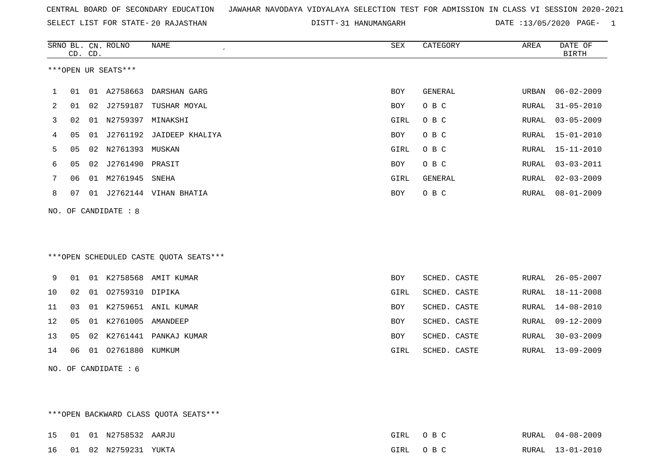SELECT LIST FOR STATE- DISTT- 20 RAJASTHAN

31 HANUMANGARH DATE :13/05/2020 PAGE- 1

|                |    | CD. CD. | SRNO BL. CN. ROLNO   | NAME                                   | SEX        | CATEGORY     | AREA  | DATE OF<br><b>BIRTH</b> |
|----------------|----|---------|----------------------|----------------------------------------|------------|--------------|-------|-------------------------|
|                |    |         | ***OPEN UR SEATS***  |                                        |            |              |       |                         |
| $\mathbf{1}$   | 01 |         |                      | 01 A2758663 DARSHAN GARG               | <b>BOY</b> | GENERAL      | URBAN | $06 - 02 - 2009$        |
| $\overline{2}$ | 01 |         | 02 J2759187          | TUSHAR MOYAL                           | <b>BOY</b> | O B C        | RURAL | $31 - 05 - 2010$        |
| 3              | 02 |         | 01 N2759397          | MINAKSHI                               | GIRL       | O B C        | RURAL | $03 - 05 - 2009$        |
| 4              | 05 |         |                      | 01 J2761192 JAIDEEP KHALIYA            | BOY        | O B C        | RURAL | $15 - 01 - 2010$        |
| 5              | 05 |         | 02 N2761393 MUSKAN   |                                        | GIRL       | O B C        | RURAL | $15 - 11 - 2010$        |
| 6              | 05 |         | 02 J2761490 PRASIT   |                                        | BOY        | O B C        | RURAL | $03 - 03 - 2011$        |
| 7              | 06 |         | 01 M2761945          | SNEHA                                  | GIRL       | GENERAL      | RURAL | $02 - 03 - 2009$        |
| 8              | 07 |         |                      | 01 J2762144 VIHAN BHATIA               | <b>BOY</b> | O B C        | RURAL | $08 - 01 - 2009$        |
|                |    |         | NO. OF CANDIDATE : 8 |                                        |            |              |       |                         |
|                |    |         |                      |                                        |            |              |       |                         |
|                |    |         |                      |                                        |            |              |       |                         |
|                |    |         |                      | ***OPEN SCHEDULED CASTE QUOTA SEATS*** |            |              |       |                         |
| 9              | 01 |         |                      | 01 K2758568 AMIT KUMAR                 | <b>BOY</b> | SCHED. CASTE | RURAL | $26 - 05 - 2007$        |
| 10             | 02 |         | 01 02759310 DIPIKA   |                                        | GIRL       | SCHED. CASTE | RURAL | $18 - 11 - 2008$        |
| 11             | 03 |         |                      | 01 K2759651 ANIL KUMAR                 | BOY        | SCHED. CASTE | RURAL | $14 - 08 - 2010$        |
| 12             | 05 |         | 01 K2761005 AMANDEEP |                                        | BOY        | SCHED. CASTE | RURAL | $09 - 12 - 2009$        |
| 13             | 05 |         |                      | 02 K2761441 PANKAJ KUMAR               | BOY        | SCHED. CASTE | RURAL | $30 - 03 - 2009$        |
| 14             | 06 |         | 01 02761880 KUMKUM   |                                        | GIRL       | SCHED. CASTE | RURAL | $13 - 09 - 2009$        |
|                |    |         | NO. OF CANDIDATE: 6  |                                        |            |              |       |                         |

\*\*\*OPEN BACKWARD CLASS QUOTA SEATS\*\*\*

|  | 15        01        01        N2758532        AARJU |  | GIRL OBC | RURAL 04-08-2009 |
|--|-----------------------------------------------------|--|----------|------------------|
|  | 16 01 02 N2759231 YUKTA                             |  | GIRL OBC | RURAL 13-01-2010 |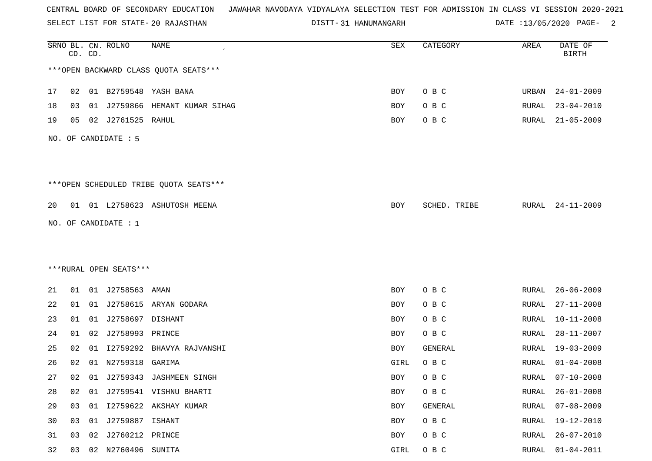SELECT LIST FOR STATE- DISTT- 20 RAJASTHAN

DISTT-31 HANUMANGARH DATE :13/05/2020 PAGE- 2

|    |    | CD. CD. | SRNO BL. CN. ROLNO     | <b>NAME</b>                            | SEX         | CATEGORY       | AREA         | DATE OF<br><b>BIRTH</b> |
|----|----|---------|------------------------|----------------------------------------|-------------|----------------|--------------|-------------------------|
|    |    |         |                        | *** OPEN BACKWARD CLASS QUOTA SEATS*** |             |                |              |                         |
| 17 | 02 |         |                        | 01 B2759548 YASH BANA                  | BOY         | O B C          | URBAN        | $24 - 01 - 2009$        |
| 18 | 03 | 01      | J2759866               | HEMANT KUMAR SIHAG                     | BOY         | O B C          | RURAL        | $23 - 04 - 2010$        |
| 19 | 05 |         | 02 J2761525 RAHUL      |                                        | BOY         | O B C          | RURAL        | $21 - 05 - 2009$        |
|    |    |         | NO. OF CANDIDATE : 5   |                                        |             |                |              |                         |
|    |    |         |                        |                                        |             |                |              |                         |
|    |    |         |                        | ***OPEN SCHEDULED TRIBE QUOTA SEATS*** |             |                |              |                         |
| 20 |    |         |                        | 01 01 L2758623 ASHUTOSH MEENA          | BOY         | SCHED. TRIBE   | RURAL        | $24 - 11 - 2009$        |
|    |    |         | NO. OF CANDIDATE : $1$ |                                        |             |                |              |                         |
|    |    |         |                        |                                        |             |                |              |                         |
|    |    |         |                        |                                        |             |                |              |                         |
|    |    |         | ***RURAL OPEN SEATS*** |                                        |             |                |              |                         |
| 21 | 01 |         | 01 J2758563            | AMAN                                   | BOY         | O B C          | RURAL        | $26 - 06 - 2009$        |
| 22 | 01 |         |                        | 01 J2758615 ARYAN GODARA               | BOY         | O B C          | RURAL        | $27 - 11 - 2008$        |
| 23 | 01 | 01      | J2758697               | DISHANT                                | BOY         | O B C          | <b>RURAL</b> | $10 - 11 - 2008$        |
| 24 | 01 | 02      | J2758993               | PRINCE                                 | BOY         | O B C          | RURAL        | $28 - 11 - 2007$        |
| 25 | 02 | 01      | I2759292               | BHAVYA RAJVANSHI                       | BOY         | <b>GENERAL</b> | RURAL        | $19 - 03 - 2009$        |
| 26 | 02 | 01      | N2759318               | GARIMA                                 | GIRL        | O B C          | RURAL        | $01 - 04 - 2008$        |
| 27 | 02 |         |                        | 01 J2759343 JASHMEEN SINGH             | BOY         | O B C          | RURAL        | $07 - 10 - 2008$        |
| 28 | 02 | 01      |                        | J2759541 VISHNU BHARTI                 | BOY         | O B C          | <b>RURAL</b> | $26 - 01 - 2008$        |
| 29 | 03 |         |                        | 01 I2759622 AKSHAY KUMAR               | BOY         | GENERAL        | <b>RURAL</b> | $07 - 08 - 2009$        |
| 30 | 03 |         | 01 J2759887 ISHANT     |                                        | BOY         | O B C          | RURAL        | 19-12-2010              |
| 31 | 03 | 02      | J2760212 PRINCE        |                                        | BOY         | O B C          | <b>RURAL</b> | $26 - 07 - 2010$        |
| 32 |    |         | 03 02 N2760496 SUNITA  |                                        | <b>GIRL</b> | O B C          |              | RURAL 01-04-2011        |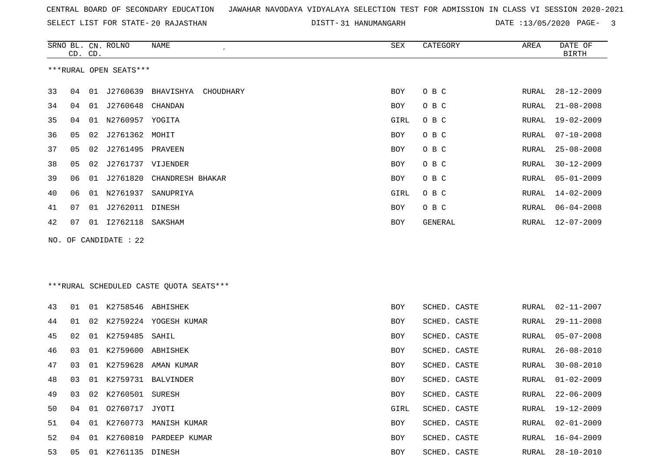SELECT LIST FOR STATE- DISTT- 20 RAJASTHAN

31 HANUMANGARH DATE :13/05/2020 PAGE- 3

|    | CD. CD.                |    | SRNO BL. CN. ROLNO | NAME<br>$\epsilon$     | SEX        | CATEGORY | AREA  | DATE OF<br><b>BIRTH</b> |  |  |
|----|------------------------|----|--------------------|------------------------|------------|----------|-------|-------------------------|--|--|
|    | ***RURAL OPEN SEATS*** |    |                    |                        |            |          |       |                         |  |  |
| 33 | 04                     | 01 | J2760639           | BHAVISHYA<br>CHOUDHARY | BOY        | O B C    | RURAL | $28 - 12 - 2009$        |  |  |
| 34 | 04                     | 01 | J2760648           | CHANDAN                | BOY        | O B C    | RURAL | $21 - 08 - 2008$        |  |  |
| 35 | 04                     | 01 | N2760957           | YOGITA                 | GIRL       | O B C    | RURAL | $19 - 02 - 2009$        |  |  |
| 36 | 05                     | 02 | J2761362           | MOHIT                  | BOY        | O B C    | RURAL | $07 - 10 - 2008$        |  |  |
| 37 | 05                     | 02 | J2761495           | PRAVEEN                | BOY        | O B C    | RURAL | $25 - 08 - 2008$        |  |  |
| 38 | 05                     | 02 | J2761737 VIJENDER  |                        | BOY        | O B C    | RURAL | $30 - 12 - 2009$        |  |  |
| 39 | 06                     | 01 | J2761820           | CHANDRESH BHAKAR       | BOY        | O B C    | RURAL | $05 - 01 - 2009$        |  |  |
| 40 | 06                     | 01 | N2761937           | SANUPRIYA              | GIRL       | O B C    | RURAL | $14 - 02 - 2009$        |  |  |
| 41 | 07                     | 01 | J2762011           | DINESH                 | <b>BOY</b> | O B C    | RURAL | $06 - 04 - 2008$        |  |  |
| 42 | 07                     | 01 | I2762118           | SAKSHAM                | BOY        | GENERAL  | RURAL | $12 - 07 - 2009$        |  |  |
|    |                        |    |                    |                        |            |          |       |                         |  |  |

NO. OF CANDIDATE : 22

# \*\*\*RURAL SCHEDULED CASTE QUOTA SEATS\*\*\*

| 43 | 01 | 01 K2758546 ABHISHEK |                          | BOY        | SCHED. CASTE | RURAL | $02 - 11 - 2007$ |
|----|----|----------------------|--------------------------|------------|--------------|-------|------------------|
| 44 | 01 |                      | 02 K2759224 YOGESH KUMAR | <b>BOY</b> | SCHED. CASTE | RURAL | 29-11-2008       |
| 45 | 02 | 01 K2759485 SAHIL    |                          | <b>BOY</b> | SCHED. CASTE |       | RURAL 05-07-2008 |
| 46 | 03 | 01 K2759600 ABHISHEK |                          | <b>BOY</b> | SCHED. CASTE |       | RURAL 26-08-2010 |
| 47 | 03 |                      | 01 K2759628 AMAN KUMAR   | <b>BOY</b> | SCHED. CASTE |       | RURAL 30-08-2010 |
| 48 | 03 |                      | 01 K2759731 BALVINDER    | <b>BOY</b> | SCHED. CASTE | RURAL | 01-02-2009       |
| 49 | 03 | 02 K2760501 SURESH   |                          | BOY        | SCHED. CASTE | RURAL | 22-06-2009       |
| 50 | 04 | 01 02760717 JYOTI    |                          | GIRL       | SCHED. CASTE | RURAL | 19-12-2009       |
| 51 | 04 |                      | 01 K2760773 MANISH KUMAR | BOY        | SCHED. CASTE | RURAL | 02-01-2009       |
| 52 | 04 | 01 K2760810          | PARDEEP KUMAR            | BOY        | SCHED. CASTE | RURAL | 16-04-2009       |
| 53 | 05 | 01 K2761135 DINESH   |                          | <b>BOY</b> | SCHED. CASTE | RURAL | 28-10-2010       |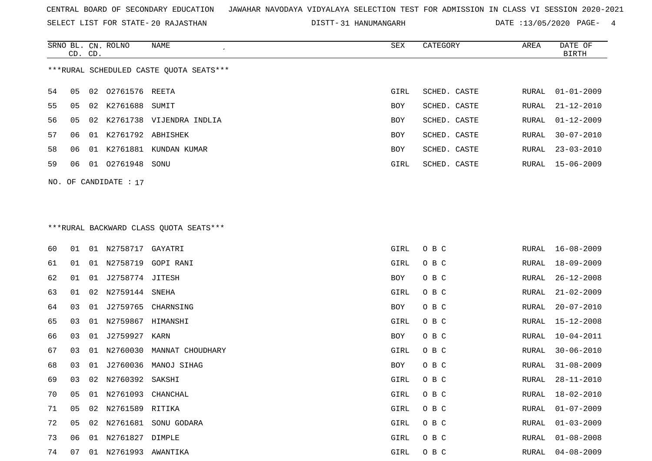SELECT LIST FOR STATE- DISTT- 20 RAJASTHAN

DISTT-31 HANUMANGARH DATE :13/05/2020 PAGE- 4

|                                         | CD. CD. |    | SRNO BL. CN. ROLNO   | NAME                        | SEX        | CATEGORY     | AREA  | DATE OF<br>BIRTH |  |  |
|-----------------------------------------|---------|----|----------------------|-----------------------------|------------|--------------|-------|------------------|--|--|
| ***RURAL SCHEDULED CASTE OUOTA SEATS*** |         |    |                      |                             |            |              |       |                  |  |  |
| 54                                      | 05      |    | 02 02761576 REETA    |                             | GIRL       | SCHED. CASTE |       | RURAL 01-01-2009 |  |  |
| 55                                      | 05      | 02 | K2761688 SUMIT       |                             | BOY        | SCHED. CASTE |       | RURAL 21-12-2010 |  |  |
| 56                                      | 05      |    |                      | 02 K2761738 VIJENDRA INDLIA | <b>BOY</b> | SCHED. CASTE |       | RURAL 01-12-2009 |  |  |
| 57                                      | 06      |    | 01 K2761792 ABHISHEK |                             | <b>BOY</b> | SCHED. CASTE | RURAL | $30 - 07 - 2010$ |  |  |
| 58                                      | 06      | 01 | K2761881             | KUNDAN KUMAR                | <b>BOY</b> | SCHED. CASTE | RURAL | 23-03-2010       |  |  |
| 59                                      | 06      | 01 | 02761948             | SONU                        | GIRL       | SCHED. CASTE |       | RURAL 15-06-2009 |  |  |
|                                         |         |    |                      |                             |            |              |       |                  |  |  |

# \*\*\*RURAL BACKWARD CLASS QUOTA SEATS\*\*\*

NO. OF CANDIDATE : 17

| 60 | 01 | 01 | N2758717 GAYATRI  |                           | GIRL | O B C | RURAL | $16 - 08 - 2009$ |
|----|----|----|-------------------|---------------------------|------|-------|-------|------------------|
| 61 | 01 | 01 | N2758719          | GOPI RANI                 | GIRL | O B C | RURAL | 18-09-2009       |
| 62 | 01 | 01 | J2758774 JITESH   |                           | BOY  | O B C | RURAL | $26 - 12 - 2008$ |
| 63 | 01 | 02 | N2759144          | SNEHA                     | GIRL | O B C | RURAL | $21 - 02 - 2009$ |
| 64 | 03 | 01 | J2759765          | CHARNSING                 | BOY  | O B C | RURAL | $20 - 07 - 2010$ |
| 65 | 03 | 01 | N2759867          | HIMANSHI                  | GIRL | O B C | RURAL | 15-12-2008       |
| 66 | 03 | 01 | J2759927          | KARN                      | BOY  | O B C | RURAL | $10 - 04 - 2011$ |
| 67 | 03 | 01 |                   | N2760030 MANNAT CHOUDHARY | GIRL | O B C | RURAL | $30 - 06 - 2010$ |
| 68 | 03 | 01 | J2760036          | MANOJ SIHAG               | BOY  | O B C | RURAL | $31 - 08 - 2009$ |
| 69 | 03 | 02 | N2760392 SAKSHI   |                           | GIRL | O B C | RURAL | $28 - 11 - 2010$ |
| 70 | 05 | 01 | N2761093          | CHANCHAL                  | GIRL | O B C | RURAL | 18-02-2010       |
| 71 | 05 | 02 | N2761589 RITIKA   |                           | GIRL | O B C | RURAL | $01 - 07 - 2009$ |
| 72 | 05 | 02 | N2761681          | SONU GODARA               | GIRL | O B C | RURAL | $01 - 03 - 2009$ |
| 73 | 06 | 01 | N2761827          | DIMPLE                    | GIRL | O B C | RURAL | $01 - 08 - 2008$ |
| 74 | 07 | 01 | N2761993 AWANTIKA |                           | GIRL | O B C | RURAL | $04 - 08 - 2009$ |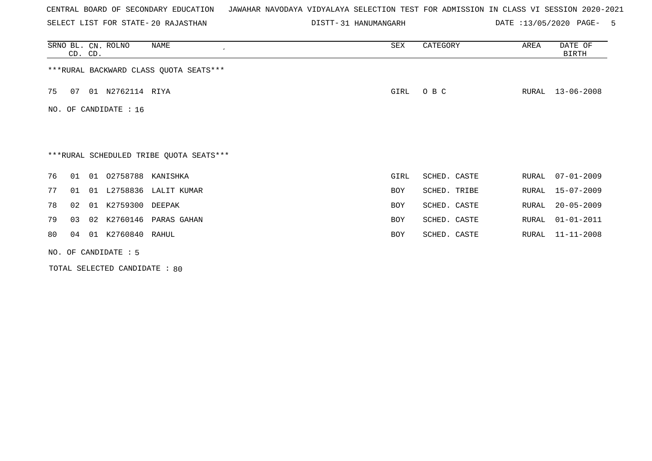SELECT LIST FOR STATE- DISTT- 20 RAJASTHAN

DISTT-31 HANUMANGARH DATE :13/05/2020 PAGE- 5

|     | CD. CD.                |    | SRNO BL. CN. ROLNO | NAME<br>$\cdot$                         | SEX        | CATEGORY     | AREA  | DATE OF<br><b>BIRTH</b> |  |
|-----|------------------------|----|--------------------|-----------------------------------------|------------|--------------|-------|-------------------------|--|
|     |                        |    |                    | *** RURAL BACKWARD CLASS QUOTA SEATS*** |            |              |       |                         |  |
| 75  | 07                     |    | 01 N2762114 RIYA   |                                         | GIRL       | O B C        | RURAL | $13 - 06 - 2008$        |  |
| NO. |                        |    | OF CANDIDATE : 16  |                                         |            |              |       |                         |  |
|     |                        |    |                    |                                         |            |              |       |                         |  |
|     |                        |    |                    | ***RURAL SCHEDULED TRIBE QUOTA SEATS*** |            |              |       |                         |  |
| 76  | 01                     | 01 | 02758788 KANISHKA  |                                         | GIRL       | SCHED. CASTE | RURAL | $07 - 01 - 2009$        |  |
| 77  | 01                     |    |                    | 01 L2758836 LALIT KUMAR                 | <b>BOY</b> | SCHED. TRIBE | RURAL | $15 - 07 - 2009$        |  |
| 78  | 02                     | 01 | K2759300 DEEPAK    |                                         | <b>BOY</b> | SCHED. CASTE | RURAL | $20 - 05 - 2009$        |  |
| 79  | 03                     | 02 |                    | K2760146 PARAS GAHAN                    | <b>BOY</b> | SCHED. CASTE | RURAL | $01 - 01 - 2011$        |  |
| 80  | 04                     | 01 | K2760840 RAHUL     |                                         | BOY        | SCHED. CASTE | RURAL | $11 - 11 - 2008$        |  |
|     | NO. OF CANDIDATE $: 5$ |    |                    |                                         |            |              |       |                         |  |

TOTAL SELECTED CANDIDATE : 80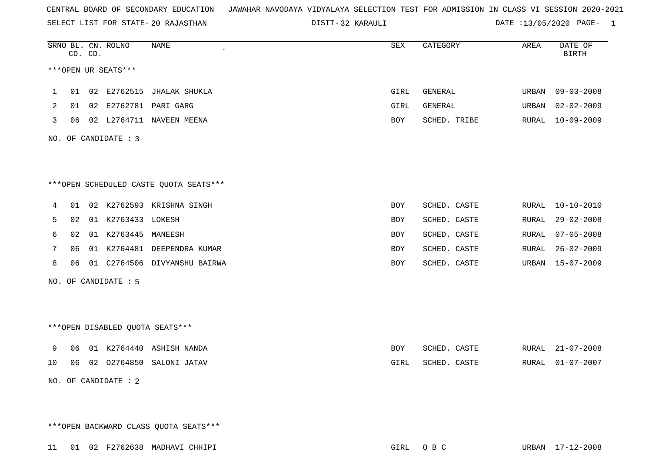SELECT LIST FOR STATE- DISTT- 20 RAJASTHAN

32 KARAULI DATE :13/05/2020 PAGE- 1

|    |    | CD. CD. | SRNO BL. CN. ROLNO   | <b>NAME</b>                            | ${\tt SEX}$ | CATEGORY     | AREA  | DATE OF<br><b>BIRTH</b> |
|----|----|---------|----------------------|----------------------------------------|-------------|--------------|-------|-------------------------|
|    |    |         | ***OPEN UR SEATS***  |                                        |             |              |       |                         |
| 1  |    |         |                      | 01 02 E2762515 JHALAK SHUKLA           | GIRL        | GENERAL      | URBAN | $09 - 03 - 2008$        |
| 2  | 01 |         |                      | 02 E2762781 PARI GARG                  | GIRL        | GENERAL      | URBAN | $02 - 02 - 2009$        |
| 3  |    |         |                      | 06 02 L2764711 NAVEEN MEENA            | BOY         | SCHED. TRIBE | RURAL | $10 - 09 - 2009$        |
|    |    |         | NO. OF CANDIDATE : 3 |                                        |             |              |       |                         |
|    |    |         |                      |                                        |             |              |       |                         |
|    |    |         |                      | ***OPEN SCHEDULED CASTE QUOTA SEATS*** |             |              |       |                         |
| 4  |    |         |                      | 01 02 K2762593 KRISHNA SINGH           | BOY         | SCHED. CASTE | RURAL | $10 - 10 - 2010$        |
| 5  | 02 |         | 01 K2763433 LOKESH   |                                        | BOY         | SCHED. CASTE | RURAL | $29 - 02 - 2008$        |
| 6  | 02 |         | 01 K2763445          | MANEESH                                | BOY         | SCHED. CASTE | RURAL | $07 - 05 - 2008$        |
| 7  | 06 |         |                      | 01 K2764481 DEEPENDRA KUMAR            | <b>BOY</b>  | SCHED. CASTE | RURAL | $26 - 02 - 2009$        |
| 8  | 06 |         |                      | 01 C2764506 DIVYANSHU BAIRWA           | BOY         | SCHED. CASTE | URBAN | $15 - 07 - 2009$        |
|    |    |         | NO. OF CANDIDATE : 5 |                                        |             |              |       |                         |
|    |    |         |                      |                                        |             |              |       |                         |
|    |    |         |                      | ***OPEN DISABLED QUOTA SEATS***        |             |              |       |                         |
| 9  | 06 |         |                      | 01 K2764440 ASHISH NANDA               | BOY         | SCHED. CASTE | RURAL | $21 - 07 - 2008$        |
| 10 | 06 |         |                      | 02 02764850 SALONI JATAV               | GIRL        | SCHED. CASTE | RURAL | $01 - 07 - 2007$        |
|    |    |         | NO. OF CANDIDATE : 2 |                                        |             |              |       |                         |
|    |    |         |                      |                                        |             |              |       |                         |

\*\*\*OPEN BACKWARD CLASS QUOTA SEATS\*\*\*

11 01 02 F2762638 MADHAVI CHHIPI GIRL O B C URBAN 17-12-2008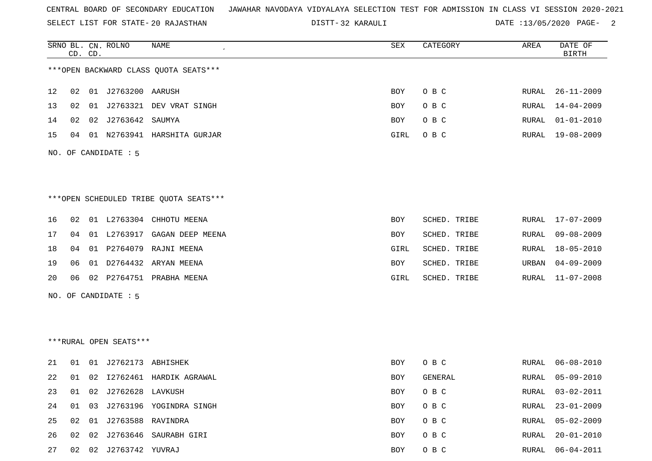SELECT LIST FOR STATE- DISTT- 20 RAJASTHAN

32 KARAULI DATE :13/05/2020 PAGE- 2

|    |    | CD. CD. | SRNO BL. CN. ROLNO     | NAME                                    | SEX        | CATEGORY     | AREA  | DATE OF<br><b>BIRTH</b> |
|----|----|---------|------------------------|-----------------------------------------|------------|--------------|-------|-------------------------|
|    |    |         |                        | *** OPEN BACKWARD CLASS QUOTA SEATS *** |            |              |       |                         |
| 12 | 02 |         | 01 J2763200 AARUSH     |                                         | <b>BOY</b> | O B C        | RURAL | $26 - 11 - 2009$        |
| 13 | 02 |         |                        | 01 J2763321 DEV VRAT SINGH              | BOY        | O B C        | RURAL | 14-04-2009              |
| 14 | 02 |         | 02 J2763642 SAUMYA     |                                         | <b>BOY</b> | O B C        | RURAL | $01 - 01 - 2010$        |
| 15 | 04 |         |                        | 01 N2763941 HARSHITA GURJAR             | GIRL       | O B C        |       | RURAL 19-08-2009        |
|    |    |         | NO. OF CANDIDATE : 5   |                                         |            |              |       |                         |
|    |    |         |                        |                                         |            |              |       |                         |
|    |    |         |                        | ***OPEN SCHEDULED TRIBE QUOTA SEATS***  |            |              |       |                         |
| 16 | 02 |         |                        | 01 L2763304 CHHOTU MEENA                | <b>BOY</b> | SCHED. TRIBE | RURAL | 17-07-2009              |
| 17 | 04 |         |                        | 01 L2763917 GAGAN DEEP MEENA            | BOY        | SCHED. TRIBE | RURAL | $09 - 08 - 2009$        |
| 18 | 04 |         |                        | 01 P2764079 RAJNI MEENA                 | GIRL       | SCHED. TRIBE | RURAL | $18 - 05 - 2010$        |
| 19 | 06 |         |                        | 01 D2764432 ARYAN MEENA                 | BOY        | SCHED. TRIBE | URBAN | $04 - 09 - 2009$        |
| 20 | 06 |         |                        | 02 P2764751 PRABHA MEENA                | GIRL       | SCHED. TRIBE | RURAL | 11-07-2008              |
|    |    |         | NO. OF CANDIDATE : 5   |                                         |            |              |       |                         |
|    |    |         |                        |                                         |            |              |       |                         |
|    |    |         | ***RURAL OPEN SEATS*** |                                         |            |              |       |                         |
| 21 | 01 |         | 01 J2762173 ABHISHEK   |                                         | <b>BOY</b> | O B C        | RURAL | $06 - 08 - 2010$        |
| 22 | 01 |         |                        | 02 I2762461 HARDIK AGRAWAL              | <b>BOY</b> | GENERAL      | RURAL | $05 - 09 - 2010$        |
| 23 | 01 |         | 02 J2762628 LAVKUSH    |                                         | BOY        | O B C        | RURAL | $03 - 02 - 2011$        |
| 24 | 01 |         |                        | 03 J2763196 YOGINDRA SINGH              | BOY        | O B C        | RURAL | $23 - 01 - 2009$        |
| 25 | 02 |         | 01 J2763588 RAVINDRA   |                                         | <b>BOY</b> | O B C        | RURAL | $05 - 02 - 2009$        |

26 02 02 J2763646 SAURABH GIRI BOY O B C RURAL 20-01-2010

27 02 02 J2763742 YUVRAJ BOY O B C RURAL 06-04-2011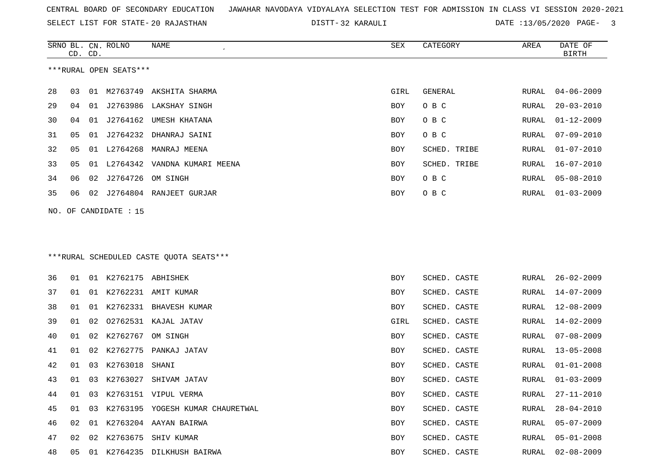SELECT LIST FOR STATE- DISTT- 20 RAJASTHAN

32 KARAULI DATE :13/05/2020 PAGE- 3

|    | CD. CD. |    | SRNO BL. CN. ROLNO     | NAME                                     | SEX  | CATEGORY     | AREA         | DATE OF<br><b>BIRTH</b> |
|----|---------|----|------------------------|------------------------------------------|------|--------------|--------------|-------------------------|
|    |         |    | ***RURAL OPEN SEATS*** |                                          |      |              |              |                         |
| 28 | 03      |    |                        | 01 M2763749 AKSHITA SHARMA               | GIRL | GENERAL      | RURAL        | $04 - 06 - 2009$        |
| 29 | 04      |    |                        | 01 J2763986 LAKSHAY SINGH                | BOY  | O B C        | RURAL        | $20 - 03 - 2010$        |
| 30 | 04      | 01 | J2764162               | UMESH KHATANA                            | BOY  | O B C        | RURAL        | $01 - 12 - 2009$        |
| 31 | 05      | 01 | J2764232               | DHANRAJ SAINI                            | BOY  | O B C        | <b>RURAL</b> | $07 - 09 - 2010$        |
| 32 | 05      | 01 | L2764268               | MANRAJ MEENA                             | BOY  | SCHED. TRIBE | RURAL        | $01 - 07 - 2010$        |
| 33 | 05      |    |                        | 01 L2764342 VANDNA KUMARI MEENA          | BOY  | SCHED. TRIBE | RURAL        | $16 - 07 - 2010$        |
| 34 | 06      | 02 | J2764726               | OM SINGH                                 | BOY  | O B C        | RURAL        | $05 - 08 - 2010$        |
| 35 | 06      |    |                        | 02 J2764804 RANJEET GURJAR               | BOY  | O B C        | RURAL        | $01 - 03 - 2009$        |
|    |         |    | NO. OF CANDIDATE : 15  |                                          |      |              |              |                         |
|    |         |    |                        |                                          |      |              |              |                         |
|    |         |    |                        | *** RURAL SCHEDULED CASTE QUOTA SEATS*** |      |              |              |                         |
| 36 | 01      |    | 01 K2762175 ABHISHEK   |                                          | BOY  | SCHED. CASTE | RURAL        | $26 - 02 - 2009$        |
| 37 | 01      |    |                        | 01 K2762231 AMIT KUMAR                   | BOY  | SCHED. CASTE | RURAL        | $14 - 07 - 2009$        |
| 38 | 01      | 01 | K2762331               | BHAVESH KUMAR                            | BOY  | SCHED. CASTE | RURAL        | $12 - 08 - 2009$        |
| 39 | 01      | 02 |                        | 02762531 KAJAL JATAV                     | GIRL | SCHED. CASTE | RURAL        | $14 - 02 - 2009$        |
| 40 | 01      | 02 | K2762767               | OM SINGH                                 | BOY  | SCHED. CASTE | RURAL        | $07 - 08 - 2009$        |
| 41 | 01      | 02 | K2762775               | PANKAJ JATAV                             | BOY  | SCHED. CASTE | RURAL        | $13 - 05 - 2008$        |
| 42 | 01      |    | 03 K2763018            | SHANI                                    | BOY  | SCHED. CASTE | RURAL        | $01 - 01 - 2008$        |
| 43 | 01      |    |                        | 03 K2763027 SHIVAM JATAV                 | BOY  | SCHED. CASTE | RURAL        | $01 - 03 - 2009$        |
| 44 | 01      |    |                        | 03 K2763151 VIPUL VERMA                  | BOY  | SCHED. CASTE | RURAL        | $27 - 11 - 2010$        |
| 45 | 01      |    |                        | 03 K2763195 YOGESH KUMAR CHAURETWAL      | BOY  | SCHED. CASTE | RURAL        | $28 - 04 - 2010$        |
| 46 | 02      |    |                        | 01 K2763204 AAYAN BAIRWA                 | BOY  | SCHED. CASTE | RURAL        | $05 - 07 - 2009$        |
| 47 | 02      |    |                        | 02 K2763675 SHIV KUMAR                   | BOY  | SCHED. CASTE | RURAL        | $05 - 01 - 2008$        |
| 48 | 05      |    |                        | 01 K2764235 DILKHUSH BAIRWA              | BOY  | SCHED. CASTE | RURAL        | $02 - 08 - 2009$        |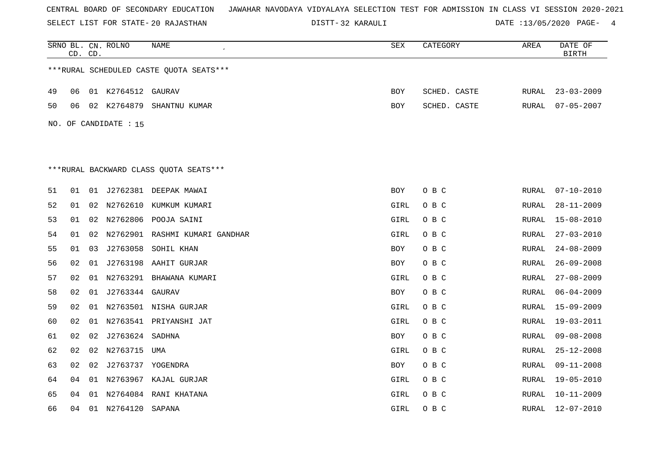SELECT LIST FOR STATE- DISTT- 20 RAJASTHAN

32 KARAULI DATE :13/05/2020 PAGE- 4

|    | CD. CD. |    | SRNO BL. CN. ROLNO    | NAME                                    | SEX        | CATEGORY     | AREA         | DATE OF<br><b>BIRTH</b> |
|----|---------|----|-----------------------|-----------------------------------------|------------|--------------|--------------|-------------------------|
|    |         |    |                       | ***RURAL SCHEDULED CASTE QUOTA SEATS*** |            |              |              |                         |
| 49 | 06      |    | 01 K2764512 GAURAV    |                                         | BOY        | SCHED. CASTE | RURAL        | $23 - 03 - 2009$        |
| 50 | 06      |    |                       | 02 K2764879 SHANTNU KUMAR               | BOY        | SCHED. CASTE | RURAL        | $07 - 05 - 2007$        |
|    |         |    | NO. OF CANDIDATE : 15 |                                         |            |              |              |                         |
|    |         |    |                       |                                         |            |              |              |                         |
|    |         |    |                       |                                         |            |              |              |                         |
|    |         |    |                       | ***RURAL BACKWARD CLASS OUOTA SEATS***  |            |              |              |                         |
| 51 | 01      |    |                       | 01 J2762381 DEEPAK MAWAI                | BOY        | O B C        | RURAL        | $07 - 10 - 2010$        |
| 52 | 01      |    |                       | 02 N2762610 KUMKUM KUMARI               | GIRL       | O B C        | RURAL        | $28 - 11 - 2009$        |
| 53 | 01      |    |                       | 02 N2762806 POOJA SAINI                 | GIRL       | O B C        | RURAL        | $15 - 08 - 2010$        |
| 54 | 01      |    |                       | 02 N2762901 RASHMI KUMARI GANDHAR       | GIRL       | O B C        | RURAL        | $27 - 03 - 2010$        |
| 55 | 01      | 03 | J2763058              | SOHIL KHAN                              | BOY        | O B C        | RURAL        | $24 - 08 - 2009$        |
| 56 | 02      |    |                       | 01 J2763198 AAHIT GURJAR                | <b>BOY</b> | O B C        | RURAL        | $26 - 09 - 2008$        |
| 57 | 02      |    |                       | 01 N2763291 BHAWANA KUMARI              | GIRL       | O B C        | RURAL        | $27 - 08 - 2009$        |
| 58 | 02      |    | 01 J2763344 GAURAV    |                                         | BOY        | O B C        | RURAL        | $06 - 04 - 2009$        |
| 59 | 02      |    |                       | 01 N2763501 NISHA GURJAR                | GIRL       | O B C        | RURAL        | $15 - 09 - 2009$        |
| 60 | 02      |    |                       | 01 N2763541 PRIYANSHI JAT               | GIRL       | O B C        | RURAL        | $19 - 03 - 2011$        |
| 61 | 02      |    | 02 J2763624 SADHNA    |                                         | BOY        | O B C        | RURAL        | $09 - 08 - 2008$        |
| 62 | 02      |    | 02 N2763715 UMA       |                                         | GIRL       | O B C        | RURAL        | $25 - 12 - 2008$        |
| 63 | 02      |    | 02 J2763737 YOGENDRA  |                                         | BOY        | O B C        | <b>RURAL</b> | $09 - 11 - 2008$        |
| 64 | 04      |    |                       | 01 N2763967 KAJAL GURJAR                | GIRL       | O B C        | RURAL        | $19 - 05 - 2010$        |
| 65 | 04      |    |                       | 01 N2764084 RANI KHATANA                | GIRL       | O B C        | RURAL        | $10 - 11 - 2009$        |
| 66 | 04      |    | 01 N2764120           | SAPANA                                  | GIRL       | O B C        | RURAL        | 12-07-2010              |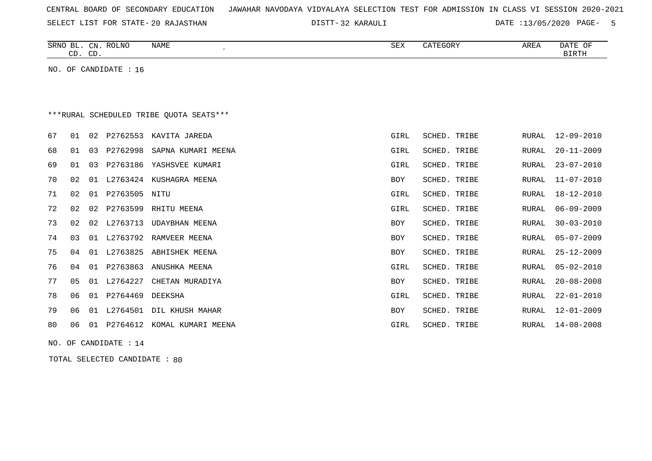|  |  |  |  | CENTRAL BOARD OF SECONDARY EDUCATION – JAWAHAR NAVODAYA VIDYALAYA SELECTION TEST FOR ADMISSION IN CLASS VI SESSION 2020-2021 |  |  |  |  |  |  |  |  |  |  |  |  |  |  |
|--|--|--|--|------------------------------------------------------------------------------------------------------------------------------|--|--|--|--|--|--|--|--|--|--|--|--|--|--|
|--|--|--|--|------------------------------------------------------------------------------------------------------------------------------|--|--|--|--|--|--|--|--|--|--|--|--|--|--|

SELECT LIST FOR STATE- DISTT- 20 RAJASTHAN

32 KARAULI DATE :13/05/2020 PAGE- 5

| SRNO BL. CN. ROLNO<br>NAME<br>CD. CD.            | SEX  | CATEGORY     | AREA  | DATE OF<br>BIRTH |
|--------------------------------------------------|------|--------------|-------|------------------|
| NO. OF CANDIDATE : $16$                          |      |              |       |                  |
|                                                  |      |              |       |                  |
|                                                  |      |              |       |                  |
| ***RURAL SCHEDULED TRIBE OUOTA SEATS***          |      |              |       |                  |
| 01<br>P2762553<br>67<br>02<br>KAVITA JAREDA      | GIRL | SCHED. TRIBE |       | RURAL 12-09-2010 |
| 01<br>P2762998<br>68<br>03<br>SAPNA KUMARI MEENA | GIRL | SCHED. TRIBE | RURAL | $20 - 11 - 2009$ |
| P2763186 YASHSVEE KUMARI<br>69<br>01<br>03       | GIRL | SCHED. TRIBE |       | RURAL 23-07-2010 |

| 70 | 02. | . N 1 |          | L2763424 KUSHAGRA MEENA | <b>BOY</b> | SCHED. TRIBE | RURAL | 11-07-2010       |
|----|-----|-------|----------|-------------------------|------------|--------------|-------|------------------|
| 71 | 02  | 01    | P2763505 | NITU                    | GIRL       | SCHED. TRIBE | RURAL | $18 - 12 - 2010$ |
| 72 | 02  | 02    | P2763599 | RHITU MEENA             | GIRL       | SCHED. TRIBE | RURAL | $06 - 09 - 2009$ |
| 73 | 02  | 02    | L2763713 | UDAYBHAN MEENA          | BOY        | SCHED. TRIBE | RURAL | $30 - 03 - 2010$ |
| 74 | 03  | 01    | L2763792 | RAMVEER MEENA           | BOY        | SCHED. TRIBE | RURAL | 05-07-2009       |
| 75 | 04  | 01    | L2763825 | ABHISHEK MEENA          | <b>BOY</b> | SCHED. TRIBE | RURAL | $25 - 12 - 2009$ |
| 76 | 04  | 01    | P2763863 | ANUSHKA MEENA           | GIRL       | SCHED. TRIBE | RURAL | $05 - 02 - 2010$ |
| 77 | 05  | . N 1 | L2764227 | CHETAN MURADIYA         | BOY        | SCHED. TRIBE | RURAL | $20 - 08 - 2008$ |
| 78 | 06  | 01    | P2764469 | DEEKSHA                 | GIRL       | SCHED. TRIBE | RURAL | $22 - 01 - 2010$ |
| 79 | 06  | . O 1 | L2764501 | DIL KHUSH MAHAR         | BOY        | SCHED. TRIBE | RURAL | $12 - 01 - 2009$ |
| 80 | 06  | 01    | P2764612 | KOMAL KUMARI MEENA      | GIRL       | SCHED. TRIBE | RURAL | $14 - 08 - 2008$ |
|    |     |       |          |                         |            |              |       |                  |

NO. OF CANDIDATE : 14

TOTAL SELECTED CANDIDATE : 80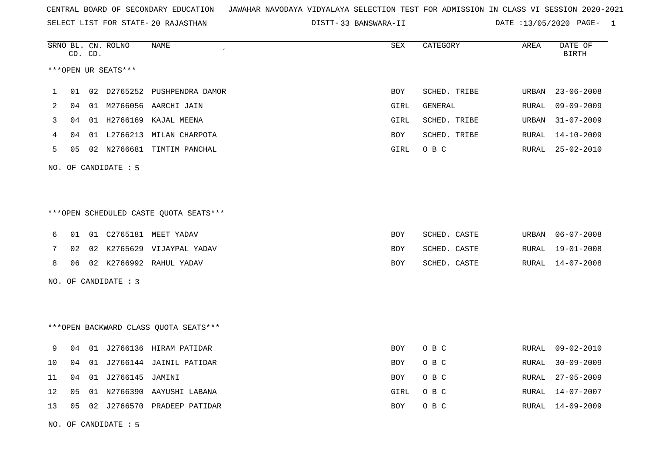SELECT LIST FOR STATE- DISTT- 20 RAJASTHAN

33 BANSWARA-II DATE :13/05/2020 PAGE- 1

|    |    | CD. CD. | SRNO BL. CN. ROLNO   | NAME                                   | ${\tt SEX}$ | CATEGORY     | AREA          | DATE OF<br><b>BIRTH</b> |
|----|----|---------|----------------------|----------------------------------------|-------------|--------------|---------------|-------------------------|
|    |    |         | ***OPEN UR SEATS***  |                                        |             |              |               |                         |
| 1  | 01 |         |                      | 02 D2765252 PUSHPENDRA DAMOR           | <b>BOY</b>  | SCHED. TRIBE | <b>URBAN</b>  | $23 - 06 - 2008$        |
| 2  | 04 |         |                      | 01 M2766056 AARCHI JAIN                | GIRL        | GENERAL      | RURAL         | $09 - 09 - 2009$        |
| 3  | 04 |         | 01 H2766169          | KAJAL MEENA                            | GIRL        | SCHED. TRIBE | URBAN         | $31 - 07 - 2009$        |
| 4  | 04 |         |                      | 01 L2766213 MILAN CHARPOTA             | BOY         | SCHED. TRIBE | ${\tt RURAL}$ | $14 - 10 - 2009$        |
| 5  | 05 |         |                      | 02 N2766681 TIMTIM PANCHAL             | GIRL        | O B C        | RURAL         | $25 - 02 - 2010$        |
|    |    |         | NO. OF CANDIDATE : 5 |                                        |             |              |               |                         |
|    |    |         |                      |                                        |             |              |               |                         |
|    |    |         |                      | ***OPEN SCHEDULED CASTE QUOTA SEATS*** |             |              |               |                         |
| 6  | 01 |         |                      | 01 C2765181 MEET YADAV                 | BOY         | SCHED. CASTE | URBAN         | $06 - 07 - 2008$        |
| 7  | 02 |         |                      | 02 K2765629 VIJAYPAL YADAV             | BOY         | SCHED. CASTE | RURAL         | $19 - 01 - 2008$        |
| 8  | 06 |         |                      | 02 K2766992 RAHUL YADAV                | BOY         | SCHED. CASTE | RURAL         | 14-07-2008              |
|    |    |         | NO. OF CANDIDATE : 3 |                                        |             |              |               |                         |
|    |    |         |                      |                                        |             |              |               |                         |
|    |    |         |                      | *** OPEN BACKWARD CLASS QUOTA SEATS*** |             |              |               |                         |
| 9  | 04 |         |                      | 01 J2766136 HIRAM PATIDAR              | BOY         | O B C        | RURAL         | 09-02-2010              |
| 10 | 04 | 01      |                      | J2766144 JAINIL PATIDAR                | BOY         | O B C        | RURAL         | $30 - 09 - 2009$        |
| 11 | 04 |         | 01 J2766145 JAMINI   |                                        | BOY         | O B C        | RURAL         | $27 - 05 - 2009$        |
| 12 | 05 | 01      | N2766390             | AAYUSHI LABANA                         | GIRL        | O B C        | RURAL         | 14-07-2007              |
| 13 | 05 |         |                      | 02 J2766570 PRADEEP PATIDAR            | BOY         | O B C        | RURAL         | 14-09-2009              |
|    |    |         |                      |                                        |             |              |               |                         |

NO. OF CANDIDATE : 5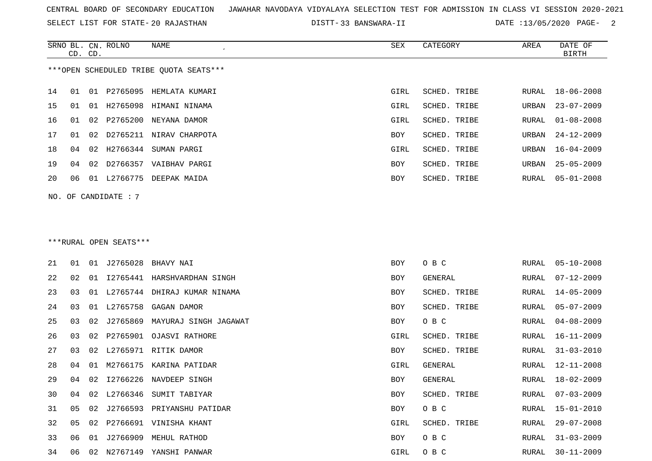SELECT LIST FOR STATE- DISTT- 20 RAJASTHAN

33 BANSWARA-II DATE :13/05/2020 PAGE- 2

|    | CD. CD. |    | SRNO BL. CN. ROLNO     | NAME                                   | SEX  | CATEGORY       | AREA          | DATE OF<br><b>BIRTH</b> |
|----|---------|----|------------------------|----------------------------------------|------|----------------|---------------|-------------------------|
|    |         |    |                        | ***OPEN SCHEDULED TRIBE OUOTA SEATS*** |      |                |               |                         |
| 14 | 01      |    |                        | 01 P2765095 HEMLATA KUMARI             | GIRL | SCHED. TRIBE   | RURAL         | 18-06-2008              |
| 15 | 01      |    |                        | 01 H2765098 HIMANI NINAMA              | GIRL | SCHED. TRIBE   | URBAN         | $23 - 07 - 2009$        |
| 16 | 01      | 02 | P2765200               | NEYANA DAMOR                           | GIRL | SCHED. TRIBE   | RURAL         | $01 - 08 - 2008$        |
| 17 | 01      | 02 | D2765211               | NIRAV CHARPOTA                         | BOY  | SCHED. TRIBE   | URBAN         | $24 - 12 - 2009$        |
| 18 | 04      | 02 | H2766344               | SUMAN PARGI                            | GIRL | SCHED. TRIBE   | URBAN         | $16 - 04 - 2009$        |
| 19 | 04      | 02 |                        | D2766357 VAIBHAV PARGI                 | BOY  | SCHED. TRIBE   | URBAN         | $25 - 05 - 2009$        |
| 20 | 06      |    |                        | 01 L2766775 DEEPAK MAIDA               | BOY  | SCHED. TRIBE   | RURAL         | $05 - 01 - 2008$        |
|    |         |    | NO. OF CANDIDATE : 7   |                                        |      |                |               |                         |
|    |         |    |                        |                                        |      |                |               |                         |
|    |         |    |                        |                                        |      |                |               |                         |
|    |         |    | ***RURAL OPEN SEATS*** |                                        |      |                |               |                         |
| 21 | 01      |    | 01 J2765028            | BHAVY NAI                              | BOY  | O B C          | RURAL         | $05 - 10 - 2008$        |
| 22 | 02      | 01 |                        | 12765441 HARSHVARDHAN SINGH            | BOY  | <b>GENERAL</b> | RURAL         | $07 - 12 - 2009$        |
| 23 | 03      | 01 | L2765744               | DHIRAJ KUMAR NINAMA                    | BOY  | SCHED. TRIBE   | RURAL         | $14 - 05 - 2009$        |
| 24 | 03      | 01 | L2765758               | GAGAN DAMOR                            | BOY  | SCHED. TRIBE   | RURAL         | $05 - 07 - 2009$        |
| 25 | 03      | 02 | J2765869               | MAYURAJ SINGH JAGAWAT                  | BOY  | O B C          | RURAL         | $04 - 08 - 2009$        |
| 26 | 03      | 02 | P2765901               | OJASVI RATHORE                         | GIRL | SCHED. TRIBE   | ${\tt RURAL}$ | 16-11-2009              |
| 27 | 03      | 02 | L2765971               | RITIK DAMOR                            | BOY  | SCHED. TRIBE   | RURAL         | $31 - 03 - 2010$        |
| 28 | 04      | 01 |                        | M2766175 KARINA PATIDAR                | GIRL | <b>GENERAL</b> | RURAL         | $12 - 11 - 2008$        |
| 29 | 04      | 02 |                        | I2766226 NAVDEEP SINGH                 | BOY  | GENERAL        | RURAL         | $18 - 02 - 2009$        |
| 30 | 04      | 02 |                        | L2766346 SUMIT TABIYAR                 | BOY  | SCHED. TRIBE   | RURAL         | $07 - 03 - 2009$        |
| 31 | 05      |    |                        | 02 J2766593 PRIYANSHU PATIDAR          | BOY  | O B C          | RURAL         | $15 - 01 - 2010$        |
| 32 | 05      | 02 |                        | P2766691 VINISHA KHANT                 | GIRL | SCHED. TRIBE   | RURAL         | $29 - 07 - 2008$        |
| 33 | 06      |    |                        | 01 J2766909 MEHUL RATHOD               | BOY  | O B C          | RURAL         | $31 - 03 - 2009$        |
| 34 |         |    |                        | 06 02 N2767149 YANSHI PANWAR           | GIRL | O B C          |               | RURAL 30-11-2009        |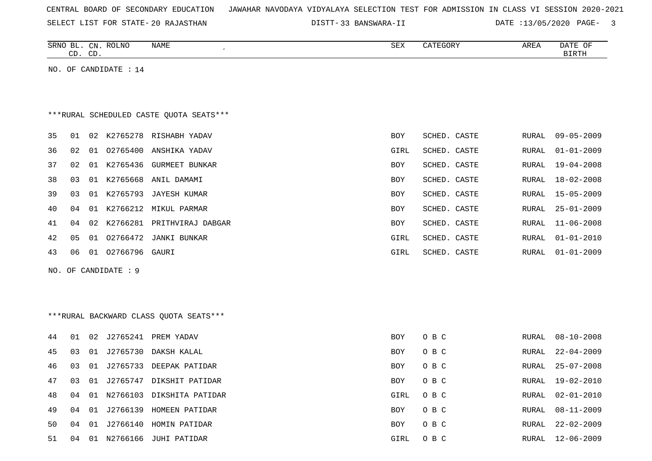| CENTRAL BOARD OF SECONDARY EDUCATION – JAWAHAR NAVODAYA VIDYALAYA SELECTION TEST FOR ADMISSION IN CLASS VI SESSION 2020-2021 |  |  |  |  |  |  |  |
|------------------------------------------------------------------------------------------------------------------------------|--|--|--|--|--|--|--|
|------------------------------------------------------------------------------------------------------------------------------|--|--|--|--|--|--|--|

SELECT LIST FOR STATE- DISTT- 20 RAJASTHAN

33 BANSWARA-II DATE :13/05/2020 PAGE- 3

|    |    | CD. CD. | SRNO BL. CN. ROLNO    | NAME                                     | SEX        | CATEGORY     | AREA          | DATE OF<br><b>BIRTH</b> |
|----|----|---------|-----------------------|------------------------------------------|------------|--------------|---------------|-------------------------|
|    |    |         | NO. OF CANDIDATE : 14 |                                          |            |              |               |                         |
|    |    |         |                       |                                          |            |              |               |                         |
|    |    |         |                       |                                          |            |              |               |                         |
|    |    |         |                       | *** RURAL SCHEDULED CASTE QUOTA SEATS*** |            |              |               |                         |
| 35 | 01 |         |                       | 02 K2765278 RISHABH YADAV                | <b>BOY</b> | SCHED. CASTE | RURAL         | $09 - 05 - 2009$        |
| 36 | 02 | 01      | 02765400              | ANSHIKA YADAV                            | GIRL       | SCHED. CASTE | RURAL         | $01 - 01 - 2009$        |
| 37 | 02 |         |                       | 01 K2765436 GURMEET BUNKAR               | BOY        | SCHED. CASTE | RURAL         | $19 - 04 - 2008$        |
| 38 | 03 | 01      |                       | K2765668 ANIL DAMAMI                     | BOY        | SCHED. CASTE | RURAL         | 18-02-2008              |
| 39 | 03 | 01      |                       | K2765793 JAYESH KUMAR                    | <b>BOY</b> | SCHED. CASTE | RURAL         | $15 - 05 - 2009$        |
| 40 | 04 | 01      |                       | K2766212 MIKUL PARMAR                    | BOY        | SCHED. CASTE | RURAL         | $25 - 01 - 2009$        |
| 41 | 04 | 02      |                       | K2766281 PRITHVIRAJ DABGAR               | BOY        | SCHED. CASTE | RURAL         | $11 - 06 - 2008$        |
| 42 | 05 |         |                       | 01 02766472 JANKI BUNKAR                 | GIRL       | SCHED. CASTE | RURAL         | $01 - 01 - 2010$        |
| 43 | 06 |         | 01 02766796 GAURI     |                                          | GIRL       | SCHED. CASTE | <b>RURAL</b>  | $01 - 01 - 2009$        |
|    |    |         | NO. OF CANDIDATE : 9  |                                          |            |              |               |                         |
|    |    |         |                       |                                          |            |              |               |                         |
|    |    |         |                       |                                          |            |              |               |                         |
|    |    |         |                       | *** RURAL BACKWARD CLASS QUOTA SEATS***  |            |              |               |                         |
| 44 | 01 | 02      |                       | J2765241 PREM YADAV                      | <b>BOY</b> | O B C        | RURAL         | $08 - 10 - 2008$        |
| 45 | 03 | 01      | J2765730              | DAKSH KALAL                              | BOY        | O B C        | RURAL         | $22 - 04 - 2009$        |
| 46 | 03 | 01      |                       | J2765733 DEEPAK PATIDAR                  | <b>BOY</b> | O B C        | ${\tt RURAL}$ | $25 - 07 - 2008$        |
| 47 | 03 |         |                       | 01 J2765747 DIKSHIT PATIDAR              | BOY        | O B C        | <b>RURAL</b>  | 19-02-2010              |
| 48 | 04 | 01      |                       | N2766103 DIKSHITA PATIDAR                | GIRL       | O B C        | RURAL         | $02 - 01 - 2010$        |
| 49 | 04 | 01      |                       | J2766139 HOMEEN PATIDAR                  | BOY        | O B C        | RURAL         | $08 - 11 - 2009$        |
| 50 | 04 | 01      |                       | J2766140 HOMIN PATIDAR                   | BOY        | O B C        | RURAL         | $22 - 02 - 2009$        |
| 51 | 04 |         |                       | 01 N2766166 JUHI PATIDAR                 | GIRL       | O B C        | RURAL         | $12 - 06 - 2009$        |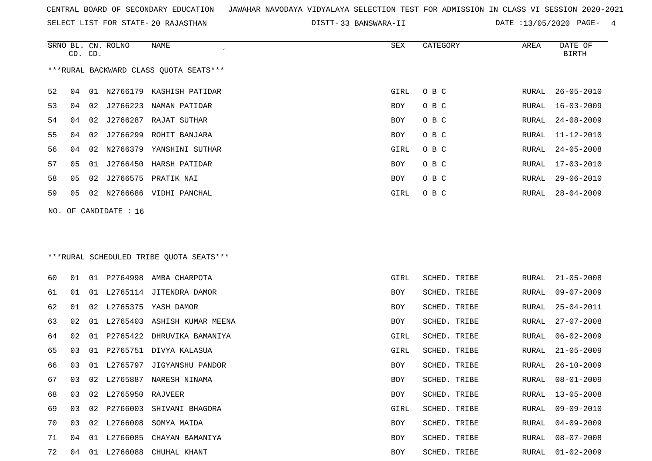SELECT LIST FOR STATE- DISTT- 20 RAJASTHAN

33 BANSWARA-II DATE :13/05/2020 PAGE- 4

|    | CD. CD. |    | SRNO BL. CN. ROLNO    | NAME                                    | SEX        | CATEGORY     | AREA  | DATE OF<br><b>BIRTH</b> |
|----|---------|----|-----------------------|-----------------------------------------|------------|--------------|-------|-------------------------|
|    |         |    |                       | ***RURAL BACKWARD CLASS QUOTA SEATS***  |            |              |       |                         |
| 52 | 04      |    |                       | 01 N2766179 KASHISH PATIDAR             | GIRL       | O B C        | RURAL | $26 - 05 - 2010$        |
| 53 | 04      |    |                       | 02 J2766223 NAMAN PATIDAR               | BOY        | O B C        | RURAL | $16 - 03 - 2009$        |
| 54 | 04      |    |                       | 02 J2766287 RAJAT SUTHAR                | BOY        | O B C        | RURAL | $24 - 08 - 2009$        |
| 55 | 04      | 02 |                       | J2766299 ROHIT BANJARA                  | BOY        | O B C        | RURAL | $11 - 12 - 2010$        |
| 56 | 04      | 02 |                       | N2766379 YANSHINI SUTHAR                | GIRL       | O B C        | RURAL | $24 - 05 - 2008$        |
| 57 | 05      |    |                       | 01 J2766450 HARSH PATIDAR               | BOY        | O B C        | RURAL | $17 - 03 - 2010$        |
| 58 | 05      | 02 |                       | J2766575 PRATIK NAI                     | BOY        | O B C        | RURAL | $29 - 06 - 2010$        |
| 59 | 05      |    |                       | 02 N2766686 VIDHI PANCHAL               | GIRL       | O B C        | RURAL | $28 - 04 - 2009$        |
|    |         |    | NO. OF CANDIDATE : 16 |                                         |            |              |       |                         |
|    |         |    |                       | ***RURAL SCHEDULED TRIBE QUOTA SEATS*** |            |              |       |                         |
| 60 | 01      |    |                       | 01 P2764998 AMBA CHARPOTA               | GIRL       | SCHED. TRIBE | RURAL | $21 - 05 - 2008$        |
| 61 | 01      |    |                       | 01 L2765114 JITENDRA DAMOR              | BOY        | SCHED. TRIBE | RURAL | $09 - 07 - 2009$        |
| 62 | 01      |    |                       | 02 L2765375 YASH DAMOR                  | <b>BOY</b> | SCHED. TRIBE | RURAL | $25 - 04 - 2011$        |
| 63 | 02      |    |                       | 01 L2765403 ASHISH KUMAR MEENA          | BOY        | SCHED. TRIBE | RURAL | $27 - 07 - 2008$        |
| 64 | 02      |    |                       | 01 P2765422 DHRUVIKA BAMANIYA           | GIRL       | SCHED. TRIBE | RURAL | $06 - 02 - 2009$        |
| 65 | 03      | 01 |                       | P2765751 DIVYA KALASUA                  | GIRL       | SCHED. TRIBE | RURAL | $21 - 05 - 2009$        |
| 66 | 03      |    |                       | 01 L2765797 JIGYANSHU PANDOR            | BOY        | SCHED. TRIBE | RURAL | $26 - 10 - 2009$        |
| 67 | 03      |    |                       | 02 L2765887 NARESH NINAMA               | BOY        | SCHED. TRIBE | RURAL | $08 - 01 - 2009$        |
| 68 | 03      | 02 | L2765950              | RAJVEER                                 | BOY        | SCHED. TRIBE | RURAL | $13 - 05 - 2008$        |
| 69 | 03      |    |                       | 02 P2766003 SHIVANI BHAGORA             | GIRL       | SCHED. TRIBE | RURAL | $09 - 09 - 2010$        |
| 70 | 03      |    |                       | 02 L2766008 SOMYA MAIDA                 | BOY        | SCHED. TRIBE | RURAL | $04 - 09 - 2009$        |
| 71 | 04      |    |                       | 01 L2766085 CHAYAN BAMANIYA             | BOY        | SCHED. TRIBE | RURAL | $08 - 07 - 2008$        |
| 72 |         |    |                       | 04 01 L2766088 CHUHAL KHANT             | BOY        | SCHED. TRIBE | RURAL | $01 - 02 - 2009$        |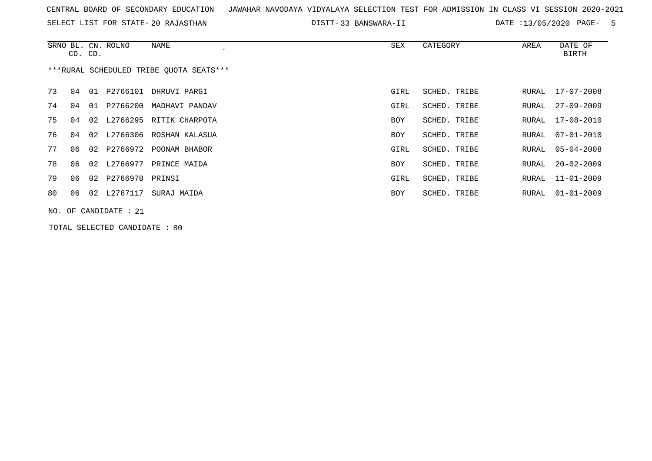| CENTRAL BOARD OF SECONDARY EDUCATION – JAWAHAR NAVODAYA VIDYALAYA SELECTION TEST FOR ADMISSION IN CLASS VI SESSION 2020-2021 |  |  |  |  |  |
|------------------------------------------------------------------------------------------------------------------------------|--|--|--|--|--|
|------------------------------------------------------------------------------------------------------------------------------|--|--|--|--|--|

SELECT LIST FOR STATE- DISTT- 20 RAJASTHAN 33 BANSWARA-II DATE :13/05/2020 PAGE- 5

|    | CD. CD. |    | SRNO BL. CN. ROLNO      | NAME                                    | SEX        | CATEGORY     | AREA  | DATE OF<br>BIRTH |
|----|---------|----|-------------------------|-----------------------------------------|------------|--------------|-------|------------------|
|    |         |    |                         | ***RURAL SCHEDULED TRIBE OUOTA SEATS*** |            |              |       |                  |
| 73 | 04      | 01 |                         | P2766101 DHRUVI PARGI                   | GIRL       | SCHED. TRIBE | RURAL | 17-07-2008       |
| 74 | 04      | 01 | P2766200                | MADHAVI PANDAV                          | GIRL       | SCHED. TRIBE | RURAL | $27 - 09 - 2009$ |
| 75 | 04      |    |                         | 02 L2766295 RITIK CHARPOTA              | <b>BOY</b> | SCHED. TRIBE | RURAL | 17-08-2010       |
| 76 | 04      |    |                         | 02 L2766306 ROSHAN KALASUA              | <b>BOY</b> | SCHED. TRIBE | RURAL | $07 - 01 - 2010$ |
| 77 | 06      |    |                         | 02 P2766972 POONAM BHABOR               | GIRL       | SCHED. TRIBE | RURAL | $05 - 04 - 2008$ |
| 78 | 06      |    |                         | 02 L2766977 PRINCE MAIDA                | BOY        | SCHED. TRIBE | RURAL | $20 - 02 - 2009$ |
| 79 | 06      |    | 02 P2766978 PRINSI      |                                         | GIRL       | SCHED. TRIBE | RURAL | $11 - 01 - 2009$ |
| 80 | 06      |    | 02 L2767117             | SURAJ MAIDA                             | BOY        | SCHED. TRIBE | RURAL | $01 - 01 - 2009$ |
|    |         |    | NO. OF CANDIDATE : $21$ |                                         |            |              |       |                  |

TOTAL SELECTED CANDIDATE : 80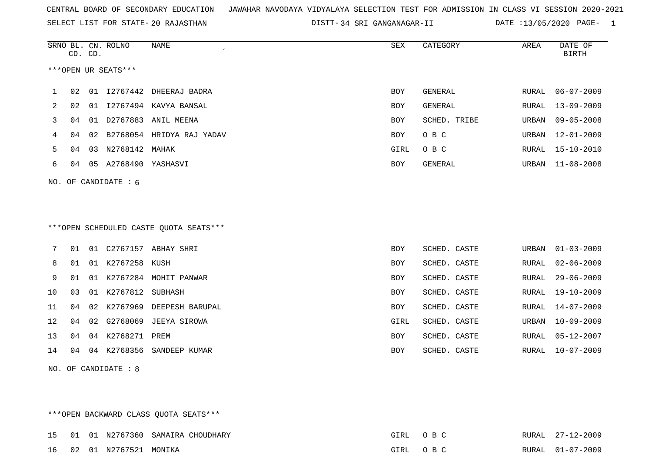SELECT LIST FOR STATE- DISTT- 20 RAJASTHAN

DISTT-34 SRI GANGANAGAR-II DATE :13/05/2020 PAGE- 1

|    |    | CD. CD. | SRNO BL. CN. ROLNO     | NAME                                   | SEX        | CATEGORY       | AREA  | DATE OF<br><b>BIRTH</b> |
|----|----|---------|------------------------|----------------------------------------|------------|----------------|-------|-------------------------|
|    |    |         | ***OPEN UR SEATS***    |                                        |            |                |       |                         |
| 1  | 02 |         |                        | 01 I2767442 DHEERAJ BADRA              | BOY        | GENERAL        | RURAL | $06 - 07 - 2009$        |
| 2  | 02 | 01      |                        | 12767494 KAVYA BANSAL                  | BOY        | <b>GENERAL</b> | RURAL | $13 - 09 - 2009$        |
| 3  | 04 | 01      |                        | D2767883 ANIL MEENA                    | BOY        | SCHED. TRIBE   | URBAN | $09 - 05 - 2008$        |
| 4  | 04 | 02      |                        | B2768054 HRIDYA RAJ YADAV              | BOY        | O B C          | URBAN | $12 - 01 - 2009$        |
| 5  | 04 |         | 03 N2768142 MAHAK      |                                        | GIRL       | O B C          | RURAL | $15 - 10 - 2010$        |
| 6  | 04 |         | 05 A2768490 YASHASVI   |                                        | BOY        | GENERAL        | URBAN | $11 - 08 - 2008$        |
|    |    |         | NO. OF CANDIDATE : $6$ |                                        |            |                |       |                         |
|    |    |         |                        |                                        |            |                |       |                         |
|    |    |         |                        | ***OPEN SCHEDULED CASTE QUOTA SEATS*** |            |                |       |                         |
| 7  | 01 |         |                        | 01 C2767157 ABHAY SHRI                 | BOY        | SCHED. CASTE   | URBAN | $01 - 03 - 2009$        |
| 8  | 01 |         | 01 K2767258 KUSH       |                                        | BOY        | SCHED. CASTE   | RURAL | $02 - 06 - 2009$        |
| 9  | 01 |         |                        | 01 K2767284 MOHIT PANWAR               | BOY        | SCHED. CASTE   | RURAL | $29 - 06 - 2009$        |
| 10 | 03 |         | 01 K2767812 SUBHASH    |                                        | BOY        | SCHED. CASTE   | RURAL | $19 - 10 - 2009$        |
| 11 | 04 | 02      |                        | K2767969 DEEPESH BARUPAL               | BOY        | SCHED. CASTE   | RURAL | $14 - 07 - 2009$        |
| 12 | 04 | 02      |                        | G2768069 JEEYA SIROWA                  | GIRL       | SCHED. CASTE   | URBAN | $10 - 09 - 2009$        |
| 13 | 04 |         | 04 K2768271 PREM       |                                        | <b>BOY</b> | SCHED. CASTE   | RURAL | $05 - 12 - 2007$        |
| 14 | 04 |         |                        | 04 K2768356 SANDEEP KUMAR              | <b>BOY</b> | SCHED. CASTE   | RURAL | $10 - 07 - 2009$        |
|    |    |         | NO. OF CANDIDATE : 8   |                                        |            |                |       |                         |

\*\*\*OPEN BACKWARD CLASS QUOTA SEATS\*\*\* 15 01 01 N2767360 SAMAIRA CHOUDHARY GIRL O B C RURAL 27-12-2009 16 02 01 N2767521 MONIKA GIRL O B C RURAL 01-07-2009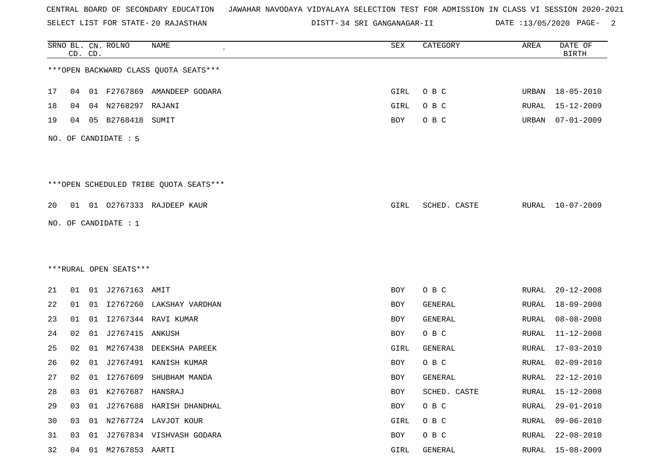SELECT LIST FOR STATE- DISTT- 20 RAJASTHAN

DISTT-34 SRI GANGANAGAR-II DATE :13/05/2020 PAGE- 2

|    |    | CD. CD. | SRNO BL. CN. ROLNO      | <b>NAME</b>                            | SEX  | CATEGORY     | AREA  | DATE OF<br><b>BIRTH</b> |
|----|----|---------|-------------------------|----------------------------------------|------|--------------|-------|-------------------------|
|    |    |         |                         | *** OPEN BACKWARD CLASS QUOTA SEATS*** |      |              |       |                         |
| 17 | 04 |         |                         | 01 F2767869 AMANDEEP GODARA            | GIRL | O B C        |       | URBAN 18-05-2010        |
| 18 | 04 |         | 04 N2768297 RAJANI      |                                        | GIRL | O B C        | RURAL | $15 - 12 - 2009$        |
| 19 | 04 |         | 05 B2768418             | SUMIT                                  | BOY  | O B C        | URBAN | $07 - 01 - 2009$        |
|    |    |         | NO. OF CANDIDATE : 5    |                                        |      |              |       |                         |
|    |    |         |                         | ***OPEN SCHEDULED TRIBE QUOTA SEATS*** |      |              |       |                         |
| 20 | 01 |         |                         | 01 02767333 RAJDEEP KAUR               | GIRL | SCHED. CASTE | RURAL | 10-07-2009              |
|    |    |         | NO. OF CANDIDATE : 1    |                                        |      |              |       |                         |
|    |    |         |                         |                                        |      |              |       |                         |
|    |    |         | ***RURAL OPEN SEATS***  |                                        |      |              |       |                         |
| 21 | 01 |         | 01 J2767163 AMIT        |                                        | BOY  | O B C        | RURAL | $20 - 12 - 2008$        |
| 22 | 01 |         |                         | 01 I2767260 LAKSHAY VARDHAN            | BOY  | GENERAL      | RURAL | $18 - 09 - 2008$        |
| 23 | 01 |         |                         | 01 12767344 RAVI KUMAR                 | BOY  | GENERAL      | RURAL | $08 - 08 - 2008$        |
| 24 | 02 | 01      | J2767415                | ANKUSH                                 | BOY  | O B C        | RURAL | $11 - 12 - 2008$        |
| 25 | 02 | 01      | M2767438                | DEEKSHA PAREEK                         | GIRL | GENERAL      | RURAL | $17 - 03 - 2010$        |
| 26 | 02 | 01      | J2767491                | KANISH KUMAR                           | BOY  | O B C        | RURAL | $02 - 09 - 2010$        |
| 27 | 02 |         | 01 12767609             | SHUBHAM MANDA                          | BOY  | GENERAL      | RURAL | 22-12-2010              |
| 28 | 03 |         | 01 K2767687 HANSRAJ     |                                        | BOY  | SCHED. CASTE | RURAL | $15 - 12 - 2008$        |
| 29 | 03 |         |                         | 01 J2767688 HARISH DHANDHAL            | BOY  | O B C        | RURAL | $29 - 01 - 2010$        |
| 30 | 03 |         |                         | 01 N2767724 LAVJOT KOUR                | GIRL | O B C        | RURAL | $09 - 06 - 2010$        |
| 31 | 03 | 01      |                         | J2767834 VISHVASH GODARA               | BOY  | O B C        | RURAL | $22 - 08 - 2010$        |
| 32 |    |         | 04  01  M2767853  AARTI |                                        | GIRL | GENERAL      | RURAL | $15 - 08 - 2009$        |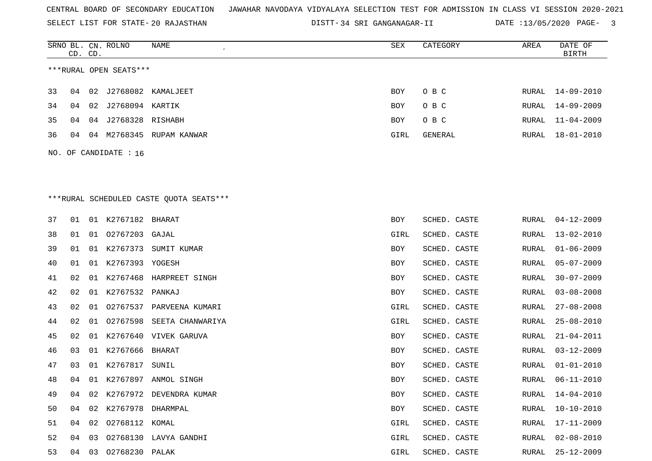ROLNO NAME SEX CATEGORY AREA DATE OF

SELECT LIST FOR STATE- DISTT- 20 RAJASTHAN

SRNO BL. CN.

DISTT-34 SRI GANGANAGAR-II DATE :13/05/2020 PAGE- 3

|                       |    | CD. CD. |                         |                                          |      |              |       | BIRTH            |  |  |
|-----------------------|----|---------|-------------------------|------------------------------------------|------|--------------|-------|------------------|--|--|
|                       |    |         | ***RURAL OPEN SEATS***  |                                          |      |              |       |                  |  |  |
| 33                    | 04 |         |                         | 02 J2768082 KAMALJEET                    | BOY  | O B C        |       | RURAL 14-09-2010 |  |  |
| 34                    | 04 | 02      | J2768094 KARTIK         |                                          | BOY  | O B C        | RURAL | 14-09-2009       |  |  |
| 35                    | 04 | 04      | J2768328 RISHABH        |                                          | BOY  | O B C        | RURAL | $11 - 04 - 2009$ |  |  |
| 36                    | 04 |         |                         | 04 M2768345 RUPAM KANWAR                 | GIRL | GENERAL      | RURAL | $18 - 01 - 2010$ |  |  |
| NO. OF CANDIDATE : 16 |    |         |                         |                                          |      |              |       |                  |  |  |
|                       |    |         |                         |                                          |      |              |       |                  |  |  |
|                       |    |         |                         |                                          |      |              |       |                  |  |  |
|                       |    |         |                         | *** RURAL SCHEDULED CASTE QUOTA SEATS*** |      |              |       |                  |  |  |
| 37                    | 01 |         | 01 K2767182 BHARAT      |                                          | BOY  | SCHED. CASTE | RURAL | $04 - 12 - 2009$ |  |  |
| 38                    | 01 |         | 01 02767203 GAJAL       |                                          | GIRL | SCHED. CASTE | RURAL | 13-02-2010       |  |  |
| 39                    | 01 |         |                         | 01 K2767373 SUMIT KUMAR                  | BOY  | SCHED. CASTE | RURAL | $01 - 06 - 2009$ |  |  |
| 40                    | 01 |         | 01 K2767393 YOGESH      |                                          | BOY  | SCHED. CASTE | RURAL | $05 - 07 - 2009$ |  |  |
| 41                    | 02 |         |                         | 01 K2767468 HARPREET SINGH               | BOY  | SCHED. CASTE | RURAL | $30 - 07 - 2009$ |  |  |
| 42                    | 02 |         | 01 K2767532 PANKAJ      |                                          | BOY  | SCHED. CASTE | RURAL | $03 - 08 - 2008$ |  |  |
| 43                    | 02 |         |                         | 01 02767537 PARVEENA KUMARI              | GIRL | SCHED. CASTE | RURAL | $27 - 08 - 2008$ |  |  |
| 44                    | 02 | 01      | 02767598                | SEETA CHANWARIYA                         | GIRL | SCHED. CASTE | RURAL | $25 - 08 - 2010$ |  |  |
| 45                    | 02 |         |                         | 01 K2767640 VIVEK GARUVA                 | BOY  | SCHED. CASTE | RURAL | $21 - 04 - 2011$ |  |  |
| 46                    | 03 |         | 01 K2767666 BHARAT      |                                          | BOY  | SCHED. CASTE | RURAL | $03 - 12 - 2009$ |  |  |
| 47                    | 03 |         | 01 K2767817 SUNIL       |                                          | BOY  | SCHED. CASTE | RURAL | $01 - 01 - 2010$ |  |  |
| 48                    | 04 |         |                         | 01 K2767897 ANMOL SINGH                  | BOY  | SCHED. CASTE | RURAL | $06 - 11 - 2010$ |  |  |
| 49                    | 04 |         |                         | 02 K2767972 DEVENDRA KUMAR               | BOY  | SCHED. CASTE | RURAL | 14-04-2010       |  |  |
| 50                    |    |         | 04 02 K2767978 DHARMPAL |                                          | BOY  | SCHED. CASTE |       | RURAL 10-10-2010 |  |  |
| 51                    |    | 04 02   | 02768112 KOMAL          |                                          | GIRL | SCHED. CASTE | RURAL | 17-11-2009       |  |  |
| 52                    | 04 |         |                         | 03 02768130 LAVYA GANDHI                 | GIRL | SCHED. CASTE | RURAL | $02 - 08 - 2010$ |  |  |
| 53                    |    |         | 04 03 02768230 PALAK    |                                          | GIRL | SCHED. CASTE | RURAL | $25 - 12 - 2009$ |  |  |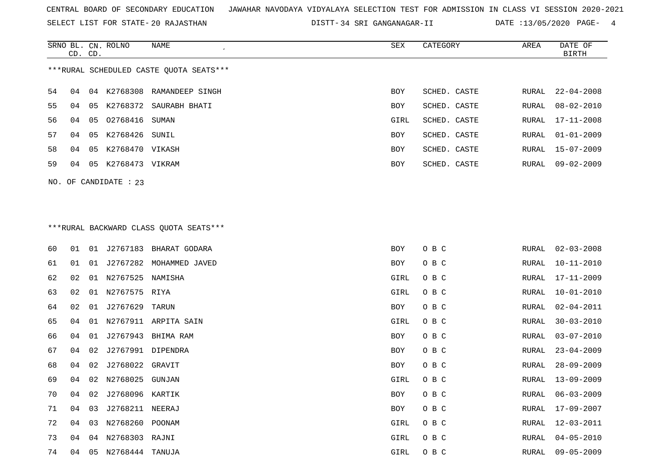SELECT LIST FOR STATE- DISTT- 20 RAJASTHAN

DISTT-34 SRI GANGANAGAR-II DATE :13/05/2020 PAGE- 4

|    | CD. CD.                                 |    | SRNO BL. CN. ROLNO    | NAME<br>$\cdot$        | SEX        | CATEGORY     | AREA  | DATE OF<br>BIRTH |  |  |  |  |
|----|-----------------------------------------|----|-----------------------|------------------------|------------|--------------|-------|------------------|--|--|--|--|
|    | ***RURAL SCHEDULED CASTE OUOTA SEATS*** |    |                       |                        |            |              |       |                  |  |  |  |  |
| 54 | 04                                      | 04 | K2768308              | RAMANDEEP SINGH        | <b>BOY</b> | SCHED. CASTE | RURAL | $22 - 04 - 2008$ |  |  |  |  |
| 55 | 04                                      | 05 |                       | K2768372 SAURABH BHATI | <b>BOY</b> | SCHED. CASTE | RURAL | $08 - 02 - 2010$ |  |  |  |  |
| 56 | 04                                      | 05 | 02768416              | SUMAN                  | GIRL       | SCHED. CASTE |       | RURAL 17-11-2008 |  |  |  |  |
| 57 | 04                                      | 05 | K2768426 SUNIL        |                        | <b>BOY</b> | SCHED. CASTE |       | RURAL 01-01-2009 |  |  |  |  |
| 58 | 04                                      | 05 | K2768470 VIKASH       |                        | <b>BOY</b> | SCHED. CASTE |       | RURAL 15-07-2009 |  |  |  |  |
| 59 | 04                                      | 05 | K2768473 VIKRAM       |                        | <b>BOY</b> | SCHED. CASTE | RURAL | $09 - 02 - 2009$ |  |  |  |  |
|    |                                         |    | NO. OF CANDIDATE : 23 |                        |            |              |       |                  |  |  |  |  |

# \*\*\*RURAL BACKWARD CLASS QUOTA SEATS\*\*\*

| 60 | 01 | 01 |                     | J2767183 BHARAT GODARA  | BOY  | O B C | RURAL | $02 - 03 - 2008$ |
|----|----|----|---------------------|-------------------------|------|-------|-------|------------------|
| 61 | 01 | 01 |                     | J2767282 MOHAMMED JAVED | BOY  | O B C | RURAL | $10 - 11 - 2010$ |
| 62 | 02 |    | 01 N2767525 NAMISHA |                         | GIRL | O B C | RURAL | $17 - 11 - 2009$ |
| 63 | 02 | 01 | N2767575 RIYA       |                         | GIRL | O B C | RURAL | $10 - 01 - 2010$ |
| 64 | 02 | 01 | J2767629            | TARUN                   | BOY  | O B C | RURAL | $02 - 04 - 2011$ |
| 65 | 04 | 01 |                     | N2767911 ARPITA SAIN    | GIRL | O B C | RURAL | $30 - 03 - 2010$ |
| 66 | 04 | 01 | J2767943            | BHIMA RAM               | BOY  | O B C | RURAL | $03 - 07 - 2010$ |
| 67 | 04 | 02 | J2767991            | DIPENDRA                | BOY  | O B C | RURAL | $23 - 04 - 2009$ |
| 68 | 04 | 02 | J2768022            | GRAVIT                  | BOY  | O B C | RURAL | $28 - 09 - 2009$ |
| 69 | 04 |    | 02 N2768025         | GUNJAN                  | GIRL | O B C | RURAL | $13 - 09 - 2009$ |
| 70 | 04 | 02 | J2768096 KARTIK     |                         | BOY  | O B C | RURAL | $06 - 03 - 2009$ |
| 71 | 04 |    | 03 J2768211 NEERAJ  |                         | BOY  | O B C | RURAL | $17 - 09 - 2007$ |
| 72 | 04 | 03 | N2768260            | POONAM                  | GIRL | O B C | RURAL | $12 - 03 - 2011$ |
| 73 | 04 |    | 04 N2768303 RAJNI   |                         | GIRL | O B C | RURAL | $04 - 05 - 2010$ |
| 74 | 04 | 05 | N2768444            | TANUJA                  | GIRL | O B C | RURAL | $09 - 05 - 2009$ |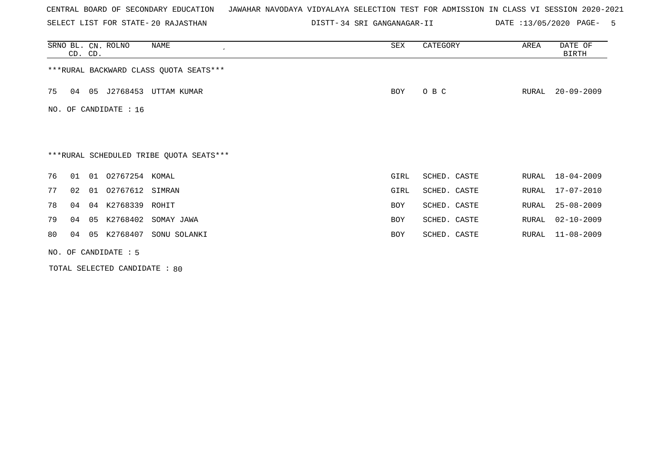SELECT LIST FOR STATE- DISTT- 20 RAJASTHAN

34 SRI GANGANAGAR-II DATE :13/05/2020 PAGE- 5

|    | CD. CD. |    | SRNO BL. CN. ROLNO    | NAME                                    | SEX        | CATEGORY     | AREA  | DATE OF<br>BIRTH |
|----|---------|----|-----------------------|-----------------------------------------|------------|--------------|-------|------------------|
|    |         |    |                       | *** RURAL BACKWARD CLASS QUOTA SEATS*** |            |              |       |                  |
| 75 | 04      |    |                       | 05 J2768453 UTTAM KUMAR                 | BOY        | O B C        | RURAL | $20 - 09 - 2009$ |
|    |         |    | NO. OF CANDIDATE : 16 |                                         |            |              |       |                  |
|    |         |    |                       |                                         |            |              |       |                  |
|    |         |    |                       | ***RURAL SCHEDULED TRIBE QUOTA SEATS*** |            |              |       |                  |
| 76 | 01      | 01 | 02767254 KOMAL        |                                         | GIRL       | SCHED. CASTE | RURAL | $18 - 04 - 2009$ |
| 77 | 02      |    | 01 02767612 SIMRAN    |                                         | GIRL       | SCHED. CASTE | RURAL | $17 - 07 - 2010$ |
| 78 | 04      | 04 | K2768339 ROHIT        |                                         | <b>BOY</b> | SCHED. CASTE | RURAL | $25 - 08 - 2009$ |
| 79 | 04      |    |                       | 05 K2768402 SOMAY JAWA                  | <b>BOY</b> | SCHED. CASTE | RURAL | $02 - 10 - 2009$ |
| 80 | 04      | 05 | K2768407              | SONU SOLANKI                            | <b>BOY</b> | SCHED. CASTE | RURAL | $11 - 08 - 2009$ |
|    |         |    | NO. OF CANDIDATE : 5  |                                         |            |              |       |                  |

TOTAL SELECTED CANDIDATE : 80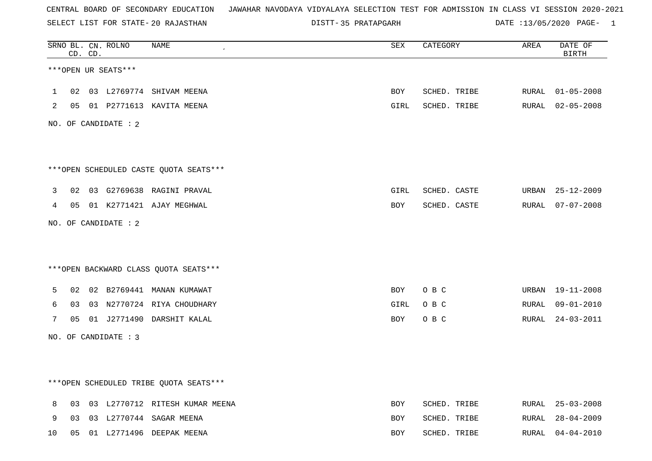SELECT LIST FOR STATE- DISTT- 20 RAJASTHAN

35 PRATAPGARH DATE :13/05/2020 PAGE- 1

|                |    | CD. CD. | SRNO BL. CN. ROLNO   | NAME                                   | ${\tt SEX}$ | CATEGORY     | AREA  | DATE OF<br><b>BIRTH</b> |
|----------------|----|---------|----------------------|----------------------------------------|-------------|--------------|-------|-------------------------|
|                |    |         | ***OPEN UR SEATS***  |                                        |             |              |       |                         |
| $\mathbf{1}$   | 02 |         |                      | 03 L2769774 SHIVAM MEENA               | BOY         | SCHED. TRIBE | RURAL | $01 - 05 - 2008$        |
| $\overline{2}$ |    |         |                      | 05 01 P2771613 KAVITA MEENA            | GIRL        | SCHED. TRIBE |       | RURAL 02-05-2008        |
|                |    |         | NO. OF CANDIDATE : 2 |                                        |             |              |       |                         |
|                |    |         |                      | ***OPEN SCHEDULED CASTE QUOTA SEATS*** |             |              |       |                         |
| 3              |    |         |                      | 02 03 G2769638 RAGINI PRAVAL           | GIRL        | SCHED. CASTE | URBAN | 25-12-2009              |
| 4              |    |         |                      | 05 01 K2771421 AJAY MEGHWAL            | BOY         | SCHED. CASTE |       | RURAL 07-07-2008        |
|                |    |         | NO. OF CANDIDATE : 2 |                                        |             |              |       |                         |
|                |    |         |                      | *** OPEN BACKWARD CLASS QUOTA SEATS*** |             |              |       |                         |
| 5              | 02 |         |                      | 02 B2769441 MANAN KUMAWAT              | BOY         | O B C        | URBAN | 19-11-2008              |
| 6              | 03 |         |                      | 03 N2770724 RIYA CHOUDHARY             | GIRL        | O B C        | RURAL | $09 - 01 - 2010$        |
| 7              | 05 |         |                      | 01 J2771490 DARSHIT KALAL              | BOY         | O B C        | RURAL | $24 - 03 - 2011$        |
|                |    |         | NO. OF CANDIDATE : 3 |                                        |             |              |       |                         |
|                |    |         |                      | ***OPEN SCHEDULED TRIBE QUOTA SEATS*** |             |              |       |                         |
| 8              |    |         |                      | 03 03 L2770712 RITESH KUMAR MEENA      | <b>BOY</b>  | SCHED. TRIBE | RURAL | 25-03-2008              |
| 9              | 03 |         |                      | 03 L2770744 SAGAR MEENA                | BOY         | SCHED. TRIBE | RURAL | $28 - 04 - 2009$        |
| 10             | 05 |         |                      | 01 L2771496 DEEPAK MEENA               | <b>BOY</b>  | SCHED. TRIBE | RURAL | 04-04-2010              |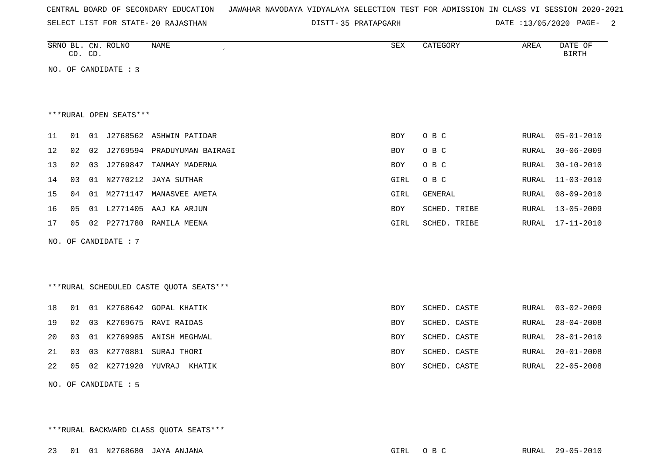| CENTRAL BOARD OF SECONDARY EDUCATION – JAWAHAR NAVODAYA VIDYALAYA SELECTION TEST FOR ADMISSION IN CLASS VI SESSION 2020-2021 |  |  |  |  |  |  |  |  |  |  |  |  |  |  |  |  |  |
|------------------------------------------------------------------------------------------------------------------------------|--|--|--|--|--|--|--|--|--|--|--|--|--|--|--|--|--|
|------------------------------------------------------------------------------------------------------------------------------|--|--|--|--|--|--|--|--|--|--|--|--|--|--|--|--|--|

SELECT LIST FOR STATE- DISTT- 20 RAJASTHAN

35 PRATAPGARH DATE :13/05/2020 PAGE- 2

|    | CD. CD. |    | SRNO BL. CN. ROLNO     | NAME<br>$\epsilon$                       | SEX        | CATEGORY       | AREA         | DATE OF<br><b>BIRTH</b> |
|----|---------|----|------------------------|------------------------------------------|------------|----------------|--------------|-------------------------|
|    |         |    | NO. OF CANDIDATE : 3   |                                          |            |                |              |                         |
|    |         |    |                        |                                          |            |                |              |                         |
|    |         |    |                        |                                          |            |                |              |                         |
|    |         |    | ***RURAL OPEN SEATS*** |                                          |            |                |              |                         |
| 11 | 01      | 01 |                        | J2768562 ASHWIN PATIDAR                  | <b>BOY</b> | O B C          | RURAL        | $05 - 01 - 2010$        |
| 12 | 02      | 02 | J2769594               | PRADUYUMAN BAIRAGI                       | <b>BOY</b> | O B C          | <b>RURAL</b> | $30 - 06 - 2009$        |
| 13 | 02      | 03 | J2769847               | TANMAY MADERNA                           | <b>BOY</b> | O B C          | RURAL        | $30 - 10 - 2010$        |
| 14 | 03      | 01 | N2770212               | JAYA SUTHAR                              | GIRL       | O B C          | RURAL        | $11 - 03 - 2010$        |
| 15 | 04      | 01 | M2771147               | MANASVEE AMETA                           | GIRL       | <b>GENERAL</b> | RURAL        | $08 - 09 - 2010$        |
| 16 | 05      |    |                        | 01 L2771405 AAJ KA ARJUN                 | <b>BOY</b> | SCHED. TRIBE   | RURAL        | $13 - 05 - 2009$        |
| 17 | 05      |    |                        | 02 P2771780 RAMILA MEENA                 | GIRL       | SCHED. TRIBE   | RURAL        | $17 - 11 - 2010$        |
|    |         |    | NO. OF CANDIDATE : 7   |                                          |            |                |              |                         |
|    |         |    |                        |                                          |            |                |              |                         |
|    |         |    |                        |                                          |            |                |              |                         |
|    |         |    |                        | *** RURAL SCHEDULED CASTE QUOTA SEATS*** |            |                |              |                         |
| 18 | 01      |    |                        | 01 K2768642 GOPAL KHATIK                 | <b>BOY</b> | SCHED. CASTE   | <b>RURAL</b> | $03 - 02 - 2009$        |
| 19 | 02      | 03 | K2769675               | RAVI RAIDAS                              | <b>BOY</b> | SCHED. CASTE   | RURAL        | $28 - 04 - 2008$        |
| 20 | 03      | 01 | K2769985               | ANISH MEGHWAL                            | <b>BOY</b> | SCHED. CASTE   | RURAL        | $28 - 01 - 2010$        |
| 21 | 03      | 03 |                        | K2770881 SURAJ THORI                     | <b>BOY</b> | SCHED. CASTE   | RURAL        | $20 - 01 - 2008$        |
| 22 | 05      | 02 | K2771920 YUVRAJ        | KHATIK                                   | BOY        | SCHED. CASTE   | RURAL        | $22 - 05 - 2008$        |
|    |         |    |                        |                                          |            |                |              |                         |

NO. OF CANDIDATE : 5

\*\*\*RURAL BACKWARD CLASS QUOTA SEATS\*\*\*

23 01 01 N2768680 JAYA ANJANA GIRL O B C RURAL 29-05-2010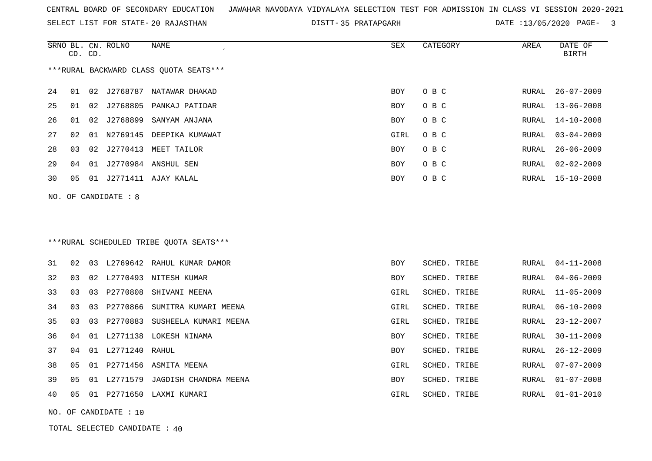SELECT LIST FOR STATE- DISTT- 20 RAJASTHAN

35 PRATAPGARH DATE :13/05/2020 PAGE- 3

|    | CD. CD. |    | SRNO BL. CN. ROLNO   | <b>NAME</b>                             | ${\tt SEX}$ | CATEGORY     | AREA         | DATE OF<br><b>BIRTH</b> |
|----|---------|----|----------------------|-----------------------------------------|-------------|--------------|--------------|-------------------------|
|    |         |    |                      | *** RURAL BACKWARD CLASS QUOTA SEATS*** |             |              |              |                         |
| 24 | 01      | 02 |                      | J2768787 NATAWAR DHAKAD                 | <b>BOY</b>  | O B C        | RURAL        | $26 - 07 - 2009$        |
| 25 | 01      |    |                      | 02 J2768805 PANKAJ PATIDAR              | <b>BOY</b>  | O B C        | RURAL        | $13 - 06 - 2008$        |
| 26 | 01      | 02 | J2768899             | SANYAM ANJANA                           | BOY         | O B C        | RURAL        | $14 - 10 - 2008$        |
| 27 | 02      |    |                      | 01 N2769145 DEEPIKA KUMAWAT             | GIRL        | O B C        | RURAL        | $03 - 04 - 2009$        |
| 28 | 03      |    |                      | 02 J2770413 MEET TAILOR                 | BOY         | O B C        | RURAL        | $26 - 06 - 2009$        |
| 29 | 04      |    |                      | 01 J2770984 ANSHUL SEN                  | <b>BOY</b>  | O B C        | RURAL        | $02 - 02 - 2009$        |
| 30 | 05      |    |                      | 01 J2771411 AJAY KALAL                  | BOY         | O B C        | RURAL        | 15-10-2008              |
|    |         |    | NO. OF CANDIDATE : 8 |                                         |             |              |              |                         |
|    |         |    |                      |                                         |             |              |              |                         |
|    |         |    |                      |                                         |             |              |              |                         |
|    |         |    |                      | ***RURAL SCHEDULED TRIBE QUOTA SEATS*** |             |              |              |                         |
| 31 | 02      |    |                      | 03 L2769642 RAHUL KUMAR DAMOR           | BOY         | SCHED. TRIBE | RURAL        | $04 - 11 - 2008$        |
| 32 | 03      |    |                      | 02 L2770493 NITESH KUMAR                | BOY         | SCHED. TRIBE | <b>RURAL</b> | $04 - 06 - 2009$        |
| 33 | 03      |    |                      | 03 P2770808 SHIVANI MEENA               | GIRL        | SCHED. TRIBE | <b>RURAL</b> | $11 - 05 - 2009$        |
| 34 | 03      | 03 | P2770866             | SUMITRA KUMARI MEENA                    | GIRL        | SCHED. TRIBE | <b>RURAL</b> | $06 - 10 - 2009$        |
| 35 | 03      | 03 |                      | P2770883 SUSHEELA KUMARI MEENA          | GIRL        | SCHED. TRIBE | RURAL        | $23 - 12 - 2007$        |
| 36 | 04      | 01 |                      | L2771138 LOKESH NINAMA                  | <b>BOY</b>  | SCHED. TRIBE | RURAL        | $30 - 11 - 2009$        |
| 37 | 04      |    | 01 L2771240 RAHUL    |                                         | BOY         | SCHED. TRIBE | RURAL        | $26 - 12 - 2009$        |
| 38 | 05      |    |                      | 01 P2771456 ASMITA MEENA                | GIRL        | SCHED. TRIBE | RURAL        | $07 - 07 - 2009$        |
| 39 | 05      |    |                      | 01 L2771579 JAGDISH CHANDRA MEENA       | BOY         | SCHED. TRIBE | RURAL        | $01 - 07 - 2008$        |
| 40 | 05      |    |                      | 01 P2771650 LAXMI KUMARI                | GIRL        | SCHED. TRIBE | RURAL        | $01 - 01 - 2010$        |
|    |         |    |                      |                                         |             |              |              |                         |

TOTAL SELECTED CANDIDATE : 40

NO. OF CANDIDATE : 10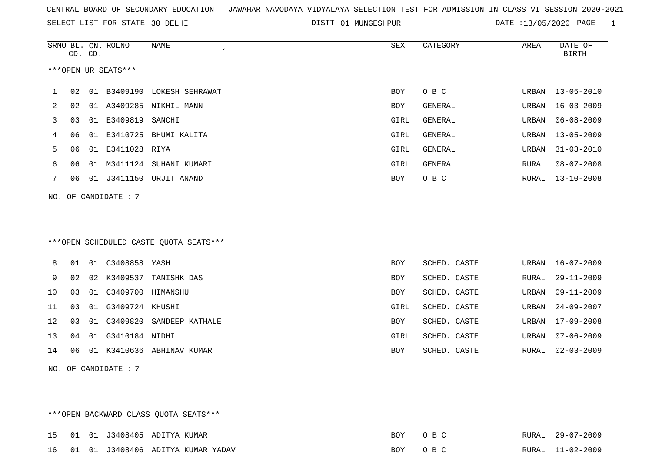SELECT LIST FOR STATE- DISTT- 30 DELHI

01 MUNGESHPUR DATE :13/05/2020 PAGE- 1

|    |    | CD. CD. | SRNO BL. CN. ROLNO     | <b>NAME</b>                            | <b>SEX</b> | CATEGORY     | AREA  | DATE OF<br><b>BIRTH</b> |
|----|----|---------|------------------------|----------------------------------------|------------|--------------|-------|-------------------------|
|    |    |         | ***OPEN UR SEATS***    |                                        |            |              |       |                         |
| 1  | 02 |         |                        | 01 B3409190 LOKESH SEHRAWAT            | BOY        | O B C        |       | URBAN 13-05-2010        |
| 2  | 02 |         |                        | 01 A3409285 NIKHIL MANN                | <b>BOY</b> | GENERAL      | URBAN | $16 - 03 - 2009$        |
| 3  | 03 |         | 01 E3409819            | SANCHI                                 | GIRL       | GENERAL      | URBAN | $06 - 08 - 2009$        |
| 4  | 06 |         |                        | 01 E3410725 BHUMI KALITA               | GIRL       | GENERAL      | URBAN | $13 - 05 - 2009$        |
| 5  | 06 |         | 01 E3411028 RIYA       |                                        | GIRL       | GENERAL      | URBAN | $31 - 03 - 2010$        |
| 6  | 06 |         |                        | 01 M3411124 SUHANI KUMARI              | GIRL       | GENERAL      | RURAL | $08 - 07 - 2008$        |
| 7  | 06 |         |                        | 01 J3411150 URJIT ANAND                | BOY        | O B C        | RURAL | $13 - 10 - 2008$        |
|    |    |         | NO. OF CANDIDATE : 7   |                                        |            |              |       |                         |
|    |    |         |                        | ***OPEN SCHEDULED CASTE QUOTA SEATS*** |            |              |       |                         |
| 8  | 01 |         | 01 C3408858 YASH       |                                        | <b>BOY</b> | SCHED. CASTE | URBAN | $16 - 07 - 2009$        |
| 9  | 02 |         | 02 K3409537            | TANISHK DAS                            | BOY        | SCHED. CASTE | RURAL | $29 - 11 - 2009$        |
| 10 | 03 |         | 01  C3409700  HIMANSHU |                                        | BOY        | SCHED. CASTE | URBAN | $09 - 11 - 2009$        |
| 11 | 03 | 01      | G3409724 KHUSHI        |                                        | GIRL       | SCHED. CASTE | URBAN | $24 - 09 - 2007$        |
| 12 | 03 |         |                        | 01 C3409820 SANDEEP KATHALE            | BOY        | SCHED. CASTE | URBAN | $17 - 09 - 2008$        |
| 13 | 04 |         | 01 G3410184 NIDHI      |                                        | GIRL       | SCHED. CASTE | URBAN | $07 - 06 - 2009$        |
| 14 | 06 |         |                        | 01 K3410636 ABHINAV KUMAR              | BOY        | SCHED. CASTE | RURAL | $02 - 03 - 2009$        |
|    |    |         | NO. OF CANDIDATE : $7$ |                                        |            |              |       |                         |

\*\*\*OPEN BACKWARD CLASS QUOTA SEATS\*\*\*

|  |  | 15 01 01 J3408405 ADITYA KUMAR       | ROY        | RURAL | $29 - 07 - 2009$ |
|--|--|--------------------------------------|------------|-------|------------------|
|  |  | 16 01 01 J3408406 ADITYA KUMAR YADAV | <b>BOY</b> |       | RURAL 11-02-2009 |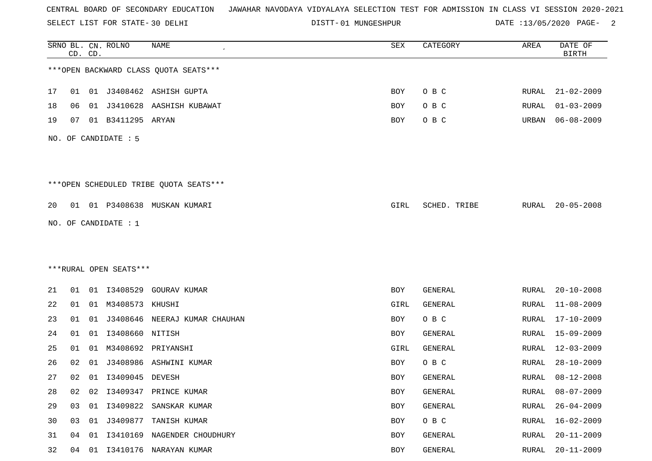SELECT LIST FOR STATE- DISTT- 30 DELHI

01 MUNGESHPUR DATE :13/05/2020 PAGE- 2

|    |    | CD. CD. | SRNO BL. CN. ROLNO     | <b>NAME</b>                            | SEX        | CATEGORY       | AREA         | DATE OF<br><b>BIRTH</b> |
|----|----|---------|------------------------|----------------------------------------|------------|----------------|--------------|-------------------------|
|    |    |         |                        | *** OPEN BACKWARD CLASS QUOTA SEATS*** |            |                |              |                         |
| 17 | 01 |         |                        | 01 J3408462 ASHISH GUPTA               | BOY        | O B C          | RURAL        | 21-02-2009              |
| 18 | 06 | 01      |                        | J3410628 AASHISH KUBAWAT               | BOY        | O B C          | RURAL        | $01 - 03 - 2009$        |
| 19 | 07 |         | 01 B3411295 ARYAN      |                                        | BOY        | O B C          | URBAN        | $06 - 08 - 2009$        |
|    |    |         | NO. OF CANDIDATE : 5   |                                        |            |                |              |                         |
|    |    |         |                        | ***OPEN SCHEDULED TRIBE QUOTA SEATS*** |            |                |              |                         |
| 20 |    |         |                        | 01 01 P3408638 MUSKAN KUMARI           | GIRL       | SCHED. TRIBE   | RURAL        | $20 - 05 - 2008$        |
|    |    |         | NO. OF CANDIDATE : 1   |                                        |            |                |              |                         |
|    |    |         |                        |                                        |            |                |              |                         |
|    |    |         |                        |                                        |            |                |              |                         |
|    |    |         | ***RURAL OPEN SEATS*** |                                        |            |                |              |                         |
| 21 | 01 |         | 01 13408529            | GOURAV KUMAR                           | BOY        | GENERAL        | RURAL        | $20 - 10 - 2008$        |
| 22 | 01 |         | 01 M3408573 KHUSHI     |                                        | GIRL       | GENERAL        | RURAL        | $11 - 08 - 2009$        |
| 23 | 01 | 01      |                        | J3408646 NEERAJ KUMAR CHAUHAN          | BOY        | O B C          | RURAL        | $17 - 10 - 2009$        |
| 24 | 01 | 01      | I3408660               | NITISH                                 | BOY        | <b>GENERAL</b> | RURAL        | $15 - 09 - 2009$        |
| 25 | 01 | 01      |                        | M3408692 PRIYANSHI                     | GIRL       | GENERAL        | RURAL        | $12 - 03 - 2009$        |
| 26 | 02 | 01      | J3408986               | ASHWINI KUMAR                          | BOY        | O B C          | RURAL        | $28 - 10 - 2009$        |
| 27 | 02 |         | 01  13409045  DEVESH   |                                        | BOY        | GENERAL        | RURAL        | $08 - 12 - 2008$        |
| 28 | 02 | 02      |                        | I3409347 PRINCE KUMAR                  | <b>BOY</b> | GENERAL        | <b>RURAL</b> | $08 - 07 - 2009$        |
| 29 | 03 | 01      | I3409822               | SANSKAR KUMAR                          | BOY        | GENERAL        | <b>RURAL</b> | $26 - 04 - 2009$        |
| 30 | 03 |         |                        | 01 J3409877 TANISH KUMAR               | BOY        | O B C          | RURAL        | $16 - 02 - 2009$        |
| 31 | 04 | 01      |                        | I3410169 NAGENDER CHOUDHURY            | BOY        | GENERAL        | <b>RURAL</b> | $20 - 11 - 2009$        |
| 32 | 04 | 01      |                        | 13410176 NARAYAN KUMAR                 | BOY        | GENERAL        | RURAL        | $20 - 11 - 2009$        |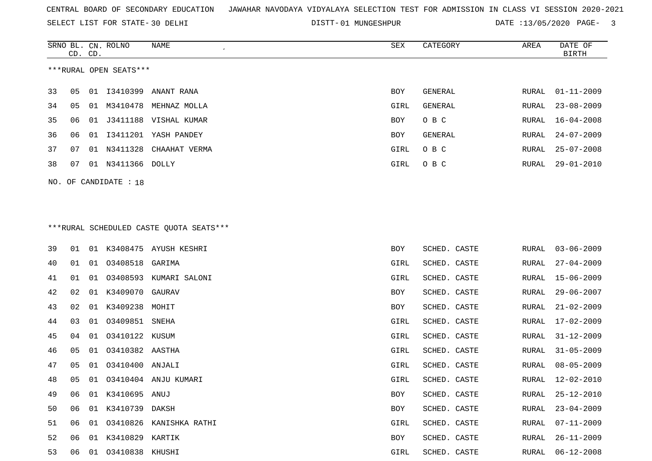SELECT LIST FOR STATE- DISTT- 30 DELHI

SRNO BL. CN.

ROLNO NAME SEX CATEGORY AREA DATE OF

DISTT-01 MUNGESHPUR DATE :13/05/2020 PAGE- 3

|    | CD. CD. |    |                        |                                         |            |                |       | <b>BIRTH</b>     |
|----|---------|----|------------------------|-----------------------------------------|------------|----------------|-------|------------------|
|    |         |    | ***RURAL OPEN SEATS*** |                                         |            |                |       |                  |
| 33 | 05      |    | 01 13410399            | ANANT RANA                              | BOY        | <b>GENERAL</b> | RURAL | $01 - 11 - 2009$ |
| 34 | 05      | 01 | M3410478               | MEHNAZ MOLLA                            | GIRL       | <b>GENERAL</b> | RURAL | $23 - 08 - 2009$ |
| 35 | 06      | 01 |                        | J3411188 VISHAL KUMAR                   | BOY        | O B C          | RURAL | 16-04-2008       |
| 36 | 06      | 01 |                        | I3411201 YASH PANDEY                    | BOY        | GENERAL        | RURAL | $24 - 07 - 2009$ |
| 37 | 07      |    |                        | 01 N3411328 CHAAHAT VERMA               | GIRL       | O B C          | RURAL | $25 - 07 - 2008$ |
| 38 | 07      |    | 01 N3411366 DOLLY      |                                         | GIRL       | O B C          | RURAL | $29 - 01 - 2010$ |
|    |         |    | NO. OF CANDIDATE : 18  |                                         |            |                |       |                  |
|    |         |    |                        |                                         |            |                |       |                  |
|    |         |    |                        |                                         |            |                |       |                  |
|    |         |    |                        | ***RURAL SCHEDULED CASTE QUOTA SEATS*** |            |                |       |                  |
| 39 | 01      | 01 | K3408475               | AYUSH KESHRI                            | BOY        | SCHED. CASTE   | RURAL | $03 - 06 - 2009$ |
| 40 | 01      | 01 | 03408518               | GARIMA                                  | GIRL       | SCHED. CASTE   | RURAL | $27 - 04 - 2009$ |
| 41 | 01      | 01 |                        | 03408593 KUMARI SALONI                  | GIRL       | SCHED. CASTE   | RURAL | $15 - 06 - 2009$ |
| 42 | 02      | 01 | K3409070               | GAURAV                                  | BOY        | SCHED. CASTE   | RURAL | $29 - 06 - 2007$ |
| 43 | 02      |    | 01 K3409238            | MOHIT                                   | BOY        | SCHED. CASTE   | RURAL | $21 - 02 - 2009$ |
| 44 | 03      | 01 | 03409851               | SNEHA                                   | GIRL       | SCHED. CASTE   | RURAL | $17 - 02 - 2009$ |
| 45 | 04      | 01 | 03410122               | KUSUM                                   | GIRL       | SCHED. CASTE   | RURAL | $31 - 12 - 2009$ |
| 46 | 05      | 01 | 03410382               | AASTHA                                  | GIRL       | SCHED. CASTE   | RURAL | $31 - 05 - 2009$ |
| 47 | 05      | 01 | 03410400               | ANJALI                                  | GIRL       | SCHED. CASTE   | RURAL | $08 - 05 - 2009$ |
| 48 | 05      | 01 |                        | 03410404 ANJU KUMARI                    | GIRL       | SCHED. CASTE   | RURAL | 12-02-2010       |
| 49 | 06      |    | 01 K3410695 ANUJ       |                                         | <b>BOY</b> | SCHED. CASTE   | RURAL | $25 - 12 - 2010$ |
| 50 |         |    | 06 01 K3410739 DAKSH   |                                         | BOY        | SCHED. CASTE   |       | RURAL 23-04-2009 |
| 51 | 06 -    |    |                        | 01 03410826 KANISHKA RATHI              | GIRL       | SCHED. CASTE   | RURAL | 07-11-2009       |
| 52 | 06      |    | 01 K3410829 KARTIK     |                                         | BOY        | SCHED. CASTE   | RURAL | $26 - 11 - 2009$ |
| 53 | 06      | 01 | 03410838 KHUSHI        |                                         | GIRL       | SCHED. CASTE   | RURAL | $06 - 12 - 2008$ |
|    |         |    |                        |                                         |            |                |       |                  |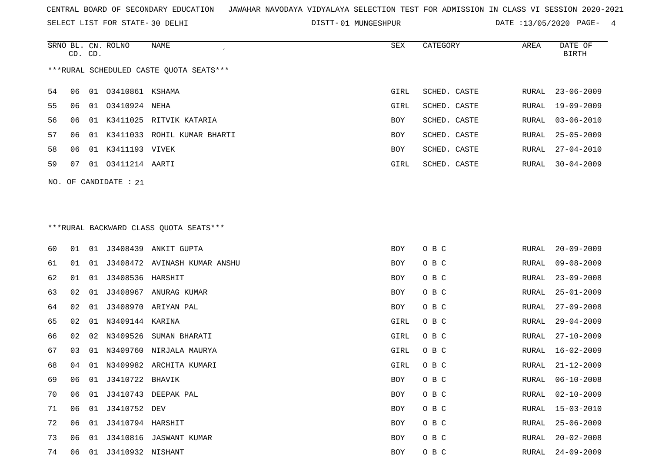SELECT LIST FOR STATE- DISTT- 30 DELHI

DISTT-01 MUNGESHPUR DATE :13/05/2020 PAGE- 4

|                                         | CD. CD. |  | SRNO BL. CN. ROLNO      | NAME                           | SEX        | CATEGORY     | AREA  | DATE OF<br>BIRTH |
|-----------------------------------------|---------|--|-------------------------|--------------------------------|------------|--------------|-------|------------------|
| ***RURAL SCHEDULED CASTE QUOTA SEATS*** |         |  |                         |                                |            |              |       |                  |
| 54                                      | 06      |  | 01 03410861 KSHAMA      |                                | GIRL       | SCHED. CASTE | RURAL | $23 - 06 - 2009$ |
| 55                                      | 06      |  | 01 03410924 NEHA        |                                | GIRL       | SCHED. CASTE |       | RURAL 19-09-2009 |
| 56                                      | 06      |  |                         | 01 K3411025 RITVIK KATARIA     | BOY        | SCHED. CASTE | RURAL | 03-06-2010       |
| 57                                      | 06      |  |                         | 01 K3411033 ROHIL KUMAR BHARTI | <b>BOY</b> | SCHED. CASTE | RURAL | 25-05-2009       |
| 58                                      | 06      |  | 01 K3411193 VIVEK       |                                | BOY        | SCHED. CASTE | RURAL | 27-04-2010       |
| 59                                      | 07      |  | 01   03411214   AARTI   |                                | GIRL       | SCHED. CASTE | RURAL | $30 - 04 - 2009$ |
|                                         |         |  | NO. OF CANDIDATE : $21$ |                                |            |              |       |                  |

# \*\*\*RURAL BACKWARD CLASS QUOTA SEATS\*\*\*

| 60 | 01 | 01 |                    | J3408439 ANKIT GUPTA         | BOY  | O B C | RURAL | $20 - 09 - 2009$ |
|----|----|----|--------------------|------------------------------|------|-------|-------|------------------|
| 61 | 01 | 01 |                    | J3408472 AVINASH KUMAR ANSHU | BOY  | O B C | RURAL | $09 - 08 - 2009$ |
| 62 | 01 | 01 | J3408536 HARSHIT   |                              | BOY  | O B C | RURAL | $23 - 09 - 2008$ |
| 63 | 02 | 01 |                    | J3408967 ANURAG KUMAR        | BOY  | O B C | RURAL | $25 - 01 - 2009$ |
| 64 | 02 | 01 |                    | J3408970 ARIYAN PAL          | BOY  | O B C | RURAL | $27 - 09 - 2008$ |
| 65 | 02 | 01 | N3409144 KARINA    |                              | GIRL | O B C | RURAL | $29 - 04 - 2009$ |
| 66 | 02 | 02 | N3409526           | SUMAN BHARATI                | GIRL | O B C | RURAL | $27 - 10 - 2009$ |
| 67 | 03 | 01 |                    | N3409760 NIRJALA MAURYA      | GIRL | O B C | RURAL | $16 - 02 - 2009$ |
| 68 | 04 | 01 |                    | N3409982 ARCHITA KUMARI      | GIRL | O B C | RURAL | $21 - 12 - 2009$ |
| 69 | 06 |    | 01 J3410722 BHAVIK |                              | BOY  | O B C | RURAL | $06 - 10 - 2008$ |
| 70 | 06 | 01 |                    | J3410743 DEEPAK PAL          | BOY  | O B C | RURAL | $02 - 10 - 2009$ |
| 71 | 06 | 01 | J3410752 DEV       |                              | BOY  | O B C | RURAL | 15-03-2010       |
| 72 | 06 | 01 | J3410794 HARSHIT   |                              | BOY  | O B C | RURAL | $25 - 06 - 2009$ |
| 73 | 06 | 01 |                    | J3410816 JASWANT KUMAR       | BOY  | O B C | RURAL | $20 - 02 - 2008$ |
| 74 | 06 | 01 | J3410932 NISHANT   |                              | BOY  | O B C | RURAL | $24 - 09 - 2009$ |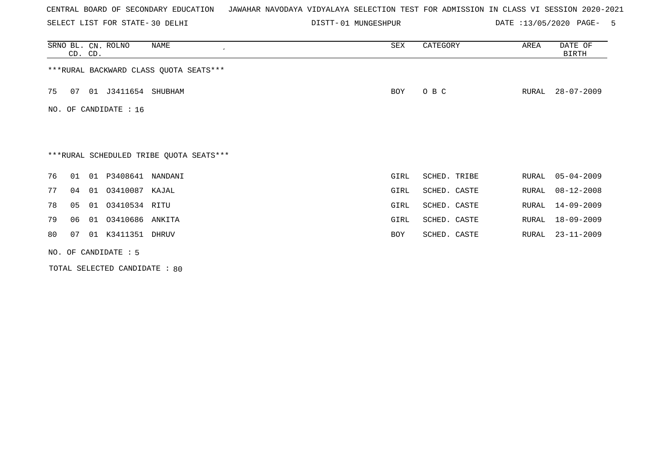SELECT LIST FOR STATE- DISTT- 30 DELHI

01 MUNGESHPUR DATE :13/05/2020 PAGE- 5

|     | CD. CD.              |    | SRNO BL. CN. ROLNO  | NAME                                    | SEX  | CATEGORY     | AREA  | DATE OF<br><b>BIRTH</b> |  |  |  |
|-----|----------------------|----|---------------------|-----------------------------------------|------|--------------|-------|-------------------------|--|--|--|
|     |                      |    |                     | *** RURAL BACKWARD CLASS QUOTA SEATS*** |      |              |       |                         |  |  |  |
| 75  | 07                   |    | 01 J3411654 SHUBHAM |                                         | BOY  | O B C        | RURAL | $28 - 07 - 2009$        |  |  |  |
| NO. | OF CANDIDATE : 16    |    |                     |                                         |      |              |       |                         |  |  |  |
|     |                      |    |                     |                                         |      |              |       |                         |  |  |  |
|     |                      |    |                     | ***RURAL SCHEDULED TRIBE QUOTA SEATS*** |      |              |       |                         |  |  |  |
| 76  | 01                   |    | 01 P3408641 NANDANI |                                         | GIRL | SCHED. TRIBE | RURAL | $05 - 04 - 2009$        |  |  |  |
| 77  | 04                   | 01 | 03410087 KAJAL      |                                         | GIRL | SCHED. CASTE | RURAL | $08 - 12 - 2008$        |  |  |  |
| 78  | 05                   |    | 01 03410534 RITU    |                                         | GIRL | SCHED. CASTE | RURAL | $14 - 09 - 2009$        |  |  |  |
| 79  | 06                   | 01 | 03410686            | ANKITA                                  | GIRL | SCHED. CASTE | RURAL | $18 - 09 - 2009$        |  |  |  |
| 80  | 07                   |    | 01 K3411351 DHRUV   |                                         | BOY  | SCHED. CASTE | RURAL | $23 - 11 - 2009$        |  |  |  |
|     | NO. OF CANDIDATE : 5 |    |                     |                                         |      |              |       |                         |  |  |  |

TOTAL SELECTED CANDIDATE : 80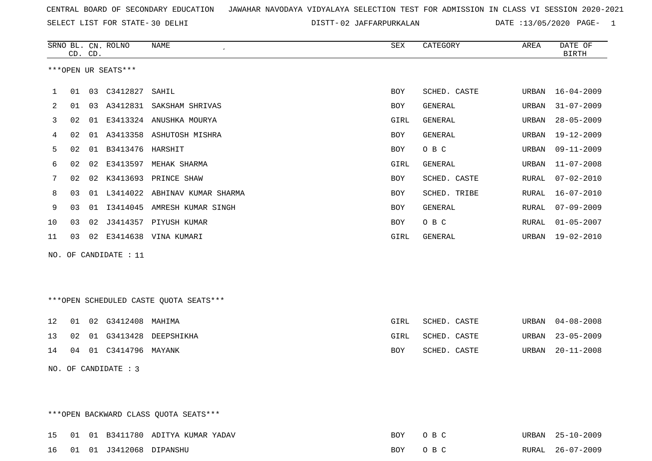SELECT LIST FOR STATE- DISTT- 30 DELHI

02 JAFFARPURKALAN DATE :13/05/2020 PAGE- 1

|     |    | CD. CD. | SRNO BL. CN. ROLNO  | <b>NAME</b>                            | <b>SEX</b> | CATEGORY       | AREA  | DATE OF<br><b>BIRTH</b> |
|-----|----|---------|---------------------|----------------------------------------|------------|----------------|-------|-------------------------|
|     |    |         | ***OPEN UR SEATS*** |                                        |            |                |       |                         |
| 1   | 01 | 03      | C3412827            | SAHIL                                  | <b>BOY</b> | SCHED. CASTE   | URBAN | $16 - 04 - 2009$        |
| 2   | 01 |         | 03 A3412831         | SAKSHAM SHRIVAS                        | <b>BOY</b> | <b>GENERAL</b> | URBAN | $31 - 07 - 2009$        |
| 3   | 02 |         |                     | 01 E3413324 ANUSHKA MOURYA             | GIRL       | <b>GENERAL</b> | URBAN | $28 - 05 - 2009$        |
| 4   | 02 |         |                     | 01 A3413358 ASHUTOSH MISHRA            | <b>BOY</b> | GENERAL        | URBAN | $19 - 12 - 2009$        |
| 5   | 02 | 01      | B3413476 HARSHIT    |                                        | BOY        | O B C          | URBAN | $09 - 11 - 2009$        |
| 6   | 02 | 02      | E3413597            | MEHAK SHARMA                           | GIRL       | <b>GENERAL</b> | URBAN | $11 - 07 - 2008$        |
| 7   | 02 | 02      |                     | K3413693 PRINCE SHAW                   | <b>BOY</b> | SCHED. CASTE   | RURAL | $07 - 02 - 2010$        |
| 8   | 03 |         |                     | 01 L3414022 ABHINAV KUMAR SHARMA       | <b>BOY</b> | SCHED. TRIBE   | RURAL | $16 - 07 - 2010$        |
| 9   | 03 | 01      |                     | I3414045 AMRESH KUMAR SINGH            | <b>BOY</b> | GENERAL        | RURAL | $07 - 09 - 2009$        |
| 10  | 03 | 02      |                     | J3414357 PIYUSH KUMAR                  | <b>BOY</b> | O B C          | RURAL | $01 - 05 - 2007$        |
| 11  | 03 |         | 02 E3414638         | VINA KUMARI                            | GIRL       | <b>GENERAL</b> | URBAN | $19 - 02 - 2010$        |
| NO. |    |         | OF CANDIDATE : 11   |                                        |            |                |       |                         |
|     |    |         |                     |                                        |            |                |       |                         |
|     |    |         |                     |                                        |            |                |       |                         |
|     |    |         |                     | ***OPEN SCHEDULED CASTE QUOTA SEATS*** |            |                |       |                         |
| 12  | 01 | 02      | G3412408            | MAHIMA                                 | GIRL       | SCHED. CASTE   | URBAN | $04 - 08 - 2008$        |
| 13  | 02 | 01      |                     | G3413428 DEEPSHIKHA                    | GIRL       | SCHED. CASTE   | URBAN | $23 - 05 - 2009$        |

14 04 01 C3414796 MAYANK BOY SCHED. CASTE URBAN 20-11-2008

NO. OF CANDIDATE : 3

\*\*\*OPEN BACKWARD CLASS QUOTA SEATS\*\*\* 15 01 01 B3411780 ADITYA KUMAR YADAV BOY O B C

URBAN 25-10-2009 16 01 01 J3412068 DIPANSHU BOY O B C RURAL 26-07-2009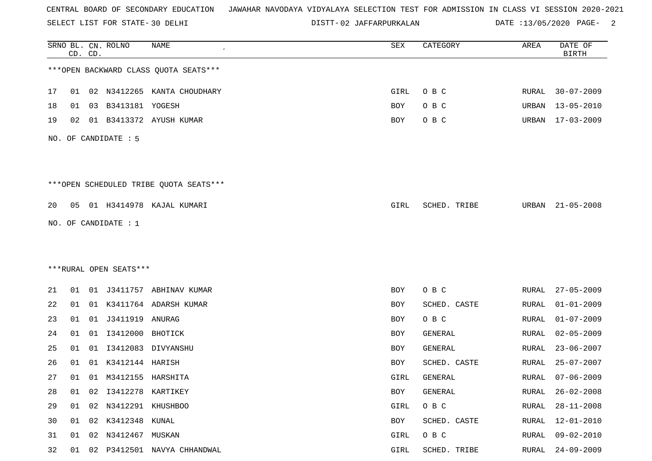SELECT LIST FOR STATE- DISTT- 30 DELHI

02 JAFFARPURKALAN DATE :13/05/2020 PAGE- 2

|    |    | CD. CD. | SRNO BL. CN. ROLNO     | <b>NAME</b>                            | SEX  | CATEGORY     | AREA         | DATE OF<br><b>BIRTH</b> |
|----|----|---------|------------------------|----------------------------------------|------|--------------|--------------|-------------------------|
|    |    |         |                        | *** OPEN BACKWARD CLASS QUOTA SEATS*** |      |              |              |                         |
| 17 | 01 |         |                        | 02 N3412265 KANTA CHOUDHARY            | GIRL | O B C        | RURAL        | $30 - 07 - 2009$        |
| 18 | 01 |         | 03 B3413181 YOGESH     |                                        | BOY  | O B C        | URBAN        | $13 - 05 - 2010$        |
| 19 | 02 |         |                        | 01 B3413372 AYUSH KUMAR                | BOY  | O B C        | URBAN        | $17 - 03 - 2009$        |
|    |    |         | NO. OF CANDIDATE : 5   |                                        |      |              |              |                         |
|    |    |         |                        | ***OPEN SCHEDULED TRIBE QUOTA SEATS*** |      |              |              |                         |
| 20 | 05 |         |                        | 01 H3414978 KAJAL KUMARI               | GIRL | SCHED. TRIBE | URBAN        | $21 - 05 - 2008$        |
|    |    |         | NO. OF CANDIDATE : 1   |                                        |      |              |              |                         |
|    |    |         |                        |                                        |      |              |              |                         |
|    |    |         |                        |                                        |      |              |              |                         |
|    |    |         | ***RURAL OPEN SEATS*** |                                        |      |              |              |                         |
| 21 | 01 |         |                        | 01 J3411757 ABHINAV KUMAR              | BOY  | O B C        | RURAL        | $27 - 05 - 2009$        |
| 22 | 01 |         |                        | 01 K3411764 ADARSH KUMAR               | BOY  | SCHED. CASTE | RURAL        | $01 - 01 - 2009$        |
| 23 | 01 |         |                        |                                        | BOY  | O B C        | RURAL        | $01 - 07 - 2009$        |
| 24 | 01 | 01      | I3412000               | BHOTICK                                | BOY  | GENERAL      | RURAL        | $02 - 05 - 2009$        |
| 25 | 01 | 01      | I3412083               | DIVYANSHU                              | BOY  | GENERAL      | RURAL        | $23 - 06 - 2007$        |
| 26 | 01 | 01      | K3412144 HARISH        |                                        | BOY  | SCHED. CASTE | RURAL        | $25 - 07 - 2007$        |
| 27 | 01 |         | 01 M3412155 HARSHITA   |                                        | GIRL | GENERAL      | RURAL        | $07 - 06 - 2009$        |
| 28 | 01 | 02      | 13412278 KARTIKEY      |                                        | BOY  | GENERAL      | RURAL        | $26 - 02 - 2008$        |
| 29 | 01 | 02      | N3412291 KHUSHBOO      |                                        | GIRL | O B C        | RURAL        | $28 - 11 - 2008$        |
| 30 | 01 |         | 02 K3412348 KUNAL      |                                        | BOY  | SCHED. CASTE | RURAL        | $12 - 01 - 2010$        |
| 31 | 01 | 02      | N3412467 MUSKAN        |                                        | GIRL | O B C        | <b>RURAL</b> | $09 - 02 - 2010$        |
| 32 | 01 |         |                        | 02 P3412501 NAVYA CHHANDWAL            | GIRL | SCHED. TRIBE | RURAL        | $24 - 09 - 2009$        |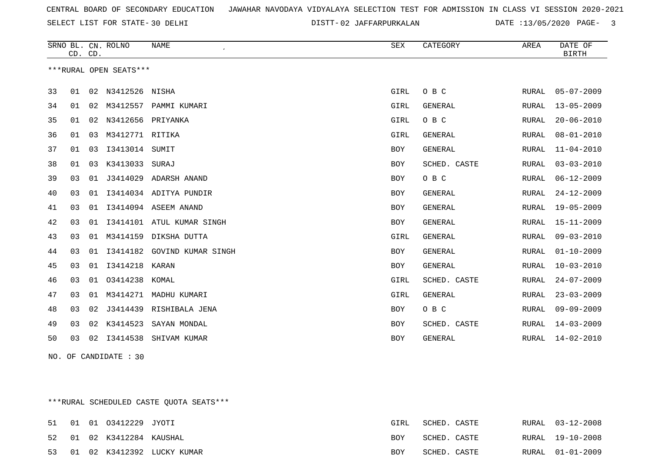SELECT LIST FOR STATE- DISTT- 30 DELHI

02 JAFFARPURKALAN DATE :13/05/2020 PAGE- 3

|    | CD. CD. |    | SRNO BL. CN. ROLNO     | <b>NAME</b>                 | <b>SEX</b> | CATEGORY       | AREA         | DATE OF<br><b>BIRTH</b> |
|----|---------|----|------------------------|-----------------------------|------------|----------------|--------------|-------------------------|
|    |         |    | ***RURAL OPEN SEATS*** |                             |            |                |              |                         |
| 33 | 01      |    | 02 N3412526 NISHA      |                             | GIRL       | O B C          | RURAL        | $05 - 07 - 2009$        |
| 34 | 01      | 02 | M3412557               | PAMMI KUMARI                | GIRL       | <b>GENERAL</b> | RURAL        | $13 - 05 - 2009$        |
| 35 | 01      |    | 02 N3412656 PRIYANKA   |                             | GIRL       | O B C          | RURAL        | $20 - 06 - 2010$        |
| 36 | 01      | 03 | M3412771 RITIKA        |                             | GIRL       | <b>GENERAL</b> | RURAL        | $08 - 01 - 2010$        |
| 37 | 01      | 03 | I3413014 SUMIT         |                             | <b>BOY</b> | <b>GENERAL</b> | RURAL        | $11 - 04 - 2010$        |
| 38 | 01      | 03 | K3413033               | SURAJ                       | BOY        | SCHED. CASTE   | RURAL        | $03 - 03 - 2010$        |
| 39 | 03      | 01 |                        | J3414029 ADARSH ANAND       | BOY        | O B C          | RURAL        | $06 - 12 - 2009$        |
| 40 | 03      | 01 |                        | 13414034 ADITYA PUNDIR      | <b>BOY</b> | <b>GENERAL</b> | RURAL        | $24 - 12 - 2009$        |
| 41 | 03      | 01 |                        | I3414094 ASEEM ANAND        | BOY        | GENERAL        | RURAL        | $19 - 05 - 2009$        |
| 42 | 03      | 01 |                        | I3414101 ATUL KUMAR SINGH   | BOY        | <b>GENERAL</b> | RURAL        | $15 - 11 - 2009$        |
| 43 | 03      |    |                        | 01 M3414159 DIKSHA DUTTA    | GIRL       | <b>GENERAL</b> | RURAL        | $09 - 03 - 2010$        |
| 44 | 03      | 01 |                        | I3414182 GOVIND KUMAR SINGH | BOY        | <b>GENERAL</b> | RURAL        | $01 - 10 - 2009$        |
| 45 | 03      | 01 | I3414218               | KARAN                       | <b>BOY</b> | <b>GENERAL</b> | RURAL        | $10 - 03 - 2010$        |
| 46 | 03      | 01 | 03414238               | KOMAL                       | GIRL       | SCHED. CASTE   | <b>RURAL</b> | $24 - 07 - 2009$        |
| 47 | 03      | 01 |                        | M3414271 MADHU KUMARI       | GIRL       | GENERAL        | RURAL        | $23 - 03 - 2009$        |
| 48 | 03      | 02 | J3414439               | RISHIBALA JENA              | BOY        | O B C          | RURAL        | $09 - 09 - 2009$        |
| 49 | 03      | 02 | K3414523               | SAYAN MONDAL                | BOY        | SCHED. CASTE   | RURAL        | $14 - 03 - 2009$        |
| 50 | 03      | 02 | I3414538               | SHIVAM KUMAR                | BOY        | GENERAL        | RURAL        | $14 - 02 - 2010$        |

NO. OF CANDIDATE : 30

\*\*\*RURAL SCHEDULED CASTE QUOTA SEATS\*\*\*

|  | 51        01        01        03412229        JYOTI |                               | GIRL       | SCHED. CASTE |  | RURAL 03-12-2008 |
|--|-----------------------------------------------------|-------------------------------|------------|--------------|--|------------------|
|  | 52 01 02 K3412284 KAUSHAL                           |                               | BOY        | SCHED. CASTE |  | RURAL 19-10-2008 |
|  |                                                     | 53 01 02 K3412392 LUCKY KUMAR | <b>BOY</b> | SCHED. CASTE |  | RURAL 01-01-2009 |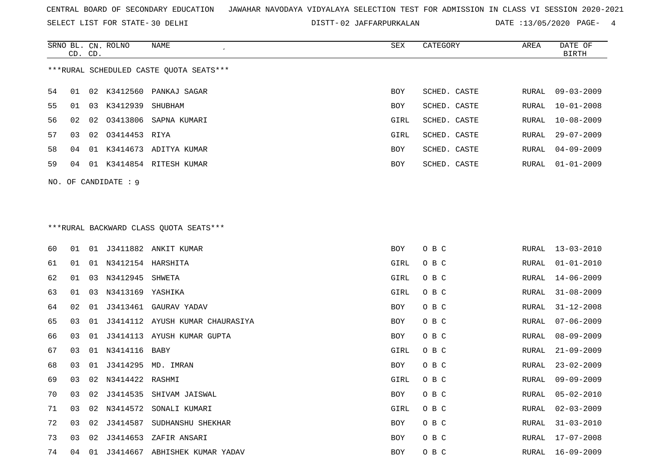SELECT LIST FOR STATE- DISTT- 30 DELHI

02 JAFFARPURKALAN DATE :13/05/2020 PAGE- 4

|                                         | CD. CD.                |    | SRNO BL. CN. ROLNO | NAME                     | SEX        | CATEGORY     | AREA  | DATE OF<br>BIRTH |  |
|-----------------------------------------|------------------------|----|--------------------|--------------------------|------------|--------------|-------|------------------|--|
| ***RURAL SCHEDULED CASTE OUOTA SEATS*** |                        |    |                    |                          |            |              |       |                  |  |
| 54                                      | 01                     |    |                    | 02 K3412560 PANKAJ SAGAR | BOY        | SCHED. CASTE | RURAL | 09-03-2009       |  |
| 55                                      | 01                     | 03 | K3412939 SHUBHAM   |                          | <b>BOY</b> | SCHED. CASTE | RURAL | 10-01-2008       |  |
| 56                                      | 02                     |    |                    | 02 03413806 SAPNA KUMARI | GIRL       | SCHED. CASTE | RURAL | 10-08-2009       |  |
| 57                                      | 03                     |    | 02 03414453 RIYA   |                          | GIRL       | SCHED. CASTE | RURAL | 29-07-2009       |  |
| 58                                      | 04                     | 01 |                    | K3414673 ADITYA KUMAR    | BOY        | SCHED. CASTE | RURAL | 04-09-2009       |  |
| 59                                      | 04                     | 01 |                    | K3414854 RITESH KUMAR    | <b>BOY</b> | SCHED. CASTE | RURAL | 01-01-2009       |  |
|                                         | NO. OF CANDIDATE $: 9$ |    |                    |                          |            |              |       |                  |  |

# \*\*\*RURAL BACKWARD CLASS QUOTA SEATS\*\*\*

| 60 | 01 | 01 |                      | J3411882 ANKIT KUMAR            | BOY        | O B C |       | RURAL 13-03-2010 |
|----|----|----|----------------------|---------------------------------|------------|-------|-------|------------------|
| 61 | 01 |    | 01 N3412154 HARSHITA |                                 | GIRL       | O B C | RURAL | $01 - 01 - 2010$ |
| 62 | 01 | 03 | N3412945 SHWETA      |                                 | GIRL       | O B C | RURAL | 14-06-2009       |
| 63 | 01 | 03 | N3413169 YASHIKA     |                                 | GIRL       | O B C | RURAL | $31 - 08 - 2009$ |
| 64 | 02 | 01 |                      | J3413461 GAURAV YADAV           | BOY        | O B C | RURAL | $31 - 12 - 2008$ |
| 65 | 03 | 01 |                      | J3414112 AYUSH KUMAR CHAURASIYA | BOY        | O B C | RURAL | $07 - 06 - 2009$ |
| 66 | 03 | 01 |                      | J3414113 AYUSH KUMAR GUPTA      | BOY        | O B C | RURAL | $08 - 09 - 2009$ |
| 67 | 03 |    | 01 N3414116 BABY     |                                 | GIRL       | O B C | RURAL | $21 - 09 - 2009$ |
| 68 | 03 | 01 |                      | J3414295 MD. IMRAN              | BOY        | O B C | RURAL | $23 - 02 - 2009$ |
| 69 | 03 |    | 02 N3414422 RASHMI   |                                 | GIRL       | O B C | RURAL | $09 - 09 - 2009$ |
| 70 | 03 | 02 |                      | J3414535 SHIVAM JAISWAL         | BOY        | O B C | RURAL | $05 - 02 - 2010$ |
| 71 | 03 | 02 | N3414572             | SONALI KUMARI                   | GIRL       | O B C | RURAL | $02 - 03 - 2009$ |
| 72 | 03 | 02 | J3414587             | SUDHANSHU SHEKHAR               | <b>BOY</b> | O B C | RURAL | $31 - 03 - 2010$ |
| 73 | 03 | 02 | J3414653             | ZAFIR ANSARI                    | BOY        | O B C | RURAL | 17-07-2008       |
| 74 | 04 | 01 |                      | J3414667 ABHISHEK KUMAR YADAV   | BOY        | O B C |       | RURAL 16-09-2009 |